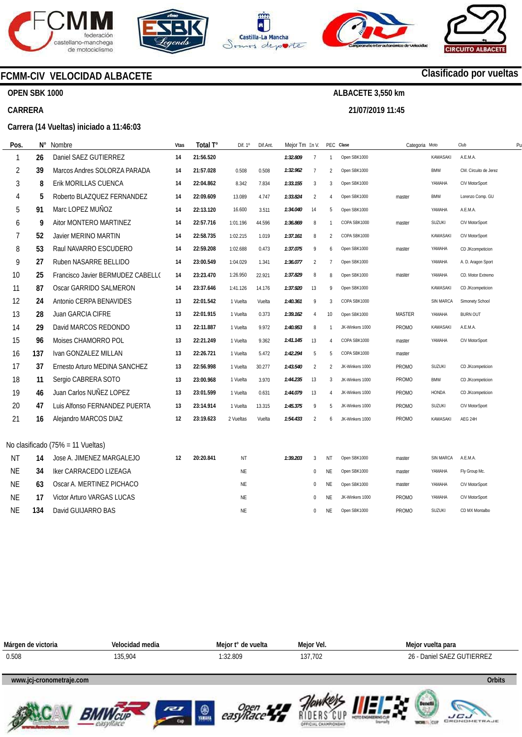

**OPEN SBK 1000** 

**CARRERA** 









## **Clasificado por vueltas**

**www.mylaps.com LICU**<br>GRONOMETRAJE

**ALBACETE 3,550 km** 

**21/07/2019 11:45** 

**Carrera (14 Vueltas) iniciado a 11:46:03** 

**FCMM-CIV VELOCIDAD ALBACETE** 

| Pos       | $N^{\circ}$ | Nombre                            | Vtas | Total T°  | Dif. 1°   | Dif.Ant. | Mejor Tm En V. |                |                | PEC Clase       | Categoria Moto |                  | Club                  | P <sub>l</sub> |
|-----------|-------------|-----------------------------------|------|-----------|-----------|----------|----------------|----------------|----------------|-----------------|----------------|------------------|-----------------------|----------------|
| 1         | 26          | Daniel SAEZ GUTIERREZ             | 14   | 21:56.520 |           |          | 1:32.809       | $\overline{7}$ | $\mathbf{1}$   | Open SBK1000    |                | <b>KAWASAKI</b>  | A.E.M.A.              |                |
| 2         | 39          | Marcos Andres SOLORZA PARADA      | 14   | 21:57.028 | 0.508     | 0.508    | 1:32.962       | $\overline{7}$ | $\overline{2}$ | Open SBK1000    |                | <b>BMW</b>       | CM. Circuito de Jerez |                |
| 3         | 8           | Erik MORILLAS CUENCA              | 14   | 22:04.862 | 8.342     | 7.834    | 1:33.155       | 3              | 3              | Open SBK1000    |                | YAMAHA           | CIV MotorSport        |                |
| 4         | 5           | Roberto BLAZQUEZ FERNANDEZ        | 14   | 22:09.609 | 13.089    | 4.747    | 1:33.824       | $\overline{2}$ | $\overline{4}$ | Open SBK1000    | master         | <b>BMW</b>       | Lorenzo Comp. GU      |                |
| 5         | 91          | Marc LOPEZ MUÑOZ                  | 14   | 22:13.120 | 16.600    | 3.511    | 1:34.040       | 14             | 5              | Open SBK1000    |                | YAMAHA           | A.E.M.A.              |                |
| 6         | 9           | Aitor MONTERO MARTINEZ            | 14   | 22:57.716 | 1:01.196  | 44.596   | 1:36.869       | 8              | $\mathbf{1}$   | COPA SBK1000    | master         | <b>SUZUKI</b>    | CIV MotorSport        |                |
| 7         | 52          | <b>Javier MERINO MARTIN</b>       | 14   | 22:58.735 | 1:02.215  | 1.019    | 1:37.161       | 8              | 2              | COPA SBK1000    |                | <b>KAWASAKI</b>  | CIV MotorSport        |                |
| 8         | 53          | Raul NAVARRO ESCUDERO             | 14   | 22:59.208 | 1:02.688  | 0.473    | 1:37.075       | 9              | 6              | Open SBK1000    | master         | YAMAHA           | CD JKcompeticion      |                |
| 9         | 27          | Ruben NASARRE BELLIDO             | 14   | 23:00.549 | 1:04.029  | 1.341    | 1:36.077       | $\overline{2}$ | $\overline{7}$ | Open SBK1000    |                | YAMAHA           | A. D. Aragon Sport    |                |
| 10        | 25          | Francisco Javier BERMUDEZ CABELLO | 14   | 23:23.470 | 1:26.950  | 22.921   | 1:37.829       | 8              | 8              | Open SBK1000    | master         | YAMAHA           | CD. Motor Extremo     |                |
| 11        | 87          | Oscar GARRIDO SALMERON            | 14   | 23:37.646 | 1:41.126  | 14.176   | 1:37.920       | 13             | 9              | Open SBK1000    |                | KAWASAKI         | CD JKcompeticion      |                |
| 12        | 24          | Antonio CERPA BENAVIDES           | 13   | 22:01.542 | 1 Vuelta  | Vuelta   | 1:40.361       | 9              | 3              | COPA SBK1000    |                | <b>SIN MARCA</b> | Simonety School       |                |
| 13        | 28          | Juan GARCIA CIFRE                 | 13   | 22:01.915 | 1 Vuelta  | 0.373    | 1:39.162       | $\overline{4}$ | 10             | Open SBK1000    | <b>MASTER</b>  | YAMAHA           | <b>BURN OUT</b>       |                |
| 14        | 29          | David MARCOS REDONDO              | 13   | 22:11.887 | 1 Vuelta  | 9.972    | 1:40.953       | 8              | $\overline{1}$ | JK-Winkers 1000 | <b>PROMO</b>   | <b>KAWASAKI</b>  | A.E.M.A.              |                |
| 15        | 96          | Moises CHAMORRO POL               | 13   | 22:21.249 | 1 Vuelta  | 9.362    | 1:41.145       | 13             | $\overline{4}$ | COPA SBK1000    | master         | YAMAHA           | CIV MotorSport        |                |
| 16        | 137         | Ivan GONZALEZ MILLAN              | 13   | 22:26.721 | 1 Vuelta  | 5.472    | 1:42.294       | 5              | 5              | COPA SBK1000    | master         |                  |                       |                |
| 17        | 37          | Ernesto Arturo MEDINA SANCHEZ     | 13   | 22:56.998 | 1 Vuelta  | 30.277   | 1:43.540       | 2              | $\mathfrak{D}$ | JK-Winkers 1000 | <b>PROMO</b>   | <b>SUZUKI</b>    | CD JKcompeticion      |                |
| 18        | 11          | Sergio CABRERA SOTO               | 13   | 23:00.968 | 1 Vuelta  | 3.970    | 1:44.235       | 13             | 3              | JK-Winkers 1000 | <b>PROMO</b>   | <b>BMW</b>       | CD JKcompeticion      |                |
| 19        | 46          | Juan Carlos NUÑEZ LOPEZ           | 13   | 23:01.599 | 1 Vuelta  | 0.631    | 1:44.079       | 13             | $\overline{A}$ | JK-Winkers 1000 | <b>PROMO</b>   | <b>HONDA</b>     | CD JKcompeticion      |                |
| 20        | 47          | Luis Alfonso FERNANDEZ PUERTA     | 13   | 23:14.914 | 1 Vuelta  | 13.315   | 1:45.375       | 9              | 5              | JK-Winkers 1000 | <b>PROMO</b>   | <b>SUZUKI</b>    | CIV MotorSport        |                |
| 21        | 16          | Alejandro MARCOS DIAZ             | 12   | 23:19.623 | 2 Vueltas | Vuelta   | 1:54.433       | $\overline{2}$ | 6              | JK-Winkers 1000 | <b>PROMO</b>   | <b>KAWASAKI</b>  | AEG 24H               |                |
|           |             |                                   |      |           |           |          |                |                |                |                 |                |                  |                       |                |
|           |             | No clasificado (75% = 11 Vueltas) |      |           |           |          |                |                |                |                 |                |                  |                       |                |
| NT        | 14          | Jose A. JIMENEZ MARGALEJO         | 12   | 20:20.841 | <b>NT</b> |          | 1:39.203       | 3              | NT             | Open SBK1000    | master         | SIN MARCA        | A.E.M.A.              |                |
| <b>NE</b> | 34          | Iker CARRACEDO LIZEAGA            |      |           | NE        |          |                | 0              | ΝE             | Open SBK1000    | master         | YAMAHA           | Fly Group Mc.         |                |
| <b>NE</b> | 63          | Oscar A. MERTINEZ PICHACO         |      |           | NE        |          |                | $\Omega$       | ΝE             | Open SBK1000    | master         | YAMAHA           | CIV MotorSport        |                |
| <b>NE</b> | 17          | <b>Victor Arturo VARGAS LUCAS</b> |      |           | NE        |          |                | $\Omega$       | <b>NE</b>      | JK-Winkers 1000 | <b>PROMO</b>   | YAMAHA           | CIV MotorSport        |                |
| <b>NE</b> | 134         | David GUIJARRO BAS                |      |           | NE        |          |                | $\mathbf{0}$   | NE             | Open SBK1000    | PROMO          | <b>SUZUKI</b>    | CD MX Montalbo        |                |









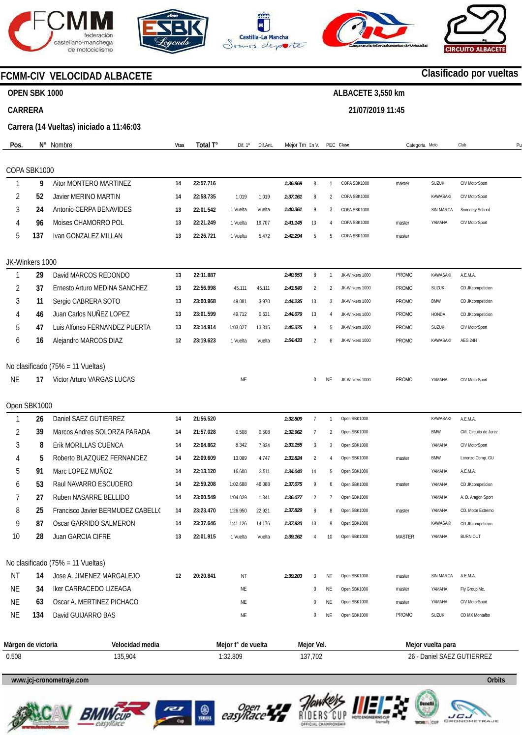







**21/07/2019 11:45** 



# **FCMM-CIV VELOCIDAD ALBACETE**

## **OPEN SBK 1000**

## **CARRERA**

**Carrera (14 Vueltas) iniciado a 11:46:03** 

| Pos.      |                    | N° Nombre                         | Vtas | Total T°  | Dif. 1º            | Dif.Ant. | Mejor Tm En V. |                |                | PEC Clase       | Categoria Moto |                   | Club                       | P <sub>l</sub> |
|-----------|--------------------|-----------------------------------|------|-----------|--------------------|----------|----------------|----------------|----------------|-----------------|----------------|-------------------|----------------------------|----------------|
|           |                    |                                   |      |           |                    |          |                |                |                |                 |                |                   |                            |                |
| 1         | COPA SBK1000<br>9  | Aitor MONTERO MARTINEZ            | 14   | 22:57.716 |                    |          | 1:36.869       | 8              | $\mathbf{1}$   | COPA SBK1000    |                | SUZUKI            | CIV MotorSport             |                |
| 2         | 52                 | <b>Javier MERINO MARTIN</b>       | 14   | 22:58.735 | 1.019              | 1.019    | 1:37.161       | 8              | $\overline{2}$ | COPA SBK1000    | master         | KAWASAKI          | CIV MotorSport             |                |
| 3         | 24                 | Antonio CERPA BENAVIDES           | 13   | 22:01.542 | 1 Vuelta           | Vuelta   | 1:40.361       | 9              | 3              | COPA SBK1000    |                | SIN MARCA         | Simonety School            |                |
|           |                    |                                   |      |           |                    |          |                |                |                |                 |                |                   |                            |                |
| 4         | 96                 | Moises CHAMORRO POL               | 13   | 22:21.249 | 1 Vuelta           | 19.707   | 1:41.145       | 13             | 4              | COPA SBK1000    | master         | YAMAHA            | CIV MotorSport             |                |
| 5         | 137                | Ivan GONZALEZ MILLAN              | 13   | 22:26.721 | 1 Vuelta           | 5.472    | 1:42.294       | 5              | 5              | COPA SBK1000    | master         |                   |                            |                |
|           | JK-Winkers 1000    |                                   |      |           |                    |          |                |                |                |                 |                |                   |                            |                |
| 1         | 29                 | David MARCOS REDONDO              | 13   | 22:11.887 |                    |          | 1:40.953       | 8              | $\mathbf{1}$   | JK-Winkers 1000 | <b>PROMO</b>   | <b>KAWASAKI</b>   | A.E.M.A.                   |                |
| 2         | 37                 | Ernesto Arturo MEDINA SANCHEZ     | 13   | 22:56.998 | 45.111             | 45.111   | 1:43.540       | $\overline{2}$ | 2              | JK-Winkers 1000 | <b>PROMO</b>   | SUZUKI            | CD JKcompeticion           |                |
| 3         | 11                 | Sergio CABRERA SOTO               | 13   | 23:00.968 | 49.081             | 3.970    | 1:44.235       | 13             | 3              | JK-Winkers 1000 | <b>PROMO</b>   | <b>BMW</b>        | CD JKcompeticion           |                |
| 4         | 46                 | Juan Carlos NUÑEZ LOPEZ           | 13   | 23:01.599 | 49.712             | 0.631    | 1:44.079       | 13             | 4              | JK-Winkers 1000 | <b>PROMO</b>   | HONDA             | CD JKcompeticion           |                |
| 5         | 47                 | Luis Alfonso FERNANDEZ PUERTA     | 13   | 23:14.914 | 1:03.027           | 13.315   | 1:45.375       | 9              | 5              | JK-Winkers 1000 | <b>PROMO</b>   | <b>SUZUKI</b>     | CIV MotorSport             |                |
| 6         | 16                 | Alejandro MARCOS DIAZ             | 12   | 23:19.623 | 1 Vuelta           | Vuelta   | 1:54.433       | 2              | 6              | JK-Winkers 1000 | <b>PROMO</b>   | KAWASAKI          | AEG 24H                    |                |
|           |                    | No clasificado (75% = 11 Vueltas) |      |           |                    |          |                |                |                |                 |                |                   |                            |                |
| <b>NE</b> | 17                 | Victor Arturo VARGAS LUCAS        |      |           | <b>NE</b>          |          |                | $\mathbf{0}$   | NE             | JK-Winkers 1000 | <b>PROMO</b>   | YAMAHA            | CIV MotorSport             |                |
|           |                    |                                   |      |           |                    |          |                |                |                |                 |                |                   |                            |                |
|           | Open SBK1000       |                                   |      |           |                    |          |                |                |                |                 |                |                   |                            |                |
|           | 26                 | Daniel SAEZ GUTIERREZ             | 14   | 21:56.520 |                    |          | 1:32.809       | $\overline{7}$ | $\mathbf{1}$   | Open SBK1000    |                | KAWASAKI          | A.E.M.A.                   |                |
| 2         | 39                 | Marcos Andres SOLORZA PARADA      | 14   | 21:57.028 | 0.508              | 0.508    | 1:32.962       | $\overline{7}$ | 2              | Open SBK1000    |                | <b>BMW</b>        | CM. Circuito de Jerez      |                |
| 3         | 8                  | Erik MORILLAS CUENCA              | 14   | 22:04.862 | 8.342              | 7.834    | 1:33.155       | 3              | 3              | Open SBK1000    |                | YAMAHA            | CIV MotorSport             |                |
| 4         | 5                  | Roberto BLAZQUEZ FERNANDEZ        | 14   | 22:09.609 | 13.089             | 4.747    | 1:33.824       | 2              | 4              | Open SBK1000    | master         | <b>BMW</b>        | Lorenzo Comp. GU           |                |
| 5         | 91                 | Marc LOPEZ MUÑOZ                  | 14   | 22:13.120 | 16.600             | 3.511    | 1:34.040       | 14             | 5              | Open SBK1000    |                | YAMAHA            | A.E.M.A.                   |                |
| 6         | 53                 | Raul NAVARRO ESCUDERO             | 14   | 22:59.208 | 1:02.688           | 46.088   | 1:37.075       | 9              | 6              | Open SBK1000    | master         | YAMAHA            | CD JKcompeticion           |                |
| 7         | 27                 | Ruben NASARRE BELLIDO             | 14   | 23:00.549 | 1:04.029           | 1.341    | 1:36.077       | $\overline{2}$ | $\overline{7}$ | Open SBK1000    |                | YAMAHA            | A. D. Aragon Sport         |                |
| 8         | 25                 | Francisco Javier BERMUDEZ CABELLO | 14   | 23:23.470 | 1:26.950           | 22.921   | 1:37.829       | 8              | 8              | Open SBK1000    | master         | YAMAHA            | CD. Motor Extremo          |                |
| 9         | 87                 | Oscar GARRIDO SALMERON            | 14   | 23:37.646 | 1:41.126           | 14.176   | 1:37.920       | 13             | 9              | Open SBK1000    |                | KAWASAKI          | CD JKcompeticion           |                |
| 10        | 28                 | Juan GARCIA CIFRE                 | 13   | 22:01.915 | 1 Vuelta           | Vuelta   | 1:39.162       | 4              | 10             | Open SBK1000    | MASTER         | YAMAHA            | <b>BURN OUT</b>            |                |
|           |                    | No clasificado (75% = 11 Vueltas) |      |           |                    |          |                |                |                |                 |                |                   |                            |                |
| ΝT        | 14                 | Jose A. JIMENEZ MARGALEJO         | 12   | 20:20.841 | ΝT                 |          | 1:39.203       | 3              | ΝT             | Open SBK1000    | master         | <b>SIN MARCA</b>  | A.E.M.A.                   |                |
| <b>NE</b> | 34                 | Iker CARRACEDO LIZEAGA            |      |           | NE                 |          |                | 0              | NE             | Open SBK1000    | master         | YAMAHA            | Fly Group Mc.              |                |
| <b>NE</b> | 63                 | Oscar A. MERTINEZ PICHACO         |      |           | NE                 |          |                | $\bf{0}$       | NE             | Open SBK1000    | master         | YAMAHA            | CIV MotorSport             |                |
| <b>NE</b> | 134                | David GUIJARRO BAS                |      |           | NE                 |          |                | 0              | ΝE             | Open SBK1000    | <b>PROMO</b>   | <b>SUZUKI</b>     | CD MX Montalbo             |                |
|           |                    |                                   |      |           |                    |          |                |                |                |                 |                |                   |                            |                |
|           | Márgen de victoria | Velocidad media                   |      |           | Mejor t° de vuelta |          |                | Mejor Vel.     |                |                 |                | Mejor vuelta para |                            |                |
| 0.508     |                    | 135,904                           |      |           | 1:32.809           |          |                | 137,702        |                |                 |                |                   | 26 - Daniel SAEZ GUTIERREZ |                |

**www.jcj-cronometraje.com Orbits** 













**www.mylaps.com** 

**LICU**<br>GRONOMETRAJE

# **Clasificado por vueltas**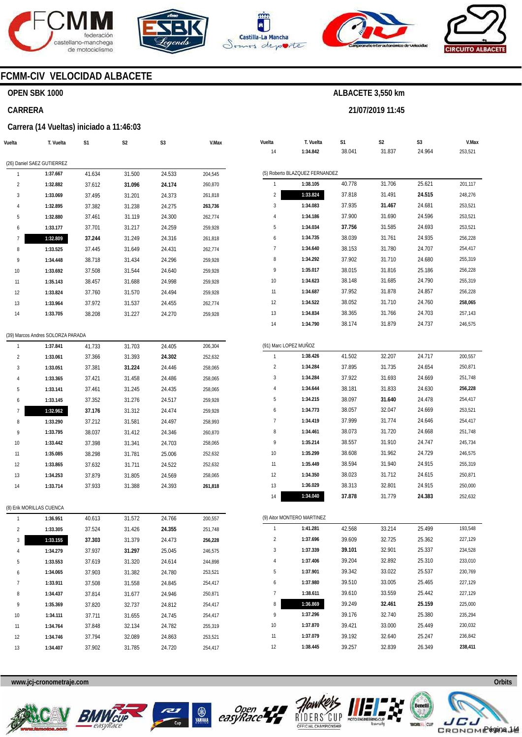







**21/07/2019 11:45** 

**ALBACETE 3,550 km** 



**V.Max**  253,521

201,117 248,276 253,521 253,521 253,521 256,228 254,417 255,319 256,228 255,319 256,228 **258,065**  257,143 246,575

200,557 250,871 251,748 **256,228**  254,417 253,521 254,417 251,748 245,734 246,575 255,319 250,871 250,000 252,632

193,548 227,129 234,528 233,010 230,769 227,129 227,129 225,000 235,294 230,032 236,842 **238,411** 

### **FCMM-CIV VELOCIDAD ALBACETE**

#### **OPEN SBK 1000**

#### **CARRERA**

#### **Carrera (14 Vueltas) iniciado a 11:46:03**

| Vuelta                   | T. Vuelta                         | S1     | S <sub>2</sub> | S <sub>3</sub> | V.Max   | Vuelta                | T. Vuelta                      | S1     | S <sub>2</sub> | S3     |
|--------------------------|-----------------------------------|--------|----------------|----------------|---------|-----------------------|--------------------------------|--------|----------------|--------|
|                          |                                   |        |                |                |         | 14                    | 1:34.842                       | 38.041 | 31.837         | 24.964 |
|                          | (26) Daniel SAEZ GUTIERREZ        |        |                |                |         |                       |                                |        |                |        |
| $\overline{1}$           | 1:37.667                          | 41.634 | 31.500         | 24.533         | 204,545 |                       | (5) Roberto BLAZQUEZ FERNANDEZ |        |                |        |
| $\overline{2}$           | 1:32.882                          | 37.612 | 31.096         | 24.174         | 260,870 | $\mathbf{1}$          | 1:38.105                       | 40.778 | 31.706         | 25.621 |
| 3                        | 1:33.069                          | 37.495 | 31.201         | 24.373         | 261,818 | $\overline{2}$        | 1:33.824                       | 37.818 | 31.491         | 24.515 |
| 4                        | 1:32.895                          | 37.382 | 31.238         | 24.275         | 263,736 | 3                     | 1:34.083                       | 37.935 | 31.467         | 24.681 |
| 5                        | 1:32.880                          | 37.461 | 31.119         | 24.300         | 262,774 | 4                     | 1:34.186                       | 37.900 | 31.690         | 24.596 |
| 6                        | 1:33.177                          | 37.701 | 31.217         | 24.259         | 259,928 | 5                     | 1:34.034                       | 37.756 | 31.585         | 24.693 |
| $\overline{7}$           | 1:32.809                          | 37.244 | 31.249         | 24.316         | 261,818 | 6                     | 1:34.735                       | 38.039 | 31.761         | 24.935 |
| 8                        | 1:33.525                          | 37.445 | 31.649         | 24.431         | 262,774 | $\overline{7}$        | 1:34.640                       | 38.153 | 31.780         | 24.707 |
| 9                        | 1:34.448                          | 38.718 | 31.434         | 24.296         | 259,928 | 8                     | 1:34.292                       | 37.902 | 31.710         | 24.680 |
| 10                       | 1:33.692                          | 37.508 | 31.544         | 24.640         | 259,928 | 9                     | 1:35.017                       | 38.015 | 31.816         | 25.186 |
| 11                       | 1:35.143                          | 38.457 | 31.688         | 24.998         | 259,928 | 10                    | 1:34.623                       | 38.148 | 31.685         | 24.790 |
| 12                       | 1:33.824                          | 37.760 | 31.570         | 24.494         | 259,928 | 11                    | 1:34.687                       | 37.952 | 31.878         | 24.857 |
| 13                       | 1:33.964                          | 37.972 | 31.537         | 24.455         | 262,774 | 12                    | 1:34.522                       | 38.052 | 31.710         | 24.760 |
| 14                       | 1:33.705                          | 38.208 | 31.227         | 24.270         | 259,928 | 13                    | 1:34.834                       | 38.365 | 31.766         | 24.703 |
|                          |                                   |        |                |                |         | 14                    | 1:34.790                       | 38.174 | 31.879         | 24.737 |
|                          | (39) Marcos Andres SOLORZA PARADA |        |                |                |         |                       |                                |        |                |        |
| $\mathbf{1}$             | 1:37.841                          | 41.733 | 31.703         | 24.405         | 206,304 | (91) Marc LOPEZ MUÑOZ |                                |        |                |        |
| 2                        | 1:33.061                          | 37.366 | 31.393         | 24.302         | 252,632 | $\mathbf{1}$          | 1:38.426                       | 41.502 | 32.207         | 24.717 |
| 3                        | 1:33.051                          | 37.381 | 31.224         | 24.446         | 258,065 | $\overline{c}$        | 1:34.284                       | 37.895 | 31.735         | 24.654 |
| 4                        | 1:33.365                          | 37.421 | 31.458         | 24.486         | 258,065 | 3                     | 1:34.284                       | 37.922 | 31.693         | 24.669 |
| 5                        | 1:33.141                          | 37.461 | 31.245         | 24.435         | 258,065 | 4                     | 1:34.644                       | 38.181 | 31.833         | 24.630 |
| 6                        | 1:33.145                          | 37.352 | 31.276         | 24.517         | 259,928 | 5                     | 1:34.215                       | 38.097 | 31.640         | 24.478 |
| 7                        | 1:32.962                          | 37.176 | 31.312         | 24.474         | 259,928 | 6                     | 1:34.773                       | 38.057 | 32.047         | 24.669 |
| 8                        | 1:33.290                          | 37.212 | 31.581         | 24.497         | 258,993 | 7                     | 1:34.419                       | 37.999 | 31.774         | 24.646 |
| 9                        | 1:33.795                          | 38.037 | 31.412         | 24.346         | 260,870 | 8                     | 1:34.461                       | 38.073 | 31.720         | 24.668 |
| 10                       | 1:33.442                          | 37.398 | 31.341         | 24.703         | 258,065 | 9                     | 1:35.214                       | 38.557 | 31.910         | 24.747 |
| 11                       | 1:35.085                          | 38.298 | 31.781         | 25.006         | 252,632 | 10                    | 1:35.299                       | 38.608 | 31.962         | 24.729 |
| 12                       | 1:33.865                          | 37.632 | 31.711         | 24.522         | 252,632 | 11                    | 1:35.449                       | 38.594 | 31.940         | 24.915 |
| 13                       | 1:34.253                          | 37.879 | 31.805         | 24.569         | 258,065 | 12                    | 1:34.350                       | 38.023 | 31.712         | 24.615 |
| 14                       | 1:33.714                          | 37.933 | 31.388         | 24.393         | 261,818 | 13                    | 1:36.029                       | 38.313 | 32.801         | 24.915 |
|                          |                                   |        |                |                |         | 14                    | 1:34.040                       | 37.878 | 31.779         | 24.383 |
| (8) Erik MORILLAS CUENCA |                                   |        |                |                |         |                       |                                |        |                |        |
| $\mathbf{1}$             | 1:36.951                          | 40.613 | 31.572         | 24.766         | 200,557 |                       | (9) Aitor MONTERO MARTINEZ     |        |                |        |
| 2                        | 1:33.305                          | 37.524 | 31.426         | 24.355         | 251,748 |                       | 1:41.281                       | 42.568 | 33.214         | 25.499 |
| 3                        | 1:33.155                          | 37.303 | 31.379         | 24.473         | 256,228 | 2                     | 1:37.696                       | 39.609 | 32.725         | 25.362 |
| 4                        | 1:34.279                          | 37.937 | 31.297         | 25.045         | 246,575 | 3                     | 1:37.339                       | 39.101 | 32.901         | 25.337 |
| 5                        | 1:33.553                          | 37.619 | 31.320         | 24.614         | 244,898 | 4                     | 1:37.406                       | 39.204 | 32.892         | 25.310 |
| 6                        | 1:34.065                          | 37.903 | 31.382         | 24.780         | 253,521 | 5                     | 1:37.901                       | 39.342 | 33.022         | 25.537 |
| 7                        | 1:33.911                          | 37.508 | 31.558         | 24.845         | 254,417 | 6                     | 1:37.980                       | 39.510 | 33.005         | 25.465 |
| 8                        | 1:34.437                          | 37.814 | 31.677         | 24.946         | 250,871 | $\overline{7}$        | 1:38.611                       | 39.610 | 33.559         | 25.442 |
| 9                        | 1:35.369                          | 37.820 | 32.737         | 24.812         | 254,417 | 8                     | 1:36.869                       | 39.249 | 32.461         | 25.159 |
| 10                       | 1:34.111                          | 37.711 | 31.655         | 24.745         | 254,417 | 9                     | 1:37.296                       | 39.176 | 32.740         | 25.380 |
| 11                       | 1:34.764                          | 37.848 | 32.134         | 24.782         | 255,319 | 10                    | 1:37.870                       | 39.421 | 33.000         | 25.449 |
| 12                       | 1:34.746                          | 37.794 | 32.089         | 24.863         | 253,521 | 11                    | 1:37.079                       | 39.192 | 32.640         | 25.247 |
| 13                       | 1:34.407                          | 37.902 | 31.785         | 24.720         | 254,417 | 12                    | 1:38.445                       | 39.257 | 32.839         | 26.349 |











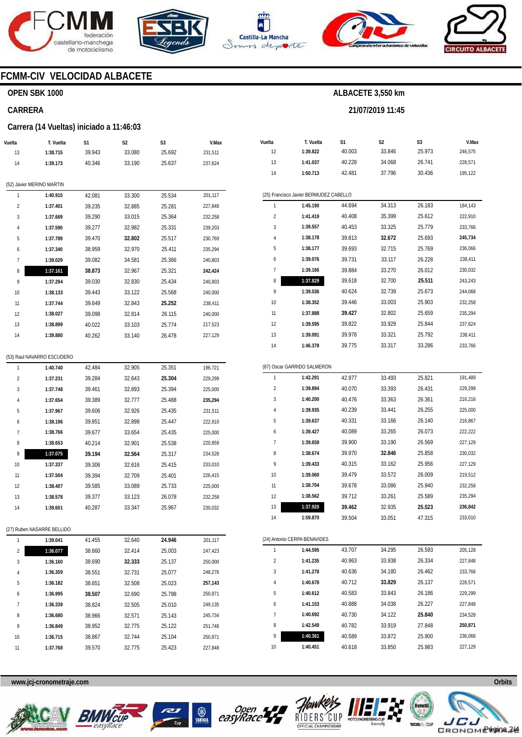









# **FCMM-CIV VELOCIDAD ALBACETE**

## **OPEN SBK 1000**

#### **CARRERA**

#### **Carrera (14 Vueltas) iniciado a 11:46:03**

| Vuelta                  | T. Vuelta                  | S1     | S2     | S3     | V.Max   |
|-------------------------|----------------------------|--------|--------|--------|---------|
| 13                      | 1:38.715                   | 39.943 | 33.080 | 25.692 | 231,511 |
| 14                      | 1:39.173                   | 40.346 | 33.190 | 25.637 | 237,624 |
|                         |                            |        |        |        |         |
|                         | (52) Javier MERINO MARTIN  |        |        |        |         |
| 1                       | 1:40.915                   | 42.081 | 33.300 | 25.534 | 201,117 |
| $\overline{2}$          | 1:37.401                   | 39.235 | 32.885 | 25.281 | 227,848 |
| 3                       | 1:37.669                   | 39.290 | 33.015 | 25.364 | 232,258 |
| 4                       | 1:37.590                   | 39.277 | 32.982 | 25.331 | 239,203 |
| 5                       | 1:37.789                   | 39.470 | 32.802 | 25.517 | 230,769 |
| 6                       | 1:37.340                   | 38.959 | 32.970 | 25.411 | 235,294 |
| $\overline{7}$          | 1:39.029                   | 39.082 | 34.581 | 25.366 | 240,803 |
| 8                       | 1:37.161                   | 38.873 | 32.967 | 25.321 | 242,424 |
| 9                       | 1:37.294                   | 39.030 | 32.830 | 25.434 | 240,803 |
| 10                      | 1:38.133                   | 39.443 | 33.122 | 25.568 | 240,000 |
| 11                      | 1:37.744                   | 39.649 | 32.843 | 25.252 | 238,411 |
| 12                      | 1:38.027                   | 39.098 | 32.814 | 26.115 | 240,000 |
| 13                      | 1:38.899                   | 40.022 | 33.103 | 25.774 | 217,523 |
| 14                      | 1:39.880                   | 40.262 | 33.140 | 26.478 | 227,129 |
|                         |                            |        |        |        |         |
|                         | (53) Raul NAVARRO ESCUDERO |        |        |        |         |
| 1                       | 1:40.740                   | 42.484 | 32.905 | 25.351 | 196,721 |
| 2                       | 1:37.231                   | 39.284 | 32.643 | 25.304 | 229,299 |
| 3                       | 1:37.748                   | 39.461 | 32.893 | 25.394 | 225,000 |
| 4                       | 1:37.654                   | 39.389 | 32.777 | 25.488 | 235,294 |
| 5                       | 1:37.967                   | 39.606 | 32.926 | 25.435 | 231,511 |
| 6                       | 1:38.196                   | 39.851 | 32.898 | 25.447 | 222,910 |
| 7                       | 1:38.766                   | 39.677 | 33.654 | 25.435 | 225,000 |
| 8                       | 1:38.653                   | 40.214 | 32.901 | 25.538 | 220,859 |
| 9                       | 1:37.075                   | 39.194 | 32.564 | 25.317 | 234,528 |
| 10                      | 1:37.337                   | 39.306 | 32.616 | 25.415 | 233,010 |
| 11                      | 1:37.504                   | 39.394 | 32.709 | 25.401 | 226,415 |
| 12                      | 1:38.407                   | 39.585 | 33.089 | 25.733 | 225,000 |
| 13                      | 1:38.578                   | 39.377 | 33.123 | 26.078 | 232,258 |
| 14                      | 1:39.601                   | 40.287 | 33.347 | 25.967 | 230,032 |
|                         |                            |        |        |        |         |
|                         | (27) Ruben NASARRE BELLIDO |        |        |        |         |
| 1                       | 1:39.041                   | 41.455 | 32.640 | 24.946 | 201,117 |
| $\overline{\mathbf{c}}$ | 1:36.077                   | 38.660 | 32.414 | 25.003 | 247,423 |
| 3                       | 1:36.160                   | 38.690 | 32.333 | 25.137 | 250,000 |
| 4                       | 1:36.359                   | 38.551 | 32.731 | 25.077 | 248,276 |
| 5                       | 1:36.182                   | 38.651 | 32.508 | 25.023 | 257,143 |
| 6                       | 1:36.995                   | 38.507 | 32.690 | 25.798 | 250,871 |
| 7                       | 1:36.339                   | 38.824 | 32.505 | 25.010 | 249,135 |
| 8                       | 1:36.680                   | 38.966 | 32.571 | 25.143 | 245,734 |
| 9                       | 1:36.849                   | 38.952 | 32.775 | 25.122 | 251,748 |
| 10                      | 1:36.715                   | 38.867 | 32.744 | 25.104 | 250,871 |
| 11                      | 1:37.768                   | 39.570 | 32.775 | 25.423 | 227,848 |

| Vuelta                                 | T. Vuelta | S <sub>1</sub> | S <sub>2</sub> | S <sub>3</sub> | V.Max   |  |  |  |  |  |  |
|----------------------------------------|-----------|----------------|----------------|----------------|---------|--|--|--|--|--|--|
| 12                                     | 1:39.822  | 40.003         | 33.846         | 25.973         | 246,575 |  |  |  |  |  |  |
| 13                                     | 1:41.037  | 40.228         | 34.068         | 26.741         | 228.571 |  |  |  |  |  |  |
| 14                                     | 1:50.713  | 42.481         | 37.796         | 30.436         | 195,122 |  |  |  |  |  |  |
|                                        |           |                |                |                |         |  |  |  |  |  |  |
| (25) Francisco Javier BERMUDEZ CABELLO |           |                |                |                |         |  |  |  |  |  |  |
| 1                                      | 1:45.190  | 44.694         | 34.313         | 26.183         | 184,143 |  |  |  |  |  |  |
| $\overline{2}$                         | 1:41.419  | 40.408         | 35.399         | 25.612         | 222,910 |  |  |  |  |  |  |
| 3                                      | 1:39.557  | 40.453         | 33.325         | 25.779         | 233,766 |  |  |  |  |  |  |
| $\overline{4}$                         | 1:38.178  | 39.813         | 32.672         | 25.693         | 245,734 |  |  |  |  |  |  |
| 5                                      | 1:38.177  | 39.693         | 32.715         | 25.769         | 236,066 |  |  |  |  |  |  |
| 6                                      | 1:39.076  | 39.731         | 33.117         | 26.228         | 238,411 |  |  |  |  |  |  |
| $\overline{7}$                         | 1:39.166  | 39.884         | 33.270         | 26.012         | 230,032 |  |  |  |  |  |  |
| 8                                      | 1:37.829  | 39.618         | 32.700         | 25.511         | 243,243 |  |  |  |  |  |  |
| 9                                      | 1:39.036  | 40.624         | 32.739         | 25.673         | 244,068 |  |  |  |  |  |  |
| 10                                     | 1:38.352  | 39.446         | 33.003         | 25.903         | 232,258 |  |  |  |  |  |  |
| 11                                     | 1:37.888  | 39.427         | 32.802         | 25.659         | 235,294 |  |  |  |  |  |  |
| 12                                     | 1:39.595  | 39.822         | 33.929         | 25.844         | 237,624 |  |  |  |  |  |  |
| 13                                     | 1:39.091  | 39.978         | 33.321         | 25.792         | 238,411 |  |  |  |  |  |  |
| 14                                     | 1:46.378  | 39.775         | 33.317         | 33.286         | 233,766 |  |  |  |  |  |  |
|                                        |           |                |                |                |         |  |  |  |  |  |  |

**ALBACETE 3,550 km** 

**21/07/2019 11:45** 

|                | (87) Oscar GARRIDO SALMERON |        |        |        |         |
|----------------|-----------------------------|--------|--------|--------|---------|
| 1              | 1:42.291                    | 42.977 | 33.493 | 25.821 | 191,489 |
| $\overline{2}$ | 1:39.894                    | 40.070 | 33.393 | 26.431 | 229,299 |
| 3              | 1:40.200                    | 40.476 | 33.363 | 26.361 | 216,216 |
| 4              | 1:39.935                    | 40.239 | 33.441 | 26.255 | 225,000 |
| 5              | 1:39.637                    | 40.331 | 33.166 | 26.140 | 216,867 |
| 6              | 1:39.427                    | 40.089 | 33.265 | 26.073 | 222,222 |
| 7              | 1:39.659                    | 39.900 | 33.190 | 26.569 | 227,129 |
| 8              | 1:38.674                    | 39.970 | 32.846 | 25.858 | 230,032 |
| 9              | 1:39.433                    | 40.315 | 33.162 | 25.956 | 227,129 |
| 10             | 1:39.060                    | 39.479 | 33.572 | 26.009 | 219,512 |
| 11             | 1:38.704                    | 39.678 | 33.086 | 25.940 | 232,258 |
| 12             | 1:38.562                    | 39.712 | 33.261 | 25.589 | 235,294 |
| 13             | 1:37.920                    | 39.462 | 32.935 | 25.523 | 236,842 |
| 14             | 1:59.870                    | 39.504 | 33.051 | 47.315 | 233,010 |

|                | (24) Antonio CERPA BENAVIDES |        |        |        |         |  |  |  |  |
|----------------|------------------------------|--------|--------|--------|---------|--|--|--|--|
| 1              | 1:44.595                     | 43.707 | 34.295 | 26.593 | 205.128 |  |  |  |  |
| $\overline{2}$ | 1:41.235                     | 40.963 | 33.938 | 26.334 | 227.848 |  |  |  |  |
| 3              | 1:41.278                     | 40.636 | 34.180 | 26.462 | 233.766 |  |  |  |  |
| 4              | 1:40.678                     | 40.712 | 33.829 | 26.137 | 228.571 |  |  |  |  |
| 5              | 1:40.612                     | 40.583 | 33.843 | 26.186 | 229.299 |  |  |  |  |
| 6              | 1:41.153                     | 40.888 | 34.038 | 26.227 | 227.848 |  |  |  |  |
| 7              | 1:40.692                     | 40.730 | 34.122 | 25.840 | 234.528 |  |  |  |  |
| 8              | 1:42.549                     | 40.782 | 33.919 | 27.848 | 250.871 |  |  |  |  |
| 9              | 1:40.361                     | 40.589 | 33.872 | 25.900 | 236.066 |  |  |  |  |
| 10             | 1:40.451                     | 40.618 | 33.850 | 25.983 | 227,129 |  |  |  |  |









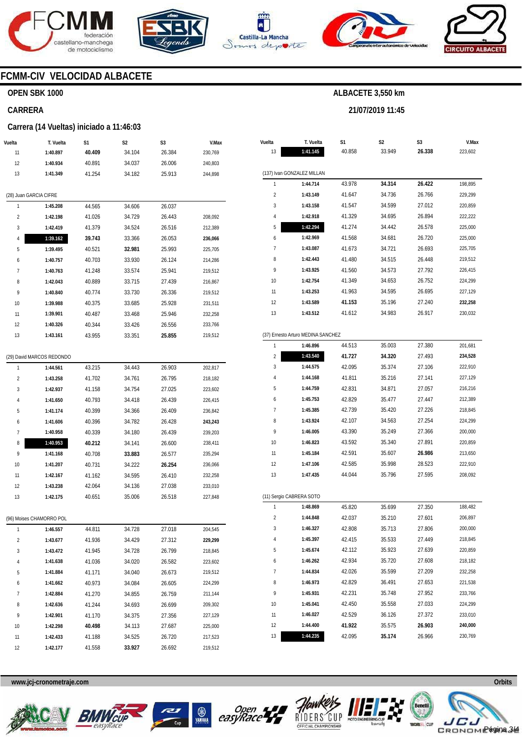







**21/07/2019 11:45** 



# **FCMM-CIV VELOCIDAD ALBACETE**

## **OPEN SBK 1000**

#### **CARRERA**

#### **Carrera (14 Vueltas) iniciado a 11:46:03**

| Vuelta                 | T. Vuelta                 | S1     | S2     | S3     | V.Max   |
|------------------------|---------------------------|--------|--------|--------|---------|
| 11                     | 1:40.897                  | 40.409 | 34.104 | 26.384 | 230,769 |
| 12                     | 1:40.934                  | 40.891 | 34.037 | 26.006 | 240,803 |
| 13                     | 1:41.349                  | 41.254 | 34.182 | 25.913 | 244,898 |
|                        |                           |        |        |        |         |
| (28) Juan GARCIA CIFRE |                           |        |        |        |         |
| 1                      | 1:45.208                  | 44.565 | 34.606 | 26.037 |         |
| 2                      | 1:42.198                  | 41.026 | 34.729 | 26.443 | 208,092 |
| 3                      | 1:42.419                  | 41.379 | 34.524 | 26.516 | 212,389 |
| 4                      | 1:39.162                  | 39.743 | 33.366 | 26.053 | 236,066 |
| 5                      | 1:39.495                  | 40.521 | 32.981 | 25.993 | 225,705 |
| 6                      | 1:40.757                  | 40.703 | 33.930 | 26.124 | 214,286 |
| 7                      | 1:40.763                  | 41.248 | 33.574 | 25.941 | 219,512 |
| 8                      | 1:42.043                  | 40.889 | 33.715 | 27.439 | 216,867 |
| 9                      | 1:40.840                  | 40.774 | 33.730 | 26.336 | 219,512 |
| 10                     | 1:39.988                  | 40.375 | 33.685 | 25.928 | 231,511 |
| 11                     | 1:39.901                  | 40.487 | 33.468 | 25.946 | 232,258 |
| 12                     | 1:40.326                  | 40.344 | 33.426 | 26.556 | 233,766 |
| 13                     | 1:43.161                  | 43.955 | 33.351 | 25.855 | 219,512 |
|                        |                           |        |        |        |         |
|                        | (29) David MARCOS REDONDO |        |        |        |         |
| 1                      | 1:44.561                  | 43.215 | 34.443 | 26.903 | 202,817 |
| 2                      | 1:43.258                  | 41.702 | 34.761 | 26.795 | 218,182 |
| 3                      | 1:42.937                  | 41.158 | 34.754 | 27.025 | 223,602 |
| 4                      | 1:41.650                  | 40.793 | 34.418 | 26.439 | 226,415 |
| 5                      | 1:41.174                  | 40.399 | 34.366 | 26.409 | 236,842 |
| 6                      | 1:41.606                  | 40.396 | 34.782 | 26.428 | 243,243 |
| 7                      | 1:40.958                  | 40.339 | 34.180 | 26.439 | 239,203 |
| 8                      | 1:40.953                  | 40.212 | 34.141 | 26.600 | 238,411 |
| 9                      | 1:41.168                  | 40.708 | 33.883 | 26.577 | 235,294 |
| 10                     | 1:41.207                  | 40.731 | 34.222 | 26.254 | 236,066 |
| 11                     | 1:42.167                  | 41.162 | 34.595 | 26.410 | 232,258 |
| 12                     | 1:43.238                  | 42.064 | 34.136 | 27.038 | 233,010 |
| 13                     | 1:42.175                  | 40.651 | 35.006 | 26.518 | 227,848 |
|                        |                           |        |        |        |         |
|                        | (96) Moises CHAMORRO POL  |        |        |        |         |
| ı                      | 1:46.557                  | 44.811 | 34.728 | 27.018 | 204,545 |
| 2                      | 1:43.677                  | 41.936 | 34.429 | 27.312 | 229,299 |
| 3                      | 1:43.472                  | 41.945 | 34.728 | 26.799 | 218,845 |
| 4                      | 1:41.638                  | 41.036 | 34.020 | 26.582 | 223,602 |
| 5                      | 1:41.884                  | 41.171 | 34.040 | 26.673 | 219,512 |
| 6                      | 1:41.662                  | 40.973 | 34.084 | 26.605 | 224,299 |
| 7                      | 1:42.884                  | 41.270 | 34.855 | 26.759 | 211,144 |
| 8                      | 1:42.636                  | 41.244 | 34.693 | 26.699 | 209,302 |
| 9                      | 1:42.901                  | 41.170 | 34.375 | 27.356 | 227,129 |
| 10                     | 1:42.298                  | 40.498 | 34.113 | 27.687 | 225,000 |
| 11                     | 1:42.433                  | 41.188 | 34.525 | 26.720 | 217,523 |
| 12                     | 1:42.177                  | 41.558 | 33.927 | 26.692 | 219,512 |

| Vuelta                  | T. Vuelta                          | S1     | S2     | S3     | V.Max   |
|-------------------------|------------------------------------|--------|--------|--------|---------|
| 13                      | 1:41.145                           | 40.858 | 33.949 | 26.338 | 223,602 |
|                         |                                    |        |        |        |         |
|                         | (137) Ivan GONZALEZ MILLAN         |        |        |        |         |
| 1                       | 1:44.714                           | 43.978 | 34.314 | 26.422 | 198,895 |
| 2                       | 1:43.149                           | 41.647 | 34.736 | 26.766 | 229,299 |
| 3                       | 1:43.158                           | 41.547 | 34.599 | 27.012 | 220,859 |
| 4                       | 1:42.918                           | 41.329 | 34.695 | 26.894 | 222,222 |
| 5                       | 1:42.294                           | 41.274 | 34.442 | 26.578 | 225,000 |
| 6                       | 1:42.969                           | 41.568 | 34.681 | 26.720 | 225,000 |
| 7                       | 1:43.087                           | 41.673 | 34.721 | 26.693 | 225,705 |
| 8                       | 1:42.443                           | 41.480 | 34.515 | 26.448 | 219,512 |
| 9                       | 1:43.925                           | 41.560 | 34.573 | 27.792 | 226,415 |
| 10                      | 1:42.754                           | 41.349 | 34.653 | 26.752 | 224,299 |
| 11                      | 1:43.253                           | 41.963 | 34.595 | 26.695 | 227,129 |
| 12                      | 1:43.589                           | 41.153 | 35.196 | 27.240 | 232,258 |
| 13                      | 1:43.512                           | 41.612 | 34.983 | 26.917 | 230,032 |
|                         |                                    |        |        |        |         |
|                         | (37) Ernesto Arturo MEDINA SANCHEZ |        |        |        |         |
| 1                       | 1:46.896                           | 44.513 | 35.003 | 27.380 | 201,681 |
| $\overline{\mathbf{c}}$ | 1:43.540                           | 41.727 | 34.320 | 27.493 | 234,528 |
| 3                       | 1:44.575                           | 42.095 | 35.374 | 27.106 | 222,910 |
| 4                       | 1:44.168                           | 41.811 | 35.216 | 27.141 | 227,129 |
| 5                       | 1:44.759                           | 42.831 | 34.871 | 27.057 | 216,216 |
| 6                       | 1:45.753                           | 42.829 | 35.477 | 27.447 | 212,389 |
| 7                       | 1:45.385                           | 42.739 | 35.420 | 27.226 | 218,845 |
| 8                       | 1:43.924                           | 42.107 | 34.563 | 27.254 | 224,299 |
| 9                       | 1:46.005                           | 43.390 | 35.249 | 27.366 | 200,000 |
| 10                      | 1:46.823                           | 43.592 | 35.340 | 27.891 | 220,859 |
| 11                      | 1:45.184                           | 42.591 | 35.607 | 26.986 | 213,650 |
| 12                      | 1:47.106                           | 42.585 | 35.998 | 28.523 | 222,910 |
| 13                      | 1:47.435                           | 44.044 | 35.796 | 27.595 | 208,092 |
|                         | (11) Sergio CABRERA SOTO           |        |        |        |         |
| 1                       | 1:48.869                           | 45.820 | 35.699 | 27.350 | 188,482 |
| 2                       | 1:44.848                           | 42.037 | 35.210 | 27.601 | 206,897 |
| 3                       | 1:46.327                           | 42.808 | 35.713 | 27.806 | 200,000 |
| 4                       | 1:45.397                           | 42.415 | 35.533 | 27.449 | 218,845 |
| 5                       | 1:45.674                           | 42.112 | 35.923 | 27.639 | 220,859 |
| 6                       | 1:46.262                           | 42.934 | 35.720 | 27.608 | 218,182 |
| 7                       | 1:44.834                           | 42.026 | 35.599 | 27.209 | 232,258 |
| 8                       | 1:46.973                           | 42.829 | 36.491 | 27.653 | 221,538 |
| 9                       | 1:45.931                           | 42.231 | 35.748 | 27.952 | 233,766 |
| 10                      | 1:45.041                           | 42.450 | 35.558 | 27.033 | 224,299 |
| 11                      | 1:46.027                           | 42.529 | 36.126 | 27.372 | 233,010 |
| 12                      | 1:44.400                           | 41.922 | 35.575 | 26.903 | 240,000 |
| 13                      | 1:44.235                           | 42.095 | 35.174 | 26.966 | 230,769 |

**www.jcj-cronometraje.com Orbits** 











Página 3/4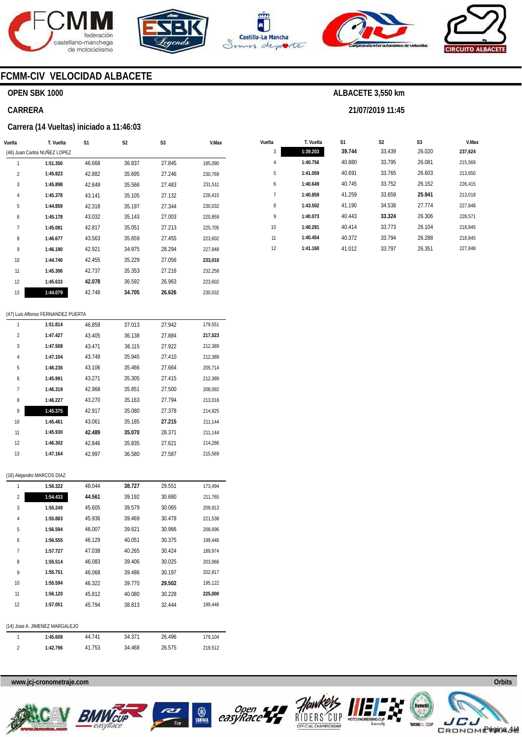









# **FCMM-CIV VELOCIDAD ALBACETE**

## **OPEN SBK 1000**

#### **CARRERA**

#### **Carrera (14 Vueltas) iniciado a 11:46:03**

| Vuelta         | T. Vuelta                    | S <sub>1</sub> | S <sub>2</sub> | S <sub>3</sub> | V.Max   |
|----------------|------------------------------|----------------|----------------|----------------|---------|
|                | (46) Juan Carlos NUÑEZ LOPEZ |                |                |                |         |
| 1              | 1:51.350                     | 46.668         | 36.837         | 27.845         | 185,090 |
| $\overline{2}$ | 1:45.823                     | 42.882         | 35.695         | 27.246         | 230,769 |
| 3              | 1:45.898                     | 42.849         | 35.566         | 27.483         | 231,511 |
| 4              | 1:45.378                     | 43.141         | 35.105         | 27.132         | 226,415 |
| 5              | 1:44.859                     | 42.318         | 35.197         | 27.344         | 230,032 |
| 6              | 1:45.178                     | 43.032         | 35.143         | 27.003         | 220,859 |
| 7              | 1:45.081                     | 42.817         | 35.051         | 27.213         | 225,705 |
| 8              | 1:46.677                     | 43.563         | 35.659         | 27.455         | 223,602 |
| 9              | 1:46.190                     | 42.921         | 34.975         | 28.294         | 227,848 |
| 10             | 1:44.740                     | 42.455         | 35.229         | 27.056         | 233,010 |
| 11             | 1:45.306                     | 42.737         | 35.353         | 27.216         | 232,258 |
| 12             | 1:45.633                     | 42.078         | 36.592         | 26.963         | 223,602 |
| 13             | 1:44.079                     | 42.748         | 34.705         | 26.626         | 230,032 |

#### (47) Luis Alfonso FERNANDEZ PUERTA

| 1              | 1:51.814 | 46.859 | 37.013 | 27.942 | 179.551 |
|----------------|----------|--------|--------|--------|---------|
| $\overline{2}$ | 1:47.427 | 43.405 | 36.138 | 27.884 | 217,523 |
| 3              | 1:47.508 | 43.471 | 36.115 | 27.922 | 212,389 |
| 4              | 1:47.104 | 43.749 | 35.945 | 27.410 | 212,389 |
| 5              | 1:46.236 | 43.106 | 35.466 | 27.664 | 205,714 |
| 6              | 1:45.991 | 43.271 | 35.305 | 27.415 | 212,389 |
| 7              | 1:46.319 | 42.968 | 35.851 | 27.500 | 208,092 |
| 8              | 1:46.227 | 43.270 | 35.163 | 27.794 | 213,018 |
| 9              | 1:45.375 | 42.917 | 35.080 | 27.378 | 214,925 |
| 10             | 1:45.461 | 43.061 | 35.185 | 27.215 | 211,144 |
| 11             | 1:45.930 | 42.489 | 35.070 | 28.371 | 211,144 |
| 12             | 1:46.302 | 42.846 | 35.835 | 27.621 | 214,286 |
| 13             | 1:47.164 | 42.997 | 36.580 | 27.587 | 215.569 |

#### (16) Alejandro MARCOS DIAZ

| 1              | 1:56.322                       | 48.044 | 38.727 | 29.551 | 173,494 |
|----------------|--------------------------------|--------|--------|--------|---------|
| $\overline{2}$ | 1:54.433                       | 44.561 | 39.192 | 30.680 | 211,765 |
| 3              | 1:55.249                       | 45.605 | 39.579 | 30.065 | 209,913 |
| 4              | 1:55.883                       | 45.936 | 39.469 | 30.478 | 221,538 |
| 5              | 1:56.594                       | 46.007 | 39.621 | 30.966 | 208,696 |
| 6              | 1:56.555                       | 46.129 | 40.051 | 30.375 | 199,446 |
| $\overline{7}$ | 1:57.727                       | 47.038 | 40.265 | 30.424 | 189,974 |
| 8              | 1:55.514                       | 46.083 | 39.406 | 30.025 | 203,966 |
| 9              | 1:55.751                       | 46.068 | 39.486 | 30.197 | 202,817 |
| 10             | 1:55.594                       | 46.322 | 39.770 | 29.502 | 195,122 |
| 11             | 1:56.120                       | 45.812 | 40.080 | 30.228 | 225,000 |
| 12             | 1:57.051                       | 45.794 | 38.813 | 32.444 | 199,446 |
|                |                                |        |        |        |         |
|                | (14) Jose A. JIMENEZ MARGALEJO |        |        |        |         |
| 1              | 1:45.608                       | 44.741 | 34.371 | 26.496 | 179,104 |
| $\overline{2}$ | 1:42.796                       | 41.753 | 34.468 | 26.575 | 219,512 |

| Vuelta     | T. Vuelta | S1     | S <sub>2</sub> | S <sub>3</sub> | V.Max   |
|------------|-----------|--------|----------------|----------------|---------|
| 3          | 1:39.203  | 39.744 | 33.439         | 26.020         | 237.624 |
| $\sqrt{4}$ | 1:40.756  | 40.880 | 33.795         | 26.081         | 215,569 |
| 5          | 1:41.059  | 40.691 | 33.765         | 26.603         | 213,650 |
| 6          | 1:40.649  | 40.745 | 33.752         | 26.152         | 226,415 |
| 7          | 1:40.859  | 41.259 | 33.659         | 25.941         | 213.018 |
| 8          | 1:43.502  | 41.190 | 34.538         | 27.774         | 227.848 |
| 9          | 1:40.073  | 40.443 | 33.324         | 26.306         | 228.571 |
| 10         | 1:40.291  | 40.414 | 33.773         | 26.104         | 218.845 |
| 11         | 1:40.454  | 40.372 | 33.794         | 26.288         | 218.845 |
| 12         | 1:41.160  | 41.012 | 33.797         | 26.351         | 227.848 |

**ALBACETE 3,550 km** 

**21/07/2019 11:45** 

**www.jcj-cronometraje.com Orbits** 











Página 4/4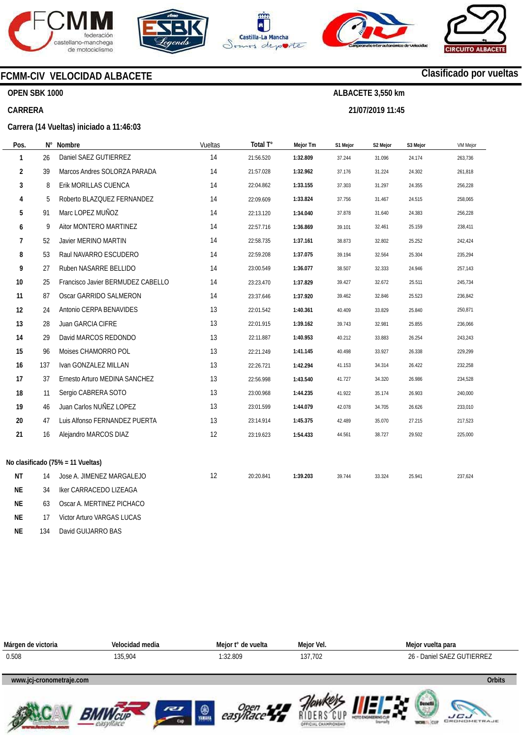









# **FCMM-CIV VELOCIDAD ALBACETE**

**Carrera (14 Vueltas) iniciado a 11:46:03** 

## **OPEN SBK 1000**

## **CARRERA**

| Campeonato Inter autonómico de Velocidad | <b>CIRCUITO ALBACETE</b> |
|------------------------------------------|--------------------------|
|                                          | Clasificado por vueltas  |

**ALBACETE 3,550 km 21/07/2019 11:45** 

| Pos.         |     | N° Nombre                         | Vueltas | Total T°  | Mejor Tm | S1 Mejor | S2 Mejor | S3 Mejor | <b>VM Mejor</b> |
|--------------|-----|-----------------------------------|---------|-----------|----------|----------|----------|----------|-----------------|
| $\mathbf{1}$ | 26  | Daniel SAEZ GUTIERREZ             | 14      | 21:56.520 | 1:32.809 | 37.244   | 31.096   | 24.174   | 263,736         |
| 2            | 39  | Marcos Andres SOLORZA PARADA      | 14      | 21:57.028 | 1:32.962 | 37.176   | 31.224   | 24.302   | 261,818         |
| 3            | 8   | Erik MORILLAS CUENCA              | 14      | 22:04.862 | 1:33.155 | 37.303   | 31.297   | 24.355   | 256,228         |
| 4            | 5   | Roberto BLAZQUEZ FERNANDEZ        | 14      | 22:09.609 | 1:33.824 | 37.756   | 31.467   | 24.515   | 258,065         |
| 5            | 91  | Marc LOPEZ MUÑOZ                  | 14      | 22:13.120 | 1:34.040 | 37.878   | 31.640   | 24.383   | 256,228         |
| 6            | 9   | Aitor MONTERO MARTINEZ            | 14      | 22:57.716 | 1:36.869 | 39.101   | 32.461   | 25.159   | 238,411         |
| 7            | 52  | Javier MERINO MARTIN              | 14      | 22:58.735 | 1:37.161 | 38.873   | 32.802   | 25.252   | 242,424         |
| 8            | 53  | Raul NAVARRO ESCUDERO             | 14      | 22:59.208 | 1:37.075 | 39.194   | 32.564   | 25.304   | 235,294         |
| 9            | 27  | Ruben NASARRE BELLIDO             | 14      | 23:00.549 | 1:36.077 | 38.507   | 32.333   | 24.946   | 257,143         |
| 10           | 25  | Francisco Javier BERMUDEZ CABELLO | 14      | 23:23.470 | 1:37.829 | 39.427   | 32.672   | 25.511   | 245,734         |
| 11           | 87  | Oscar GARRIDO SALMERON            | 14      | 23:37.646 | 1:37.920 | 39.462   | 32.846   | 25.523   | 236,842         |
| 12           | 24  | Antonio CERPA BENAVIDES           | 13      | 22:01.542 | 1:40.361 | 40.409   | 33.829   | 25.840   | 250,871         |
| 13           | 28  | Juan GARCIA CIFRE                 | 13      | 22:01.915 | 1:39.162 | 39.743   | 32.981   | 25.855   | 236,066         |
| 14           | 29  | David MARCOS REDONDO              | 13      | 22:11.887 | 1:40.953 | 40.212   | 33.883   | 26.254   | 243,243         |
| 15           | 96  | Moises CHAMORRO POL               | 13      | 22:21.249 | 1:41.145 | 40.498   | 33.927   | 26.338   | 229,299         |
| 16           | 137 | Ivan GONZALEZ MILLAN              | 13      | 22:26.721 | 1:42.294 | 41.153   | 34.314   | 26.422   | 232,258         |
| 17           | 37  | Ernesto Arturo MEDINA SANCHEZ     | 13      | 22:56.998 | 1:43.540 | 41.727   | 34.320   | 26.986   | 234,528         |
| 18           | 11  | Sergio CABRERA SOTO               | 13      | 23:00.968 | 1:44.235 | 41.922   | 35.174   | 26.903   | 240,000         |
| 19           | 46  | Juan Carlos NUÑEZ LOPEZ           | 13      | 23:01.599 | 1:44.079 | 42.078   | 34.705   | 26.626   | 233,010         |
| 20           | 47  | Luis Alfonso FERNANDEZ PUERTA     | 13      | 23:14.914 | 1:45.375 | 42.489   | 35.070   | 27.215   | 217,523         |
| 21           | 16  | Alejandro MARCOS DIAZ             | 12      | 23:19.623 | 1:54.433 | 44.561   | 38.727   | 29.502   | 225,000         |
|              |     |                                   |         |           |          |          |          |          |                 |
|              |     | No clasificado (75% = 11 Vueltas) |         |           |          |          |          |          |                 |
| <b>NT</b>    | 14  | Jose A. JIMENEZ MARGALEJO         | 12      | 20:20.841 | 1:39.203 | 39.744   | 33.324   | 25.941   | 237,624         |
| NE           | 34  | Iker CARRACEDO LIZEAGA            |         |           |          |          |          |          |                 |
| <b>NE</b>    | 63  | Oscar A. MERTINEZ PICHACO         |         |           |          |          |          |          |                 |
| <b>NE</b>    | 17  | Victor Arturo VARGAS LUCAS        |         |           |          |          |          |          |                 |

**NE**  134 David GUIJARRO BAS

| Márgen de victoria       | Velocidad media | Meior t° de vuelta | Meior Vel. | Mejor vuelta para          |
|--------------------------|-----------------|--------------------|------------|----------------------------|
| 0.508                    | 135,904         | 1:32.809           | 137.702    | 26 - Daniel SAEZ GUTIERREZ |
| www.jcj-cronometraje.com |                 |                    |            | Orbits                     |











**www.mylaps.com LICU**<br>GRONOMETRAJE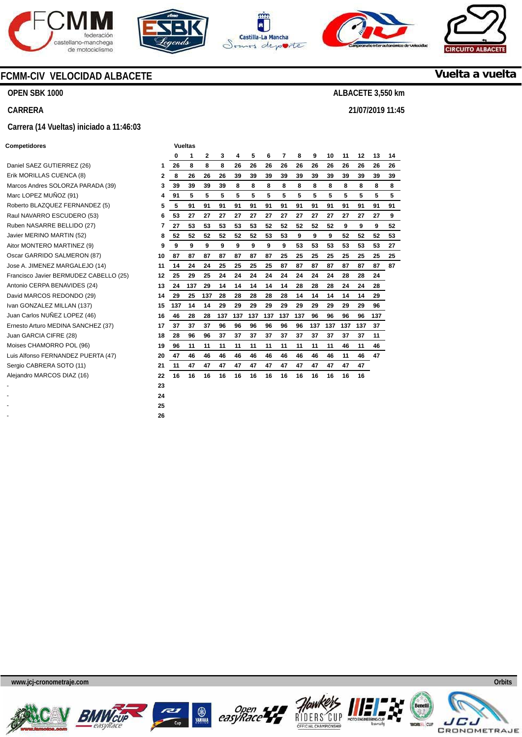









## **Vuelta a vuelta**

**ALBACETE 3,550 km** 

**21/07/2019 11:45** 

# **CARRERA Carrera (14 Vueltas) iniciado a 11:46:03**

**FCMM-CIV VELOCIDAD ALBACETE** 

#### **Competidores Vueltas Vueltas**

**OPEN SBK 1000** 

| Daniel SAEZ GUTIERREZ (26)             | 1  |
|----------------------------------------|----|
| Erik MORILLAS CUENCA (8)               | 2  |
| Marcos Andres SOLORZA PARADA (39)      | 3  |
| Marc LOPEZ MUÑOZ (91)                  | 4  |
| Roberto BLAZQUEZ FERNANDEZ (5)         | 5  |
| Raul NAVARRO ESCUDERO (53)             | 6  |
| Ruben NASARRE BELLIDO (27)             | 7  |
| Javier MERINO MARTIN (52)              | 8  |
| Aitor MONTERO MARTINEZ (9)             | 9  |
| Oscar GARRIDO SALMERON (87)            | 10 |
| Jose A. JIMENEZ MARGALEJO (14)         | 11 |
| Francisco Javier BERMUDEZ CABELLO (25) | 12 |
| Antonio CERPA BENAVIDES (24)           | 13 |
| David MARCOS REDONDO (29)              | 14 |
| Ivan GONZALEZ MILLAN (137)             | 15 |
| Juan Carlos NUÑEZ LOPEZ (46)           | 16 |
| Ernesto Arturo MEDINA SANCHEZ (37)     | 17 |
| Juan GARCIA CIFRE (28)                 | 18 |
| Moises CHAMORRO POL (96)               | 19 |
| Luis Alfonso FERNANDEZ PUERTA (47)     | 20 |
| Sergio CABRERA SOTO (11)               | 21 |
| Alejandro MARCOS DIAZ (16)             | 22 |
|                                        | 23 |

- **26** 

| ompenuores                             |    |     | vuenas |              |     |     |     |     |     |     |     |     |     |     |     |    |
|----------------------------------------|----|-----|--------|--------------|-----|-----|-----|-----|-----|-----|-----|-----|-----|-----|-----|----|
|                                        |    | 0   | 1      | $\mathbf{2}$ | 3   | 4   | 5   | 6   | 7   | 8   | 9   | 10  | 11  | 12  | 13  | 14 |
| Daniel SAEZ GUTIERREZ (26)             | 1  | 26  | 8      | 8            | 8   | 26  | 26  | 26  | 26  | 26  | 26  | 26  | 26  | 26  | 26  | 26 |
| Erik MORILLAS CUENCA (8)               | 2  | 8   | 26     | 26           | 26  | 39  | 39  | 39  | 39  | 39  | 39  | 39  | 39  | 39  | 39  | 39 |
| Marcos Andres SOLORZA PARADA (39)      | 3  | 39  | 39     | 39           | 39  | 8   | 8   | 8   | 8   | 8   | 8   | 8   | 8   | 8   | 8   | 8  |
| Marc LOPEZ MUÑOZ (91)                  | 4  | 91  | 5      | 5            | 5   | 5   | 5   | 5   | 5   | 5   | 5   | 5   | 5   | 5   | 5   | 5  |
| Roberto BLAZQUEZ FERNANDEZ (5)         | 5  | 5   | 91     | 91           | 91  | 91  | 91  | 91  | 91  | 91  | 91  | 91  | 91  | 91  | 91  | 91 |
| Raul NAVARRO ESCUDERO (53)             | 6  | 53  | 27     | 27           | 27  | 27  | 27  | 27  | 27  | 27  | 27  | 27  | 27  | 27  | 27  | 9  |
| Ruben NASARRE BELLIDO (27)             | 7  | 27  | 53     | 53           | 53  | 53  | 53  | 52  | 52  | 52  | 52  | 52  | 9   | 9   | 9   | 52 |
| Javier MERINO MARTIN (52)              | 8  | 52  | 52     | 52           | 52  | 52  | 52  | 53  | 53  | 9   | 9   | 9   | 52  | 52  | 52  | 53 |
| Aitor MONTERO MARTINEZ (9)             | 9  | 9   | 9      | 9            | 9   | 9   | 9   | 9   | 9   | 53  | 53  | 53  | 53  | 53  | 53  | 27 |
| Oscar GARRIDO SALMERON (87)            | 10 | 87  | 87     | 87           | 87  | 87  | 87  | 87  | 25  | 25  | 25  | 25  | 25  | 25  | 25  | 25 |
| Jose A. JIMENEZ MARGALEJO (14)         | 11 | 14  | 24     | 24           | 25  | 25  | 25  | 25  | 87  | 87  | 87  | 87  | 87  | 87  | 87  | 87 |
| Francisco Javier BERMUDEZ CABELLO (25) | 12 | 25  | 29     | 25           | 24  | 24  | 24  | 24  | 24  | 24  | 24  | 24  | 28  | 28  | 24  |    |
| Antonio CERPA BENAVIDES (24)           | 13 | 24  | 137    | 29           | 14  | 14  | 14  | 14  | 14  | 28  | 28  | 28  | 24  | 24  | 28  |    |
| David MARCOS REDONDO (29)              | 14 | 29  | 25     | 137          | 28  | 28  | 28  | 28  | 28  | 14  | 14  | 14  | 14  | 14  | 29  |    |
| Ivan GONZALEZ MILLAN (137)             | 15 | 137 | 14     | 14           | 29  | 29  | 29  | 29  | 29  | 29  | 29  | 29  | 29  | 29  | 96  |    |
| Juan Carlos NUÑEZ LOPEZ (46)           | 16 | 46  | 28     | 28           | 137 | 137 | 137 | 137 | 137 | 137 | 96  | 96  | 96  | 96  | 137 |    |
| Ernesto Arturo MEDINA SANCHEZ (37)     | 17 | 37  | 37     | 37           | 96  | 96  | 96  | 96  | 96  | 96  | 137 | 137 | 137 | 137 | 37  |    |
| Juan GARCIA CIFRE (28)                 | 18 | 28  | 96     | 96           | 37  | 37  | 37  | 37  | 37  | 37  | 37  | 37  | 37  | 37  | 11  |    |
| Moises CHAMORRO POL (96)               | 19 | 96  | 11     | 11           | 11  | 11  | 11  | 11  | 11  | 11  | 11  | 11  | 46  | 11  | 46  |    |
| Luis Alfonso FERNANDEZ PUERTA (47)     | 20 | 47  | 46     | 46           | 46  | 46  | 46  | 46  | 46  | 46  | 46  | 46  | 11  | 46  | 47  |    |
| Sergio CABRERA SOTO (11)               | 21 | 11  | 47     | 47           | 47  | 47  | 47  | 47  | 47  | 47  | 47  | 47  | 47  | 47  |     |    |
| Alejandro MARCOS DIAZ (16)             | 22 | 16  | 16     | 16           | 16  | 16  | 16  | 16  | 16  | 16  | 16  | 16  | 16  | 16  |     |    |
|                                        | 23 |     |        |              |     |     |     |     |     |     |     |     |     |     |     |    |
|                                        | 24 |     |        |              |     |     |     |     |     |     |     |     |     |     |     |    |
|                                        | 25 |     |        |              |     |     |     |     |     |     |     |     |     |     |     |    |
|                                        |    |     |        |              |     |     |     |     |     |     |     |     |     |     |     |    |











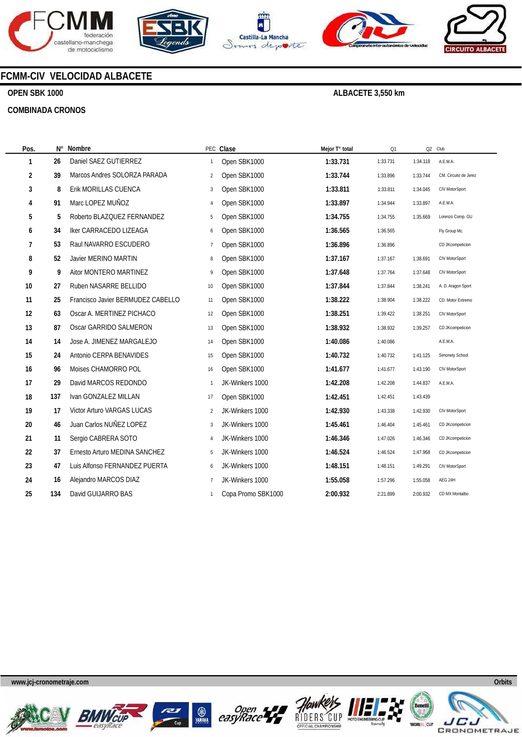









# **FCMM-CIV VELOCIDAD ALBACETE**

## **OPEN SBK 1000**

 $\overline{\phantom{a}}$ 

#### **COMBINADA CRONOS**

| Pos. | $N^{\circ}$ | Nombre                            |                | PEC Clase          | Mejor T° total | Q1       |          | Q2 Club               |
|------|-------------|-----------------------------------|----------------|--------------------|----------------|----------|----------|-----------------------|
| 1    | 26          | Daniel SAEZ GUTIERREZ             | $\mathbf{1}$   | Open SBK1000       | 1:33.731       | 1:33.731 | 1:34.118 | A.E.M.A.              |
| 2    | 39          | Marcos Andres SOLORZA PARADA      | $\overline{2}$ | Open SBK1000       | 1:33.744       | 1:33.896 | 1:33.744 | CM. Circuito de Jerez |
| 3    | 8           | Erik MORILLAS CUENCA              | 3              | Open SBK1000       | 1:33.811       | 1:33.811 | 1:34.045 | CIV MotorSport        |
| 4    | 91          | Marc LOPEZ MUÑOZ                  | 4              | Open SBK1000       | 1:33.897       | 1:34.944 | 1:33.897 | A.E.M.A.              |
| 5    | 5           | Roberto BLAZQUEZ FERNANDEZ        | 5              | Open SBK1000       | 1:34.755       | 1:34.755 | 1:35.669 | Lorenzo Comp. GU      |
| 6    | 34          | Iker CARRACEDO LIZEAGA            | 6              | Open SBK1000       | 1:36.565       | 1:36.565 |          | Fly Group Mc.         |
| 7    | 53          | Raul NAVARRO ESCUDERO             | $\overline{7}$ | Open SBK1000       | 1:36.896       | 1:36.896 |          | CD JKcompeticion      |
| 8    | 52          | Javier MERINO MARTIN              | 8              | Open SBK1000       | 1:37.167       | 1:37.167 | 1:38.691 | CIV MotorSport        |
| 9    | 9           | Aitor MONTERO MARTINEZ            | 9              | Open SBK1000       | 1:37.648       | 1:37.764 | 1:37.648 | CIV MotorSport        |
| 10   | 27          | Ruben NASARRE BELLIDO             | 10             | Open SBK1000       | 1:37.844       | 1:37.844 | 1:38.241 | A. D. Aragon Sport    |
| 11   | 25          | Francisco Javier BERMUDEZ CABELLO | 11             | Open SBK1000       | 1:38.222       | 1:38.904 | 1:38.222 | CD. Motor Extremo     |
| 12   | 63          | Oscar A. MERTINEZ PICHACO         | 12             | Open SBK1000       | 1:38.251       | 1:39.422 | 1:38.251 | CIV MotorSport        |
| 13   | 87          | Oscar GARRIDO SALMERON            | 13             | Open SBK1000       | 1:38.932       | 1:38.932 | 1:39.257 | CD JKcompeticion      |
| 14   | 14          | Jose A. JIMENEZ MARGALEJO         | 14             | Open SBK1000       | 1:40.086       | 1:40.086 |          | A.E.M.A.              |
| 15   | 24          | Antonio CERPA BENAVIDES           | 15             | Open SBK1000       | 1:40.732       | 1:40.732 | 1:41.125 | Simonety School       |
| 16   | 96          | Moises CHAMORRO POL               | 16             | Open SBK1000       | 1:41.677       | 1:41.677 | 1:43.190 | CIV MotorSport        |
| 17   | 29          | David MARCOS REDONDO              | $\mathbf{1}$   | JK-Winkers 1000    | 1:42.208       | 1:42.208 | 1:44.837 | A.E.M.A.              |
| 18   | 137         | Ivan GONZALEZ MILLAN              | 17             | Open SBK1000       | 1:42.451       | 1:42.451 | 1:43.439 |                       |
| 19   | 17          | Victor Arturo VARGAS LUCAS        | $\overline{2}$ | JK-Winkers 1000    | 1:42.930       | 1:43.338 | 1:42.930 | CIV MotorSport        |
| 20   | 46          | Juan Carlos NUÑEZ LOPEZ           | 3              | JK-Winkers 1000    | 1:45.461       | 1:46.404 | 1:45.461 | CD JKcompeticion      |
| 21   | 11          | Sergio CABRERA SOTO               | $\overline{4}$ | JK-Winkers 1000    | 1:46.346       | 1:47.026 | 1:46.346 | CD JKcompeticion      |
| 22   | 37          | Ernesto Arturo MEDINA SANCHEZ     | 5              | JK-Winkers 1000    | 1:46.524       | 1:46.524 | 1:47.968 | CD JKcompeticion      |
| 23   | 47          | Luis Alfonso FERNANDEZ PUERTA     | 6              | JK-Winkers 1000    | 1:48.151       | 1:48.151 | 1:49.291 | CIV MotorSport        |
| 24   | 16          | Alejandro MARCOS DIAZ             | $\overline{7}$ | JK-Winkers 1000    | 1:55.058       | 1:57.296 | 1:55.058 | AEG 24H               |
| 25   | 134         | David GUIJARRO BAS                | -1             | Copa Promo SBK1000 | 2:00.932       | 2:21.899 | 2:00.932 | CD MX Montalbo        |
|      |             |                                   |                |                    |                |          |          |                       |











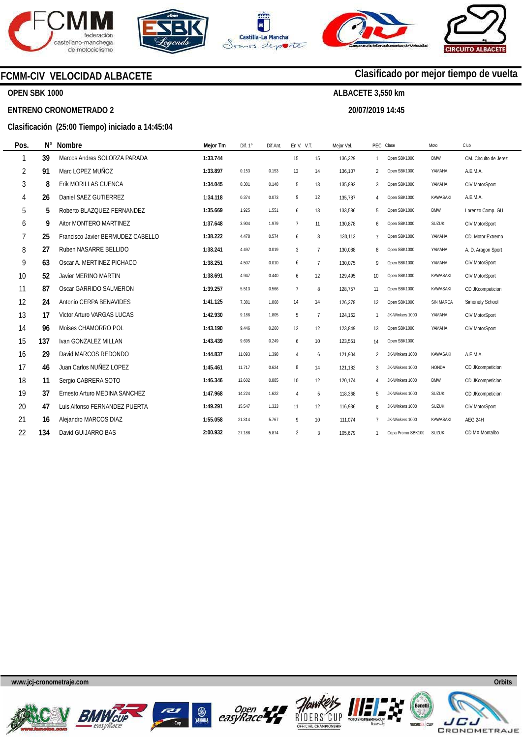







**20/07/2019 14:45** 

**Clasificado por mejor tiempo de vuelta**

# **FCMM-CIV VELOCIDAD ALBACETE**

## **OPEN SBK 1000**

#### **ENTRENO CRONOMETRADO 2**

### **Clasificación (25:00 Tiempo) iniciado a 14:45:04**

| Pos.           | $N^{\circ}$ | Nombre                            | Mejor Tm | Dif. $1^\circ$ | Dif.Ant. | En V. V.T.     |                | Mejor Vel. |                | PEC Clase         | Moto            | Club                  |
|----------------|-------------|-----------------------------------|----------|----------------|----------|----------------|----------------|------------|----------------|-------------------|-----------------|-----------------------|
| 1              | 39          | Marcos Andres SOLORZA PARADA      | 1:33.744 |                |          | 15             | 15             | 136,329    | 1              | Open SBK1000      | <b>BMW</b>      | CM. Circuito de Jerez |
| $\overline{2}$ | 91          | Marc LOPEZ MUÑOZ                  | 1:33.897 | 0.153          | 0.153    | 13             | 14             | 136,107    | $\overline{c}$ | Open SBK1000      | YAMAHA          | A.E.M.A.              |
| 3              | 8           | Erik MORILLAS CUENCA              | 1:34.045 | 0.301          | 0.148    | 5              | 13             | 135,892    | 3              | Open SBK1000      | YAMAHA          | CIV MotorSport        |
| 4              | 26          | Daniel SAEZ GUTIERREZ             | 1:34.118 | 0.374          | 0.073    | 9              | 12             | 135,787    | 4              | Open SBK1000      | <b>KAWASAKI</b> | A.E.M.A.              |
| 5              | 5           | Roberto BLAZQUEZ FERNANDEZ        | 1:35.669 | 1.925          | 1.551    | 6              | 13             | 133,586    | 5              | Open SBK1000      | <b>BMW</b>      | Lorenzo Comp. GU      |
| 6              | 9           | Aitor MONTERO MARTINEZ            | 1:37.648 | 3.904          | 1.979    | $\overline{7}$ | 11             | 130,878    | 6              | Open SBK1000      | <b>SUZUKI</b>   | CIV MotorSport        |
| 7              | 25          | Francisco Javier BERMUDEZ CABELLO | 1:38.222 | 4.478          | 0.574    | 6              | 8              | 130,113    | 7              | Open SBK1000      | YAMAHA          | CD. Motor Extremo     |
| 8              | 27          | Ruben NASARRE BELLIDO             | 1:38.241 | 4.497          | 0.019    | 3              | $\overline{7}$ | 130,088    | 8              | Open SBK1000      | YAMAHA          | A. D. Aragon Sport    |
| 9              | 63          | Oscar A. MERTINEZ PICHACO         | 1:38.251 | 4.507          | 0.010    | 6              | $\overline{7}$ | 130.075    | 9              | Open SBK1000      | YAMAHA          | CIV MotorSport        |
| 10             | 52          | Javier MERINO MARTIN              | 1:38.691 | 4.947          | 0.440    | 6              | 12             | 129,495    | 10             | Open SBK1000      | KAWASAKI        | CIV MotorSport        |
| 11             | 87          | Oscar GARRIDO SALMERON            | 1:39.257 | 5.513          | 0.566    | $\overline{7}$ | 8              | 128,757    | 11             | Open SBK1000      | KAWASAKI        | CD JKcompeticion      |
| 12             | 24          | Antonio CERPA BENAVIDES           | 1:41.125 | 7.381          | 1.868    | 14             | 14             | 126,378    | 12             | Open SBK1000      | SIN MARCA       | Simonety School       |
| 13             | 17          | Victor Arturo VARGAS LUCAS        | 1:42.930 | 9.186          | 1.805    | 5              | $\overline{7}$ | 124,162    | $\mathbf{1}$   | JK-Winkers 1000   | YAMAHA          | CIV MotorSport        |
| 14             | 96          | Moises CHAMORRO POL               | 1:43.190 | 9.446          | 0.260    | 12             | 12             | 123,849    | 13             | Open SBK1000      | YAMAHA          | CIV MotorSport        |
| 15             | 137         | Ivan GONZALEZ MILLAN              | 1:43.439 | 9.695          | 0.249    | 6              | 10             | 123,551    | 14             | Open SBK1000      |                 |                       |
| 16             | 29          | David MARCOS REDONDO              | 1:44.837 | 11.093         | 1.398    | $\overline{4}$ | 6              | 121,904    | $\mathfrak{p}$ | JK-Winkers 1000   | <b>KAWASAKI</b> | A.E.M.A.              |
| 17             | 46          | Juan Carlos NUÑEZ LOPEZ           | 1:45.461 | 11.717         | 0.624    | 8              | 14             | 121,182    | 3              | JK-Winkers 1000   | <b>HONDA</b>    | CD JKcompeticion      |
| 18             | 11          | Sergio CABRERA SOTO               | 1:46.346 | 12.602         | 0.885    | 10             | 12             | 120,174    | 4              | JK-Winkers 1000   | <b>BMW</b>      | CD JKcompeticion      |
| 19             | 37          | Ernesto Arturo MEDINA SANCHEZ     | 1:47.968 | 14.224         | 1.622    | $\overline{4}$ | 5              | 118,368    | 5              | JK-Winkers 1000   | <b>SUZUKI</b>   | CD JKcompeticion      |
| 20             | 47          | Luis Alfonso FERNANDEZ PUERTA     | 1:49.291 | 15.547         | 1.323    | 11             | 12             | 116,936    | 6              | JK-Winkers 1000   | <b>SUZUKI</b>   | CIV MotorSport        |
| 21             | 16          | Alejandro MARCOS DIAZ             | 1:55.058 | 21.314         | 5.767    | 9              | 10             | 111,074    | 7              | JK-Winkers 1000   | KAWASAKI        | AEG 24H               |
| 22             | 134         | David GUIJARRO BAS                | 2:00.932 | 27.188         | 5.874    | $\overline{2}$ | 3              | 105,679    | 1              | Copa Promo SBK100 | <b>SUZUKI</b>   | CD MX Montalbo        |













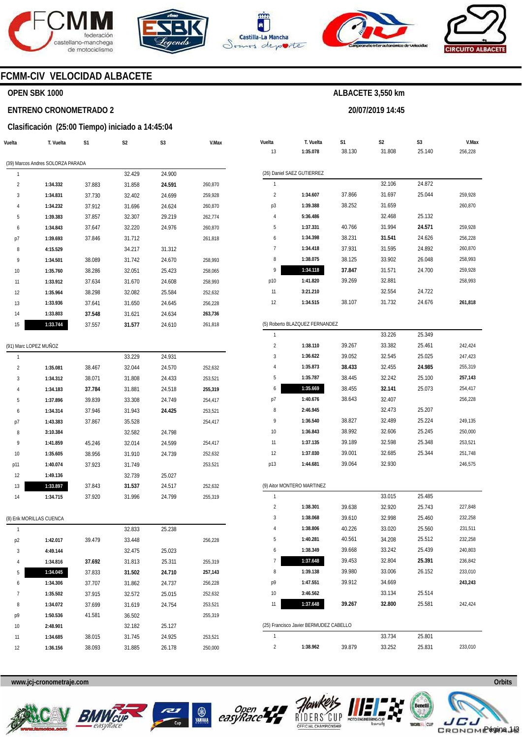







**20/07/2019 14:45** 



## **FCMM-CIV VELOCIDAD ALBACETE**

#### **OPEN SBK 1000**

#### **ENTRENO CRONOMETRADO 2**

#### **Clasificación (25:00 Tiempo) iniciado a 14:45:04**

| Vuelta                  | T. Vuelta                         | S1     | S <sub>2</sub> | S3     | V.Max   |
|-------------------------|-----------------------------------|--------|----------------|--------|---------|
|                         | (39) Marcos Andres SOLORZA PARADA |        |                |        |         |
| 1                       |                                   |        | 32.429         | 24.900 |         |
| $\overline{c}$          | 1:34.332                          | 37.883 | 31.858         | 24.591 | 260,870 |
| 3                       | 1:34.831                          | 37.730 | 32.402         | 24.699 | 259,928 |
| 4                       | 1:34.232                          | 37.912 | 31.696         | 24.624 | 260,870 |
| 5                       | 1:39.383                          | 37.857 | 32.307         | 29.219 | 262,774 |
| 6                       | 1:34.843                          | 37.647 | 32.220         | 24.976 | 260,870 |
| p7                      | 1:39.693                          | 37.846 | 31.712         |        | 261,818 |
| 8                       | 4:15.529                          |        | 34.217         | 31.312 |         |
| 9                       | 1:34.501                          | 38.089 | 31.742         | 24.670 | 258,993 |
| 10                      | 1:35.760                          | 38.286 | 32.051         | 25.423 | 258,065 |
| 11                      | 1:33.912                          | 37.634 | 31.670         | 24.608 | 258,993 |
| 12                      | 1:35.964                          | 38.298 | 32.082         | 25.584 | 252,632 |
| 13                      | 1:33.936                          | 37.641 | 31.650         | 24.645 | 256,228 |
| 14                      | 1:33.803                          | 37.548 | 31.621         | 24.634 | 263,736 |
| 15                      | 1:33.744                          | 37.557 | 31.577         | 24.610 | 261,818 |
|                         |                                   |        |                |        |         |
|                         | (91) Marc LOPEZ MUÑOZ             |        |                |        |         |
| 1                       |                                   |        | 33.229         | 24.931 |         |
| $\overline{\mathbf{c}}$ | 1:35.081                          | 38.467 | 32.044         | 24.570 | 252,632 |
| 3                       | 1:34.312                          | 38.071 | 31.808         | 24.433 | 253,521 |
| 4                       | 1:34.183                          | 37.784 | 31.881         | 24.518 | 255,319 |
| 5                       | 1:37.896                          | 39.839 | 33.308         | 24.749 | 254,417 |
| 6                       | 1:34.314                          | 37.946 | 31.943         | 24.425 | 253,521 |
| p7                      | 1:43.383                          | 37.867 | 35.528         |        | 254,417 |
| 8                       | 3:10.384                          |        | 32.582         | 24.798 |         |
| 9                       | 1:41.859                          | 45.246 | 32.014         | 24.599 | 254,417 |
| 10                      | 1:35.605                          | 38.956 | 31.910         | 24.739 | 252,632 |
| p11                     | 1:40.074                          | 37.923 | 31.749         |        | 253,521 |
| 12                      | 1:49.136                          |        | 32.739         | 25.027 |         |
| 13                      | 1:33.897                          | 37.843 | 31.537         | 24.517 | 252,632 |
| 14                      | 1:34.715                          | 37.920 | 31.996         | 24.799 | 255,319 |

|                | (8) Erik MORILLAS CUENCA |        |        |        |         |
|----------------|--------------------------|--------|--------|--------|---------|
| 1              |                          |        | 32.833 | 25.238 |         |
| p <sub>2</sub> | 1:42.017                 | 39.479 | 33.448 |        | 256,228 |
| 3              | 4:49.144                 |        | 32.475 | 25.023 |         |
| 4              | 1:34.816                 | 37.692 | 31.813 | 25.311 | 255,319 |
| 5              | 1:34.045                 | 37.833 | 31.502 | 24.710 | 257,143 |
| 6              | 1:34.306                 | 37.707 | 31.862 | 24.737 | 256,228 |
| $\overline{7}$ | 1:35.502                 | 37.915 | 32.572 | 25.015 | 252,632 |
| 8              | 1:34.072                 | 37.699 | 31.619 | 24.754 | 253,521 |
| p9             | 1:50.536                 | 41.581 | 36.502 |        | 255,319 |
| 10             | 2:48.901                 |        | 32.182 | 25.127 |         |
| 11             | 1:34.685                 | 38.015 | 31.745 | 24.925 | 253,521 |
| 12             | 1:36.156                 | 38.093 | 31.885 | 26.178 | 250,000 |
|                |                          |        |        |        |         |

| Vuelta         | T. Vuelta                              | S1     | S2<br>S3 |        | V.Max   |  |
|----------------|----------------------------------------|--------|----------|--------|---------|--|
| 13             | 1:35.078                               | 38.130 | 31.808   | 25.140 | 256,228 |  |
|                |                                        |        |          |        |         |  |
|                | (26) Daniel SAEZ GUTIERREZ             |        |          |        |         |  |
| 1              |                                        |        | 32.106   | 24.872 |         |  |
| 2              | 1:34.607                               | 37.866 | 31.697   | 25.044 | 259,928 |  |
| p3             | 1:39.388                               | 38.252 | 31.659   |        | 260,870 |  |
| 4              | 5:36.486                               |        | 32.468   | 25.132 |         |  |
| 5              | 1:37.331                               | 40.766 | 31.994   | 24.571 | 259,928 |  |
| 6              | 1:34.398                               | 38.231 | 31.541   | 24.626 | 256,228 |  |
| 7              | 1:34.418                               | 37.931 | 31.595   | 24.892 | 260,870 |  |
| 8              | 1:38.075                               | 38.125 | 33.902   | 26.048 | 258,993 |  |
| 9              | 1:34.118                               | 37.847 | 31.571   | 24.700 | 259,928 |  |
| p10            | 1:41.820                               | 39.269 | 32.881   |        | 258,993 |  |
| 11             | 3:21.210                               |        | 32.554   | 24.722 |         |  |
| 12             | 1:34.515                               | 38.107 | 31.732   | 24.676 | 261,818 |  |
|                |                                        |        |          |        |         |  |
|                | (5) Roberto BLAZQUEZ FERNANDEZ         |        |          |        |         |  |
| 1              |                                        |        | 33.226   | 25.349 |         |  |
| $\overline{2}$ | 1:38.110                               | 39.267 | 33.382   | 25.461 | 242,424 |  |
| 3              | 1:36.622                               | 39.052 | 32.545   | 25.025 | 247,423 |  |
| 4              | 1:35.873                               | 38.433 | 32.455   | 24.985 | 255,319 |  |
| 5              | 1:35.787                               | 38.445 | 32.242   | 25.100 | 257,143 |  |
| 6              | 1:35.669                               | 38.455 | 32.141   | 25.073 | 254,417 |  |
| p7             | 1:40.676                               | 38.643 | 32.407   |        | 256,228 |  |
| 8              | 2:46.945                               |        | 32.473   | 25.207 |         |  |
| 9              | 1:36.540                               | 38.827 | 32.489   | 25.224 | 249,135 |  |
| 10             | 1:36.843                               | 38.992 | 32.606   | 25.245 | 250,000 |  |
| 11             | 1:37.135                               | 39.189 | 32.598   | 25.348 | 253,521 |  |
| 12             | 1:37.030                               | 39.001 | 32.685   | 25.344 | 251,748 |  |
| p13            | 1:44.681                               | 39.064 | 32.930   |        | 246,575 |  |
|                | (9) Aitor MONTERO MARTINEZ             |        |          |        |         |  |
| 1              |                                        |        | 33.015   | 25.485 |         |  |
| 2              | 1:38.301                               | 39.638 | 32.920   | 25.743 | 227,848 |  |
| 3              | 1:38.068                               | 39.610 | 32.998   | 25.460 | 232,258 |  |
| 4              | 1:38.806                               | 40.226 | 33.020   | 25.560 | 231,511 |  |
| 5              | 1:40.281                               | 40.561 | 34.208   | 25.512 | 232,258 |  |
| 6              | 1:38.349                               | 39.668 | 33.242   | 25.439 | 240,803 |  |
| 7              | 1:37.648                               | 39.453 | 32.804   | 25.391 | 236,842 |  |
| 8              | 1:39.138                               | 39.980 | 33.006   | 26.152 | 233,010 |  |
| р9             | 1:47.551                               | 39.912 | 34.669   |        | 243,243 |  |
| 10             | 3:46.562                               |        | 33.134   | 25.514 |         |  |
| 11             | 1:37.648                               | 39.267 | 32.800   | 25.581 | 242,424 |  |
|                |                                        |        |          |        |         |  |
|                | (25) Francisco Javier BERMUDEZ CABELLO |        |          |        |         |  |
| 1              |                                        |        | 33.734   | 25.801 |         |  |









2



39.879

33.252

**1:38.962** 



233,010

25.831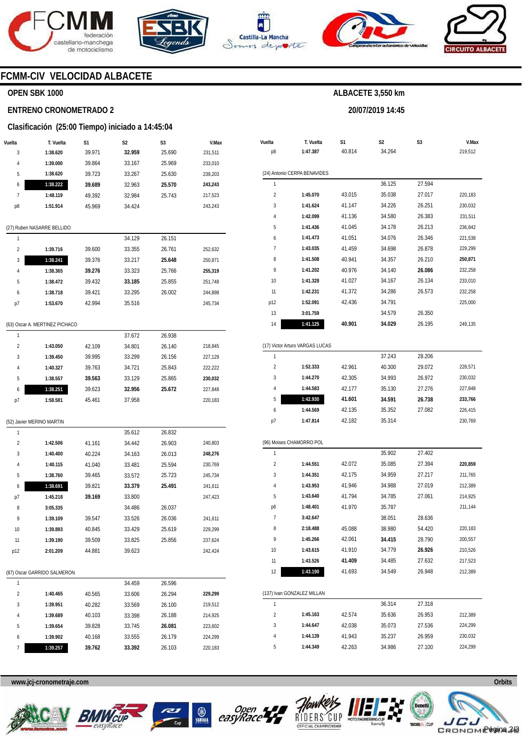







**20/07/2019 14:45** 



# **FCMM-CIV VELOCIDAD ALBACETE**

## **OPEN SBK 1000**

#### **ENTRENO CRONOMETRADO 2**

# **Clasificación (25:00 Tiempo) iniciado a 14:45:04**

|                | Clasificación (25:00 Tiempo) iniciado a 14:45:04 |        |                |                |         |
|----------------|--------------------------------------------------|--------|----------------|----------------|---------|
| Vuelta         | T. Vuelta                                        | S1     | S <sub>2</sub> | S <sub>3</sub> | V.Max   |
| 3              | 1:38.620                                         | 39.971 | 32.959         | 25.690         | 231,511 |
| 4              | 1:39.000                                         | 39.864 | 33.167         | 25.969         | 233,010 |
| 5              | 1:38.620                                         | 39.723 | 33.267         | 25.630         | 239,203 |
| 6              | 1:38.222                                         | 39.689 | 32.963         | 25.570         | 243,243 |
| 7              | 1:48.119                                         | 49.392 | 32.984         | 25.743         | 217,523 |
| p8             | 1:51.914                                         | 45.969 | 34.424         |                | 243,243 |
|                |                                                  |        |                |                |         |
|                | (27) Ruben NASARRE BELLIDO                       |        |                |                |         |
| 1              |                                                  |        | 34.129         | 26.151         |         |
| $\overline{2}$ | 1:39.716                                         | 39.600 | 33.355         | 26.761         | 252,632 |
| 3              | 1:38.241                                         | 39.376 | 33.217         | 25.648         | 250,871 |
| 4              | 1:38.365                                         | 39.276 | 33.323         | 25.766         | 255,319 |
| 5              | 1:38.472                                         | 39.432 | 33.185         | 25.855         | 251,748 |
| 6              | 1:38.718                                         | 39.421 | 33.295         | 26.002         | 244,898 |
| p7             | 1:53.670                                         | 42.994 | 35.516         |                | 245,734 |
|                |                                                  |        |                |                |         |

#### (63) Oscar A. MERTINEZ PICHACO

|               |          |        | 37.672 | 26.938 |         |
|---------------|----------|--------|--------|--------|---------|
| $\mathfrak z$ | 1:43.050 | 42.109 | 34.801 | 26.140 | 218,845 |
| 3             | 1:39.450 | 39.995 | 33.299 | 26.156 | 227.129 |
| 4             | 1:40.327 | 39.763 | 34.721 | 25.843 | 222,222 |
| 5             | 1:38.557 | 39.563 | 33.129 | 25.865 | 230.032 |
| 6             | 1:38.251 | 39.623 | 32.956 | 25.672 | 227.848 |
| p7            | 1:58.581 | 45.461 | 37.958 |        | 220.183 |

#### (52) Javier MERINO MARTIN

| 1              |          |        | 35.612 | 26.832 |         |
|----------------|----------|--------|--------|--------|---------|
| $\overline{2}$ | 1:42.506 | 41.161 | 34.442 | 26.903 | 240,803 |
| 3              | 1:40.400 | 40.224 | 34.163 | 26.013 | 248,276 |
| 4              | 1:40.115 | 41.040 | 33.481 | 25.594 | 230,769 |
| 5              | 1:38.760 | 39.465 | 33.572 | 25.723 | 245,734 |
| 6              | 1:38.691 | 39.821 | 33.379 | 25.491 | 241.611 |
| p7             | 1:45.218 | 39.169 | 33.800 |        | 247,423 |
| 8              | 3:05.335 |        | 34.486 | 26.037 |         |
| 9              | 1:39.109 | 39.547 | 33.526 | 26.036 | 241,611 |
| 10             | 1:39.893 | 40.845 | 33.429 | 25.619 | 229.299 |
| 11             | 1:39.190 | 39.509 | 33.825 | 25.856 | 237.624 |
| p12            | 2:01.209 | 44.881 | 39.623 |        | 242.424 |
|                |          |        |        |        |         |

#### (87) Oscar GARRIDO SALMERON

| 4 |          |        | 34.459 | 26.596 |         |
|---|----------|--------|--------|--------|---------|
| 2 | 1:40.465 | 40.565 | 33.606 | 26.294 | 229.299 |
| 3 | 1:39.951 | 40.282 | 33.569 | 26.100 | 219.512 |
| 4 | 1:39.689 | 40.103 | 33.398 | 26.188 | 214.925 |
| 5 | 1:39.654 | 39.828 | 33.745 | 26.081 | 223.602 |
| 6 | 1:39.902 | 40.168 | 33.555 | 26.179 | 224.299 |
|   | 1:39.257 | 39.762 | 33.392 | 26.103 | 220.183 |

| Vuelta<br>p8   | T. Vuelta<br>1:47.387           | S <sub>1</sub><br>40.814 | S <sub>2</sub><br>34.264 | S <sub>3</sub> | V.Max<br>219,512 |
|----------------|---------------------------------|--------------------------|--------------------------|----------------|------------------|
|                | (24) Antonio CERPA BENAVIDES    |                          |                          |                |                  |
| 1              |                                 |                          | 36.125                   | 27.594         |                  |
| $\overline{2}$ | 1:45.070                        | 43.015                   | 35.038                   | 27.017         | 220,183          |
| 3              | 1:41.624                        | 41.147                   | 34.226                   | 26.251         | 230,032          |
| $\overline{4}$ | 1:42.099                        | 41.136                   | 34.580                   | 26.383         | 231,511          |
| 5              | 1:41.436                        | 41.045                   | 34.178                   | 26.213         | 236,842          |
| 6              | 1:41.473                        | 41.051                   | 34.076                   | 26.346         | 221,538          |
| $\overline{7}$ | 1:43.035                        | 41.459                   | 34.698                   | 26.878         | 229,299          |
| 8              | 1:41.508                        | 40.941                   | 34.357                   | 26.210         | 250,871          |
| 9              | 1:41.202                        | 40.976                   | 34.140                   | 26.086         | 232,258          |
| 10             | 1:41.328                        | 41.027                   | 34.167                   | 26.134         | 233,010          |
| 11             | 1:42.231                        | 41.372                   | 34.286                   | 26.573         | 232,258          |
| p12            | 1:52.091                        | 42.436                   | 34.791                   |                | 225,000          |
| 13             | 3:01.759                        |                          | 34.579                   | 26.350         |                  |
| 14             | 1:41.125                        | 40.901                   | 34.029                   | 26.195         | 249,135          |
|                | (17) Victor Arturo VARGAS LUCAS |                          |                          |                |                  |
| $\mathbf{1}$   |                                 |                          | 37.243                   | 28.206         |                  |
| $\overline{2}$ | 1:52.333                        | 42.961                   | 40.300                   | 29.072         | 228,571          |

| $\mathfrak z$ | 1:52.333 | 42.961 | 40.300 | 29.072 | 228.571 |
|---------------|----------|--------|--------|--------|---------|
| 3             | 1:44.270 | 42.305 | 34.993 | 26.972 | 230.032 |
| 4             | 1:44.583 | 42.177 | 35.130 | 27.276 | 227.848 |
| 5             | 1:42.930 | 41.601 | 34.591 | 26.738 | 233.766 |
| 6             | 1:44.569 | 42.135 | 35.352 | 27.082 | 226.415 |
| p7            | 1:47.814 | 42.182 | 35.314 |        | 230.769 |

#### (96) Moises CHAMORRO POL

|                            |          |        | 21.211 | 27.210 |         |  |
|----------------------------|----------|--------|--------|--------|---------|--|
| (137) Ivan GONZALEZ MILLAN |          |        |        |        |         |  |
| 12                         | 1:43.190 | 41.693 | 34.549 | 26.948 | 212,389 |  |
| 11                         | 1:43.526 | 41.409 | 34.485 | 27.632 | 217,523 |  |
| 10                         | 1:43.615 | 41.910 | 34.779 | 26.926 | 210,526 |  |
| 9                          | 1:45.266 | 42.061 | 34.415 | 28.790 | 200,557 |  |
| 8                          | 2:18.488 | 45.088 | 38.980 | 54.420 | 220,183 |  |
| 7                          | 3:42.647 |        | 38.051 | 28.636 |         |  |
| p6                         | 1:48.401 | 41.970 | 35.787 |        | 211,144 |  |
| 5                          | 1:43.640 | 41.794 | 34.785 | 27.061 | 214,925 |  |
| 4                          | 1:43.953 | 41.946 | 34.988 | 27.019 | 212,389 |  |
| 3                          | 1:44.351 | 42.175 | 34.959 | 27.217 | 211,765 |  |
| $\overline{2}$             | 1:44.551 | 42.072 | 35.085 | 27.394 | 220,859 |  |
| 1                          |          |        | 35.902 | 27.402 |         |  |

|                |          |        | 36.314 | 27.318 |         |
|----------------|----------|--------|--------|--------|---------|
| $\mathfrak{p}$ | 1:45.163 | 42.574 | 35.636 | 26.953 | 212,389 |
| 3              | 1:44.647 | 42.038 | 35.073 | 27.536 | 224.299 |
| 4              | 1:44.139 | 41.943 | 35.237 | 26.959 | 230.032 |
| 5              | 1:44.349 | 42.263 | 34.986 | 27.100 | 224.299 |











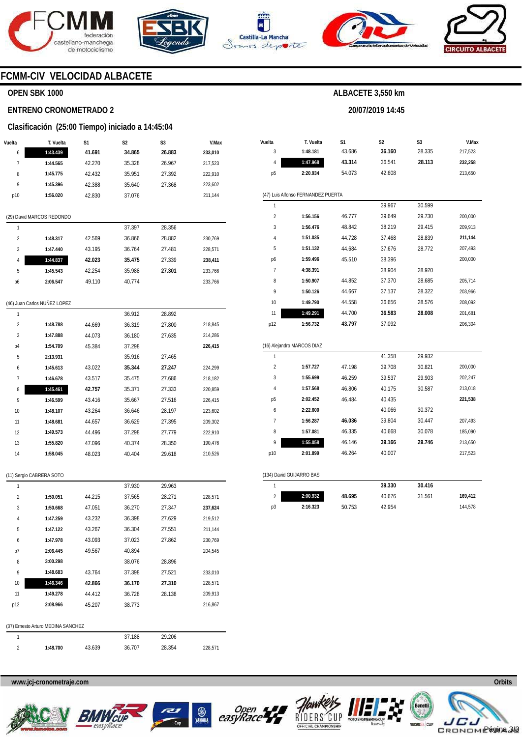





**Vuelta** 

**T. Vuelta** 

**S1** 



**S2** 

**20/07/2019 14:45** 

**ALBACETE 3,550 km** 

**S3** 



**V.Max** 

## **FCMM-CIV VELOCIDAD ALBACETE**

#### **OPEN SBK 1000**

#### **ENTRENO CRONOMETRADO 2**

#### **Clasificación (25:00 Tiempo) iniciado a 14:45:04**

| Vuelta         | T. Vuelta                 | S1     | S <sub>2</sub> | S <sub>3</sub> | V.Max   |
|----------------|---------------------------|--------|----------------|----------------|---------|
| 6              | 1:43.439                  | 41.691 | 34.865         | 26.883         | 233,010 |
| 7              | 1:44.565                  | 42.270 | 35.328         | 26.967         | 217,523 |
| 8              | 1:45.775                  | 42.432 | 35.951         | 27.392         | 222,910 |
| 9              | 1:45.396                  | 42.388 | 35.640         | 27.368         | 223,602 |
| p10            | 1:56.020                  | 42.830 | 37.076         |                | 211,144 |
| 1              |                           |        | 37.397         | 28.356         |         |
|                | (29) David MARCOS REDONDO |        |                |                |         |
| $\overline{2}$ | 1:48.317                  | 42.569 | 36.866         | 28.882         | 230,769 |
| 3              | 1:47.440                  | 43.195 | 36.764         | 27.481         | 228,571 |
| 4              | 1:44.837                  | 42.023 | 35.475         | 27.339         | 238,411 |
| 5              | 1:45.543                  | 42.254 | 35.988         | 27.301         | 233,766 |
|                |                           | 49.110 | 40.774         |                | 233,766 |

| 1              |          |        | 36.912 | 28.892 |         |
|----------------|----------|--------|--------|--------|---------|
| $\overline{2}$ | 1:48.788 | 44.669 | 36.319 | 27.800 | 218,845 |
| 3              | 1:47.888 | 44.073 | 36.180 | 27.635 | 214,286 |
| p4             | 1:54.709 | 45.384 | 37.298 |        | 226,415 |
| 5              | 2:13.931 |        | 35.916 | 27.465 |         |
| 6              | 1:45.613 | 43.022 | 35.344 | 27.247 | 224,299 |
| 7              | 1:46.678 | 43.517 | 35.475 | 27.686 | 218,182 |
|                |          |        |        |        |         |
| 8              | 1:45.461 | 42.757 | 35.371 | 27.333 | 220,859 |
| 9              | 1:46.599 | 43.416 | 35.667 | 27.516 | 226,415 |
| 10             | 1:48.107 | 43.264 | 36.646 | 28.197 | 223,602 |
| 11             | 1:48.681 | 44.657 | 36.629 | 27.395 | 209,302 |
| 12             | 1:49.573 | 44.496 | 37.298 | 27.779 | 222,910 |
| 13             | 1:55.820 | 47.096 | 40.374 | 28.350 | 190,476 |

(11) Sergio CABRERA SOTO

| 1              |          |        | 37.930 | 29.963 |         |
|----------------|----------|--------|--------|--------|---------|
| $\overline{2}$ | 1:50.051 | 44.215 | 37.565 | 28.271 | 228,571 |
| 3              | 1:50.668 | 47.051 | 36.270 | 27.347 | 237,624 |
| 4              | 1:47.259 | 43.232 | 36.398 | 27.629 | 219,512 |
| 5              | 1:47.122 | 43.267 | 36.304 | 27.551 | 211,144 |
| 6              | 1:47.978 | 43.093 | 37.023 | 27.862 | 230,769 |
| p7             | 2:06.445 | 49.567 | 40.894 |        | 204.545 |
| 8              | 3:00.298 |        | 38.076 | 28.896 |         |
| 9              | 1:48.683 | 43.764 | 37.398 | 27.521 | 233,010 |
| 10             | 1:46.346 | 42.866 | 36.170 | 27.310 | 228,571 |
| 11             | 1:49.278 | 44.412 | 36.728 | 28.138 | 209,913 |
| p12            | 2:08.966 | 45.207 | 38.773 |        | 216,867 |
|                |          |        |        |        |         |

| (37) Ernesto Arturo MEDINA SANCHEZ |  |
|------------------------------------|--|
|                                    |  |

|          |     | 188    | 29.206 |
|----------|-----|--------|--------|
| 1:48.700 | 630 | 36.707 | 28.354 |

#### 3 4 p5 (47) Luis Alfonso FERNANDEZ PUERTA 1 2 3 4 5 p6 7 8  $\circ$ 10 11 p12 (16) Alejandro MARCOS DIAZ 1  $\overline{2}$ 3 4 p5 6 7 8 9 p10 (134) David GUIJARRO BAS 1 2 p3 **1:48.181 1:47.968 2:20.934 1:56.156 1:56.476 1:51.035 1:51.132 1:59.496 4:38.391 1:50.907 1:50.126 1:49.790 1:49.291 1:56.732 1:57.727 1:55.699 1:57.568 2:02.452 2:22.600 1:56.287 1:57.081 1:55.058 2:01.899 2:00.932 2:16.323**  43.686 **43.314**  54.073 46.777 48.842 44.728 44.684 45.510 44.852 44.667 44.558 44.700 **43.797**  47.198 46.259 46.806 46.484 **46.036**  46.335 46.146 46.264 **48.695**  50.753 **36.160**  36.541 42.608 39.967 39.649 38.219 37.468 37.676 38.396 38.904 37.370 37.137 36.656 **36.583**  37.092 41.358 39.708 39.537 40.175 40.435 40.066 39.804 40.668 **39.166**  40.007 **39.330**  40.676 42.954 28.335 **28.113**  30.599 29.730 29.415 28.839 28.772 28.920 28.685 28.322 28.576 **28.008**  29.932 30.821 29.903 30.587 30.372 30.447 30.078 **29.746 30.416**  31.561 217,523 **232,258**  213,650 200,000 209,913 **211,144**  207,493 200,000 205,714 203,966 208,092 201,681 206,304 200,000 202,247 213,018 **221,538**  207,493 185,090 213,650 217,523 **169,412**  144,578



**www.jcj-cronometraje.com Orbits** 







228,571

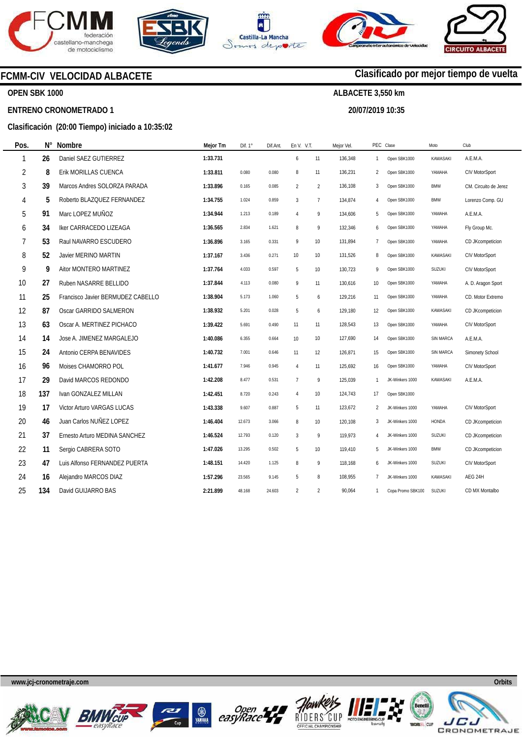









#### **OPEN SBK 1000**

**Pos.** 

#### **ENTRENO CRONOMETRADO 1**

## **Clasificación (20:00 Tiempo) iniciado a 10:35:02**

| Pos.           | $N^{\circ}$ | <b>Nombre</b>                     | Mejor Tm | Dif. 1° | Dif.Ant. | En V. V.T.     |                | Mejor Vel |                | PEC Clase         | Moto             | Club                  |
|----------------|-------------|-----------------------------------|----------|---------|----------|----------------|----------------|-----------|----------------|-------------------|------------------|-----------------------|
| 1              | 26          | Daniel SAEZ GUTIERREZ             | 1:33.731 |         |          | 6              | 11             | 136,348   | $\overline{1}$ | Open SBK1000      | <b>KAWASAKI</b>  | A.E.M.A.              |
| $\overline{2}$ | 8           | Erik MORILLAS CUENCA              | 1:33.811 | 0.080   | 0.080    | 8              | 11             | 136,231   | 2              | Open SBK1000      | YAMAHA           | CIV MotorSport        |
| 3              | 39          | Marcos Andres SOLORZA PARADA      | 1:33.896 | 0.165   | 0.085    | $\overline{2}$ | $\overline{2}$ | 136,108   | 3              | Open SBK1000      | <b>BMW</b>       | CM. Circuito de Jerez |
| 4              | 5           | Roberto BLAZQUEZ FERNANDEZ        | 1:34.755 | 1.024   | 0.859    | $\overline{3}$ | $\overline{7}$ | 134,874   | 4              | Open SBK1000      | <b>BMW</b>       | Lorenzo Comp. GU      |
| 5              | 91          | Marc LOPEZ MUÑOZ                  | 1:34.944 | 1.213   | 0.189    | $\overline{4}$ | 9              | 134,606   | 5              | Open SBK1000      | YAMAHA           | A.E.M.A.              |
| 6              | 34          | Iker CARRACEDO LIZEAGA            | 1:36.565 | 2.834   | 1.621    | 8              | 9              | 132,346   | 6              | Open SBK1000      | YAMAHA           | Fly Group Mc.         |
| 7              | 53          | Raul NAVARRO ESCUDERO             | 1:36.896 | 3.165   | 0.331    | 9              | 10             | 131,894   | $\overline{7}$ | Open SBK1000      | YAMAHA           | CD JKcompeticion      |
| 8              | 52          | Javier MERINO MARTIN              | 1:37.167 | 3.436   | 0.271    | 10             | 10             | 131,526   | 8              | Open SBK1000      | KAWASAKI         | CIV MotorSport        |
| 9              | 9           | Aitor MONTERO MARTINEZ            | 1:37.764 | 4.033   | 0.597    | 5              | 10             | 130,723   | 9              | Open SBK1000      | SUZUKI           | CIV MotorSport        |
| 10             | 27          | Ruben NASARRE BELLIDO             | 1:37.844 | 4.113   | 0.080    | 9              | 11             | 130,616   | 10             | Open SBK1000      | YAMAHA           | A. D. Aragon Sport    |
| 11             | 25          | Francisco Javier BERMUDEZ CABELLO | 1:38.904 | 5.173   | 1.060    | 5              | 6              | 129,216   | 11             | Open SBK1000      | YAMAHA           | CD. Motor Extremo     |
| 12             | 87          | Oscar GARRIDO SALMERON            | 1:38.932 | 5.201   | 0.028    | 5              | 6              | 129,180   | 12             | Open SBK1000      | KAWASAKI         | CD JKcompeticion      |
| 13             | 63          | Oscar A. MERTINEZ PICHACO         | 1:39.422 | 5.691   | 0.490    | 11             | 11             | 128,543   | 13             | Open SBK1000      | YAMAHA           | CIV MotorSport        |
| 14             | 14          | Jose A. JIMENEZ MARGALEJO         | 1:40.086 | 6.355   | 0.664    | 10             | 10             | 127,690   | 14             | Open SBK1000      | <b>SIN MARCA</b> | A.E.M.A.              |
| 15             | 24          | Antonio CERPA BENAVIDES           | 1:40.732 | 7.001   | 0.646    | 11             | 12             | 126,871   | 15             | Open SBK1000      | SIN MARCA        | Simonety School       |
| 16             | 96          | Moises CHAMORRO POL               | 1:41.677 | 7.946   | 0.945    | $\overline{4}$ | 11             | 125,692   | 16             | Open SBK1000      | YAMAHA           | CIV MotorSport        |
| 17             | 29          | David MARCOS REDONDO              | 1:42.208 | 8.477   | 0.531    | $\overline{1}$ | 9              | 125,039   | 1              | JK-Winkers 1000   | <b>KAWASAKI</b>  | A.E.M.A.              |
| 18             | 137         | Ivan GONZALEZ MILLAN              | 1:42.451 | 8.720   | 0.243    | $\overline{4}$ | 10             | 124,743   | 17             | Open SBK1000      |                  |                       |
| 19             | 17          | Victor Arturo VARGAS LUCAS        | 1:43.338 | 9.607   | 0.887    | 5              | 11             | 123,672   | 2              | JK-Winkers 1000   | YAMAHA           | CIV MotorSport        |
| 20             | 46          | Juan Carlos NUÑEZ LOPEZ           | 1:46.404 | 12.673  | 3.066    | 8              | 10             | 120,108   | 3              | JK-Winkers 1000   | HONDA            | CD JKcompeticion      |
| 21             | 37          | Ernesto Arturo MEDINA SANCHEZ     | 1:46.524 | 12.793  | 0.120    | $\overline{3}$ | 9              | 119,973   | 4              | JK-Winkers 1000   | <b>SUZUKI</b>    | CD JKcompeticion      |
| 22             | 11          | Sergio CABRERA SOTO               | 1:47.026 | 13.295  | 0.502    | 5              | 10             | 119,410   | 5              | JK-Winkers 1000   | <b>BMW</b>       | CD JKcompeticion      |
| 23             | 47          | Luis Alfonso FERNANDEZ PUERTA     | 1:48.151 | 14.420  | 1.125    | 8              | 9              | 118,168   | 6              | JK-Winkers 1000   | <b>SUZUKI</b>    | CIV MotorSport        |
| 24             | 16          | Alejandro MARCOS DIAZ             | 1:57.296 | 23.565  | 9.145    | 5              | 8              | 108,955   | $\overline{7}$ | JK-Winkers 1000   | KAWASAKI         | AEG 24H               |
| 25             | 134         | David GUIJARRO BAS                | 2:21.899 | 48.168  | 24.603   | $\overline{2}$ | $\overline{2}$ | 90,064    | $\mathbf{1}$   | Copa Promo SBK100 | <b>SUZUKI</b>    | CD MX Montalbo        |
|                |             |                                   |          |         |          |                |                |           |                |                   |                  |                       |

**www.jcj-cronometraje.com Orbits** 















# **Clasificado por mejor tiempo de vuelta**

**ALBACETE 3,550 km** 

**20/07/2019 10:35**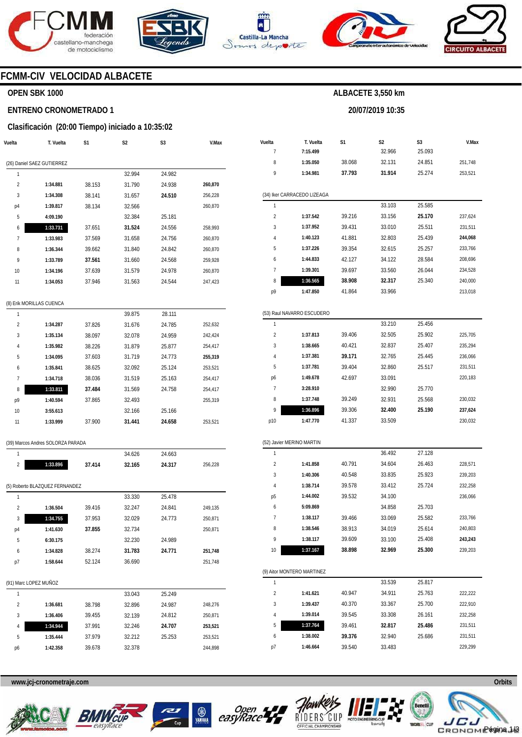







**20/07/2019 10:35** 



## **FCMM-CIV VELOCIDAD ALBACETE**

#### **OPEN SBK 1000**

#### **ENTRENO CRONOMETRADO 1**

#### **Clasificación (20:00 Tiempo) iniciado a 10:35:02**

| Vuelta         | T. Vuelta                  | S1     | S2     | S3     | V.Max   |
|----------------|----------------------------|--------|--------|--------|---------|
|                | (26) Daniel SAEZ GUTIERREZ |        |        |        |         |
| 1              |                            |        | 32.994 | 24.982 |         |
| $\overline{2}$ | 1:34.881                   | 38.153 | 31.790 | 24.938 | 260,870 |
| 3              | 1:34.308                   | 38.141 | 31.657 | 24.510 | 256,228 |
| p4             | 1:39.817                   | 38.134 | 32.566 |        | 260,870 |
| 5              | 4:09.190                   |        | 32.384 | 25.181 |         |
| 6              | 1:33.731                   | 37.651 | 31.524 | 24.556 | 258,993 |
| 7              | 1:33.983                   | 37.569 | 31.658 | 24.756 | 260,870 |
| 8              | 1:36.344                   | 39.662 | 31.840 | 24.842 | 260,870 |
| 9              | 1:33.789                   | 37.561 | 31.660 | 24.568 | 259,928 |
| 10             | 1:34.196                   | 37.639 | 31.579 | 24.978 | 260,870 |
| 11             | 1:34.053                   | 37.946 | 31.563 | 24.544 | 247,423 |
|                |                            |        |        |        |         |
|                | (8) Erik MORILLAS CUENCA   |        |        |        |         |

| 1              |          |        | 39.875 | 28.111 |         |
|----------------|----------|--------|--------|--------|---------|
| $\overline{2}$ | 1:34.287 | 37.826 | 31.676 | 24.785 | 252.632 |
| 3              | 1:35.134 | 38.097 | 32.078 | 24.959 | 242.424 |
| 4              | 1:35.982 | 38.226 | 31.879 | 25.877 | 254.417 |
| 5              | 1:34.095 | 37.603 | 31.719 | 24.773 | 255.319 |
| 6              | 1:35.841 | 38.625 | 32.092 | 25.124 | 253,521 |
| 7              | 1:34.718 | 38.036 | 31.519 | 25.163 | 254.417 |
| 8              | 1:33.811 | 37.484 | 31.569 | 24.758 | 254,417 |
| p9             | 1:40.594 | 37.865 | 32.493 |        | 255.319 |
| 10             | 3:55.613 |        | 32.166 | 25.166 |         |
| 11             | 1:33.999 | 37.900 | 31.441 | 24.658 | 253.521 |
|                |          |        |        |        |         |

#### (39) Marcos Andres SOLORZA PARADA

|   |          |        | 34.626 | 24.663 |         |
|---|----------|--------|--------|--------|---------|
| - | 1:33.896 | 37.414 | 32.165 | 24.317 | 256.228 |

(5) Roberto BLAZQUEZ FERNANDEZ

|                |          |        | 33.330 | 25.478 |         |
|----------------|----------|--------|--------|--------|---------|
| $\mathfrak{p}$ | 1:36.504 | 39.416 | 32.247 | 24.841 | 249.135 |
| 3              | 1:34.755 | 37.953 | 32.029 | 24.773 | 250,871 |
| p4             | 1:41.630 | 37.855 | 32.734 |        | 250,871 |
| 5              | 6:30.175 |        | 32.230 | 24.989 |         |
| 6              | 1:34.828 | 38.274 | 31.783 | 24.771 | 251,748 |
| рī             | 1:58.644 | 52.124 | 36.690 |        | 251,748 |
|                |          |        |        |        |         |

(91) Marc LOPEZ MUÑOZ

|               |          |        | 33.043 | 25.249 |         |
|---------------|----------|--------|--------|--------|---------|
| $\mathfrak z$ | 1:36.681 | 38.798 | 32.896 | 24.987 | 248.276 |
| 3             | 1:36.406 | 39.455 | 32.139 | 24.812 | 250.871 |
| 4             | 1:34.944 | 37.991 | 32.246 | 24.707 | 253,521 |
| 5             | 1:35.444 | 37.979 | 32.212 | 25.253 | 253,521 |
| p6            | 1:42.358 | 39.678 | 32.378 |        | 244.898 |
|               |          |        |        |        |         |

| Vuelta                  | T. Vuelta                   | S1     | S2     | S3     | V.Max   |
|-------------------------|-----------------------------|--------|--------|--------|---------|
| 7                       | 7:15.499                    |        | 32.966 | 25.093 |         |
| 8                       | 1:35.050                    | 38.068 | 32.131 | 24.851 | 251,748 |
| 9                       | 1:34.981                    | 37.793 | 31.914 | 25.274 | 253,521 |
|                         | (34) Iker CARRACEDO LIZEAGA |        |        |        |         |
| 1                       |                             |        | 33.103 | 25.585 |         |
| 2                       | 1:37.542                    | 39.216 | 33.156 | 25.170 | 237,624 |
| 3                       | 1:37.952                    | 39.431 | 33.010 | 25.511 | 231,511 |
| 4                       | 1:40.123                    | 41.881 | 32.803 | 25.439 | 244,068 |
| 5                       | 1:37.226                    | 39.354 | 32.615 | 25.257 | 233,766 |
| 6                       | 1:44.833                    | 42.127 | 34.122 | 28.584 | 208,696 |
| 7                       | 1:39.301                    | 39.697 | 33.560 | 26.044 | 234,528 |
| 8                       | 1:36.565                    | 38.908 | 32.317 | 25.340 | 240,000 |
| p9                      | 1:47.850                    | 41.864 | 33.966 |        | 213,018 |
|                         | (53) Raul NAVARRO ESCUDERO  |        |        |        |         |
| 1                       |                             |        | 33.210 | 25.456 |         |
| 2                       | 1:37.813                    | 39.406 | 32.505 | 25.902 | 225,705 |
| 3                       | 1:38.665                    | 40.421 | 32.837 | 25.407 | 235,294 |
| 4                       | 1:37.381                    | 39.171 | 32.765 | 25.445 | 236,066 |
| 5                       | 1:37.781                    | 39.404 | 32.860 | 25.517 | 231,511 |
| p6                      | 1:49.678                    | 42.697 | 33.091 |        | 220,183 |
| 7                       | 3:28.910                    |        | 32.990 | 25.770 |         |
| 8                       | 1:37.748                    | 39.249 | 32.931 | 25.568 | 230,032 |
| 9                       | 1:36.896                    | 39.306 | 32.400 | 25.190 | 237,624 |
| p10                     | 1:47.770                    | 41.337 | 33.509 |        | 230,032 |
|                         | (52) Javier MERINO MARTIN   |        |        |        |         |
| 1                       |                             |        | 36.492 | 27.128 |         |
| 2                       | 1:41.858                    | 40.791 | 34.604 | 26.463 | 228,571 |
| 3                       | 1:40.306                    | 40.548 | 33.835 | 25.923 | 239,203 |
| 4                       | 1:38.714                    | 39.578 | 33.412 | 25.724 | 232,258 |
| р5                      | 1:44.002                    | 39.532 | 34.100 |        | 236,066 |
| 6                       | 5:09.869                    |        | 34.858 | 25.703 |         |
| 7                       | 1:38.117                    | 39.466 | 33.069 | 25.582 | 233,766 |
| 8                       | 1:38.546                    | 38.913 | 34.019 | 25.614 | 240,803 |
| 9                       | 1:38.117                    | 39.609 | 33.100 | 25.408 | 243,243 |
| 10                      | 1:37.167                    | 38.898 | 32.969 | 25.300 | 239,203 |
|                         |                             |        |        |        |         |
| 1                       | (9) Aitor MONTERO MARTINEZ  |        | 33.539 | 25.817 |         |
| $\overline{\mathbf{c}}$ |                             | 40.947 |        |        |         |
| 3                       | 1:41.621<br>1:39.437        |        | 34.911 | 25.763 | 222,222 |
| 4                       |                             | 40.370 | 33.367 | 25.700 | 222,910 |
|                         | 1:39.014                    | 39.545 | 33.308 | 26.161 | 232,258 |

**www.jcj-cronometraje.com Orbits** 







6 p7



**1:38.002 1:46.664**  **39.376**  39.540

32.940 33.483

25.686



231,511 229,299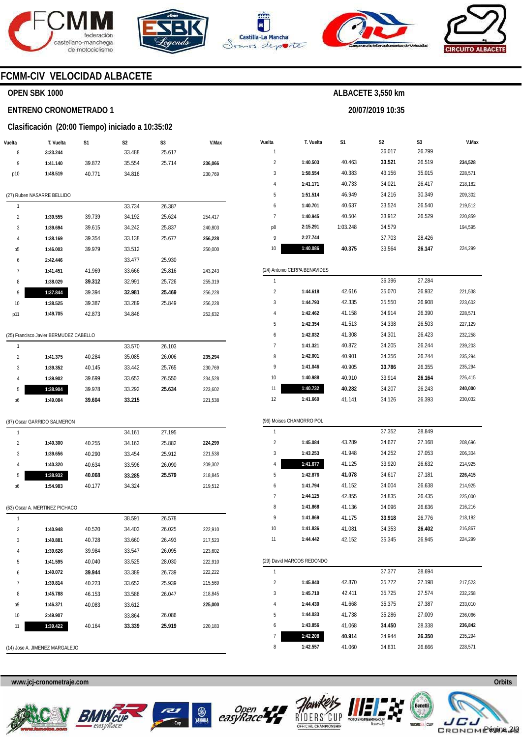







**20/07/2019 10:35** 



## **FCMM-CIV VELOCIDAD ALBACETE**

#### **OPEN SBK 1000**

#### **ENTRENO CRONOMETRADO 1**

#### **Clasificación (20:00 Tiempo) iniciado a 10:35:02**

| Vuelta                  | T. Vuelta                              | S1     | S2     | S3     | V.Max   |
|-------------------------|----------------------------------------|--------|--------|--------|---------|
| 8                       | 3:23.244                               |        | 33.488 | 25.617 |         |
| 9                       | 1:41.140                               | 39.872 | 35.554 | 25.714 | 236,066 |
| p10                     | 1:48.519                               | 40.771 | 34.816 |        | 230,769 |
|                         | (27) Ruben NASARRE BELLIDO             |        |        |        |         |
| 1                       |                                        |        | 33.734 | 26.387 |         |
| $\overline{\mathbf{c}}$ | 1:39.555                               | 39.739 | 34.192 | 25.624 | 254,417 |
| 3                       | 1:39.694                               | 39.615 | 34.242 | 25.837 | 240,803 |
| 4                       | 1:38.169                               | 39.354 | 33.138 | 25.677 | 256,228 |
| р5                      | 1:46.003                               | 39.979 | 33.512 |        | 250,000 |
| 6                       | 2:42.446                               |        | 33.477 | 25.930 |         |
| 7                       | 1:41.451                               | 41.969 | 33.666 | 25.816 | 243,243 |
| 8                       | 1:38.029                               | 39.312 | 32.991 | 25.726 | 255,319 |
| 9                       | 1:37.844                               | 39.394 | 32.981 | 25.469 | 256,228 |
| 10                      | 1:38.525                               | 39.387 | 33.289 | 25.849 | 256,228 |
| p11                     | 1:49.705                               | 42.873 | 34.846 |        | 252,632 |
|                         | (25) Francisco Javier BERMUDEZ CABELLO |        |        |        |         |
| 1                       |                                        |        | 33.570 | 26.103 |         |
| $\overline{2}$          | 1:41.375                               | 40.284 | 35.085 | 26.006 | 235,294 |
| 3                       | 1:39.352                               | 40.145 | 33.442 | 25.765 | 230,769 |
| 4                       | 1:39.902                               | 39.699 | 33.653 | 26.550 | 234,528 |
| 5                       | 1:38.904                               | 39.978 | 33.292 | 25.634 | 223,602 |
| p6                      | 1:49.084                               | 39.604 | 33.215 |        | 221,538 |
|                         | (87) Oscar GARRIDO SALMERON            |        |        |        |         |
| 1                       |                                        |        | 34.161 | 27.195 |         |
| $\overline{2}$          | 1:40.300                               | 40.255 | 34.163 | 25.882 | 224,299 |
| 3                       | 1:39.656                               | 40.290 | 33.454 | 25.912 | 221,538 |
| 4                       | 1:40.320                               | 40.634 | 33.596 | 26.090 | 209,302 |
| 5                       | 1:38.932                               | 40.068 | 33.285 | 25.579 | 218,845 |
| p6                      | 1:54.983                               | 40.177 | 34.324 |        | 219,512 |
|                         | (63) Oscar A. MERTINEZ PICHACO         |        |        |        |         |
| 1                       |                                        |        | 38.591 | 26.578 |         |
| 2                       | 1:40.948                               | 40.520 | 34.403 | 26.025 | 222,910 |
| 3                       | 1:40.881                               | 40.728 | 33.660 | 26.493 | 217,523 |
| 4                       | 1:39.626                               | 39.984 | 33.547 | 26.095 | 223,602 |
| 5                       | 1:41.595                               | 40.040 | 33.525 | 28.030 | 222,910 |
| 6                       | 1:40.072                               | 39.944 | 33.389 | 26.739 | 222,222 |
| 7                       | 1:39.814                               | 40.223 | 33.652 | 25.939 | 215,569 |
| 8                       | 1:45.788                               | 46.153 | 33.588 | 26.047 | 218,845 |
| р9                      | 1:46.371                               | 40.083 | 33.612 |        | 225,000 |
| 10                      | 2:49.907                               |        | 33.864 | 26.086 |         |
| 11                      | 1:39.422                               | 40.164 | 33.339 | 25.919 | 220,183 |
|                         |                                        |        |        |        |         |

| Vuelta                  | T. Vuelta                    | S1       | S2     | S3     | V.Max   |
|-------------------------|------------------------------|----------|--------|--------|---------|
| 1                       |                              |          | 36.017 | 26.799 |         |
| $\overline{\mathbf{c}}$ | 1:40.503                     | 40.463   | 33.521 | 26.519 | 234,528 |
| 3                       | 1:58.554                     | 40.383   | 43.156 | 35.015 | 228,571 |
| 4                       | 1:41.171                     | 40.733   | 34.021 | 26.417 | 218,182 |
| 5                       | 1:51.514                     | 46.949   | 34.216 | 30.349 | 209,302 |
| 6                       | 1:40.701                     | 40.637   | 33.524 | 26.540 | 219,512 |
| 7                       | 1:40.945                     | 40.504   | 33.912 | 26.529 | 220,859 |
| p8                      | 2:15.291                     | 1:03.248 | 34.579 |        | 194,595 |
| 9                       | 2:27.744                     |          | 37.703 | 28.426 |         |
| 10                      | 1:40.086                     | 40.375   | 33.564 | 26.147 | 224,299 |
|                         |                              |          |        |        |         |
|                         | (24) Antonio CERPA BENAVIDES |          |        |        |         |
| 1                       |                              |          | 36.396 | 27.284 |         |
| $\overline{\mathbf{c}}$ | 1:44.618                     | 42.616   | 35.070 | 26.932 | 221,538 |
| 3                       | 1:44.793                     | 42.335   | 35.550 | 26.908 | 223,602 |
| 4                       | 1:42.462                     | 41.158   | 34.914 | 26.390 | 228,571 |
| 5                       | 1:42.354                     | 41.513   | 34.338 | 26.503 | 227,129 |
| 6                       | 1:42.032                     | 41.308   | 34.301 | 26.423 | 232,258 |
| 7                       | 1:41.321                     | 40.872   | 34.205 | 26.244 | 239,203 |
| 8                       | 1:42.001                     | 40.901   | 34.356 | 26.744 | 235,294 |
| 9                       | 1:41.046                     | 40.905   | 33.786 | 26.355 | 235,294 |
| 10                      | 1:40.988                     | 40.910   | 33.914 | 26.164 | 226,415 |
| 11                      | 1:40.732                     | 40.282   | 34.207 | 26.243 | 240,000 |
| 12                      | 1:41.660                     | 41.141   | 34.126 | 26.393 | 230,032 |
|                         |                              |          |        |        |         |
|                         | (96) Moises CHAMORRO POL     |          |        |        |         |
| 1                       |                              |          | 37.352 | 28.849 |         |
| 2                       | 1:45.084                     | 43.289   | 34.627 | 27.168 | 208,696 |
| 3                       | 1:43.253                     | 41.948   | 34.252 | 27.053 | 206,304 |
| 4                       | 1:41.677                     | 41.125   | 33.920 | 26.632 | 214,925 |
| 5                       | 1:42.876                     | 41.078   | 34.617 | 27.181 | 226,415 |
| 6                       | 1:41.794                     | 41.152   | 34.004 | 26.638 | 214,925 |
| 7                       | 1:44.125                     | 42.855   | 34.835 | 26.435 | 225,000 |
| 8                       | 1:41.868                     | 41.136   | 34.096 | 26.636 | 216,216 |
| 9                       | 1:41.869                     | 41.175   | 33.918 | 26.776 | 218,182 |
| 10                      | 1:41.836                     | 41.081   | 34.353 | 26.402 | 216,867 |
| 11                      | 1:44.442                     | 42.152   | 35.345 | 26.945 | 224,299 |
|                         |                              |          |        |        |         |
|                         | (29) David MARCOS REDONDO    |          |        |        |         |
| 1                       |                              |          | 37.377 | 28.694 |         |
| $\overline{\mathbf{c}}$ | 1:45.840                     | 42.870   | 35.772 | 27.198 | 217,523 |
| 3                       | 1:45.710                     | 42.411   | 35.725 | 27.574 | 232,258 |
| 4                       | 1:44.430                     | 41.668   | 35.375 | 27.387 | 233,010 |
| 5                       | 1:44.033                     | 41.738   | 35.286 | 27.009 | 236,066 |
| 6                       | 1:43.856                     | 41.068   | 34.450 | 28.338 | 236,842 |
| 7                       | 1:42.208                     | 40.914   | 34.944 | 26.350 | 235,294 |
| 8                       | 1:42.557                     | 41.060   | 34.831 | 26.666 | 228,571 |

**www.jcj-cronometraje.com Orbits** 

(14) Jose A. JIMENEZ MARGALEJO









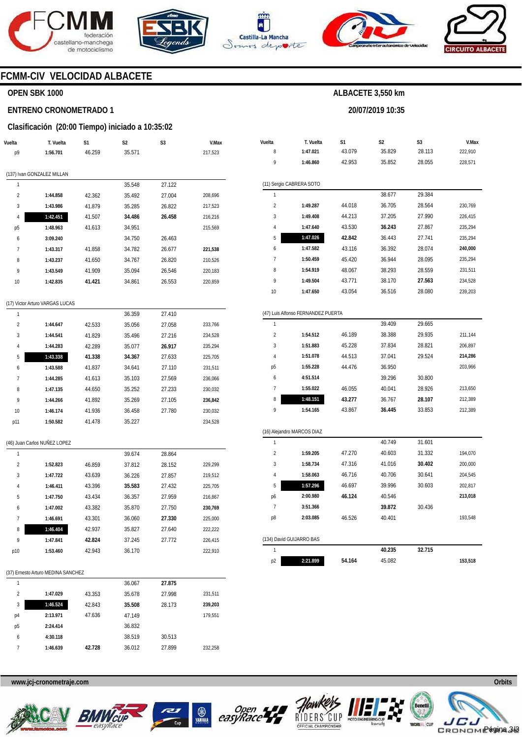





**Vuelta**  8  $\alpha$ 

(11) Sergio CABRERA SOTO

**T. Vuelta 1:47.021 1:46.860** 

**S1**  43.079 42.953

44.018 44.213 43.530 **42.842**  43.116 45.420 48.067 43.771 43.054

**1:49.287 1:49.408 1:47.640 1:47.026 1:47.582 1:50.459 1:54.919 1:49.504 1:47.650** 



**S2**  35.829 35.852

**ALBACETE 3,550 km** 

**20/07/2019 10:35** 

**S3**  28.113 28.055

29.384 28.564 27.990 27.867 27.741 28.074 28.095 28.559 **27.563**  28.080

29.665 29.935 28.821 29.524

30.800 28.926 **28.107**  33.853

31.601 31.332 **30.402**  30.641 30.603

30.436

38.677 36.705 37.205 **36.243**  36.443 36.392 36.944 38.293 38.170 36.516



**V.Max**  222,910 228,571

230,769 226,415 235,294 235,294 **240,000**  235,294 231,511 234,528 239,203

211,144 206,897 **214,286**  203,966

213,650 212,389 212,389

194,070 200,000 204,545 202,817 **213,018** 

193,548

#### **FCMM-CIV VELOCIDAD ALBACETE**

#### **OPEN SBK 1000**

#### **ENTRENO CRONOMETRADO 1**

#### **Clasificación (20:00 Tiempo) iniciado a 10:35:02**

| Vuelta         | T. Vuelta                       | S1     | S <sub>2</sub> | S3     | V.Max   |
|----------------|---------------------------------|--------|----------------|--------|---------|
| p9             | 1:56.701                        | 46.259 | 35.571         |        | 217,523 |
|                |                                 |        |                |        |         |
|                | (137) Ivan GONZALEZ MILLAN      |        |                |        |         |
| 1              |                                 |        | 35.548         | 27.122 |         |
| $\overline{2}$ | 1:44.858                        | 42.362 | 35.492         | 27.004 | 208,696 |
| 3              | 1:43.986                        | 41.879 | 35.285         | 26.822 | 217,523 |
| 4              | 1:42.451                        | 41.507 | 34.486         | 26.458 | 216,216 |
| p <sub>5</sub> | 1:48.963                        | 41.613 | 34.951         |        | 215,569 |
| 6              | 3:09.240                        |        | 34.750         | 26.463 |         |
| $\overline{7}$ | 1:43.317                        | 41.858 | 34.782         | 26.677 | 221,538 |
| 8              | 1:43.237                        | 41.650 | 34.767         | 26.820 | 210,526 |
| 9              | 1:43.549                        | 41.909 | 35.094         | 26.546 | 220,183 |
| 10             | 1:42.835                        | 41.421 | 34.861         | 26.553 | 220,859 |
|                |                                 |        |                |        |         |
|                | (17) Victor Arturo VARGAS LUCAS |        |                |        |         |
| 1              |                                 |        | 36.359         | 27.410 |         |
| $\overline{2}$ | 1:44.647                        | 42.533 | 35.056         | 27.058 | 233,766 |
| 3              | 1:44.541                        | 41.829 | 35.496         | 27.216 | 234,528 |
| 4              | 1:44.283                        | 42.289 | 35.077         | 26.917 | 235,294 |
| 5              | 1:43.338                        | 41.338 | 34.367         | 27.633 | 225,705 |
| 6              | 1:43.588                        | 41.837 | 34.641         | 27.110 | 231,511 |
| 7              | 1:44.285                        | 41.613 | 35.103         | 27.569 | 236,066 |

| 233,766 | 1                          |          |        | 39.409 |
|---------|----------------------------|----------|--------|--------|
| 234,528 | $\overline{2}$             | 1:54.512 | 46.189 | 38.388 |
| 235,294 | 3                          | 1:51.883 | 45.228 | 37.834 |
| 225,705 | $\overline{4}$             | 1:51.078 | 44.513 | 37.041 |
| 231,511 | p <sub>5</sub>             | 1:55.228 | 44.476 | 36.950 |
| 236,066 | 6                          | 4:51.514 |        | 39.296 |
| 230,032 | 7                          | 1:55.022 | 46.055 | 40.041 |
| 236,842 | 8                          | 1:48.151 | 43.277 | 36.767 |
| 230,032 | 9                          | 1:54.165 | 43.867 | 36.445 |
| 234,528 |                            |          |        |        |
|         | (16) Alejandro MARCOS DIAZ |          |        |        |
|         | 1                          |          |        | 40.749 |
|         | $\overline{2}$             | 1:59.205 | 47.270 | 40.603 |
| 229,299 | 3                          | 1:58.734 | 47.316 | 41.016 |
| 219,512 | $\overline{4}$             | 1:58.063 | 46.716 | 40.706 |
| 225,705 | 5                          | 1:57.296 | 46.697 | 39.996 |
| 216,867 | p6                         | 2:00.980 | 46.124 | 40.546 |
| 230,769 | 7                          | 3:51.366 |        | 39.872 |
| 225,000 | p8                         | 2:03.085 | 46.526 | 40.401 |
|         |                            |          |        |        |

(47) Luis Alfonso FERNANDEZ PUERTA

|    | (134) David GUIJARRO BAS |        |        |        |         |
|----|--------------------------|--------|--------|--------|---------|
|    |                          |        | 40.235 | 32.715 |         |
| p2 | 2:21.899                 | 54.164 | 45.082 |        | 153.518 |

| (37) Ernesto Arturo MEDINA SANCHEZ |  |
|------------------------------------|--|
|------------------------------------|--|

(46) Juan Carlos NUÑEZ LOPEZ

**1:47.135 1:44.266 1:46.174 1:50.582** 

44.650 41.892 41.936 41.478 35.252 35.269 36.458 35.227 27.233 27.105 27.780

28.864 28.152 27.857 27.432 27.959 27.750 **27.330**  27.640 27.772

222,222 226,415 222,910

39.674 37.812 36.226 **35.583**  36.357 35.870 36.060 35.827 37.245 36.170

46.859 43.639 43.396 43.434 43.382 43.301 42.937 **42.824**  42.943

**1:52.823 1:47.722 1:46.411 1:47.750 1:47.002 1:46.691 1:46.404 1:47.841 1:53.460** 

| 1              |          |        | 36.067 | 27.875 |         |
|----------------|----------|--------|--------|--------|---------|
| $\mathfrak{p}$ | 1:47.029 | 43.353 | 35.678 | 27.998 | 231,511 |
| 3              | 1:46.524 | 42.843 | 35.508 | 28.173 | 239,203 |
| p4             | 2:13.971 | 47.636 | 47.149 |        | 179,551 |
| p <sub>5</sub> | 2:24.414 |        | 36.832 |        |         |
| 6              | 4:30.118 |        | 38.519 | 30.513 |         |
| 7              | 1:46.639 | 42.728 | 36.012 | 27.899 | 232.258 |









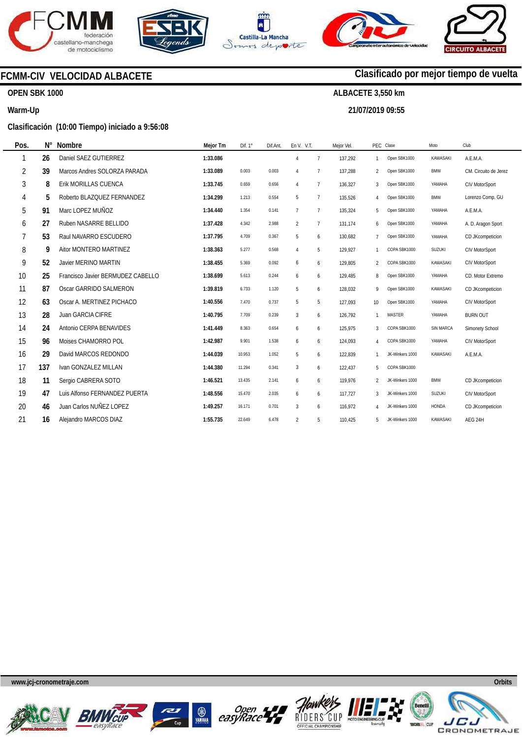







# **FCMM-CIV VELOCIDAD ALBACETE**

## **OPEN SBK 1000**

#### **Warm-Up**

#### **Clasificación (10:00 Tiempo) iniciado a 9:56:08**

| Pos.           | $N^{\circ}$ | Nombre                            | Mejor Tm | Dif. $1^\circ$ | Dif.Ant. | En V. V.T.     |                | Mejor Vel. |                | PEC Clase       | Moto            | Club                  |
|----------------|-------------|-----------------------------------|----------|----------------|----------|----------------|----------------|------------|----------------|-----------------|-----------------|-----------------------|
| 1              | 26          | Daniel SAEZ GUTIERREZ             | 1:33.086 |                |          | $\overline{4}$ | $\overline{7}$ | 137,292    | 1              | Open SBK1000    | <b>KAWASAKI</b> | A.E.M.A.              |
| $\overline{2}$ | 39          | Marcos Andres SOLORZA PARADA      | 1:33.089 | 0.003          | 0.003    | $\overline{4}$ | $\overline{7}$ | 137,288    | $\overline{2}$ | Open SBK1000    | <b>BMW</b>      | CM. Circuito de Jerez |
| 3              | 8           | Erik MORILLAS CUENCA              | 1:33.745 | 0.659          | 0.656    | $\overline{4}$ | $\overline{7}$ | 136,327    | 3              | Open SBK1000    | YAMAHA          | CIV MotorSport        |
| 4              | 5           | Roberto BLAZQUEZ FERNANDEZ        | 1:34.299 | 1.213          | 0.554    | 5              | $\overline{7}$ | 135,526    | 4              | Open SBK1000    | <b>BMW</b>      | Lorenzo Comp. GU      |
| 5              | 91          | Marc LOPEZ MUÑOZ                  | 1:34.440 | 1.354          | 0.141    | $\overline{7}$ | $\overline{7}$ | 135,324    | 5              | Open SBK1000    | YAMAHA          | A.E.M.A.              |
| 6              | 27          | Ruben NASARRE BELLIDO             | 1:37.428 | 4.342          | 2.988    | $\overline{2}$ | $\overline{7}$ | 131.174    | 6              | Open SBK1000    | YAMAHA          | A. D. Aragon Sport    |
| 7              | 53          | Raul NAVARRO ESCUDERO             | 1:37.795 | 4.709          | 0.367    | 5              | 6              | 130.682    | $\overline{7}$ | Open SBK1000    | YAMAHA          | CD JKcompeticion      |
| 8              | 9           | Aitor MONTERO MARTINEZ            | 1:38.363 | 5.277          | 0.568    | $\overline{4}$ | 5              | 129,927    | $\mathbf{1}$   | COPA SBK1000    | SUZUKI          | CIV MotorSport        |
| 9              | 52          | Javier MERINO MARTIN              | 1:38.455 | 5.369          | 0.092    | 6              | 6              | 129,805    | 2              | COPA SBK1000    | KAWASAKI        | <b>CIV MotorSport</b> |
| 10             | 25          | Francisco Javier BERMUDEZ CABELLO | 1:38.699 | 5.613          | 0.244    | 6              | 6              | 129,485    | 8              | Open SBK1000    | YAMAHA          | CD. Motor Extremo     |
| 11             | 87          | Oscar GARRIDO SALMERON            | 1:39.819 | 6.733          | 1.120    | 5              | 6              | 128,032    | 9              | Open SBK1000    | KAWASAKI        | CD JKcompeticion      |
| 12             | 63          | Oscar A. MERTINEZ PICHACO         | 1:40.556 | 7.470          | 0.737    | 5              | 5              | 127,093    | 10             | Open SBK1000    | YAMAHA          | CIV MotorSport        |
| 13             | 28          | Juan GARCIA CIFRE                 | 1:40.795 | 7.709          | 0.239    | 3              | 6              | 126,792    | -1             | <b>MASTER</b>   | YAMAHA          | <b>BURN OUT</b>       |
| 14             | 24          | Antonio CERPA BENAVIDES           | 1:41.449 | 8.363          | 0.654    | 6              | 6              | 125,975    | 3              | COPA SBK1000    | SIN MARCA       | Simonety School       |
| 15             | 96          | Moises CHAMORRO POL               | 1:42.987 | 9.901          | 1.538    | 6              | 6              | 124,093    | 4              | COPA SBK1000    | YAMAHA          | CIV MotorSport        |
| 16             | 29          | David MARCOS REDONDO              | 1:44.039 | 10.953         | 1.052    | 5              | 6              | 122,839    | 1              | JK-Winkers 1000 | <b>KAWASAKI</b> | A.E.M.A.              |
| 17             | 137         | Ivan GONZALEZ MILLAN              | 1:44.380 | 11.294         | 0.341    | $\mathbf{3}$   | 6              | 122,437    | 5              | COPA SBK1000    |                 |                       |
| 18             | 11          | Sergio CABRERA SOTO               | 1:46.521 | 13.435         | 2.141    | 6              | 6              | 119,976    | 2              | JK-Winkers 1000 | <b>BMW</b>      | CD JKcompeticion      |
| 19             | 47          | Luis Alfonso FERNANDEZ PUERTA     | 1:48.556 | 15.470         | 2.035    | 6              | 6              | 117,727    | 3              | JK-Winkers 1000 | <b>SUZUKI</b>   | CIV MotorSport        |
| 20             | 46          | Juan Carlos NUÑEZ LOPEZ           | 1:49.257 | 16.171         | 0.701    | $\mathbf{3}$   | 6              | 116,972    | 4              | JK-Winkers 1000 | <b>HONDA</b>    | CD JKcompeticion      |
| 21             | 16          | Alejandro MARCOS DIAZ             | 1:55.735 | 22.649         | 6.478    | $\overline{2}$ | 5              | 110,425    | 5              | JK-Winkers 1000 | <b>KAWASAKI</b> | AEG 24H               |
|                |             |                                   |          |                |          |                |                |            |                |                 |                 |                       |

**www.jcj-cronometraje.com Orbits** 















# **Clasificado por mejor tiempo de vuelta**

**ALBACETE 3,550 km** 

**21/07/2019 09:55**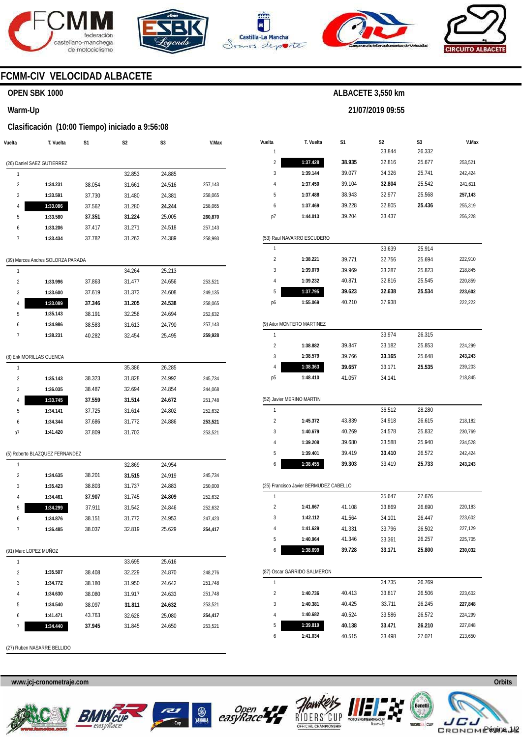







**21/07/2019 09:55** 



# **FCMM-CIV VELOCIDAD ALBACETE**

## **OPEN SBK 1000**

#### **Warm-Up**

#### **Clasificación (10:00 Tiempo) iniciado a 9:56:08**

| Vuelta                  | T. Vuelta                         | S1     | S2               | S3               | V.Max              |
|-------------------------|-----------------------------------|--------|------------------|------------------|--------------------|
|                         | (26) Daniel SAEZ GUTIERREZ        |        |                  |                  |                    |
| 1                       |                                   |        | 32.853           | 24.885           |                    |
| $\overline{2}$          | 1:34.231                          | 38.054 | 31.661           | 24.516           | 257,143            |
| 3                       | 1:33.591                          | 37.730 | 31.480           | 24.381           | 258,065            |
| 4                       | 1:33.086                          | 37.562 | 31.280           | 24.244           | 258,065            |
| 5                       | 1:33.580                          | 37.351 | 31.224           | 25.005           | 260,870            |
| 6                       | 1:33.206                          | 37.417 | 31.271           | 24.518           | 257,143            |
| 7                       | 1:33.434                          | 37.782 | 31.263           | 24.389           | 258,993            |
|                         | (39) Marcos Andres SOLORZA PARADA |        |                  |                  |                    |
| 1                       |                                   |        | 34.264           | 25.213           |                    |
| $\overline{\mathbf{c}}$ | 1:33.996                          | 37.863 | 31.477           | 24.656           | 253,521            |
| 3                       | 1:33.600                          | 37.619 | 31.373           | 24.608           | 249,135            |
| 4                       | 1:33.089                          | 37.346 | 31.205           | 24.538           | 258,065            |
| 5                       | 1:35.143                          | 38.191 | 32.258           | 24.694           | 252,632            |
| 6                       | 1:34.986                          | 38.583 | 31.613           | 24.790           | 257,143            |
| 7                       | 1:38.231                          | 40.282 | 32.454           | 25.495           | 259,928            |
|                         | (8) Erik MORILLAS CUENCA          |        |                  |                  |                    |
| 1                       |                                   |        | 35.386           | 26.285           |                    |
| $\overline{\mathbf{c}}$ | 1:35.143                          | 38.323 | 31.828           | 24.992           | 245,734            |
| 3                       | 1:36.035                          | 38.487 | 32.694           | 24.854           | 244,068            |
| 4                       | 1:33.745                          | 37.559 | 31.514           | 24.672           | 251,748            |
| 5                       | 1:34.141                          | 37.725 | 31.614           | 24.802           | 252,632            |
| 6                       | 1:34.344                          | 37.686 | 31.772           | 24.886           | 253,521            |
| p7                      | 1:41.420                          | 37.809 | 31.703           |                  | 253,521            |
|                         |                                   |        |                  |                  |                    |
| 1                       | (5) Roberto BLAZQUEZ FERNANDEZ    |        | 32.869           | 24.954           |                    |
| 2                       | 1:34.635                          | 38.201 | 31.515           | 24.919           | 245,734            |
| 3                       | 1:35.423                          | 38.803 | 31.737           | 24.883           | 250,000            |
| 4                       | 1:34.461                          | 37.907 | 31.745           | 24.809           | 252,632            |
| 5                       | 1:34.299                          | 37.911 | 31.542           | 24.846           | 252,632            |
| 6                       | 1:34.876                          | 38.151 | 31.772           | 24.953           | 247,423            |
| 7                       | 1:36.485                          | 38.037 | 32.819           | 25.629           | 254,417            |
|                         | (91) Marc LOPEZ MUÑOZ             |        |                  |                  |                    |
| 1                       |                                   |        |                  |                  |                    |
| 2                       | 1:35.507                          | 38.408 | 33.695<br>32.229 | 25.616<br>24.870 | 248,276            |
| 3                       | 1:34.772                          | 38.180 | 31.950           | 24.642           | 251,748            |
| 4                       | 1:34.630                          | 38.080 | 31.917           | 24.633           | 251,748            |
| 5                       | 1:34.540                          | 38.097 | 31.811           | 24.632           | 253,521            |
|                         | 1:41.471                          | 43.763 | 32.628           | 25.080           |                    |
| 6<br>7                  | 1:34.440                          | 37.945 | 31.845           | 24.650           | 254,417<br>253,521 |
|                         |                                   |        |                  |                  |                    |
|                         | (27) Ruben NASARRE BELLIDO        |        |                  |                  |                    |

| Vuelta                  | T. Vuelta                              | S1     | S2     | S3     | V.Max   |
|-------------------------|----------------------------------------|--------|--------|--------|---------|
| 1                       |                                        |        | 33.844 | 26.332 |         |
| 2                       | 1:37.428                               | 38.935 | 32.816 | 25.677 | 253,521 |
| 3                       | 1:39.144                               | 39.077 | 34.326 | 25.741 | 242,424 |
| 4                       | 1:37.450                               | 39.104 | 32.804 | 25.542 | 241,611 |
| 5                       | 1:37.488                               | 38.943 | 32.977 | 25.568 | 257,143 |
| 6                       | 1:37.469                               | 39.228 | 32.805 | 25.436 | 255,319 |
| p7                      | 1:44.013                               | 39.204 | 33.437 |        | 256,228 |
|                         | (53) Raul NAVARRO ESCUDERO             |        |        |        |         |
| 1                       |                                        |        | 33.639 | 25.914 |         |
| $\overline{\mathbf{c}}$ | 1:38.221                               | 39.771 | 32.756 | 25.694 | 222,910 |
| 3                       | 1:39.079                               | 39.969 | 33.287 | 25.823 | 218,845 |
| 4                       | 1:39.232                               | 40.871 | 32.816 | 25.545 | 220,859 |
| 5                       | 1:37.795                               | 39.623 | 32.638 | 25.534 | 223,602 |
| p6                      | 1:55.069                               | 40.210 | 37.938 |        | 222,222 |
|                         | (9) Aitor MONTERO MARTINEZ             |        |        |        |         |
| 1                       |                                        |        | 33.974 | 26.315 |         |
| 2                       | 1:38.882                               | 39.847 | 33.182 | 25.853 | 224,299 |
| 3                       | 1:38.579                               | 39.766 | 33.165 | 25.648 | 243,243 |
| 4                       | 1:38.363                               | 39.657 | 33.171 | 25.535 | 239,203 |
| р5                      | 1:48.410                               | 41.057 | 34.141 |        | 218,845 |
|                         | (52) Javier MERINO MARTIN              |        |        |        |         |
| 1                       |                                        |        | 36.512 | 28.280 |         |
| 2                       | 1:45.372                               | 43.839 | 34.918 | 26.615 | 218,182 |
| 3                       | 1:40.679                               | 40.269 | 34.578 | 25.832 | 230,769 |
| 4                       | 1:39.208                               | 39.680 | 33.588 | 25.940 | 234,528 |
| 5                       | 1:39.401                               | 39.419 | 33.410 | 26.572 | 242,424 |
| 6                       | 1:38.455                               | 39.303 | 33.419 | 25.733 | 243,243 |
|                         | (25) Francisco Javier BERMUDEZ CABELLO |        |        |        |         |
| 1                       |                                        |        | 35.647 | 27.676 |         |
| 2                       | 1:41.667                               | 41.108 | 33.869 | 26.690 | 220,183 |
| 3                       | 1:42.112                               | 41.564 | 34.101 | 26.447 | 223,602 |
| 4                       | 1:41.629                               | 41.331 | 33.796 | 26.502 | 227,129 |
| 5                       | 1:40.964                               | 41.346 | 33.361 | 26.257 | 225,705 |
| 6                       | 1:38.699                               | 39.728 | 33.171 | 25.800 | 230,032 |
|                         | (87) Oscar GARRIDO SALMERON            |        |        |        |         |
| 1                       |                                        |        | 34.735 | 26.769 |         |
| 2                       | 1:40.736                               | 40.413 | 33.817 | 26.506 | 223,602 |
| 3                       | 1:40.381                               | 40.425 | 33.711 | 26.245 | 227,848 |
| 4                       | 1:40.682                               | 40.524 | 33.586 | 26.572 | 224,299 |
| 5                       | 1:39.819                               | 40.138 | 33.471 | 26.210 | 227,848 |
| 6                       | 1:41.034                               | 40.515 | 33.498 | 27.021 | 213,650 |









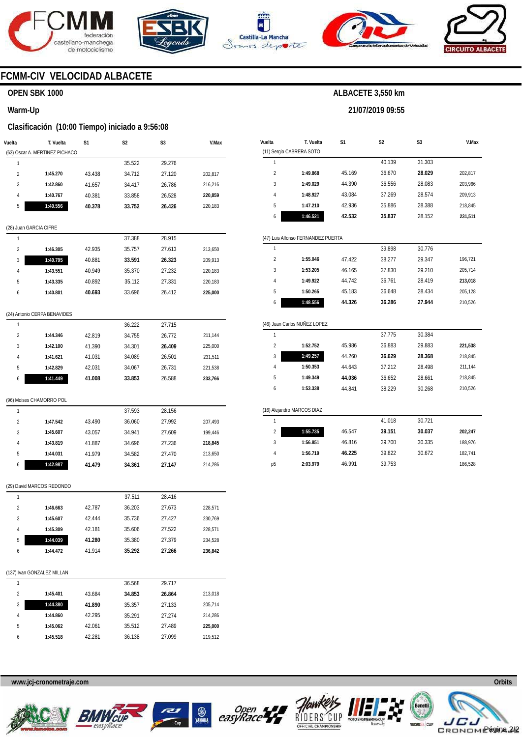





**Vuelta** 

(11) Sergio CABRERA SOTO

**T. Vuelta** 

**S1** 



**S2** 

**ALBACETE 3,550 km** 

**21/07/2019 09:55** 

**S3** 



**V.Max** 

## **FCMM-CIV VELOCIDAD ALBACETE**

#### **OPEN SBK 1000**

#### **Warm-Up**

#### **Clasificación (10:00 Tiempo) iniciado a 9:56:08**

| Vuelta                 | T. Vuelta<br>(63) Oscar A. MERTINEZ PICHACO | S1     | S2     | S3     | V.Max   |
|------------------------|---------------------------------------------|--------|--------|--------|---------|
| 1                      |                                             |        | 35.522 | 29.276 |         |
| $\overline{2}$         | 1:45.270                                    | 43.438 | 34.712 | 27.120 | 202,817 |
| 3                      | 1:42.860                                    | 41.657 | 34.417 | 26.786 | 216,216 |
| 4                      | 1:40.767                                    | 40.381 | 33.858 | 26.528 | 220,859 |
| 5                      | 1:40.556                                    | 40.378 | 33.752 | 26.426 | 220,183 |
| (28) Juan GARCIA CIFRE |                                             |        |        |        |         |
| 1                      |                                             |        | 37.388 | 28.915 |         |
| $\overline{2}$         | 1:46.305                                    | 42.935 | 35.757 | 27.613 | 213,650 |
| 3                      | 1:40.795                                    | 40.881 | 33.591 | 26.323 | 209,913 |
| 4                      | 1:43.551                                    | 40.949 | 35.370 | 27.232 | 220,183 |
| 5                      | 1:43.335                                    | 40.892 | 35.112 | 27.331 | 220,183 |
| 6                      | 1:40.801                                    | 40.693 | 33.696 | 26.412 | 225,000 |
|                        | (24) Antonio CERPA BENAVIDES                |        |        |        |         |
| 1                      |                                             |        | 36.222 | 27.715 |         |
| $\overline{2}$         | 1:44.346                                    | 42.819 | 34.755 | 26.772 | 211,144 |
| 3                      | 1:42.100                                    | 41.390 | 34.301 | 26.409 | 225,000 |
| 4                      | 1:41.621                                    | 41.031 | 34.089 | 26.501 | 231,511 |
| 5                      | 1:42.829                                    | 42.031 | 34.067 | 26.731 | 221,538 |
| 6                      | 1:41.449                                    | 41.008 | 33.853 | 26.588 | 233,766 |
|                        | (96) Moises CHAMORRO POL                    |        |        |        |         |
| 1                      |                                             |        | 37.593 | 28.156 |         |
| $\overline{2}$         | 1:47.542                                    | 43.490 | 36.060 | 27.992 | 207,493 |
| 3                      | 1:45.607                                    | 43.057 | 34.941 | 27.609 | 199,446 |
| 4                      | 1:43.819                                    | 41.887 | 34.696 | 27.236 | 218,845 |
| 5                      | 1:44.031                                    | 41.979 | 34.582 | 27.470 | 213,650 |
| 6                      | 1:42.987                                    | 41.479 | 34.361 | 27.147 | 214,286 |
|                        | (29) David MARCOS REDONDO                   |        |        |        |         |
| 1                      |                                             |        | 37.511 | 28.416 |         |
| $\overline{2}$         | 1:46.663                                    | 42.787 | 36.203 | 27.673 | 228,571 |
| 3                      | 1:45.607                                    | 42.444 | 35.736 | 27.427 | 230,769 |
| 4                      | 1:45.309                                    | 42.181 | 35.606 | 27.522 | 228,571 |
| 5                      | 1:44.039                                    | 41.280 | 35.380 | 27.379 | 234,528 |
| 6                      | 1:44.472                                    | 41.914 | 35.292 | 27.266 | 236,842 |

#### (137) Ivan GONZALEZ MILLAN

|                |          |        | 36.568 | 29.717 |         |
|----------------|----------|--------|--------|--------|---------|
| $\mathfrak{p}$ | 1:45.401 | 43.684 | 34.853 | 26.864 | 213,018 |
| 3              | 1:44.380 | 41.890 | 35.357 | 27.133 | 205.714 |
| 4              | 1:44.860 | 42.295 | 35.291 | 27.274 | 214.286 |
| 5              | 1:45.062 | 42.061 | 35.512 | 27.489 | 225.000 |
| 6              | 1:45.518 | 42.281 | 36.138 | 27.099 | 219,512 |
|                |          |        |        |        |         |

#### 1 2 3 4 5 6 (47) Luis Alfonso FERNANDEZ PUERTA 1  $\overline{2}$ 3 4 5 6 (46) Juan Carlos NUÑEZ LOPEZ 1 **1:49.868 1:49.029 1:48.927 1:47.210 1:46.521 1:55.046 1:53.205 1:49.922 1:50.265 1:48.556**  45.169 44.390 43.084 42.936 **42.532**  47.422 46.165 44.742 45.183 **44.326**  40.139 36.670 36.556 37.269 35.886 **35.837**  39.898 38.277 37.830 36.761 36.648 **36.286**  37.775 31.303 **28.029**  28.083 28.574 28.388 28.152 30.776 29.347 29.210 28.419 28.434 **27.944**  30.384 202,817 203,966 209,913 218,845 **231,511**  196,721 205,714 **213,018**  205,128 210,526

|   |          |        | 31.115 | 30.384 |         |
|---|----------|--------|--------|--------|---------|
| 2 | 1:52.752 | 45.986 | 36.883 | 29.883 | 221,538 |
| 3 | 1:49.257 | 44.260 | 36.629 | 28.368 | 218.845 |
| 4 | 1:50.353 | 44.643 | 37.212 | 28.498 | 211.144 |
| 5 | 1:49.349 | 44.036 | 36.652 | 28.661 | 218.845 |
| 6 | 1:53.338 | 44.841 | 38.229 | 30.268 | 210,526 |
|   |          |        |        |        |         |

#### (16) Alejandro MARCOS DIAZ

|    |          |        | 41.018 | 30.721 |         |
|----|----------|--------|--------|--------|---------|
| 2  | 1:55.735 | 46.547 | 39.151 | 30.037 | 202.247 |
| 3  | 1:56.851 | 46.816 | 39.700 | 30.335 | 188,976 |
| 4  | 1:56.719 | 46.225 | 39.822 | 30.672 | 182.741 |
| p5 | 2:03.979 | 46.991 | 39.753 |        | 186,528 |
|    |          |        |        |        |         |









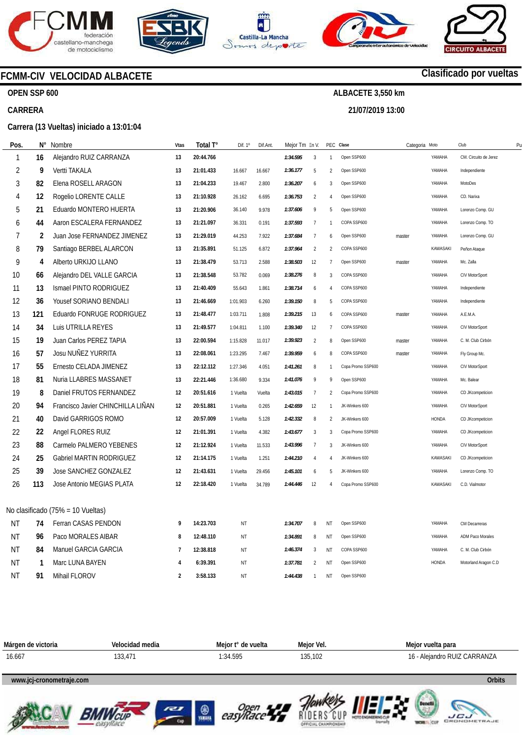

**OPEN SSP 600** 









# **Clasificado por vueltas**

**ALBACETE 3,550 km 21/07/2019 13:00** 

# **CARRERA**

## **Carrera (13 Vueltas) iniciado a 13:01:04**

**FCMM-CIV VELOCIDAD ALBACETE** 

| Pos.           | Ν°  | Nombre                            | Vtas           | Total T°  | Dif. 1°   | Dif.Ant. | Mejor Tm En V. |                |                | PEC Clase         | Categoria Moto |                 | Club                    | P <sub>l</sub> |
|----------------|-----|-----------------------------------|----------------|-----------|-----------|----------|----------------|----------------|----------------|-------------------|----------------|-----------------|-------------------------|----------------|
| $\mathbf{1}$   | 16  | Alejandro RUIZ CARRANZA           | 13             | 20:44.766 |           |          | 1:34.595       | 3              | $\overline{1}$ | Open SSP600       |                | YAMAHA          | CM. Circuito de Jerez   |                |
| 2              | 9   | <b>Vertti TAKALA</b>              | 13             | 21:01.433 | 16.667    | 16.667   | 1:36.177       | 5              | $\mathfrak{D}$ | Open SSP600       |                | YAMAHA          | Independiente           |                |
| 3              | 82  | Elena ROSELL ARAGON               | 13             | 21:04.233 | 19.467    | 2.800    | 1:36.207       | 6              | 3              | Open SSP600       |                | YAMAHA          | MotoDes                 |                |
| 4              | 12  | Rogelio LORENTE CALLE             | 13             | 21:10.928 | 26.162    | 6.695    | 1:36.753       | $\overline{2}$ | $\overline{4}$ | Open SSP600       |                | YAMAHA          | CD. Narixa              |                |
| 5              | 21  | Eduardo MONTERO HUERTA            | 13             | 21:20.906 | 36.140    | 9.978    | 1:37.606       | 9              | 5              | Open SSP600       |                | YAMAHA          | Lorenzo Comp. GU        |                |
| 6              | 44  | Aaron ESCALERA FERNANDEZ          | 13             | 21:21.097 | 36.331    | 0.191    | 1:37.593       | $\overline{7}$ | $\mathbf{1}$   | COPA SSP600       |                | YAMAHA          | Lorenzo Comp. TO        |                |
| $\overline{7}$ | 2   | Juan Jose FERNANDEZ JIMENEZ       | 13             | 21:29.019 | 44.253    | 7.922    | 1:37.684       | $\overline{7}$ | 6              | Open SSP600       | master         | YAMAHA          | Lorenzo Comp. GU        |                |
| 8              | 79  | Santiago BERBEL ALARCON           | 13             | 21:35.891 | 51.125    | 6.872    | 1:37.964       | $\overline{2}$ | $\overline{2}$ | COPA SSP600       |                | KAWASAKI        | Peñon Ataque            |                |
| 9              | 4   | Alberto URKIJO LLANO              | 13             | 21:38.479 | 53.713    | 2.588    | 1:38.503       | 12             | $\overline{7}$ | Open SSP600       | master         | YAMAHA          | Mc. Zalla               |                |
| 10             | 66  | Alejandro DEL VALLE GARCIA        | 13             | 21:38.548 | 53.782    | 0.069    | 1:38.276       | 8              | 3              | COPA SSP600       |                | YAMAHA          | CIV MotorSport          |                |
| 11             | 13  | Ismael PINTO RODRIGUEZ            | 13             | 21:40.409 | 55.643    | 1.861    | 1:38.714       | 6              | $\overline{4}$ | COPA SSP600       |                | YAMAHA          | Independiente           |                |
| 12             | 36  | Yousef SORIANO BENDALI            | 13             | 21:46.669 | 1:01.903  | 6.260    | 1:39.150       | 8              | 5              | COPA SSP600       |                | YAMAHA          | Independiente           |                |
| 13             | 121 | Eduardo FONRUGE RODRIGUEZ         | 13             | 21:48.477 | 1:03.711  | 1.808    | 1:39.215       | 13             | 6              | COPA SSP600       | master         | YAMAHA          | A.E.M.A.                |                |
| 14             | 34  | Luis UTRILLA REYES                | 13             | 21:49.577 | 1:04.811  | 1.100    | 1:39.340       | 12             | $\overline{7}$ | COPA SSP600       |                | YAMAHA          | CIV MotorSport          |                |
| 15             | 19  | Juan Carlos PEREZ TAPIA           | 13             | 22:00.594 | 1:15.828  | 11.017   | 1:39.923       | $\overline{2}$ | 8              | Open SSP600       | master         | YAMAHA          | C. M. Club Cirbón       |                |
| 16             | 57  | Josu NUÑEZ YURRITA                | 13             | 22:08.061 | 1:23.295  | 7.467    | 1:39.959       | 6              | 8              | COPA SSP600       | master         | YAMAHA          | Fly Group Mc.           |                |
| 17             | 55  | Ernesto CELADA JIMENEZ            | 13             | 22:12.112 | 1:27.346  | 4.051    | 1:41.261       | 8              | $\overline{1}$ | Copa Promo SSP600 |                | YAMAHA          | CIV MotorSport          |                |
| 18             | 81  | Nuria LLABRES MASSANET            | 13             | 22:21.446 | 1:36.680  | 9.334    | 1:41.076       | $\mathsf{Q}$   | 9              | Open SSP600       |                | YAMAHA          | Mc. Balear              |                |
| 19             | 8   | Daniel FRUTOS FERNANDEZ           | 12             | 20:51.616 | 1 Vuelta  | Vuelta   | 1:43.015       | $\overline{7}$ | $\overline{2}$ | Copa Promo SSP600 |                | YAMAHA          | CD JKcompeticion        |                |
| 20             | 94  | Francisco Javier CHINCHILLA LIÑAN | 12             | 20:51.881 | 1 Vuelta  | 0.265    | 1:42.659       | 12             | $\overline{1}$ | JK-Winkers 600    |                | YAMAHA          | CIV MotorSport          |                |
| 21             | 40  | David GARRIGOS ROMO               | 12             | 20:57.009 | 1 Vuelta  | 5.128    | 1:42.332       | 8              | $\overline{2}$ | JK-Winkers 600    |                | HONDA           | CD JKcompeticion        |                |
| 22             | 22  | Angel FLORES RUIZ                 | 12             | 21:01.391 | 1 Vuelta  | 4.382    | 1:43.677       | 3              | 3              | Copa Promo SSP600 |                | YAMAHA          | CD JKcompeticion        |                |
| 23             | 88  | Carmelo PALMERO YEBENES           | 12             | 21:12.924 | 1 Vuelta  | 11.533   | 1:43.996       | $\overline{7}$ | 3              | JK-Winkers 600    |                | YAMAHA          | CIV MotorSport          |                |
| 24             | 25  | <b>Gabriel MARTIN RODRIGUEZ</b>   | 12             | 21:14.175 | 1 Vuelta  | 1.251    | 1:44.210       | 4              | $\overline{A}$ | JK-Winkers 600    |                | KAWASAKI        | CD JKcompeticion        |                |
| 25             | 39  | Jose SANCHEZ GONZALEZ             | 12             | 21:43.631 | 1 Vuelta  | 29.456   | 1:45.101       | 6              | 5              | JK-Winkers 600    |                | YAMAHA          | Lorenzo Comp. TO        |                |
| 26             | 113 | Jose Antonio MEGIAS PLATA         | 12             | 22:18.420 | 1 Vuelta  | 34.789   | 1:44.446       | 12             | $\overline{4}$ | Copa Promo SSP600 |                | <b>KAWASAKI</b> | C.D. Vialmotor          |                |
|                |     |                                   |                |           |           |          |                |                |                |                   |                |                 |                         |                |
|                |     | No clasificado (75% = 10 Vueltas) |                |           |           |          |                |                |                |                   |                |                 |                         |                |
| ΝT             | 74  | Ferran CASAS PENDON               | 9              | 14:23.703 | NT        |          | 1:34.707       | 8              | NT             | Open SSP600       |                | YAMAHA          | CM Decarreras           |                |
| ΝT             | 96  | Paco MORALES AIBAR                | 8              | 12:48.110 | <b>NT</b> |          | 1:34.891       | 8              | NT             | Open SSP600       |                | YAMAHA          | <b>ADM Paco Morales</b> |                |
| <b>NT</b>      | 84  | Manuel GARCIA GARCIA              | $\overline{7}$ | 12:38.818 | NT        |          | 1:46.374       | 3              | NT             | COPA SSP600       |                | YAMAHA          | C. M. Club Cirbón       |                |
| ΝT             | 1   | Marc LUNA BAYEN                   | $\overline{4}$ | 6:39.391  | NT        |          | 1:37.781       | $\overline{2}$ | NT             | Open SSP600       |                | <b>HONDA</b>    | Motorland Aragon C.D    |                |
| ΝT             | 91  | Mihail FLOROV                     | $\overline{2}$ | 3:58.133  | NT        |          | 1:44.438       | $\overline{1}$ | <b>NT</b>      | Open SSP600       |                |                 |                         |                |

| Márgen de victoria | Velocidad media | Meior t° de vuelta | Meior Vel. | Meior vuelta para            |
|--------------------|-----------------|--------------------|------------|------------------------------|
| 16.667             | 133.471         | 1:34.595           | 135.102    | 16 - Alejandro RUIZ CARRANZA |
|                    |                 |                    |            |                              |

## **www.jcj-cronometraje.com Orbits**







**O** 





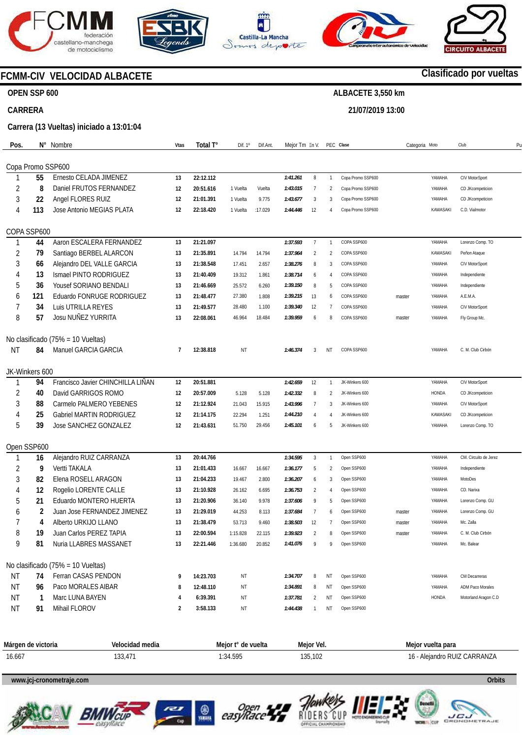









# **FCMM-CIV VELOCIDAD ALBACETE**

## **OPEN SSP 600**

## **CARRERA**

**Carrera (13 Vueltas) iniciado a 13:01:04** 

| Pos.      | Ν°             | Nombre                            | Vtas | Total T°  | Dif. 1°  | Dif.Ant. | Mejor Tm En V. |                |                | PEC Clase         | Categoria Moto |          | Club<br>P <sub>l</sub>  |
|-----------|----------------|-----------------------------------|------|-----------|----------|----------|----------------|----------------|----------------|-------------------|----------------|----------|-------------------------|
|           |                |                                   |      |           |          |          |                |                |                |                   |                |          |                         |
|           |                | Copa Promo SSP600                 |      |           |          |          |                |                |                |                   |                |          |                         |
|           | 55             | Ernesto CELADA JIMENEZ            | 13   | 22:12.112 |          |          | 1:41.261       | 8              | $\overline{1}$ | Copa Promo SSP600 |                | YAMAHA   | CIV MotorSport          |
| 2         | 8              | Daniel FRUTOS FERNANDEZ           | 12   | 20:51.616 | 1 Vuelta | Vuelta   | 1:43.015       | $\overline{7}$ | 2              | Copa Promo SSP600 |                | YAMAHA   | CD JKcompeticion        |
| 3         | 22             | Angel FLORES RUIZ                 | 12   | 21:01.391 | 1 Vuelta | 9.775    | 1:43.677       | 3              | 3              | Copa Promo SSP600 |                | YAMAHA   | CD JKcompeticion        |
| 4         | 113            | Jose Antonio MEGIAS PLATA         | 12   | 22:18.420 | 1 Vuelta | :17.029  | 1:44.446       | 12             | $\overline{4}$ | Copa Promo SSP600 |                | KAWASAKI | C.D. Vialmotor          |
|           |                |                                   |      |           |          |          |                |                |                |                   |                |          |                         |
|           | COPA SSP600    |                                   |      |           |          |          |                |                |                |                   |                |          |                         |
|           | 44             | Aaron ESCALERA FERNANDEZ          | 13   | 21:21.097 |          |          | 1:37.593       | $\overline{7}$ | $\mathbf{1}$   | COPA SSP600       |                | YAMAHA   | Lorenzo Comp. TO        |
| 2         | 79             | Santiago BERBEL ALARCON           | 13   | 21:35.891 | 14.794   | 14.794   | 1:37.964       | $\overline{2}$ | 2              | COPA SSP600       |                | KAWASAKI | Peñon Ataque            |
| 3         | 66             | Alejandro DEL VALLE GARCIA        | 13   | 21:38.548 | 17.451   | 2.657    | 1:38.276       | 8              | 3              | COPA SSP600       |                | YAMAHA   | CIV MotorSport          |
| 4         | 13             | Ismael PINTO RODRIGUEZ            | 13   | 21:40.409 | 19.312   | 1.861    | 1:38.714       | 6              | 4              | COPA SSP600       |                | YAMAHA   | Independiente           |
| 5         | 36             | <b>Yousef SORIANO BENDALI</b>     | 13   | 21:46.669 | 25.572   | 6.260    | 1:39.150       | 8              | 5              | COPA SSP600       |                | YAMAHA   | Independiente           |
| 6         | 121            | Eduardo FONRUGE RODRIGUEZ         | 13   | 21:48.477 | 27.380   | 1.808    | 1:39.215       | 13             | 6              | COPA SSP600       | master         | YAMAHA   | A.E.M.A.                |
| 7         | 34             | Luis UTRILLA REYES                | 13   | 21:49.577 | 28.480   | 1.100    | 1:39.340       | 12             | 7              | COPA SSP600       |                | YAMAHA   | CIV MotorSport          |
| 8         | 57             | Josu NUÑEZ YURRITA                | 13   | 22:08.061 | 46.964   | 18.484   | 1:39.959       | 6              | 8              | COPA SSP600       | master         | YAMAHA   | Fly Group Mc.           |
|           |                |                                   |      |           |          |          |                |                |                |                   |                |          |                         |
|           |                | No clasificado (75% = 10 Vueltas) |      |           |          |          |                |                |                |                   |                |          |                         |
| NT        | 84             | Manuel GARCIA GARCIA              | 7    | 12:38.818 | NT       |          | 1:46.374       | 3              | ΝT             | COPA SSP600       |                | YAMAHA   | C. M. Club Cirbón       |
|           |                |                                   |      |           |          |          |                |                |                |                   |                |          |                         |
|           | JK-Winkers 600 |                                   |      |           |          |          |                |                |                |                   |                |          |                         |
|           | 94             | Francisco Javier CHINCHILLA LIÑAN | 12   | 20:51.881 |          |          | 1:42.659       | 12             | $\overline{1}$ | JK-Winkers 600    |                | YAMAHA   | CIV MotorSport          |
| 2         | 40             | David GARRIGOS ROMO               | 12   | 20:57.009 | 5.128    | 5.128    | 1:42.332       | 8              | 2              | JK-Winkers 600    |                | HONDA    | CD JKcompeticion        |
| 3         | 88             | Carmelo PALMERO YEBENES           | 12   | 21:12.924 | 21.043   | 15.915   | 1:43.996       | 7              | 3              | JK-Winkers 600    |                | YAMAHA   | CIV MotorSport          |
| 4         | 25             | Gabriel MARTIN RODRIGUEZ          | 12   | 21:14.175 | 22.294   | 1.251    | 1:44.210       | $\overline{4}$ | $\overline{4}$ | JK-Winkers 600    |                | KAWASAKI | CD JKcompeticion        |
| 5         | 39             | Jose SANCHEZ GONZALEZ             | 12   | 21:43.631 | 51.750   | 29.456   | 1:45.101       | 6              | 5              | JK-Winkers 600    |                | YAMAHA   | Lorenzo Comp. TO        |
|           |                |                                   |      |           |          |          |                |                |                |                   |                |          |                         |
|           | Open SSP600    |                                   |      |           |          |          |                |                |                |                   |                |          |                         |
|           | 16             | Alejandro RUIZ CARRANZA           | 13   | 20:44.766 |          |          | 1:34.595       | 3              | $\mathbf{1}$   | Open SSP600       |                | YAMAHA   | CM. Circuito de Jerez   |
| 2         | 9              | Vertti TAKALA                     | 13   | 21:01.433 | 16.667   | 16.667   | 1:36.177       | 5              | $\overline{2}$ | Open SSP600       |                | YAMAHA   | Independiente           |
| 3         | 82             | Elena ROSELL ARAGON               | 13   | 21:04.233 | 19.467   | 2.800    | 1:36.207       | 6              | 3              | Open SSP600       |                | YAMAHA   | MotoDes                 |
| 4         | 12             | Rogelio LORENTE CALLE             | 13   | 21:10.928 | 26.162   | 6.695    | 1:36.753       | $\overline{2}$ | 4              | Open SSP600       |                | YAMAHA   | CD. Narixa              |
| 5         | 21             | Eduardo MONTERO HUERTA            | 13   | 21:20.906 | 36.140   | 9.978    | 1:37.606       | 9              | 5              | Open SSP600       |                | YAMAHA   | Lorenzo Comp. GU        |
| 6         | 2              | Juan Jose FERNANDEZ JIMENEZ       | 13   | 21:29.019 | 44.253   | 8.113    | 1:37.684       | 7              | 6              | Open SSP600       | master         | YAMAHA   | Lorenzo Comp. GU        |
|           | 4              | Alberto URKIJO LLANO              | 13   | 21:38.479 | 53.713   | 9.460    | 1:38.503       | 12             | $\overline{7}$ | Open SSP600       | master         | YAMAHA   | Mc. Zalla               |
|           | 19             | Juan Carlos PEREZ TAPIA           | 13   | 22:00.594 | 1:15.828 | 22.115   | 1:39.923       | 2              | 8              | Open SSP600       | master         | YAMAHA   | C. M. Club Cirbón       |
| 9         | 81             | Nuria LLABRES MASSANET            | 13   | 22:21.446 | 1:36.680 | 20.852   | 1:41.076       | -9             | 9              | Open SSP600       |                | YAMAHA   | Mc. Balear              |
|           |                |                                   |      |           |          |          |                |                |                |                   |                |          |                         |
|           |                | No clasificado (75% = 10 Vueltas) |      |           |          |          |                |                |                |                   |                |          |                         |
| <b>NT</b> | 74             | Ferran CASAS PENDON               | 9    | 14:23.703 | ΝT       |          | 1:34.707       | 8              | ΝT             | Open SSP600       |                | YAMAHA   | CM Decarreras           |
| ΝT        | 96             | Paco MORALES AIBAR                | 8    | 12:48.110 | ΝT       |          | 1:34.891       | 8              | ΝT             | Open SSP600       |                | YAMAHA   | <b>ADM Paco Morales</b> |
| ΝT        | 1              | Marc LUNA BAYEN                   | 4    | 6:39.391  | ΝT       |          | 1:37.781       | 2              | ΝT             | Open SSP600       |                | HONDA    | Motorland Aragon C.D    |
| ΝT        | 91             | Mihail FLOROV                     | 2    | 3:58.133  | ΝT       |          | 1:44.438       | $\mathbf{1}$   | ΝT             | Open SSP600       |                |          |                         |
|           |                |                                   |      |           |          |          |                |                |                |                   |                |          |                         |

| Márger<br>victoria<br>α٤ | medi.<br>۱۵۱۸.                                              | vuelta<br>יחוח"<br>91 U<br>. | ™eior Vei.<br>the contract of the contract of | * vuelta para     |
|--------------------------|-------------------------------------------------------------|------------------------------|-----------------------------------------------|-------------------|
| 16.667<br>.              | $\overline{\phantom{a}}$<br>$\overline{\phantom{a}}$<br>JJ, | EOF<br>54.<br>.<br>.         | 100<br>121<br>1 U 4<br>، ب ر                  | ARRANZA<br>- Ale' |

#### **www.jcj-cronometraje.com Orbits**







**O** 







## **Clasificado por vueltas**

# **ALBACETE 3,550 km**

**21/07/2019 13:00**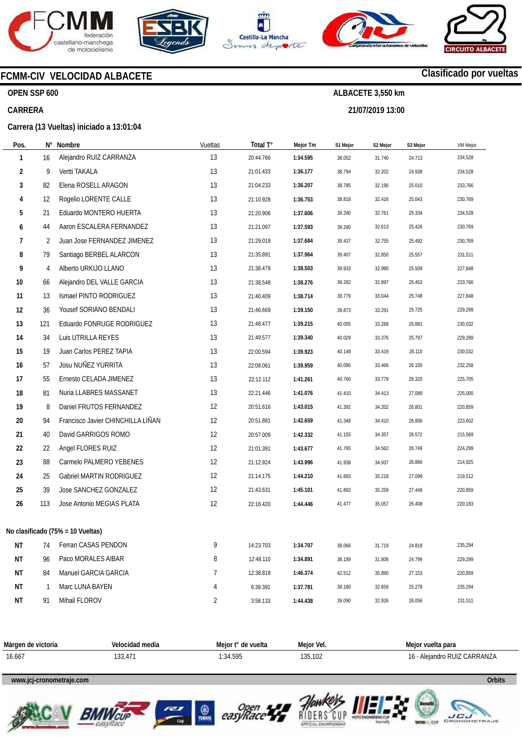









# **FCMM-CIV VELOCIDAD ALBACETE**

## **OPEN SSP 600**

## **CARRERA**

**Carrera (13 Vueltas) iniciado a 13:01:04** 

| Pos. | Ν°           | Nombre                            | Vueltas | Total T°  | Mejor Tm | S1 Mejor | S2 Mejor | S3 Mejor | <b>VM Mejor</b> |
|------|--------------|-----------------------------------|---------|-----------|----------|----------|----------|----------|-----------------|
| 1    | 16           | Alejandro RUIZ CARRANZA           | 13      | 20:44.766 | 1:34.595 | 38.052   | 31.740   | 24.713   | 234,528         |
| 2    | 9            | Vertti TAKALA                     | 13      | 21:01.433 | 1:36.177 | 38.794   | 32.202   | 24.938   | 234,528         |
| 3    | 82           | Elena ROSELL ARAGON               | 13      | 21:04.233 | 1:36.207 | 38.785   | 32.190   | 25.010   | 233,766         |
| 4    | 12           | Rogelio LORENTE CALLE             | 13      | 21:10.928 | 1:36.753 | 38.818   | 32.416   | 25.043   | 230,769         |
| 5    | 21           | Eduardo MONTERO HUERTA            | 13      | 21:20.906 | 1:37.606 | 39.290   | 32.761   | 25.334   | 234,528         |
| 6    | 44           | Aaron ESCALERA FERNANDEZ          | 13      | 21:21.097 | 1:37.593 | 39.290   | 32.613   | 25.426   | 230,769         |
| 7    | 2            | Juan Jose FERNANDEZ JIMENEZ       | 13      | 21:29.019 | 1:37.684 | 39.437   | 32.755   | 25.492   | 230,769         |
| 8    | 79           | Santiago BERBEL ALARCON           | 13      | 21:35.891 | 1:37.964 | 39.407   | 32.850   | 25.557   | 231,511         |
| 9    | 4            | Alberto URKIJO LLANO              | 13      | 21:38.479 | 1:38.503 | 39.933   | 32.990   | 25.509   | 227,848         |
| 10   | 66           | Alejandro DEL VALLE GARCIA        | 13      | 21:38.548 | 1:38.276 | 39.282   | 32.897   | 25.453   | 233,766         |
| 11   | 13           | Ismael PINTO RODRIGUEZ            | 13      | 21:40.409 | 1:38.714 | 39.779   | 33.044   | 25.748   | 227,848         |
| 12   | 36           | Yousef SORIANO BENDALI            | 13      | 21:46.669 | 1:39.150 | 39.873   | 33.291   | 25.725   | 229,299         |
| 13   | 121          | Eduardo FONRUGE RODRIGUEZ         | 13      | 21:48.477 | 1:39.215 | 40.005   | 33.268   | 25.881   | 230,032         |
| 14   | 34           | Luis UTRILLA REYES                | 13      | 21:49.577 | 1:39.340 | 40.029   | 33.376   | 25.797   | 229,299         |
| 15   | 19           | Juan Carlos PEREZ TAPIA           | 13      | 22:00.594 | 1:39.923 | 40.148   | 33.419   | 26.110   | 230,032         |
| 16   | 57           | Josu NUÑEZ YURRITA                | 13      | 22:08.061 | 1:39.959 | 40.095   | 33.466   | 26.150   | 232,258         |
| 17   | 55           | Ernesto CELADA JIMENEZ            | 13      | 22:12.112 | 1:41.261 | 40.760   | 33.779   | 26.320   | 225,705         |
| 18   | 81           | Nuria LLABRES MASSANET            | 13      | 22:21.446 | 1:41.076 | 41.410   | 34.413   | 27.089   | 225,000         |
| 19   | 8            | Daniel FRUTOS FERNANDEZ           | 12      | 20:51.616 | 1:43.015 | 41.392   | 34.202   | 26.801   | 220,859         |
| 20   | 94           | Francisco Javier CHINCHILLA LINAN | 12      | 20:51.881 | 1:42.659 | 41.348   | 34.410   | 26.806   | 223,602         |
| 21   | 40           | David GARRIGOS ROMO               | 12      | 20:57.009 | 1:42.332 | 41.155   | 34.357   | 26.572   | 215,569         |
| 22   | 22           | Angel FLORES RUIZ                 | 12      | 21:01.391 | 1:43.677 | 41.765   | 34.562   | 26.749   | 224,299         |
| 23   | 88           | Carmelo PALMERO YEBENES           | 12      | 21:12.924 | 1:43.996 | 41.938   | 34.937   | 26.866   | 214,925         |
| 24   | 25           | Gabriel MARTIN RODRIGUEZ          | 12      | 21:14.175 | 1:44.210 | 41.893   | 35.218   | 27.099   | 219,512         |
| 25   | 39           | Jose SANCHEZ GONZALEZ             | 12      | 21:43.631 | 1:45.101 | 41.892   | 35.259   | 27.448   | 220,859         |
| 26   | 113          | Jose Antonio MEGIAS PLATA         | 12      | 22:18.420 | 1:44.446 | 41.477   | 35.057   | 26.408   | 220,183         |
|      |              | No clasificado (75% = 10 Vueltas) |         |           |          |          |          |          |                 |
| ΝT   | 74           | Ferran CASAS PENDON               | 9       | 14:23.703 | 1:34.707 | 38.066   | 31.719   | 24.818   | 235,294         |
| ΝT   | 96           | Paco MORALES AIBAR                | 8       | 12:48.110 | 1:34.891 | 38.189   | 31.806   | 24.799   | 229,299         |
| ΝT   | 84           | Manuel GARCIA GARCIA              | 7       | 12:38.818 | 1:46.374 | 42.512   | 35.890   | 27.153   | 220,859         |
| ΝT   | $\mathbf{1}$ | Marc LUNA BAYEN                   | 4       | 6:39.391  | 1:37.781 | 39.180   | 32.659   | 25.278   | 235,294         |
| ΝT   | 91           | Mihail FLOROV                     | 2       | 3:58.133  | 1:44.438 | 39.090   | 32.926   | 26.056   | 231,511         |

| Márgen de victoria | Velocidad media     | Meior t° de vuelta | Meior Vel. | Meior vuelta para         |
|--------------------|---------------------|--------------------|------------|---------------------------|
| 16.667             | $\sim$<br>ا 1 3 ق 1 | 1:34.595           | 135.102    | - Aleiandro RUIZ CARRANZA |

## **www.jcj-cronometraje.com Orbits**







**O** 







# **Clasificado por vueltas**

**ALBACETE 3,550 km 21/07/2019 13:00**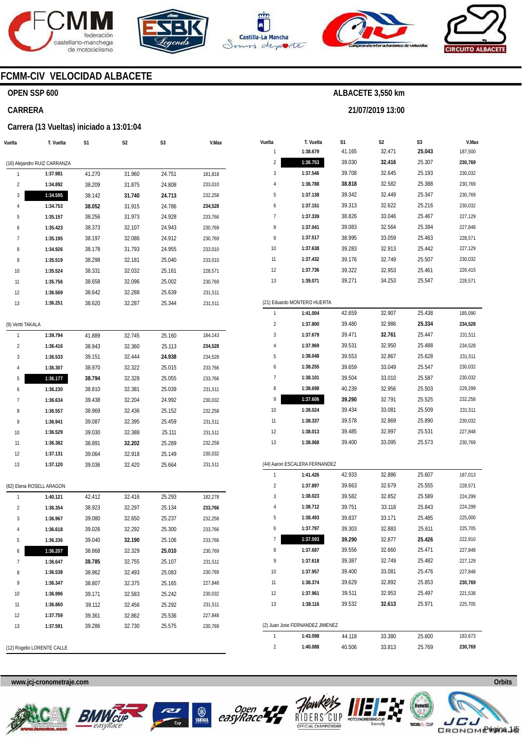







**21/07/2019 13:00** 



# **FCMM-CIV VELOCIDAD ALBACETE**

## **OPEN SSP 600**

#### **CARRERA**

#### **Carrera (13 Vueltas) iniciado a 13:01:04**

| Vuelta                       | T. Vuelta                  | S1     | S2     | S3     | V.Max   |  |  |  |  |  |
|------------------------------|----------------------------|--------|--------|--------|---------|--|--|--|--|--|
|                              |                            |        |        |        |         |  |  |  |  |  |
| (16) Alejandro RUIZ CARRANZA |                            |        |        |        |         |  |  |  |  |  |
| 1                            | 1:37.981                   | 41.270 | 31.960 | 24.751 | 181,818 |  |  |  |  |  |
| 2                            | 1:34.892                   | 38.209 | 31.875 | 24.808 | 233,010 |  |  |  |  |  |
| 3                            | 1:34.595                   | 38.142 | 31.740 | 24.713 | 232,258 |  |  |  |  |  |
| 4                            | 1:34.753                   | 38.052 | 31.915 | 24.786 | 234,528 |  |  |  |  |  |
| 5                            | 1:35.157                   | 38.256 | 31.973 | 24.928 | 233,766 |  |  |  |  |  |
| 6                            | 1:35.423                   | 38.373 | 32.107 | 24.943 | 230,769 |  |  |  |  |  |
| 7                            | 1:35.195                   | 38.197 | 32.086 | 24.912 | 230,769 |  |  |  |  |  |
| 8                            | 1:34.926                   | 38.178 | 31.793 | 24.955 | 233,010 |  |  |  |  |  |
| 9                            | 1:35.519                   | 38.298 | 32.181 | 25.040 | 233,010 |  |  |  |  |  |
| 10                           | 1:35.524                   | 38.331 | 32.032 | 25.161 | 228,571 |  |  |  |  |  |
| 11                           | 1:35.756                   | 38.658 | 32.096 | 25.002 | 230,769 |  |  |  |  |  |
| 12                           | 1:36.569                   | 38.642 | 32.288 | 25.639 | 231,511 |  |  |  |  |  |
| 13                           | 1:36.251                   | 38.620 | 32.287 | 25.344 | 231,511 |  |  |  |  |  |
|                              |                            |        |        |        |         |  |  |  |  |  |
| (9) Vertti TAKALA            |                            |        |        |        |         |  |  |  |  |  |
| 1                            | 1:39.794                   | 41.889 | 32.745 | 25.160 | 184,143 |  |  |  |  |  |
| 2                            | 1:36.416                   | 38.943 | 32.360 | 25.113 | 234,528 |  |  |  |  |  |
| 3                            | 1:36.533                   | 39.151 | 32.444 | 24.938 | 234,528 |  |  |  |  |  |
| 4                            | 1:36.307                   | 38.970 | 32.322 | 25.015 | 233,766 |  |  |  |  |  |
| 5                            | 1:36.177                   | 38.794 | 32.328 | 25.055 | 233,766 |  |  |  |  |  |
| 6                            | 1:36.230                   | 38.810 | 32.381 | 25.039 | 231,511 |  |  |  |  |  |
| 7                            | 1:36.634                   | 39.438 | 32.204 | 24.992 | 230,032 |  |  |  |  |  |
| 8                            | 1:36.557                   | 38.969 | 32.436 | 25.152 | 232,258 |  |  |  |  |  |
| 9                            | 1:36.941                   | 39.087 | 32.395 | 25.459 | 231,511 |  |  |  |  |  |
| 10                           | 1:36.529                   | 39.030 | 32.388 | 25.111 | 231,511 |  |  |  |  |  |
| 11                           | 1:36.382                   | 38.891 | 32.202 | 25.289 | 232,258 |  |  |  |  |  |
| 12                           | 1:37.131                   | 39.064 | 32.918 | 25.149 | 230,032 |  |  |  |  |  |
| 13                           | 1:37.120                   | 39.036 | 32.420 | 25.664 | 231,511 |  |  |  |  |  |
|                              |                            |        |        |        |         |  |  |  |  |  |
|                              | (82) Elena ROSELL ARAGON   |        |        |        |         |  |  |  |  |  |
| 1                            | 1:40.121                   | 42.412 | 32.416 | 25.293 | 182,278 |  |  |  |  |  |
| 2                            | 1:36.354                   | 38.923 | 32.297 | 25.134 | 233,766 |  |  |  |  |  |
| 3                            | 1:36.967                   | 39.080 | 32.650 | 25.237 | 232,258 |  |  |  |  |  |
| 4                            | 1:36.618                   | 39.026 | 32.292 | 25.300 | 233,766 |  |  |  |  |  |
| 5                            | 1:36.336                   | 39.040 | 32.190 | 25.106 | 233,766 |  |  |  |  |  |
| 6                            | 1:36.207                   | 38.868 | 32.329 | 25.010 | 230,769 |  |  |  |  |  |
| 7                            | 1:36.647                   | 38.785 | 32.755 | 25.107 | 231,511 |  |  |  |  |  |
| 8                            | 1:36.538                   | 38.962 | 32.493 | 25.083 | 230,769 |  |  |  |  |  |
| 9                            | 1:36.347                   | 38.807 | 32.375 | 25.165 | 227,848 |  |  |  |  |  |
| 10                           | 1:36.996                   | 39.171 | 32.583 | 25.242 | 230,032 |  |  |  |  |  |
|                              |                            |        |        |        |         |  |  |  |  |  |
| 11                           | 1:36.860                   | 39.112 | 32.456 | 25.292 | 231,511 |  |  |  |  |  |
| 12                           | 1:37.759                   | 39.361 | 32.862 | 25.536 | 227,848 |  |  |  |  |  |
| 13                           | 1:37.591                   | 39.286 | 32.730 | 25.575 | 230,769 |  |  |  |  |  |
|                              | (12) Rogelio LORENTE CALLE |        |        |        |         |  |  |  |  |  |

| Vuelta | T. Vuelta                       | S1     | S <sub>2</sub> | S3     | V.Max   |  |  |  |  |  |
|--------|---------------------------------|--------|----------------|--------|---------|--|--|--|--|--|
| 1      | 1:38.679                        | 41.165 | 32.471         | 25.043 | 187,500 |  |  |  |  |  |
| 2      | 1:36.753                        | 39.030 | 32.416         | 25.307 | 230,769 |  |  |  |  |  |
| 3      | 1:37.546                        | 39.708 | 32.645         | 25.193 | 230,032 |  |  |  |  |  |
| 4      | 1:36.788                        | 38.818 | 32.582         | 25.388 | 230,769 |  |  |  |  |  |
| 5      | 1:37.138                        | 39.342 | 32.449         | 25.347 | 230,769 |  |  |  |  |  |
| 6      | 1:37.151                        | 39.313 | 32.622         | 25.216 | 230,032 |  |  |  |  |  |
| 7      | 1:37.339                        | 38.826 | 33.046         | 25.467 | 227,129 |  |  |  |  |  |
| 8      | 1:37.041                        | 39.083 | 32.564         | 25.394 | 227,848 |  |  |  |  |  |
| 9      | 1:37.517                        | 38.995 | 33.059         | 25.463 | 228,571 |  |  |  |  |  |
| 10     | 1:37.638                        | 39.283 | 32.913         | 25.442 | 227,129 |  |  |  |  |  |
| 11     | 1:37.432                        | 39.176 | 32.749         | 25.507 | 230,032 |  |  |  |  |  |
| 12     | 1:37.736                        | 39.322 | 32.953         | 25.461 | 226,415 |  |  |  |  |  |
| 13     | 1:39.071                        | 39.271 | 34.253         | 25.547 | 228,571 |  |  |  |  |  |
|        |                                 |        |                |        |         |  |  |  |  |  |
|        | (21) Eduardo MONTERO HUERTA     |        |                |        |         |  |  |  |  |  |
| 1      | 1:41.004                        | 42.659 | 32.907         | 25.438 | 185,090 |  |  |  |  |  |
| 2      | 1:37.800                        | 39.480 | 32.986         | 25.334 | 234,528 |  |  |  |  |  |
| 3      | 1:37.679                        | 39.471 | 32.761         | 25.447 | 231,511 |  |  |  |  |  |
| 4      | 1:37.969                        | 39.531 | 32.950         | 25.488 | 234,528 |  |  |  |  |  |
| 5      | 1:38.048                        | 39.553 | 32.867         | 25.628 | 231,511 |  |  |  |  |  |
| 6      | 1:38.255                        | 39.659 | 33.049         | 25.547 | 230,032 |  |  |  |  |  |
| 7      | 1:38.101                        | 39.504 | 33.010         | 25.587 | 230,032 |  |  |  |  |  |
| 8      | 1:38.698                        | 40.239 | 32.956         | 25.503 | 229,299 |  |  |  |  |  |
| 9      | 1:37.606                        | 39.290 | 32.791         | 25.525 | 232,258 |  |  |  |  |  |
| 10     | 1:38.024                        | 39.434 | 33.081         | 25.509 | 231,511 |  |  |  |  |  |
| 11     | 1:38.337                        | 39.578 | 32.869         | 25.890 | 230,032 |  |  |  |  |  |
| 12     | 1:38.013                        | 39.485 | 32.997         | 25.531 | 227,848 |  |  |  |  |  |
| 13     | 1:38.068                        | 39.400 | 33.095         | 25.573 | 230,769 |  |  |  |  |  |
|        |                                 |        |                |        |         |  |  |  |  |  |
|        | (44) Aaron ESCALERA FERNANDEZ   |        |                |        |         |  |  |  |  |  |
| 1      | 1:41.426                        | 42.933 | 32.886         | 25.607 | 187,013 |  |  |  |  |  |
| 2      | 1:37.897                        | 39.663 | 32.679         | 25.555 | 228,571 |  |  |  |  |  |
| 3      | 1:38.023                        | 39.582 | 32.852         | 25.589 | 224,299 |  |  |  |  |  |
| 4      | 1:38.712                        | 39.751 | 33.118         | 25.843 | 224,299 |  |  |  |  |  |
| 5      | 1:38.493                        | 39.837 | 33.171         | 25.485 | 225,000 |  |  |  |  |  |
| 6      | 1:37.797                        | 39.303 | 32.883         | 25.611 | 225,705 |  |  |  |  |  |
| 7      | 1:37.593                        | 39.290 | 32.877         | 25.426 | 222,910 |  |  |  |  |  |
| 8      | 1:37.687                        | 39.556 | 32.660         | 25.471 | 227,848 |  |  |  |  |  |
| 9      | 1:37.618                        | 39.387 | 32.749         | 25.482 | 227,129 |  |  |  |  |  |
| 10     | 1:37.957                        | 39.400 | 33.081         | 25.476 | 227,848 |  |  |  |  |  |
| 11     | 1:38.374                        | 39.629 | 32.892         | 25.853 | 230,769 |  |  |  |  |  |
| 12     | 1:37.961                        | 39.511 | 32.953         | 25.497 | 221,538 |  |  |  |  |  |
| 13     | 1:38.116                        | 39.532 | 32.613         | 25.971 | 225,705 |  |  |  |  |  |
|        |                                 |        |                |        |         |  |  |  |  |  |
|        | (2) Juan Jose FERNANDEZ JIMENEZ |        |                |        |         |  |  |  |  |  |
| 1      | 1:43.098                        | 44.118 | 33.380         | 25.600 | 183,673 |  |  |  |  |  |
| 2      | 1:40.088                        | 40.506 | 33.813         | 25.769 | 230,769 |  |  |  |  |  |









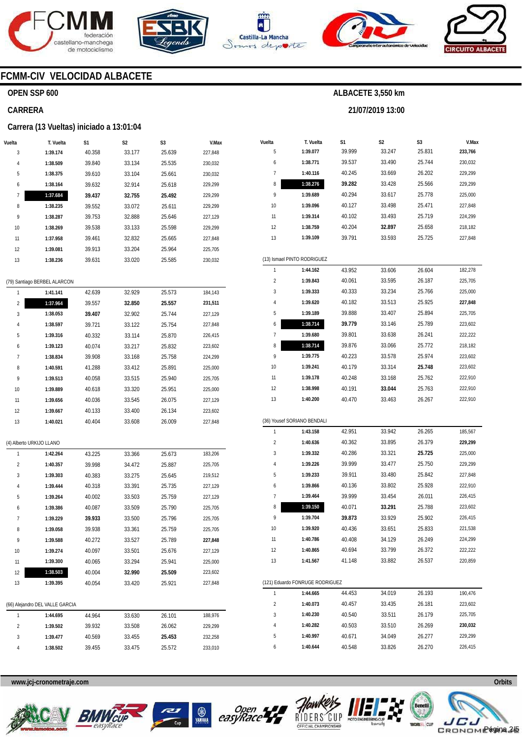





**T. Vuelta 1:39.077 1:38.771 1:40.116 1:38.276** 

**S1**  39.999 39.537 40.245 **39.282** 



**S2**  33.247 33.490 33.669 33.428

**ALBACETE 3,550 km** 

**21/07/2019 13:00** 

**S3**  25.831 25.744 26.202 25.566



**V.Max 233,766**  230,032 229,299 229,299

## **FCMM-CIV VELOCIDAD ALBACETE**

#### **OPEN SSP 600**

#### **CARRERA**

#### **Carrera (13 Vueltas) iniciado a 13:01:04**

| Vuelta | T. Vuelta                    | S <sub>1</sub> | S <sub>2</sub> | S <sub>3</sub> | V.Max   |
|--------|------------------------------|----------------|----------------|----------------|---------|
| 3      | 1:39.174                     | 40.358         | 33.177         | 25.639         | 227,848 |
| 4      | 1:38.509                     | 39.840         | 33.134         | 25.535         | 230,032 |
| 5      | 1:38.375                     | 39.610         | 33.104         | 25.661         | 230,032 |
| 6      | 1:38.164                     | 39.632         | 32.914         | 25.618         | 229,299 |
| 7      | 1:37.684                     | 39.437         | 32.755         | 25.492         | 229,299 |
| 8      | 1:38.235                     | 39.552         | 33.072         | 25.611         | 229,299 |
| 9      | 1:38.287                     | 39.753         | 32.888         | 25.646         | 227,129 |
| 10     | 1:38.269                     | 39.538         | 33.133         | 25.598         | 229,299 |
| 11     | 1:37.958                     | 39.461         | 32.832         | 25.665         | 227,848 |
| 12     | 1:39.081                     | 39.913         | 33.204         | 25.964         | 225,705 |
| 13     | 1:38.236                     | 39.631         | 33.020         | 25.585         | 230,032 |
|        |                              |                |                |                |         |
|        | (79) Santiago BERBEL ALARCON |                |                |                |         |
| 1      | 1:41.141                     | 42.639         | 32.929         | 25.573         | 184,143 |
| 2      | 1:37.964                     | 39.557         | 32.850         | 25.557         | 231,511 |
| 3      | 1:38.053                     | 39.407         | 32.902         | 25.744         | 227,129 |
| 4      | 1:38.597                     | 39.721         | 33.122         | 25.754         | 227,848 |
| 5      | 1:39.316                     | 40.332         | 33.114         | 25.870         | 226,415 |
| 6      | 1:39.123                     | 40.074         | 33.217         | 25.832         | 223,602 |
| 7      | 1:38.834                     | 39.908         | 33.168         | 25.758         | 224,299 |
| $\sim$ | 1.40F01                      | 11.200         | <b>CPN CC</b>  | OF 001         | OOE OOO |

| 9                           | 1:39.689                        | 40.294 | 33.617 | 25.778 | 225,000 |  |  |  |  |
|-----------------------------|---------------------------------|--------|--------|--------|---------|--|--|--|--|
| 10                          | 1:39.096                        | 40.127 | 33.498 | 25.471 | 227,848 |  |  |  |  |
| 11                          | 1:39.314                        | 40.102 | 33.493 | 25.719 | 224,299 |  |  |  |  |
| 12                          | 1:38.759                        | 40.204 | 32.897 | 25.658 | 218,182 |  |  |  |  |
| 13                          | 1:39.109                        | 39.791 | 33.593 | 25.725 | 227,848 |  |  |  |  |
|                             |                                 |        |        |        |         |  |  |  |  |
| (13) Ismael PINTO RODRIGUEZ |                                 |        |        |        |         |  |  |  |  |
| 1                           | 1:44.162                        | 43.952 | 33.606 | 26.604 | 182,278 |  |  |  |  |
| 2                           | 1:39.843                        | 40.061 | 33.595 | 26.187 | 225,705 |  |  |  |  |
| 3                           | 1:39.333                        | 40.333 | 33.234 | 25.766 | 225,000 |  |  |  |  |
| 4                           | 1:39.620                        | 40.182 | 33.513 | 25.925 | 227,848 |  |  |  |  |
| 5                           | 1:39.189                        | 39.888 | 33.407 | 25.894 | 225,705 |  |  |  |  |
| 6                           | 1:38.714                        | 39.779 | 33.146 | 25.789 | 223,602 |  |  |  |  |
| 7                           | 1:39.680                        | 39.801 | 33.638 | 26.241 | 222,222 |  |  |  |  |
| 8                           | 1:38.714                        | 39.876 | 33.066 | 25.772 | 218,182 |  |  |  |  |
| 9                           | 1:39.775                        | 40.223 | 33.578 | 25.974 | 223,602 |  |  |  |  |
| 10                          | 1:39.241                        | 40.179 | 33.314 | 25.748 | 223,602 |  |  |  |  |
| 11                          | 1:39.178                        | 40.248 | 33.168 | 25.762 | 222,910 |  |  |  |  |
| 12                          | 1:38.998                        | 40.191 | 33.044 | 25.763 | 222,910 |  |  |  |  |
| 13                          | 1:40.200                        | 40.470 | 33.463 | 26.267 | 222,910 |  |  |  |  |
|                             |                                 |        |        |        |         |  |  |  |  |
| (36) Yousef SORIANO BENDALI |                                 |        |        |        |         |  |  |  |  |
| 1                           | 1:43.158                        | 42.951 | 33.942 | 26.265 | 185,567 |  |  |  |  |
| $\overline{c}$              | 1:40.636                        | 40.362 | 33.895 | 26.379 | 229,299 |  |  |  |  |
| 3                           | 1:39.332                        | 40.286 | 33.321 | 25.725 | 225,000 |  |  |  |  |
| 4                           | 1:39.226                        | 39.999 | 33.477 | 25.750 | 229,299 |  |  |  |  |
| 5                           | 1:39.233                        | 39.911 | 33.480 | 25.842 | 227,848 |  |  |  |  |
| 6                           | 1:39.866                        | 40.136 | 33.802 | 25.928 | 222,910 |  |  |  |  |
| 7                           | 1:39.464                        | 39.999 | 33.454 | 26.011 | 226,415 |  |  |  |  |
| 8                           | 1:39.150                        | 40.071 | 33.291 | 25.788 | 223,602 |  |  |  |  |
| 9                           | 1:39.704                        | 39.873 | 33.929 | 25.902 | 226,415 |  |  |  |  |
| 10                          | 1:39.920                        | 40.436 | 33.651 | 25.833 | 221,538 |  |  |  |  |
| 11                          | 1:40.786                        | 40.408 | 34.129 | 26.249 | 224,299 |  |  |  |  |
| 12                          | 1:40.865                        | 40.694 | 33.799 | 26.372 | 222,222 |  |  |  |  |
| 13                          | 1:41.567                        | 41.148 | 33.882 | 26.537 | 220,859 |  |  |  |  |
|                             |                                 |        |        |        |         |  |  |  |  |
|                             | (121) Eduardo FONRUGE RODRIGUEZ |        |        |        |         |  |  |  |  |
| 1                           | 1:44.665                        | 44.453 | 34.019 | 26.193 | 190,476 |  |  |  |  |
| 2                           | 1:40.073                        | 40.457 | 33.435 | 26.181 | 223,602 |  |  |  |  |
| 3                           | 1:40.230                        | 40.540 | 33.511 | 26.179 | 225,705 |  |  |  |  |
| 4                           | 1:40.282                        | 40.503 | 33.510 | 26.269 | 230,032 |  |  |  |  |
| 5                           | 1:40.997                        | 40.671 | 34.049 | 26.277 | 229,299 |  |  |  |  |
| 6                           | 1:40.644                        | 40.548 | 33.826 | 26.270 | 226,415 |  |  |  |  |

| 1                       | 1:41.141                        | 42.639 | 32.929 | 25.573 | 184,143 |
|-------------------------|---------------------------------|--------|--------|--------|---------|
| $\overline{2}$          | 1:37.964                        | 39.557 | 32.850 | 25.557 | 231,511 |
| 3                       | 1:38.053                        | 39.407 | 32.902 | 25.744 | 227,129 |
| 4                       | 1:38.597                        | 39.721 | 33.122 | 25.754 | 227,848 |
| 5                       | 1:39.316                        | 40.332 | 33.114 | 25.870 | 226,415 |
| 6                       | 1:39.123                        | 40.074 | 33.217 | 25.832 | 223,602 |
| 7                       | 1:38.834                        | 39.908 | 33.168 | 25.758 | 224,299 |
| 8                       | 1:40.591                        | 41.288 | 33.412 | 25.891 | 225,000 |
| 9                       | 1:39.513                        | 40.058 | 33.515 | 25.940 | 225,705 |
| 10                      | 1:39.889                        | 40.618 | 33.320 | 25.951 | 225,000 |
| 11                      | 1:39.656                        | 40.036 | 33.545 | 26.075 | 227,129 |
| 12                      | 1:39.667                        | 40.133 | 33.400 | 26.134 | 223,602 |
| 13                      | 1:40.021                        | 40.404 | 33.608 | 26.009 | 227,848 |
|                         |                                 |        |        |        |         |
|                         | (4) Alberto URKIJO LLANO        |        |        |        |         |
| 1                       | 1:42.264                        | 43.225 | 33.366 | 25.673 | 183,206 |
| $\overline{2}$          | 1:40.357                        | 39.998 | 34.472 | 25.887 | 225,705 |
| 3                       | 1:39.303                        | 40.383 | 33.275 | 25.645 | 219,512 |
| 4                       | 1:39.444                        | 40.318 | 33.391 | 25.735 | 227,129 |
| 5                       | 1:39.264                        | 40.002 | 33.503 | 25.759 | 227,129 |
| 6                       | 1:39.386                        | 40.087 | 33.509 | 25.790 | 225,705 |
| 7                       | 1:39.229                        | 39.933 | 33.500 | 25.796 | 225,705 |
| 8                       | 1:39.058                        | 39.938 | 33.361 | 25.759 | 225,705 |
| 9                       | 1:39.588                        | 40.272 | 33.527 | 25.789 | 227,848 |
| 10                      | 1:39.274                        | 40.097 | 33.501 | 25.676 | 227,129 |
| 11                      | 1:39.300                        | 40.065 | 33.294 | 25.941 | 225,000 |
| 12                      | 1:38.503                        | 40.004 | 32.990 | 25.509 | 223,602 |
| 13                      | 1:39.395                        | 40.054 | 33.420 | 25.921 | 227,848 |
|                         |                                 |        |        |        |         |
|                         | (66) Alejandro DEL VALLE GARCIA |        |        |        |         |
| 1                       | 1:44.695                        | 44.964 | 33.630 | 26.101 | 188,976 |
| $\overline{\mathbf{c}}$ | 1:39.502                        | 39.932 | 33.508 | 26.062 | 229,299 |
| 3                       | 1:39.477                        | 40.569 | 33.455 | 25.453 | 232,258 |
| 4                       | 1:38.502                        | 39.455 | 33.475 | 25.572 | 233,010 |









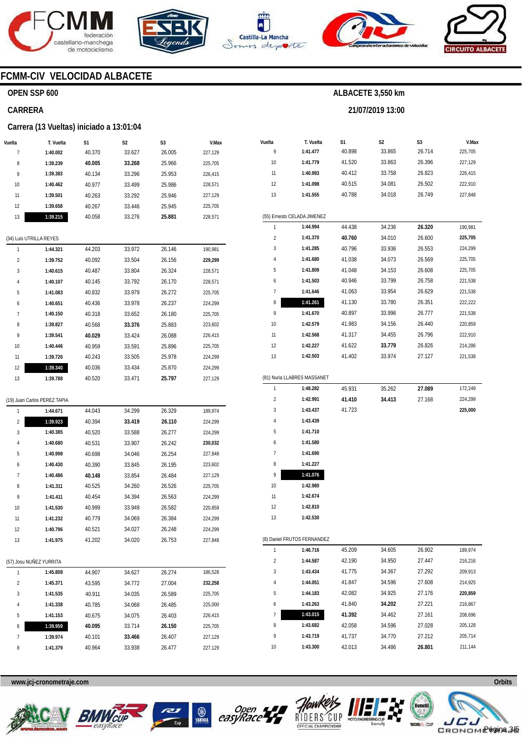







**21/07/2019 13:00** 



## **FCMM-CIV VELOCIDAD ALBACETE**

#### **OPEN SSP 600**

#### **CARRERA**

#### **Carrera (13 Vueltas) iniciado a 13:01:04**

| Vuelta | T. Vuelta                    | S1     | S2     | S3     | V.Max   |
|--------|------------------------------|--------|--------|--------|---------|
| 7      | 1:40.002                     | 40.370 | 33.627 | 26.005 | 227,129 |
| 8      | 1:39.239                     | 40.005 | 33.268 | 25.966 | 225,705 |
| 9      | 1:39.383                     | 40.134 | 33.296 | 25.953 | 226,415 |
| 10     | 1:40.462                     | 40.977 | 33.499 | 25.986 | 228,571 |
| 11     | 1:39.501                     | 40.263 | 33.292 | 25.946 | 227,129 |
| 12     | 1:39.658                     | 40.267 | 33.446 | 25.945 | 225,705 |
| 13     | 1:39.215                     | 40.058 | 33.276 | 25.881 | 228,571 |
|        | (34) Luis UTRILLA REYES      |        |        |        |         |
| 1      | 1:44.321                     | 44.203 | 33.972 | 26.146 | 190,981 |
| 2      | 1:39.752                     | 40.092 | 33.504 | 26.156 | 229,299 |
| 3      | 1:40.615                     | 40.487 | 33.804 | 26.324 | 228,571 |
| 4      | 1:40.107                     | 40.145 | 33.792 | 26.170 | 228,571 |
| 5      | 1:41.083                     | 40.832 | 33.979 | 26.272 | 225,705 |
| 6      | 1:40.651                     | 40.436 | 33.978 | 26.237 | 224,299 |
| 7      | 1:40.150                     | 40.318 | 33.652 | 26.180 | 225,705 |
| 8      | 1:39.827                     | 40.568 | 33.376 | 25.883 | 223,602 |
| 9      | 1:39.541                     | 40.029 | 33.424 | 26.088 | 226,415 |
| 10     | 1:40.446                     | 40.959 | 33.591 | 25.896 | 225,705 |
| 11     | 1:39.726                     | 40.243 | 33.505 | 25.978 | 224,299 |
| 12     | 1:39.340                     | 40.036 | 33.434 | 25.870 | 224,299 |
| 13     | 1:39.788                     | 40.520 | 33.471 | 25.797 | 227,129 |
|        | (19) Juan Carlos PEREZ TAPIA |        |        |        |         |
| 1      | 1:44.671                     | 44.043 | 34.299 | 26.329 | 189,974 |
| 2      | 1:39.923                     | 40.394 | 33.419 | 26.110 | 224,299 |
| 3      | 1:40.385                     | 40.520 | 33.588 | 26.277 | 224,299 |
| 4      | 1:40.680                     | 40.531 | 33.907 | 26.242 | 230,032 |
| 5      | 1:40.998                     | 40.698 | 34.046 | 26.254 | 227,848 |
| 6      | 1:40.430                     | 40.390 | 33.845 | 26.195 | 223,602 |
| 7      | 1:40.486                     | 40.148 | 33.854 | 26.484 | 227,129 |
| 8      | 1:41.311                     | 40.525 | 34.260 | 26.526 | 225,705 |
| 9      | 1:41.411                     | 40.454 | 34.394 | 26.563 | 224,299 |
| 10     | 1:41.530                     | 40.999 | 33.949 | 26.582 | 220,859 |
| 11     | 1:41.232                     | 40.779 | 34.069 | 26.384 | 224,299 |
| 12     | 1:40.796                     | 40.521 | 34.027 | 26.248 | 224,299 |
| 13     | 1:41.975                     | 41.202 | 34.020 | 26.753 | 227,848 |
|        |                              |        |        |        |         |
|        | (57) Josu NUÑEZ YURRITA      |        |        |        |         |
| 1      | 1:45.808                     | 44.907 | 34.627 | 26.274 | 186,528 |
| 2      | 1:45.371                     | 43.595 | 34.772 | 27.004 | 232,258 |
| 3      | 1:41.535                     | 40.911 | 34.035 | 26.589 | 225,705 |
| 4      | 1:41.338                     | 40.785 | 34.068 | 26.485 | 225,000 |
| 5      | 1:41.153                     | 40.675 | 34.075 | 26.403 | 226,415 |
| 6      | 1:39.959                     | 40.095 | 33.714 | 26.150 | 225,705 |
| 7      | 1:39.974                     | 40.101 | 33.466 | 26.407 | 227,129 |

| Vuelta         | T. Vuelta                   | S1     | S2     | S3     | V.Max   |
|----------------|-----------------------------|--------|--------|--------|---------|
| 9              | 1:41.477                    | 40.898 | 33.865 | 26.714 | 225,705 |
| 10             | 1:41.779                    | 41.520 | 33.863 | 26.396 | 227,129 |
| 11             | 1:40.993                    | 40.412 | 33.758 | 26.823 | 226,415 |
| 12             | 1:41.098                    | 40.515 | 34.081 | 26.502 | 222,910 |
| 13             | 1:41.555                    | 40.788 | 34.018 | 26.749 | 227,848 |
|                |                             |        |        |        |         |
|                | (55) Ernesto CELADA JIMENEZ |        |        |        |         |
| 1              | 1:44.994                    | 44.438 | 34.236 | 26.320 | 190,981 |
| 2              | 1:41.370                    | 40.760 | 34.010 | 26.600 | 225,705 |
| 3              | 1:41.285                    | 40.796 | 33.936 | 26.553 | 224,299 |
| 4              | 1:41.680                    | 41.038 | 34.073 | 26.569 | 225,705 |
| 5              | 1:41.809                    | 41.048 | 34.153 | 26.608 | 225,705 |
| 6              | 1:41.503                    | 40.946 | 33.799 | 26.758 | 221,538 |
| 7              | 1:41.646                    | 41.063 | 33.954 | 26.629 | 221,538 |
| 8              | 1:41.261                    | 41.130 | 33.780 | 26.351 | 222,222 |
| 9              | 1:41.670                    | 40.897 | 33.996 | 26.777 | 221,538 |
| 10             | 1:42.579                    | 41.983 | 34.156 | 26.440 | 220,859 |
| 11             | 1:42.568                    | 41.317 | 34.455 | 26.796 | 222,910 |
| 12             | 1:42.227                    | 41.622 | 33.779 | 26.826 | 214,286 |
| 13             | 1:42.503                    | 41.402 | 33.974 | 27.127 | 221,538 |
|                |                             |        |        |        |         |
|                | (81) Nuria LLABRES MASSANET |        |        |        |         |
| 1              | 1:48.282                    | 45.931 | 35.262 | 27.089 | 172,249 |
| 2              | 1:42.991                    | 41.410 | 34.413 | 27.168 | 224,299 |
| 3              | 1:43.437                    | 41.723 |        |        | 225,000 |
| 4              | 1:43.439                    |        |        |        |         |
| 5              | 1:41.710                    |        |        |        |         |
| 6              | 1:41.580                    |        |        |        |         |
| 7              | 1:41.690                    |        |        |        |         |
| 8<br>9         | 1:41.227                    |        |        |        |         |
| 10             | 1:41.076<br>1:42.980        |        |        |        |         |
| 11             | 1:42.674                    |        |        |        |         |
| 12             | 1:42.810                    |        |        |        |         |
| 13             | 1:42.530                    |        |        |        |         |
|                |                             |        |        |        |         |
|                | (8) Daniel FRUTOS FERNANDEZ |        |        |        |         |
| 1              | 1:46.716                    | 45.209 | 34.605 | 26.902 | 189,974 |
| $\overline{c}$ | 1:44.587                    | 42.190 | 34.950 | 27.447 | 216,216 |
| 3              | 1:43.434                    | 41.775 | 34.367 | 27.292 | 209,913 |
| 4              | 1:44.051                    | 41.847 | 34.596 | 27.608 | 214,925 |
| 5              | 1:44.183                    | 42.082 | 34.925 | 27.176 | 220,859 |
| 6              | 1:43.263                    | 41.840 | 34.202 | 27.221 | 216,867 |
| 7              | 1:43.015                    | 41.392 | 34.462 | 27.161 | 208,696 |

**www.jcj-cronometraje.com Orbits** 

**1:41.379** 

40.964



8



33.938

26.477

227,129



8 9 10



**1:43.682 1:43.719 1:43.300**  42.058 41.737 42.013 34.596 34.770 34.486

27.028 27.212 **26.801** 



205,128 205,714 211,144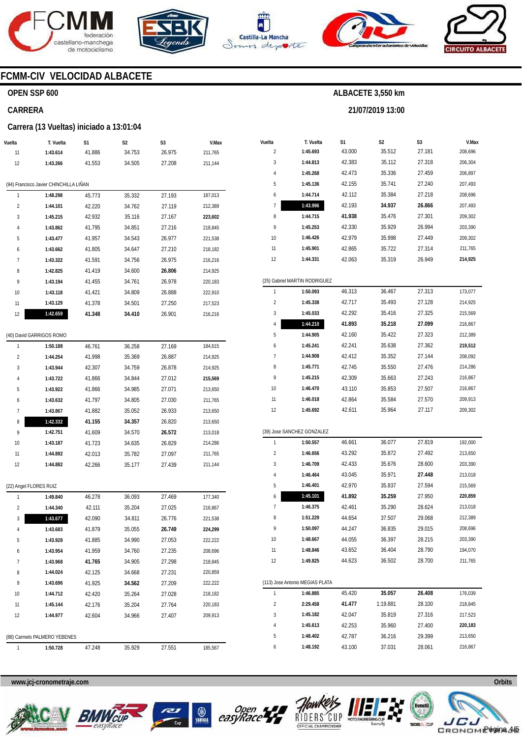







**21/07/2019 13:00** 



# **FCMM-CIV VELOCIDAD ALBACETE**

## **OPEN SSP 600**

### **CARRERA**

#### **Carrera (13 Vueltas) iniciado a 13:01:04**

| Vuelta         | T. Vuelta                              | S1     | S2     | S3     | V.Max   |
|----------------|----------------------------------------|--------|--------|--------|---------|
| 11             | 1:43.614                               | 41.886 | 34.753 | 26.975 | 211,765 |
| 12             | 1:43.266                               | 41.553 | 34.505 | 27.208 | 211,144 |
|                |                                        |        |        |        |         |
|                | (94) Francisco Javier CHINCHILLA LIÑAN |        |        |        |         |
| 1              | 1:48.298                               | 45.773 | 35.332 | 27.193 | 187,013 |
| $\overline{2}$ | 1:44.101                               | 42.220 | 34.762 | 27.119 | 212,389 |
| 3              | 1:45.215                               | 42.932 | 35.116 | 27.167 | 223,602 |
| 4              | 1:43.862                               | 41.795 | 34.851 | 27.216 | 218,845 |
| 5              | 1:43.477                               | 41.957 | 34.543 | 26.977 | 221,538 |
| 6              | 1:43.662                               | 41.805 | 34.647 | 27.210 | 218,182 |
| 7              | 1:43.322                               | 41.591 | 34.756 | 26.975 | 216,216 |
| 8              | 1:42.825                               | 41.419 | 34.600 | 26.806 | 214,925 |
| 9              | 1:43.194                               | 41.455 | 34.761 | 26.978 | 220,183 |
| 10             | 1:43.118                               | 41.421 | 34.809 | 26.888 | 222,910 |
| 11             | 1:43.129                               | 41.378 | 34.501 | 27.250 | 217,523 |
| 12             | 1:42.659                               | 41.348 | 34.410 | 26.901 | 216,216 |
|                | (40) David GARRIGOS ROMO               |        |        |        |         |
| 1              | 1:50.188                               | 46.761 | 36.258 | 27.169 | 184,615 |
| $\overline{2}$ | 1:44.254                               | 41.998 | 35.369 | 26.887 | 214,925 |
| 3              | 1:43.944                               | 42.307 | 34.759 | 26.878 | 214,925 |
| 4              | 1:43.722                               | 41.866 | 34.844 | 27.012 | 215,569 |
| 5              | 1:43.922                               | 41.866 | 34.985 | 27.071 | 213,650 |
| 6              | 1:43.632                               | 41.797 | 34.805 | 27.030 | 211,765 |
| 7              | 1:43.867                               | 41.882 | 35.052 | 26.933 | 213,650 |
| 8              | 1:42.332                               | 41.155 | 34.357 | 26.820 | 213,650 |
| 9              | 1:42.751                               | 41.609 | 34.570 | 26.572 | 213,018 |
| 10             | 1:43.187                               | 41.723 | 34.635 | 26.829 | 214,286 |
| 11             | 1:44.892                               | 42.013 | 35.782 | 27.097 | 211,765 |
| 12             | 1:44.882                               | 42.266 | 35.177 | 27.439 | 211,144 |
|                | (22) Angel FLORES RUIZ                 |        |        |        |         |

| $E$ , $\frac{1}{2}$ , $\frac{1}{2}$ , $\frac{1}{2}$ , $\frac{1}{2}$ , $\frac{1}{2}$ , $\frac{1}{2}$ , $\frac{1}{2}$ |                              |        |        |        |         |
|---------------------------------------------------------------------------------------------------------------------|------------------------------|--------|--------|--------|---------|
| 1                                                                                                                   | 1:49.840                     | 46.278 | 36.093 | 27.469 | 177,340 |
| $\overline{2}$                                                                                                      | 1:44.340                     | 42.111 | 35.204 | 27.025 | 216,867 |
| 3                                                                                                                   | 1:43.677                     | 42.090 | 34.811 | 26.776 | 221,538 |
| 4                                                                                                                   | 1:43.683                     | 41.879 | 35.055 | 26.749 | 224,299 |
| 5                                                                                                                   | 1:43.928                     | 41.885 | 34.990 | 27.053 | 222,222 |
| 6                                                                                                                   | 1:43.954                     | 41.959 | 34.760 | 27.235 | 208,696 |
| 7                                                                                                                   | 1:43.968                     | 41.765 | 34.905 | 27.298 | 218,845 |
| 8                                                                                                                   | 1:44.024                     | 42.125 | 34.668 | 27.231 | 220,859 |
| 9                                                                                                                   | 1:43.696                     | 41.925 | 34.562 | 27.209 | 222,222 |
| 10                                                                                                                  | 1:44.712                     | 42.420 | 35.264 | 27.028 | 218,182 |
| 11                                                                                                                  | 1:45.144                     | 42.176 | 35.204 | 27.764 | 220,183 |
| 12                                                                                                                  | 1:44.977                     | 42.604 | 34.966 | 27.407 | 209,913 |
|                                                                                                                     |                              |        |        |        |         |
|                                                                                                                     | (88) Carmelo PALMERO YEBENES |        |        |        |         |
| 1                                                                                                                   | 1:50.728                     | 47.248 | 35.929 | 27.551 | 185,567 |
|                                                                                                                     |                              |        |        |        |         |

| Vuelta | T. Vuelta                       | S1     | S2       | S3     | V.Max   |
|--------|---------------------------------|--------|----------|--------|---------|
| 2      | 1:45.693                        | 43.000 | 35.512   | 27.181 | 208,696 |
| 3      | 1:44.813                        | 42.383 | 35.112   | 27.318 | 206,304 |
| 4      | 1:45.268                        | 42.473 | 35.336   | 27.459 | 206,897 |
| 5      | 1:45.136                        | 42.155 | 35.741   | 27.240 | 207,493 |
| 6      | 1:44.714                        | 42.112 | 35.384   | 27.218 | 208,696 |
| 7      | 1:43.996                        | 42.193 | 34.937   | 26.866 | 207,493 |
| 8      | 1:44.715                        | 41.938 | 35.476   | 27.301 | 209,302 |
| 9      | 1:45.253                        | 42.330 | 35.929   | 26.994 | 203,390 |
| 10     | 1:46.426                        | 42.979 | 35.998   | 27.449 | 209,302 |
| 11     | 1:45.901                        | 42.865 | 35.722   | 27.314 | 211,765 |
| 12     | 1:44.331                        | 42.063 | 35.319   | 26.949 | 214,925 |
|        |                                 |        |          |        |         |
|        | (25) Gabriel MARTIN RODRIGUEZ   |        |          |        |         |
| 1      | 1:50.093                        | 46.313 | 36.467   | 27.313 | 173,077 |
| 2      | 1:45.338                        | 42.717 | 35.493   | 27.128 | 214,925 |
| 3      | 1:45.033                        | 42.292 | 35.416   | 27.325 | 215,569 |
| 4      | 1:44.210                        | 41.893 | 35.218   | 27.099 | 216,867 |
| 5      | 1:44.905                        | 42.160 | 35.422   | 27.323 | 212,389 |
| 6      | 1:45.241                        | 42.241 | 35.638   | 27.362 | 219,512 |
| 7      | 1:44.908                        | 42.412 | 35.352   | 27.144 | 208,092 |
| 8      | 1:45.771                        | 42.745 | 35.550   | 27.476 | 214,286 |
| 9      | 1:45.215                        | 42.309 | 35.663   | 27.243 | 216,867 |
| 10     | 1:46.470                        | 43.110 | 35.853   | 27.507 | 216,867 |
| 11     | 1:46.018                        | 42.864 | 35.584   | 27.570 | 209,913 |
| 12     | 1:45.692                        | 42.611 | 35.964   | 27.117 | 209,302 |
|        |                                 |        |          |        |         |
|        | (39) Jose SANCHEZ GONZALEZ      |        |          |        |         |
| 1      | 1:50.557                        | 46.661 | 36.077   | 27.819 | 192,000 |
| 2      | 1:46.656                        | 43.292 | 35.872   | 27.492 | 213,650 |
| 3      | 1:46.709                        | 42.433 | 35.676   | 28.600 | 203,390 |
| 4      | 1:46.464                        | 43.045 | 35.971   | 27.448 | 213,018 |
| 5      | 1:46.401                        | 42.970 | 35.837   | 27.594 | 215,569 |
| 6      | 1:45.101                        | 41.892 | 35.259   | 27.950 | 220,859 |
| 7      | 1:46.375                        | 42.461 | 35.290   | 28.624 | 213,018 |
| 8      | 1:51.229                        | 44.654 | 37.507   | 29.068 | 212,389 |
| 9      | 1:50.097                        | 44.247 | 36.835   | 29.015 | 208,696 |
| 10     | 1:48.667                        | 44.055 | 36.397   | 28.215 | 203,390 |
| 11     | 1:48.846                        | 43.652 | 36.404   | 28.790 | 194,070 |
| 12     | 1:49.825                        | 44.623 | 36.502   | 28.700 | 211,765 |
|        | (113) Jose Antonio MEGIAS PLATA |        |          |        |         |
| 1      | 1:46.885                        | 45.420 | 35.057   | 26.408 | 176,039 |
| 2      | 2:29.458                        | 41.477 | 1:19.881 | 28.100 | 218,845 |
| 3      | 1:45.182                        | 42.047 | 35.819   | 27.316 | 217,523 |
| 4      | 1:45.613                        | 42.253 | 35.960   | 27.400 | 220,183 |
| 5      | 1:48.402                        | 42.787 | 36.216   | 29.399 | 213,650 |
| 6      | 1:48.192                        | 43.100 | 37.031   | 28.061 | 216,867 |









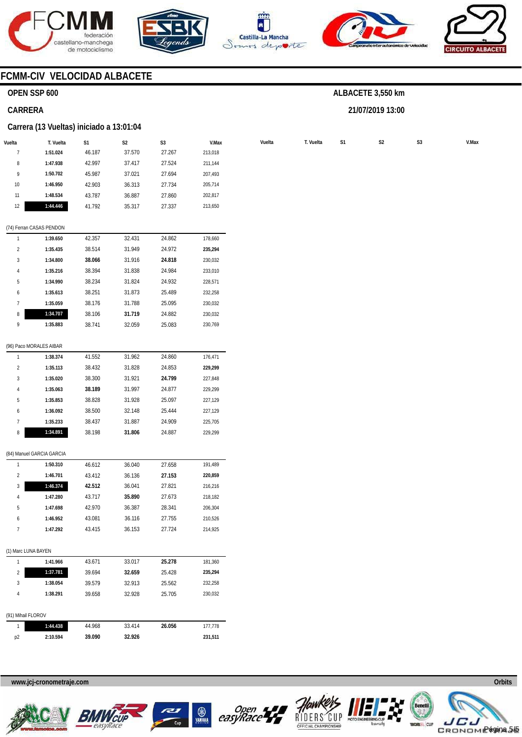









# **FCMM-CIV VELOCIDAD ALBACETE**

## **OPEN SSP 600**

#### **CARRERA**

#### **Carrera (13 Vueltas) iniciado a 13:01:04**

| Vuelta              | T. Vuelta                 | S1     | S <sub>2</sub> | S <sub>3</sub> | V.Max   | Vuelta | T. Vuelta | S1 | $\mathsf{S2}\,$ | S <sub>3</sub> |
|---------------------|---------------------------|--------|----------------|----------------|---------|--------|-----------|----|-----------------|----------------|
| $\overline{1}$      | 1:51.024                  | 46.187 | 37.570         | 27.267         | 213,018 |        |           |    |                 |                |
| 8                   | 1:47.938                  | 42.997 | 37.417         | 27.524         | 211,144 |        |           |    |                 |                |
| 9                   | 1:50.702                  | 45.987 | 37.021         | 27.694         | 207,493 |        |           |    |                 |                |
| 10                  | 1:46.950                  | 42.903 | 36.313         | 27.734         | 205,714 |        |           |    |                 |                |
| 11                  | 1:48.534                  | 43.787 | 36.887         | 27.860         | 202,817 |        |           |    |                 |                |
| 12                  | 1:44.446                  | 41.792 | 35.317         | 27.337         | 213,650 |        |           |    |                 |                |
|                     | (74) Ferran CASAS PENDON  |        |                |                |         |        |           |    |                 |                |
| $\mathbf{1}$        | 1:39.650                  | 42.357 | 32.431         | 24.862         | 178,660 |        |           |    |                 |                |
| $\overline{2}$      | 1:35.435                  | 38.514 | 31.949         | 24.972         | 235,294 |        |           |    |                 |                |
| 3                   | 1:34.800                  | 38.066 | 31.916         | 24.818         | 230,032 |        |           |    |                 |                |
| 4                   | 1:35.216                  | 38.394 | 31.838         | 24.984         | 233,010 |        |           |    |                 |                |
| 5                   | 1:34.990                  | 38.234 | 31.824         | 24.932         | 228,571 |        |           |    |                 |                |
| 6                   | 1:35.613                  | 38.251 | 31.873         | 25.489         | 232,258 |        |           |    |                 |                |
| 7                   | 1:35.059                  | 38.176 | 31.788         | 25.095         | 230,032 |        |           |    |                 |                |
| 8                   | 1:34.707                  | 38.106 | 31.719         | 24.882         | 230,032 |        |           |    |                 |                |
| 9                   | 1:35.883                  | 38.741 | 32.059         | 25.083         | 230,769 |        |           |    |                 |                |
|                     | (96) Paco MORALES AIBAR   |        |                |                |         |        |           |    |                 |                |
| $\mathbf{1}$        | 1:38.374                  | 41.552 | 31.962         | 24.860         | 176,471 |        |           |    |                 |                |
| $\overline{2}$      | 1:35.113                  | 38.432 | 31.828         | 24.853         | 229,299 |        |           |    |                 |                |
| 3                   | 1:35.020                  | 38.300 | 31.921         | 24.799         | 227,848 |        |           |    |                 |                |
| 4                   | 1:35.063                  | 38.189 | 31.997         | 24.877         | 229,299 |        |           |    |                 |                |
| 5                   | 1:35.853                  | 38.828 | 31.928         | 25.097         | 227,129 |        |           |    |                 |                |
| 6                   | 1:36.092                  | 38.500 | 32.148         | 25.444         | 227,129 |        |           |    |                 |                |
| $\overline{1}$      | 1:35.233                  | 38.437 | 31.887         | 24.909         | 225,705 |        |           |    |                 |                |
| 8                   | 1:34.891                  | 38.198 | 31.806         | 24.887         | 229,299 |        |           |    |                 |                |
|                     |                           |        |                |                |         |        |           |    |                 |                |
|                     | (84) Manuel GARCIA GARCIA |        |                |                |         |        |           |    |                 |                |
| $\mathbf{1}$        | 1:50.310                  | 46.612 | 36.040         | 27.658         | 191,489 |        |           |    |                 |                |
| $\overline{a}$      | 1:46.701                  | 43.412 | 36.136         | 27.153         | 220,859 |        |           |    |                 |                |
| 3                   | 1:46.374                  | 42.512 | 36.041         | 27.821         | 216,216 |        |           |    |                 |                |
| 4                   | 1:47.280                  | 43.717 | 35.890         | 27.673         | 218,182 |        |           |    |                 |                |
| 5                   | 1:47.698                  | 42.970 | 36.387         | 28.341         | 206,304 |        |           |    |                 |                |
| 6                   | 1:46.952                  | 43.081 | 36.116         | 27.755         | 210,526 |        |           |    |                 |                |
| $\boldsymbol{7}$    | 1:47.292                  | 43.415 | 36.153         | 27.724         | 214,925 |        |           |    |                 |                |
| (1) Marc LUNA BAYEN |                           |        |                |                |         |        |           |    |                 |                |
| $\mathbf{1}$        | 1:41.966                  | 43.671 | 33.017         | 25.278         | 181,360 |        |           |    |                 |                |
| $\overline{2}$      | 1:37.781                  | 39.694 | 32.659         | 25.428         | 235,294 |        |           |    |                 |                |
| 3                   | 1:38.054                  | 39.579 | 32.913         | 25.562         | 232,258 |        |           |    |                 |                |
| $\overline{4}$      | 1:38.291                  | 39.658 | 32.928         | 25.705         | 230,032 |        |           |    |                 |                |
|                     |                           |        |                |                |         |        |           |    |                 |                |
| (91) Mihail FLOROV  |                           |        |                |                |         |        |           |    |                 |                |
| $\mathbf{1}$        | 1:44.438                  | 44.968 | 33.414         | 26.056         | 177,778 |        |           |    |                 |                |
| p2                  | 2:10.594                  | 39.090 | 32.926         |                | 231,511 |        |           |    |                 |                |

### **www.jcj-cronometraje.com Orbits**











# **ALBACETE 3,550 km**

**21/07/2019 13:00**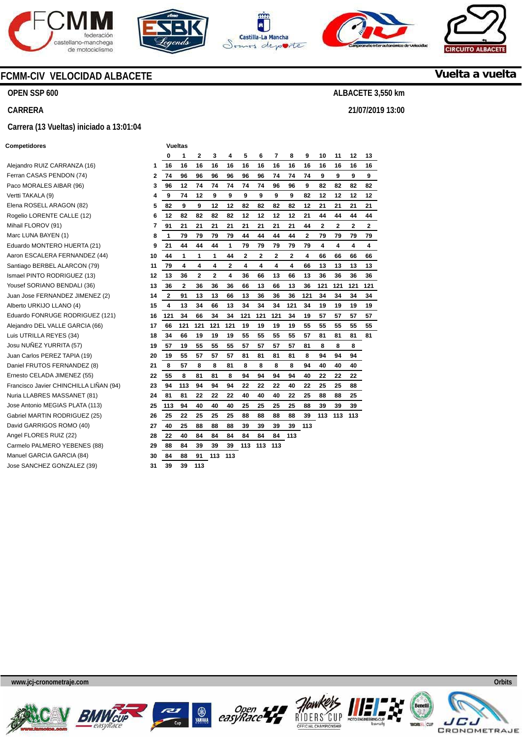







**21/07/2019 13:00** 



**Vuelta a vuelta**

### **FCMM-CIV VELOCIDAD ALBACETE**

**OPEN SSP 600** 

**CARRERA** 

#### **Carrera (13 Vueltas) iniciado a 13:01:04**

#### **Competidores Vueltas**

Alejandro RUIZ CARRANZA (16) **1**  Ferran CASAS PENDON (74) Paco MORALES AIBAR (96) Vertti TAKALA (9) Elena ROSELL ARAGON (82) Rogelio LORENTE CALLE (12) **6 Mihail FLOROV (91)** Marc LUNA BAYEN (1) Eduardo MONTERO HUERTA (21) Aaron ESCALERA FERNANDEZ (44) **10**  Santiago BERBEL ALARCON (79) **Ismael PINTO RODRIGUEZ (13)** Yousef SORIANO BENDALI (36) Juan Jose FERNANDEZ JIMENEZ (2) **14**  Alberto URKIJO LLANO (4) **15**  Eduardo FONRUGE RODRIGUEZ (121) **16**  Alejandro DEL VALLE GARCIA (66) **17**  Luis UTRILLA REYES (34) Josu NUÑEZ YURRITA (57) **19**  Juan Carlos PEREZ TAPIA (19) Daniel FRUTOS FERNANDEZ (8) Ernesto CELADA JIMENEZ (55) **22**  Francisco Javier CHINCHILLA LIÑAN (94) **23 Nuria LLABRES MASSANET (81)** Jose Antonio MEGIAS PLATA (113) **25**  Gabriel MARTIN RODRIGUEZ (25) **26**  David GARRIGOS ROMO (40) Angel FLORES RUIZ (22) Carmelo PALMERO YEBENES (88) Manuel GARCIA GARCIA (84) **30**  Jose SANCHEZ GONZALEZ (39)

|                         | 0              | 1   | 2   | 3   | 4   | 5   | 6   | 7   | 8   | 9                       | 10  | 11  | 12  | 13  |
|-------------------------|----------------|-----|-----|-----|-----|-----|-----|-----|-----|-------------------------|-----|-----|-----|-----|
| 1                       | 16             | 16  | 16  | 16  | 16  | 16  | 16  | 16  | 16  | 16                      | 16  | 16  | 16  | 16  |
| $\overline{\mathbf{2}}$ | 74             | 96  | 96  | 96  | 96  | 96  | 96  | 74  | 74  | 74                      | 9   | 9   | 9   | 9   |
| 3                       | 96             | 12  | 74  | 74  | 74  | 74  | 74  | 96  | 96  | 9                       | 82  | 82  | 82  | 82  |
| 4                       | 9              | 74  | 12  | 9   | 9   | 9   | 9   | 9   | 9   | 82                      | 12  | 12  | 12  | 12  |
| 5                       | 82             | 9   | 9   | 12  | 12  | 82  | 82  | 82  | 82  | 12                      | 21  | 21  | 21  | 21  |
| 6                       | 12             | 82  | 82  | 82  | 82  | 12  | 12  | 12  | 12  | 21                      | 44  | 44  | 44  | 44  |
| 7                       | 91             | 21  | 21  | 21  | 21  | 21  | 21  | 21  | 21  | 44                      | 2   | 2   | 2   | 2   |
| 8                       | 1              | 79  | 79  | 79  | 79  | 44  | 44  | 44  | 44  | $\overline{\mathbf{2}}$ | 79  | 79  | 79  | 79  |
| 9                       | 21             | 44  | 44  | 44  | 1   | 79  | 79  | 79  | 79  | 79                      | 4   | 4   | 4   | 4   |
| 10                      | 44             | 1   | 1   | 1   | 44  | 2   | 2   | 2   | 2   | 4                       | 66  | 66  | 66  | 66  |
| 11                      | 79             | 4   | 4   | 4   | 2   | 4   | 4   | 4   | 4   | 66                      | 13  | 13  | 13  | 13  |
| 12                      | 13             | 36  | 2   | 2   | 4   | 36  | 66  | 13  | 66  | 13                      | 36  | 36  | 36  | 36  |
| 13                      | 36             | 2   | 36  | 36  | 36  | 66  | 13  | 66  | 13  | 36                      | 121 | 121 | 121 | 121 |
| 14                      | $\overline{2}$ | 91  | 13  | 13  | 66  | 13  | 36  | 36  | 36  | 121                     | 34  | 34  | 34  | 34  |
| 15                      | 4              | 13  | 34  | 66  | 13  | 34  | 34  | 34  | 121 | 34                      | 19  | 19  | 19  | 19  |
| 16                      | 121            | 34  | 66  | 34  | 34  | 121 | 121 | 121 | 34  | 19                      | 57  | 57  | 57  | 57  |
| 17                      | 66             | 121 | 121 | 121 | 121 | 19  | 19  | 19  | 19  | 55                      | 55  | 55  | 55  | 55  |
| 18                      | 34             | 66  | 19  | 19  | 19  | 55  | 55  | 55  | 55  | 57                      | 81  | 81  | 81  | 81  |
| 19                      | 57             | 19  | 55  | 55  | 55  | 57  | 57  | 57  | 57  | 81                      | 8   | 8   | 8   |     |
| 20                      | 19             | 55  | 57  | 57  | 57  | 81  | 81  | 81  | 81  | 8                       | 94  | 94  | 94  |     |
| 21                      | 8              | 57  | 8   | 8   | 81  | 8   | 8   | 8   | 8   | 94                      | 40  | 40  | 40  |     |
| 22                      | 55             | 8   | 81  | 81  | 8   | 94  | 94  | 94  | 94  | 40                      | 22  | 22  | 22  |     |
| 23                      | 94             | 113 | 94  | 94  | 94  | 22  | 22  | 22  | 40  | 22                      | 25  | 25  | 88  |     |
| 24                      | 81             | 81  | 22  | 22  | 22  | 40  | 40  | 40  | 22  | 25                      | 88  | 88  | 25  |     |
| 25                      | 113            | 94  | 40  | 40  | 40  | 25  | 25  | 25  | 25  | 88                      | 39  | 39  | 39  |     |
| 26                      | 25             | 22  | 25  | 25  | 25  | 88  | 88  | 88  | 88  | 39                      | 113 | 113 | 113 |     |
| 27                      | 40             | 25  | 88  | 88  | 88  | 39  | 39  | 39  | 39  | 113                     |     |     |     |     |
| 28                      | 22             | 40  | 84  | 84  | 84  | 84  | 84  | 84  | 113 |                         |     |     |     |     |
| 29                      | 88             | 84  | 39  | 39  | 39  | 113 | 113 | 113 |     |                         |     |     |     |     |
| 30                      | 84             | 88  | 91  | 113 | 113 |     |     |     |     |                         |     |     |     |     |
| 31                      | 39             | 39  | 113 |     |     |     |     |     |     |                         |     |     |     |     |











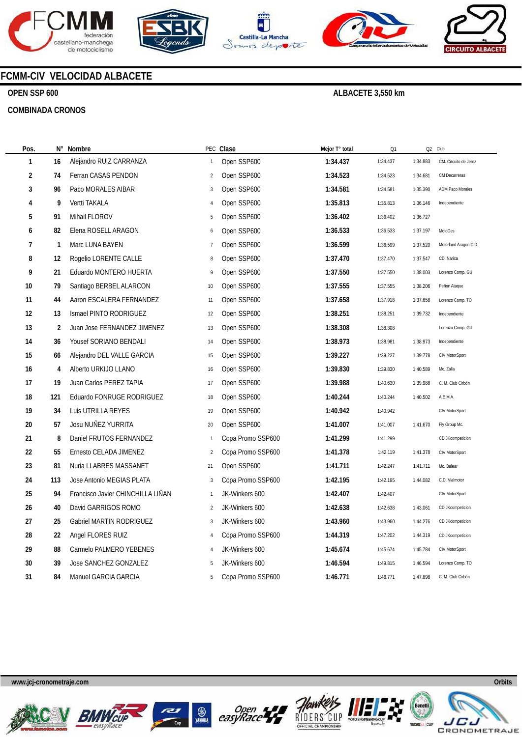









# **FCMM-CIV VELOCIDAD ALBACETE**

## **OPEN SSP 600**

#### **COMBINADA CRONOS**

| Pos.              | N°             | Nombre                            |                | PEC Clase         | Mejor T° total | Q1       | Q <sub>2</sub> | Club                  |
|-------------------|----------------|-----------------------------------|----------------|-------------------|----------------|----------|----------------|-----------------------|
| 1                 | 16             | Alejandro RUIZ CARRANZA           | 1              | Open SSP600       | 1:34.437       | 1:34.437 | 1:34.883       | CM. Circuito de Jerez |
| $\overline{2}$    | 74             | Ferran CASAS PENDON               | $\overline{2}$ | Open SSP600       | 1:34.523       | 1:34.523 | 1:34.681       | CM Decarreras         |
| 3                 | 96             | Paco MORALES AIBAR                | 3              | Open SSP600       | 1:34.581       | 1:34.581 | 1:35.390       | ADM Paco Morales      |
| 4                 | 9              | Vertti TAKALA                     | 4              | Open SSP600       | 1:35.813       | 1:35.813 | 1:36.146       | Independiente         |
| 5                 | 91             | Mihail FLOROV                     | 5              | Open SSP600       | 1:36.402       | 1:36.402 | 1:36.727       |                       |
| 6                 | 82             | Elena ROSELL ARAGON               | 6              | Open SSP600       | 1:36.533       | 1:36.533 | 1:37.197       | MotoDes               |
| $\overline{1}$    | $\mathbf{1}$   | Marc LUNA BAYEN                   | $\overline{7}$ | Open SSP600       | 1:36.599       | 1:36.599 | 1:37.520       | Motorland Aragon C.D. |
| 8                 | 12             | Rogelio LORENTE CALLE             | 8              | Open SSP600       | 1:37.470       | 1:37.470 | 1:37.547       | CD. Narixa            |
| 9                 | 21             | Eduardo MONTERO HUERTA            | 9              | Open SSP600       | 1:37.550       | 1:37.550 | 1:38.003       | Lorenzo Comp. GU      |
| 10                | 79             | Santiago BERBEL ALARCON           | 10             | Open SSP600       | 1:37.555       | 1:37.555 | 1:38.206       | Peñon Ataque          |
| 11                | 44             | Aaron ESCALERA FERNANDEZ          | 11             | Open SSP600       | 1:37.658       | 1:37.918 | 1:37.658       | Lorenzo Comp. TO      |
| $12 \overline{ }$ | 13             | Ismael PINTO RODRIGUEZ            | 12             | Open SSP600       | 1:38.251       | 1:38.251 | 1:39.732       | Independiente         |
| 13                | $\overline{2}$ | Juan Jose FERNANDEZ JIMENEZ       | 13             | Open SSP600       | 1:38.308       | 1:38.308 |                | Lorenzo Comp. GU      |
| 14                | 36             | Yousef SORIANO BENDALI            | 14             | Open SSP600       | 1:38.973       | 1:38.981 | 1:38.973       | Independiente         |
| 15                | 66             | Alejandro DEL VALLE GARCIA        | 15             | Open SSP600       | 1:39.227       | 1:39.227 | 1:39.778       | CIV MotorSport        |
| 16                | 4              | Alberto URKIJO LLANO              | 16             | Open SSP600       | 1:39.830       | 1:39.830 | 1:40.589       | Mc. Zalla             |
| 17                | 19             | Juan Carlos PEREZ TAPIA           | 17             | Open SSP600       | 1:39.988       | 1:40.630 | 1:39.988       | C. M. Club Cirbón     |
| 18                | 121            | Eduardo FONRUGE RODRIGUEZ         | 18             | Open SSP600       | 1:40.244       | 1:40.244 | 1:40.502       | A.E.M.A.              |
| 19                | 34             | Luis UTRILLA REYES                | 19             | Open SSP600       | 1:40.942       | 1:40.942 |                | CIV MotorSport        |
| 20                | 57             | Josu NUÑEZ YURRITA                | 20             | Open SSP600       | 1:41.007       | 1:41.007 | 1:41.670       | Fly Group Mc.         |
| 21                | 8              | Daniel FRUTOS FERNANDEZ           | $\mathbf{1}$   | Copa Promo SSP600 | 1:41.299       | 1:41.299 |                | CD JKcompeticion      |
| 22                | 55             | Ernesto CELADA JIMENEZ            | $\overline{2}$ | Copa Promo SSP600 | 1:41.378       | 1:42.119 | 1:41.378       | CIV MotorSport        |
| 23                | 81             | Nuria LLABRES MASSANET            | 21             | Open SSP600       | 1:41.711       | 1:42.247 | 1:41.711       | Mc. Balear            |
| 24                | 113            | Jose Antonio MEGIAS PLATA         | 3              | Copa Promo SSP600 | 1:42.195       | 1:42.195 | 1:44.082       | C.D. Vialmotor        |
| 25                | 94             | Francisco Javier CHINCHILLA LIÑAN | $\mathbf{1}$   | JK-Winkers 600    | 1:42.407       | 1:42.407 |                | CIV MotorSport        |
| 26                | 40             | David GARRIGOS ROMO               | $\overline{2}$ | JK-Winkers 600    | 1:42.638       | 1:42.638 | 1:43.061       | CD JKcompeticion      |
| 27                | 25             | <b>Gabriel MARTIN RODRIGUEZ</b>   | 3              | JK-Winkers 600    | 1:43.960       | 1:43.960 | 1:44.276       | CD JKcompeticion      |
| 28                | 22             | Angel FLORES RUIZ                 | 4              | Copa Promo SSP600 | 1:44.319       | 1:47.202 | 1:44.319       | CD JKcompeticion      |
| 29                | 88             | Carmelo PALMERO YEBENES           | 4              | JK-Winkers 600    | 1:45.674       | 1:45.674 | 1:45.784       | CIV MotorSport        |
| 30                | 39             | Jose SANCHEZ GONZALEZ             | 5              | JK-Winkers 600    | 1:46.594       | 1:49.815 | 1:46.594       | Lorenzo Comp. TO      |
| 31                | 84             | Manuel GARCIA GARCIA              | 5              | Copa Promo SSP600 | 1:46.771       | 1:46.771 | 1:47.898       | C. M. Club Cirbón     |









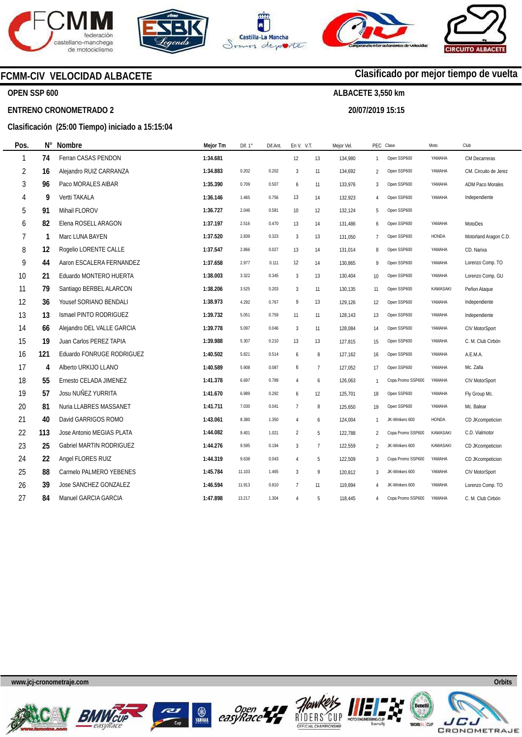







**20/07/2019 15:15** 

**Clasificado por mejor tiempo de vuelta**

# **FCMM-CIV VELOCIDAD ALBACETE**

## **OPEN SSP 600**

#### **ENTRENO CRONOMETRADO 2**

**N°** 

# **Clasificación (25:00 Tiempo) iniciado a 15:15:04**

| Pos. | N°  | <b>Nombre</b>              | Mejor Tm | Dif. 1° | Dif.Ant. | En V. V.T.     |                | Mejor Vel. |                 | PEC Clase         | Moto            | Club                    |
|------|-----|----------------------------|----------|---------|----------|----------------|----------------|------------|-----------------|-------------------|-----------------|-------------------------|
| 1    | 74  | Ferran CASAS PENDON        | 1:34.681 |         |          | 12             | 13             | 134,980    | 1               | Open SSP600       | YAMAHA          | CM Decarreras           |
| 2    | 16  | Alejandro RUIZ CARRANZA    | 1:34.883 | 0.202   | 0.202    | $\overline{3}$ | 11             | 134,692    | $\overline{2}$  | Open SSP600       | YAMAHA          | CM. Circuito de Jerez   |
| 3    | 96  | Paco MORALES AIBAR         | 1:35.390 | 0.709   | 0.507    | 6              | 11             | 133,976    | 3               | Open SSP600       | YAMAHA          | <b>ADM Paco Morales</b> |
| 4    | 9   | Vertti TAKALA              | 1:36.146 | 1.465   | 0.756    | 13             | 14             | 132,923    | 4               | Open SSP600       | YAMAHA          | Independiente           |
| 5    | 91  | Mihail FLOROV              | 1:36.727 | 2.046   | 0.581    | 10             | 12             | 132,124    | 5               | Open SSP600       |                 |                         |
| 6    | 82  | Elena ROSELL ARAGON        | 1:37.197 | 2.516   | 0.470    | 13             | 14             | 131,486    | 6               | Open SSP600       | YAMAHA          | MotoDes                 |
| 7    | 1   | Marc LUNA BAYEN            | 1:37.520 | 2.839   | 0.323    | 3              | 13             | 131,050    | $\overline{7}$  | Open SSP600       | HONDA           | Motorland Aragon C.D.   |
| 8    | 12  | Rogelio LORENTE CALLE      | 1:37.547 | 2.866   | 0.027    | 13             | 14             | 131,014    | 8               | Open SSP600       | YAMAHA          | CD. Narixa              |
| 9    | 44  | Aaron ESCALERA FERNANDEZ   | 1:37.658 | 2.977   | 0.111    | 12             | 14             | 130,865    | 9               | Open SSP600       | YAMAHA          | Lorenzo Comp. TO        |
| 10   | 21  | Eduardo MONTERO HUERTA     | 1:38.003 | 3.322   | 0.345    | 3              | 13             | 130,404    | 10 <sup>°</sup> | Open SSP600       | YAMAHA          | Lorenzo Comp. GU        |
| 11   | 79  | Santiago BERBEL ALARCON    | 1:38.206 | 3.525   | 0.203    | 3              | 11             | 130,135    | 11              | Open SSP600       | <b>KAWASAKI</b> | Peñon Ataque            |
| 12   | 36  | Yousef SORIANO BENDALI     | 1:38.973 | 4.292   | 0.767    | 9              | 13             | 129,126    | 12              | Open SSP600       | YAMAHA          | Independiente           |
| 13   | 13  | Ismael PINTO RODRIGUEZ     | 1:39.732 | 5.051   | 0.759    | 11             | 11             | 128,143    | 13              | Open SSP600       | YAMAHA          | Independiente           |
| 14   | 66  | Alejandro DEL VALLE GARCIA | 1:39.778 | 5.097   | 0.046    | 3              | 11             | 128,084    | 14              | Open SSP600       | YAMAHA          | CIV MotorSport          |
| 15   | 19  | Juan Carlos PEREZ TAPIA    | 1:39.988 | 5.307   | 0.210    | 13             | 13             | 127,815    | 15              | Open SSP600       | YAMAHA          | C. M. Club Cirbón       |
| 16   | 121 | Eduardo FONRUGE RODRIGUEZ  | 1:40.502 | 5.821   | 0.514    | 6              | 8              | 127,162    | 16              | Open SSP600       | YAMAHA          | A.E.M.A.                |
| 17   | 4   | Alberto URKIJO LLANO       | 1:40.589 | 5.908   | 0.087    | 6              | $\overline{7}$ | 127,052    | 17              | Open SSP600       | YAMAHA          | Mc. Zalla               |
| 18   | 55  | Ernesto CELADA JIMENEZ     | 1:41.378 | 6.697   | 0.789    | $\overline{4}$ | 6              | 126,063    | $\overline{1}$  | Copa Promo SSP600 | YAMAHA          | <b>CIV MotorSport</b>   |
| 19   | 57  | Josu NUÑEZ YURRITA         | 1:41.670 | 6.989   | 0.292    | 6              | 12             | 125,701    | 18              | Open SSP600       | YAMAHA          | Fly Group Mc.           |
| 20   | 81  | Nuria LLABRES MASSANET     | 1:41.711 | 7.030   | 0.041    | $\overline{7}$ | 8              | 125,650    | 19              | Open SSP600       | YAMAHA          | Mc. Balear              |
| 21   | 40  | David GARRIGOS ROMO        | 1:43.061 | 8.380   | 1.350    | $\overline{4}$ | 6              | 124,004    | $\overline{1}$  | JK-Winkers 600    | HONDA           | CD JKcompeticion        |
| 22   | 113 | Jose Antonio MEGIAS PLATA  | 1:44.082 | 9.401   | 1.021    | $\overline{2}$ | 5              | 122,788    | $\overline{2}$  | Copa Promo SSP600 | KAWASAKI        | C.D. Vialmotor          |
| 23   | 25  | Gabriel MARTIN RODRIGUEZ   | 1:44.276 | 9.595   | 0.194    | 3              | $\overline{7}$ | 122,559    | $\overline{2}$  | JK-Winkers 600    | KAWASAKI        | CD JKcompeticion        |
| 24   | 22  | Angel FLORES RUIZ          | 1:44.319 | 9.638   | 0.043    | $\overline{4}$ | 5              | 122,509    | 3               | Copa Promo SSP600 | YAMAHA          | CD JKcompeticion        |
| 25   | 88  | Carmelo PALMERO YEBENES    | 1:45.784 | 11.103  | 1.465    | $\overline{3}$ | $\mathsf{q}$   | 120,812    | 3               | JK-Winkers 600    | YAMAHA          | CIV MotorSport          |
| 26   | 39  | Jose SANCHEZ GONZALEZ      | 1:46.594 | 11.913  | 0.810    | $\overline{7}$ | 11             | 119,894    | $\overline{4}$  | JK-Winkers 600    | YAMAHA          | Lorenzo Comp. TO        |
| 27   | 84  | Manuel GARCIA GARCIA       | 1:47.898 | 13.217  | 1.304    | $\overline{4}$ | 5              | 118,445    | 4               | Copa Promo SSP600 | YAMAHA          | C. M. Club Cirbón       |
|      |     |                            |          |         |          |                |                |            |                 |                   |                 |                         |













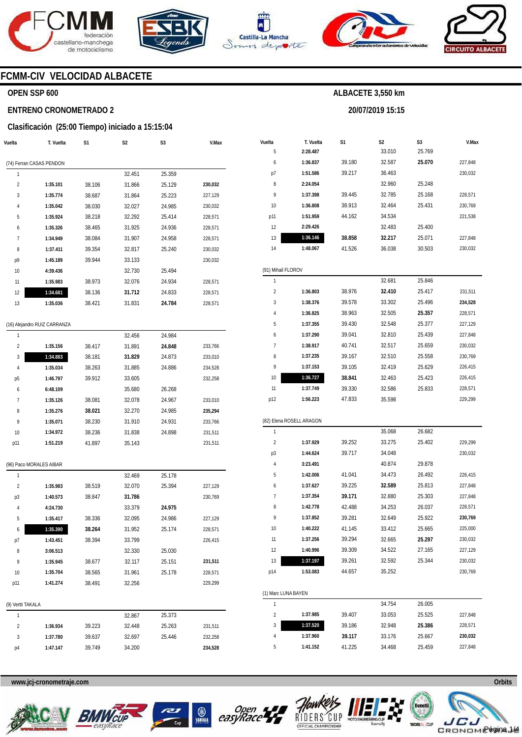







**20/07/2019 15:15** 



## **FCMM-CIV VELOCIDAD ALBACETE**

## **OPEN SSP 600**

#### **ENTRENO CRONOMETRADO 2**

#### **Clasificación (25:00 Tiempo) iniciado a 15:15:04**

| Vuelta         | T. Vuelta                | S1     | S <sub>2</sub> | S3     | V.Max   |
|----------------|--------------------------|--------|----------------|--------|---------|
|                | (74) Ferran CASAS PENDON |        |                |        |         |
| 1              |                          |        | 32.451         | 25.359 |         |
| $\overline{2}$ | 1:35.101                 | 38.106 | 31.866         | 25.129 | 230,032 |
| 3              | 1:35.774                 | 38.687 | 31.864         | 25.223 | 227,129 |
| 4              | 1:35.042                 | 38.030 | 32.027         | 24.985 | 230,032 |
| 5              | 1:35.924                 | 38.218 | 32.292         | 25.414 | 228,571 |
| 6              | 1:35.326                 | 38.465 | 31.925         | 24.936 | 228,571 |
| 7              | 1:34.949                 | 38.084 | 31.907         | 24.958 | 228,571 |
| 8              | 1:37.411                 | 39.354 | 32.817         | 25.240 | 230,032 |
| p9             | 1:45.189                 | 39.944 | 33.133         |        | 230,032 |
| 10             | 4:39.436                 |        | 32.730         | 25.494 |         |
| 11             | 1:35.983                 | 38.973 | 32.076         | 24.934 | 228,571 |
| 12             | 1:34.681                 | 38.136 | 31.712         | 24.833 | 228,571 |
| 13             | 1:35.036                 | 38.421 | 31.831         | 24.784 | 228,571 |
|                |                          |        |                |        |         |

#### (16) Alejandro RUIZ CARRANZA

| 1              |          |        | 32.456 | 24.984 |         |
|----------------|----------|--------|--------|--------|---------|
| $\overline{2}$ | 1:35.156 | 38.417 | 31.891 | 24.848 | 233.766 |
| 3              | 1:34.883 | 38.181 | 31.829 | 24.873 | 233,010 |
| 4              | 1:35.034 | 38.263 | 31.885 | 24.886 | 234,528 |
| p5             | 1:46.797 | 39.912 | 33.605 |        | 232.258 |
| 6              | 6:48.109 |        | 35.680 | 26.268 |         |
| 7              | 1:35.126 | 38.081 | 32.078 | 24.967 | 233,010 |
| 8              | 1:35.276 | 38.021 | 32.270 | 24.985 | 235,294 |
| 9              | 1:35.071 | 38.230 | 31.910 | 24.931 | 233.766 |
| 10             | 1:34.972 | 38.236 | 31.838 | 24.898 | 231.511 |
| p11            | 1:51.219 | 41.897 | 35.143 |        | 231.511 |

(96) Paco MORALES AIBAR

| 1                 |          |        | 32.469 | 25.178 |         |
|-------------------|----------|--------|--------|--------|---------|
| $\overline{2}$    | 1:35.983 | 38.519 | 32.070 | 25.394 | 227,129 |
| p3                | 1:40.573 | 38.847 | 31.786 |        | 230,769 |
| $\overline{4}$    | 4:24.730 |        | 33.379 | 24.975 |         |
| 5                 | 1:35.417 | 38.336 | 32.095 | 24.986 | 227,129 |
| 6                 | 1:35.390 | 38.264 | 31.952 | 25.174 | 228,571 |
| p7                | 1:43.451 | 38.394 | 33.799 |        | 226,415 |
| 8                 | 3:06.513 |        | 32.330 | 25.030 |         |
| 9                 | 1:35.945 | 38.677 | 32.117 | 25.151 | 231,511 |
| 10                | 1:35.704 | 38.565 | 31.961 | 25.178 | 228,571 |
| p11               | 1:41.274 | 38.491 | 32.256 |        | 229,299 |
| (9) Vertti TAKALA |          |        |        |        |         |
| 1                 |          |        | 32.867 | 25.373 |         |
| $\overline{2}$    | 1:36.934 | 39.223 | 32.448 | 25.263 | 231,511 |
| 3                 | 1:37.780 | 39.637 | 32.697 | 25.446 | 232,258 |
| p4                | 1:47.147 | 39.749 | 34.200 |        | 234,528 |

| Vuelta              | T. Vuelta                | S1               | S <sub>2</sub>   | S3               | V.Max                                                                                           |
|---------------------|--------------------------|------------------|------------------|------------------|-------------------------------------------------------------------------------------------------|
| 5                   | 2:28.487                 |                  | 33.010           | 25.769           |                                                                                                 |
| 6                   | 1:36.837                 | 39.180           | 32.587           | 25.070           | 227,848                                                                                         |
| p7                  | 1:51.586                 | 39.217           | 36.463           |                  | 230,032                                                                                         |
| 8                   | 2:24.054                 |                  | 32.960           | 25.248           |                                                                                                 |
| 9                   | 1:37.398                 | 39.445           | 32.785           | 25.168           | 228,571                                                                                         |
| 10                  | 1:36.808                 | 38.913           | 32.464           | 25.431           | 230,769                                                                                         |
| p11                 | 1:51.959                 | 44.162           | 34.534           |                  | 221,538                                                                                         |
| 12                  | 2:29.426                 |                  | 32.483           | 25.400           |                                                                                                 |
| 13                  | 1:36.146                 | 38.858           | 32.217           | 25.071           | 227,848                                                                                         |
| 14                  | 1:48.067                 | 41.526           | 36.038           | 30.503           | 230,032                                                                                         |
| (91) Mihail FLOROV  |                          |                  |                  |                  |                                                                                                 |
| 1                   |                          |                  | 32.681           | 25.846           |                                                                                                 |
| 2                   | 1:36.803                 | 38.976           | 32.410           | 25.417           | 231,511                                                                                         |
| 3                   | 1:38.376                 | 39.578           | 33.302           | 25.496           | 234,528                                                                                         |
| 4                   | 1:36.825                 | 38.963           | 32.505           | 25.357           | 228,571                                                                                         |
| 5                   | 1:37.355                 | 39.430           | 32.548           | 25.377           | 227,129                                                                                         |
| 6                   | 1:37.290                 | 39.041           | 32.810           | 25.439           | 227,848                                                                                         |
| 7                   | 1:38.917                 | 40.741           | 32.517           | 25.659           | 230,032                                                                                         |
| 8                   | 1:37.235                 | 39.167           | 32.510           | 25.558           | 230,769                                                                                         |
| 9                   | 1:37.153                 | 39.105           | 32.419           | 25.629           | 226,415                                                                                         |
| 10                  | 1:36.727                 | 38.841           | 32.463           | 25.423           | 226,415                                                                                         |
| 11                  | 1:37.749                 | 39.330           | 32.586           | 25.833           | 228,571                                                                                         |
| p12                 | 1:56.223                 | 47.833           | 35.598           |                  | 229,299                                                                                         |
|                     | (82) Elena ROSELL ARAGON |                  |                  |                  |                                                                                                 |
| 1                   |                          |                  | 35.068           | 26.682           |                                                                                                 |
| 2                   | 1:37.929                 | 39.252           | 33.275           | 25.402           | 229,299                                                                                         |
| p3                  | 1:44.624                 | 39.717           | 34.048           |                  | 230,032                                                                                         |
| 4                   | 3:23.491                 |                  | 40.874           | 29.878           |                                                                                                 |
| 5                   | 1:42.006                 | 41.041           | 34.473           | 26.492           | 226,415                                                                                         |
| 6                   |                          | 39.225           | 32.589           | 25.813           | 227,848                                                                                         |
|                     | 1:37.627                 |                  |                  |                  |                                                                                                 |
| 7                   | 1:37.354                 |                  |                  |                  |                                                                                                 |
| 8                   | 1:42.778                 | 39.171           | 32.880<br>34.253 | 25.303<br>26.037 |                                                                                                 |
| 9                   | 1:37.852                 | 42.488<br>39.281 | 32.649           | 25.922           |                                                                                                 |
| 10                  | 1:40.222                 | 41.145           | 33.412           | 25.665           |                                                                                                 |
|                     |                          |                  |                  |                  |                                                                                                 |
| 11                  | 1:37.256                 | 39.294           | 32.665           | 25.297           |                                                                                                 |
| 12                  | 1:40.996                 | 39.309           | 34.522           | 27.165           |                                                                                                 |
| 13<br>p14           | 1:37.197<br>1:53.083     | 39.261<br>44.657 | 32.592<br>35.252 | 25.344           |                                                                                                 |
|                     |                          |                  |                  |                  |                                                                                                 |
| (1) Marc LUNA BAYEN |                          |                  |                  |                  |                                                                                                 |
| 1                   |                          |                  | 34.754           | 26.005           |                                                                                                 |
| 2                   | 1:37.985                 | 39.407           | 33.053           | 25.525           | 227,848<br>228,571<br>230,769<br>225,000<br>230,032<br>227,129<br>230,032<br>230,769<br>227,848 |
| 3<br>4              | 1:37.520<br>1:37.960     | 39.186<br>39.117 | 32.948<br>33.176 | 25.386<br>25.667 | 228,571<br>230,032                                                                              |









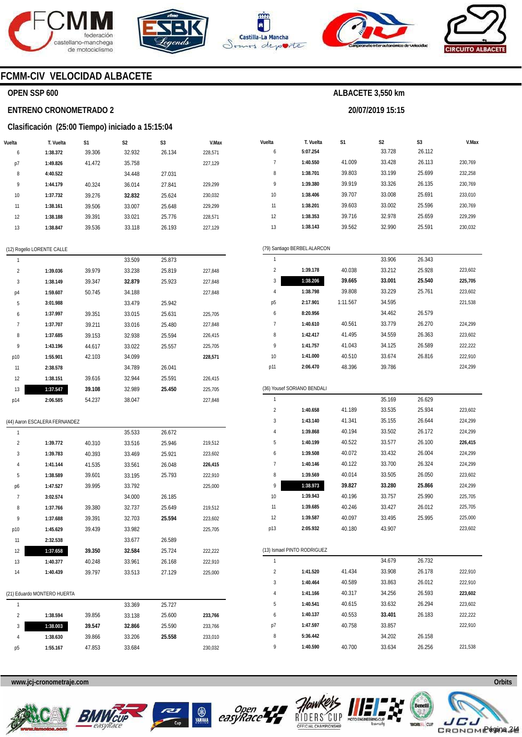







**ALBACETE 3,550 km** 

**20/07/2019 15:15** 



**V.Max** 

## **FCMM-CIV VELOCIDAD ALBACETE**

#### **OPEN SSP 600**

#### **ENTRENO CRONOMETRADO 2**

#### **Clasificación (25:00 Tiempo) iniciado a 15:15:04**

| Vuelta | T. Vuelta | S1     | S <sub>2</sub> | S <sub>3</sub> | V.Max   |
|--------|-----------|--------|----------------|----------------|---------|
| 6      | 1:38.372  | 39.306 | 32.932         | 26.134         | 228,571 |
| p7     | 1:49.826  | 41.472 | 35.758         |                | 227,129 |
| 8      | 4:40.522  |        | 34.448         | 27.031         |         |
| 9      | 1:44.179  | 40.324 | 36.014         | 27.841         | 229.299 |
| 10     | 1:37.732  | 39.276 | 32.832         | 25.624         | 230.032 |
| 11     | 1:38.161  | 39.506 | 33.007         | 25.648         | 229.299 |
| 12     | 1:38.188  | 39.391 | 33.021         | 25.776         | 228.571 |
| 13     | 1:38.847  | 39.536 | 33.118         | 26.193         | 227.129 |

|                | (12) Rogelio LORENTE CALLE |        |        |        |         |
|----------------|----------------------------|--------|--------|--------|---------|
| 1              |                            |        | 33.509 | 25.873 |         |
| $\overline{2}$ | 1:39.036                   | 39.979 | 33.238 | 25.819 | 227,848 |
| 3              | 1:38.149                   | 39.347 | 32.879 | 25.923 | 227,848 |
| p4             | 1:59.607                   | 50.745 | 34.188 |        | 227,848 |
| 5              | 3:01.988                   |        | 33.479 | 25.942 |         |
| 6              | 1:37.997                   | 39.351 | 33.015 | 25.631 | 225,705 |
| $\overline{7}$ | 1:37.707                   | 39.211 | 33.016 | 25.480 | 227,848 |
| 8              | 1:37.685                   | 39.153 | 32.938 | 25.594 | 226,415 |
| 9              | 1:43.196                   | 44.617 | 33.022 | 25.557 | 225,705 |
| p10            | 1:55.901                   | 42.103 | 34.099 |        | 228,571 |
| 11             | 2:38.578                   |        | 34.789 | 26.041 |         |
| 12             | 1:38.151                   | 39.616 | 32.944 | 25.591 | 226,415 |
| 13             | 1:37.547                   | 39.108 | 32.989 | 25.450 | 225,705 |
| p14            | 2:06.585                   | 54.237 | 38.047 |        | 227,848 |

|  | (44) Aaron ESCALERA FERNANDEZ |
|--|-------------------------------|
|  |                               |

| 1              |                             |        | 35.533 | 26.672 |         |
|----------------|-----------------------------|--------|--------|--------|---------|
| $\overline{2}$ | 1:39.772                    | 40.310 | 33.516 | 25.946 | 219,512 |
| 3              | 1:39.783                    | 40.393 | 33.469 | 25.921 | 223,602 |
| 4              | 1:41.144                    | 41.535 | 33.561 | 26.048 | 226,415 |
| 5              | 1:38.589                    | 39.601 | 33.195 | 25.793 | 222,910 |
| p6             | 1:47.527                    | 39.995 | 33.792 |        | 225,000 |
| $\overline{1}$ | 3:02.574                    |        | 34.000 | 26.185 |         |
| 8              | 1:37.766                    | 39.380 | 32.737 | 25.649 | 219,512 |
| 9              | 1:37.688                    | 39.391 | 32.703 | 25.594 | 223,602 |
| p10            | 1:45.629                    | 39.439 | 33.982 |        | 225,705 |
| 11             | 2:32.538                    |        | 33.677 | 26.589 |         |
| 12             | 1:37.658                    | 39.350 | 32.584 | 25.724 | 222,222 |
| 13             | 1:40.377                    | 40.248 | 33.961 | 26.168 | 222,910 |
| 14             | 1:40.439                    | 39.797 | 33.513 | 27.129 | 225,000 |
|                |                             |        |        |        |         |
|                | (21) Eduardo MONTERO HUERTA |        |        |        |         |
| 1              |                             |        | 33.369 | 25.727 |         |
| 2              | 1:38.594                    | 39.856 | 33.138 | 25.600 | 233,766 |

| Vuelta                  | T. Vuelta                    | S1       | S2<br>S3 |        | V.Max   |
|-------------------------|------------------------------|----------|----------|--------|---------|
| 6                       | 5:07.254                     |          | 33.728   | 26.112 |         |
| 7                       | 1:40.550                     | 41.009   | 33.428   | 26.113 | 230,769 |
| 8                       | 1:38.701                     | 39.803   | 33.199   | 25.699 | 232,258 |
| 9                       | 1:39.380                     | 39.919   | 33.326   | 26.135 | 230,769 |
| 10                      | 1:38.406                     | 39.707   | 33.008   | 25.691 | 233,010 |
| 11                      | 1:38.201                     | 39.603   | 33.002   | 25.596 | 230,769 |
| 12                      | 1:38.353                     | 39.716   | 32.978   | 25.659 | 229,299 |
| 13                      | 1:38.143                     | 39.562   | 32.990   | 25.591 | 230,032 |
|                         |                              |          |          |        |         |
|                         | (79) Santiago BERBEL ALARCON |          |          |        |         |
| 1                       |                              |          | 33.906   | 26.343 |         |
| $\overline{\mathbf{c}}$ | 1:39.178                     | 40.038   | 33.212   | 25.928 | 223,602 |
| 3                       | 1:38.206                     | 39.665   | 33.001   | 25.540 | 225,705 |
| 4                       | 1:38.798                     | 39.808   | 33.229   | 25.761 | 223,602 |
| p5                      | 2:17.901                     | 1:11.567 | 34.595   |        | 221,538 |
| 6                       | 8:20.956                     |          | 34.462   | 26.579 |         |
| 7                       | 1:40.610                     | 40.561   | 33.779   | 26.270 | 224,299 |
| 8                       | 1:42.417                     | 41.495   | 34.559   | 26.363 | 223,602 |
| 9                       | 1:41.757                     | 41.043   | 34.125   | 26.589 | 222,222 |
| 10                      | 1:41.000                     | 40.510   | 33.674   | 26.816 | 222,910 |
| p11                     | 2:06.470                     | 48.396   | 39.786   |        | 224,299 |
|                         |                              |          |          |        |         |
|                         | (36) Yousef SORIANO BENDALI  |          |          |        |         |
| 1                       |                              |          | 35.169   | 26.629 |         |
| $\overline{\mathbf{c}}$ | 1:40.658                     | 41.189   | 33.535   | 25.934 | 223,602 |
| 3                       | 1:43.140                     | 41.341   | 35.155   | 26.644 | 224,299 |
| 4                       | 1:39.868                     | 40.194   | 33.502   | 26.172 | 224,299 |
| 5                       | 1:40.199                     | 40.522   | 33.577   | 26.100 | 226,415 |
| 6                       | 1:39.508                     | 40.072   | 33.432   | 26.004 | 224,299 |
| 7                       | 1:40.146                     | 40.122   | 33.700   | 26.324 | 224,299 |
| 8                       | 1:39.569                     | 40.014   | 33.505   | 26.050 | 223,602 |
| 9                       | 1:38.973                     | 39.827   | 33.280   | 25.866 | 224,299 |
| 10                      | 1:39.943                     | 40.196   | 33.757   | 25.990 | 225,705 |
| 11                      | 1:39.685                     | 40.246   | 33.427   | 26.012 | 225,705 |
| 12                      | 1:39.587                     | 40.097   | 33.495   | 25.995 | 225,000 |
| p13                     | 2:05.932                     | 40.180   | 43.907   |        | 223,602 |
|                         |                              |          |          |        |         |
|                         | (13) Ismael PINTO RODRIGUEZ  |          |          |        |         |
| 1                       |                              |          | 34.679   | 26.732 |         |
| 2                       | 1:41.520                     | 41.434   | 33.908   | 26.178 | 222,910 |
| 3                       | 1:40.464                     | 40.589   | 33.863   | 26.012 | 222,910 |
| 4                       | 1:41.166                     | 40.317   | 34.256   | 26.593 | 223,602 |
| 5                       | 1:40.541                     | 40.615   | 33.632   | 26.294 | 223,602 |
| 6                       | 1:40.137                     | 40.553   | 33.401   | 26.183 | 222,222 |
| p7                      | 1:47.597                     | 40.758   | 33.857   |        | 222,910 |
| 8                       | 5:36.442                     |          | 34.202   | 26.158 |         |
| 9                       | 1:40.590                     | 40.700   | 33.634   | 26.256 | 221,538 |

**www.jcj-cronometraje.com Orbits** 

**1:38.003 1:38.630 1:55.167**  **39.547**  39.866 47.853



3 4 p5



**32.866**  33.206 33.684

25.590 **25.558** 

233,766 233,010 230,032





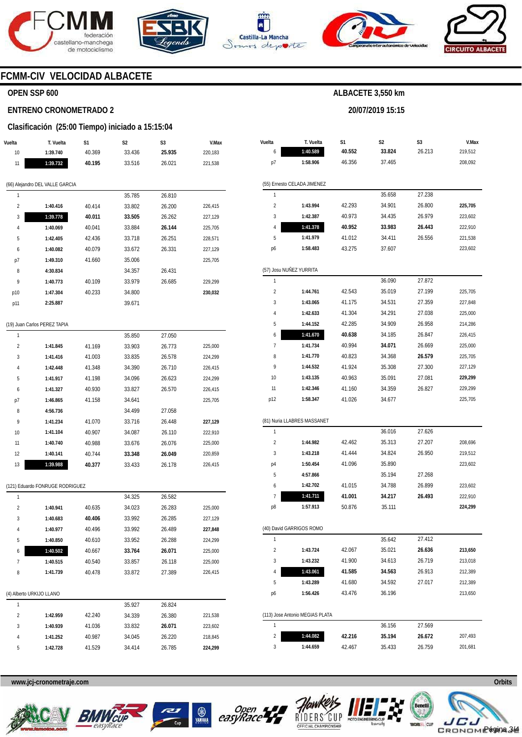







**20/07/2019 15:15** 



# **FCMM-CIV VELOCIDAD ALBACETE**

## **OPEN SSP 600**

#### **ENTRENO CRONOMETRADO 2**

#### **Clasificación (25:00 Tiempo) iniciado a 15:15:04**

| Vuelta                          | T. Vuelta                       | S1     | S2     | S3     | V.Max   |  |  |  |  |  |  |  |
|---------------------------------|---------------------------------|--------|--------|--------|---------|--|--|--|--|--|--|--|
| 10                              | 1:39.740                        | 40.369 | 33.436 | 25.935 | 220,183 |  |  |  |  |  |  |  |
| 11                              | 1:39.732                        | 40.195 | 33.516 | 26.021 | 221,538 |  |  |  |  |  |  |  |
|                                 |                                 |        |        |        |         |  |  |  |  |  |  |  |
| (66) Alejandro DEL VALLE GARCIA |                                 |        |        |        |         |  |  |  |  |  |  |  |
| 1                               |                                 |        | 35.785 | 26.810 |         |  |  |  |  |  |  |  |
| 2                               | 1:40.416                        | 40.414 | 33.802 | 26.200 | 226,415 |  |  |  |  |  |  |  |
| 3                               | 1:39.778                        | 40.011 | 33.505 | 26.262 | 227,129 |  |  |  |  |  |  |  |
| 4                               | 1:40.069                        | 40.041 | 33.884 | 26.144 | 225,705 |  |  |  |  |  |  |  |
| 5                               | 1:42.405                        | 42.436 | 33.718 | 26.251 | 228,571 |  |  |  |  |  |  |  |
| 6                               | 1:40.082                        | 40.079 | 33.672 | 26.331 | 227,129 |  |  |  |  |  |  |  |
| p7                              | 1:49.310                        | 41.660 | 35.006 |        | 225,705 |  |  |  |  |  |  |  |
| 8                               | 4:30.834                        |        | 34.357 | 26.431 |         |  |  |  |  |  |  |  |
| 9                               | 1:40.773                        | 40.109 | 33.979 | 26.685 | 229,299 |  |  |  |  |  |  |  |
| p10                             | 1:47.304                        | 40.233 | 34.800 |        | 230,032 |  |  |  |  |  |  |  |
| p11                             | 2:25.887                        |        | 39.671 |        |         |  |  |  |  |  |  |  |
|                                 |                                 |        |        |        |         |  |  |  |  |  |  |  |
|                                 | (19) Juan Carlos PEREZ TAPIA    |        |        |        |         |  |  |  |  |  |  |  |
| 1                               |                                 |        | 35.850 | 27.050 |         |  |  |  |  |  |  |  |
| $\overline{2}$                  | 1:41.845                        | 41.169 | 33.903 | 26.773 | 225,000 |  |  |  |  |  |  |  |
| 3                               | 1:41.416                        | 41.003 | 33.835 | 26.578 | 224,299 |  |  |  |  |  |  |  |
| 4                               | 1:42.448                        | 41.348 | 34.390 | 26.710 | 226,415 |  |  |  |  |  |  |  |
| 5                               | 1:41.917                        | 41.198 | 34.096 | 26.623 | 224,299 |  |  |  |  |  |  |  |
| 6                               | 1:41.327                        | 40.930 | 33.827 | 26.570 | 226,415 |  |  |  |  |  |  |  |
| p7                              | 1:46.865                        | 41.158 | 34.641 |        | 225,705 |  |  |  |  |  |  |  |
| 8                               | 4:56.736                        |        | 34.499 | 27.058 |         |  |  |  |  |  |  |  |
| 9                               | 1:41.234                        | 41.070 | 33.716 | 26.448 | 227,129 |  |  |  |  |  |  |  |
| 10                              | 1:41.104                        | 40.907 | 34.087 | 26.110 | 222,910 |  |  |  |  |  |  |  |
| 11                              | 1:40.740                        | 40.988 | 33.676 | 26.076 | 225,000 |  |  |  |  |  |  |  |
| 12                              | 1:40.141                        | 40.744 | 33.348 | 26.049 | 220,859 |  |  |  |  |  |  |  |
| 13                              | 1:39.988                        | 40.377 | 33.433 | 26.178 | 226,415 |  |  |  |  |  |  |  |
|                                 |                                 |        |        |        |         |  |  |  |  |  |  |  |
|                                 | (121) Eduardo FONRUGE RODRIGUEZ |        |        |        |         |  |  |  |  |  |  |  |
| 1                               |                                 |        | 34.325 | 26.582 |         |  |  |  |  |  |  |  |
| 2                               | 1:40.941                        | 40.635 | 34.023 | 26.283 | 225,000 |  |  |  |  |  |  |  |
| 3                               | 1:40.683                        | 40.406 | 33.992 | 26.285 | 227,129 |  |  |  |  |  |  |  |
| 4                               | 1:40.977                        | 40.496 | 33.992 | 26.489 | 227,848 |  |  |  |  |  |  |  |
| 5                               | 1:40.850                        | 40.610 | 33.952 | 26.288 | 224,299 |  |  |  |  |  |  |  |
| 6                               | 1:40.502                        | 40.667 | 33.764 | 26.071 | 225,000 |  |  |  |  |  |  |  |
| 7                               | 1:40.515                        | 40.540 | 33.857 | 26.118 | 225,000 |  |  |  |  |  |  |  |
| 8                               | 1:41.739                        | 40.478 | 33.872 | 27.389 | 226,415 |  |  |  |  |  |  |  |
|                                 |                                 |        |        |        |         |  |  |  |  |  |  |  |
|                                 | (4) Alberto URKIJO LLANO        |        |        |        |         |  |  |  |  |  |  |  |
| 1                               |                                 |        | 35.927 | 26.824 |         |  |  |  |  |  |  |  |
| 2                               | 1:42.959                        | 42.240 | 34.339 | 26.380 | 221,538 |  |  |  |  |  |  |  |
| 3                               | 1:40.939                        | 41.036 | 33.832 | 26.071 | 223,602 |  |  |  |  |  |  |  |
| 4                               | 1:41.252                        | 40.987 | 34.045 | 26.220 | 218,845 |  |  |  |  |  |  |  |
| 5                               | 1:42.728                        | 41.529 | 34.414 | 26.785 | 224,299 |  |  |  |  |  |  |  |
|                                 |                                 |        |        |        |         |  |  |  |  |  |  |  |

| Vuelta                  | T. Vuelta                       | S1     | S2               | S3     | V.Max   |  |
|-------------------------|---------------------------------|--------|------------------|--------|---------|--|
| 6                       | 1:40.589                        | 40.552 | 33.824<br>26.213 |        | 219,512 |  |
| p7<br>1:58.906          |                                 | 46.356 | 37.465           |        | 208,092 |  |
|                         | (55) Ernesto CELADA JIMENEZ     |        |                  |        |         |  |
| 1                       |                                 |        | 35.658           | 27.238 |         |  |
| $\overline{2}$          | 1:43.994                        | 42.293 | 34.901           | 26.800 | 225,705 |  |
| 3                       | 1:42.387                        | 40.973 | 34.435           | 26.979 | 223,602 |  |
| 4                       | 1:41.378                        | 40.952 | 33.983           | 26.443 | 222,910 |  |
| 5                       | 1:41.979                        | 41.012 | 34.411           | 26.556 | 221,538 |  |
| p6                      | 1:58.483                        | 43.275 | 37.607           |        | 223,602 |  |
|                         | (57) Josu NUÑEZ YURRITA         |        |                  |        |         |  |
| 1                       |                                 |        | 36.090           | 27.872 |         |  |
| $\overline{2}$          | 1:44.761                        | 42.543 | 35.019           | 27.199 | 225,705 |  |
| 3                       | 1:43.065                        | 41.175 | 34.531           | 27.359 | 227,848 |  |
| 4                       | 1:42.633                        | 41.304 | 34.291           | 27.038 | 225,000 |  |
| 5                       | 1:44.152                        | 42.285 | 34.909           | 26.958 | 214,286 |  |
| 6                       | 1:41.670                        | 40.638 | 34.185           | 26.847 | 226,415 |  |
| 7                       | 1:41.734                        | 40.994 | 34.071           | 26.669 | 225,000 |  |
| 8                       | 1:41.770                        | 40.823 | 34.368           | 26.579 | 225,705 |  |
| 9                       | 1:44.532                        | 41.924 | 35.308           | 27.300 | 227,129 |  |
| 10                      | 1:43.135                        | 40.963 | 35.091           | 27.081 | 229,299 |  |
| 11                      | 1:42.346                        | 41.160 | 34.359           | 26.827 | 229,299 |  |
| p12                     | 1:58.347                        | 41.026 | 34.677           |        | 225,705 |  |
|                         | (81) Nuria LLABRES MASSANET     |        |                  |        |         |  |
| 1                       |                                 |        | 36.016           | 27.626 |         |  |
| 2                       | 1:44.982                        | 42.462 | 35.313           | 27.207 | 208,696 |  |
| 3                       | 1:43.218                        | 41.444 | 34.824           | 26.950 | 219,512 |  |
| p4                      | 1:50.454                        | 41.096 | 35.890           |        | 223,602 |  |
| 5                       | 4:57.866                        |        | 35.194           | 27.268 |         |  |
| 6                       | 1:42.702                        | 41.015 | 34.788           | 26.899 | 223,602 |  |
| 7                       | 1:41.711                        | 41.001 | 34.217           | 26.493 | 222,910 |  |
| p8                      | 1:57.913                        | 50.876 | 35.111           |        | 224,299 |  |
|                         | (40) David GARRIGOS ROMO        |        |                  |        |         |  |
| 1                       |                                 |        | 35.642           | 27.412 |         |  |
| $\overline{\mathbf{c}}$ | 1:43.724                        | 42.067 | 35.021           | 26.636 | 213,650 |  |
| 3                       | 1:43.232                        | 41.900 | 34.613           | 26.719 | 213,018 |  |
| 4                       | 1:43.061                        | 41.585 | 34.563           | 26.913 | 212,389 |  |
| 5                       | 1:43.289                        | 41.680 | 34.592           | 27.017 | 212,389 |  |
| р6                      | 1:56.426                        | 43.476 | 36.196           |        | 213,650 |  |
|                         |                                 |        |                  |        |         |  |
| 1                       | (113) Jose Antonio MEGIAS PLATA |        |                  |        |         |  |
|                         |                                 |        | 36.156           | 27.569 |         |  |
| $\overline{\mathbf{c}}$ | 1:44.082                        | 42.216 | 35.194           | 26.672 | 207,493 |  |
| 3                       | 1:44.659                        | 42.467 | 35.433           | 26.759 | 201,681 |  |











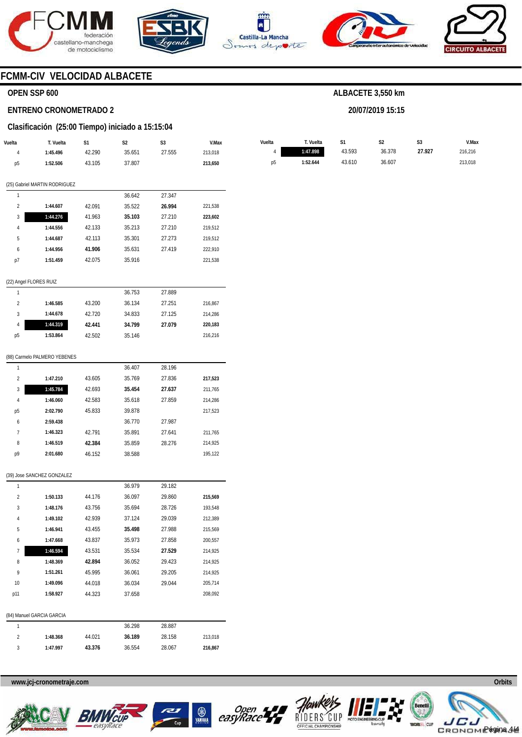







**20/07/2019 15:15** 



# **FCMM-CIV VELOCIDAD ALBACETE**

## **OPEN SSP 600**

#### **ENTRENO CRONOMETRADO 2**

#### **Clasificación (25:00 Tiempo) iniciado a 15:15:04**

| Vuelta                 | T. Vuelta                     | S1     | S <sub>2</sub> | S <sub>3</sub> | V.Max   | Vuelta         | T. Vuelta | S1     |        | S <sub>3</sub><br>S <sub>2</sub> |
|------------------------|-------------------------------|--------|----------------|----------------|---------|----------------|-----------|--------|--------|----------------------------------|
| $\overline{4}$         | 1:45.496                      | 42.290 | 35.651         | 27.555         | 213,018 | $\overline{4}$ | 1:47.898  | 43.593 | 36.378 | 27.927                           |
| p5                     | 1:52.506                      | 43.105 | 37.807         |                | 213,650 | p <sub>5</sub> | 1:52.644  | 43.610 | 36.607 |                                  |
|                        |                               |        |                |                |         |                |           |        |        |                                  |
|                        | (25) Gabriel MARTIN RODRIGUEZ |        |                |                |         |                |           |        |        |                                  |
| $\mathbf{1}$           |                               |        | 36.642         | 27.347         |         |                |           |        |        |                                  |
| $\overline{2}$         | 1:44.607                      | 42.091 | 35.522         | 26.994         | 221,538 |                |           |        |        |                                  |
| 3                      | 1:44.276                      | 41.963 | 35.103         | 27.210         | 223,602 |                |           |        |        |                                  |
| 4                      | 1:44.556                      | 42.133 | 35.213         | 27.210         | 219,512 |                |           |        |        |                                  |
| 5                      | 1:44.687                      | 42.113 | 35.301         | 27.273         | 219,512 |                |           |        |        |                                  |
| 6                      | 1:44.956                      | 41.906 | 35.631         | 27.419         | 222,910 |                |           |        |        |                                  |
| p7                     | 1:51.459                      | 42.075 | 35.916         |                | 221,538 |                |           |        |        |                                  |
| (22) Angel FLORES RUIZ |                               |        |                |                |         |                |           |        |        |                                  |
| $\mathbf{1}$           |                               |        | 36.753         | 27.889         |         |                |           |        |        |                                  |
| $\overline{2}$         | 1:46.585                      | 43.200 | 36.134         | 27.251         | 216,867 |                |           |        |        |                                  |
| 3                      | 1:44.678                      | 42.720 | 34.833         | 27.125         | 214,286 |                |           |        |        |                                  |
| 4                      | 1:44.319                      | 42.441 | 34.799         | 27.079         | 220,183 |                |           |        |        |                                  |
| p5                     | 1:53.864                      | 42.502 | 35.146         |                | 216,216 |                |           |        |        |                                  |
|                        |                               |        |                |                |         |                |           |        |        |                                  |
|                        | (88) Carmelo PALMERO YEBENES  |        |                |                |         |                |           |        |        |                                  |
| $\mathbf{1}$           |                               |        | 36.407         | 28.196         |         |                |           |        |        |                                  |
| $\overline{2}$         | 1:47.210                      | 43.605 | 35.769         | 27.836         | 217,523 |                |           |        |        |                                  |
| $\sqrt{3}$             | 1:45.784                      | 42.693 | 35.454         | 27.637         | 211,765 |                |           |        |        |                                  |
| 4                      | 1:46.060                      | 42.583 | 35.618         | 27.859         | 214,286 |                |           |        |        |                                  |
| p5                     | 2:02.790                      | 45.833 | 39.878         |                | 217,523 |                |           |        |        |                                  |
| 6                      | 2:59.438                      |        | 36.770         | 27.987         |         |                |           |        |        |                                  |
| $\overline{1}$         | 1:46.323                      | 42.791 | 35.891         | 27.641         | 211,765 |                |           |        |        |                                  |
| 8                      | 1:46.519                      | 42.384 | 35.859         | 28.276         | 214,925 |                |           |        |        |                                  |
| p9                     | 2:01.680                      | 46.152 | 38.588         |                | 195,122 |                |           |        |        |                                  |
|                        | (39) Jose SANCHEZ GONZALEZ    |        |                |                |         |                |           |        |        |                                  |
| $\mathbf{1}$           |                               |        | 36.979         | 29.182         |         |                |           |        |        |                                  |
| $\overline{2}$         | 1:50.133                      | 44.176 | 36.097         | 29.860         | 215,569 |                |           |        |        |                                  |
| 3                      | 1:48.176                      | 43.756 | 35.694         | 28.726         | 193,548 |                |           |        |        |                                  |
|                        |                               |        |                |                |         |                |           |        |        |                                  |
| 4                      | 1:49.102                      | 42.939 | 37.124         | 29.039         | 212,389 |                |           |        |        |                                  |
| 5                      | 1:46.941                      | 43.455 | 35.498         | 27.988         | 215,569 |                |           |        |        |                                  |
| 6                      | 1:47.668                      | 43.837 | 35.973         | 27.858         | 200,557 |                |           |        |        |                                  |
| $\overline{7}$         | 1:46.594                      | 43.531 | 35.534         | 27.529         | 214,925 |                |           |        |        |                                  |
| 8                      | 1:48.369                      | 42.894 | 36.052         | 29.423         | 214,925 |                |           |        |        |                                  |
| 9                      | 1:51.261                      | 45.995 | 36.061         | 29.205         | 214,925 |                |           |        |        |                                  |
| 10                     | 1:49.096                      | 44.018 | 36.034         | 29.044         | 205,714 |                |           |        |        |                                  |
| p11                    | 1:58.927                      | 44.323 | 37.658         |                | 208,092 |                |           |        |        |                                  |
|                        | (84) Manuel GARCIA GARCIA     |        |                |                |         |                |           |        |        |                                  |
| $\mathbf{1}$           |                               |        | 36.298         | 28.887         |         |                |           |        |        |                                  |
| $\overline{2}$         | 1:48.368                      | 44.021 | 36.189         | 28.158         | 213,018 |                |           |        |        |                                  |
| $\sqrt{3}$             | 1:47.997                      | 43.376 | 36.554         | 28.067         | 216,867 |                |           |        |        |                                  |
|                        |                               |        |                |                |         |                |           |        |        |                                  |









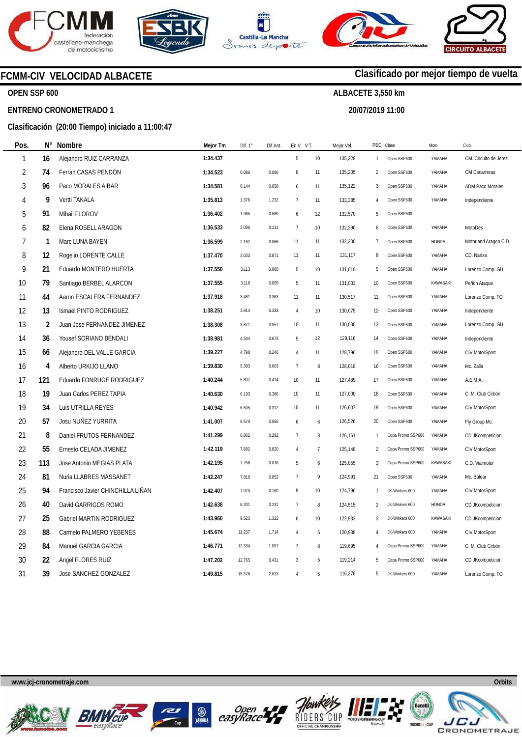

**ENTRENO CRONOMETRADO 1** 

**OPEN SSP 600** 









# **Clasificado por mejor tiempo de vuelta**

**ALBACETE 3,550 km** 

**20/07/2019 11:00** 

# **Clasificación (20:00 Tiempo) iniciado a 11:00:47**

**FCMM-CIV VELOCIDAD ALBACETE** 

| Pos.           | N°  | Nombre                            | Mejor Tm | Dif. $1^\circ$ | Dif.Ant. | En V. V.T.     |                | Mejor Vel. | PEC Clase      |                   | Moto         | Club                    |
|----------------|-----|-----------------------------------|----------|----------------|----------|----------------|----------------|------------|----------------|-------------------|--------------|-------------------------|
| 1              | 16  | Alejandro RUIZ CARRANZA           | 1:34.437 |                |          | 5              | $10$           | 135,328    | $\mathbf{1}$   | Open SSP600       | YAMAHA       | CM. Circuito de Jerez   |
| $\overline{2}$ | 74  | Ferran CASAS PENDON               | 1:34.523 | 0.086          | 0.086    | 8              | 11             | 135,205    | $\overline{2}$ | Open SSP600       | YAMAHA       | CM Decarreras           |
| 3              | 96  | Paco MORALES AIBAR                | 1:34.581 | 0.144          | 0.058    | 6              | 11             | 135,122    | 3              | Open SSP600       | YAMAHA       | <b>ADM Paco Morales</b> |
| 4              | 9   | Vertti TAKALA                     | 1:35.813 | 1.376          | 1.232    | $\overline{7}$ | 11             | 133,385    | 4              | Open SSP600       | YAMAHA       | Independiente           |
| 5              | 91  | Mihail FLOROV                     | 1:36.402 | 1.965          | 0.589    | 6              | 12             | 132,570    | 5              | Open SSP600       |              |                         |
| 6              | 82  | Elena ROSELL ARAGON               | 1:36.533 | 2.096          | 0.131    | $\overline{7}$ | 10             | 132,390    | 6              | Open SSP600       | YAMAHA       | MotoDes                 |
| 7              | 1   | Marc LUNA BAYEN                   | 1:36.599 | 2.162          | 0.066    | 11             | 11             | 132,300    | $\overline{7}$ | Open SSP600       | <b>HONDA</b> | Motorland Aragon C.D.   |
| 8              | 12  | Rogelio LORENTE CALLE             | 1:37.470 | 3.033          | 0.871    | 11             | 11             | 131,117    | 8              | Open SSP600       | YAMAHA       | CD. Narixa              |
| 9              | 21  | Eduardo MONTERO HUERTA            | 1:37.550 | 3.113          | 0.080    | 5              | $10$           | 131,010    | 9              | Open SSP600       | YAMAHA       | Lorenzo Comp. GU        |
| 10             | 79  | Santiago BERBEL ALARCON           | 1:37.555 | 3.118          | 0.005    | 5              | 11             | 131,003    | 10             | Open SSP600       | KAWASAKI     | Peñon Ataque            |
| 11             | 44  | Aaron ESCALERA FERNANDEZ          | 1:37.918 | 3.481          | 0.363    | 11             | 11             | 130,517    | 11             | Open SSP600       | YAMAHA       | Lorenzo Comp. TO        |
| 12             | 13  | Ismael PINTO RODRIGUEZ            | 1:38.251 | 3.814          | 0.333    | $\sqrt{4}$     | $10$           | 130,075    | 12             | Open SSP600       | YAMAHA       | Independiente           |
| 13             | 2   | Juan Jose FERNANDEZ JIMENEZ       | 1:38.308 | 3.871          | 0.057    | 10             | 11             | 130,000    | 13             | Open SSP600       | YAMAHA       | Lorenzo Comp. GU        |
| 14             | 36  | Yousef SORIANO BENDALI            | 1:38.981 | 4.544          | 0.673    | 5              | 12             | 129,116    | 14             | Open SSP600       | YAMAHA       | Independiente           |
| 15             | 66  | Alejandro DEL VALLE GARCIA        | 1:39.227 | 4.790          | 0.246    | 4              | 11             | 128,796    | 15             | Open SSP600       | YAMAHA       | CIV MotorSport          |
| 16             | 4   | Alberto URKIJO LLANO              | 1:39.830 | 5.393          | 0.603    | $\overline{7}$ | 8              | 128,018    | 16             | Open SSP600       | YAMAHA       | Mc. Zalla               |
| 17             | 121 | Eduardo FONRUGE RODRIGUEZ         | 1:40.244 | 5.807          | 0.414    | 10             | 11             | 127,489    | 17             | Open SSP600       | YAMAHA       | A.E.M.A.                |
| 18             | 19  | Juan Carlos PEREZ TAPIA           | 1:40.630 | 6.193          | 0.386    | 10             | 11             | 127,000    | 18             | Open SSP600       | YAMAHA       | C. M. Club Cirbón       |
| 19             | 34  | Luis UTRILLA REYES                | 1:40.942 | 6.505          | 0.312    | 10             | 11             | 126,607    | 19             | Open SSP600       | YAMAHA       | CIV MotorSport          |
| 20             | 57  | Josu NUÑEZ YURRITA                | 1:41.007 | 6.570          | 0.065    | 6              | 6              | 126,526    | 20             | Open SSP600       | YAMAHA       | Fly Group Mc.           |
| 21             | 8   | Daniel FRUTOS FERNANDEZ           | 1:41.299 | 6.862          | 0.292    | $\overline{7}$ | 8              | 126,161    | 1              | Copa Promo SSP60C | YAMAHA       | CD JKcompeticion        |
| 22             | 55  | Ernesto CELADA JIMENEZ            | 1:42.119 | 7.682          | 0.820    | $\overline{4}$ | $\overline{7}$ | 125,148    | $\overline{2}$ | Copa Promo SSP60C | YAMAHA       | CIV MotorSport          |
| 23             | 113 | Jose Antonio MEGIAS PLATA         | 1:42.195 | 7.758          | 0.076    | 5              | 6              | 125,055    | 3              | Copa Promo SSP600 | KAWASAKI     | C.D. Vialmotor          |
| 24             | 81  | Nuria LLABRES MASSANET            | 1:42.247 | 7.810          | 0.052    | $\overline{7}$ | 9              | 124,991    | 21             | Open SSP600       | YAMAHA       | Mc. Balear              |
| 25             | 94  | Francisco Javier CHINCHILLA LIÑAN | 1:42.407 | 7.970          | 0.160    | 9              | 10             | 124,796    | 1              | JK-Winkers 600    | YAMAHA       | CIV MotorSport          |
| 26             | 40  | David GARRIGOS ROMO               | 1:42.638 | 8.201          | 0.231    | $\overline{7}$ | 8              | 124,515    | $\overline{2}$ | JK-Winkers 600    | <b>HONDA</b> | CD JKcompeticion        |
| 27             | 25  | Gabriel MARTIN RODRIGUEZ          | 1:43.960 | 9.523          | 1.322    | 6              | 10             | 122,932    | 3              | JK-Winkers 600    | KAWASAKI     | CD JKcompeticion        |
| 28             | 88  | Carmelo PALMERO YEBENES           | 1:45.674 | 11.237         | 1.714    | $\overline{4}$ | 6              | 120,938    | $\overline{4}$ | JK-Winkers 600    | YAMAHA       | CIV MotorSport          |
| 29             | 84  | Manuel GARCIA GARCIA              | 1:46.771 | 12.334         | 1.097    | $\overline{7}$ | 8              | 119,695    | $\overline{4}$ | Copa Promo SSP600 | YAMAHA       | C. M. Club Cirbón       |
| $30\,$         | 22  | Angel FLORES RUIZ                 | 1:47.202 | 12.765         | 0.431    | $\overline{3}$ | 5              | 119,214    | 5              | Copa Promo SSP600 | YAMAHA       | CD JKcompeticion        |
| 31             | 39  | Jose SANCHEZ GONZALEZ             | 1:49.815 | 15.378         | 2.613    | 4              | 5              | 116,378    | 5              | JK-Winkers 600    | YAMAHA       | Lorenzo Comp. TO        |
|                |     |                                   |          |                |          |                |                |            |                |                   |              |                         |











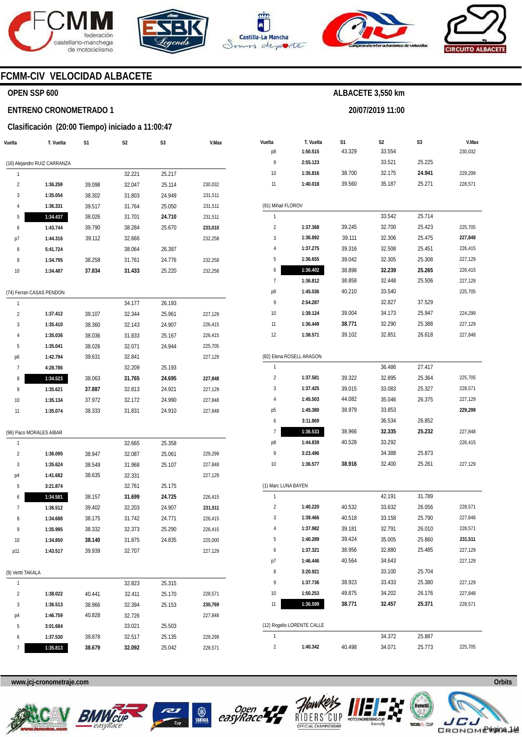







**20/07/2019 11:00** 



### **FCMM-CIV VELOCIDAD ALBACETE**

### **OPEN SSP 600**

#### **ENTRENO CRONOMETRADO 1**

#### **Clasificación (20:00 Tiempo) iniciado a 11:00:47**

| T. Vuelta                | S1                           | S2     | S3     | V.Max   |
|--------------------------|------------------------------|--------|--------|---------|
|                          |                              |        |        |         |
|                          |                              | 32.221 | 25.217 |         |
| 1:36.259                 | 39.098                       | 32.047 | 25.114 | 230,032 |
| 1:35.054                 | 38.302                       | 31.803 | 24.949 | 231,511 |
| 1:36.331                 | 39.517                       | 31.764 | 25.050 | 231,511 |
| 1:34.437                 | 38.026                       | 31.701 | 24.710 | 231,511 |
| 1:43.744                 | 39.790                       | 38.284 | 25.670 | 233,010 |
| 1:44.316                 | 39.112                       | 32.666 |        | 232,258 |
| 5:41.724                 |                              | 38.064 | 26.387 |         |
| 1:34.795                 | 38.258                       | 31.761 | 24.776 | 232,258 |
| 1:34.487                 | 37.834                       | 31.433 | 25.220 | 232,258 |
| (74) Ferran CASAS PENDON |                              |        |        |         |
|                          |                              | 34.177 | 26.193 |         |
| 1:37.412                 | 39.107                       | 32.344 | 25.961 | 227,129 |
| 1:35.410                 | 38.360                       | 32.143 | 24.907 | 226,415 |
| 1:35.036                 | 38.036                       | 31.833 | 25.167 | 226,415 |
| 1:35.041                 | 38.026                       | 32.071 | 24.944 | 225,705 |
| 1:42.794                 | 39.631                       | 32.841 |        | 227,129 |
| 4:28.786                 |                              | 32.209 | 25.193 |         |
| 1:34.523                 | 38.063                       | 31.765 | 24.695 | 227,848 |
| 1:35.621                 | 37.887                       | 32.813 | 24.921 | 227,129 |
| 1:35.134                 | 37.972                       | 32.172 | 24.990 | 227,848 |
| 1:35.074                 | 38.333                       | 31.831 | 24.910 | 227,848 |
| (96) Paco MORALES AIBAR  |                              |        |        |         |
|                          |                              | 32.665 | 25.358 |         |
| 1:36.095                 | 38.947                       | 32.087 | 25.061 | 229,299 |
| 1:35.624                 | 38.549                       | 31.968 | 25.107 | 227,848 |
| 1:41.682                 | 38.635                       | 32.331 |        | 227,129 |
| 3:21.874                 |                              | 32.761 | 25.175 |         |
| 1:34.581                 | 38.157                       | 31.699 | 24.725 | 226,415 |
| 1:36.512                 | 39.402                       | 32.203 | 24.907 | 231,511 |
| 1:34.688                 | 38.175                       | 31.742 | 24.771 | 226,415 |
| 1:35.995                 | 38.332                       | 32.373 | 25.290 | 226,415 |
| 1:34.850                 | 38.140                       | 31.875 | 24.835 | 225,000 |
| 1:43.517                 | 39.939                       | 32.707 |        | 227,129 |
| (9) Vertti TAKALA        |                              |        |        |         |
|                          |                              | 32.823 | 25.315 |         |
| 1:38.022                 | 40.441                       | 32.411 | 25.170 | 228,571 |
| 1:36.513                 | 38.966                       | 32.394 | 25.153 | 230,769 |
| 1:46.759                 | 40.828                       | 32.726 |        | 227,848 |
| 3:01.684                 |                              | 33.021 | 25.503 |         |
| 1:37.530                 | 39.878                       | 32.517 | 25.135 | 229,299 |
| 1:35.813                 | 38.679                       | 32.092 | 25.042 | 228,571 |
|                          | (16) Alejandro RUIZ CARRANZA |        |        |         |

| Vuelta              | T. Vuelta                  | S1     | S <sub>2</sub> | S3     | V.Max   |
|---------------------|----------------------------|--------|----------------|--------|---------|
| p8                  | 1:50.515                   | 43.329 | 33.554         |        | 230,032 |
| 9                   | 2:55.123                   |        | 33.521         | 25.225 |         |
| 10                  | 1:35.816                   | 38.700 | 32.175         | 24.941 | 229,299 |
| 11                  | 1:40.018                   | 39.560 | 35.187         | 25.271 | 228,571 |
| (91) Mihail FLOROV  |                            |        |                |        |         |
| 1                   |                            |        | 33.542         | 25.714 |         |
| 2                   | 1:37.368                   | 39.245 | 32.700         | 25.423 | 225,705 |
| 3                   | 1:36.892                   | 39.111 | 32.306         | 25.475 | 227,848 |
| 4                   | 1:37.275                   | 39.316 | 32.508         | 25.451 | 226,415 |
| 5                   | 1:36.655                   | 39.042 | 32.305         | 25.308 | 227,129 |
| 6                   | 1:36.402                   | 38.898 | 32.239         | 25.265 | 226,415 |
| 7                   | 1:36.812                   | 38.858 | 32.448         | 25.506 | 227,129 |
| p8                  | 1:45.036                   | 40.210 | 33.540         |        | 225,705 |
| 9                   | 2:54.287                   |        | 32.827         | 37.529 |         |
| 10                  | 1:39.124                   | 39.004 | 34.173         | 25.947 | 224,299 |
| 11                  | 1:36.449                   | 38.771 | 32.290         | 25.388 | 227,129 |
| 12                  | 1:38.571                   | 39.102 | 32.851         | 26.618 | 227,848 |
|                     |                            |        |                |        |         |
|                     | (82) Elena ROSELL ARAGON   |        |                |        |         |
| 1                   |                            |        | 36.486         | 27.417 |         |
| $\overline{2}$      | 1:37.581                   | 39.322 | 32.895         | 25.364 | 225,705 |
| 3                   | 1:37.425                   | 39.015 | 33.083         | 25.327 | 228,571 |
| 4                   | 1:45.503                   | 44.082 | 35.046         | 26.375 | 227,129 |
| p <sub>5</sub>      | 1:45.380                   | 38.979 | 33.853         |        | 229,299 |
| 6                   | 3:11.869                   |        | 36.534         | 26.852 |         |
| 7                   | 1:36.533                   | 38.966 | 32.335         | 25.232 | 227,848 |
| p8                  | 1:44.839                   | 40.528 | 33.292         |        | 226,415 |
| 9                   | 3:23.496                   |        | 34.388         | 25.873 |         |
| 10                  | 1:36.577                   | 38.916 | 32.400         | 25.261 | 227,129 |
| (1) Marc LUNA BAYEN |                            |        |                |        |         |
| 1                   |                            |        | 42.191         | 31.789 |         |
| $\overline{2}$      | 1:40.220                   | 40.532 | 33.632         | 26.056 | 228,571 |
| 3                   | 1:39.466                   | 40.518 | 33.158         | 25.790 | 227,848 |
| 4                   | 1:37.982                   | 39.181 | 32.791         | 26.010 | 228,571 |
| 5                   | 1:40.289                   | 39.424 | 35.005         | 25.860 | 231,511 |
| 6                   | 1:37.321                   | 38.956 | 32.880         | 25.485 | 227,129 |
| p7                  | 1:46.446                   | 40.564 | 34.643         |        | 227,129 |
| 8                   | 3:20.921                   |        | 33.100         | 25.704 |         |
| 9                   | 1:37.736                   | 38.923 | 33.433         | 25.380 | 227,129 |
| 10                  | 1:50.253                   | 49.875 | 34.202         | 26.176 | 227,848 |
| 11                  | 1:36.599                   | 38.771 | 32.457         | 25.371 | 228,571 |
|                     |                            |        |                |        |         |
|                     | (12) Rogelio LORENTE CALLE |        |                |        |         |
| 1                   |                            |        | 34.372         | 25.887 |         |
| 2                   | 1:40.342                   | 40.498 | 34.071         | 25.773 | 225,705 |









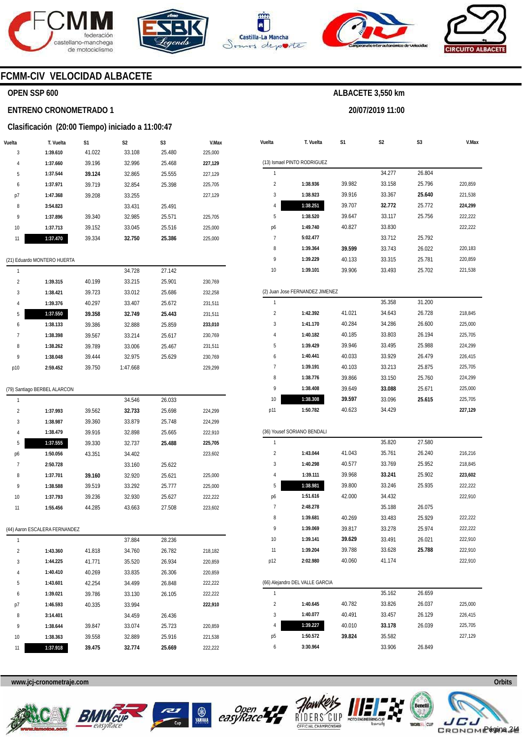







**20/07/2019 11:00** 



### **FCMM-CIV VELOCIDAD ALBACETE**

#### **OPEN SSP 600**

#### **ENTRENO CRONOMETRADO 1**

#### **Clasificación (20:00 Tiempo) iniciado a 11:00:47**

| Vuelta | T. Vuelta | S1     | S <sub>2</sub> | S <sub>3</sub> | V.Max   |
|--------|-----------|--------|----------------|----------------|---------|
| 3      | 1:39.610  | 41.022 | 33.108         | 25.480         | 225.000 |
| 4      | 1:37.660  | 39.196 | 32.996         | 25.468         | 227,129 |
| 5      | 1:37.544  | 39.124 | 32.865         | 25.555         | 227,129 |
| 6      | 1:37.971  | 39.719 | 32.854         | 25.398         | 225.705 |
| p7     | 1:47.368  | 39.208 | 33.255         |                | 227.129 |
| 8      | 3:54.823  |        | 33.431         | 25.491         |         |
| 9      | 1:37.896  | 39.340 | 32.985         | 25.571         | 225.705 |
| 10     | 1:37.713  | 39.152 | 33.045         | 25.516         | 225.000 |
| 11     | 1:37.470  | 39.334 | 32.750         | 25.386         | 225.000 |
|        |           |        |                |                |         |

|  |  | (21) Eduardo MONTERO HUERTA |  |
|--|--|-----------------------------|--|
|--|--|-----------------------------|--|

| 1              |                              |        | 34.546   | 26.033 |         |
|----------------|------------------------------|--------|----------|--------|---------|
|                | (79) Santiago BERBEL ALARCON |        |          |        |         |
| p10            | 2:59.452                     | 39.750 | 1:47.668 |        | 229.299 |
| 9              | 1:38.048                     | 39.444 | 32.975   | 25.629 | 230,769 |
| 8              | 1:38.262                     | 39.789 | 33.006   | 25.467 | 231,511 |
| 7              | 1:38.398                     | 39.567 | 33.214   | 25.617 | 230,769 |
| 6              | 1:38.133                     | 39.386 | 32.888   | 25.859 | 233,010 |
| 5              | 1:37.550                     | 39.358 | 32.749   | 25.443 | 231,511 |
| $\overline{4}$ | 1:39.376                     | 40.297 | 33.407   | 25.672 | 231,511 |
| 3              | 1:38.421                     | 39.723 | 33.012   | 25.686 | 232,258 |
| $\overline{2}$ | 1:39.315                     | 40.199 | 33.215   | 25.901 | 230,769 |
| 1              |                              |        | 34.728   | 27.142 |         |

| $\overline{2}$ | 1:37.993                      | 39.562 | 32.733 | 25.698 | 224,299 |
|----------------|-------------------------------|--------|--------|--------|---------|
| 3              | 1:38.987                      | 39.360 | 33.879 | 25.748 | 224,299 |
| 4              | 1:38.479                      | 39.916 | 32.898 | 25.665 | 222,910 |
| 5              | 1:37.555                      | 39.330 | 32.737 | 25.488 | 225,705 |
| p6             | 1:50.056                      | 43.351 | 34.402 |        | 223,602 |
| 7              | 2:50.728                      |        | 33.160 | 25.622 |         |
| 8              | 1:37.701                      | 39.160 | 32.920 | 25.621 | 225,000 |
| 9              | 1:38.588                      | 39.519 | 33.292 | 25.777 | 225,000 |
| 10             | 1:37.793                      | 39.236 | 32.930 | 25.627 | 222,222 |
| 11             | 1:55.456                      | 44.285 | 43.663 | 27.508 | 223,602 |
|                | (44) Aaron ESCALERA FERNANDEZ |        |        |        |         |
| 1              |                               |        | 37.884 | 28.236 |         |
| $\overline{2}$ | 1:43.360                      | 41.818 | 34.760 | 26.782 | 218,182 |
| 3              | 1:44.225                      | 41.771 | 35.520 | 26.934 | 220,859 |
| 4              | 1:40.410                      | 40.269 | 33.835 | 26.306 | 220,859 |
| 5              | 1:43.601                      | 42.254 | 34.499 | 26.848 | 222,222 |
| 6              | 1:39.021                      | 39.786 | 33.130 | 26.105 | 222,222 |
| p7             | 1:46.593                      | 40.335 | 33.994 |        | 222,910 |
| 8              | 3:14.401                      |        | 34.459 | 26.436 |         |
| 9              | 1:38.644                      | 39.847 | 33.074 | 25.723 | 220,859 |
| 10             | 1:38.363                      | 39.558 | 32.889 | 25.916 | 221,538 |
| 11             | 1:37.918                      | 39.475 | 32.774 | 25.669 | 222.222 |

| Vuelta                  | T. Vuelta                       | S1     | S2     | S3     | V.Max   |
|-------------------------|---------------------------------|--------|--------|--------|---------|
|                         | (13) Ismael PINTO RODRIGUEZ     |        |        |        |         |
| 1                       |                                 |        | 34.277 | 26.804 |         |
| $\overline{2}$          | 1:38.936                        | 39.982 | 33.158 | 25.796 | 220,859 |
| 3                       | 1:38.923                        | 39.916 | 33.367 | 25.640 | 221,538 |
| 4                       | 1:38.251                        | 39.707 | 32.772 | 25.772 | 224,299 |
| 5                       | 1:38.520                        | 39.647 | 33.117 | 25.756 | 222,222 |
| p6                      | 1:49.740                        | 40.827 | 33.830 |        | 222,222 |
| 7                       | 5:02.477                        |        | 33.712 | 25.792 |         |
| 8                       | 1:39.364                        | 39.599 | 33.743 | 26.022 | 220,183 |
| 9                       | 1:39.229                        | 40.133 | 33.315 | 25.781 | 220,859 |
| 10                      | 1:39.101                        | 39.906 | 33.493 | 25.702 | 221,538 |
|                         | (2) Juan Jose FERNANDEZ JIMENEZ |        |        |        |         |
| 1                       |                                 |        | 35.358 | 31.200 |         |
| $\overline{2}$          | 1:42.392                        | 41.021 | 34.643 | 26.728 | 218,845 |
| 3                       | 1:41.170                        | 40.284 | 34.286 | 26.600 | 225,000 |
| 4                       | 1:40.182                        | 40.185 | 33.803 | 26.194 | 225,705 |
| 5                       | 1:39.429                        | 39.946 | 33.495 | 25.988 | 224,299 |
| 6                       | 1:40.441                        | 40.033 | 33.929 | 26.479 | 226,415 |
| 7                       | 1:39.191                        | 40.103 | 33.213 | 25.875 | 225,705 |
| 8                       | 1:38.776                        | 39.866 | 33.150 | 25.760 | 224,299 |
| 9                       | 1:38.408                        | 39.649 | 33.088 | 25.671 | 225,000 |
| 10                      | 1:38.308                        | 39.597 | 33.096 | 25.615 | 225,705 |
| p11                     | 1:50.782                        | 40.623 | 34.429 |        | 227,129 |
|                         | (36) Yousef SORIANO BENDALI     |        |        |        |         |
| 1                       |                                 |        | 35.820 | 27.580 |         |
| $\overline{2}$          | 1:43.044                        | 41.043 | 35.761 | 26.240 | 216,216 |
| 3                       | 1:40.298                        | 40.577 | 33.769 | 25.952 | 218,845 |
| 4                       | 1:39.111                        | 39.968 | 33.241 | 25.902 | 223,602 |
| 5                       | 1:38.981                        | 39.800 | 33.246 | 25.935 | 222,222 |
| p6                      | 1:51.616                        | 42.000 | 34.432 |        | 222,910 |
| 7                       | 2:48.278                        |        | 35.188 | 26.075 |         |
| 8                       | 1:39.681                        | 40.269 | 33.483 | 25.929 | 222,222 |
|                         | 1:39.069                        | 39.817 | 33.278 | 25.974 | 222,222 |
| 10                      | 1:39.141                        | 39.629 | 33.491 | 26.021 | 222,910 |
| 11                      | 1:39.204                        | 39.788 | 33.628 | 25.788 | 222,910 |
| p12                     | 2:02.980                        | 40.060 | 41.174 |        | 222,910 |
|                         |                                 |        |        |        |         |
|                         | (66) Alejandro DEL VALLE GARCIA |        |        |        |         |
| 1                       |                                 |        | 35.162 | 26.659 |         |
| $\overline{\mathbf{c}}$ | 1:40.645                        | 40.782 | 33.826 | 26.037 | 225,000 |
| 3                       | 1:40.077                        | 40.491 | 33.457 | 26.129 | 226,415 |
| 4                       | 1:39.227                        | 40.010 | 33.178 | 26.039 | 225,705 |
| р5                      | 1:50.572                        | 39.824 | 35.582 |        | 227,129 |
| 6                       | 3:30.964                        |        | 33.906 | 26.849 |         |









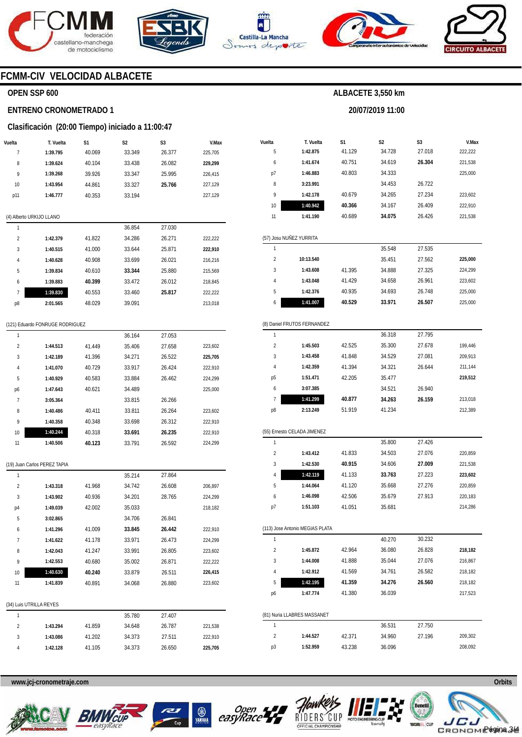







**20/07/2019 11:00** 



### **FCMM-CIV VELOCIDAD ALBACETE**

### **OPEN SSP 600**

#### **ENTRENO CRONOMETRADO 1**

#### **Clasificación (20:00 Tiempo) iniciado a 11:00:47**

| Vuelta         | T. Vuelta                | S1     | S <sub>2</sub> | S <sub>3</sub> | V.Max   |
|----------------|--------------------------|--------|----------------|----------------|---------|
| 7              | 1:39.795                 | 40.069 | 33.349         | 26.377         | 225,705 |
| 8              | 1:39.624                 | 40.104 | 33.438         | 26.082         | 229,299 |
| 9              | 1:39.268                 | 39.926 | 33.347         | 25.995         | 226,415 |
| 10             | 1:43.954                 | 44.861 | 33.327         | 25.766         | 227,129 |
| p11            | 1:46.777                 | 40.353 | 33.194         |                | 227,129 |
|                |                          |        |                |                |         |
|                | (4) Alberto URKIJO LLANO |        |                |                |         |
| 1              |                          |        | 36.854         | 27.030         |         |
| $\overline{2}$ | 1:42.379                 | 41.822 | 34.286         | 26.271         | 222,222 |
| 3              | 1:40.515                 | 41.000 | 33.644         | 25.871         | 222,910 |
| 4              | 1:40.628                 | 40.908 | 33.699         | 26.021         | 216,216 |
| 5              | 1:39.834                 | 40.610 | 33.344         | 25.880         | 215,569 |
| 6              | 1:39.883                 | 40.399 | 33.472         | 26.012         | 218,845 |
| 7              | 1:39.830                 | 40.553 | 33.460         | 25.817         | 222,222 |
| p8             | 2:01.565                 | 48.029 | 39.091         |                | 213,018 |
|                |                          |        |                |                |         |

#### (121) Eduardo FONRUGE RODRIGUEZ

| 1              |          |        | 36.164 | 27.053 |         |
|----------------|----------|--------|--------|--------|---------|
| $\overline{2}$ | 1:44.513 | 41.449 | 35.406 | 27.658 | 223.602 |
| 3              | 1:42.189 | 41.396 | 34.271 | 26.522 | 225,705 |
| 4              | 1:41.070 | 40.729 | 33.917 | 26.424 | 222.910 |
| 5              | 1:40.929 | 40.583 | 33.884 | 26.462 | 224.299 |
| p6             | 1:47.643 | 40.621 | 34.489 |        | 225,000 |
| 7              | 3:05.364 |        | 33.815 | 26.266 |         |
| 8              | 1:40.486 | 40.411 | 33.811 | 26.264 | 223.602 |
| 9              | 1:40.358 | 40.348 | 33.698 | 26.312 | 222.910 |
| 10             | 1:40.244 | 40.318 | 33.691 | 26.235 | 222.910 |
| 11             | 1:40.506 | 40.123 | 33.791 | 26.592 | 224.299 |

(19) Juan Carlos PEREZ TAPIA

| 1              |                         |        | 35.214 | 27.864 |         |
|----------------|-------------------------|--------|--------|--------|---------|
| $\overline{2}$ | 1:43.318                | 41.968 | 34.742 | 26.608 | 206,897 |
| 3              | 1:43.902                | 40.936 | 34.201 | 28.765 | 224,299 |
| p4             | 1:49.039                | 42.002 | 35.033 |        | 218,182 |
| 5              | 3:02.865                |        | 34.706 | 26.841 |         |
| 6              | 1:41.296                | 41.009 | 33.845 | 26.442 | 222,910 |
| 7              | 1:41.622                | 41.178 | 33.971 | 26.473 | 224,299 |
| 8              | 1:42.043                | 41.247 | 33.991 | 26.805 | 223,602 |
| 9              | 1:42.553                | 40.680 | 35.002 | 26.871 | 222,222 |
| 10             | 1:40.630                | 40.240 | 33.879 | 26.511 | 226,415 |
| 11             | 1:41.839                | 40.891 | 34.068 | 26.880 | 223,602 |
|                |                         |        |        |        |         |
|                | (34) Luis UTRILLA REYES |        |        |        |         |
| 1              |                         |        | 35.780 | 27.407 |         |
| $\overline{2}$ | 1:43.294                | 41.859 | 34.648 | 26.787 | 221,538 |
| 3              | 1:43.086                | 41.202 | 34.373 | 27.511 | 222,910 |
| 4              | 1:42.128                | 41.105 | 34.373 | 26.650 | 225,705 |

| Vuelta                  | T. Vuelta                       | S1     | S2     | S3     | V.Max   |
|-------------------------|---------------------------------|--------|--------|--------|---------|
| 5                       | 1:42.875                        | 41.129 | 34.728 | 27.018 | 222,222 |
| 6                       | 1:41.674                        | 40.751 | 34.619 | 26.304 | 221,538 |
| p7                      | 1:46.883                        | 40.803 | 34.333 |        | 225,000 |
| 8                       | 3:23.991                        |        | 34.453 | 26.722 |         |
| 9                       | 1:42.178                        | 40.679 | 34.265 | 27.234 | 223,602 |
| 10                      | 1:40.942                        | 40.366 | 34.167 | 26.409 | 222,910 |
| 11                      | 1:41.190                        | 40.689 | 34.075 | 26.426 | 221,538 |
|                         | (57) Josu NUÑEZ YURRITA         |        |        |        |         |
| 1                       |                                 |        | 35.548 | 27.535 |         |
| $\overline{2}$          | 10:13.540                       |        | 35.451 | 27.562 | 225,000 |
| 3                       | 1:43.608                        | 41.395 | 34.888 | 27.325 | 224,299 |
| 4                       | 1:43.048                        | 41.429 | 34.658 | 26.961 | 223,602 |
| 5                       | 1:42.376                        | 40.935 | 34.693 | 26.748 | 225,000 |
| 6                       | 1:41.007                        | 40.529 | 33.971 | 26.507 | 225,000 |
|                         | (8) Daniel FRUTOS FERNANDEZ     |        |        |        |         |
| 1                       |                                 |        | 36.318 | 27.795 |         |
| $\overline{2}$          | 1:45.503                        | 42.525 | 35.300 | 27.678 | 199,446 |
| 3                       | 1:43.458                        | 41.848 | 34.529 | 27.081 | 209,913 |
| 4                       | 1:42.359                        | 41.394 | 34.321 | 26.644 | 211,144 |
| р5                      | 1:51.471                        | 42.205 | 35.477 |        | 219,512 |
| 6                       | 3:07.385                        |        | 34.521 | 26.940 |         |
| 7                       | 1:41.299                        | 40.877 | 34.263 | 26.159 | 213,018 |
| p8                      | 2:13.249                        | 51.919 | 41.234 |        | 212,389 |
|                         |                                 |        |        |        |         |
|                         | (55) Ernesto CELADA JIMENEZ     |        |        |        |         |
| 1                       |                                 |        | 35.800 | 27.426 |         |
| $\overline{2}$          | 1:43.412                        | 41.833 | 34.503 | 27.076 | 220,859 |
| 3                       | 1:42.530                        | 40.915 | 34.606 | 27.009 | 221,538 |
| 4                       | 1:42.119                        | 41.133 | 33.763 | 27.223 | 223,602 |
| 5                       | 1:44.064                        | 41.120 | 35.668 | 27.276 | 220,859 |
| 6                       | 1:46.098                        | 42.506 | 35.679 | 27.913 | 220,183 |
| p7                      | 1:51.103                        | 41.051 | 35.681 |        | 214,286 |
|                         | (113) Jose Antonio MEGIAS PLATA |        |        |        |         |
| 1                       |                                 |        | 40.270 | 30.232 |         |
| $\overline{\mathbf{c}}$ | 1:45.872                        | 42.964 | 36.080 | 26.828 | 218,182 |
| 3                       | 1:44.008                        | 41.888 | 35.044 | 27.076 | 216,867 |
| 4                       | 1:42.912                        | 41.569 | 34.761 | 26.582 | 218,182 |
| 5                       | 1:42.195                        | 41.359 | 34.276 | 26.560 | 218,182 |

|    | (81) Nuria LLABRES MASSANET |        |        |        |         |
|----|-----------------------------|--------|--------|--------|---------|
|    |                             |        | 36.531 | 27.750 |         |
|    | 1:44.527                    | 42.371 | 34.960 | 27.196 | 209.302 |
| p3 | 1:52.959                    | 43.238 | 36.096 |        | 208.092 |
|    |                             |        |        |        |         |









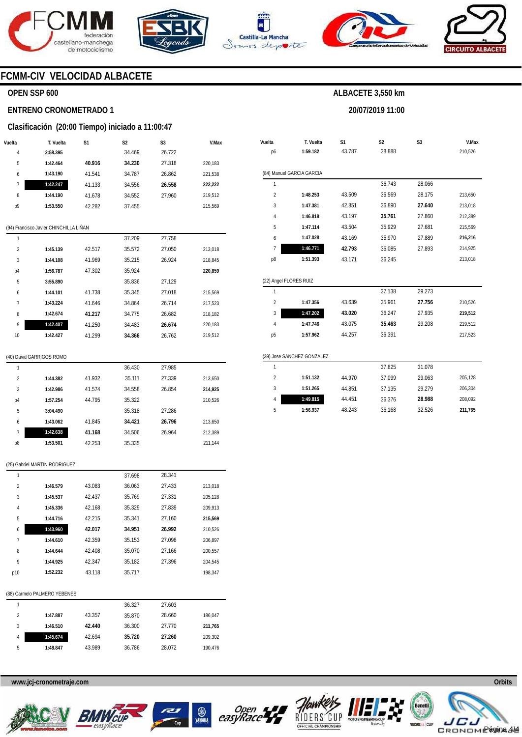





**Vuelta** 

**T. Vuelta** 

**S1** 

4 5

**1:49.815 1:56.937**  44.451 48.243 36.376 36.168 **28.988**  32.526 208,092 **211,765** 



**S2** 

**ALBACETE 3,550 km** 

**20/07/2019 11:00** 

**S3** 



**V.Max** 

### **FCMM-CIV VELOCIDAD ALBACETE**

#### **OPEN SSP 600**

#### **ENTRENO CRONOMETRADO 1**

#### **Clasificación (20:00 Tiempo) iniciado a 11:00:47**

| Vuelta | T. Vuelta | S1     | S <sub>2</sub> | S <sub>3</sub> | V.Max   |
|--------|-----------|--------|----------------|----------------|---------|
| 4      | 2:58.395  |        | 34.469         | 26.722         |         |
| 5      | 1:42.464  | 40.916 | 34.230         | 27.318         | 220.183 |
| 6      | 1:43.190  | 41.541 | 34.787         | 26.862         | 221.538 |
| 7      | 1:42.247  | 41.133 | 34.556         | 26.558         | 222,222 |
| 8      | 1:44.190  | 41.678 | 34.552         | 27.960         | 219.512 |
| p9     | 1:53.550  | 42.282 | 37.455         |                | 215,569 |
|        |           |        |                |                |         |

#### (94) Francisco Javier CHINCHILLA LIÑAN

| 1              |          |        | 37.209 | 27.758 |         |
|----------------|----------|--------|--------|--------|---------|
| $\overline{2}$ | 1:45.139 | 42.517 | 35.572 | 27.050 | 213.018 |
| 3              | 1:44.108 | 41.969 | 35.215 | 26.924 | 218.845 |
| p4             | 1:56.787 | 47.302 | 35.924 |        | 220.859 |
| 5              | 3:55.890 |        | 35.836 | 27.129 |         |
| 6              | 1:44.101 | 41.738 | 35.345 | 27.018 | 215.569 |
| 7              | 1:43.224 | 41.646 | 34.864 | 26.714 | 217.523 |
| 8              | 1:42.674 | 41.217 | 34.775 | 26.682 | 218.182 |
| 9              | 1:42.407 | 41.250 | 34.483 | 26.674 | 220.183 |
| 10             | 1:42.427 | 41.299 | 34.366 | 26.762 | 219.512 |
|                |          |        |        |        |         |

#### (40) David GARRIGOS ROMO

(25) Gabriel MARTIN RODRIGUEZ

| 1              |          |        | 36.430 | 27.985 |         |
|----------------|----------|--------|--------|--------|---------|
| $\mathfrak{p}$ | 1:44.382 | 41.932 | 35.111 | 27.339 | 213,650 |
| 3              | 1:42.986 | 41.574 | 34.558 | 26.854 | 214,925 |
| p4             | 1:57.254 | 44.795 | 35.322 |        | 210,526 |
| 5              | 3:04.490 |        | 35.318 | 27.286 |         |
| 6              | 1:43.062 | 41.845 | 34.421 | 26.796 | 213,650 |
| 7              | 1:42.638 | 41.168 | 34.506 | 26.964 | 212.389 |
| p8             | 1:53.501 | 42.253 | 35.335 |        | 211.144 |

#### p6 (84) Manuel GARCIA GARCIA 1 2 3 4 5 6 7 p8 (22) Angel FLORES RUIZ 1 2 3 4 p5 (39) Jose SANCHEZ GONZALEZ 1 2 3 **1:59.182 1:48.253 1:47.381 1:46.818 1:47.114 1:47.028 1:46.771 1:51.393 1:47.356 1:47.202 1:47.746 1:57.962 1:51.132 1:51.265**  43.787 43.509 42.851 43.197 43.504 43.169 **42.793**  43.171 43.639 **43.020**  43.075 44.257 44.970 44.851 38.888 36.743 36.569 36.890 **35.761**  35.929 35.970 36.085 36.245 37.138 35.961 36.247 **35.463**  36.391 37.825 37.099 37.135 28.066 28.175 **27.640**  27.860 27.681 27.889 27.893 29.273 **27.756**  27.935 29.208 31.078 29.063 29.279 210,526 213,650 213,018 212,389 215,569 **216,216**  214,925 213,018 210,526 **219,512**  219,512 217,523 205,128 206,304

| 1              |          |        | 37.698 | 28.341 |         |
|----------------|----------|--------|--------|--------|---------|
| $\overline{2}$ | 1:46.579 | 43.083 | 36.063 | 27.433 | 213.018 |
| 3              | 1:45.537 | 42.437 | 35.769 | 27.331 | 205.128 |
| 4              | 1:45.336 | 42.168 | 35.329 | 27.839 | 209.913 |
| 5              | 1:44.716 | 42.215 | 35.341 | 27.160 | 215.569 |
| 6              | 1:43.960 | 42.017 | 34.951 | 26.992 | 210.526 |
| 7              | 1:44.610 | 42.359 | 35.153 | 27.098 | 206.897 |
| 8              | 1:44.644 | 42.408 | 35.070 | 27.166 | 200.557 |
| 9              | 1:44.925 | 42.347 | 35.182 | 27.396 | 204.545 |
| p10            | 1:52.232 | 43.118 | 35.717 |        | 198.347 |
|                |          |        |        |        |         |

#### (88) Carmelo PALMERO YEBENES

|   |          |        | 36.327 | 27.603 |         |
|---|----------|--------|--------|--------|---------|
| 2 | 1:47.887 | 43.357 | 35.870 | 28.660 | 186,047 |
| 3 | 1:46.510 | 42.440 | 36.300 | 27.770 | 211,765 |
| 4 | 1:45.674 | 42.694 | 35.720 | 27.260 | 209,302 |
| 5 | 1:48.847 | 43.989 | 36.786 | 28.072 | 190,476 |
|   |          |        |        |        |         |









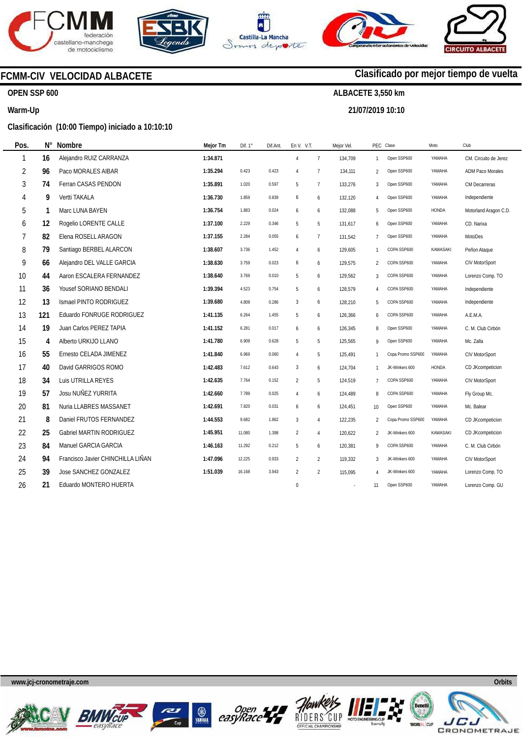

**N°** 







## **FCMM-CIV VELOCIDAD ALBACETE**

### **OPEN SSP 600**

#### **Warm-Up**

#### **Clasificación (10:00 Tiempo) iniciado a 10:10:10**

| Pos. | N°  | <b>Nombre</b>                     | Mejor Tm | Dif. $1^\circ$ | Dif.Ant. | En V. V.T.       |                | Mejor Vel. |                 | PEC Clase         | Moto            | Club                    |
|------|-----|-----------------------------------|----------|----------------|----------|------------------|----------------|------------|-----------------|-------------------|-----------------|-------------------------|
| 1    | 16  | Alejandro RUIZ CARRANZA           | 1:34.871 |                |          | $\overline{4}$   | $\overline{7}$ | 134,709    | $\mathbf{1}$    | Open SSP600       | YAMAHA          | CM. Circuito de Jerez   |
| 2    | 96  | Paco MORALES AIBAR                | 1:35.294 | 0.423          | 0.423    | 4                | $\overline{7}$ | 134,111    | 2               | Open SSP600       | YAMAHA          | <b>ADM Paco Morales</b> |
| 3    | 74  | Ferran CASAS PENDON               | 1:35.891 | 1.020          | 0.597    | 5                | $\overline{7}$ | 133,276    | 3               | Open SSP600       | YAMAHA          | CM Decarreras           |
| 4    | 9   | Vertti TAKALA                     | 1:36.730 | 1.859          | 0.839    | 6                | 6              | 132,120    | 4               | Open SSP600       | YAMAHA          | Independiente           |
| 5    |     | Marc LUNA BAYEN                   | 1:36.754 | 1.883          | 0.024    | 6                | 6              | 132,088    | 5               | Open SSP600       | HONDA           | Motorland Aragon C.D.   |
| 6    | 12  | Rogelio LORENTE CALLE             | 1:37.100 | 2.229          | 0.346    | 5                | 5              | 131,617    | 6               | Open SSP600       | YAMAHA          | CD. Narixa              |
| 7    | 82  | Elena ROSELL ARAGON               | 1:37.155 | 2.284          | 0.055    | 6                | $\overline{7}$ | 131,542    | $\overline{7}$  | Open SSP600       | YAMAHA          | MotoDes                 |
| 8    | 79  | Santiago BERBEL ALARCON           | 1:38.607 | 3.736          | 1.452    | 4                | 6              | 129,605    | $\mathbf{1}$    | COPA SSP600       | KAWASAKI        | Peñon Ataque            |
| 9    | 66  | Alejandro DEL VALLE GARCIA        | 1:38.630 | 3.759          | 0.023    | 6                | 6              | 129,575    | $\overline{2}$  | COPA SSP600       | YAMAHA          | CIV MotorSport          |
| 10   | 44  | Aaron ESCALERA FERNANDEZ          | 1:38.640 | 3.769          | 0.010    | 5                | 6              | 129,562    | 3               | COPA SSP600       | YAMAHA          | Lorenzo Comp. TO        |
| 11   | 36  | Yousef SORIANO BENDALI            | 1:39.394 | 4.523          | 0.754    | 5                | 6              | 128,579    | 4               | COPA SSP600       | YAMAHA          | Independiente           |
| 12   | 13  | Ismael PINTO RODRIGUEZ            | 1:39.680 | 4.809          | 0.286    | 3                | 6              | 128,210    | 5               | COPA SSP600       | YAMAHA          | Independiente           |
| 13   | 121 | Eduardo FONRUGE RODRIGUEZ         | 1:41.135 | 6.264          | 1.455    | 5                | 6              | 126,366    | 6               | COPA SSP600       | YAMAHA          | A.E.M.A.                |
| 14   | 19  | Juan Carlos PEREZ TAPIA           | 1:41.152 | 6.281          | 0.017    | 6                | 6              | 126,345    | 8               | Open SSP600       | YAMAHA          | C. M. Club Cirbón       |
| 15   | 4   | Alberto URKIJO LLANO              | 1:41.780 | 6.909          | 0.628    | 5                | 5              | 125,565    | 9               | Open SSP600       | YAMAHA          | Mc. Zalla               |
| 16   | 55  | Ernesto CELADA JIMENEZ            | 1:41.840 | 6.969          | 0.060    | $\overline{4}$   | 5              | 125,491    | $\mathbf{1}$    | Copa Promo SSP600 | YAMAHA          | CIV MotorSport          |
| 17   | 40  | David GARRIGOS ROMO               | 1:42.483 | 7.612          | 0.643    | 3                | 6              | 124,704    | $\mathbf{1}$    | JK-Winkers 600    | HONDA           | CD JKcompeticion        |
| 18   | 34  | Luis UTRILLA REYES                | 1:42.635 | 7.764          | 0.152    | $\overline{2}$   | 5              | 124,519    | $\overline{7}$  | COPA SSP600       | YAMAHA          | <b>CIV MotorSport</b>   |
| 19   | 57  | Josu NUÑEZ YURRITA                | 1:42.660 | 7.789          | 0.025    | $\overline{4}$   | 6              | 124,489    | 8               | COPA SSP600       | YAMAHA          | Fly Group Mc.           |
| 20   | 81  | Nuria LLABRES MASSANET            | 1:42.691 | 7.820          | 0.031    | 6                | 6              | 124,451    | 10 <sup>°</sup> | Open SSP600       | YAMAHA          | Mc. Balear              |
| 21   | 8   | Daniel FRUTOS FERNANDEZ           | 1:44.553 | 9.682          | 1.862    | 3                | $\overline{4}$ | 122,235    | $\overline{2}$  | Copa Promo SSP600 | YAMAHA          | CD JKcompeticion        |
| 22   | 25  | Gabriel MARTIN RODRIGUEZ          | 1:45.951 | 11.080         | 1.398    | $\overline{2}$   | 4              | 120,622    | $\overline{2}$  | JK-Winkers 600    | <b>KAWASAKI</b> | CD JKcompeticion        |
| 23   | 84  | Manuel GARCIA GARCIA              | 1:46.163 | 11.292         | 0.212    | 5                | 6              | 120,381    | 9               | COPA SSP600       | YAMAHA          | C. M. Club Cirbón       |
| 24   | 94  | Francisco Javier CHINCHILLA LIÑAN | 1:47.096 | 12.225         | 0.933    | $\overline{2}$   | $\overline{2}$ | 119,332    | 3               | JK-Winkers 600    | YAMAHA          | CIV MotorSport          |
| 25   | 39  | Jose SANCHEZ GONZALEZ             | 1:51.039 | 16.168         | 3.943    | $\overline{2}$   | $\overline{2}$ | 115,095    | 4               | JK-Winkers 600    | YAMAHA          | Lorenzo Comp. TO        |
| 26   | 21  | Eduardo MONTERO HUERTA            |          |                |          | $\boldsymbol{0}$ |                | ÷.         | 11              | Open SSP600       | YAMAHA          | Lorenzo Comp. GU        |
|      |     |                                   |          |                |          |                  |                |            |                 |                   |                 |                         |

**www.jcj-cronometraje.com Orbits** 













## **Clasificado por mejor tiempo de vuelta**

**ALBACETE 3,550 km** 

**21/07/2019 10:10**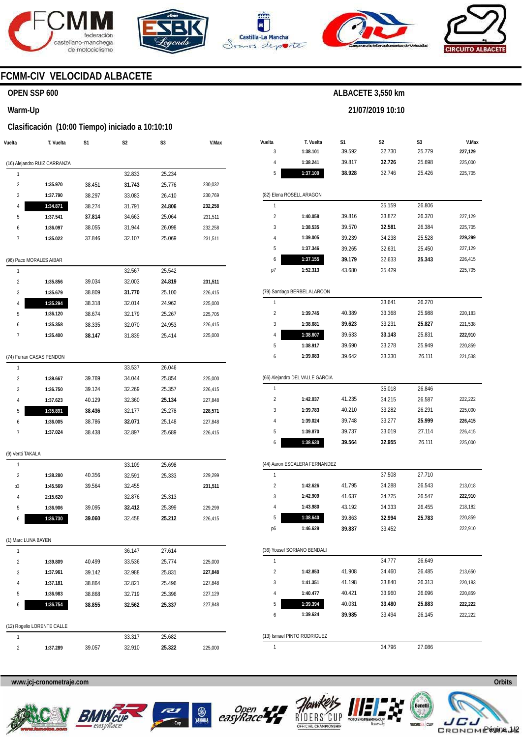







**21/07/2019 10:10** 



### **FCMM-CIV VELOCIDAD ALBACETE**

### **OPEN SSP 600**

#### **Warm-Up**

#### **Clasificación (10:00 Tiempo) iniciado a 10:10:10**

| Vuelta                  | T. Vuelta                    | S1     | S2     | S3     | V.Max   |
|-------------------------|------------------------------|--------|--------|--------|---------|
|                         | (16) Alejandro RUIZ CARRANZA |        |        |        |         |
| 1                       |                              |        | 32.833 | 25.234 |         |
| $\overline{2}$          | 1:35.970                     | 38.451 | 31.743 | 25.776 | 230,032 |
| 3                       | 1:37.790                     | 38.297 | 33.083 | 26.410 | 230,769 |
| 4                       | 1:34.871                     | 38.274 | 31.791 | 24.806 | 232,258 |
| 5                       | 1:37.541                     | 37.814 | 34.663 | 25.064 | 231,511 |
| 6                       | 1:36.097                     | 38.055 | 31.944 | 26.098 | 232,258 |
| 7                       | 1:35.022                     | 37.846 | 32.107 | 25.069 | 231,511 |
|                         | (96) Paco MORALES AIBAR      |        |        |        |         |
| 1                       |                              |        | 32.567 | 25.542 |         |
| $\overline{\mathbf{c}}$ | 1:35.856                     | 39.034 | 32.003 | 24.819 | 231,511 |
| 3                       | 1:35.679                     | 38.809 | 31.770 | 25.100 | 226,415 |
| 4                       | 1:35.294                     | 38.318 | 32.014 | 24.962 | 225,000 |
| 5                       | 1:36.120                     | 38.674 | 32.179 | 25.267 | 225,705 |
| 6                       | 1:35.358                     | 38.335 | 32.070 | 24.953 | 226,415 |
| 7                       | 1:35.400                     | 38.147 | 31.839 | 25.414 | 225,000 |
|                         |                              |        |        |        |         |
|                         | (74) Ferran CASAS PENDON     |        |        |        |         |
| 1                       |                              |        | 33.537 | 26.046 |         |
| $\overline{\mathbf{c}}$ | 1:39.667                     | 39.769 | 34.044 | 25.854 | 225,000 |
| 3                       | 1:36.750                     | 39.124 | 32.269 | 25.357 | 226,415 |
| 4                       | 1:37.623                     | 40.129 | 32.360 | 25.134 | 227,848 |
| 5                       | 1:35.891                     | 38.436 | 32.177 | 25.278 | 228,571 |
| 6                       | 1:36.005                     | 38.786 | 32.071 | 25.148 | 227,848 |
| 7                       | 1:37.024                     | 38.438 | 32.897 | 25.689 | 226,415 |
| (9) Vertti TAKALA       |                              |        |        |        |         |
| 1                       |                              |        | 33.109 | 25.698 |         |
| 2                       | 1:38.280                     | 40.356 | 32.591 | 25.333 | 229,299 |
| pЗ                      | 1:45.569                     | 39.564 | 32.455 |        | 231,511 |
| 4                       | 2:15.620                     |        | 32.876 | 25.313 |         |
| 5                       | 1:36.906                     | 39.095 | 32.412 | 25.399 | 229,299 |
| 6                       | 1:36.730                     | 39.060 | 32.458 | 25.212 | 226,415 |
| (1) Marc LUNA BAYEN     |                              |        |        |        |         |
| 1                       |                              |        | 36.147 | 27.614 |         |
| 2                       | 1:39.809                     | 40.499 | 33.536 | 25.774 | 225,000 |
| 3                       | 1:37.961                     | 39.142 | 32.988 | 25.831 | 227,848 |
| 4                       | 1:37.181                     | 38.864 | 32.821 | 25.496 | 227,848 |
| 5                       | 1:36.983                     | 38.868 | 32.719 | 25.396 | 227,129 |
| 6                       | 1:36.754                     | 38.855 | 32.562 | 25.337 | 227,848 |
|                         | (12) Rogelio LORENTE CALLE   |        |        |        |         |
| 1                       |                              |        | 33.317 | 25.682 |         |
| 2                       | 1:37.289                     | 39.057 | 32.910 | 25.322 | 225,000 |
|                         |                              |        |        |        |         |

| Vuelta              | T. Vuelta                       | S1     | S2               | S3               | V.Max   |
|---------------------|---------------------------------|--------|------------------|------------------|---------|
| 3                   | 1:38.101                        | 39.592 | 32.730           | 25.779           | 227,129 |
| 4                   | 1:38.241                        | 39.817 | 32.726           | 25.698           | 225,000 |
| 5                   | 1:37.100                        | 38.928 | 32.746           | 25.426           | 225,705 |
|                     |                                 |        |                  |                  |         |
|                     | (82) Elena ROSELL ARAGON        |        |                  |                  |         |
| 1                   |                                 |        | 35.159           | 26.806           |         |
| $\overline{2}$      | 1:40.058                        | 39.816 | 33.872           | 26.370           | 227,129 |
| 3                   | 1:38.535                        | 39.570 | 32.581           | 26.384           | 225,705 |
| 4                   | 1:39.005                        | 39.239 | 34.238           | 25.528           | 229,299 |
| 5                   | 1:37.346                        | 39.265 | 32.631           | 25.450           | 227,129 |
| 6                   | 1:37.155                        | 39.179 | 32.633           | 25.343           | 226,415 |
| p7                  | 1:52.313                        | 43.680 | 35.429           |                  | 225,705 |
|                     |                                 |        |                  |                  |         |
|                     | (79) Santiago BERBEL ALARCON    |        |                  |                  |         |
| 1<br>$\overline{2}$ | 1:39.745                        |        | 33.641<br>33.368 | 26.270<br>25.988 |         |
|                     |                                 | 40.389 |                  |                  | 220,183 |
| 3                   | 1:38.681                        | 39.623 | 33.231           | 25.827           | 221,538 |
| 4                   | 1:38.607                        | 39.633 | 33.143           | 25.831           | 222,910 |
| 5                   | 1:38.917                        | 39.690 | 33.278           | 25.949           | 220,859 |
| 6                   | 1:39.083                        | 39.642 | 33.330           | 26.111           | 221,538 |
|                     | (66) Alejandro DEL VALLE GARCIA |        |                  |                  |         |
| 1                   |                                 |        | 35.018           | 26.846           |         |
| $\overline{2}$      | 1:42.037                        | 41.235 | 34.215           | 26.587           | 222,222 |
| 3                   | 1:39.783                        | 40.210 | 33.282           | 26.291           | 225,000 |
| 4                   | 1:39.024                        | 39.748 | 33.277           | 25.999           | 226,415 |
| 5                   | 1:39.870                        | 39.737 | 33.019           | 27.114           | 226,415 |
| 6                   | 1:38.630                        | 39.564 | 32.955           | 26.111           | 225,000 |
|                     |                                 |        |                  |                  |         |
|                     | (44) Aaron ESCALERA FERNANDEZ   |        |                  |                  |         |
| 1                   |                                 |        | 37.508           | 27.710           |         |
| $\overline{2}$      | 1:42.626                        | 41.795 | 34.288           | 26.543           | 213,018 |
| 3                   | 1:42.909                        | 41.637 | 34.725           | 26.547           | 222,910 |
| 4                   | 1:43.980                        | 43.192 | 34.333           | 26.455           | 218,182 |
| 5                   | 1:38.640                        | 39.863 | 32.994           | 25.783           | 220,859 |
| p6                  | 1:46.629                        | 39.837 | 33.452           |                  | 222,910 |
|                     | (36) Yousef SORIANO BENDALI     |        |                  |                  |         |
| 1                   |                                 |        | 34.777           | 26.649           |         |
| $\overline{2}$      | 1:42.853                        | 41.908 | 34.460           | 26.485           | 213,650 |
| 3                   | 1:41.351                        | 41.198 | 33.840           | 26.313           | 220,183 |
| 4                   | 1:40.477                        | 40.421 | 33.960           | 26.096           | 220,859 |
| 5                   | 1:39.394                        | 40.031 | 33.480           | 25.883           | 222,222 |
| 6                   | 1:39.624                        | 39.985 | 33.494           | 26.145           | 222,222 |

1

34.796 27.086









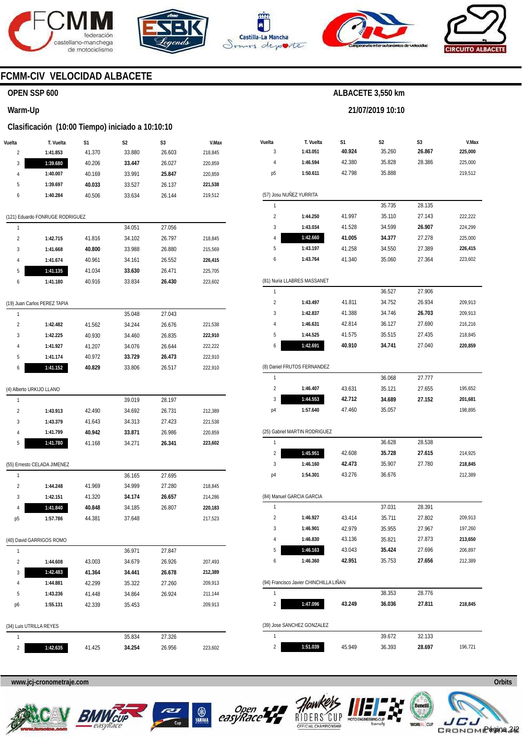







**21/07/2019 10:10** 



### **FCMM-CIV VELOCIDAD ALBACETE**

#### **OPEN SSP 600**

#### **Warm-Up**

#### **Clasificación (10:00 Tiempo) iniciado a 10:10:10**

| Vuelta         | T. Vuelta                       | S1     | S2     | S3     | V.Max   |
|----------------|---------------------------------|--------|--------|--------|---------|
| 2              | 1:41.853                        | 41.370 | 33.880 | 26.603 | 218,845 |
| 3              | 1:39.680                        | 40.206 | 33.447 | 26.027 | 220,859 |
| 4              | 1:40.007                        | 40.169 | 33.991 | 25.847 | 220,859 |
| 5              | 1:39.697                        | 40.033 | 33.527 | 26.137 | 221,538 |
| 6              | 1:40.284                        | 40.506 | 33.634 | 26.144 | 219,512 |
|                |                                 |        |        |        |         |
|                | (121) Eduardo FONRUGE RODRIGUEZ |        |        |        |         |
| 1              |                                 |        | 34.051 | 27.056 |         |
| 2              | 1:42.715                        | 41.816 | 34.102 | 26.797 | 218,845 |
| 3              | 1:41.668                        | 40.800 | 33.988 | 26.880 | 215,569 |
| 4              | 1:41.674                        | 40.961 | 34.161 | 26.552 | 226,415 |
| 5              | 1:41.135                        | 41.034 | 33.630 | 26.471 | 225,705 |
| 6              | 1:41.180                        | 40.916 | 33.834 | 26.430 | 223,602 |
|                |                                 |        |        |        |         |
|                | (19) Juan Carlos PEREZ TAPIA    |        |        | 27.043 |         |
| 1              |                                 |        | 35.048 |        |         |
| 2              | 1:42.482                        | 41.562 | 34.244 | 26.676 | 221,538 |
| 3              | 1:42.225                        | 40.930 | 34.460 | 26.835 | 222,910 |
| 4              | 1:41.927                        | 41.207 | 34.076 | 26.644 | 222,222 |
| 5              | 1:41.174                        | 40.972 | 33.729 | 26.473 | 222,910 |
| 6              | 1:41.152                        | 40.829 | 33.806 | 26.517 | 222,910 |
|                | (4) Alberto URKIJO LLANO        |        |        |        |         |
| 1              |                                 |        | 39.019 | 28.197 |         |
| $\overline{c}$ | 1:43.913                        | 42.490 | 34.692 | 26.731 | 212,389 |
| 3              | 1:43.379                        | 41.643 | 34.313 | 27.423 | 221,538 |
| 4              | 1:41.799                        | 40.942 | 33.871 | 26.986 | 220,859 |
| 5              | 1:41.780                        | 41.168 | 34.271 | 26.341 | 223,602 |
|                |                                 |        |        |        |         |
|                | (55) Ernesto CELADA JIMENEZ     |        |        |        |         |
| 1              |                                 |        | 36.165 | 27.695 |         |
| 2              | 1:44.248                        | 41.969 | 34.999 | 27.280 | 218,845 |
| 3              | 1:42.151                        | 41.320 | 34.174 | 26.657 | 214,286 |
| 4              | 1:41.840                        | 40.848 | 34.185 | 26.807 | 220,183 |
| p5             | 1:57.786                        | 44.381 | 37.648 |        | 217,523 |
|                | (40) David GARRIGOS ROMO        |        |        |        |         |
| 1              |                                 |        | 36.971 | 27.847 |         |
| 2              | 1:44.608                        | 43.003 | 34.679 | 26.926 | 207,493 |
| 3              | 1:42.483                        | 41.364 | 34.441 | 26.678 | 212,389 |
| 4              | 1:44.881                        | 42.299 | 35.322 | 27.260 | 209,913 |
| 5              | 1:43.236                        | 41.448 | 34.864 | 26.924 | 211,144 |
| p6             | 1:55.131                        | 42.339 | 35.453 |        | 209,913 |
|                |                                 |        |        |        |         |
|                | (34) Luis UTRILLA REYES         |        |        |        |         |
| 1              |                                 |        | 35.834 | 27.326 |         |

| Vuelta<br>3             | T. Vuelta<br>1:43.051                  | S1<br>40.924 | S2<br>35.260 | S3<br>26.867 | V.Max<br>225,000 |
|-------------------------|----------------------------------------|--------------|--------------|--------------|------------------|
| 4                       | 1:46.594                               | 42.380       | 35.828       | 28.386       | 225,000          |
| p <sub>5</sub>          | 1:50.611                               | 42.798       | 35.888       |              | 219,512          |
|                         |                                        |              |              |              |                  |
|                         | (57) Josu NUÑEZ YURRITA                |              |              |              |                  |
| 1                       |                                        |              | 35.735       | 28.135       |                  |
| $\overline{2}$          | 1:44.250                               | 41.997       | 35.110       | 27.143       | 222,222          |
| 3                       | 1:43.034                               | 41.528       | 34.599       | 26.907       | 224,299          |
| 4                       | 1:42.660                               | 41.005       | 34.377       | 27.278       | 225,000          |
| 5                       | 1:43.197                               | 41.258       | 34.550       | 27.389       | 226,415          |
| 6                       | 1:43.764                               | 41.340       | 35.060       | 27.364       | 223,602          |
|                         | (81) Nuria LLABRES MASSANET            |              |              |              |                  |
| 1                       |                                        |              | 36.527       | 27.906       |                  |
| $\overline{2}$          | 1:43.497                               | 41.811       | 34.752       | 26.934       | 209,913          |
| 3                       | 1:42.837                               | 41.388       | 34.746       | 26.703       | 209,913          |
| 4                       | 1:46.631                               | 42.814       | 36.127       | 27.690       | 216,216          |
| 5                       | 1:44.525                               | 41.575       | 35.515       | 27.435       | 218,845          |
| 6                       | 1:42.691                               | 40.910       | 34.741       | 27.040       | 220,859          |
|                         | (8) Daniel FRUTOS FERNANDEZ            |              |              |              |                  |
| 1                       |                                        |              | 36.068       | 27.777       |                  |
| $\overline{2}$          | 1:46.407                               | 43.631       | 35.121       | 27.655       | 195,652          |
| 3                       | 1:44.553                               | 42.712       | 34.689       | 27.152       | 201,681          |
| p4                      | 1:57.640                               | 47.460       | 35.057       |              | 198,895          |
|                         | (25) Gabriel MARTIN RODRIGUEZ          |              |              |              |                  |
| 1                       |                                        |              | 36.628       | 28.538       |                  |
| $\overline{2}$          | 1:45.951                               | 42.608       | 35.728       | 27.615       | 214,925          |
| 3                       | 1:46.160                               | 42.473       | 35.907       | 27.780       | 218,845          |
| p4                      | 1:54.301                               | 43.276       | 36.676       |              | 212,389          |
|                         | (84) Manuel GARCIA GARCIA              |              |              |              |                  |
| 1                       |                                        |              | 37.031       | 28.391       |                  |
| $\overline{2}$          | 1:46.927                               | 43.414       | 35.711       | 27.802       | 209,913          |
| 3                       | 1:46.901                               | 42.979       | 35.955       | 27.967       | 197,260          |
| 4                       | 1:46.830                               | 43.136       | 35.821       | 27.873       | 213,650          |
| 5                       | 1:46.163                               | 43.043       | 35.424       | 27.696       | 206,897          |
| 6                       | 1:46.360                               | 42.951       | 35.753       | 27.656       | 212,389          |
|                         |                                        |              |              |              |                  |
|                         | (94) Francisco Javier CHINCHILLA LIÑAN |              |              |              |                  |
| 1                       |                                        |              | 38.353       | 28.776       |                  |
| $\overline{\mathbf{c}}$ | 1:47.096                               | 43.249       | 36.036       | 27.811       | 218,845          |
|                         | (39) Jose SANCHEZ GONZALEZ             |              |              |              |                  |
| 1                       |                                        |              | 39.672       | 32.133       |                  |
| 2                       | 1:51.039                               | 45.949       | 36.393       | 28.697       | 196,721          |
|                         |                                        |              |              |              |                  |

**www.jcj-cronometraje.com Orbits** 

**1:42.635** 

41.425



 $\overline{2}$ 



**34.254** 

26.956

223,602

YAMAHA





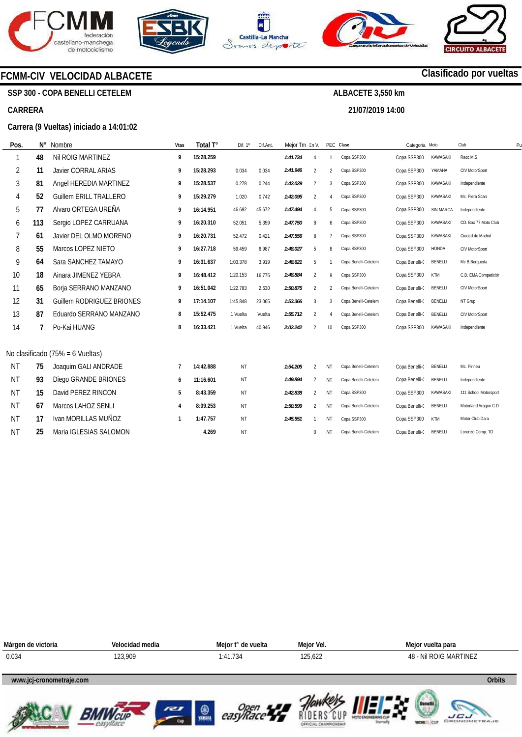







**21/07/2019 14:00** 



## **Clasificado por vueltas**

**SSP 300 - COPA BENELLI CETELEM** 

**FCMM-CIV VELOCIDAD ALBACETE** 

#### **CARRERA**

#### **Carrera (9 Vueltas) iniciado a 14:01:02**

**Impresos: 21/07/2019 14:22:16** 

| Pos.      | N°  | Nombre                              | Vtas | Total T°  | Dif. $1^\circ$ | Dif.Ant. | Meior Tm En V. |                |                        | PEC Clase            | Categoria Moto |                  | Club                  | P <sub>l</sub> |
|-----------|-----|-------------------------------------|------|-----------|----------------|----------|----------------|----------------|------------------------|----------------------|----------------|------------------|-----------------------|----------------|
|           | 48  | Nil ROIG MARTINEZ                   | 9    | 15:28.259 |                |          | 1:41.734       | $\overline{4}$ |                        | Copa SSP300          | Copa SSP300    | <b>KAWASAKI</b>  | Racc M.S.             |                |
| 2         | 11  | <b>Javier CORRAL ARIAS</b>          | 9    | 15:28.293 | 0.034          | 0.034    | 1:41.946       | 2              | $\overline{2}$         | Copa SSP300          | Copa SSP300    | YAMAHA           | CIV MotorSport        |                |
| 3         | 81  | Angel HEREDIA MARTINEZ              | 9    | 15:28.537 | 0.278          | 0.244    | 1:42.029       | 2              | 3                      | Copa SSP300          | Copa SSP300    | KAWASAKI         | Independiente         |                |
| 4         | 52  | <b>Guillem ERILL TRALLERO</b>       | 9    | 15:29.279 | 1.020          | 0.742    | 1:42.095       | 2              | $\overline{4}$         | Copa SSP300          | Copa SSP300    | <b>KAWASAKI</b>  | Mc. Piera Scan        |                |
| 5         | 77  | Alvaro ORTEGA UREÑA                 | 9    | 16:14.951 | 46.692         | 45.672   | 1:47.494       | $\overline{4}$ | 5                      | Copa SSP300          | Copa SSP300    | <b>SIN MARCA</b> | Independiente         |                |
| 6         | 113 | Sergio LOPEZ CARRUANA               | 9    | 16:20.310 | 52.051         | 5.359    | 1:47.750       | 8              | 6                      | Copa SSP300          | Copa SSP300    | <b>KAWASAKI</b>  | CD. Box 77 Moto Club  |                |
|           | 61  | Javier DEL OLMO MORENO              | 9    | 16:20.731 | 52.472         | 0.421    | 1:47.556       | 8              | $\overline{7}$         | Copa SSP300          | Copa SSP300    | <b>KAWASAKI</b>  | Ciudad de Madrid      |                |
| 8         | 55  | Marcos LOPEZ NIETO                  | 9    | 16:27.718 | 59.459         | 6.987    | 1:48.027       | 5              | 8                      | Copa SSP300          | Copa SSP300    | <b>HONDA</b>     | CIV MotorSport        |                |
| 9         | 64  | Sara SANCHEZ TAMAYO                 | 9    | 16:31.637 | 1:03.378       | 3.919    | 1:48.621       | 5              |                        | Copa Benelli-Cetelem | Copa Benelli-( | BENELLI          | Mc B.Bergueda         |                |
| 10        | 18  | Ainara JIMENEZ YEBRA                | 9    | 16:48.412 | 1:20.153       | 16.775   | 1:48.884       | $\overline{2}$ | 9                      | Copa SSP300          | Copa SSP300    | <b>KTM</b>       | C.D. EMA Competición  |                |
| 11        | 65  | Borja SERRANO MANZANO               | 9    | 16:51.042 | 1:22.783       | 2.630    | 1:50.875       | $\overline{2}$ | $\overline{2}$         | Copa Benelli-Cetelem | Copa Benelli-( | BENELLI          | CIV MotorSport        |                |
| 12        | 31  | Guillem RODRIGUEZ BRIONES           | 9    | 17:14.107 | 1:45.848       | 23.065   | 1:53.366       | 3              | 3                      | Copa Benelli-Cetelem | Copa Benelli-( | <b>BENELLI</b>   | NT Grup               |                |
| 13        | 87  | Eduardo SERRANO MANZANO             | 8    | 15:52.475 | 1 Vuelta       | Vuelta   | 1:55.712       | $\overline{2}$ | $\boldsymbol{\Lambda}$ | Copa Benelli-Cetelem | Copa Benelli-( | BENELLI          | CIV MotorSport        |                |
| 14        |     | Po-Kai HUANG                        | 8    | 16:33.421 | 1 Vuelta       | 40.946   | 2:02.242       | $\overline{2}$ | 10                     | Copa SSP300          | Copa SSP300    | <b>KAWASAKI</b>  | Independiente         |                |
|           |     |                                     |      |           |                |          |                |                |                        |                      |                |                  |                       |                |
|           |     | No clasificado $(75\% = 6$ Vueltas) |      |           |                |          |                |                |                        |                      |                |                  |                       |                |
| <b>NT</b> | 75  | Joaquim GALI ANDRADE                | 7    | 14:42.888 | <b>NT</b>      |          | 1:54.205       | 2              | NT                     | Copa Benelli-Cetelem | Copa Benelli-( | <b>BENELLI</b>   | Mc. Pirineu           |                |
| <b>NT</b> | 93  | Diego GRANDE BRIONES                | 6    | 11:16.601 | NT             |          | 1:49.894       | $\overline{2}$ | NT                     | Copa Benelli-Cetelem | Copa Benelli-( | <b>BENELLI</b>   | Independiente         |                |
| <b>NT</b> | 15  | David PEREZ RINCON                  | 5    | 8:43.359  | NT             |          | 1:42.838       | $\overline{2}$ | NT                     | Copa SSP300          | Copa SSP300    | <b>KAWASAKI</b>  | 111 School Motorsport |                |
| <b>NT</b> | 67  | Marcos LAHOZ SENLI                  | 4    | 8:09.253  | NT             |          | 1:50.599       | $\overline{2}$ | ΝT                     | Copa Benelli-Cetelem | Copa Benelli-( | BENELLI          | Motorland Aragon C.D  |                |
| <b>NT</b> | 17  | Ivan MORILLAS MUÑOZ                 | 1    | 1:47.757  | <b>NT</b>      |          | 1:45.551       | $\mathbf{1}$   | NT                     | Copa SSP300          | Copa SSP300    | <b>KTM</b>       | Motor Club Dara       |                |
| <b>NT</b> | 25  | Maria IGLESIAS SALOMON              |      | 4.269     | NT             |          |                | $\mathbf 0$    | NT                     | Copa Benelli-Cetelem | Copa Benelli-C | <b>BENELLI</b>   | Lorenzo Comp. TO      |                |

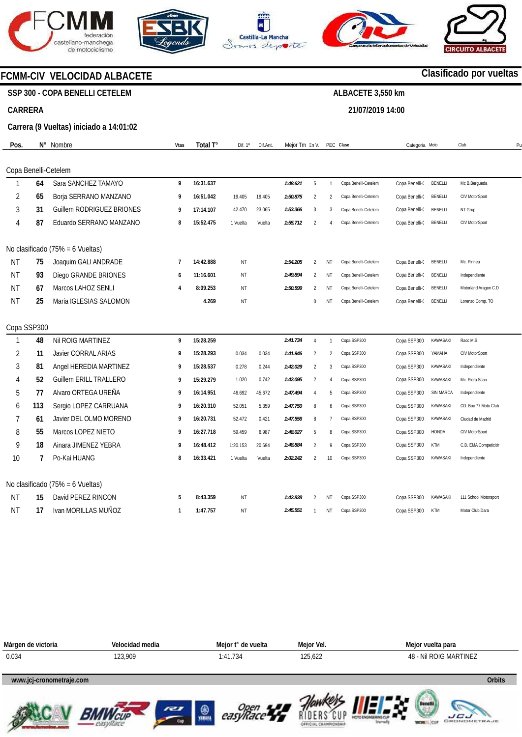







**21/07/2019 14:00** 



### **FCMM-CIV VELOCIDAD ALBACETE**

### **SSP 300 - COPA BENELLI CETELEM**

#### **CARRERA**

#### **Carrera (9 Vueltas) iniciado a 14:01:02**

| Pos.           | $\mathsf{N}^\circ$ | Nombre                           | Vtas           | Total T°  | Dif. 1º   | Dif.Ant. | Mejor Tm En V. |                |                | PEC Clase            | Categoria Moto |                 | Club                  | P <sub>l</sub> |
|----------------|--------------------|----------------------------------|----------------|-----------|-----------|----------|----------------|----------------|----------------|----------------------|----------------|-----------------|-----------------------|----------------|
|                |                    | Copa Benelli-Cetelem             |                |           |           |          |                |                |                |                      |                |                 |                       |                |
| 1              | 64                 | Sara SANCHEZ TAMAYO              | 9              | 16:31.637 |           |          | 1:48.621       | 5              | $\mathbf{1}$   | Copa Benelli-Cetelem | Copa Benelli-C | BENELLI         | Mc B.Bergueda         |                |
| $\overline{2}$ | 65                 | Borja SERRANO MANZANO            | 9              | 16:51.042 | 19.405    | 19.405   | 1:50.875       | $\overline{2}$ | $\mathfrak{p}$ | Copa Benelli-Cetelem | Copa Benelli-( | BENELLI         | CIV MotorSport        |                |
| 3              | 31                 | <b>Guillem RODRIGUEZ BRIONES</b> | 9              | 17:14.107 | 42.470    | 23.065   | 1:53.366       | 3              | 3              | Copa Benelli-Cetelem | Copa Benelli-( | BENELLI         | NT Grup               |                |
| 4              | 87                 | Eduardo SERRANO MANZANO          | 8              | 15:52.475 | 1 Vuelta  | Vuelta   | 1:55.712       | $\mathfrak{D}$ | $\overline{4}$ | Copa Benelli-Cetelem | Copa Benelli-( | BENELLI         | CIV MotorSport        |                |
|                |                    | No clasificado (75% = 6 Vueltas) |                |           |           |          |                |                |                |                      |                |                 |                       |                |
| ΝT             | 75                 | Joaquim GALI ANDRADE             | $\overline{7}$ | 14:42.888 | NT        |          | 1:54.205       | $\overline{2}$ | NT             | Copa Benelli-Cetelem | Copa Benelli-( | BENELLI         | Mc. Pirineu           |                |
| <b>NT</b>      | 93                 | Diego GRANDE BRIONES             | 6              | 11:16.601 | <b>NT</b> |          | 1:49.894       | 2              | <b>NT</b>      | Copa Benelli-Cetelem | Copa Benelli-( | BENELLI         | Independiente         |                |
| <b>NT</b>      | 67                 | Marcos LAHOZ SENLI               | 4              | 8:09.253  | <b>NT</b> |          | 1:50.599       | 2              | NT             | Copa Benelli-Cetelem | Copa Benelli-( | <b>BENELLI</b>  | Motorland Aragon C.D  |                |
| <b>NT</b>      | 25                 | Maria IGLESIAS SALOMON           |                | 4.269     | NT        |          |                | $\mathbf{0}$   | NT             | Copa Benelli-Cetelem | Copa Benelli-( | <b>BENELLI</b>  | Lorenzo Comp. TO      |                |
|                | Copa SSP300        |                                  |                |           |           |          |                |                |                |                      |                |                 |                       |                |
| 1              | 48                 | Nil ROIG MARTINEZ                | 9              | 15:28.259 |           |          | 1:41.734       | $\overline{4}$ | $\overline{1}$ | Copa SSP300          | Copa SSP300    | KAWASAKI        | Racc M.S.             |                |
| $\overline{2}$ | 11                 | <b>Javier CORRAL ARIAS</b>       | 9              | 15:28.293 | 0.034     | 0.034    | 1:41.946       | $\overline{2}$ | $\mathfrak{p}$ | Copa SSP300          | Copa SSP300    | YAMAHA          | CIV MotorSport        |                |
| 3              | 81                 | Angel HEREDIA MARTINEZ           | 9              | 15:28.537 | 0.278     | 0.244    | 1:42.029       | 2              | 3              | Copa SSP300          | Copa SSP300    | <b>KAWASAKI</b> | Independiente         |                |
| 4              | 52                 | <b>Guillem ERILL TRALLERO</b>    | 9              | 15:29.279 | 1.020     | 0.742    | 1:42.095       | $\overline{2}$ | $\overline{4}$ | Copa SSP300          | Copa SSP300    | <b>KAWASAKI</b> | Mc. Piera Scan        |                |
| 5              | 77                 | Alvaro ORTEGA UREÑA              | 9              | 16:14.951 | 46.692    | 45.672   | 1:47.494       | $\overline{A}$ | 5              | Copa SSP300          | Copa SSP300    | SIN MARCA       | Independiente         |                |
| 6              | 113                | Sergio LOPEZ CARRUANA            | 9              | 16:20.310 | 52.051    | 5.359    | 1:47.750       | 8              | 6              | Copa SSP300          | Copa SSP300    | <b>KAWASAKI</b> | CD. Box 77 Moto Club  |                |
| 7              | 61                 | Javier DEL OLMO MORENO           | 9              | 16:20.731 | 52.472    | 0.421    | 1:47.556       | 8              | $\overline{7}$ | Copa SSP300          | Copa SSP300    | <b>KAWASAKI</b> | Ciudad de Madrid      |                |
| 8              | 55                 | Marcos LOPEZ NIETO               | 9              | 16:27.718 | 59.459    | 6.987    | 1:48.027       | 5              | 8              | Copa SSP300          | Copa SSP300    | <b>HONDA</b>    | CIV MotorSport        |                |
| 9              | 18                 | Ainara JIMENEZ YEBRA             | 9              | 16:48.412 | 1:20.153  | 20.694   | 1:48.884       | $\mathfrak{D}$ | 9              | Copa SSP300          | Copa SSP300    | KTM             | C.D. EMA Competición  |                |
| 10             | 7                  | Po-Kai HUANG                     | 8              | 16:33.421 | 1 Vuelta  | Vuelta   | 2:02.242       | $\overline{2}$ | 10             | Copa SSP300          | Copa SSP300    | KAWASAKI        | Independiente         |                |
|                |                    | No clasificado (75% = 6 Vueltas) |                |           |           |          |                |                |                |                      |                |                 |                       |                |
| ΝT             | 15                 | David PEREZ RINCON               | 5              | 8:43.359  | NT        |          | 1:42.838       | 2              | ΝT             | Copa SSP300          | Copa SSP300    | KAWASAKI        | 111 School Motorsport |                |
| ΝT             | 17                 | Ivan MORILLAS MUÑOZ              | $\mathbf{1}$   | 1:47.757  | NT        |          | 1:45.551       | -1             | NT             | Copa SSP300          | Copa SSP300    | KTM             | Motor Club Dara       |                |















## **Clasificado por vueltas**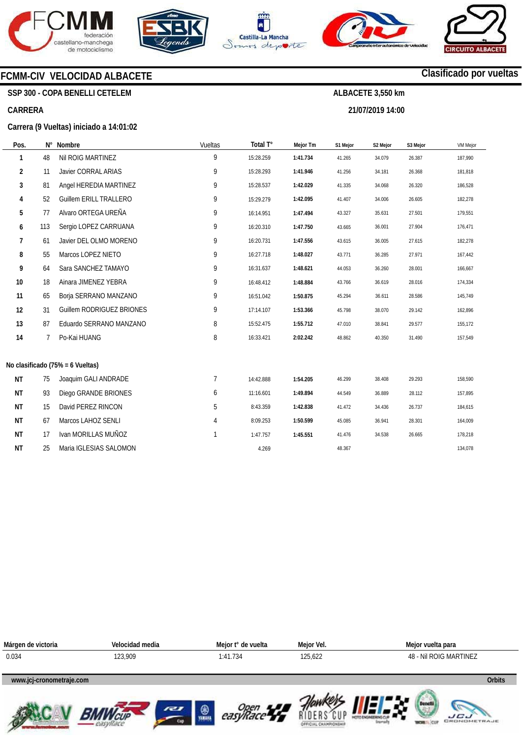









### **FCMM-CIV VELOCIDAD ALBACETE**

**SSP 300 - COPA BENELLI CETELEM** 

#### **CARRERA**

#### **Carrera (9 Vueltas) iniciado a 14:01:02**

**Impresos: 21/07/2019 14:22:39** 

| Pos.           | $N^{\circ}$ | Nombre                           | Vueltas | Total T°  | <b>Mejor Tm</b> | S1 Mejor | S2 Mejor | S3 Mejor | <b>VM Mejor</b> |
|----------------|-------------|----------------------------------|---------|-----------|-----------------|----------|----------|----------|-----------------|
| 1              | 48          | Nil ROIG MARTINEZ                | 9       | 15:28.259 | 1:41.734        | 41.265   | 34.079   | 26.387   | 187,990         |
| $\overline{2}$ | 11          | Javier CORRAL ARIAS              | 9       | 15:28.293 | 1:41.946        | 41.256   | 34.181   | 26.368   | 181,818         |
| 3              | 81          | Angel HEREDIA MARTINEZ           | 9       | 15:28.537 | 1:42.029        | 41.335   | 34.068   | 26.320   | 186,528         |
| 4              | 52          | <b>Guillem ERILL TRALLERO</b>    | 9       | 15:29.279 | 1:42.095        | 41.407   | 34.006   | 26.605   | 182,278         |
| 5              | 77          | Alvaro ORTEGA UREÑA              | 9       | 16:14.951 | 1:47.494        | 43.327   | 35.631   | 27.501   | 179,551         |
| 6              | 113         | Sergio LOPEZ CARRUANA            | 9       | 16:20.310 | 1:47.750        | 43.665   | 36.001   | 27.904   | 176,471         |
| 7              | 61          | Javier DEL OLMO MORENO           | 9       | 16:20.731 | 1:47.556        | 43.615   | 36.005   | 27.615   | 182,278         |
| 8              | 55          | Marcos LOPEZ NIETO               | 9       | 16:27.718 | 1:48.027        | 43.771   | 36.285   | 27.971   | 167,442         |
| 9              | 64          | Sara SANCHEZ TAMAYO              | 9       | 16:31.637 | 1:48.621        | 44.053   | 36.260   | 28.001   | 166,667         |
| 10             | 18          | Ainara JIMENEZ YEBRA             | 9       | 16:48.412 | 1:48.884        | 43.766   | 36.619   | 28.016   | 174,334         |
| 11             | 65          | Borja SERRANO MANZANO            | 9       | 16:51.042 | 1:50.875        | 45.294   | 36.611   | 28.586   | 145,749         |
| 12             | 31          | Guillem RODRIGUEZ BRIONES        | 9       | 17:14.107 | 1:53.366        | 45.798   | 38.070   | 29.142   | 162,896         |
| 13             | 87          | Eduardo SERRANO MANZANO          | 8       | 15:52.475 | 1:55.712        | 47.010   | 38.841   | 29.577   | 155,172         |
| 14             | 7           | Po-Kai HUANG                     | 8       | 16:33.421 | 2:02.242        | 48.862   | 40.350   | 31.490   | 157,549         |
|                |             | No clasificado (75% = 6 Vueltas) |         |           |                 |          |          |          |                 |
| <b>NT</b>      | 75          | Joaquim GALI ANDRADE             | 7       | 14:42.888 | 1:54.205        | 46.299   | 38.408   | 29.293   | 158,590         |
| ΝT             | 93          | Diego GRANDE BRIONES             | 6       | 11:16.601 | 1:49.894        | 44.549   | 36.889   | 28.112   | 157,895         |
| <b>NT</b>      | 15          | David PEREZ RINCON               | 5       | 8:43.359  | 1:42.838        | 41.472   | 34.436   | 26.737   | 184,615         |
| ΝT             | 67          | Marcos LAHOZ SENLI               | 4       | 8:09.253  | 1:50.599        | 45.085   | 36.941   | 28.301   | 164,009         |
| ΝT             | 17          | Ivan MORILLAS MUÑOZ              |         | 1:47.757  | 1:45.551        | 41.476   | 34.538   | 26.665   | 178,218         |
| ΝT             | 25          | Maria IGLESIAS SALOMON           |         | 4.269     |                 | 48.367   |          |          | 134,078         |



## **Clasificado por vueltas**

**ALBACETE 3,550 km 21/07/2019 14:00**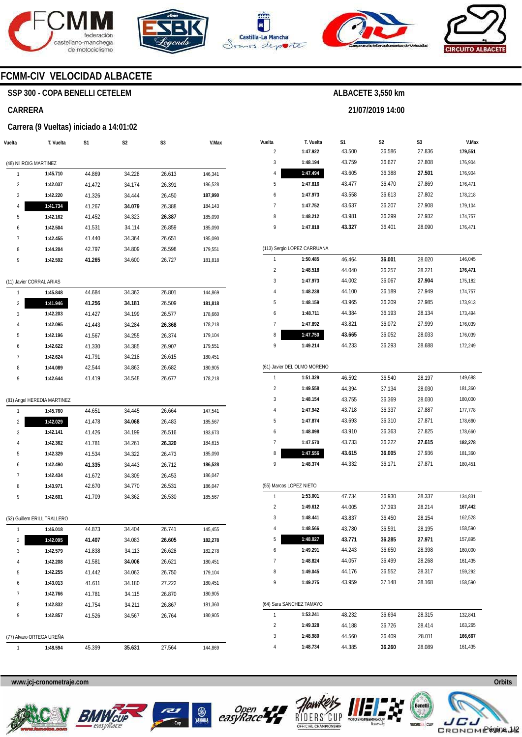







**21/07/2019 14:00** 



### **FCMM-CIV VELOCIDAD ALBACETE**

### **SSP 300 - COPA BENELLI CETELEM**

#### **CARRERA**

#### **Carrera (9 Vueltas) iniciado a 14:01:02**

| Vuelta                 | T. Vuelta                   | S1     | S2     | S3     | V.Max   |
|------------------------|-----------------------------|--------|--------|--------|---------|
| (48) Nil ROIG MARTINEZ |                             |        |        |        |         |
| 1                      | 1:45.710                    | 44.869 | 34.228 | 26.613 | 146,341 |
| 2                      | 1:42.037                    | 41.472 | 34.174 | 26.391 | 186,528 |
| 3                      | 1:42.220                    | 41.326 | 34.444 | 26.450 | 187,990 |
| 4                      | 1:41.734                    | 41.267 | 34.079 | 26.388 | 184,143 |
| 5                      | 1:42.162                    | 41.452 | 34.323 | 26.387 | 185,090 |
| 6                      | 1:42.504                    | 41.531 | 34.114 | 26.859 | 185,090 |
| 7                      | 1:42.455                    | 41.440 | 34.364 | 26.651 | 185,090 |
| 8                      | 1:44.204                    | 42.797 | 34.809 | 26.598 | 179,551 |
| 9                      | 1:42.592                    | 41.265 | 34.600 | 26.727 | 181,818 |
|                        | (11) Javier CORRAL ARIAS    |        |        |        |         |
| 1                      | 1:45.848                    | 44.684 | 34.363 | 26.801 | 144,869 |
| 2                      | 1:41.946                    | 41.256 | 34.181 | 26.509 | 181,818 |
| 3                      | 1:42.203                    | 41.427 | 34.199 | 26.577 | 178,660 |
| 4                      | 1:42.095                    | 41.443 | 34.284 | 26.368 | 178,218 |
| 5                      | 1:42.196                    | 41.567 | 34.255 | 26.374 | 179,104 |
| 6                      | 1:42.622                    | 41.330 | 34.385 | 26.907 | 179,551 |
| 7                      | 1:42.624                    | 41.791 | 34.218 | 26.615 | 180,451 |
| 8                      | 1:44.089                    | 42.544 | 34.863 | 26.682 | 180,905 |
| 9                      | 1:42.644                    | 41.419 | 34.548 | 26.677 | 178,218 |
|                        | (81) Angel HEREDIA MARTINEZ |        |        |        |         |
| 1                      | 1:45.760                    | 44.651 | 34.445 | 26.664 | 147,541 |
| 2                      | 1:42.029                    | 41.478 | 34.068 | 26.483 | 185,567 |
| 3                      | 1:42.141                    | 41.426 | 34.199 | 26.516 | 183,673 |
| 4                      | 1:42.362                    | 41.781 | 34.261 | 26.320 | 184,615 |
| 5                      | 1:42.329                    | 41.534 | 34.322 | 26.473 | 185,090 |
| 6                      | 1:42.490                    | 41.335 | 34.443 | 26.712 | 186,528 |
| 7                      | 1:42.434                    | 41.672 | 34.309 | 26.453 | 186,047 |
| 8                      | 1:43.971                    | 42.670 | 34.770 | 26.531 | 186,047 |
| 9                      | 1:42.601                    | 41.709 | 34.362 | 26.530 | 185,567 |
|                        | (52) Guillem ERILL TRALLERO |        |        |        |         |
| J.                     | 1:46.018                    | 44.873 | 34.404 | 26.741 | 145,455 |
| 2                      | 1:42.095                    | 41.407 | 34.083 | 26.605 | 182,278 |
| 3                      | 1:42.579                    | 41.838 | 34.113 | 26.628 | 182,278 |
| 4                      | 1:42.208                    | 41.581 | 34.006 | 26.621 | 180,451 |
| 5                      | 1:42.255                    | 41.442 | 34.063 | 26.750 | 179,104 |
| 6                      | 1:43.013                    | 41.611 | 34.180 | 27.222 | 180,451 |
| 7                      | 1:42.766                    | 41.781 | 34.115 | 26.870 | 180,905 |
| 8                      | 1:42.832                    | 41.754 | 34.211 | 26.867 | 181,360 |
| 9                      | 1:42.857                    | 41.526 | 34.567 | 26.764 | 180,905 |
|                        | (77) Alvaro ORTEGA UREÑA    |        |        |        |         |
| 1                      | 1:48.594                    | 45.399 | 35.631 | 27.564 | 144,869 |
|                        |                             |        |        |        |         |

| Vuelta                  | T. Vuelta                   | S1     | S <sub>2</sub> | S3     | V.Max   |
|-------------------------|-----------------------------|--------|----------------|--------|---------|
| 2                       | 1:47.922                    | 43.500 | 36.586         | 27.836 | 179,551 |
| 3                       | 1:48.194                    | 43.759 | 36.627         | 27.808 | 176,904 |
| 4                       | 1:47.494                    | 43.605 | 36.388         | 27.501 | 176,904 |
| 5                       | 1:47.816                    | 43.477 | 36.470         | 27.869 | 176,471 |
| 6                       | 1:47.973                    | 43.558 | 36.613         | 27.802 | 178,218 |
| 7                       | 1:47.752                    | 43.637 | 36.207         | 27.908 | 179,104 |
| 8                       | 1:48.212                    | 43.981 | 36.299         | 27.932 | 174,757 |
| 9                       | 1:47.818                    | 43.327 | 36.401         | 28.090 | 176,471 |
|                         | (113) Sergio LOPEZ CARRUANA |        |                |        |         |
| 1                       | 1:50.485                    | 46.464 | 36.001         | 28.020 | 146,045 |
| 2                       | 1:48.518                    | 44.040 | 36.257         | 28.221 | 176,471 |
| 3                       | 1:47.973                    | 44.002 | 36.067         | 27.904 | 175,182 |
| 4                       | 1:48.238                    | 44.100 | 36.189         | 27.949 | 174,757 |
| 5                       | 1:48.159                    | 43.965 | 36.209         | 27.985 | 173,913 |
| 6                       | 1:48.711                    | 44.384 | 36.193         | 28.134 | 173,494 |
| 7                       | 1:47.892                    | 43.821 | 36.072         | 27.999 | 176,039 |
| 8                       | 1:47.750                    | 43.665 | 36.052         | 28.033 | 176,039 |
| 9                       | 1:49.214                    | 44.233 | 36.293         | 28.688 | 172,249 |
|                         | (61) Javier DEL OLMO MORENO |        |                |        |         |
| 1                       | 1:51.329                    | 46.592 | 36.540         | 28.197 | 149,688 |
| $\overline{\mathbf{c}}$ | 1:49.558                    | 44.394 | 37.134         | 28.030 | 181,360 |
| 3                       | 1:48.154                    | 43.755 | 36.369         | 28.030 | 180,000 |
| 4                       | 1:47.942                    | 43.718 | 36.337         | 27.887 | 177,778 |
| 5                       | 1:47.874                    | 43.693 | 36.310         | 27.871 | 178,660 |
| 6                       | 1:48.098                    | 43.910 | 36.363         | 27.825 | 178,660 |
| 7                       | 1:47.570                    | 43.733 | 36.222         | 27.615 | 182,278 |
| 8                       | 1:47.556                    | 43.615 | 36.005         | 27.936 | 181,360 |
| 9                       | 1:48.374                    | 44.332 | 36.171         | 27.871 | 180,451 |
|                         | (55) Marcos LOPEZ NIETO     |        |                |        |         |
| 1                       | 1:53.001                    | 47.734 | 36.930         | 28.337 | 134,831 |
| $\overline{\mathbf{c}}$ | 1:49.612                    | 44.005 | 37.393         | 28.214 | 167,442 |
| 3                       | 1:48.441                    | 43.837 | 36.450         | 28.154 | 162,528 |
| 4                       | 1:48.566                    | 43.780 | 36.591         | 28.195 | 158,590 |
| 5                       | 1:48.027                    | 43.771 | 36.285         | 27.971 | 157,895 |
| 6                       | 1:49.291                    | 44.243 | 36.650         | 28.398 | 160,000 |
| 7                       | 1:48.824                    | 44.057 | 36.499         | 28.268 | 161,435 |
| 8                       | 1:49.045                    | 44.176 | 36.552         | 28.317 | 159,292 |
| 9                       | 1:49.275                    | 43.959 | 37.148         | 28.168 | 158,590 |
|                         | (64) Sara SANCHEZ TAMAYO    |        |                |        |         |
| 1                       | 1:53.241                    | 48.232 | 36.694         | 28.315 | 132,841 |
| $\overline{\mathbf{c}}$ | 1:49.328                    | 44.188 | 36.726         | 28.414 | 163,265 |
| 3                       | 1:48.980                    | 44.560 | 36.409         | 28.011 | 166,667 |
| 4                       | 1:48.734                    | 44.385 | 36.260         | 28.089 | 161,435 |









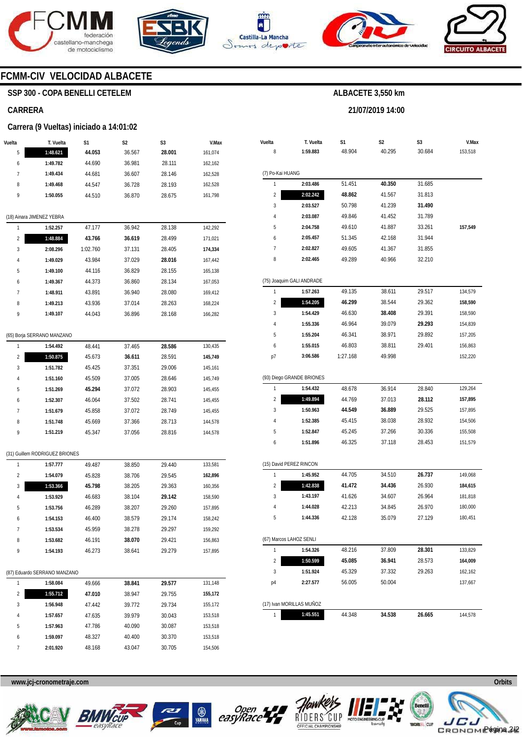







**21/07/2019 14:00** 



### **FCMM-CIV VELOCIDAD ALBACETE**

### **SSP 300 - COPA BENELLI CETELEM**

#### **CARRERA**

#### **Carrera (9 Vueltas) iniciado a 14:01:02**

| Vuelta         | T. Vuelta                      | S1       | S2     | S3     | V.Max   |
|----------------|--------------------------------|----------|--------|--------|---------|
| 5              | 1:48.621                       | 44.053   | 36.567 | 28.001 | 161,074 |
| 6              | 1:49.782                       | 44.690   | 36.981 | 28.111 | 162,162 |
| 7              | 1:49.434                       | 44.681   | 36.607 | 28.146 | 162,528 |
| 8              | 1:49.468                       | 44.547   | 36.728 | 28.193 | 162,528 |
| 9              | 1:50.055                       | 44.510   | 36.870 | 28.675 | 161,798 |
|                |                                |          |        |        |         |
|                | (18) Ainara JIMENEZ YEBRA      |          |        |        |         |
| 1              | 1:52.257                       | 47.177   | 36.942 | 28.138 | 142,292 |
| 2              | 1:48.884                       | 43.766   | 36.619 | 28.499 | 171,021 |
| 3              | 2:08.296                       | 1:02.760 | 37.131 | 28.405 | 174,334 |
| 4              | 1:49.029                       | 43.984   | 37.029 | 28.016 | 167,442 |
| 5              | 1:49.100                       | 44.116   | 36.829 | 28.155 | 165,138 |
| 6              | 1:49.367                       | 44.373   | 36.860 | 28.134 | 167,053 |
| 7              | 1:48.911                       | 43.891   | 36.940 | 28.080 | 169,412 |
| 8              | 1:49.213                       | 43.936   | 37.014 | 28.263 | 168,224 |
| 9              | 1:49.107                       | 44.043   | 36.896 | 28.168 | 166,282 |
|                | (65) Borja SERRANO MANZANO     |          |        |        |         |
| 1              | 1:54.492                       | 48.441   | 37.465 | 28.586 | 130,435 |
| 2              | 1:50.875                       | 45.673   | 36.611 | 28.591 | 145,749 |
| 3              | 1:51.782                       | 45.425   | 37.351 | 29.006 | 145,161 |
| 4              | 1:51.160                       | 45.509   | 37.005 | 28.646 | 145,749 |
| 5              | 1:51.269                       | 45.294   | 37.072 | 28.903 | 145,455 |
| 6              | 1:52.307                       | 46.064   | 37.502 | 28.741 | 145,455 |
| 7              | 1:51.679                       | 45.858   | 37.072 | 28.749 | 145,455 |
| 8              | 1:51.748                       | 45.669   | 37.366 | 28.713 | 144,578 |
| 9              | 1:51.219                       | 45.347   | 37.056 | 28.816 | 144,578 |
|                |                                |          |        |        |         |
|                | (31) Guillem RODRIGUEZ BRIONES |          |        |        |         |
| 1              | 1:57.777                       | 49.487   | 38.850 | 29.440 | 133,581 |
| $\overline{c}$ | 1:54.079                       | 45.828   | 38.706 | 29.545 | 162,896 |
| 3              | 1:53.366                       | 45.798   | 38.205 | 29.363 | 160,356 |
| 4              | 1:53.929                       | 46.683   | 38.104 | 29.142 | 158,590 |
| 5              | 1:53.756                       | 46.289   | 38.207 | 29.260 | 157,895 |
| 6              | 1:54.153                       | 46.400   | 38.579 | 29.174 | 158,242 |
| $\prime$       | 1:53.534                       | 45.959   | 38.278 | 29.297 | 159,292 |
| 8              | 1:53.682                       | 46.191   | 38.070 | 29.421 | 156,863 |
| 9              | 1:54.193                       | 46.273   | 38.641 | 29.279 | 157,895 |
|                | (87) Eduardo SERRANO MANZANO   |          |        |        |         |
| 1              | 1:58.084                       | 49.666   | 38.841 | 29.577 | 131,148 |
| 2              | 1:55.712                       | 47.010   | 38.947 | 29.755 | 155,172 |
| 3              | 1:56.948                       | 47.442   | 39.772 | 29.734 | 155,172 |
| 4              | 1:57.657                       | 47.635   | 39.979 | 30.043 | 153,518 |
| 5              | 1:57.963                       | 47.786   | 40.090 | 30.087 | 153,518 |
| 6              | 1:59.097                       | 48.327   | 40.400 | 30.370 | 153,518 |
| 7              | 2:01.920                       | 48.168   | 43.047 | 30.705 | 154,506 |

| Vuelta           | T. Vuelta                 | S1       | S2     | S3     | V.Max   |
|------------------|---------------------------|----------|--------|--------|---------|
| 8                | 1:59.883                  | 48.904   | 40.295 | 30.684 | 153,518 |
| (7) Po-Kai HUANG |                           |          |        |        |         |
| 1                | 2:03.486                  | 51.451   | 40.350 | 31.685 |         |
| 2                | 2:02.242                  | 48.862   | 41.567 | 31.813 |         |
| 3                | 2:03.527                  | 50.798   | 41.239 | 31.490 |         |
| 4                | 2:03.087                  | 49.846   | 41.452 | 31.789 |         |
| 5                | 2:04.758                  | 49.610   | 41.887 | 33.261 | 157,549 |
| 6                | 2:05.457                  | 51.345   | 42.168 | 31.944 |         |
| 7                | 2:02.827                  | 49.605   | 41.367 | 31.855 |         |
| 8                | 2:02.465                  | 49.289   | 40.966 | 32.210 |         |
|                  | (75) Joaquim GALI ANDRADE |          |        |        |         |
| 1                | 1:57.263                  | 49.135   | 38.611 | 29.517 | 134,579 |
| $\overline{c}$   | 1:54.205                  | 46.299   | 38.544 | 29.362 | 158,590 |
| 3                | 1:54.429                  | 46.630   | 38.408 | 29.391 | 158,590 |
| 4                | 1:55.336                  | 46.964   | 39.079 | 29.293 | 154,839 |
| 5                | 1:55.204                  | 46.341   | 38.971 | 29.892 | 157,205 |
| 6                | 1:55.015                  | 46.803   | 38.811 | 29.401 | 156,863 |
| p7               | 3:06.586                  | 1:27.168 | 49.998 |        | 152,220 |
|                  | (93) Diego GRANDE BRIONES |          |        |        |         |
| 1                | 1:54.432                  | 48.678   | 36.914 | 28.840 | 129,264 |
| 2                | 1:49.894                  | 44.769   | 37.013 | 28.112 | 157,895 |
| 3                | 1:50.963                  | 44.549   | 36.889 | 29.525 | 157,895 |
| 4                | 1:52.385                  | 45.415   | 38.038 | 28.932 | 154,506 |
| 5                | 1:52.847                  | 45.245   | 37.266 | 30.336 | 155,508 |
| 6                | 1:51.896                  | 46.325   | 37.118 | 28.453 | 151,579 |
|                  | (15) David PEREZ RINCON   |          |        |        |         |
| 1                | 1:45.952                  | 44.705   | 34.510 | 26.737 | 149,068 |
| $\overline{c}$   | 1:42.838                  | 41.472   | 34.436 | 26.930 | 184,615 |
| 3                | 1:43.197                  | 41.626   | 34.607 | 26.964 | 181,818 |
| 4                | 1:44.028                  | 42.213   | 34.845 | 26.970 | 180,000 |
| 5                | 1:44.336                  | 42.128   | 35.079 | 27.129 | 180,451 |
|                  | (67) Marcos LAHOZ SENLI   |          |        |        |         |
| 1                | 1:54.326                  | 48.216   | 37.809 | 28.301 | 133,829 |
| 2                | 1:50.599                  | 45.085   | 36.941 | 28.573 | 164,009 |
| 3                | 1:51.924                  | 45.329   | 37.332 | 29.263 | 162,162 |
| p4               | 2:27.577                  | 56.005   | 50.004 |        | 137,667 |
|                  | (17) Ivan MORILLAS MUÑOZ  |          |        |        |         |
| 1                | 1:45.551                  | 44.348   | 34.538 | 26.665 | 144,578 |









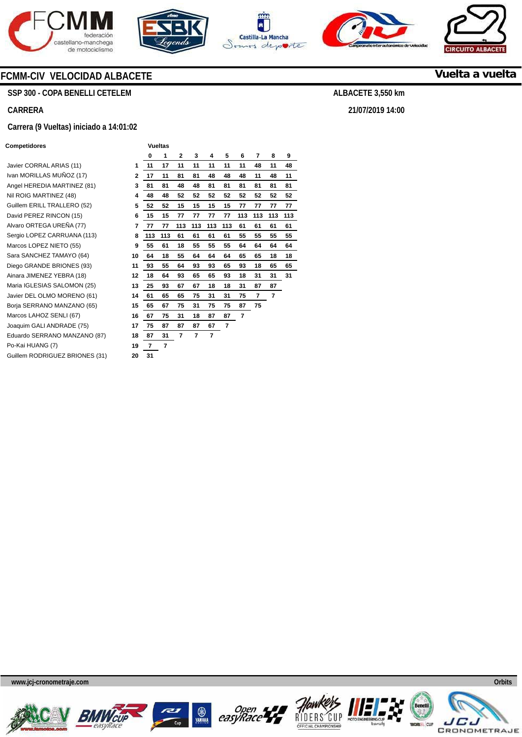







**21/07/2019 14:00** 



**Vuelta a vuelta**

### **FCMM-CIV VELOCIDAD ALBACETE**

**SSP 300 - COPA BENELLI CETELEM** 

#### **CARRERA**

#### **Carrera (9 Vueltas) iniciado a 14:01:02**

#### **Competidores Vueltas**

Javier CORRAL ARIAS (11) Ivan MORILLAS MUÑOZ (17) **2**  Angel HEREDIA MARTINEZ (81) **3 Nil ROIG MARTINEZ (48)** Guillem ERILL TRALLERO (52) David PEREZ RINCON (15) Alvaro ORTEGA UREÑA (77) Sergio LOPEZ CARRUANA (113) Marcos LOPEZ NIETO (55) Sara SANCHEZ TAMAYO (64) Diego GRANDE BRIONES (93) Ainara JIMENEZ YEBRA (18) Maria **IGLESIAS SALOMON** (25) Javier DEL OLMO MORENO (61) Borja SERRANO MANZANO (65) Marcos LAHOZ SENLI (67) Joaquim GALI ANDRADE (75) Eduardo SERRANO MANZANO (87) Po-Kai HUANG (7) Guillem RODRIGUEZ BRIONES (31)

|                         | 0   | 1   | 2   | 3   | 4   | 5   | 6   | 7   | 8   | 9   |
|-------------------------|-----|-----|-----|-----|-----|-----|-----|-----|-----|-----|
| 1                       | 11  | 17  | 11  | 11  | 11  | 11  | 11  | 48  | 11  | 48  |
| $\overline{\mathbf{2}}$ | 17  | 11  | 81  | 81  | 48  | 48  | 48  | 11  | 48  | 11  |
| 3                       | 81  | 81  | 48  | 48  | 81  | 81  | 81  | 81  | 81  | 81  |
| 4                       | 48  | 48  | 52  | 52  | 52  | 52  | 52  | 52  | 52  | 52  |
| 5                       | 52  | 52  | 15  | 15  | 15  | 15  | 77  | 77  | 77  | 77  |
| 6                       | 15  | 15  | 77  | 77  | 77  | 77  | 113 | 113 | 113 | 113 |
| 7                       | 77  | 77  | 113 | 113 | 113 | 113 | 61  | 61  | 61  | 61  |
| 8                       | 113 | 113 | 61  | 61  | 61  | 61  | 55  | 55  | 55  | 55  |
| 9                       | 55  | 61  | 18  | 55  | 55  | 55  | 64  | 64  | 64  | 64  |
| 10                      | 64  | 18  | 55  | 64  | 64  | 64  | 65  | 65  | 18  | 18  |
| 11                      | 93  | 55  | 64  | 93  | 93  | 65  | 93  | 18  | 65  | 65  |
| 12                      | 18  | 64  | 93  | 65  | 65  | 93  | 18  | 31  | 31  | 31  |
| 13                      | 25  | 93  | 67  | 67  | 18  | 18  | 31  | 87  | 87  |     |
| 14                      | 61  | 65  | 65  | 75  | 31  | 31  | 75  | 7   | 7   |     |
| 15                      | 65  | 67  | 75  | 31  | 75  | 75  | 87  | 75  |     |     |
| 16                      | 67  | 75  | 31  | 18  | 87  | 87  | 7   |     |     |     |
| 17                      | 75  | 87  | 87  | 87  | 67  | 7   |     |     |     |     |
| 18                      | 87  | 31  | 7   | 7   | 7   |     |     |     |     |     |
| 19                      | 7   | 7   |     |     |     |     |     |     |     |     |
| 20                      | 31  |     |     |     |     |     |     |     |     |     |













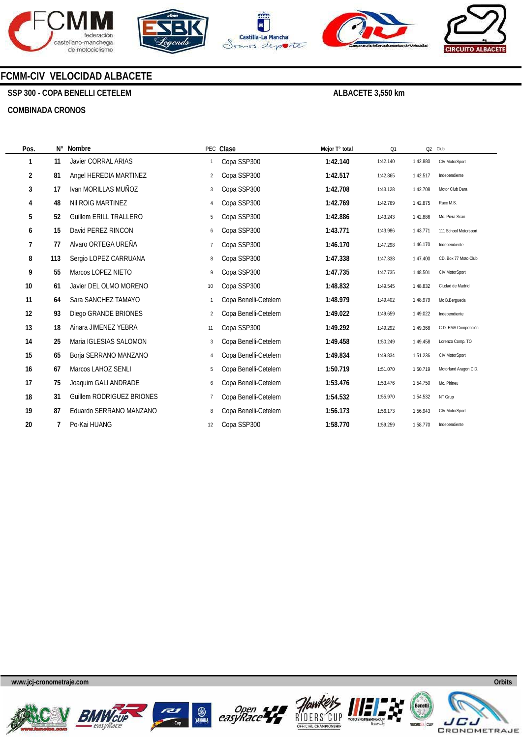









### **FCMM-CIV VELOCIDAD ALBACETE**

**SSP 300 - COPA BENELLI CETELEM** 

#### **COMBINADA CRONOS**

**ALBACETE 3,550 km** 

| Pos. | Ν°  | Nombre                        |                | PEC Clase            | Mejor T° total | Q1       |          | Q2 Club               |
|------|-----|-------------------------------|----------------|----------------------|----------------|----------|----------|-----------------------|
| 1    | 11  | <b>Javier CORRAL ARIAS</b>    |                | Copa SSP300          | 1:42.140       | 1:42.140 | 1:42.880 | CIV MotorSport        |
| 2    | 81  | Angel HEREDIA MARTINEZ        | $\overline{2}$ | Copa SSP300          | 1:42.517       | 1:42.865 | 1:42.517 | Independiente         |
| 3    | 17  | Ivan MORILLAS MUÑOZ           | 3              | Copa SSP300          | 1:42.708       | 1:43.128 | 1:42.708 | Motor Club Dara       |
| 4    | 48  | Nil ROIG MARTINEZ             | 4              | Copa SSP300          | 1:42.769       | 1:42.769 | 1:42.875 | Racc M.S.             |
| 5    | 52  | <b>Guillem ERILL TRALLERO</b> | 5              | Copa SSP300          | 1:42.886       | 1:43.243 | 1:42.886 | Mc. Piera Scan        |
| 6    | 15  | David PEREZ RINCON            | 6              | Copa SSP300          | 1:43.771       | 1:43.986 | 1:43.771 | 111 School Motorsport |
| 7    | 77  | Alvaro ORTEGA UREÑA           |                | Copa SSP300          | 1:46.170       | 1:47.298 | 1:46.170 | Independiente         |
| 8    | 113 | Sergio LOPEZ CARRUANA         | 8              | Copa SSP300          | 1:47.338       | 1:47.338 | 1:47.400 | CD. Box 77 Moto Club  |
| 9    | 55  | Marcos LOPEZ NIETO            | 9              | Copa SSP300          | 1:47.735       | 1:47.735 | 1:48.501 | CIV MotorSport        |
| 10   | 61  | Javier DEL OLMO MORENO        | 10             | Copa SSP300          | 1:48.832       | 1:49.545 | 1:48.832 | Ciudad de Madrid      |
| 11   | 64  | Sara SANCHEZ TAMAYO           | $\mathbf{1}$   | Copa Benelli-Cetelem | 1:48.979       | 1:49.402 | 1:48.979 | Mc B.Bergueda         |
| 12   | 93  | Diego GRANDE BRIONES          | $\overline{2}$ | Copa Benelli-Cetelem | 1:49.022       | 1:49.659 | 1:49.022 | Independiente         |
| 13   | 18  | Ainara JIMENEZ YEBRA          | 11             | Copa SSP300          | 1:49.292       | 1:49.292 | 1:49.368 | C.D. EMA Competición  |
| 14   | 25  | Maria IGLESIAS SALOMON        | 3              | Copa Benelli-Cetelem | 1:49.458       | 1:50.249 | 1:49.458 | Lorenzo Comp. TO      |
| 15   | 65  | Borja SERRANO MANZANO         | 4              | Copa Benelli-Cetelem | 1:49.834       | 1:49.834 | 1:51.236 | CIV MotorSport        |
| 16   | 67  | Marcos LAHOZ SENLI            | 5              | Copa Benelli-Cetelem | 1:50.719       | 1:51.070 | 1:50.719 | Motorland Aragon C.D. |
| 17   | 75  | Joaquim GALI ANDRADE          | 6              | Copa Benelli-Cetelem | 1:53.476       | 1:53.476 | 1:54.750 | Mc. Pirineu           |
| 18   | 31  | Guillem RODRIGUEZ BRIONES     | $\overline{7}$ | Copa Benelli-Cetelem | 1:54.532       | 1:55.970 | 1:54.532 | NT Grup               |
| 19   | 87  | Eduardo SERRANO MANZANO       | 8              | Copa Benelli-Cetelem | 1:56.173       | 1:56.173 | 1:56.943 | CIV MotorSport        |
| 20   |     | Po-Kai HUANG                  | 12             | Copa SSP300          | 1:58.770       | 1:59.259 | 1:58.770 | Independiente         |











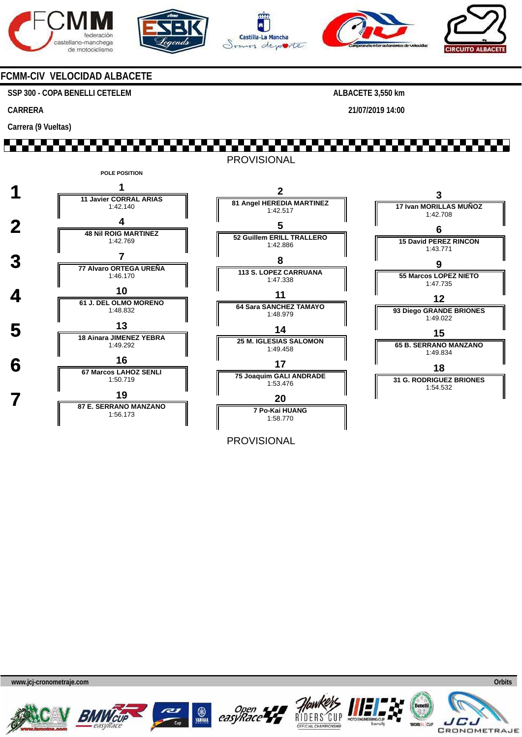









### **FCMM-CIV VELOCIDAD ALBACETE**

**SSP 300 - COPA BENELLI CETELEM** 

**CARRERA** 

**Carrera (9 Vueltas)** 

**ALBACETE 3,550 km** 

**21/07/2019 14:00** 

## 1 FEBRUARI 1907 PROVISIONAL



PROVISIONAL









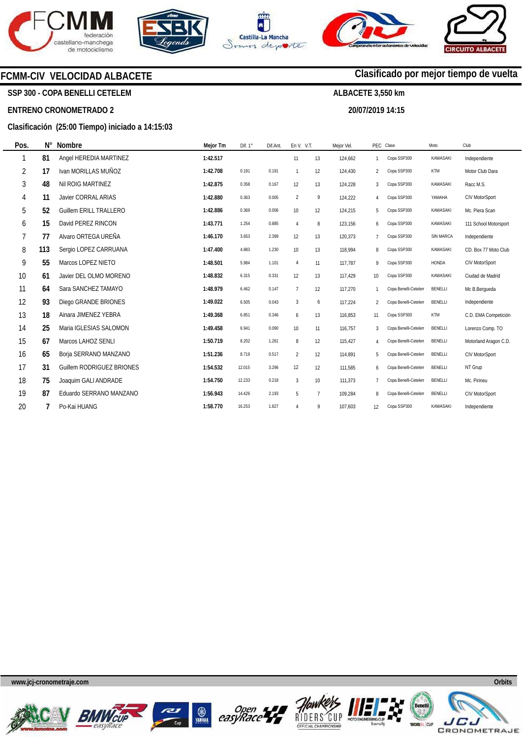







**20/07/2019 14:15** 

**Clasificado por mejor tiempo de vuelta**

### **FCMM-CIV VELOCIDAD ALBACETE**

**SSP 300 - COPA BENELLI CETELEM** 

#### **ENTRENO CRONOMETRADO 2**

#### **Clasificación (25:00 Tiempo) iniciado a 14:15:03**

| Pos. | $N^{\circ}$ | <b>Nombre</b>                    | Mejor Tm | Dif. $1^\circ$ | Dif.Ant. | En V. V.T.      |                | Mejor Vel. |                | PEC Clase            | Moto         | Club                  |
|------|-------------|----------------------------------|----------|----------------|----------|-----------------|----------------|------------|----------------|----------------------|--------------|-----------------------|
| 1    | 81          | Angel HEREDIA MARTINEZ           | 1:42.517 |                |          | 11              | 13             | 124,662    | $\mathbf{1}$   | Copa SSP300          | KAWASAKI     | Independiente         |
| 2    | 17          | Ivan MORILLAS MUÑOZ              | 1:42.708 | 0.191          | 0.191    | $\overline{1}$  | 12             | 124,430    | $\overline{2}$ | Copa SSP300          | KTM          | Motor Club Dara       |
| 3    | 48          | Nil ROIG MARTINEZ                | 1:42.875 | 0.358          | 0.167    | 12              | 13             | 124,228    | 3              | Copa SSP300          | KAWASAKI     | Racc M.S.             |
| 4    | 11          | <b>Javier CORRAL ARIAS</b>       | 1:42.880 | 0.363          | 0.005    | $\overline{2}$  | 9              | 124,222    | 4              | Copa SSP300          | YAMAHA       | CIV MotorSport        |
| 5    | 52          | <b>Guillem ERILL TRALLERO</b>    | 1:42.886 | 0.369          | 0.006    | 10 <sup>°</sup> | 12             | 124,215    | 5              | Copa SSP300          | KAWASAKI     | Mc. Piera Scan        |
| 6    | 15          | David PEREZ RINCON               | 1:43.771 | 1.254          | 0.885    | $\overline{4}$  | 8              | 123,156    | 6              | Copa SSP300          | KAWASAKI     | 111 School Motorsport |
| 7    | 77          | Alvaro ORTEGA UREÑA              | 1:46.170 | 3.653          | 2.399    | 12              | 13             | 120.373    | $\overline{7}$ | Copa SSP300          | SIN MARCA    | Independiente         |
| 8    | 113         | Sergio LOPEZ CARRUANA            | 1:47.400 | 4.883          | 1.230    | 10              | 13             | 118.994    | 8              | Copa SSP300          | KAWASAKI     | CD. Box 77 Moto Club  |
| 9    | 55          | Marcos LOPEZ NIETO               | 1:48.501 | 5.984          | 1.101    | $\overline{4}$  | 11             | 117,787    | 9              | Copa SSP300          | <b>HONDA</b> | CIV MotorSport        |
| 10   | 61          | Javier DEL OLMO MORENO           | 1:48.832 | 6.315          | 0.331    | 12              | 13             | 117,429    | 10             | Copa SSP300          | KAWASAKI     | Ciudad de Madrid      |
| 11   | 64          | Sara SANCHEZ TAMAYO              | 1:48.979 | 6.462          | 0.147    | $\overline{7}$  | 12             | 117,270    | $\mathbf{1}$   | Copa Benelli-Cetelen | BENELLI      | Mc B.Bergueda         |
| 12   | 93          | Diego GRANDE BRIONES             | 1:49.022 | 6.505          | 0.043    | 3               | 6              | 117,224    | $\overline{2}$ | Copa Benelli-Cetelen | BENELLI      | Independiente         |
| 13   | 18          | Ainara JIMENEZ YEBRA             | 1:49.368 | 6.851          | 0.346    | 6               | 13             | 116,853    | 11             | Copa SSP300          | KTM          | C.D. EMA Competición  |
| 14   | 25          | Maria IGLESIAS SALOMON           | 1:49.458 | 6.941          | 0.090    | 10              | 11             | 116,757    | 3              | Copa Benelli-Cetelen | BENELLI      | Lorenzo Comp. TO      |
| 15   | 67          | Marcos LAHOZ SENLI               | 1:50.719 | 8.202          | 1.261    | 8               | 12             | 115.427    | 4              | Copa Benelli-Cetelen | BENELLI      | Motorland Aragon C.D. |
| 16   | 65          | Borja SERRANO MANZANO            | 1:51.236 | 8.719          | 0.517    | 2               | 12             | 114.891    | 5              | Copa Benelli-Cetelen | BENELLI      | CIV MotorSport        |
| 17   | 31          | <b>Guillem RODRIGUEZ BRIONES</b> | 1:54.532 | 12.015         | 3.296    | 12              | 12             | 111,585    | 6              | Copa Benelli-Cetelen | BENELLI      | NT Grup               |
| 18   | 75          | Joaquim GALI ANDRADE             | 1:54.750 | 12.233         | 0.218    | 3               | 10             | 111,373    | $\overline{7}$ | Copa Benelli-Cetelen | BENELLI      | Mc. Pirineu           |
| 19   | 87          | Eduardo SERRANO MANZANO          | 1:56.943 | 14.426         | 2.193    | 5               | $\overline{7}$ | 109.284    | 8              | Copa Benelli-Cetelen | BENELLI      | CIV MotorSport        |
| 20   |             | Po-Kai HUANG                     | 1:58.770 | 16.253         | 1.827    | $\overline{4}$  | 9              | 107.603    | 12             | Copa SSP300          | KAWASAKI     | Independiente         |













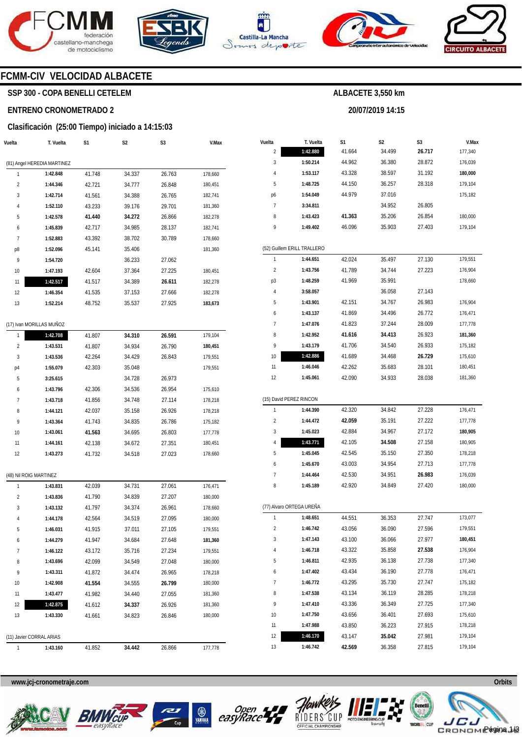







**20/07/2019 14:15** 



### **FCMM-CIV VELOCIDAD ALBACETE**

### **SSP 300 - COPA BENELLI CETELEM**

#### **ENTRENO CRONOMETRADO 2**

#### **Clasificación (25:00 Tiempo) iniciado a 14:15:03**

| Vuelta | T. Vuelta                   | S1     | S2     | S3     | V.Max   |
|--------|-----------------------------|--------|--------|--------|---------|
|        | (81) Angel HEREDIA MARTINEZ |        |        |        |         |
| 1      | 1:42.848                    | 41.748 | 34.337 | 26.763 | 178,660 |
| 2      | 1:44.346                    | 42.721 | 34.777 | 26.848 | 180,451 |
| 3      | 1:42.714                    | 41.561 | 34.388 | 26.765 | 182,741 |
| 4      | 1:52.110                    | 43.233 | 39.176 | 29.701 | 181,360 |
| 5      | 1:42.578                    | 41.440 | 34.272 | 26.866 | 182,278 |
| 6      | 1:45.839                    | 42.717 | 34.985 | 28.137 | 182,741 |
| 7      | 1:52.883                    | 43.392 | 38.702 | 30.789 | 178,660 |
| p8     | 1:52.096                    | 45.141 | 35.406 |        | 181,360 |
| 9      | 1:54.720                    |        | 36.233 | 27.062 |         |
| 10     | 1:47.193                    | 42.604 | 37.364 | 27.225 | 180,451 |
| 11     | 1:42.517                    | 41.517 | 34.389 | 26.611 | 182,278 |
| 12     | 1:46.354                    | 41.535 | 37.153 | 27.666 | 182,278 |
| 13     | 1:52.214                    | 48.752 | 35.537 | 27.925 | 183,673 |
|        |                             |        |        |        |         |
|        | (17) Ivan MORILLAS MUÑOZ    |        |        |        |         |
| 1      | 1:42.708                    | 41.807 | 34.310 | 26.591 | 179,104 |
| 2      | 1:43.531                    | 41.807 | 34.934 | 26.790 | 180,451 |
| 3      | 1:43.536                    | 42.264 | 34.429 | 26.843 | 179,551 |
| p4     | 1:55.079                    | 42.303 | 35.048 |        | 179,551 |
| 5      | 3:25.615                    |        | 34.728 | 26.973 |         |
| 6      | 1:43.796                    | 42.306 | 34.536 | 26.954 | 175,610 |
| 7      | 1:43.718                    | 41.856 | 34.748 | 27.114 | 178,218 |
| 8      | 1:44.121                    | 42.037 | 35.158 | 26.926 | 178,218 |
| 9      | 1:43.364                    | 41.743 | 34.835 | 26.786 | 175,182 |
| 10     | 1:43.061                    | 41.563 | 34.695 | 26.803 | 177,778 |
| 11     | 1:44.161                    | 42.138 | 34.672 | 27.351 | 180,451 |
| 12     | 1:43.273                    | 41.732 | 34.518 | 27.023 | 178,660 |
|        | (48) Nil ROIG MARTINEZ      |        |        |        |         |
| 1      | 1:43.831                    | 42.039 | 34.731 | 27.061 | 176,471 |
| 2      | 1:43.836                    | 41.790 | 34.839 | 27.207 | 180,000 |
| 3      | 1:43.132                    | 41.797 | 34.374 | 26.961 | 178,660 |
| 4      | 1:44.178                    | 42.564 | 34.519 | 27.095 | 180,000 |
| 5      | 1:46.031                    | 41.915 | 37.011 | 27.105 | 179,551 |
| 6      | 1:44.279                    | 41.947 | 34.684 | 27.648 | 181,360 |
| 7      | 1:46.122                    | 43.172 | 35.716 | 27.234 | 179,551 |
| 8      | 1:43.696                    | 42.099 | 34.549 | 27.048 | 180,000 |
| 9      | 1:43.311                    | 41.872 | 34.474 | 26.965 | 178,218 |
| 10     | 1:42.908                    | 41.554 | 34.555 | 26.799 | 180,000 |
| 11     | 1:43.477                    | 41.982 | 34.440 | 27.055 | 181,360 |
| 12     | 1:42.875                    | 41.612 | 34.337 | 26.926 | 181,360 |
| 13     | 1:43.330                    | 41.661 | 34.823 | 26.846 | 180,000 |
|        |                             |        |        |        |         |
|        | (11) Javier CORRAL ARIAS    |        |        |        |         |
| 1      | 1:43.160                    | 41.852 | 34.442 | 26.866 | 177,778 |

| Vuelta         | T. Vuelta                   | S1     | S2     | S3     | V.Max   |
|----------------|-----------------------------|--------|--------|--------|---------|
| $\overline{2}$ | 1:42.880                    | 41.664 | 34.499 | 26.717 | 177,340 |
| 3              | 1:50.214                    | 44.962 | 36.380 | 28.872 | 176,039 |
| 4              | 1:53.117                    | 43.328 | 38.597 | 31.192 | 180,000 |
| 5              | 1:48.725                    | 44.150 | 36.257 | 28.318 | 179,104 |
| p6             | 1:54.049                    | 44.979 | 37.016 |        | 175,182 |
| 7              | 3:34.811                    |        | 34.952 | 26.805 |         |
| 8              | 1:43.423                    | 41.363 | 35.206 | 26.854 | 180,000 |
| 9              | 1:49.402                    | 46.096 | 35.903 | 27.403 | 179,104 |
|                |                             |        |        |        |         |
|                | (52) Guillem ERILL TRALLERO |        |        |        |         |
| 1              | 1:44.651                    | 42.024 | 35.497 | 27.130 | 179,551 |
| 2              | 1:43.756                    | 41.789 | 34.744 | 27.223 | 176,904 |
| p3             | 1:48.259                    | 41.969 | 35.991 |        | 178,660 |
| 4              | 3:58.057                    |        | 36.058 | 27.143 |         |
| 5              | 1:43.901                    | 42.151 | 34.767 | 26.983 | 176,904 |
| 6              | 1:43.137                    | 41.869 | 34.496 | 26.772 | 176,471 |
| 7              | 1:47.076                    | 41.823 | 37.244 | 28.009 | 177,778 |
| 8              | 1:42.952                    | 41.616 | 34.413 | 26.923 | 181,360 |
| 9              | 1:43.179                    | 41.706 | 34.540 | 26.933 | 175,182 |
| 10             | 1:42.886                    | 41.689 | 34.468 | 26.729 | 175,610 |
| 11             | 1:46.046                    | 42.262 | 35.683 | 28.101 | 180,451 |
| 12             | 1:45.061                    | 42.090 | 34.933 | 28.038 | 181,360 |
|                |                             |        |        |        |         |
|                | (15) David PEREZ RINCON     |        |        |        |         |
| 1              | 1:44.390                    | 42.320 | 34.842 | 27.228 | 176,471 |
| 2              | 1:44.472                    | 42.059 | 35.191 | 27.222 | 177,778 |
| 3              | 1:45.023                    | 42.884 | 34.967 | 27.172 | 180,905 |
| 4              | 1:43.771                    | 42.105 | 34.508 | 27.158 | 180,905 |
| 5              | 1:45.045                    | 42.545 | 35.150 | 27.350 | 178,218 |
| 6              | 1:45.670                    | 43.003 | 34.954 | 27.713 | 177,778 |
| 7              | 1:44.464                    | 42.530 | 34.951 | 26.983 | 176,039 |
| 8              | 1:45.189                    | 42.920 | 34.849 | 27.420 | 180,000 |
|                |                             |        |        |        |         |
|                | (77) Alvaro ORTEGA UREÑA    |        |        |        |         |
| 1              | 1:48.651                    | 44.551 | 36.353 | 27.747 | 173,077 |
| 2              | 1:46.742                    | 43.056 | 36.090 | 27.596 | 179,551 |
| 3              | 1:47.143                    | 43.100 | 36.066 | 27.977 | 180,451 |
| 4              | 1:46.718                    | 43.322 | 35.858 | 27.538 | 176,904 |
| 5              | 1:46.811                    | 42.935 | 36.138 | 27.738 | 177,340 |
| 6              | 1:47.402                    | 43.434 | 36.190 | 27.778 | 176,471 |
| 7              | 1:46.772                    | 43.295 | 35.730 | 27.747 | 175,182 |
| 8              | 1:47.538                    | 43.134 | 36.119 | 28.285 | 178,218 |
| 9              | 1:47.410                    | 43.336 | 36.349 | 27.725 | 177,340 |
| 10             | 1:47.750                    | 43.656 | 36.401 | 27.693 | 175,610 |
| 11             | 1:47.988                    | 43.850 | 36.223 | 27.915 | 178,218 |
| 12             | 1:46.170                    | 43.147 | 35.042 | 27.981 | 179,104 |
| 13             | 1:46.742                    | 42.569 | 36.358 | 27.815 | 179,104 |











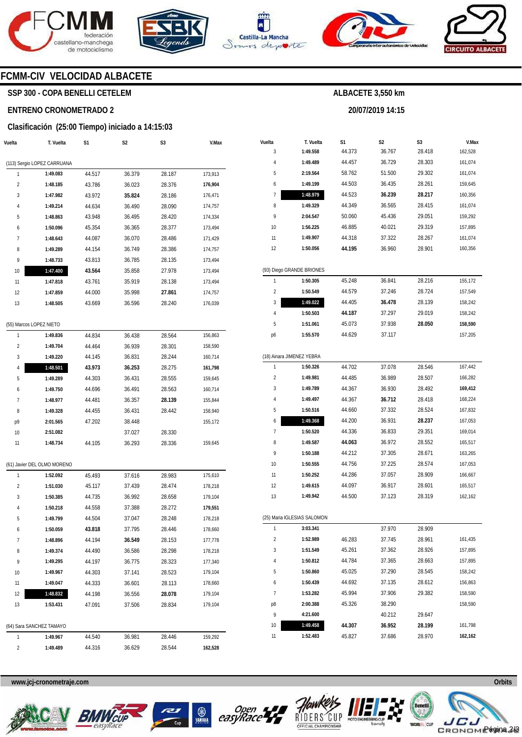







**20/07/2019 14:15** 



### **FCMM-CIV VELOCIDAD ALBACETE**

### **SSP 300 - COPA BENELLI CETELEM**

#### **ENTRENO CRONOMETRADO 2**

#### **Clasificación (25:00 Tiempo) iniciado a 14:15:03**

| Vuelta         | T. Vuelta                           | S1     | S2     | S3     | V.Max   |
|----------------|-------------------------------------|--------|--------|--------|---------|
|                | (113) Sergio LOPEZ CARRUANA         |        |        |        |         |
| 1              | 1:49.083                            | 44.517 | 36.379 | 28.187 | 173,913 |
| 2              | 1:48.185                            | 43.786 | 36.023 | 28.376 | 176,904 |
| 3              | 1:47.982                            | 43.972 | 35.824 | 28.186 | 176,471 |
| 4              | 1:49.214                            | 44.634 | 36.490 | 28.090 | 174,757 |
| 5              | 1:48.863                            | 43.948 | 36.495 | 28.420 | 174,334 |
| 6              | 1:50.096                            | 45.354 | 36.365 | 28.377 | 173,494 |
| 7              | 1:48.643                            | 44.087 | 36.070 | 28.486 | 171,429 |
| 8              | 1:49.289                            | 44.154 | 36.749 | 28.386 | 174,757 |
| 9              | 1:48.733                            | 43.813 | 36.785 | 28.135 | 173,494 |
| 10             | 1:47.400                            | 43.564 | 35.858 | 27.978 | 173,494 |
| 11             | 1:47.818                            | 43.761 | 35.919 | 28.138 | 173,494 |
| 12             | 1:47.859                            | 44.000 | 35.998 | 27.861 | 174,757 |
| 13             | 1:48.505                            | 43.669 | 36.596 | 28.240 | 176,039 |
|                |                                     |        |        |        |         |
| 1              | (55) Marcos LOPEZ NIETO<br>1:49.836 | 44.834 | 36.438 | 28.564 | 156,863 |
| $\overline{c}$ | 1:49.704                            | 44.464 | 36.939 | 28.301 | 158,590 |
| 3              | 1:49.220                            | 44.145 | 36.831 | 28.244 | 160,714 |
| 4              | 1:48.501                            | 43.973 | 36.253 | 28.275 | 161,798 |
| 5              | 1:49.289                            | 44.303 | 36.431 | 28.555 | 159,645 |
| 6              | 1:49.750                            | 44.696 | 36.491 | 28.563 | 160,714 |
| 7              | 1:48.977                            | 44.481 | 36.357 | 28.139 | 155,844 |
| 8              | 1:49.328                            | 44.455 | 36.431 | 28.442 | 158,940 |
| р9             | 2:01.565                            | 47.202 | 38.448 |        | 155,172 |
| 10             | 2:51.082                            |        | 37.027 | 28.330 |         |
| 11             | 1:48.734                            | 44.105 | 36.293 | 28.336 | 159,645 |
|                | (61) Javier DEL OLMO MORENO         |        |        |        |         |
| 1              | 1:52.092                            | 45.493 | 37.616 | 28.983 | 175,610 |
| 2              | 1:51.030                            | 45.117 | 37.439 | 28.474 | 178,218 |
| 3              | 1:50.385                            | 44.735 | 36.992 | 28.658 | 179,104 |
| 4              | 1:50.218                            | 44.558 | 37.388 | 28.272 | 179,551 |
| 5              | 1:49.799                            | 44.504 | 37.047 | 28.248 | 178,218 |
| 6              | 1:50.059                            | 43.818 | 37.795 | 28.446 | 178,660 |
| 7              | 1:48.896                            | 44.194 | 36.549 | 28.153 | 177,778 |
| 8              | 1:49.374                            | 44.490 | 36.586 | 28.298 | 178,218 |
| 9              | 1:49.295                            | 44.197 | 36.775 | 28.323 | 177,340 |
| 10             | 1:49.967                            | 44.303 | 37.141 | 28.523 | 179,104 |
| 11             | 1:49.047                            | 44.333 | 36.601 | 28.113 | 178,660 |
| 12             | 1:48.832                            | 44.198 | 36.556 | 28.078 | 179,104 |
| 13             | 1:53.431                            | 47.091 | 37.506 | 28.834 | 179,104 |
|                | (64) Sara SANCHEZ TAMAYO            |        |        |        |         |
| 1              | 1:49.967                            | 44.540 | 36.981 | 28.446 | 159,292 |
| 2              | 1:49.489                            | 44.316 | 36.629 | 28.544 | 162,528 |
|                |                                     |        |        |        |         |

| Vuelta                  |                             | S1     | S2     | S3     | V.Max   |
|-------------------------|-----------------------------|--------|--------|--------|---------|
| 3                       | T. Vuelta<br>1:49.558       | 44.373 | 36.767 | 28.418 | 162,528 |
| 4                       | 1:49.489                    | 44.457 | 36.729 | 28.303 | 161,074 |
| 5                       | 2:19.564                    | 58.762 | 51.500 | 29.302 | 161,074 |
| 6                       | 1:49.199                    | 44.503 | 36.435 | 28.261 | 159,645 |
| 7                       | 1:48.979                    | 44.523 | 36.239 | 28.217 | 160,356 |
| 8                       | 1:49.329                    | 44.349 | 36.565 | 28.415 | 161,074 |
| 9                       | 2:04.547                    | 50.060 | 45.436 | 29.051 | 159,292 |
| 10                      | 1:56.225                    | 46.885 | 40.021 | 29.319 | 157,895 |
| 11                      | 1:49.907                    | 44.318 | 37.322 | 28.267 | 161,074 |
| 12                      | 1:50.056                    | 44.195 | 36.960 | 28.901 | 160,356 |
|                         |                             |        |        |        |         |
|                         | (93) Diego GRANDE BRIONES   |        |        |        |         |
| 1                       | 1:50.305                    | 45.248 | 36.841 | 28.216 | 155,172 |
| $\overline{2}$          | 1:50.549                    | 44.579 | 37.246 | 28.724 | 157,549 |
| 3                       | 1:49.022                    | 44.405 | 36.478 | 28.139 | 158,242 |
| 4                       | 1:50.503                    | 44.187 | 37.297 | 29.019 | 158,242 |
| 5                       | 1:51.061                    | 45.073 | 37.938 | 28.050 | 158,590 |
| p6                      | 1:55.570                    | 44.629 | 37.117 |        | 157,205 |
|                         |                             |        |        |        |         |
|                         | (18) Ainara JIMENEZ YEBRA   |        |        |        |         |
| 1                       | 1:50.326                    | 44.702 | 37.078 | 28.546 | 167,442 |
| $\overline{\mathbf{c}}$ | 1:49.981                    | 44.485 | 36.989 | 28.507 | 166,282 |
| 3                       | 1:49.789                    | 44.367 | 36.930 | 28.492 | 169,412 |
| 4                       | 1:49.497                    | 44.367 | 36.712 | 28.418 | 168,224 |
| 5                       | 1:50.516                    | 44.660 | 37.332 | 28.524 | 167,832 |
| 6                       | 1:49.368                    | 44.200 | 36.931 | 28.237 | 167,053 |
| 7                       | 1:50.520                    | 44.336 | 36.833 | 29.351 | 169,014 |
| 8                       | 1:49.587                    | 44.063 | 36.972 | 28.552 | 165,517 |
| 9                       | 1:50.188                    | 44.212 | 37.305 | 28.671 | 163,265 |
| 10                      | 1:50.555                    | 44.756 | 37.225 | 28.574 | 167,053 |
| 11                      | 1:50.252                    | 44.286 | 37.057 | 28.909 | 166,667 |
| 12                      | 1:49.615                    | 44.097 | 36.917 | 28.601 | 165,517 |
| 13                      | 1:49.942                    | 44.500 | 37.123 | 28.319 | 162,162 |
|                         |                             |        |        |        |         |
|                         | (25) Maria IGLESIAS SALOMON |        |        |        |         |
| 1                       | 3:03.341                    |        | 37.970 | 28.909 |         |
| 2                       | 1:52.989                    | 46.283 | 37.745 | 28.961 | 161,435 |
| 3                       | 1:51.549                    | 45.261 | 37.362 | 28.926 | 157,895 |
| 4                       | 1:50.812                    | 44.784 | 37.365 | 28.663 | 157,895 |
| 5                       | 1:50.860                    | 45.025 | 37.290 | 28.545 | 158,242 |
| 6                       | 1:50.439                    | 44.692 | 37.135 | 28.612 | 156,863 |
| $\overline{7}$          | 1:53.282                    | 45.994 | 37.906 | 29.382 | 158,590 |
| p8                      | 2:00.388                    | 45.326 | 38.290 |        | 158,590 |
| 9                       | 4:21.600                    |        | 40.212 | 29.647 |         |
| 10                      | 1:49.458                    | 44.307 | 36.952 | 28.199 | 161,798 |
| 11                      | 1:52.483                    | 45.827 | 37.686 | 28.970 | 162,162 |









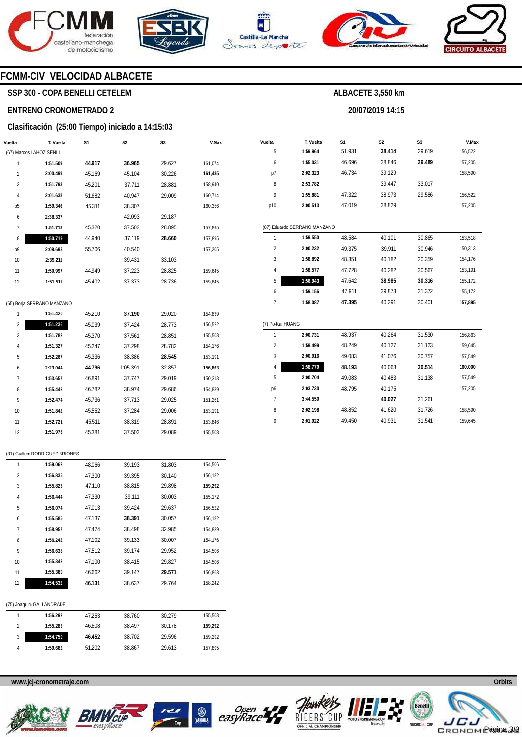





**Vuelta**  5 6

**T. Vuelta 1:59.964 1:55.031** 

**S1**  51.931 46.696

 $\overline{9}$ 

**2:01.922** 

49.450

40.931

31.541

159,645



**S2 38.414**  38.846

**ALBACETE 3,550 km** 

**20/07/2019 14:15** 

**S3**  29.619 **29.489** 



**V.Max**  156,522 157,205

### **FCMM-CIV VELOCIDAD ALBACETE**

#### **SSP 300 - COPA BENELLI CETELEM**

#### **ENTRENO CRONOMETRADO 2**

#### **Clasificación (25:00 Tiempo) iniciado a 14:15:03**

| Vuelta         | T. Vuelta               | S <sub>1</sub> | S <sub>2</sub> | S <sub>3</sub> | V.Max   |
|----------------|-------------------------|----------------|----------------|----------------|---------|
|                | (67) Marcos LAHOZ SENLI |                |                |                |         |
| 1              | 1:51.509                | 44.917         | 36.965         | 29.627         | 161,074 |
| $\overline{2}$ | 2:00.499                | 45.169         | 45.104         | 30.226         | 161,435 |
| 3              | 1:51.793                | 45.201         | 37.711         | 28.881         | 158,940 |
| $\overline{4}$ | 2:01.638                | 51.682         | 40.947         | 29.009         | 160,714 |
| p5             | 1:59.346                | 45.311         | 38.307         |                | 160,356 |
| 6              | 2:38.337                |                | 42.093         | 29.187         |         |
| 7              | 1:51.718                | 45.320         | 37.503         | 28.895         | 157,895 |
| 8              | 1:50.719                | 44.940         | 37.119         | 28.660         | 157,895 |
| р9             | 2:09.693                | 55.706         | 40.540         |                | 157,205 |
| 10             | 2:39.211                |                | 39.431         | 33.103         |         |
| 11             | 1:50.997                | 44.949         | 37.223         | 28.825         | 159,645 |
| 12             | 1:51.511                | 45.402         | 37.373         | 28.736         | 159,645 |
|                |                         |                |                |                |         |

|                | (65) Borja SERRANO MANZANO |        |          |        |         |  |  |  |  |
|----------------|----------------------------|--------|----------|--------|---------|--|--|--|--|
| 1              | 1:51.420                   | 45.210 | 37.190   | 29.020 | 154,839 |  |  |  |  |
| $\overline{2}$ | 1:51.236                   | 45.039 | 37.424   | 28.773 | 156,522 |  |  |  |  |
| 3              | 1:51.782                   | 45.370 | 37.561   | 28.851 | 155,508 |  |  |  |  |
| 4              | 1:51.327                   | 45.247 | 37.298   | 28.782 | 154,176 |  |  |  |  |
| 5              | 1:52.267                   | 45.336 | 38.386   | 28.545 | 153,191 |  |  |  |  |
| 6              | 2:23.044                   | 44.796 | 1:05.391 | 32.857 | 156,863 |  |  |  |  |
| 7              | 1:53.657                   | 46.891 | 37.747   | 29.019 | 150,313 |  |  |  |  |
| 8              | 1:55.442                   | 46.782 | 38.974   | 29.686 | 154.839 |  |  |  |  |
| 9              | 1:52.474                   | 45.736 | 37.713   | 29.025 | 151,261 |  |  |  |  |
| 10             | 1:51.842                   | 45.552 | 37.284   | 29.006 | 153,191 |  |  |  |  |
| 11             | 1:52.721                   | 45.511 | 38.319   | 28.891 | 153.846 |  |  |  |  |
| 12             | 1:51.973                   | 45.381 | 37.503   | 29.089 | 155.508 |  |  |  |  |

| p7               | 2:02.323                     | 46.734 | 39.129 |        | 158,590 |
|------------------|------------------------------|--------|--------|--------|---------|
| 8                | 2:53.782                     |        | 39.447 | 33.017 |         |
| 9                | 1:55.881                     | 47.322 | 38.973 | 29.586 | 156,522 |
| p10              | 2:00.513                     | 47.019 | 38.829 |        | 157,205 |
|                  |                              |        |        |        |         |
|                  | (87) Eduardo SERRANO MANZANO |        |        |        |         |
| 1                | 1:59.550                     | 48.584 | 40.101 | 30.865 | 153,518 |
| $\overline{2}$   | 2:00.232                     | 49.375 | 39.911 | 30.946 | 150,313 |
| 3                | 1:58.892                     | 48.351 | 40.182 | 30.359 | 154,176 |
| $\sqrt{4}$       | 1:58.577                     | 47.728 | 40.282 | 30.567 | 153,191 |
| 5                | 1:56.943                     | 47.642 | 38.985 | 30.316 | 155,172 |
| 6                | 1:59.156                     | 47.911 | 39.873 | 31.372 | 155,172 |
| 7                | 1:58.087                     | 47.395 | 40.291 | 30.401 | 157,895 |
|                  |                              |        |        |        |         |
| (7) Po-Kai HUANG |                              |        |        |        |         |
| 1                | 2:00.731                     | 48.937 | 40.264 | 31.530 | 156,863 |
| $\overline{2}$   | 1:59.499                     | 48.249 | 40.127 | 31.123 | 159,645 |
| 3                | 2:00.916                     | 49.083 | 41.076 | 30.757 | 157,549 |
| $\sqrt{4}$       | 1:58.770                     | 48.193 | 40.063 | 30.514 | 160,000 |
| 5                | 2:00.704                     | 49.083 | 40.483 | 31.138 | 157,549 |
| p6               | 2:03.730                     | 48.795 | 40.175 |        | 157,205 |
| $\overline{1}$   | 3:44.550                     |        | 40.027 | 31.261 |         |
| 8                | 2:02.198                     | 48.852 | 41.620 | 31.726 | 158,590 |

|  | (31) Guillem RODRIGUEZ BRIONES |  |
|--|--------------------------------|--|
|  |                                |  |

|                | (75) Joaquim GALI ANDRADE |        |        |        |         |
|----------------|---------------------------|--------|--------|--------|---------|
| 12             | 1:54.532                  | 46.131 | 38.637 | 29.764 | 158,242 |
|                |                           |        |        |        |         |
| 11             | 1:55.380                  | 46.662 | 39.147 | 29.571 | 156,863 |
| 10             | 1:55.342                  | 47.100 | 38.415 | 29.827 | 154.506 |
| 9              | 1:56.638                  | 47.512 | 39.174 | 29.952 | 154,506 |
| 8              | 1:56.242                  | 47.102 | 39.133 | 30.007 | 154,176 |
| 7              | 1:58.957                  | 47.474 | 38.498 | 32.985 | 154,839 |
| 6              | 1:55.585                  | 47.137 | 38.391 | 30.057 | 156,182 |
| 5              | 1:56.074                  | 47.013 | 39.424 | 29.637 | 156,522 |
| 4              | 1:56.444                  | 47.330 | 39.111 | 30.003 | 155,172 |
| 3              | 1:55.823                  | 47.110 | 38.815 | 29.898 | 159,292 |
| $\overline{2}$ | 1:56.835                  | 47.300 | 39.395 | 30.140 | 156,182 |
| 1              | 1:59.062                  | 48.066 | 39.193 | 31.803 | 154,506 |
|                |                           |        |        |        |         |

| 1:56.292 | 47.253 | 38.760 | 30.279 | 155.508 |
|----------|--------|--------|--------|---------|
| 1:55.283 | 46.608 | 38.497 | 30.178 | 159.292 |
| 1:54.750 | 46.452 | 38.702 | 29.596 | 159.292 |
| 1:59.682 | 51.202 | 38.867 | 29.613 | 157.895 |
|          |        |        |        |         |









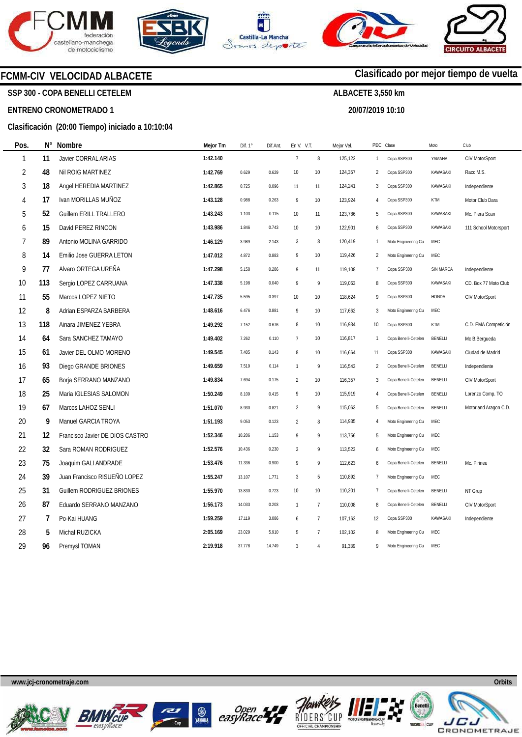







### **FCMM-CIV VELOCIDAD ALBACETE**

**SSP 300 - COPA BENELLI CETELEM** 

#### **ENTRENO CRONOMETRADO 1**

**Pos.** 

#### **Clasificación (20:00 Tiempo) iniciado a 10:10:04**

| Pos.           | $N^{\circ}$ | Nombre                          | Mejor Tm | Dif. $1^\circ$ | Dif.Ant. | En V. V.T.     |                 | Mejor Vel. | PEC Clase      |                      | Moto            | Club                  |
|----------------|-------------|---------------------------------|----------|----------------|----------|----------------|-----------------|------------|----------------|----------------------|-----------------|-----------------------|
| $\mathbf{1}$   | 11          | Javier CORRAL ARIAS             | 1:42.140 |                |          | $\overline{7}$ | $\, 8$          | 125,122    | 1              | Copa SSP300          | YAMAHA          | CIV MotorSport        |
| $\overline{2}$ | 48          | Nil ROIG MARTINEZ               | 1:42.769 | 0.629          | 0.629    | $10$           | 10              | 124,357    | $\overline{2}$ | Copa SSP300          | KAWASAKI        | Racc M.S.             |
| 3              | 18          | Angel HEREDIA MARTINEZ          | 1:42.865 | 0.725          | 0.096    | 11             | 11              | 124,241    | 3              | Copa SSP300          | KAWASAKI        | Independiente         |
| 4              | 17          | Ivan MORILLAS MUÑOZ             | 1:43.128 | 0.988          | 0.263    | 9              | 10              | 123,924    | 4              | Copa SSP300          | <b>KTM</b>      | Motor Club Dara       |
| 5              | 52          | <b>Guillem ERILL TRALLERO</b>   | 1:43.243 | 1.103          | 0.115    | 10             | 11              | 123,786    | 5              | Copa SSP300          | KAWASAKI        | Mc. Piera Scan        |
| 6              | 15          | David PEREZ RINCON              | 1:43.986 | 1.846          | 0.743    | 10             | 10              | 122,901    | 6              | Copa SSP300          | <b>KAWASAKI</b> | 111 School Motorsport |
| 7              | 89          | Antonio MOLINA GARRIDO          | 1:46.129 | 3.989          | 2.143    | $\mathbf{3}$   | $\, 8$          | 120,419    | $\mathbf{1}$   | Moto Engineering Cu  | <b>MEC</b>      |                       |
| 8              | 14          | Emilio Jose GUERRA LETON        | 1:47.012 | 4.872          | 0.883    | 9              | 10              | 119,426    | $\overline{2}$ | Moto Engineering Cu  | MEC             |                       |
| 9              | 77          | Alvaro ORTEGA UREÑA             | 1:47.298 | 5.158          | 0.286    | 9              | 11              | 119,108    | 7              | Copa SSP300          | SIN MARCA       | Independiente         |
| 10             | 113         | Sergio LOPEZ CARRUANA           | 1:47.338 | 5.198          | 0.040    | 9              | 9               | 119,063    | 8              | Copa SSP300          | <b>KAWASAKI</b> | CD. Box 77 Moto Club  |
| 11             | 55          | Marcos LOPEZ NIETO              | 1:47.735 | 5.595          | 0.397    | 10             | 10              | 118,624    | 9              | Copa SSP300          | <b>HONDA</b>    | CIV MotorSport        |
| 12             | 8           | Adrian ESPARZA BARBERA          | 1:48.616 | 6.476          | 0.881    | 9              | 10 <sup>°</sup> | 117,662    | 3              | Moto Engineering Cu  | MEC             |                       |
| 13             | 118         | Ainara JIMENEZ YEBRA            | 1:49.292 | 7.152          | 0.676    | 8              | 10 <sup>°</sup> | 116,934    | 10             | Copa SSP300          | <b>KTM</b>      | C.D. EMA Competición  |
| 14             | 64          | Sara SANCHEZ TAMAYO             | 1:49.402 | 7.262          | 0.110    | $\overline{7}$ | 10              | 116,817    | $\mathbf{1}$   | Copa Benelli-Cetelen | BENELLI         | Mc B.Bergueda         |
| 15             | 61          | Javier DEL OLMO MORENO          | 1:49.545 | 7.405          | 0.143    | 8              | 10              | 116,664    | 11             | Copa SSP300          | KAWASAKI        | Ciudad de Madrid      |
| 16             | 93          | Diego GRANDE BRIONES            | 1:49.659 | 7.519          | 0.114    | $\overline{1}$ | 9               | 116,543    | $\overline{2}$ | Copa Benelli-Cetelen | BENELLI         | Independiente         |
| 17             | 65          | Borja SERRANO MANZANO           | 1:49.834 | 7.694          | 0.175    | $\overline{c}$ | 10              | 116,357    | 3              | Copa Benelli-Cetelen | BENELLI         | CIV MotorSport        |
| 18             | 25          | Maria IGLESIAS SALOMON          | 1:50.249 | 8.109          | 0.415    | 9              | 10              | 115,919    | $\overline{4}$ | Copa Benelli-Cetelen | <b>BENELLI</b>  | Lorenzo Comp. TO      |
| 19             | 67          | Marcos LAHOZ SENLI              | 1:51.070 | 8.930          | 0.821    | $\overline{2}$ | 9               | 115,063    | 5              | Copa Benelli-Cetelen | <b>BENELLI</b>  | Motorland Aragon C.D. |
| 20             | 9           | Manuel GARCIA TROYA             | 1:51.193 | 9.053          | 0.123    | $\overline{2}$ | 8               | 114,935    | $\overline{4}$ | Moto Engineering Cu  | MEC             |                       |
| 21             | 12          | Francisco Javier DE DIOS CASTRO | 1:52.346 | 10.206         | 1.153    | 9              | 9               | 113,756    | 5              | Moto Engineering Cu  | MEC             |                       |
| 22             | 32          | Sara ROMAN RODRIGUEZ            | 1:52.576 | 10.436         | 0.230    | 3              | 9               | 113,523    | 6              | Moto Engineering Cu  | MEC             |                       |
| 23             | 75          | Joaquim GALI ANDRADE            | 1:53.476 | 11.336         | 0.900    | 9              | 9               | 112,623    | 6              | Copa Benelli-Cetelen | <b>BENELLI</b>  | Mc. Pirineu           |
| 24             | 39          | Juan Francisco RISUEÑO LOPEZ    | 1:55.247 | 13.107         | 1.771    | 3              | 5               | 110,892    | $\overline{7}$ | Moto Engineering Cu  | MEC             |                       |
| 25             | 31          | Guillem RODRIGUEZ BRIONES       | 1:55.970 | 13.830         | 0.723    | 10             | 10 <sup>°</sup> | 110,201    | $\overline{7}$ | Copa Benelli-Cetelen | <b>BENELLI</b>  | NT Grup               |
| 26             | 87          | Eduardo SERRANO MANZANO         | 1:56.173 | 14.033         | 0.203    | $\overline{1}$ | $\overline{7}$  | 110,008    | 8              | Copa Benelli-Cetelen | <b>BENELLI</b>  | CIV MotorSport        |
| 27             | 7           | Po-Kai HUANG                    | 1:59.259 | 17.119         | 3.086    | 6              | $\overline{7}$  | 107,162    | 12             | Copa SSP300          | KAWASAKI        | Independiente         |
| 28             | 5           | Michal RUZICKA                  | 2:05.169 | 23.029         | 5.910    | 5              | $\overline{7}$  | 102,102    | 8              | Moto Engineering Cu  | MEC             |                       |
| 29             | 96          | Premysl TOMAN                   | 2:19.918 | 37.778         | 14.749   | 3              | $\overline{4}$  | 91,339     | 9              | Moto Engineering Cu  | MEC             |                       |

**www.jcj-cronometraje.com Orbits** 













### **Clasificado por mejor tiempo de vuelta**

**ALBACETE 3,550 km** 

**20/07/2019 10:10** 

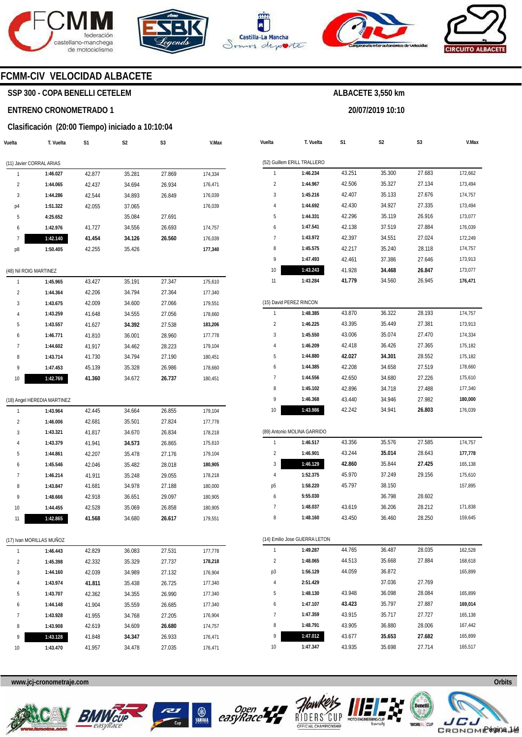







**20/07/2019 10:10** 



### **FCMM-CIV VELOCIDAD ALBACETE**

### **SSP 300 - COPA BENELLI CETELEM**

#### **ENTRENO CRONOMETRADO 1**

#### **Clasificación (20:00 Tiempo) iniciado a 10:10:04**

| Vuelta                 | T. Vuelta                   | S1     | S2     | S3     | V.Max   |
|------------------------|-----------------------------|--------|--------|--------|---------|
|                        | (11) Javier CORRAL ARIAS    |        |        |        |         |
| 1                      | 1:46.027                    | 42.877 | 35.281 | 27.869 | 174,334 |
| 2                      | 1:44.065                    | 42.437 | 34.694 | 26.934 | 176,471 |
| 3                      | 1:44.286                    | 42.544 | 34.893 | 26.849 | 176,039 |
| p4                     | 1:51.322                    | 42.055 | 37.065 |        | 176,039 |
| 5                      | 4:25.652                    |        | 35.084 | 27.691 |         |
| 6                      | 1:42.976                    | 41.727 | 34.556 | 26.693 | 174,757 |
| 7                      | 1:42.140                    | 41.454 | 34.126 | 26.560 | 176,039 |
| p8                     | 1:50.405                    | 42.255 | 35.426 |        | 177,340 |
| (48) Nil ROIG MARTINEZ |                             |        |        |        |         |
| 1                      | 1:45.965                    | 43.427 | 35.191 | 27.347 | 175,610 |
| 2                      | 1:44.364                    | 42.206 | 34.794 | 27.364 | 177,340 |
| 3                      | 1:43.675                    | 42.009 | 34.600 | 27.066 | 179,551 |
| 4                      | 1:43.259                    | 41.648 | 34.555 | 27.056 | 178,660 |
| 5                      | 1:43.557                    | 41.627 | 34.392 | 27.538 | 183,206 |
| 6                      | 1:46.771                    | 41.810 | 36.001 | 28.960 | 177,778 |
| 7                      | 1:44.602                    | 41.917 | 34.462 | 28.223 | 179,104 |
| 8                      | 1:43.714                    | 41.730 | 34.794 | 27.190 | 180,451 |
| 9                      | 1:47.453                    | 45.139 | 35.328 | 26.986 | 178,660 |
| 10                     | 1:42.769                    | 41.360 | 34.672 | 26.737 | 180,451 |
|                        |                             |        |        |        |         |
|                        | (18) Angel HEREDIA MARTINEZ |        |        |        |         |
| 1                      | 1:43.964                    | 42.445 | 34.664 | 26.855 | 179,104 |
| 2                      | 1:46.006                    | 42.681 | 35.501 | 27.824 | 177,778 |
| 3                      | 1:43.321                    | 41.817 | 34.670 | 26.834 | 178,218 |
| 4                      | 1:43.379                    | 41.941 | 34.573 | 26.865 | 175,610 |
| 5                      | 1:44.861                    | 42.207 | 35.478 | 27.176 | 179,104 |
| 6                      | 1:45.546                    | 42.046 | 35.482 | 28.018 | 180,905 |
| 7                      | 1:46.214                    | 41.911 | 35.248 | 29.055 | 178,218 |
| 8                      | 1:43.847                    | 41.681 | 34.978 | 27.188 | 180,000 |
| 9                      | 1:48.666                    | 42.918 | 36.651 | 29.097 | 180,905 |
| 10                     | 1:44.455                    | 42.528 | 35.069 | 26.858 | 180,905 |
| 11                     | 1:42.865                    | 41.568 | 34.680 | 26.617 | 179,551 |
|                        | (17) Ivan MORILLAS MUÑOZ    |        |        |        |         |
| 1                      | 1:46.443                    | 42.829 | 36.083 | 27.531 | 177,778 |
| 2                      | 1:45.398                    | 42.332 | 35.329 | 27.737 | 178,218 |
| 3                      | 1:44.160                    | 42.039 | 34.989 | 27.132 | 176,904 |
| 4                      | 1:43.974                    | 41.811 | 35.438 | 26.725 | 177,340 |
| 5                      | 1:43.707                    | 42.362 | 34.355 | 26.990 | 177,340 |
| 6                      | 1:44.148                    | 41.904 | 35.559 | 26.685 | 177,340 |
| 7                      | 1:43.928                    | 41.955 | 34.768 | 27.205 | 176,904 |
| 8                      | 1:43.908                    | 42.619 | 34.609 | 26.680 | 174,757 |
| 9                      | 1:43.128                    | 41.848 | 34.347 | 26.933 | 176,471 |
| 10                     | 1:43.470                    | 41.957 | 34.478 | 27.035 | 176,471 |

| Vuelta         | T. Vuelta                     | S1     | S2     | S3     | V.Max   |
|----------------|-------------------------------|--------|--------|--------|---------|
|                | (52) Guillem ERILL TRALLERO   |        |        |        |         |
| 1              | 1:46.234                      | 43.251 | 35.300 | 27.683 | 172,662 |
| $\overline{2}$ | 1:44.967                      | 42.506 | 35.327 | 27.134 | 173,494 |
| 3              | 1:45.216                      | 42.407 | 35.133 | 27.676 | 174,757 |
| 4              | 1:44.692                      | 42.430 | 34.927 | 27.335 | 173,494 |
| 5              | 1:44.331                      | 42.296 | 35.119 | 26.916 | 173,077 |
| 6              | 1:47.541                      | 42.138 | 37.519 | 27.884 | 176,039 |
| 7              | 1:43.972                      | 42.397 | 34.551 | 27.024 | 172,249 |
| 8              | 1:45.575                      | 42.217 | 35.240 | 28.118 | 174,757 |
| 9              | 1:47.493                      | 42.461 | 37.386 | 27.646 | 173,913 |
| 10             | 1:43.243                      | 41.928 | 34.468 | 26.847 | 173,077 |
| 11             | 1:43.284                      | 41.779 | 34.560 | 26.945 | 176,471 |
|                |                               |        |        |        |         |
|                | (15) David PEREZ RINCON       |        |        |        |         |
| 1              | 1:48.385                      | 43.870 | 36.322 | 28.193 | 174,757 |
| $\overline{2}$ | 1:46.225                      | 43.395 | 35.449 | 27.381 | 173,913 |
| 3              | 1:45.550                      | 43.006 | 35.074 | 27.470 | 174,334 |
| 4              | 1:46.209                      | 42.418 | 36.426 | 27.365 | 175,182 |
| 5              | 1:44.880                      | 42.027 | 34.301 | 28.552 | 175,182 |
| 6              | 1:44.385                      | 42.208 | 34.658 | 27.519 | 178,660 |
| 7              | 1:44.556                      | 42.650 | 34.680 | 27.226 | 175,610 |
| 8              | 1:45.102                      | 42.896 | 34.718 | 27.488 | 177,340 |
| 9              | 1:46.368                      | 43.440 | 34.946 | 27.982 | 180,000 |
| 10             | 1:43.986                      | 42.242 | 34.941 | 26.803 | 176,039 |
|                | (89) Antonio MOLINA GARRIDO   |        |        |        |         |
| 1              | 1:46.517                      | 43.356 | 35.576 | 27.585 | 174,757 |
| 2              | 1:46.901                      | 43.244 | 35.014 | 28.643 | 177,778 |
| 3              | 1:46.129                      | 42.860 | 35.844 | 27.425 | 165,138 |
| 4              | 1:52.375                      | 45.970 | 37.249 | 29.156 | 175,610 |
| р5             | 1:58.220                      | 45.797 | 38.150 |        | 157,895 |
| 6              | 5:55.030                      |        | 36.798 | 28.602 |         |
| 7              | 1:48.037                      | 43.619 | 36.206 | 28.212 | 171,838 |
| 8              | 1:48.160                      | 43.450 | 36.460 | 28.250 | 159,645 |
|                |                               |        |        |        |         |
|                | (14) Emilio Jose GUERRA LETON |        |        |        |         |
| 1              | 1:49.287                      | 44.765 | 36.487 | 28.035 | 162,528 |
| 2              | 1:48.065                      | 44.513 | 35.668 | 27.884 | 168,618 |
| p3             | 1:56.129                      | 44.059 | 36.872 |        | 165,899 |
| 4              | 2:51.429                      |        | 37.036 | 27.769 |         |
| 5              | 1:48.130                      | 43.948 | 36.098 | 28.084 | 165,899 |
| 6              | 1:47.107                      | 43.423 | 35.797 | 27.887 | 169,014 |
| 7              | 1:47.359                      | 43.915 | 35.717 | 27.727 | 165,138 |
| 8              | 1:48.791                      | 43.905 | 36.880 | 28.006 | 167,442 |
| 9              | 1:47.012                      | 43.677 | 35.653 | 27.682 | 165,899 |

**www.jcj-cronometraje.com Orbits** 







10



43.935

35.698

**1:47.347** 



165,517

27.714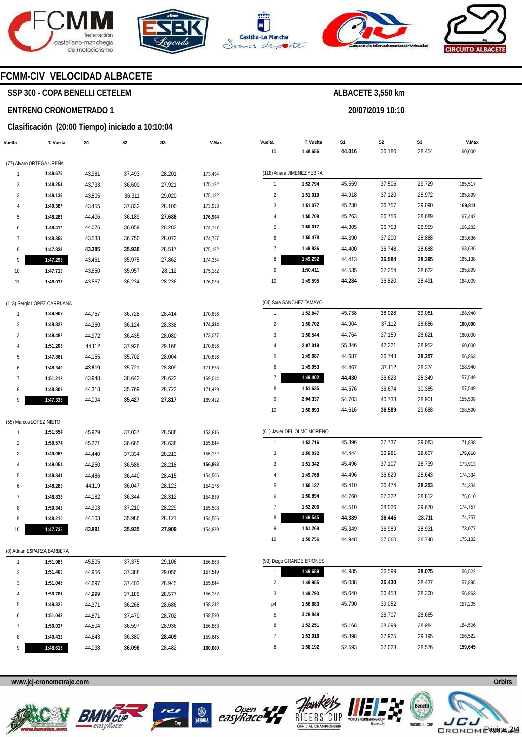



**S3** 



**Vuelta** 

**V.Max** 

**T. Vuelta** 

**S1** 



**S2** 

**20/07/2019 10:10** 

**ALBACETE 3,550 km** 

**S3** 



**V.Max** 

### **FCMM-CIV VELOCIDAD ALBACETE**

### **SSP 300 - COPA BENELLI CETELEM**

#### **ENTRENO CRONOMETRADO 1**

**T. Vuelta** 

**Vuelta** 

### **S1 Clasificación (20:00 Tiempo) iniciado a 10:10:04**

**S2** 

|                |                             |        |        |        |         | 10             | 1:48.656                    | 44.016 | 36.186 | 28.454 | 160,000 |
|----------------|-----------------------------|--------|--------|--------|---------|----------------|-----------------------------|--------|--------|--------|---------|
|                | (77) Alvaro ORTEGA UREÑA    |        |        |        |         |                |                             |        |        |        |         |
| $\mathbf{1}$   | 1:49.675                    | 43.981 | 37.493 | 28.201 | 173,494 |                | (118) Ainara JIMENEZ YEBRA  |        |        |        |         |
| $\overline{2}$ | 1:48.254                    | 43.733 | 36.600 | 27.921 | 175,182 | $\mathbf{1}$   | 1:52.794                    | 45.559 | 37.506 | 29.729 | 165,517 |
| 3              | 1:49.136                    | 43.805 | 36.311 | 29.020 | 175,182 | $\sqrt{2}$     | 1:51.010                    | 44.918 | 37.120 | 28.972 | 165,899 |
| $\overline{4}$ | 1:49.387                    | 43.455 | 37.832 | 28.100 | 173,913 | 3              | 1:51.077                    | 45.230 | 36.757 | 29.090 | 169,811 |
| 5              | 1:48.283                    | 44.406 | 36.189 | 27.688 | 176,904 | 4              | 1:50.708                    | 45.263 | 36.756 | 28.689 | 167,442 |
| 6              | 1:48.417                    | 44.076 | 36.059 | 28.282 | 174,757 | 5              | 1:50.017                    | 44.305 | 36.753 | 28.959 | 166,282 |
| $\overline{1}$ | 1:48.355                    | 43.533 | 36.750 | 28.072 | 174,757 | 6              | 1:50.478                    | 44.390 | 37.200 | 28.888 | 163,636 |
| 8              | 1:47.838                    | 43.385 | 35.936 | 28.517 | 175,182 | $\overline{7}$ | 1:49.836                    | 44.400 | 36.748 | 28.688 | 163,636 |
| 9              | 1:47.298                    | 43.461 | 35.975 | 27.862 | 174,334 | 8              | 1:49.292                    | 44.413 | 36.584 | 28.295 | 165,138 |
| 10             | 1:47.719                    | 43.650 | 35.957 | 28.112 | 175,182 | 9              | 1:50.411                    | 44.535 | 37.254 | 28.622 | 165,899 |
| 11             | 1:48.037                    | 43.567 | 36.234 | 28.236 | 176,039 | 10             | 1:49.595                    | 44.284 | 36.820 | 28.491 | 164,009 |
|                | (113) Sergio LOPEZ CARRUANA |        |        |        |         |                | (64) Sara SANCHEZ TAMAYO    |        |        |        |         |
| $\mathbf{1}$   | 1:49.909                    | 44.767 | 36.728 | 28.414 | 170,616 | $\mathbf{1}$   | 1:52.847                    | 45.738 | 38.028 | 29.081 | 158,940 |
| $\overline{2}$ | 1:48.822                    | 44.360 | 36.124 | 28.338 | 174,334 | $\overline{c}$ | 1:50.702                    | 44.904 | 37.112 | 28.686 | 160,000 |
| 3              | 1:49.487                    | 44.972 | 36.435 | 28.080 | 173,077 | 3              | 1:50.544                    | 44.764 | 37.159 | 28.621 | 160,000 |
| 4              | 1:51.206                    | 44.112 | 37.926 | 29.168 | 170,616 | $\overline{4}$ | 2:07.019                    | 55.846 | 42.221 | 28.952 | 160,000 |
| 5              | 1:47.861                    | 44.155 | 35.702 | 28.004 | 170,616 | 5              | 1:49.687                    | 44.687 | 36.743 | 28.257 | 156,863 |
| 6              | 1:48.349                    | 43.819 | 35.721 | 28.809 | 171,838 | 6              | 1:49.953                    | 44.467 | 37.112 | 28.374 | 158,940 |
| 7              | 1:51.212                    | 43.948 | 38.642 | 28.622 | 169,014 | 7              | 1:49.402                    | 44.430 | 36.623 | 28.349 | 157,549 |
| 8              | 1:48.809                    | 44.318 | 35.769 | 28.722 | 171,429 | 8              | 1:51.635                    | 44.576 | 36.674 | 30.385 | 157,549 |
| 9              | 1:47.338                    | 44.094 | 35.427 | 27.817 | 169,412 | 9              | 2:04.337                    | 54.703 | 40.733 | 28.901 | 155,508 |
|                |                             |        |        |        |         | 10             | 1:50.893                    | 44.616 | 36.589 | 29.688 | 158,590 |
|                | (55) Marcos LOPEZ NIETO     |        |        |        |         |                |                             |        |        |        |         |
| 1              | 1:51.554                    | 45.929 | 37.037 | 28.588 | 153,846 |                | (61) Javier DEL OLMO MORENO |        |        |        |         |
| $\overline{2}$ | 1:50.574                    | 45.271 | 36.665 | 28.638 | 155,844 | $\mathbf{1}$   | 1:52.716                    | 45.896 | 37.737 | 29.083 | 171,838 |
| 3              | 1:49.987                    | 44.440 | 37.334 | 28.213 | 155,172 | $\overline{c}$ | 1:50.032                    | 44.444 | 36.981 | 28.607 | 175,610 |
| 4              | 1:49.054                    | 44.250 | 36.586 | 28.218 | 156,863 | 3              | 1:51.342                    | 45.496 | 37.107 | 28.739 | 173,913 |
| 5              | 1:49.341                    | 44.486 | 36.440 | 28.415 | 154,506 | 4              | 1:49.768                    | 44.496 | 36.629 | 28.643 | 174,334 |
| 6              | 1:48.289                    | 44.119 | 36.047 | 28.123 | 154,176 | 5              | 1:50.137                    | 45.410 | 36.474 | 28.253 | 174,334 |
| $\overline{1}$ | 1:48.838                    | 44.182 | 36.344 | 28.312 | 154,839 | 6              | 1:50.894                    | 44.760 | 37.322 | 28.812 | 175,610 |
| 8              | 1:50.342                    | 44.903 | 37.210 | 28.229 | 155,508 | 7              | 1:52.206                    | 44.510 | 38.026 | 29.670 | 174,757 |
| 9              | 1:48.210                    | 44.103 | 35.986 | 28.121 | 154,506 | 8              | 1:49.545                    | 44.389 | 36.445 | 28.711 | 174,757 |
| 10             | 1:47.735                    | 43.891 | 35.935 | 27.909 | 154,839 | 9              | 1:51.269                    | 45.349 | 36.989 | 28.931 | 173,077 |
|                |                             |        |        |        |         | 10             | 1:50.756                    | 44.948 | 37.060 | 28.748 | 175,182 |
|                | (8) Adrian ESPARZA BARBERA  |        |        |        |         |                |                             |        |        |        |         |
| $\mathbf{1}$   | 1:51.986                    | 45.505 | 37.375 | 29.106 | 156,863 |                | (93) Diego GRANDE BRIONES   |        |        |        |         |
| $\sqrt{2}$     | 1:51.400                    | 44.956 | 37.388 | 29.056 | 157,549 |                | 1:49.659                    | 44.985 | 36.599 | 28.075 | 156,522 |
| 3              | 1:51.045                    | 44.697 | 37.403 | 28.945 | 155,844 | $\sqrt{2}$     | 1:49.955                    | 45.088 | 36.430 | 28.437 | 157,895 |
| $\overline{4}$ | 1:50.761                    | 44.999 | 37.185 | 28.577 | 156,182 | 3              | 1:49.793                    | 45.040 | 36.453 | 28.300 | 156,863 |
| 5              | 1:49.325                    | 44.371 | 36.268 | 28.686 | 158,242 | p4             | 1:58.883                    | 45.790 | 39.052 |        | 157,205 |
| 6              | 1:51.043                    | 44.871 | 37.470 | 28.702 | 158,590 | 5              | 3:29.849                    |        | 36.707 | 28.665 |         |
| $\overline{7}$ | 1:50.037                    | 44.504 | 36.597 | 28.936 | 156,863 | 6              | 1:52.251                    | 45.168 | 38.099 | 28.984 | 154,506 |
| 8              | 1:49.432                    | 44.643 | 36.380 | 28.409 | 159,645 | 7              | 1:53.018                    | 45.898 | 37.925 | 29.195 | 156,522 |
| 9              | 1:48.616                    | 44.038 | 36.096 | 28.482 | 160,000 | 8              | 1:58.192                    | 52.593 | 37.023 | 28.576 | 159,645 |









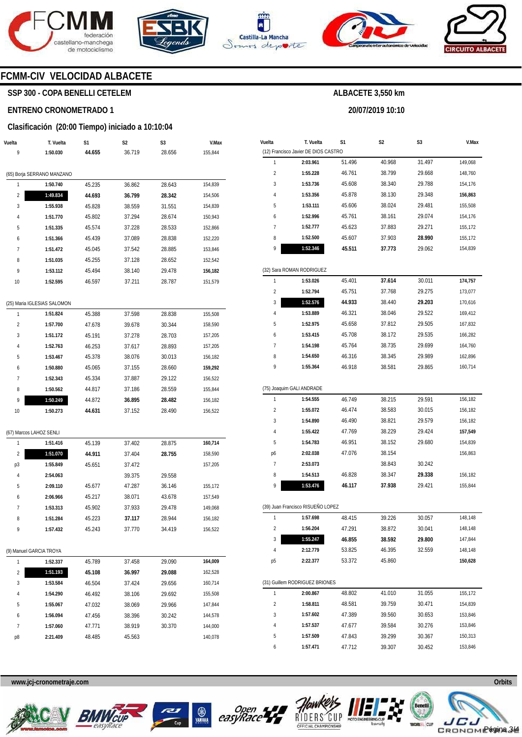







**20/07/2019 10:10** 



### **FCMM-CIV VELOCIDAD ALBACETE**

### **SSP 300 - COPA BENELLI CETELEM**

#### **ENTRENO CRONOMETRADO 1**

#### **Clasificación (20:00 Tiempo) iniciado a 10:10:04**

| Vuelta                  | T. Vuelta                   | S1     | S2     | S3     | V.Max   |
|-------------------------|-----------------------------|--------|--------|--------|---------|
| 9                       | 1:50.030                    | 44.655 | 36.719 | 28.656 | 155,844 |
|                         | (65) Borja SERRANO MANZANO  |        |        |        |         |
| 1                       | 1:50.740                    | 45.235 | 36.862 | 28.643 | 154,839 |
| 2                       | 1:49.834                    | 44.693 | 36.799 | 28.342 | 154,506 |
| 3                       | 1:55.938                    | 45.828 | 38.559 | 31.551 | 154,839 |
| 4                       | 1:51.770                    | 45.802 | 37.294 | 28.674 | 150,943 |
| 5                       | 1:51.335                    | 45.574 | 37.228 | 28.533 | 152,866 |
| 6                       | 1:51.366                    | 45.439 | 37.089 | 28.838 | 152,220 |
| 7                       | 1:51.472                    | 45.045 | 37.542 | 28.885 | 153,846 |
| 8                       | 1:51.035                    | 45.255 | 37.128 | 28.652 | 152,542 |
| 9                       | 1:53.112                    | 45.494 | 38.140 | 29.478 | 156,182 |
| 10                      | 1:52.595                    | 46.597 | 37.211 | 28.787 | 151,579 |
|                         |                             |        |        |        |         |
|                         | (25) Maria IGLESIAS SALOMON |        |        |        |         |
| 1                       | 1:51.824                    | 45.388 | 37.598 | 28.838 | 155,508 |
| $\overline{\mathbf{c}}$ | 1:57.700                    | 47.678 | 39.678 | 30.344 | 158,590 |
| 3                       | 1:51.172                    | 45.191 | 37.278 | 28.703 | 157,205 |
| 4                       | 1:52.763                    | 46.253 | 37.617 | 28.893 | 157,205 |
| 5                       | 1:53.467                    | 45.378 | 38.076 | 30.013 | 156,182 |
| 6                       | 1:50.880                    | 45.065 | 37.155 | 28.660 | 159,292 |
| 7                       | 1:52.343                    | 45.334 | 37.887 | 29.122 | 156,522 |
| 8                       | 1:50.562                    | 44.817 | 37.186 | 28.559 | 155,844 |
| 9                       | 1:50.249                    | 44.872 | 36.895 | 28.482 | 156,182 |
| 10                      | 1:50.273                    | 44.631 | 37.152 | 28.490 | 156,522 |
|                         | (67) Marcos LAHOZ SENLI     |        |        |        |         |
| 1                       | 1:51.416                    | 45.139 | 37.402 | 28.875 | 160,714 |
| 2                       | 1:51.070                    | 44.911 | 37.404 | 28.755 | 158,590 |
| p3                      | 1:55.849                    | 45.651 | 37.472 |        | 157,205 |
| 4                       | 2:54.063                    |        | 39.375 | 29.558 |         |
| 5                       | 2:09.110                    | 45.677 | 47.287 | 36.146 | 155,172 |
| 6                       | 2:06.966                    | 45.217 | 38.071 | 43.678 | 157,549 |
| 7                       | 1:53.313                    | 45.902 | 37.933 | 29.478 | 149,068 |
| 8                       | 1:51.284                    | 45.223 | 37.117 | 28.944 | 156,182 |
| 9                       | 1:57.432                    | 45.243 | 37.770 | 34.419 | 156,522 |
|                         | (9) Manuel GARCIA TROYA     |        |        |        |         |
| 1                       | 1:52.337                    | 45.789 | 37.458 | 29.090 | 164,009 |
| 2                       | 1:51.193                    | 45.108 | 36.997 | 29.088 | 162,528 |
| 3                       | 1:53.584                    | 46.504 | 37.424 | 29.656 | 160,714 |
| 4                       | 1:54.290                    | 46.492 | 38.106 | 29.692 | 155,508 |
| 5                       | 1:55.067                    | 47.032 | 38.069 | 29.966 | 147,844 |
| 6                       | 1:56.094                    | 47.456 | 38.396 | 30.242 | 144,578 |
| 7                       | 1:57.060                    | 47.771 | 38.919 | 30.370 | 144,000 |
| p8                      | 2:21.409                    | 48.485 | 45.563 |        | 140,078 |

| Vuelta                  | T. Vuelta                            | S1     | S2     | S3     | V.Max   |
|-------------------------|--------------------------------------|--------|--------|--------|---------|
|                         | (12) Francisco Javier DE DIOS CASTRO |        |        |        |         |
| 1                       | 2:03.961                             | 51.496 | 40.968 | 31.497 | 149,068 |
| $\overline{2}$          | 1:55.228                             | 46.761 | 38.799 | 29.668 | 148,760 |
| 3                       | 1:53.736                             | 45.608 | 38.340 | 29.788 | 154,176 |
| 4                       | 1:53.356                             | 45.878 | 38.130 | 29.348 | 156,863 |
| 5                       | 1:53.111                             | 45.606 | 38.024 | 29.481 | 155,508 |
| 6                       | 1:52.996                             | 45.761 | 38.161 | 29.074 | 154,176 |
| 7                       | 1:52.777                             | 45.623 | 37.883 | 29.271 | 155,172 |
| 8                       | 1:52.500                             | 45.607 | 37.903 | 28.990 | 155,172 |
| 9                       | 1:52.346                             | 45.511 | 37.773 | 29.062 | 154,839 |
|                         | (32) Sara ROMAN RODRIGUEZ            |        |        |        |         |
| 1                       | 1:53.026                             | 45.401 | 37.614 | 30.011 | 174,757 |
| $\overline{2}$          | 1:52.794                             | 45.751 | 37.768 | 29.275 | 173,077 |
| 3                       | 1:52.576                             | 44.933 | 38.440 | 29.203 | 170,616 |
| 4                       | 1:53.889                             | 46.321 | 38.046 | 29.522 | 169,412 |
| 5                       | 1:52.975                             | 45.658 | 37.812 | 29.505 | 167,832 |
| 6                       | 1:53.415                             | 45.708 | 38.172 | 29.535 | 166,282 |
| 7                       | 1:54.198                             | 45.764 | 38.735 | 29.699 | 164,760 |
| 8                       | 1:54.650                             | 46.316 | 38.345 | 29.989 | 162,896 |
| 9                       | 1:55.364                             | 46.918 | 38.581 | 29.865 | 160,714 |
|                         | (75) Joaquim GALI ANDRADE            |        |        |        |         |
| 1                       | 1:54.555                             | 46.749 | 38.215 | 29.591 | 156,182 |
| $\overline{2}$          | 1:55.072                             | 46.474 | 38.583 | 30.015 | 156,182 |
| 3                       | 1:54.890                             | 46.490 | 38.821 | 29.579 | 156,182 |
| 4                       | 1:55.422                             | 47.769 | 38.229 | 29.424 | 157,549 |
| 5                       | 1:54.783                             | 46.951 | 38.152 | 29.680 | 154,839 |
| p6                      | 2:02.038                             | 47.076 | 38.154 |        | 156,863 |
| 7                       | 2:53.073                             |        | 38.843 | 30.242 |         |
| 8                       | 1:54.513                             | 46.828 | 38.347 | 29.338 | 156,182 |
| 9                       | 1:53.476                             | 46.117 | 37.938 | 29.421 | 155,844 |
|                         | (39) Juan Francisco RISUEÑO LOPEZ    |        |        |        |         |
| 1                       | 1:57.698                             | 48.415 | 39.226 | 30.057 | 148,148 |
| $\overline{\mathbf{c}}$ | 1:56.204                             | 47.291 | 38.872 | 30.041 | 148,148 |
| 3                       | 1:55.247                             | 46.855 | 38.592 | 29.800 | 147,844 |
| 4                       | 2:12.779                             | 53.825 | 46.395 | 32.559 | 148,148 |
| p5                      | 2:22.377                             | 53.372 | 45.860 |        | 150,628 |
|                         | (31) Guillem RODRIGUEZ BRIONES       |        |        |        |         |
| 1                       | 2:00.867                             | 48.802 | 41.010 | 31.055 | 155,172 |
| 2                       | 1:58.811                             | 48.581 | 39.759 | 30.471 | 154,839 |
| 3                       | 1:57.602                             | 47.389 | 39.560 | 30.653 | 153,846 |
| 4                       | 1:57.537                             | 47.677 | 39.584 | 30.276 | 153,846 |
| 5                       | 1:57.509                             | 47.843 | 39.299 | 30.367 | 150,313 |
| 6                       |                                      |        |        |        |         |
|                         | 1:57.471                             | 47.712 | 39.307 | 30.452 | 153,846 |











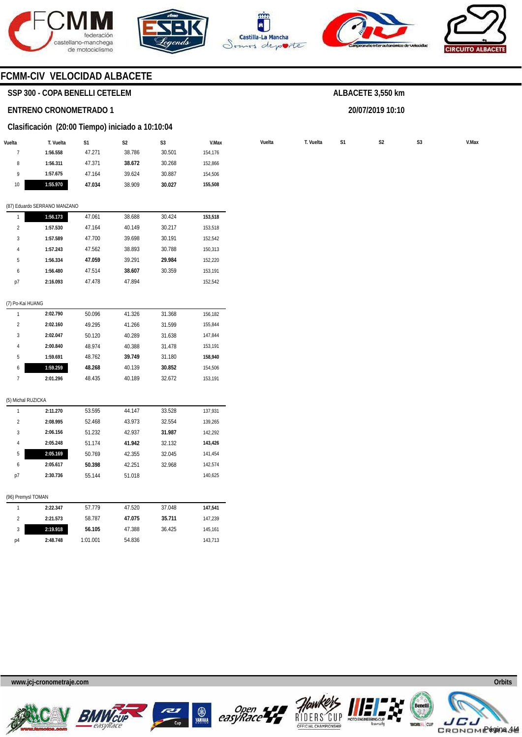









### **FCMM-CIV VELOCIDAD ALBACETE**

### **SSP 300 - COPA BENELLI CETELEM**

#### **ENTRENO CRONOMETRADO 1**

### **Clasificación (20:00 Tiempo) iniciado a 10:10:04**

|                         | T. Vuelta                    | S1     | S <sub>2</sub> | S3     | V.Max   | Vuelta | T. Vuelta | S1 | $\mathsf{S2}\,$ | S <sub>3</sub> |
|-------------------------|------------------------------|--------|----------------|--------|---------|--------|-----------|----|-----------------|----------------|
| $\boldsymbol{7}$        | 1:56.558                     | 47.271 | 38.786         | 30.501 | 154,176 |        |           |    |                 |                |
| $\, 8$                  | 1:56.311                     | 47.371 | 38.672         | 30.268 | 152,866 |        |           |    |                 |                |
| 9                       | 1:57.675                     | 47.164 | 39.624         | 30.887 | 154,506 |        |           |    |                 |                |
| 10                      | 1:55.970                     | 47.034 | 38.909         | 30.027 | 155,508 |        |           |    |                 |                |
|                         | (87) Eduardo SERRANO MANZANO |        |                |        |         |        |           |    |                 |                |
| $\mathbf{1}$            | 1:56.173                     | 47.061 | 38.688         | 30.424 | 153,518 |        |           |    |                 |                |
| $\overline{\mathbf{c}}$ | 1:57.530                     | 47.164 | 40.149         | 30.217 | 153,518 |        |           |    |                 |                |
| 3                       | 1:57.589                     | 47.700 | 39.698         | 30.191 | 152,542 |        |           |    |                 |                |
| 4                       | 1:57.243                     | 47.562 | 38.893         | 30.788 | 150,313 |        |           |    |                 |                |
| 5                       | 1:56.334                     | 47.059 | 39.291         | 29.984 | 152,220 |        |           |    |                 |                |
| 6                       | 1:56.480                     | 47.514 | 38.607         | 30.359 | 153,191 |        |           |    |                 |                |
| p7                      | 2:16.093                     | 47.478 | 47.894         |        | 152,542 |        |           |    |                 |                |
| (7) Po-Kai HUANG        |                              |        |                |        |         |        |           |    |                 |                |
| $\mathbf{1}$            | 2:02.790                     | 50.096 | 41.326         | 31.368 | 156,182 |        |           |    |                 |                |
| $\overline{2}$          | 2:02.160                     | 49.295 | 41.266         | 31.599 | 155,844 |        |           |    |                 |                |
| 3                       | 2:02.047                     | 50.120 | 40.289         | 31.638 | 147,844 |        |           |    |                 |                |
| 4                       | 2:00.840                     | 48.974 | 40.388         | 31.478 | 153,191 |        |           |    |                 |                |
| 5                       | 1:59.691                     | 48.762 | 39.749         | 31.180 | 158,940 |        |           |    |                 |                |
| 6                       | 1:59.259                     | 48.268 | 40.139         | 30.852 | 154,506 |        |           |    |                 |                |
| $7\phantom{.0}$         | 2:01.296                     | 48.435 | 40.189         | 32.672 | 153,191 |        |           |    |                 |                |
| (5) Michal RUZICKA      |                              |        |                |        |         |        |           |    |                 |                |
| $\mathbf{1}$            | 2:11.270                     | 53.595 | 44.147         | 33.528 | 137,931 |        |           |    |                 |                |
| $\overline{2}$          | 2:08.995                     | 52.468 | 43.973         | 32.554 | 139,265 |        |           |    |                 |                |
| $\sqrt{3}$              | 2:06.156                     | 51.232 | 42.937         | 31.987 | 142,292 |        |           |    |                 |                |
| 4                       | 2:05.248                     | 51.174 | 41.942         | 32.132 | 143,426 |        |           |    |                 |                |
| 5                       | 2:05.169                     | 50.769 | 42.355         | 32.045 | 141,454 |        |           |    |                 |                |
| 6                       | 2:05.617                     | 50.398 | 42.251         | 32.968 | 142,574 |        |           |    |                 |                |
| p7                      | 2:30.736                     | 55.144 | 51.018         |        | 140,625 |        |           |    |                 |                |
| (96) Premysl TOMAN      |                              |        |                |        |         |        |           |    |                 |                |
| $\mathbf{1}$            | 2:22.347                     | 57.779 | 47.520         | 37.048 | 147,541 |        |           |    |                 |                |
| $\overline{2}$          | 2:21.573                     | 58.787 | 47.075         | 35.711 | 147,239 |        |           |    |                 |                |
| 3                       | 2:19.918                     | 56.105 | 47.388         | 36.425 | 145,161 |        |           |    |                 |                |

| ALBACETE 3,550 km |  |
|-------------------|--|
|-------------------|--|

**20/07/2019 10:10** 

**www.jcj-cronometraje.com Orbits** 

**2:48.748** 

1:01.001

54.836



p4





143,713



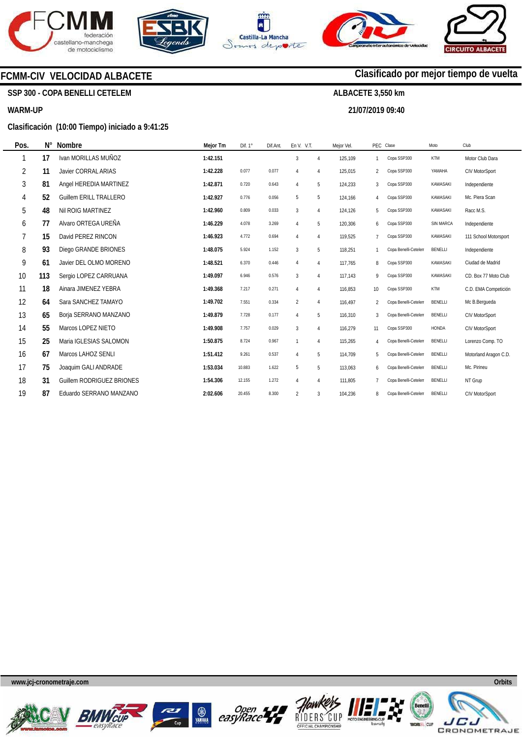







**21/07/2019 09:40** 

**Clasificado por mejor tiempo de vuelta**

### **FCMM-CIV VELOCIDAD ALBACETE**

### **SSP 300 - COPA BENELLI CETELEM**

#### **WARM-UP**

#### **Clasificación (10:00 Tiempo) iniciado a 9:41:25**

| Pos.           | Ν°  | Nombre                    | Mejor Tm | Dif. 1° | Dif.Ant. | En V. V.T.     |                | Mejor Vel. |                | PEC Clase            | Moto       | Club                  |
|----------------|-----|---------------------------|----------|---------|----------|----------------|----------------|------------|----------------|----------------------|------------|-----------------------|
|                | 17  | Ivan MORILLAS MUÑOZ       | 1:42.151 |         |          | $\mathbf{3}$   | $\overline{4}$ | 125,109    |                | Copa SSP300          | <b>KTM</b> | Motor Club Dara       |
| $\overline{2}$ | 11  | Javier CORRAL ARIAS       | 1:42.228 | 0.077   | 0.077    | $\overline{4}$ | $\overline{4}$ | 125,015    | $\overline{2}$ | Copa SSP300          | YAMAHA     | CIV MotorSport        |
| 3              | 81  | Angel HEREDIA MARTINEZ    | 1:42.871 | 0.720   | 0.643    | $\overline{4}$ | 5              | 124,233    | 3              | Copa SSP300          | KAWASAKI   | Independiente         |
| 4              | 52  | Guillem FRILL TRALLERO    | 1:42.927 | 0.776   | 0.056    | 5              | 5              | 124,166    | $\overline{4}$ | Copa SSP300          | KAWASAKI   | Mc. Piera Scan        |
| 5              | 48  | Nil ROIG MARTINEZ         | 1:42.960 | 0.809   | 0.033    | $\mathbf{3}$   | $\overline{4}$ | 124,126    | 5              | Copa SSP300          | KAWASAKI   | Racc M.S.             |
| 6              | 77  | Alvaro ORTEGA UREÑA       | 1:46.229 | 4.078   | 3.269    | $\overline{4}$ | 5              | 120,306    | 6              | Copa SSP300          | SIN MARCA  | Independiente         |
| 7              | 15  | David PEREZ RINCON        | 1:46.923 | 4.772   | 0.694    | $\overline{4}$ | $\overline{4}$ | 119,525    | $\overline{7}$ | Copa SSP300          | KAWASAKI   | 111 School Motorsport |
| 8              | 93  | Diego GRANDE BRIONES      | 1:48.075 | 5.924   | 1.152    | 3              | 5              | 118,251    |                | Copa Benelli-Cetelen | BENELLI    | Independiente         |
| 9              | 61  | Javier DEL OLMO MORENO    | 1:48.521 | 6.370   | 0.446    | $\overline{4}$ | $\overline{4}$ | 117,765    | 8              | Copa SSP300          | KAWASAKI   | Ciudad de Madrid      |
| 10             | 113 | Sergio LOPEZ CARRUANA     | 1:49.097 | 6.946   | 0.576    | $\mathbf{3}$   | $\overline{4}$ | 117,143    | 9              | Copa SSP300          | KAWASAKI   | CD. Box 77 Moto Club  |
| 11             | 18  | Ainara JIMENEZ YEBRA      | 1:49.368 | 7.217   | 0.271    | $\overline{4}$ | $\overline{4}$ | 116,853    | 10             | Copa SSP300          | <b>KTM</b> | C.D. EMA Competición  |
| 12             | 64  | Sara SANCHEZ TAMAYO       | 1:49.702 | 7.551   | 0.334    | $\overline{2}$ | $\overline{4}$ | 116,497    | 2              | Copa Benelli-Cetelen | BENELLI    | Mc B.Bergueda         |
| 13             | 65  | Borja SERRANO MANZANO     | 1:49.879 | 7.728   | 0.177    | $\overline{4}$ | 5              | 116,310    | 3              | Copa Benelli-Cetelen | BENELLI    | CIV MotorSport        |
| 14             | 55  | Marcos LOPEZ NIETO        | 1:49.908 | 7.757   | 0.029    | $\mathbf{3}$   | $\overline{4}$ | 116,279    | 11             | Copa SSP300          | HONDA      | CIV MotorSport        |
| 15             | 25  | Maria IGLESIAS SALOMON    | 1:50.875 | 8.724   | 0.967    | 1              | $\overline{4}$ | 115,265    | $\overline{4}$ | Copa Benelli-Cetelen | BENELLI    | Lorenzo Comp. TO      |
| 16             | 67  | Marcos LAHOZ SENLI        | 1:51.412 | 9.261   | 0.537    | $\overline{4}$ | 5              | 114,709    | 5              | Copa Benelli-Cetelen | BENELLI    | Motorland Aragon C.D. |
| 17             | 75  | Joaquim GALI ANDRADE      | 1:53.034 | 10.883  | 1.622    | 5              | 5              | 113,063    | 6              | Copa Benelli-Cetelen | BENELLI    | Mc. Pirineu           |
| 18             | 31  | Guillem RODRIGUEZ BRIONES | 1:54.306 | 12.155  | 1.272    | $\overline{4}$ | $\overline{4}$ | 111,805    |                | Copa Benelli-Cetelen | BENELLI    | NT Grup               |
| 19             | 87  | Eduardo SERRANO MANZANO   | 2:02.606 | 20.455  | 8.300    | $\overline{2}$ | 3              | 104,236    | 8              | Copa Benelli-Cetelen | BENELLI    | <b>CIV MotorSport</b> |

**www.jcj-cronometraje.com Orbits** 













JE.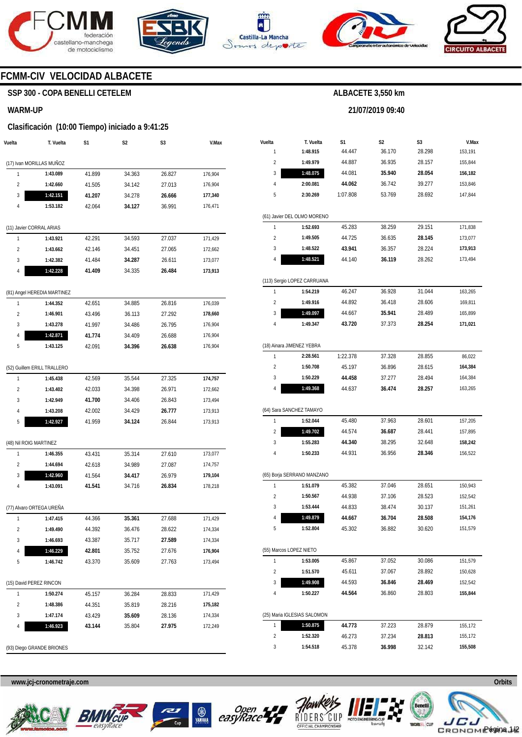







**21/07/2019 09:40** 



### **FCMM-CIV VELOCIDAD ALBACETE**

### **SSP 300 - COPA BENELLI CETELEM**

#### **WARM-UP**

#### **Clasificación (10:00 Tiempo) iniciado a 9:41:25**

| (17) Ivan MORILLAS MUÑOZ<br>34.363<br>26.827<br>1<br>1:43.089<br>41.899<br>176,904<br>$\overline{2}$<br>27.013<br>41.505<br>34.142<br>176,904<br>1:42.660<br>3<br>1:42.151<br>41.207<br>34.278<br>26.666<br>177,340<br>1:53.182<br>4<br>42.064<br>34.127<br>36.991<br>176,471<br>(11) Javier CORRAL ARIAS<br>1<br>42.291<br>34.593<br>1:43.921<br>27.037<br>171,429<br>$\overline{2}$<br>42.146<br>34.451<br>27.065<br>172,662<br>1:43.662<br>3<br>1:42.382<br>41.484<br>34.287<br>26.611<br>173,077<br>1:42.228<br>4<br>41.409<br>26.484<br>173,913<br>34.335<br>(81) Angel HEREDIA MARTINEZ<br>26.816<br>1<br>42.651<br>34.885<br>1:44.352<br>176,039<br>$\overline{2}$<br>1:46.901<br>43.496<br>36.113<br>27.292<br>178,660<br>3<br>1:43.278<br>41.997<br>34.486<br>26.795<br>176,904<br>4<br>1:42.871<br>26.688<br>176,904<br>41.774<br>34.409<br>5<br>26.638<br>176,904<br>1:43.125<br>42.091<br>34.396<br>(52) Guillem ERILL TRALLERO<br>1<br>42.569<br>35.544<br>27.325<br>1:45.438<br>174,757<br>$\overline{2}$<br>1:43.402<br>42.033<br>34.398<br>26.971<br>172,662<br>3<br>1:42.949<br>41.700<br>34.406<br>26.843<br>173,494<br>4<br>1:43.208<br>42.002<br>34.429<br>26.777<br>173,913<br>5<br>1:42.927<br>41.959<br>34.124<br>26.844<br>173,913<br>(48) Nil ROIG MARTINEZ<br>1<br>1:46.355<br>43.431<br>35.314<br>27.610<br>173,077<br>$\overline{2}$<br>1:44.694<br>42.618<br>34.989<br>27.087<br>174,757<br>3<br>1:42.960<br>41.564<br>34.417<br>26.979<br>179,104<br>41.541<br>34.716<br>4<br>1:43.091<br>26.834<br>178,218<br>(77) Alvaro ORTEGA UREÑA<br>1<br>1:47.415<br>44.366<br>35.361<br>27.688<br>171,429<br>$\overline{\mathbf{c}}$<br>1:49.490<br>44.392<br>36.476<br>28.622<br>174,334<br>43.387<br>35.717<br>27.589<br>3<br>1:46.693<br>174,334<br>1:46.229<br>4<br>42.801<br>35.752<br>27.676<br>176,904<br>5<br>1:46.742<br>27.763<br>43.370<br>35.609<br>173,494<br>(15) David PEREZ RINCON<br>1<br>1:50.274<br>45.157<br>36.284<br>28.833<br>171,429<br>$\overline{\mathbf{c}}$<br>44.351<br>35.819<br>28.216<br>1:48.386<br>175,182<br>3<br>1:47.174<br>43.429<br>35.609<br>28.136<br>174,334<br>4<br>1:46.923<br>172,249<br>43.144<br>35.804<br>27.975<br>(93) Diego GRANDE BRIONES | Vuelta | T. Vuelta | S1 | S2 | S3 | V.Max |
|---------------------------------------------------------------------------------------------------------------------------------------------------------------------------------------------------------------------------------------------------------------------------------------------------------------------------------------------------------------------------------------------------------------------------------------------------------------------------------------------------------------------------------------------------------------------------------------------------------------------------------------------------------------------------------------------------------------------------------------------------------------------------------------------------------------------------------------------------------------------------------------------------------------------------------------------------------------------------------------------------------------------------------------------------------------------------------------------------------------------------------------------------------------------------------------------------------------------------------------------------------------------------------------------------------------------------------------------------------------------------------------------------------------------------------------------------------------------------------------------------------------------------------------------------------------------------------------------------------------------------------------------------------------------------------------------------------------------------------------------------------------------------------------------------------------------------------------------------------------------------------------------------------------------------------------------------------------------------------------------------------------------------------------------------------------------------------------------------------------------------------------------------------------------------------------------------------------------|--------|-----------|----|----|----|-------|
|                                                                                                                                                                                                                                                                                                                                                                                                                                                                                                                                                                                                                                                                                                                                                                                                                                                                                                                                                                                                                                                                                                                                                                                                                                                                                                                                                                                                                                                                                                                                                                                                                                                                                                                                                                                                                                                                                                                                                                                                                                                                                                                                                                                                                     |        |           |    |    |    |       |
|                                                                                                                                                                                                                                                                                                                                                                                                                                                                                                                                                                                                                                                                                                                                                                                                                                                                                                                                                                                                                                                                                                                                                                                                                                                                                                                                                                                                                                                                                                                                                                                                                                                                                                                                                                                                                                                                                                                                                                                                                                                                                                                                                                                                                     |        |           |    |    |    |       |
|                                                                                                                                                                                                                                                                                                                                                                                                                                                                                                                                                                                                                                                                                                                                                                                                                                                                                                                                                                                                                                                                                                                                                                                                                                                                                                                                                                                                                                                                                                                                                                                                                                                                                                                                                                                                                                                                                                                                                                                                                                                                                                                                                                                                                     |        |           |    |    |    |       |
|                                                                                                                                                                                                                                                                                                                                                                                                                                                                                                                                                                                                                                                                                                                                                                                                                                                                                                                                                                                                                                                                                                                                                                                                                                                                                                                                                                                                                                                                                                                                                                                                                                                                                                                                                                                                                                                                                                                                                                                                                                                                                                                                                                                                                     |        |           |    |    |    |       |
|                                                                                                                                                                                                                                                                                                                                                                                                                                                                                                                                                                                                                                                                                                                                                                                                                                                                                                                                                                                                                                                                                                                                                                                                                                                                                                                                                                                                                                                                                                                                                                                                                                                                                                                                                                                                                                                                                                                                                                                                                                                                                                                                                                                                                     |        |           |    |    |    |       |
|                                                                                                                                                                                                                                                                                                                                                                                                                                                                                                                                                                                                                                                                                                                                                                                                                                                                                                                                                                                                                                                                                                                                                                                                                                                                                                                                                                                                                                                                                                                                                                                                                                                                                                                                                                                                                                                                                                                                                                                                                                                                                                                                                                                                                     |        |           |    |    |    |       |
|                                                                                                                                                                                                                                                                                                                                                                                                                                                                                                                                                                                                                                                                                                                                                                                                                                                                                                                                                                                                                                                                                                                                                                                                                                                                                                                                                                                                                                                                                                                                                                                                                                                                                                                                                                                                                                                                                                                                                                                                                                                                                                                                                                                                                     |        |           |    |    |    |       |
|                                                                                                                                                                                                                                                                                                                                                                                                                                                                                                                                                                                                                                                                                                                                                                                                                                                                                                                                                                                                                                                                                                                                                                                                                                                                                                                                                                                                                                                                                                                                                                                                                                                                                                                                                                                                                                                                                                                                                                                                                                                                                                                                                                                                                     |        |           |    |    |    |       |
|                                                                                                                                                                                                                                                                                                                                                                                                                                                                                                                                                                                                                                                                                                                                                                                                                                                                                                                                                                                                                                                                                                                                                                                                                                                                                                                                                                                                                                                                                                                                                                                                                                                                                                                                                                                                                                                                                                                                                                                                                                                                                                                                                                                                                     |        |           |    |    |    |       |
|                                                                                                                                                                                                                                                                                                                                                                                                                                                                                                                                                                                                                                                                                                                                                                                                                                                                                                                                                                                                                                                                                                                                                                                                                                                                                                                                                                                                                                                                                                                                                                                                                                                                                                                                                                                                                                                                                                                                                                                                                                                                                                                                                                                                                     |        |           |    |    |    |       |
|                                                                                                                                                                                                                                                                                                                                                                                                                                                                                                                                                                                                                                                                                                                                                                                                                                                                                                                                                                                                                                                                                                                                                                                                                                                                                                                                                                                                                                                                                                                                                                                                                                                                                                                                                                                                                                                                                                                                                                                                                                                                                                                                                                                                                     |        |           |    |    |    |       |
|                                                                                                                                                                                                                                                                                                                                                                                                                                                                                                                                                                                                                                                                                                                                                                                                                                                                                                                                                                                                                                                                                                                                                                                                                                                                                                                                                                                                                                                                                                                                                                                                                                                                                                                                                                                                                                                                                                                                                                                                                                                                                                                                                                                                                     |        |           |    |    |    |       |
|                                                                                                                                                                                                                                                                                                                                                                                                                                                                                                                                                                                                                                                                                                                                                                                                                                                                                                                                                                                                                                                                                                                                                                                                                                                                                                                                                                                                                                                                                                                                                                                                                                                                                                                                                                                                                                                                                                                                                                                                                                                                                                                                                                                                                     |        |           |    |    |    |       |
|                                                                                                                                                                                                                                                                                                                                                                                                                                                                                                                                                                                                                                                                                                                                                                                                                                                                                                                                                                                                                                                                                                                                                                                                                                                                                                                                                                                                                                                                                                                                                                                                                                                                                                                                                                                                                                                                                                                                                                                                                                                                                                                                                                                                                     |        |           |    |    |    |       |
|                                                                                                                                                                                                                                                                                                                                                                                                                                                                                                                                                                                                                                                                                                                                                                                                                                                                                                                                                                                                                                                                                                                                                                                                                                                                                                                                                                                                                                                                                                                                                                                                                                                                                                                                                                                                                                                                                                                                                                                                                                                                                                                                                                                                                     |        |           |    |    |    |       |
|                                                                                                                                                                                                                                                                                                                                                                                                                                                                                                                                                                                                                                                                                                                                                                                                                                                                                                                                                                                                                                                                                                                                                                                                                                                                                                                                                                                                                                                                                                                                                                                                                                                                                                                                                                                                                                                                                                                                                                                                                                                                                                                                                                                                                     |        |           |    |    |    |       |
|                                                                                                                                                                                                                                                                                                                                                                                                                                                                                                                                                                                                                                                                                                                                                                                                                                                                                                                                                                                                                                                                                                                                                                                                                                                                                                                                                                                                                                                                                                                                                                                                                                                                                                                                                                                                                                                                                                                                                                                                                                                                                                                                                                                                                     |        |           |    |    |    |       |
|                                                                                                                                                                                                                                                                                                                                                                                                                                                                                                                                                                                                                                                                                                                                                                                                                                                                                                                                                                                                                                                                                                                                                                                                                                                                                                                                                                                                                                                                                                                                                                                                                                                                                                                                                                                                                                                                                                                                                                                                                                                                                                                                                                                                                     |        |           |    |    |    |       |
|                                                                                                                                                                                                                                                                                                                                                                                                                                                                                                                                                                                                                                                                                                                                                                                                                                                                                                                                                                                                                                                                                                                                                                                                                                                                                                                                                                                                                                                                                                                                                                                                                                                                                                                                                                                                                                                                                                                                                                                                                                                                                                                                                                                                                     |        |           |    |    |    |       |
|                                                                                                                                                                                                                                                                                                                                                                                                                                                                                                                                                                                                                                                                                                                                                                                                                                                                                                                                                                                                                                                                                                                                                                                                                                                                                                                                                                                                                                                                                                                                                                                                                                                                                                                                                                                                                                                                                                                                                                                                                                                                                                                                                                                                                     |        |           |    |    |    |       |
|                                                                                                                                                                                                                                                                                                                                                                                                                                                                                                                                                                                                                                                                                                                                                                                                                                                                                                                                                                                                                                                                                                                                                                                                                                                                                                                                                                                                                                                                                                                                                                                                                                                                                                                                                                                                                                                                                                                                                                                                                                                                                                                                                                                                                     |        |           |    |    |    |       |
|                                                                                                                                                                                                                                                                                                                                                                                                                                                                                                                                                                                                                                                                                                                                                                                                                                                                                                                                                                                                                                                                                                                                                                                                                                                                                                                                                                                                                                                                                                                                                                                                                                                                                                                                                                                                                                                                                                                                                                                                                                                                                                                                                                                                                     |        |           |    |    |    |       |
|                                                                                                                                                                                                                                                                                                                                                                                                                                                                                                                                                                                                                                                                                                                                                                                                                                                                                                                                                                                                                                                                                                                                                                                                                                                                                                                                                                                                                                                                                                                                                                                                                                                                                                                                                                                                                                                                                                                                                                                                                                                                                                                                                                                                                     |        |           |    |    |    |       |
|                                                                                                                                                                                                                                                                                                                                                                                                                                                                                                                                                                                                                                                                                                                                                                                                                                                                                                                                                                                                                                                                                                                                                                                                                                                                                                                                                                                                                                                                                                                                                                                                                                                                                                                                                                                                                                                                                                                                                                                                                                                                                                                                                                                                                     |        |           |    |    |    |       |
|                                                                                                                                                                                                                                                                                                                                                                                                                                                                                                                                                                                                                                                                                                                                                                                                                                                                                                                                                                                                                                                                                                                                                                                                                                                                                                                                                                                                                                                                                                                                                                                                                                                                                                                                                                                                                                                                                                                                                                                                                                                                                                                                                                                                                     |        |           |    |    |    |       |
|                                                                                                                                                                                                                                                                                                                                                                                                                                                                                                                                                                                                                                                                                                                                                                                                                                                                                                                                                                                                                                                                                                                                                                                                                                                                                                                                                                                                                                                                                                                                                                                                                                                                                                                                                                                                                                                                                                                                                                                                                                                                                                                                                                                                                     |        |           |    |    |    |       |
|                                                                                                                                                                                                                                                                                                                                                                                                                                                                                                                                                                                                                                                                                                                                                                                                                                                                                                                                                                                                                                                                                                                                                                                                                                                                                                                                                                                                                                                                                                                                                                                                                                                                                                                                                                                                                                                                                                                                                                                                                                                                                                                                                                                                                     |        |           |    |    |    |       |
|                                                                                                                                                                                                                                                                                                                                                                                                                                                                                                                                                                                                                                                                                                                                                                                                                                                                                                                                                                                                                                                                                                                                                                                                                                                                                                                                                                                                                                                                                                                                                                                                                                                                                                                                                                                                                                                                                                                                                                                                                                                                                                                                                                                                                     |        |           |    |    |    |       |
|                                                                                                                                                                                                                                                                                                                                                                                                                                                                                                                                                                                                                                                                                                                                                                                                                                                                                                                                                                                                                                                                                                                                                                                                                                                                                                                                                                                                                                                                                                                                                                                                                                                                                                                                                                                                                                                                                                                                                                                                                                                                                                                                                                                                                     |        |           |    |    |    |       |
|                                                                                                                                                                                                                                                                                                                                                                                                                                                                                                                                                                                                                                                                                                                                                                                                                                                                                                                                                                                                                                                                                                                                                                                                                                                                                                                                                                                                                                                                                                                                                                                                                                                                                                                                                                                                                                                                                                                                                                                                                                                                                                                                                                                                                     |        |           |    |    |    |       |
|                                                                                                                                                                                                                                                                                                                                                                                                                                                                                                                                                                                                                                                                                                                                                                                                                                                                                                                                                                                                                                                                                                                                                                                                                                                                                                                                                                                                                                                                                                                                                                                                                                                                                                                                                                                                                                                                                                                                                                                                                                                                                                                                                                                                                     |        |           |    |    |    |       |
|                                                                                                                                                                                                                                                                                                                                                                                                                                                                                                                                                                                                                                                                                                                                                                                                                                                                                                                                                                                                                                                                                                                                                                                                                                                                                                                                                                                                                                                                                                                                                                                                                                                                                                                                                                                                                                                                                                                                                                                                                                                                                                                                                                                                                     |        |           |    |    |    |       |
|                                                                                                                                                                                                                                                                                                                                                                                                                                                                                                                                                                                                                                                                                                                                                                                                                                                                                                                                                                                                                                                                                                                                                                                                                                                                                                                                                                                                                                                                                                                                                                                                                                                                                                                                                                                                                                                                                                                                                                                                                                                                                                                                                                                                                     |        |           |    |    |    |       |
|                                                                                                                                                                                                                                                                                                                                                                                                                                                                                                                                                                                                                                                                                                                                                                                                                                                                                                                                                                                                                                                                                                                                                                                                                                                                                                                                                                                                                                                                                                                                                                                                                                                                                                                                                                                                                                                                                                                                                                                                                                                                                                                                                                                                                     |        |           |    |    |    |       |
|                                                                                                                                                                                                                                                                                                                                                                                                                                                                                                                                                                                                                                                                                                                                                                                                                                                                                                                                                                                                                                                                                                                                                                                                                                                                                                                                                                                                                                                                                                                                                                                                                                                                                                                                                                                                                                                                                                                                                                                                                                                                                                                                                                                                                     |        |           |    |    |    |       |
|                                                                                                                                                                                                                                                                                                                                                                                                                                                                                                                                                                                                                                                                                                                                                                                                                                                                                                                                                                                                                                                                                                                                                                                                                                                                                                                                                                                                                                                                                                                                                                                                                                                                                                                                                                                                                                                                                                                                                                                                                                                                                                                                                                                                                     |        |           |    |    |    |       |
|                                                                                                                                                                                                                                                                                                                                                                                                                                                                                                                                                                                                                                                                                                                                                                                                                                                                                                                                                                                                                                                                                                                                                                                                                                                                                                                                                                                                                                                                                                                                                                                                                                                                                                                                                                                                                                                                                                                                                                                                                                                                                                                                                                                                                     |        |           |    |    |    |       |
|                                                                                                                                                                                                                                                                                                                                                                                                                                                                                                                                                                                                                                                                                                                                                                                                                                                                                                                                                                                                                                                                                                                                                                                                                                                                                                                                                                                                                                                                                                                                                                                                                                                                                                                                                                                                                                                                                                                                                                                                                                                                                                                                                                                                                     |        |           |    |    |    |       |
|                                                                                                                                                                                                                                                                                                                                                                                                                                                                                                                                                                                                                                                                                                                                                                                                                                                                                                                                                                                                                                                                                                                                                                                                                                                                                                                                                                                                                                                                                                                                                                                                                                                                                                                                                                                                                                                                                                                                                                                                                                                                                                                                                                                                                     |        |           |    |    |    |       |
|                                                                                                                                                                                                                                                                                                                                                                                                                                                                                                                                                                                                                                                                                                                                                                                                                                                                                                                                                                                                                                                                                                                                                                                                                                                                                                                                                                                                                                                                                                                                                                                                                                                                                                                                                                                                                                                                                                                                                                                                                                                                                                                                                                                                                     |        |           |    |    |    |       |
|                                                                                                                                                                                                                                                                                                                                                                                                                                                                                                                                                                                                                                                                                                                                                                                                                                                                                                                                                                                                                                                                                                                                                                                                                                                                                                                                                                                                                                                                                                                                                                                                                                                                                                                                                                                                                                                                                                                                                                                                                                                                                                                                                                                                                     |        |           |    |    |    |       |
|                                                                                                                                                                                                                                                                                                                                                                                                                                                                                                                                                                                                                                                                                                                                                                                                                                                                                                                                                                                                                                                                                                                                                                                                                                                                                                                                                                                                                                                                                                                                                                                                                                                                                                                                                                                                                                                                                                                                                                                                                                                                                                                                                                                                                     |        |           |    |    |    |       |

| Vuelta |                             |              |              |                  |                  |
|--------|-----------------------------|--------------|--------------|------------------|------------------|
| 1      | T. Vuelta<br>1:48.915       | S1<br>44.447 | S2<br>36.170 | S3<br>28.298     | V.Max<br>153,191 |
| 2      | 1:49.979                    | 44.887       | 36.935       | 28.157           | 155,844          |
| 3      | 1:48.075                    | 44.081       | 35.940       | 28.054           | 156,182          |
| 4      | 2:00.081                    | 44.062       | 36.742       | 39.277           | 153,846          |
| 5      | 2:30.269                    | 1:07.808     | 53.769       | 28.692           | 147,844          |
|        |                             |              |              |                  |                  |
|        | (61) Javier DEL OLMO MORENO |              |              |                  |                  |
| 1      | 1:52.693                    | 45.283       | 38.259       | 29.151           | 171,838          |
| 2      | 1:49.505                    | 44.725       | 36.635       | 28.145           | 173,077          |
| 3      | 1:48.522                    | 43.941       | 36.357       | 28.224           | 173,913          |
| 4      | 1:48.521                    | 44.140       | 36.119       | 28.262           | 173,494          |
|        | (113) Sergio LOPEZ CARRUANA |              |              |                  |                  |
| 1      | 1:54.219                    | 46.247       | 36.928       | 31.044           | 163,265          |
| 2      | 1:49.916                    | 44.892       | 36.418       | 28.606           | 169,811          |
| 3      | 1:49.097                    | 44.667       | 35.941       | 28.489           | 165,899          |
| 4      | 1:49.347                    | 43.720       | 37.373       | 28.254           | 171,021          |
|        | (18) Ainara JIMENEZ YEBRA   |              |              |                  |                  |
| 1      | 2:28.561                    | 1:22.378     | 37.328       | 28.855           | 86,022           |
| 2      | 1:50.708                    | 45.197       | 36.896       | 28.615           | 164,384          |
| 3      | 1:50.229                    | 44.458       | 37.277       | 28.494           | 164,384          |
| 4      | 1:49.368                    | 44.637       | 36.474       | 28.257           | 163,265          |
|        |                             |              |              |                  |                  |
|        | (64) Sara SANCHEZ TAMAYO    |              |              |                  |                  |
| 1<br>2 | 1:52.044<br>1:49.702        | 45.480       | 37.963       | 28.601           | 157,205          |
| 3      | 1:55.283                    | 44.574       | 36.687       | 28.441<br>32.648 | 157,895          |
| 4      |                             | 44.340       | 38.295       |                  | 158,242          |
|        | 1:50.233                    | 44.931       | 36.956       | 28.346           | 156,522          |
|        | (65) Borja SERRANO MANZANO  |              |              |                  |                  |
| 1      | 1:51.079                    | 45.382       | 37.046       | 28.651           | 150,943          |
| 2      | 1:50.567                    | 44.938       | 37.106       | 28.523           | 152,542          |
| 3      | 1:53.444                    | 44.833       | 38.474       | 30.137           | 151,261          |
| 4      | 1:49.879                    | 44.667       | 36.704       | 28.508           | 154,176          |
| 5      | 1:52.804                    | 45.302       | 36.882       | 30.620           | 151,579          |
|        | (55) Marcos LOPEZ NIETO     |              |              |                  |                  |
| 1      | 1:53.005                    | 45.867       | 37.052       | 30.086           | 151,579          |
| 2      | 1:51.570                    | 45.611       | 37.067       | 28.892           | 150,628          |
| 3      | 1:49.908                    | 44.593       | 36.846       | 28.469           | 152,542          |
| 4      | 1:50.227                    | 44.564       | 36.860       | 28.803           | 155,844          |
|        | (25) Maria IGLESIAS SALOMON |              |              |                  |                  |
| 1      | 1:50.875                    | 44.773       | 37.223       | 28.879           | 155,172          |
| 2      | 1:52.320                    | 46.273       | 37.234       | 28.813           | 155,172          |
| 3      | 1:54.518                    | 45.378       | 36.998       | 32.142           | 155,508          |









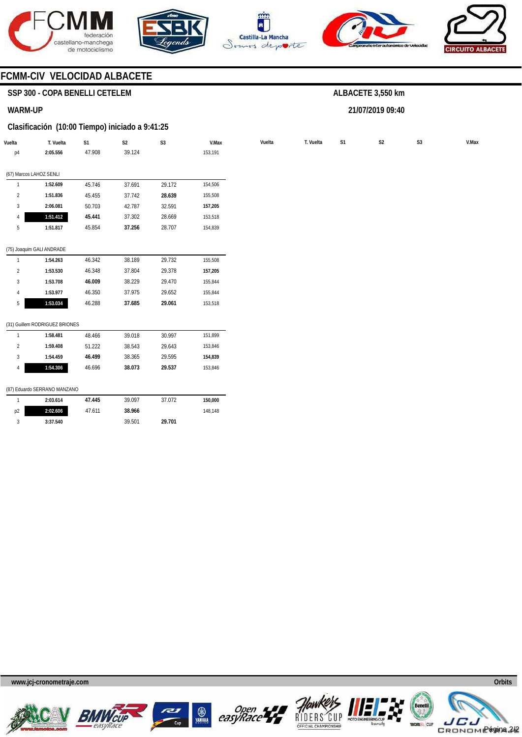







**21/07/2019 09:40** 



### **FCMM-CIV VELOCIDAD ALBACETE**

### **SSP 300 - COPA BENELLI CETELEM**

#### **WARM-UP**

#### **Clasificación (10:00 Tiempo) iniciado a 9:41:25**

| Vuelta         | T. Vuelta                      | S <sub>1</sub> | S <sub>2</sub> | S <sub>3</sub> | V.Max   | Vuelta | T. Vuelta | S1 | S <sub>2</sub> | S <sub>3</sub> |  |
|----------------|--------------------------------|----------------|----------------|----------------|---------|--------|-----------|----|----------------|----------------|--|
| p4             | 2:05.556                       | 47.908         | 39.124         |                | 153,191 |        |           |    |                |                |  |
|                |                                |                |                |                |         |        |           |    |                |                |  |
|                | (67) Marcos LAHOZ SENLI        |                |                |                |         |        |           |    |                |                |  |
|                | 1:52.609                       | 45.746         | 37.691         | 29.172         | 154,506 |        |           |    |                |                |  |
| $\overline{2}$ | 1:51.836                       | 45.455         | 37.742         | 28.639         | 155,508 |        |           |    |                |                |  |
| 3              | 2:06.081                       | 50.703         | 42.787         | 32.591         | 157,205 |        |           |    |                |                |  |
| 4              | 1:51.412                       | 45.441         | 37.302         | 28.669         | 153,518 |        |           |    |                |                |  |
| 5              | 1:51.817                       | 45.854         | 37.256         | 28.707         | 154,839 |        |           |    |                |                |  |
|                |                                |                |                |                |         |        |           |    |                |                |  |
|                | (75) Joaquim GALI ANDRADE      |                |                |                |         |        |           |    |                |                |  |
| $\mathbf{1}$   | 1:54.263                       | 46.342         | 38.189         | 29.732         | 155,508 |        |           |    |                |                |  |
| $\overline{2}$ | 1:53.530                       | 46.348         | 37.804         | 29.378         | 157,205 |        |           |    |                |                |  |
| 3              | 1:53.708                       | 46.009         | 38.229         | 29.470         | 155,844 |        |           |    |                |                |  |
| $\overline{4}$ | 1:53.977                       | 46.350         | 37.975         | 29.652         | 155,844 |        |           |    |                |                |  |
| 5              | 1:53.034                       | 46.288         | 37.685         | 29.061         | 153,518 |        |           |    |                |                |  |
|                |                                |                |                |                |         |        |           |    |                |                |  |
|                | (31) Guillem RODRIGUEZ BRIONES |                |                |                |         |        |           |    |                |                |  |
| $\mathbf{1}$   | 1:58.481                       | 48.466         | 39.018         | 30.997         | 151,899 |        |           |    |                |                |  |
| $\overline{2}$ | 1:59.408                       | 51.222         | 38.543         | 29.643         | 153,846 |        |           |    |                |                |  |
| 3              | 1:54.459                       | 46.499         | 38.365         | 29.595         | 154,839 |        |           |    |                |                |  |
|                |                                |                |                |                |         |        |           |    |                |                |  |

#### (87) Eduardo SERRANO MANZANO

|    | 2:03.614 | 47.445 | 39.097 | 37.072 | 150.000 |
|----|----------|--------|--------|--------|---------|
| p2 | 2:02.606 | 47.611 | 38.966 |        | 148.148 |
|    | 3:37.540 |        | 39.501 | 29.701 |         |











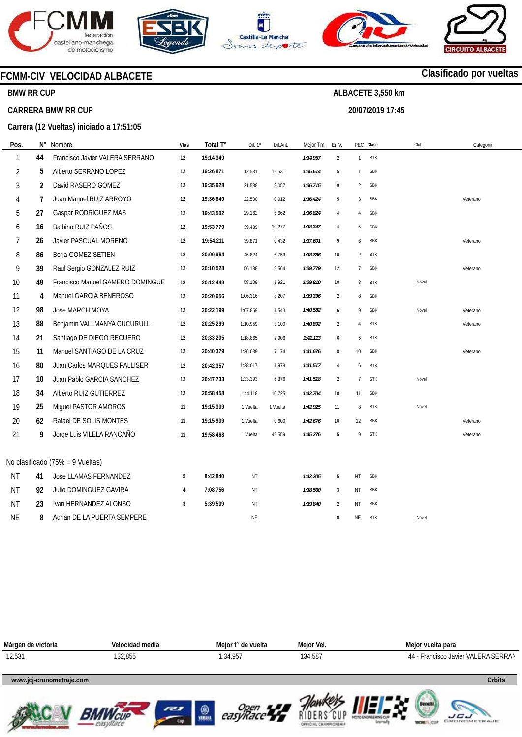

**BMW RR CUP** 

**CARRERA BMW RR CUP** 









### **Clasificado por vueltas**

# **ALBACETE 3,550 km**

**20/07/2019 17:45** 

**Carrera (12 Vueltas) iniciado a 17:51:05** 

**FCMM-CIV VELOCIDAD ALBACETE** 

| Pos.           | N° | Nombre                           | Vtas | Total T°  | Dif. 1º   | Dif.Ant. | Mejor Tm | En V.          |                | PEC Clase  | Club  | Categoria |
|----------------|----|----------------------------------|------|-----------|-----------|----------|----------|----------------|----------------|------------|-------|-----------|
| 1              | 44 | Francisco Javier VALERA SERRANO  | 12   | 19:14.340 |           |          | 1:34.957 | $\overline{2}$ | $\mathbf{1}$   | <b>STK</b> |       |           |
| $\overline{2}$ | 5  | Alberto SERRANO LOPEZ            | 12   | 19:26.871 | 12.531    | 12.531   | 1:35.614 | 5              | 1              | <b>SBK</b> |       |           |
| 3              | 2  | David RASERO GOMEZ               | 12   | 19:35.928 | 21.588    | 9.057    | 1:36.715 | 9              | $\overline{2}$ | <b>SBK</b> |       |           |
| 4              | 7  | Juan Manuel RUIZ ARROYO          | 12   | 19:36.840 | 22.500    | 0.912    | 1:36.424 | 5              | 3              | <b>SBK</b> |       | Veterano  |
| 5              | 27 | Gaspar RODRIGUEZ MAS             | 12   | 19:43.502 | 29.162    | 6.662    | 1:36.824 | 4              | 4              | <b>SBK</b> |       |           |
| 6              | 16 | Balbino RUIZ PAÑOS               | 12   | 19:53.779 | 39.439    | 10.277   | 1:38.347 | 4              | 5              | <b>SBK</b> |       |           |
| 7              | 26 | Javier PASCUAL MORENO            | 12   | 19:54.211 | 39.871    | 0.432    | 1:37.601 | 9              | 6              | <b>SBK</b> |       | Veterano  |
| 8              | 86 | Borja GOMEZ SETIEN               | 12   | 20:00.964 | 46.624    | 6.753    | 1:38.786 | 10             | $\overline{2}$ | <b>STK</b> |       |           |
| 9              | 39 | Raul Sergio GONZALEZ RUIZ        | 12   | 20:10.528 | 56.188    | 9.564    | 1:39.779 | 12             | 7              | <b>SBK</b> |       | Veterano  |
| 10             | 49 | Francisco Manuel GAMERO DOMINGUE | 12   | 20:12.449 | 58.109    | 1.921    | 1:39.810 | $10$           | 3              | <b>STK</b> | Nóvel |           |
| 11             | 4  | Manuel GARCIA BENEROSO           | 12   | 20:20.656 | 1:06.316  | 8.207    | 1:39.336 | $\overline{2}$ | 8              | <b>SBK</b> |       |           |
| 12             | 98 | Jose MARCH MOYA                  | 12   | 20:22.199 | 1:07.859  | 1.543    | 1:40.582 | 6              | 9              | <b>SBK</b> | Nóvel | Veterano  |
| 13             | 88 | Benjamin VALLMANYA CUCURULL      | 12   | 20:25.299 | 1:10.959  | 3.100    | 1:40.892 | $\overline{2}$ | 4              | <b>STK</b> |       | Veterano  |
| 14             | 21 | Santiago DE DIEGO RECUERO        | 12   | 20:33.205 | 1:18.865  | 7.906    | 1:41.113 | 6              | 5              | <b>STK</b> |       |           |
| 15             | 11 | Manuel SANTIAGO DE LA CRUZ       | 12   | 20:40.379 | 1:26.039  | 7.174    | 1:41.676 | 8              | 10             | <b>SBK</b> |       | Veterano  |
| 16             | 80 | Juan Carlos MARQUES PALLISER     | 12   | 20:42.357 | 1:28.017  | 1.978    | 1:41.517 | 4              | 6              | <b>STK</b> |       |           |
| 17             | 10 | Juan Pablo GARCIA SANCHEZ        | 12   | 20:47.733 | 1:33.393  | 5.376    | 1:41.518 | $\overline{2}$ | $\overline{7}$ | <b>STK</b> | Nóvel |           |
| 18             | 34 | Alberto RUIZ GUTIERREZ           | 12   | 20:58.458 | 1:44.118  | 10.725   | 1:42.704 | 10             | 11             | <b>SBK</b> |       |           |
| 19             | 25 | Miguel PASTOR AMOROS             | 11   | 19:15.309 | 1 Vuelta  | 1 Vuelta | 1:42.925 | 11             | 8              | <b>STK</b> | Nóvel |           |
| 20             | 62 | Rafael DE SOLIS MONTES           | 11   | 19:15.909 | 1 Vuelta  | 0.600    | 1:42.676 | 10             | 12             | <b>SBK</b> |       | Veterano  |
| 21             | 9  | Jorge Luis VILELA RANCAÑO        | 11   | 19:58.468 | 1 Vuelta  | 42.559   | 1:45.276 | 5              | 9              | <b>STK</b> |       | Veterano  |
|                |    |                                  |      |           |           |          |          |                |                |            |       |           |
|                |    | No clasificado (75% = 9 Vueltas) |      |           |           |          |          |                |                |            |       |           |
| <b>NT</b>      | 41 | Jose LLAMAS FERNANDEZ            | 5    | 8:42.840  | NT        |          | 1:42.205 | 5              | NT             | <b>SBK</b> |       |           |
| <b>NT</b>      | 92 | Julio DOMINGUEZ GAVIRA           | 4    | 7:08.756  | ΝT        |          | 1:38.560 | 3              | NT             | <b>SBK</b> |       |           |
| ΝT             | 23 | Ivan HERNANDEZ ALONSO            | 3    | 5:39.509  | NT        |          | 1:39.840 | $\overline{2}$ | NT             | <b>SBK</b> |       |           |
| <b>NE</b>      | 8  | Adrian DE LA PUERTA SEMPERE      |      |           | <b>NE</b> |          |          | 0              | NE             | <b>STK</b> | Nóvel |           |

| Márgen de victoria       | Velocidad media | Meior t° de vuelta | Mejor Vel. | Mejor vuelta para                   |
|--------------------------|-----------------|--------------------|------------|-------------------------------------|
| 12.531                   | 132,855         | 1:34.957           | 134,587    | 44 - Francisco Javier VALERA SERRAN |
|                          |                 |                    |            |                                     |
| www.jcj-cronometraje.com |                 |                    |            | <b>Orbits</b>                       |
|                          |                 |                    |            |                                     |













**LICU**<br>GRONOMETRAJE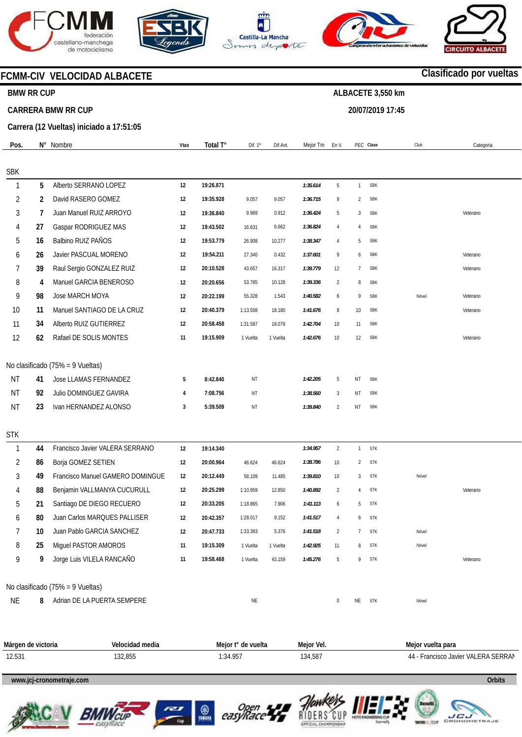







**20/07/2019 17:45** 



### **FCMM-CIV VELOCIDAD ALBACETE**

#### **BMW RR CUP**

#### **CARRERA BMW RR CUP**

**Carrera (12 Vueltas) iniciado a 17:51:05** 

| Pos.         |    | N° Nombre                        | <b>Vtas</b> | Total T°  | Dif. 1º  | Dif.Ant. | Mejor Tm | En V.            |                | PEC Clase  | Club  | Categoria |
|--------------|----|----------------------------------|-------------|-----------|----------|----------|----------|------------------|----------------|------------|-------|-----------|
|              |    |                                  |             |           |          |          |          |                  |                |            |       |           |
| <b>SBK</b>   |    |                                  |             |           |          |          |          |                  |                |            |       |           |
| $\mathbf{1}$ | 5  | Alberto SERRANO LOPEZ            | 12          | 19:26.871 |          |          | 1:35.614 | 5                | $\mathbf{1}$   | <b>SBK</b> |       |           |
| 2            | 2  | David RASERO GOMEZ               | 12          | 19:35.928 | 9.057    | 9.057    | 1:36.715 | 9                | $\overline{2}$ | <b>SBK</b> |       |           |
| 3            | 7  | Juan Manuel RUIZ ARROYO          | 12          | 19:36.840 | 9.969    | 0.912    | 1:36.424 | 5                | 3              | <b>SBK</b> |       | Veterano  |
| 4            | 27 | Gaspar RODRIGUEZ MAS             | 12          | 19:43.502 | 16.631   | 6.662    | 1:36.824 | $\overline{4}$   | $\overline{4}$ | <b>SBK</b> |       |           |
| 5            | 16 | Balbino RUIZ PAÑOS               | 12          | 19:53.779 | 26.908   | 10.277   | 1:38.347 | 4                | 5              | <b>SBK</b> |       |           |
| 6            | 26 | Javier PASCUAL MORENO            | 12          | 19:54.211 | 27.340   | 0.432    | 1:37.601 | 9                | 6              | <b>SBK</b> |       | Veterano  |
| 7            | 39 | Raul Sergio GONZALEZ RUIZ        | 12          | 20:10.528 | 43.657   | 16.317   | 1:39.779 | 12               | $\overline{7}$ | <b>SBK</b> |       | Veterano  |
| 8            | 4  | Manuel GARCIA BENEROSO           | 12          | 20:20.656 | 53.785   | 10.128   | 1:39.336 | $\overline{2}$   | 8              | <b>SBK</b> |       |           |
| 9            | 98 | Jose MARCH MOYA                  | 12          | 20:22.199 | 55.328   | 1.543    | 1:40.582 | 6                | 9              | <b>SBK</b> | Nóvel | Veterano  |
| 10           | 11 | Manuel SANTIAGO DE LA CRUZ       | 12          | 20:40.379 | 1:13.508 | 18.180   | 1:41.676 | 8                | 10             | <b>SBK</b> |       | Veterano  |
| 11           | 34 | Alberto RUIZ GUTIERREZ           | 12          | 20:58.458 | 1:31.587 | 18.079   | 1:42.704 | 10               | 11             | <b>SBK</b> |       |           |
| 12           | 62 | Rafael DE SOLIS MONTES           | 11          | 19:15.909 | 1 Vuelta | 1 Vuelta | 1:42.676 | $10$             | 12             | <b>SBK</b> |       | Veterano  |
|              |    | No clasificado (75% = 9 Vueltas) |             |           |          |          |          |                  |                |            |       |           |
| NT           | 41 | Jose LLAMAS FERNANDEZ            | 5           | 8:42.840  | ΝT       |          | 1:42.205 | 5                | NT             | <b>SBK</b> |       |           |
| <b>NT</b>    | 92 | Julio DOMINGUEZ GAVIRA           | 4           | 7:08.756  | ΝT       |          | 1:38.560 | 3                | NT             | <b>SBK</b> |       |           |
| <b>NT</b>    | 23 | Ivan HERNANDEZ ALONSO            | 3           | 5:39.509  | ΝT       |          | 1:39.840 | $\overline{2}$   | NT             | <b>SBK</b> |       |           |
|              |    |                                  |             |           |          |          |          |                  |                |            |       |           |
| <b>STK</b>   |    |                                  |             |           |          |          |          |                  |                |            |       |           |
| $\mathbf{1}$ | 44 | Francisco Javier VALERA SERRANO  | 12          | 19:14.340 |          |          | 1:34.957 | $\overline{2}$   | $\mathbf{1}$   | <b>STK</b> |       |           |
| 2            | 86 | Borja GOMEZ SETIEN               | 12          | 20:00.964 | 46.624   | 46.624   | 1:38.786 | 10               | $\overline{2}$ | <b>STK</b> |       |           |
| 3            | 49 | Francisco Manuel GAMERO DOMINGUE | 12          | 20:12.449 | 58.109   | 11.485   | 1:39.810 | 10               | 3              | <b>STK</b> | Nóvel |           |
| 4            | 88 | Benjamin VALLMANYA CUCURULL      | 12          | 20:25.299 | 1:10.959 | 12.850   | 1:40.892 | $\overline{2}$   | 4              | <b>STK</b> |       | Veterano  |
| 5            | 21 | Santiago DE DIEGO RECUERO        | 12          | 20:33.205 | 1:18.865 | 7.906    | 1:41.113 | 6                | 5              | <b>STK</b> |       |           |
| 6            | 80 | Juan Carlos MARQUES PALLISER     | 12          | 20:42.357 | 1:28.017 | 9.152    | 1:41.517 | 4                | 6              | <b>STK</b> |       |           |
|              | 10 | Juan Pablo GARCIA SANCHEZ        | 12          | 20:47.733 | 1:33.393 | 5.376    | 1:41.518 | $\overline{2}$   | 7              | <b>STK</b> | Nóvel |           |
| 8            | 25 | Miguel PASTOR AMOROS             | 11          | 19:15.309 | 1 Vuelta | 1 Vuelta | 1:42.925 | 11               | 8              | <b>STK</b> | Novel |           |
| 9            | 9  | Jorge Luis VILELA RANCAÑO        | 11          | 19:58.468 | 1 Vuelta | 43.159   | 1:45.276 | 5                | 9              | <b>STK</b> |       | Veterano  |
|              |    | No clasificado (75% = 9 Vueltas) |             |           |          |          |          |                  |                |            |       |           |
| <b>NE</b>    | 8  | Adrian DE LA PUERTA SEMPERE      |             |           | NE       |          |          | $\boldsymbol{0}$ | NE             | <b>STK</b> | Nóvel |           |

**Márgen de victoria**  12.531 **Velocidad media**  132,855 **Mejor t° de vuelta**  1:34.957 **Mejor Vel.**  134,587 **Mejor vuelta para**  44 - Francisco Javier VALERA SERRAN

#### **www.jcj-cronometraje.com Orbits**













## **Clasificado por vueltas**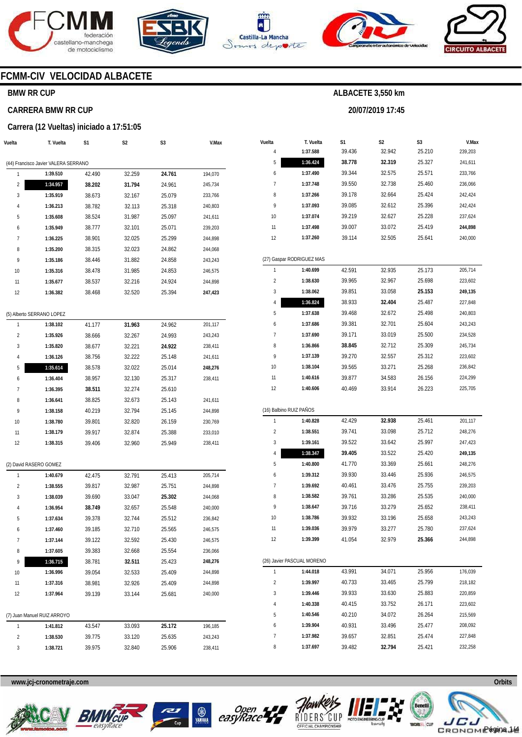







**20/07/2019 17:45** 



### **FCMM-CIV VELOCIDAD ALBACETE**

### **BMW RR CUP**

#### **CARRERA BMW RR CUP**

#### **Carrera (12 Vueltas) iniciado a 17:51:05**

| Vuelta              | T. Vuelta                            | S1               | S2               | S3               | V.Max              |
|---------------------|--------------------------------------|------------------|------------------|------------------|--------------------|
|                     |                                      |                  |                  |                  |                    |
|                     | (44) Francisco Javier VALERA SERRANO |                  |                  |                  |                    |
| 1                   | 1:39.510                             | 42.490           | 32.259           | 24.761           | 194,070            |
| 2<br>3              | 1:34.957<br>1:35.919                 | 38.202<br>38.673 | 31.794           | 24.961           | 245,734            |
| 4                   | 1:36.213                             | 38.782           | 32.167<br>32.113 | 25.079<br>25.318 | 233,766<br>240,803 |
| 5                   | 1:35.608                             | 38.524           | 31.987           | 25.097           | 241,611            |
| 6                   | 1:35.949                             | 38.777           | 32.101           | 25.071           | 239,203            |
| 7                   | 1:36.225                             | 38.901           | 32.025           | 25.299           | 244,898            |
| 8                   | 1:35.200                             | 38.315           | 32.023           | 24.862           | 244,068            |
| 9                   | 1:35.186                             | 38.446           | 31.882           | 24.858           | 243,243            |
| 10                  | 1:35.316                             | 38.478           | 31.985           | 24.853           | 246,575            |
| 11                  | 1:35.677                             | 38.537           | 32.216           | 24.924           | 244,898            |
| 12                  | 1:36.382                             | 38.468           | 32.520           | 25.394           | 247,423            |
|                     |                                      |                  |                  |                  |                    |
|                     | (5) Alberto SERRANO LOPEZ            |                  |                  |                  |                    |
| 1                   | 1:38.102                             | 41.177           | 31.963           | 24.962           | 201,117            |
| 2                   | 1:35.926                             | 38.666           | 32.267           | 24.993           | 243,243            |
| 3                   | 1:35.820                             | 38.677           | 32.221           | 24.922           | 238,411            |
| 4                   | 1:36.126                             | 38.756           | 32.222           | 25.148           | 241,611            |
| 5                   | 1:35.614                             | 38.578           | 32.022           | 25.014           | 248,276            |
| 6                   | 1:36.404                             | 38.957           | 32.130           | 25.317           | 238,411            |
| 7                   | 1:36.395                             | 38.511           | 32.274           | 25.610           |                    |
| 8                   | 1:36.641                             | 38.825           | 32.673           | 25.143           | 241,611            |
| 9                   | 1:38.158                             | 40.219           | 32.794           | 25.145           | 244,898            |
| 10                  | 1:38.780                             | 39.801           | 32.820           | 26.159           | 230,769            |
| 11                  | 1:38.179                             | 39.917           | 32.874           | 25.388           | 233,010            |
| 12                  | 1:38.315                             | 39.406           | 32.960           | 25.949           | 238,411            |
|                     |                                      |                  |                  |                  |                    |
|                     | (2) David RASERO GOMEZ               |                  |                  |                  |                    |
| 1<br>$\overline{2}$ | 1:40.679                             | 42.475           | 32.791           | 25.413           | 205,714            |
| 3                   | 1:38.555<br>1:38.039                 | 39.817           | 32.987<br>33.047 | 25.751           | 244,898            |
| 4                   | 1:36.954                             | 39.690<br>38.749 | 32.657           | 25.302<br>25.548 | 244,068<br>240,000 |
| 5                   | 1:37.634                             | 39.378           | 32.744           | 25.512           | 236,842            |
| 6                   | 1:37.460                             | 39.185           | 32.710           | 25.565           | 246,575            |
| 7                   | 1:37.144                             | 39.122           | 32.592           | 25.430           | 246,575            |
| 8                   | 1:37.605                             | 39.383           | 32.668           | 25.554           | 236,066            |
| 9                   | 1:36.715                             | 38.781           | 32.511           | 25.423           | 248,276            |
| 10                  | 1:36.996                             | 39.054           | 32.533           | 25.409           | 244,898            |
| 11                  | 1:37.316                             | 38.981           | 32.926           | 25.409           | 244,898            |
| 12                  | 1:37.964                             | 39.139           | 33.144           | 25.681           | 240,000            |
|                     |                                      |                  |                  |                  |                    |
|                     | (7) Juan Manuel RUIZ ARROYO          |                  |                  |                  |                    |
| 1                   | 1:41.812                             | 43.547           | 33.093           | 25.172           | 196,185            |
| 2                   | 1:38.530                             | 39.775           | 33.120           | 25.635           | 243,243            |
| 3                   | 1:38.721                             | 39.975           | 32.840           | 25.906           | 238,411            |
|                     |                                      |                  |                  |                  |                    |

| Vuelta                  | T. Vuelta                  | S1     | S2     | S3     | V.Max   |
|-------------------------|----------------------------|--------|--------|--------|---------|
| 4                       | 1:37.588                   | 39.436 | 32.942 | 25.210 | 239,203 |
| 5                       | 1:36.424                   | 38.778 | 32.319 | 25.327 | 241,611 |
| 6                       | 1:37.490                   | 39.344 | 32.575 | 25.571 | 233,766 |
| 7                       | 1:37.748                   | 39.550 | 32.738 | 25.460 | 236,066 |
| 8                       | 1:37.266                   | 39.178 | 32.664 | 25.424 | 242,424 |
| 9                       | 1:37.093                   | 39.085 | 32.612 | 25.396 | 242,424 |
| 10                      | 1:37.074                   | 39.219 | 32.627 | 25.228 | 237,624 |
| 11                      | 1:37.498                   | 39.007 | 33.072 | 25.419 | 244,898 |
| 12                      | 1:37.260                   | 39.114 | 32.505 | 25.641 | 240,000 |
|                         |                            |        |        |        |         |
|                         | (27) Gaspar RODRIGUEZ MAS  |        |        |        |         |
| 1                       | 1:40.699                   | 42.591 | 32.935 | 25.173 | 205,714 |
| $\overline{2}$          | 1:38.630                   | 39.965 | 32.967 | 25.698 | 223,602 |
| 3                       | 1:38.062                   | 39.851 | 33.058 | 25.153 | 249,135 |
| 4                       | 1:36.824                   | 38.933 | 32.404 | 25.487 | 227,848 |
| 5                       | 1:37.638                   | 39.468 | 32.672 | 25.498 | 240,803 |
| 6                       | 1:37.686                   | 39.381 | 32.701 | 25.604 | 243,243 |
| 7                       | 1:37.690                   | 39.171 | 33.019 | 25.500 | 234,528 |
| 8                       | 1:36.866                   | 38.845 | 32.712 | 25.309 | 245,734 |
| 9                       | 1:37.139                   | 39.270 | 32.557 | 25.312 | 223,602 |
| 10                      | 1:38.104                   | 39.565 | 33.271 | 25.268 | 236,842 |
| 11                      | 1:40.616                   | 39.877 | 34.583 | 26.156 | 224,299 |
| 12                      | 1:40.606                   | 40.469 | 33.914 | 26.223 | 225,705 |
|                         |                            |        |        |        |         |
|                         | (16) Balbino RUIZ PAÑOS    |        |        |        |         |
| 1                       | 1:40.828                   | 42.429 | 32.938 | 25.461 | 201,117 |
| $\overline{\mathbf{c}}$ | 1:38.551                   | 39.741 | 33.098 | 25.712 | 248,276 |
| 3                       | 1:39.161                   | 39.522 | 33.642 | 25.997 | 247,423 |
| 4                       | 1:38.347                   | 39.405 | 33.522 | 25.420 | 249,135 |
| 5                       | 1:40.800                   | 41.770 | 33.369 | 25.661 | 248,276 |
| 6                       | 1:39.312                   | 39.930 | 33.446 | 25.936 | 246,575 |
| 7                       | 1:39.692                   | 40.461 | 33.476 | 25.755 | 239,203 |
| 8                       | 1:38.582                   | 39.761 | 33.286 | 25.535 | 240,000 |
| 9                       | 1:38.647                   | 39.716 | 33.279 | 25.652 | 238,411 |
| 10                      | 1:38.786                   | 39.932 | 33.196 | 25.658 | 243,243 |
| 11                      | 1:39.036                   | 39.979 | 33.277 | 25.780 | 237,624 |
| 12                      | 1:39.399                   | 41.054 | 32.979 | 25.366 | 244,898 |
|                         | (26) Javier PASCUAL MORENO |        |        |        |         |
| 1                       |                            |        |        |        |         |
|                         | 1:44.018                   | 43.991 | 34.071 | 25.956 | 176,039 |
| $\overline{\mathbf{c}}$ | 1:39.997                   | 40.733 | 33.465 | 25.799 | 218,182 |
| 3                       | 1:39.446                   | 39.933 | 33.630 | 25.883 | 220,859 |
| 4                       | 1:40.338                   | 40.415 | 33.752 | 26.171 | 223,602 |
| 5                       | 1:40.546                   | 40.210 | 34.072 | 26.264 | 215,569 |
| 6                       | 1:39.904                   | 40.931 | 33.496 | 25.477 | 208,092 |
| 7                       | 1:37.982                   | 39.657 | 32.851 | 25.474 | 227,848 |
| 8                       | 1:37.697                   | 39.482 | 32.794 | 25.421 | 232,258 |

**www.jcj-cronometraje.com Orbits** 













Página 1/4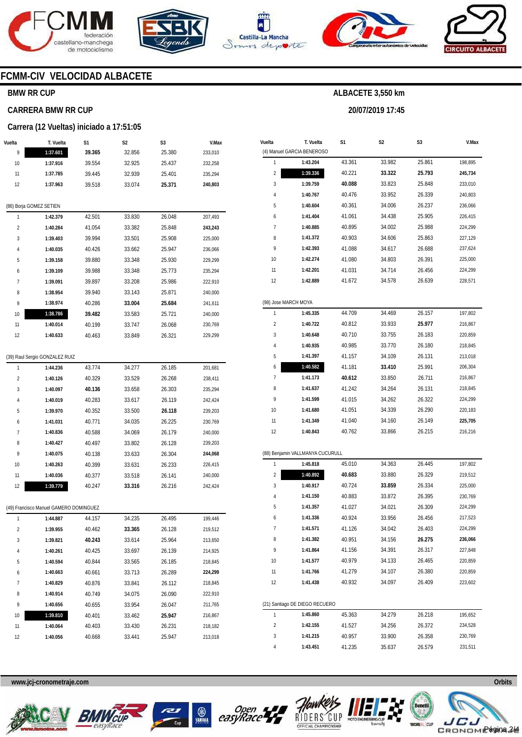







**20/07/2019 17:45** 



### **FCMM-CIV VELOCIDAD ALBACETE**

### **BMW RR CUP**

#### **CARRERA BMW RR CUP**

#### **Carrera (12 Vueltas) iniciado a 17:51:05**

| Vuelta | T. Vuelta                              | S1     | S2     | S3     | V.Max   |
|--------|----------------------------------------|--------|--------|--------|---------|
| 9      | 1:37.601                               | 39.365 | 32.856 | 25.380 | 233,010 |
| 10     | 1:37.916                               | 39.554 | 32.925 | 25.437 | 232,258 |
| 11     | 1:37.785                               | 39.445 | 32.939 | 25.401 | 235,294 |
| 12     | 1:37.963                               | 39.518 | 33.074 | 25.371 | 240,803 |
|        |                                        |        |        |        |         |
|        | (86) Borja GOMEZ SETIEN                |        |        |        |         |
| 1      | 1:42.379                               | 42.501 | 33.830 | 26.048 | 207,493 |
| 2      | 1:40.284                               | 41.054 | 33.382 | 25.848 | 243,243 |
| 3      | 1:39.403                               | 39.994 | 33.501 | 25.908 | 225,000 |
| 4      | 1:40.035                               | 40.426 | 33.662 | 25.947 | 236,066 |
| 5      | 1:39.158                               | 39.880 | 33.348 | 25.930 | 229,299 |
| 6      | 1:39.109                               | 39.988 | 33.348 | 25.773 | 235,294 |
| 7      | 1:39.091                               | 39.897 | 33.208 | 25.986 | 222,910 |
| 8      | 1:38.954                               | 39.940 | 33.143 | 25.871 | 240,000 |
| 9      | 1:38.974                               | 40.286 | 33.004 | 25.684 | 241,611 |
| 10     | 1:38.786                               | 39.482 | 33.583 | 25.721 | 240,000 |
| 11     | 1:40.014                               | 40.199 | 33.747 | 26.068 | 230,769 |
| 12     | 1:40.633                               | 40.463 | 33.849 | 26.321 | 229,299 |
|        |                                        |        |        |        |         |
|        | (39) Raul Sergio GONZALEZ RUIZ         |        |        |        |         |
| 1      | 1:44.236                               | 43.774 | 34.277 | 26.185 | 201,681 |
| 2      | 1:40.126                               | 40.329 | 33.529 | 26.268 | 238,411 |
| 3      | 1:40.097                               | 40.136 | 33.658 | 26.303 | 235,294 |
| 4      | 1:40.019                               | 40.283 | 33.617 | 26.119 | 242,424 |
| 5      | 1:39.970                               | 40.352 | 33.500 | 26.118 | 239,203 |
| 6      | 1:41.031                               | 40.771 | 34.035 | 26.225 | 230,769 |
| 7      | 1:40.836                               | 40.588 | 34.069 | 26.179 | 240,000 |
| 8      | 1:40.427                               | 40.497 | 33.802 | 26.128 | 239,203 |
| 9      | 1:40.075                               | 40.138 | 33.633 | 26.304 | 244,068 |
| 10     | 1:40.263                               | 40.399 | 33.631 | 26.233 | 226,415 |
| 11     | 1:40.036                               | 40.377 | 33.518 | 26.141 | 240,000 |
| 12     | 1:39.779                               | 40.247 | 33.316 | 26.216 | 242,424 |
|        | (49) Francisco Manuel GAMERO DOMINGUEZ |        |        |        |         |
| 1      | 1:44.887                               | 44.157 | 34.235 | 26.495 | 199,446 |
| 2      | 1:39.955                               | 40.462 | 33.365 | 26.128 | 219,512 |
| 3      | 1:39.821                               | 40.243 | 33.614 | 25.964 | 213,650 |
| 4      | 1:40.261                               | 40.425 | 33.697 | 26.139 | 214,925 |
| 5      | 1:40.594                               | 40.844 | 33.565 | 26.185 | 218,845 |
| 6      | 1:40.663                               | 40.661 | 33.713 | 26.289 | 224,299 |
| 7      | 1:40.829                               | 40.876 | 33.841 | 26.112 | 218,845 |
| 8      | 1:40.914                               | 40.749 | 34.075 | 26.090 | 222,910 |
| 9      | 1:40.656                               | 40.655 | 33.954 | 26.047 | 211,765 |
| 10     | 1:39.810                               | 40.401 | 33.462 | 25.947 | 216,867 |
| 11     | 1:40.064                               | 40.403 | 33.430 | 26.231 | 218,182 |
| 12     | 1:40.056                               | 40.668 | 33.441 | 25.947 | 213,018 |
|        |                                        |        |        |        |         |

| Vuelta               | T. Vuelta                        | S1     | S2     | S3     | V.Max   |
|----------------------|----------------------------------|--------|--------|--------|---------|
|                      | (4) Manuel GARCIA BENEROSO       |        |        |        |         |
| 1                    | 1:43.204                         | 43.361 | 33.982 | 25.861 | 198,895 |
| 2                    | 1:39.336                         | 40.221 | 33.322 | 25.793 | 245,734 |
| 3                    | 1:39.759                         | 40.088 | 33.823 | 25.848 | 233,010 |
| 4                    | 1:40.767                         | 40.476 | 33.952 | 26.339 | 240,803 |
| 5                    | 1:40.604                         | 40.361 | 34.006 | 26.237 | 236,066 |
| 6                    | 1:41.404                         | 41.061 | 34.438 | 25.905 | 226,415 |
| 7                    | 1:40.885                         | 40.895 | 34.002 | 25.988 | 224,299 |
| 8                    | 1:41.372                         | 40.903 | 34.606 | 25.863 | 227,129 |
| 9                    | 1:42.393                         | 41.088 | 34.617 | 26.688 | 237,624 |
| 10                   | 1:42.274                         | 41.080 | 34.803 | 26.391 | 225,000 |
| 11                   | 1:42.201                         | 41.031 | 34.714 | 26.456 | 224,299 |
| 12                   | 1:42.889                         | 41.672 | 34.578 | 26.639 | 228,571 |
|                      |                                  |        |        |        |         |
| (98) Jose MARCH MOYA |                                  |        |        |        |         |
| 1                    | 1:45.335                         | 44.709 | 34.469 | 26.157 | 197,802 |
| $\overline{c}$       | 1:40.722                         | 40.812 | 33.933 | 25.977 | 216,867 |
| 3                    | 1:40.648                         | 40.710 | 33.755 | 26.183 | 220,859 |
| 4                    | 1:40.935                         | 40.985 | 33.770 | 26.180 | 218,845 |
| 5                    | 1:41.397                         | 41.157 | 34.109 | 26.131 | 213,018 |
| 6                    | 1:40.582                         | 41.181 | 33.410 | 25.991 | 206,304 |
| 7                    | 1:41.173                         | 40.612 | 33.850 | 26.711 | 216,867 |
| 8                    | 1:41.637                         | 41.242 | 34.264 | 26.131 | 218,845 |
| 9                    | 1:41.599                         | 41.015 | 34.262 | 26.322 | 224,299 |
| 10                   | 1:41.680                         | 41.051 | 34.339 | 26.290 | 220,183 |
| 11                   | 1:41.349                         | 41.040 | 34.160 | 26.149 | 225,705 |
| 12                   | 1:40.843                         | 40.762 | 33.866 | 26.215 | 216,216 |
|                      |                                  |        |        |        |         |
|                      | (88) Benjamin VALLMANYA CUCURULL |        |        |        |         |
| 1                    | 1:45.818                         | 45.010 | 34.363 | 26.445 | 197,802 |
| 2                    | 1:40.892                         | 40.683 | 33.880 | 26.329 | 219,512 |
| 3                    | 1:40.917                         | 40.724 | 33.859 | 26.334 | 225,000 |
| 4                    | 1:41.150                         | 40.883 | 33.872 | 26.395 | 230,769 |
| 5                    | 1:41.357                         | 41.027 | 34.021 | 26.309 | 224,299 |
| 6                    | 1:41.336                         | 40.924 | 33.956 | 26.456 | 217,523 |
| 7                    | 1:41.571                         | 41.126 | 34.042 | 26.403 | 224,299 |
| 8                    | 1:41.382                         | 40.951 | 34.156 | 26.275 | 236,066 |
| 9                    | 1:41.864                         | 41.156 | 34.391 | 26.317 | 227,848 |
| 10                   | 1:41.577                         | 40.979 | 34.133 | 26.465 | 220,859 |
| 11                   | 1:41.766                         | 41.279 | 34.107 | 26.380 | 220,859 |
| 12                   | 1:41.438                         | 40.932 | 34.097 | 26.409 | 223,602 |
|                      |                                  |        |        |        |         |
|                      | (21) Santiago DE DIEGO RECUERO   |        |        |        |         |
| 1                    | 1:45.860                         | 45.363 | 34.279 | 26.218 | 195,652 |
| 2                    | 1:42.155                         | 41.527 | 34.256 | 26.372 | 234,528 |
| 3                    | 1:41.215                         | 40.957 | 33.900 | 26.358 | 230,769 |
| 4                    | 1:43.451                         | 41.235 | 35.637 | 26.579 | 231,511 |











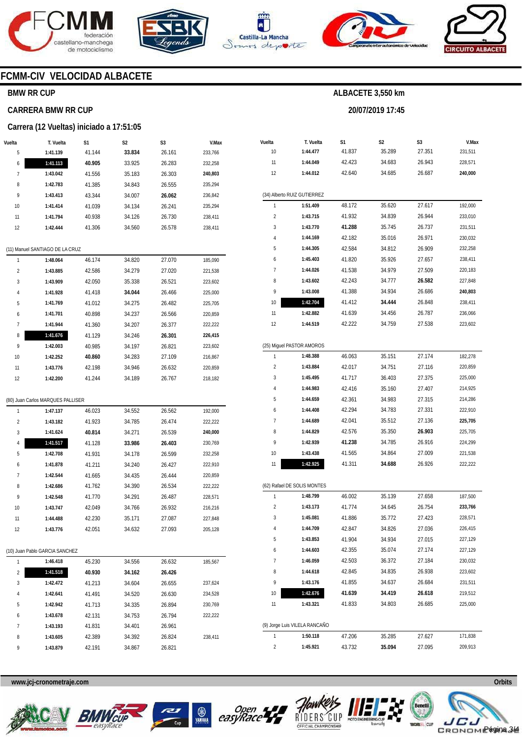







**20/07/2019 17:45** 



### **FCMM-CIV VELOCIDAD ALBACETE**

#### **BMW RR CUP**

#### **CARRERA BMW RR CUP**

#### **Carrera (12 Vueltas) iniciado a 17:51:05**

| Vuelta         | T. Vuelta                         | S1     | S2     | S3     | V.Max   |
|----------------|-----------------------------------|--------|--------|--------|---------|
| 5              | 1:41.139                          | 41.144 | 33.834 | 26.161 | 233,766 |
| 6              | 1:41.113                          | 40.905 | 33.925 | 26.283 | 232,258 |
| 7              | 1:43.042                          | 41.556 | 35.183 | 26.303 | 240,803 |
| 8              | 1:42.783                          | 41.385 | 34.843 | 26.555 | 235,294 |
| 9              | 1:43.413                          | 43.344 | 34.007 | 26.062 | 236,842 |
| 10             | 1:41.414                          | 41.039 | 34.134 | 26.241 | 235,294 |
| 11             | 1:41.794                          | 40.938 | 34.126 | 26.730 | 238,411 |
| 12             | 1:42.444                          | 41.306 | 34.560 | 26.578 | 238,411 |
|                |                                   |        |        |        |         |
|                | (11) Manuel SANTIAGO DE LA CRUZ   |        |        |        |         |
| 1              | 1:48.064                          | 46.174 | 34.820 | 27.070 | 185,090 |
| 2              | 1:43.885                          | 42.586 | 34.279 | 27.020 | 221,538 |
| 3              | 1:43.909                          | 42.050 | 35.338 | 26.521 | 223,602 |
| 4              | 1:41.928                          | 41.418 | 34.044 | 26.466 | 225,000 |
| 5              | 1:41.769                          | 41.012 | 34.275 | 26.482 | 225,705 |
| 6              | 1:41.701                          | 40.898 | 34.237 | 26.566 | 220,859 |
| 7              | 1:41.944                          | 41.360 | 34.207 | 26.377 | 222,222 |
| 8              | 1:41.676                          | 41.129 | 34.246 | 26.301 | 226,415 |
| 9              | 1:42.003                          | 40.985 | 34.197 | 26.821 | 223,602 |
| 10             | 1:42.252                          | 40.860 | 34.283 | 27.109 | 216,867 |
| 11             | 1:43.776                          | 42.198 | 34.946 | 26.632 | 220,859 |
| 12             | 1:42.200                          | 41.244 | 34.189 | 26.767 | 218,182 |
|                |                                   |        |        |        |         |
|                | (80) Juan Carlos MARQUES PALLISER |        |        |        |         |
| 1              | 1:47.137                          | 46.023 | 34.552 | 26.562 | 192,000 |
| 2              | 1:43.182                          | 41.923 | 34.785 | 26.474 | 222,222 |
| 3              | 1:41.624                          | 40.814 | 34.271 | 26.539 | 240,000 |
| 4              | 1:41.517                          | 41.128 | 33.986 | 26.403 | 230,769 |
| 5              | 1:42.708                          | 41.931 | 34.178 | 26.599 | 232,258 |
| 6              | 1:41.878                          | 41.211 | 34.240 | 26.427 | 222,910 |
| 7              | 1:42.544                          | 41.665 | 34.435 | 26.444 | 220,859 |
| 8              | 1:42.686                          | 41.762 | 34.390 | 26.534 | 222,222 |
| 9              | 1:42.548                          | 41.770 | 34.291 | 26.487 | 228,571 |
| 10             | 1:43.747                          | 42.049 | 34.766 | 26.932 | 216,216 |
| 11             | 1:44.488                          | 42.230 | 35.171 | 27.087 | 227,848 |
| 12             | 1:43.776                          | 42.051 | 34.632 | 27.093 | 205,128 |
|                |                                   |        |        |        |         |
|                | (10) Juan Pablo GARCIA SANCHEZ    |        |        |        |         |
| 1              | 1:46.418                          | 45.230 | 34.556 | 26.632 | 185,567 |
| $\overline{c}$ | 1:41.518                          | 40.930 | 34.162 | 26.426 |         |
| 3              | 1:42.472                          | 41.213 | 34.604 | 26.655 | 237,624 |
| 4              | 1:42.641                          | 41.491 | 34.520 | 26.630 | 234,528 |
| 5              | 1:42.942                          | 41.713 | 34.335 | 26.894 | 230,769 |
| 6              | 1:43.678                          | 42.131 | 34.753 | 26.794 | 222,222 |
| 7              | 1:43.193                          | 41.831 | 34.401 | 26.961 |         |
| 8              | 1:43.605                          | 42.389 | 34.392 | 26.824 | 238,411 |
| 9              | 1:43.879                          | 42.191 | 34.867 | 26.821 |         |

| Vuelta                  | T. Vuelta                     | S1     | S2     | S3     | V.Max   |
|-------------------------|-------------------------------|--------|--------|--------|---------|
| 10                      | 1:44.477                      | 41.837 | 35.289 | 27.351 | 231,511 |
| 11                      | 1:44.049                      | 42.423 | 34.683 | 26.943 | 228,571 |
| 12                      | 1:44.012                      | 42.640 | 34.685 | 26.687 | 240,000 |
|                         |                               |        |        |        |         |
|                         | (34) Alberto RUIZ GUTIERREZ   |        |        |        |         |
| 1                       | 1:51.409                      | 48.172 | 35.620 | 27.617 | 192,000 |
| $\overline{\mathbf{c}}$ | 1:43.715                      | 41.932 | 34.839 | 26.944 | 233,010 |
| 3                       | 1:43.770                      | 41.288 | 35.745 | 26.737 | 231,511 |
| 4                       | 1:44.169                      | 42.182 | 35.016 | 26.971 | 230,032 |
| 5                       | 1:44.305                      | 42.584 | 34.812 | 26.909 | 232,258 |
| 6                       | 1:45.403                      | 41.820 | 35.926 | 27.657 | 238,411 |
| 7                       | 1:44.026                      | 41.538 | 34.979 | 27.509 | 220,183 |
| 8                       | 1:43.602                      | 42.243 | 34.777 | 26.582 | 227,848 |
| 9                       | 1:43.008                      | 41.388 | 34.934 | 26.686 | 240,803 |
| 10                      | 1:42.704                      | 41.412 | 34.444 | 26.848 | 238,411 |
| 11                      | 1:42.882                      | 41.639 | 34.456 | 26.787 | 236,066 |
| 12                      | 1:44.519                      | 42.222 | 34.759 | 27.538 | 223,602 |
|                         |                               |        |        |        |         |
|                         | (25) Miguel PASTOR AMOROS     |        |        |        |         |
| 1                       | 1:48.388                      | 46.063 | 35.151 | 27.174 | 182,278 |
| $\overline{\mathbf{c}}$ | 1:43.884                      | 42.017 | 34.751 | 27.116 | 220,859 |
| 3                       | 1:45.495                      | 41.717 | 36.403 | 27.375 | 225,000 |
| 4                       | 1:44.983                      | 42.416 | 35.160 | 27.407 | 214,925 |
| 5                       | 1:44.659                      | 42.361 | 34.983 | 27.315 | 214,286 |
| 6                       | 1:44.408                      | 42.294 | 34.783 | 27.331 | 222,910 |
| 7                       | 1:44.689                      | 42.041 | 35.512 | 27.136 | 225,705 |
| 8                       | 1:44.829                      | 42.576 | 35.350 | 26.903 | 225,705 |
| 9                       | 1:42.939                      | 41.238 | 34.785 | 26.916 | 224,299 |
| 10                      | 1:43.438                      | 41.565 | 34.864 | 27.009 | 221,538 |
| 11                      | 1:42.925                      | 41.311 | 34.688 | 26.926 | 222,222 |
|                         |                               |        |        |        |         |
|                         | (62) Rafael DE SOLIS MONTES   |        |        |        |         |
| 1                       | 1:48.799                      | 46.002 | 35.139 | 27.658 | 187,500 |
| $\overline{\mathbf{c}}$ | 1:43.173                      | 41.774 | 34.645 | 26.754 | 233,766 |
| 3                       | 1:45.081                      | 41.886 | 35.772 | 27.423 | 228,571 |
| 4                       | 1:44.709                      | 42.847 | 34.826 | 27.036 | 226,415 |
| 5                       | 1:43.853                      | 41.904 | 34.934 | 27.015 | 227,129 |
| 6                       | 1:44.603                      | 42.355 | 35.074 | 27.174 | 227,129 |
| 7                       | 1:46.059                      | 42.503 | 36.372 | 27.184 | 230,032 |
| 8                       | 1:44.618                      | 42.845 | 34.835 | 26.938 | 223,602 |
| 9                       | 1:43.176                      | 41.855 | 34.637 | 26.684 | 231,511 |
| 10                      | 1:42.676                      | 41.639 | 34.419 | 26.618 | 219,512 |
| 11                      | 1:43.321                      | 41.833 | 34.803 | 26.685 | 225,000 |
|                         |                               |        |        |        |         |
|                         | (9) Jorge Luis VILELA RANCAÑO |        |        |        |         |
| 1                       | 1:50.118                      | 47.206 | 35.285 | 27.627 | 171,838 |
| 2                       | 1:45.921                      | 43.732 | 35.094 | 27.095 | 209,913 |









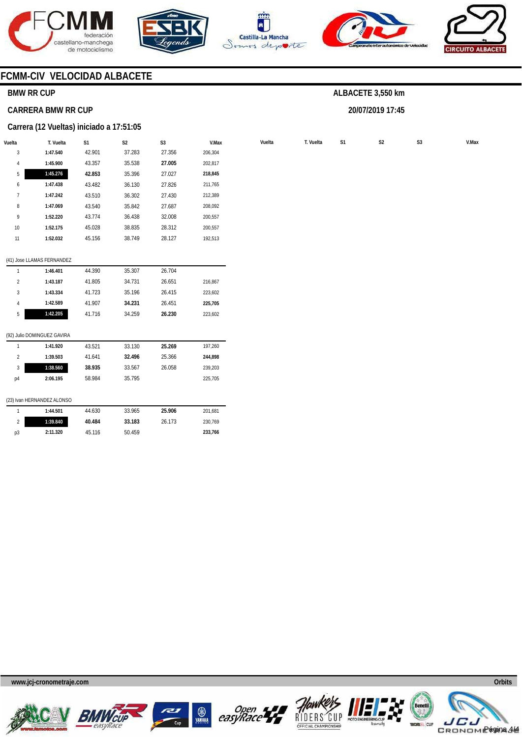







**20/07/2019 17:45** 



### **FCMM-CIV VELOCIDAD ALBACETE**

#### **BMW RR CUP**

#### **CARRERA BMW RR CUP**

#### **Carrera (12 Vueltas) iniciado a 17:51:05**

| Vuelta       | T. Vuelta | S <sub>1</sub> | S <sub>2</sub> | S <sub>3</sub> | V.Max   | Vuelta | T. Vuelta | S <sub>1</sub> | S <sub>2</sub> | S <sub>3</sub> | V.Max |
|--------------|-----------|----------------|----------------|----------------|---------|--------|-----------|----------------|----------------|----------------|-------|
| 3            | 1:47.540  | 42.901         | 37.283         | 27.356         | 206,304 |        |           |                |                |                |       |
| 4            | 1:45.900  | 43.357         | 35.538         | 27.005         | 202,817 |        |           |                |                |                |       |
| 5            | 1:45.276  | 42.853         | 35.396         | 27.027         | 218,845 |        |           |                |                |                |       |
| 6            | 1:47.438  | 43.482         | 36.130         | 27.826         | 211,765 |        |           |                |                |                |       |
| $\mathbf{r}$ | 1:47.242  | 43.510         | 36.302         | 27.430         | 212,389 |        |           |                |                |                |       |
| 8            | 1:47.069  | 43.540         | 35.842         | 27.687         | 208,092 |        |           |                |                |                |       |
| 9            | 1:52.220  | 43.774         | 36.438         | 32.008         | 200,557 |        |           |                |                |                |       |
| 10           | 1:52.175  | 45.028         | 38.835         | 28.312         | 200,557 |        |           |                |                |                |       |
| 11           | 1:52.032  | 45.156         | 38.749         | 28.127         | 192,513 |        |           |                |                |                |       |
|              |           |                |                |                |         |        |           |                |                |                |       |

#### (41) Jose LLAMAS FERNANDEZ

|   | 1:46.401 | 44.390 | 35.307 | 26.704 |         |
|---|----------|--------|--------|--------|---------|
| 2 | 1:43.187 | 41.805 | 34.731 | 26.651 | 216.867 |
| 3 | 1:43.334 | 41.723 | 35.196 | 26.415 | 223.602 |
| 4 | 1:42.589 | 41.907 | 34.231 | 26.451 | 225.705 |
| 5 | 1:42.205 | 41.716 | 34.259 | 26.230 | 223,602 |
|   |          |        |        |        |         |

#### (92) Julio DOMINGUEZ GAVIRA

|    | (23) Ivan HERNANDEZ ALONSO |        |        |        |         |
|----|----------------------------|--------|--------|--------|---------|
| p4 | 2:06.195                   | 58.984 | 35.795 |        | 225.705 |
| 3  | 1:38.560                   | 38.935 | 33.567 | 26.058 | 239.203 |
| 2  | 1:39.503                   | 41.641 | 32.496 | 25.366 | 244.898 |
|    | 1:41.920                   | 43.521 | 33.130 | 25.269 | 197,260 |

|    | 1:44.501 | 44.630 | 33.965 | 25.906 | 201.681 |
|----|----------|--------|--------|--------|---------|
|    | 1:39.840 | 40.484 | 33.183 | 26.173 | 230.769 |
| p3 | 2:11.320 | 45.116 | 50.459 |        | 233.766 |

**www.jcj-cronometraje.com Orbits** 











Página 4/4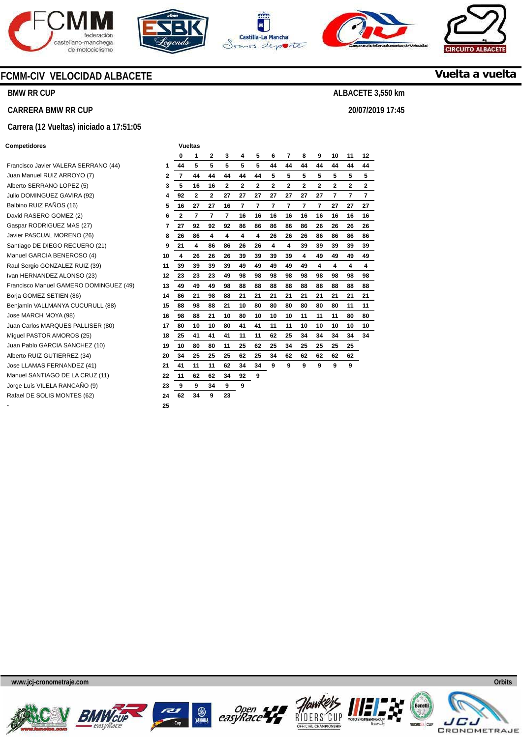









### **Vuelta a vuelta**

**ALBACETE 3,550 km** 

**20/07/2019 17:45** 

### **CARRERA BMW RR CUP**

#### **Carrera (12 Vueltas) iniciado a 17:51:05**

**FCMM-CIV VELOCIDAD ALBACETE** 

#### **Competidores Vueltas**

**BMW RR CUP** 

| Francisco Javier VALERA SERRANO (44)   | 1           |
|----------------------------------------|-------------|
| Juan Manuel RUIZ ARROYO (7)            | $\mathbf 2$ |
| Alberto SERRANO LOPEZ (5)              | 3           |
| Julio DOMINGUEZ GAVIRA (92)            | 4           |
| Balbino RUIZ PAÑOS (16)                | 5           |
| David RASERO GOMEZ (2)                 | 6           |
| Gaspar RODRIGUEZ MAS (27)              | 7           |
| Javier PASCUAL MORENO (26)             | 8           |
| Santiago DE DIEGO RECUERO (21)         | 9           |
| Manuel GARCIA BENEROSO (4)             | 10          |
| Raul Sergio GONZALEZ RUIZ (39)         | 11          |
| Ivan HERNANDEZ ALONSO (23)             | 12          |
| Francisco Manuel GAMERO DOMINGUEZ (49) | 13          |
| Borja GOMEZ SETIEN (86)                | 14          |
| Benjamin VALLMANYA CUCURULL (88)       | 15          |
| Jose MARCH MOYA (98)                   | 16          |
| Juan Carlos MARQUES PALLISER (80)      | 17          |
| Miguel PASTOR AMOROS (25)              | 18          |
| Juan Pablo GARCIA SANCHEZ (10)         | 19          |
| Alberto RUIZ GUTIERREZ (34)            | 20          |
| Jose LLAMAS FERNANDEZ (41)             | 21          |
| Manuel SANTIAGO DE LA CRUZ (11)        | 22          |
| Jorge Luis VILELA RANCAÑO (9)          | 23          |
| Rafael DE SOLIS MONTES (62)            | 24          |

|                                        |    | 0            | 1              | $\mathbf{2}$   | 3            | 4  | 5  | 6  | 7  | 8  | 9              | 10             | 11           | 12             |
|----------------------------------------|----|--------------|----------------|----------------|--------------|----|----|----|----|----|----------------|----------------|--------------|----------------|
| Francisco Javier VALERA SERRANO (44)   | 1  | 44           | 5              | 5              | 5            | 5  | 5  | 44 | 44 | 44 | 44             | 44             | 44           | 44             |
| Juan Manuel RUIZ ARROYO (7)            | 2  | 7            | 44             | 44             | 44           | 44 | 44 | 5  | 5  | 5  | 5              | 5              | 5            | 5              |
| Alberto SERRANO LOPEZ (5)              | 3  | 5            | 16             | 16             | $\mathbf{2}$ | 2  | 2  | 2  | 2  | 2  | $\overline{2}$ | $\overline{2}$ | $\mathbf{2}$ | $\mathbf{2}$   |
| Julio DOMINGUEZ GAVIRA (92)            | 4  | 92           | $\overline{2}$ | $\overline{2}$ | 27           | 27 | 27 | 27 | 27 | 27 | 27             | 7              | 7            | $\overline{7}$ |
| Balbino RUIZ PAÑOS (16)                | 5  | 16           | 27             | 27             | 16           | 7  | 7  | 7  | 7  | 7  | 7              | 27             | 27           | 27             |
| David RASERO GOMEZ (2)                 | 6  | $\mathbf{2}$ | 7              | 7              | 7            | 16 | 16 | 16 | 16 | 16 | 16             | 16             | 16           | 16             |
| Gaspar RODRIGUEZ MAS (27)              | 7  | 27           | 92             | 92             | 92           | 86 | 86 | 86 | 86 | 86 | 26             | 26             | 26           | 26             |
| Javier PASCUAL MORENO (26)             | 8  | 26           | 86             | 4              | 4            | 4  | 4  | 26 | 26 | 26 | 86             | 86             | 86           | 86             |
| Santiago DE DIEGO RECUERO (21)         | 9  | 21           | 4              | 86             | 86           | 26 | 26 | 4  | 4  | 39 | 39             | 39             | 39           | 39             |
| Manuel GARCIA BENEROSO (4)             | 10 | 4            | 26             | 26             | 26           | 39 | 39 | 39 | 39 | 4  | 49             | 49             | 49           | 49             |
| Raul Sergio GONZALEZ RUIZ (39)         | 11 | 39           | 39             | 39             | 39           | 49 | 49 | 49 | 49 | 49 | 4              | 4              | 4            | 4              |
| Ivan HERNANDEZ ALONSO (23)             | 12 | 23           | 23             | 23             | 49           | 98 | 98 | 98 | 98 | 98 | 98             | 98             | 98           | 98             |
| Francisco Manuel GAMERO DOMINGUEZ (49) | 13 | 49           | 49             | 49             | 98           | 88 | 88 | 88 | 88 | 88 | 88             | 88             | 88           | 88             |
| Borja GOMEZ SETIEN (86)                | 14 | 86           | 21             | 98             | 88           | 21 | 21 | 21 | 21 | 21 | 21             | 21             | 21           | 21             |
| Benjamin VALLMANYA CUCURULL (88)       | 15 | 88           | 98             | 88             | 21           | 10 | 80 | 80 | 80 | 80 | 80             | 80             | 11           | 11             |
| Jose MARCH MOYA (98)                   | 16 | 98           | 88             | 21             | 10           | 80 | 10 | 10 | 10 | 11 | 11             | 11             | 80           | 80             |
| Juan Carlos MARQUES PALLISER (80)      | 17 | 80           | 10             | 10             | 80           | 41 | 41 | 11 | 11 | 10 | 10             | 10             | 10           | 10             |
| Miquel PASTOR AMOROS (25)              | 18 | 25           | 41             | 41             | 41           | 11 | 11 | 62 | 25 | 34 | 34             | 34             | 34           | 34             |
| Juan Pablo GARCIA SANCHEZ (10)         | 19 | 10           | 80             | 80             | 11           | 25 | 62 | 25 | 34 | 25 | 25             | 25             | 25           |                |
| Alberto RUIZ GUTIERREZ (34)            | 20 | 34           | 25             | 25             | 25           | 62 | 25 | 34 | 62 | 62 | 62             | 62             | 62           |                |
| Jose LLAMAS FERNANDEZ (41)             | 21 | 41           | 11             | 11             | 62           | 34 | 34 | 9  | 9  | 9  | 9              | 9              | 9            |                |
| Manuel SANTIAGO DE LA CRUZ (11)        | 22 | 11           | 62             | 62             | 34           | 92 | 9  |    |    |    |                |                |              |                |
| Jorge Luis VILELA RANCAÑO (9)          | 23 | 9            | 9              | 34             | 9            | 9  |    |    |    |    |                |                |              |                |
| Rafael DE SOLIS MONTES (62)            | 24 | 62           | 34             | 9              | 23           |    |    |    |    |    |                |                |              |                |
|                                        | 25 |              |                |                |              |    |    |    |    |    |                |                |              |                |











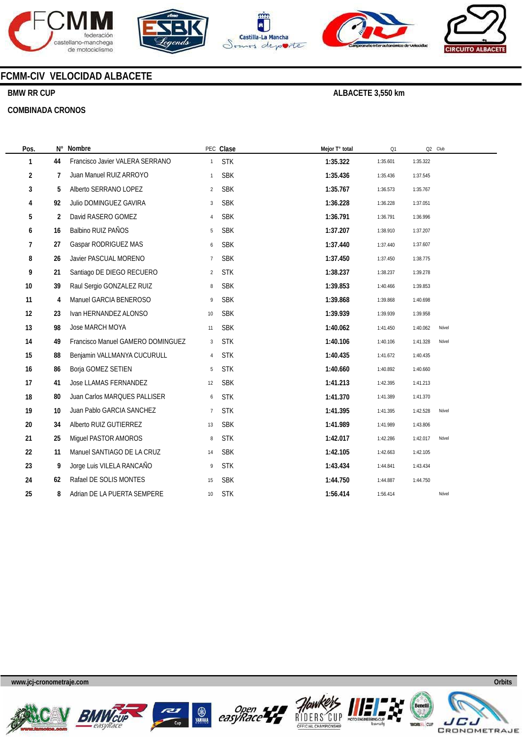









### **FCMM-CIV VELOCIDAD ALBACETE**

### **BMW RR CUP**

#### **COMBINADA CRONOS**

| Pos. | N° | Nombre                            |                | PEC Clase  | Mejor T° total | Q1       | Q2 Club  |       |
|------|----|-----------------------------------|----------------|------------|----------------|----------|----------|-------|
| 1    | 44 | Francisco Javier VALERA SERRANO   | $\mathbf{1}$   | <b>STK</b> | 1:35.322       | 1:35.601 | 1:35.322 |       |
| 2    | 7  | Juan Manuel RUIZ ARROYO           | $\mathbf{1}$   | <b>SBK</b> | 1:35.436       | 1:35.436 | 1:37.545 |       |
| 3    | 5  | Alberto SERRANO LOPEZ             | $\overline{2}$ | <b>SBK</b> | 1:35.767       | 1:36.573 | 1:35.767 |       |
| 4    | 92 | Julio DOMINGUEZ GAVIRA            | 3              | <b>SBK</b> | 1:36.228       | 1:36.228 | 1:37.051 |       |
| 5    | 2  | David RASERO GOMEZ                | $\overline{4}$ | <b>SBK</b> | 1:36.791       | 1:36.791 | 1:36.996 |       |
| 6    | 16 | Balbino RUIZ PAÑOS                | 5              | <b>SBK</b> | 1:37.207       | 1:38.910 | 1:37.207 |       |
| 7    | 27 | Gaspar RODRIGUEZ MAS              | 6              | <b>SBK</b> | 1:37.440       | 1:37.440 | 1:37.607 |       |
| 8    | 26 | Javier PASCUAL MORENO             | $\overline{7}$ | <b>SBK</b> | 1:37.450       | 1:37.450 | 1:38.775 |       |
| 9    | 21 | Santiago DE DIEGO RECUERO         | $\overline{2}$ | <b>STK</b> | 1:38.237       | 1:38.237 | 1:39.278 |       |
| 10   | 39 | Raul Sergio GONZALEZ RUIZ         | 8              | <b>SBK</b> | 1:39.853       | 1:40.466 | 1:39.853 |       |
| 11   | 4  | Manuel GARCIA BENEROSO            | 9              | <b>SBK</b> | 1:39.868       | 1:39.868 | 1:40.698 |       |
| 12   | 23 | Ivan HERNANDEZ ALONSO             | 10             | <b>SBK</b> | 1:39.939       | 1:39.939 | 1:39.958 |       |
| 13   | 98 | Jose MARCH MOYA                   | 11             | <b>SBK</b> | 1:40.062       | 1:41.450 | 1:40.062 | Nóvel |
| 14   | 49 | Francisco Manuel GAMERO DOMINGUEZ | 3              | <b>STK</b> | 1:40.106       | 1:40.106 | 1:41.328 | Nóvel |
| 15   | 88 | Benjamin VALLMANYA CUCURULL       | $\overline{4}$ | <b>STK</b> | 1:40.435       | 1:41.672 | 1:40.435 |       |
| 16   | 86 | Borja GOMEZ SETIEN                | 5              | <b>STK</b> | 1:40.660       | 1:40.892 | 1:40.660 |       |
| 17   | 41 | Jose LLAMAS FERNANDEZ             | 12             | <b>SBK</b> | 1:41.213       | 1:42.395 | 1:41.213 |       |
| 18   | 80 | Juan Carlos MARQUES PALLISER      | 6              | <b>STK</b> | 1:41.370       | 1:41.389 | 1:41.370 |       |
| 19   | 10 | Juan Pablo GARCIA SANCHEZ         | $\overline{7}$ | <b>STK</b> | 1:41.395       | 1:41.395 | 1:42.528 | Nóvel |
| 20   | 34 | Alberto RUIZ GUTIERREZ            | 13             | <b>SBK</b> | 1:41.989       | 1:41.989 | 1:43.806 |       |
| 21   | 25 | Miguel PASTOR AMOROS              | 8              | <b>STK</b> | 1:42.017       | 1:42.286 | 1:42.017 | Nóvel |
| 22   | 11 | Manuel SANTIAGO DE LA CRUZ        | 14             | <b>SBK</b> | 1:42.105       | 1:42.663 | 1:42.105 |       |
| 23   | 9  | Jorge Luis VILELA RANCAÑO         | 9              | <b>STK</b> | 1:43.434       | 1:44.841 | 1:43.434 |       |
| 24   | 62 | Rafael DE SOLIS MONTES            | 15             | <b>SBK</b> | 1:44.750       | 1:44.887 | 1:44.750 |       |
| 25   | 8  | Adrian DE LA PUERTA SEMPERE       | 10             | <b>STK</b> | 1:56.414       | 1:56.414 |          | Nóvel |
|      |    |                                   |                |            |                |          |          |       |











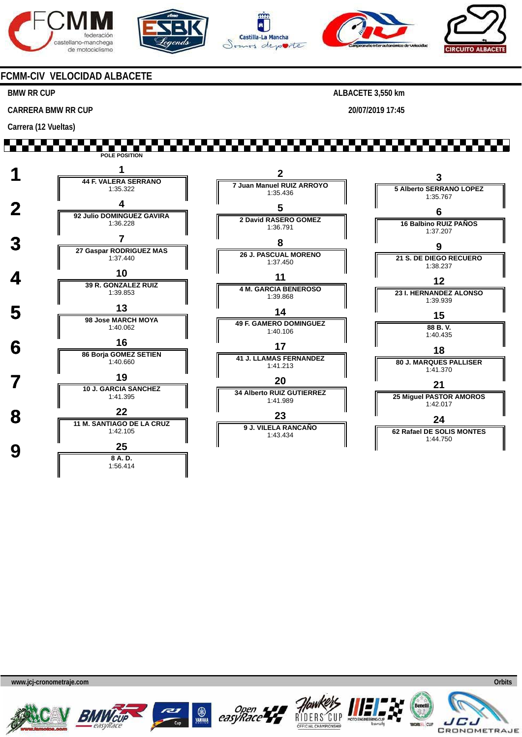







**20/07/2019 17:45** 



#### **FCMM-CIV VELOCIDAD ALBACETE**

<u>Film Film Film</u>

#### **BMW RR CUP**

**CARRERA BMW RR CUP** 

**Carrera (12 Vueltas)** 

H H H **POLE POSITION 1 <sup>1</sup> 44 F. VALERA SERRANO 2 3 7 Juan Manuel RUIZ ARROYO 5 Alberto SERRANO LOPEZ** 1:35.322 1:35.436 1:35.767  **2 <sup>4</sup> 92 Julio DOMINGUEZ GAVIRA 5 6 2 David RASERO GOMEZ** 1:36.228 **16 Balbino RUIZ PAÑOS** 1:36.791 1:37.207  **3 <sup>7</sup> 27 Gaspar RODRIGUEZ MAS 8 9 26 J. PASCUAL MORENO 21 S. DE DIEGO RECUERO** 1:37.440 1:37.450 1:38.237 **4 10**<br> **10 39 R. GONZALEZ RUIZ 11 12 4 M. GARCIA BENEROSO** 1:39.853 **23 I. HERNANDEZ ALONSO** 1:39.868 1:39.939  **5 <sup>13</sup> 98 Jose MARCH MOYA 14 15 49 F. GAMERO DOMINGUEZ** 1:40.062 **88 B. V.** 1:40.106 1:40.435  **6 <sup>16</sup> 86 Borja GOMEZ SETIEN 17 18 41 J. LLAMAS FERNANDEZ**  $1:40.660$ **80 J. MARQUES PALLISER** 1:41.213 1:41.370 **7 19**<br> **10 J. GARCIA SANCHEZ 20 21 34 Alberto RUIZ GUTIERREZ 25 Miguel PASTOR AMOROS** 1:41.395 1:41.989 1:42.017 **8 11 M. SANTIAGO DE LA CRUZ 23 24 9 J. VILELA RANCAÑO 62 Rafael DE SOLIS MONTES** 1:42.105 1:43.434 1:44.750  $\frac{25}{8A.1}$ **8 A. D.** 1:56.414











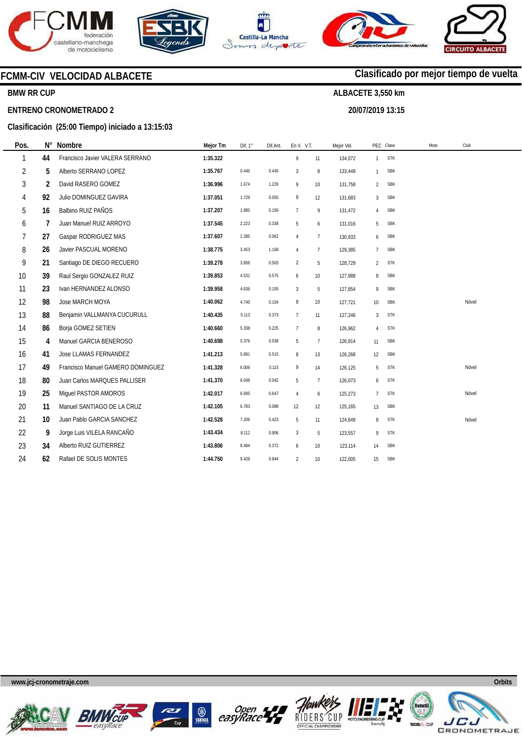









### **BMW RR CUP**

#### **ENTRENO CRONOMETRADO 2**

#### **Clasificación (25:00 Tiempo) iniciado a 13:15:03**

| Pos. | N° | Nombre                            | Mejor Tm | Dif. 1° | Dif.Ant. | En V. V.T.     |                 | Mejor Vel. |                | PEC Clase  | Moto | Club  |  |
|------|----|-----------------------------------|----------|---------|----------|----------------|-----------------|------------|----------------|------------|------|-------|--|
| 1    | 44 | Francisco Javier VALERA SERRANO   | 1:35.322 |         |          | 9              | 11              | 134,072    | $\mathbf{1}$   | <b>STK</b> |      |       |  |
| 2    | 5  | Alberto SERRANO LOPEZ             | 1:35.767 | 0.445   | 0.445    | 3              | 8               | 133,449    | $\mathbf{1}$   | <b>SBK</b> |      |       |  |
| 3    | 2  | David RASERO GOMEZ                | 1:36.996 | 1.674   | 1.229    | 9              | 10              | 131,758    | 2              | <b>SBK</b> |      |       |  |
| 4    | 92 | Julio DOMINGUEZ GAVIRA            | 1:37.051 | 1.729   | 0.055    | 9              | 12              | 131,683    | 3              | <b>SBK</b> |      |       |  |
| 5    | 16 | Balbino RUIZ PAÑOS                | 1:37.207 | 1.885   | 0.156    | $\overline{7}$ | 9               | 131,472    | 4              | <b>SBK</b> |      |       |  |
| 6    | 7  | Juan Manuel RUIZ ARROYO           | 1:37.545 | 2.223   | 0.338    | 5              | 6               | 131,016    | 5              | <b>SBK</b> |      |       |  |
| 7    | 27 | Gaspar RODRIGUEZ MAS              | 1:37.607 | 2.285   | 0.062    | 4              | $7\overline{ }$ | 130,933    | 6              | <b>SBK</b> |      |       |  |
| 8    | 26 | Javier PASCUAL MORENO             | 1:38.775 | 3.453   | 1.168    | $\overline{4}$ | $\overline{7}$  | 129,385    | $\overline{7}$ | <b>SBK</b> |      |       |  |
| 9    | 21 | Santiago DE DIEGO RECUERO         | 1:39.278 | 3.956   | 0.503    | $\overline{2}$ | 5               | 128,729    | 2              | <b>STK</b> |      |       |  |
| 10   | 39 | Raul Sergio GONZALEZ RUIZ         | 1:39.853 | 4.531   | 0.575    | 6              | 10              | 127,988    | 8              | <b>SBK</b> |      |       |  |
| 11   | 23 | Ivan HERNANDEZ ALONSO             | 1:39.958 | 4.636   | 0.105    | $\mathbf{3}$   | 5               | 127,854    | 9              | <b>SBK</b> |      |       |  |
| 12   | 98 | Jose MARCH MOYA                   | 1:40.062 | 4.740   | 0.104    | 9              | 10              | 127,721    | 10             | <b>SBK</b> |      | Nóvel |  |
| 13   | 88 | Benjamin VALLMANYA CUCURULL       | 1:40.435 | 5.113   | 0.373    | $\overline{7}$ | 11              | 127,246    | 3              | <b>STK</b> |      |       |  |
| 14   | 86 | Borja GOMEZ SETIEN                | 1:40.660 | 5.338   | 0.225    | $\overline{1}$ | 8               | 126,962    | $\overline{4}$ | <b>STK</b> |      |       |  |
| 15   | 4  | Manuel GARCIA BENEROSO            | 1:40.698 | 5.376   | 0.038    | 5              | $\overline{7}$  | 126,914    | 11             | <b>SBK</b> |      |       |  |
| 16   | 41 | Jose LLAMAS FERNANDEZ             | 1:41.213 | 5.891   | 0.515    | 8              | 13              | 126,268    | 12             | <b>SBK</b> |      |       |  |
| 17   | 49 | Francisco Manuel GAMERO DOMINGUEZ | 1:41.328 | 6.006   | 0.115    | 9              | 14              | 126,125    | 5              | <b>STK</b> |      | Nóvel |  |
| 18   | 80 | Juan Carlos MARQUES PALLISER      | 1:41.370 | 6.048   | 0.042    | 5              | $\overline{7}$  | 126,073    | 6              | <b>STK</b> |      |       |  |
| 19   | 25 | Miguel PASTOR AMOROS              | 1:42.017 | 6.695   | 0.647    | $\overline{4}$ | 6               | 125,273    | $\overline{7}$ | <b>STK</b> |      | Nóvel |  |
| 20   | 11 | Manuel SANTIAGO DE LA CRUZ        | 1:42.105 | 6.783   | 0.088    | 12             | 12              | 125,165    | 13             | <b>SBK</b> |      |       |  |
| 21   | 10 | Juan Pablo GARCIA SANCHEZ         | 1:42.528 | 7.206   | 0.423    | 5              | 11              | 124,649    | 8              | <b>STK</b> |      | Nóvel |  |
| 22   | 9  | Jorge Luis VILELA RANCAÑO         | 1:43.434 | 8.112   | 0.906    | 3              | 5               | 123,557    | 9              | <b>STK</b> |      |       |  |
| 23   | 34 | Alberto RUIZ GUTIERREZ            | 1:43.806 | 8.484   | 0.372    | 6              | 10              | 123,114    | 14             | <b>SBK</b> |      |       |  |
| 24   | 62 | Rafael DE SOLIS MONTES            | 1:44.750 | 9.428   | 0.944    | 2              | 10              | 122,005    | 15             | <b>SBK</b> |      |       |  |
|      |    |                                   |          |         |          |                |                 |            |                |            |      |       |  |

**www.jcj-cronometraje.com Orbits** 













## **Clasificado por mejor tiempo de vuelta**

**ALBACETE 3,550 km** 

**20/07/2019 13:15**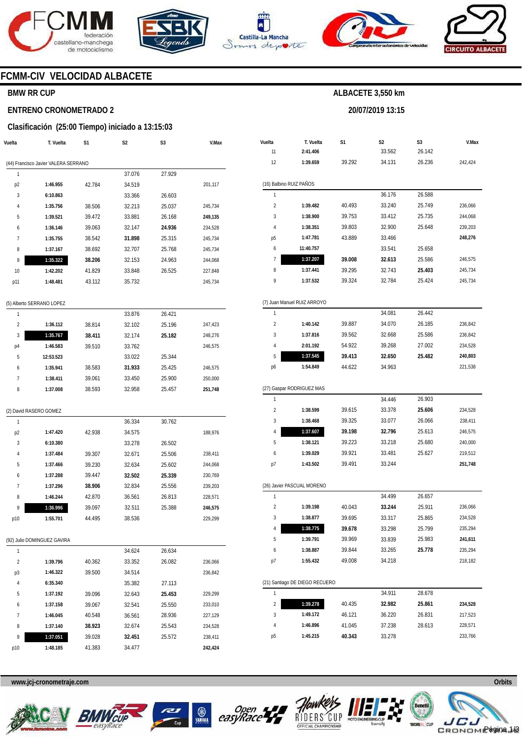







**20/07/2019 13:15** 



### **FCMM-CIV VELOCIDAD ALBACETE**

### **BMW RR CUP**

#### **ENTRENO CRONOMETRADO 2**

#### **Clasificación (25:00 Tiempo) iniciado a 13:15:03**

| Vuelta                    | T. Vuelta                            | S <sub>1</sub> | S <sub>2</sub> | S <sub>3</sub> | V.Max   |  |  |  |  |
|---------------------------|--------------------------------------|----------------|----------------|----------------|---------|--|--|--|--|
|                           | (44) Francisco Javier VALERA SERRANO |                |                |                |         |  |  |  |  |
| 1                         |                                      |                | 37.076         | 27.929         |         |  |  |  |  |
| p <sub>2</sub>            | 1:46.955                             | 42.784         | 34.519         |                | 201,117 |  |  |  |  |
| 3                         | 6:10.863                             |                | 33.366         | 26.603         |         |  |  |  |  |
| 4                         | 1:35.756                             | 38.506         | 32.213         | 25.037         | 245,734 |  |  |  |  |
| 5                         | 1:39.521                             | 39.472         | 33.881         | 26.168         | 249,135 |  |  |  |  |
| 6                         | 1:36.146                             | 39.063         | 32.147         | 24.936         | 234,528 |  |  |  |  |
| $\overline{7}$            | 1:35.755                             | 38.542         | 31.898         | 25.315         | 245,734 |  |  |  |  |
| 8                         | 1:37.167                             | 38.692         | 32.707         | 25.768         | 245,734 |  |  |  |  |
| 9                         | 1:35.322                             | 38.206         | 32.153         | 24.963         | 244,068 |  |  |  |  |
| 10                        | 1:42.202                             | 41.829         | 33.848         | 26.525         | 227,848 |  |  |  |  |
| p11                       | 1:48.481                             | 43.112         | 35.732         |                | 245,734 |  |  |  |  |
|                           |                                      |                |                |                |         |  |  |  |  |
| (5) Alberto SERRANO LOPEZ |                                      |                |                |                |         |  |  |  |  |
| 1                         |                                      |                | 33.876         | 26.421         |         |  |  |  |  |
| $\overline{2}$            | 1:36.112                             | 38.814         | 32.102         | 25.196         | 247,423 |  |  |  |  |
| 3                         | 1:35.767                             | 38.411         | 32.174         | 25.182         | 248,276 |  |  |  |  |

| 3  | 1:35.767  | 38.411 | 32.174 | 25.182 | 248.276 |
|----|-----------|--------|--------|--------|---------|
| p4 | 1:46.583  | 39.510 | 33.762 |        | 246.575 |
| 5  | 12:53.523 |        | 33.022 | 25.344 |         |
| 6  | 1:35.941  | 38.583 | 31.933 | 25.425 | 246.575 |
|    | 1:38.411  | 39.061 | 33.450 | 25.900 | 250.000 |
| 8  | 1:37.008  | 38.593 | 32.958 | 25.457 | 251,748 |
|    |           |        |        |        |         |

#### (2) David RASERO GOMEZ

| 1              |          |        | 36.334 | 30.762 |         |
|----------------|----------|--------|--------|--------|---------|
| p <sub>2</sub> | 1:47.420 | 42.938 | 34.575 |        | 188.976 |
| 3              | 6:10.380 |        | 33.278 | 26.502 |         |
| $\overline{4}$ | 1:37.484 | 39.307 | 32.671 | 25.506 | 238,411 |
| 5              | 1:37.466 | 39.230 | 32.634 | 25.602 | 244.068 |
| 6              | 1:37.288 | 39.447 | 32.502 | 25.339 | 230,769 |
| 7              | 1:37.296 | 38.906 | 32.834 | 25.556 | 239.203 |
| 8              | 1:46.244 | 42.870 | 36.561 | 26.813 | 228.571 |
| 9              | 1:36.996 | 39.097 | 32.511 | 25.388 | 246.575 |
| p10            | 1:55.701 | 44.495 | 38.536 |        | 229.299 |

#### (92) Julio DOMINGUEZ GAVIRA

| 1              |          |        | 34.624 | 26.634 |         |
|----------------|----------|--------|--------|--------|---------|
| $\overline{2}$ | 1:39.796 | 40.362 | 33.352 | 26.082 | 236.066 |
| p3             | 1:46.322 | 39.500 | 34.514 |        | 236.842 |
| 4              | 6:35.340 |        | 35.382 | 27.113 |         |
| 5              | 1:37.192 | 39.096 | 32.643 | 25.453 | 229.299 |
| 6              | 1:37.158 | 39.067 | 32.541 | 25.550 | 233.010 |
| 7              | 1:46.045 | 40.548 | 36.561 | 28.936 | 227.129 |
| 8              | 1:37.140 | 38.923 | 32.674 | 25.543 | 234.528 |
| 9              | 1:37.051 | 39.028 | 32.451 | 25.572 | 238.411 |
| p10            | 1:48.185 | 41.383 | 34.477 |        | 242.424 |

| Vuelta                  | T. Vuelta                      | S1     | S2     | S3     | V.Max   |
|-------------------------|--------------------------------|--------|--------|--------|---------|
| 11                      | 2:41.406                       |        | 33.562 | 26.142 |         |
| 12                      | 1:39.659                       | 39.292 | 34.131 | 26.236 | 242,424 |
|                         |                                |        |        |        |         |
|                         | (16) Balbino RUIZ PAÑOS        |        |        |        |         |
| 1                       |                                |        | 36.176 | 26.588 |         |
| 2                       | 1:39.482                       | 40.493 | 33.240 | 25.749 | 236,066 |
| 3                       | 1:38.900                       | 39.753 | 33.412 | 25.735 | 244,068 |
| 4                       | 1:38.351                       | 39.803 | 32.900 | 25.648 | 239,203 |
| р5                      | 1:47.781                       | 43.889 | 33.466 |        | 248,276 |
| 6                       | 11:40.757                      |        | 33.541 | 25.658 |         |
| 7                       | 1:37.207                       | 39.008 | 32.613 | 25.586 | 246,575 |
| 8                       | 1:37.441                       | 39.295 | 32.743 | 25.403 | 245,734 |
| 9                       | 1:37.532                       | 39.324 | 32.784 | 25.424 | 245,734 |
|                         | (7) Juan Manuel RUIZ ARROYO    |        |        |        |         |
| 1                       |                                |        | 34.081 | 26.442 |         |
| $\overline{\mathbf{c}}$ | 1:40.142                       | 39.887 | 34.070 | 26.185 | 236,842 |
| 3                       | 1:37.816                       | 39.562 | 32.668 | 25.586 | 236,842 |
| 4                       | 2:01.192                       | 54.922 | 39.268 | 27.002 | 234,528 |
| 5                       | 1:37.545                       | 39.413 | 32.650 | 25.482 | 240,803 |
| p6                      | 1:54.849                       | 44.622 | 34.963 |        | 221,538 |
|                         |                                |        |        |        |         |
|                         | (27) Gaspar RODRIGUEZ MAS      |        |        |        |         |
| 1                       |                                |        | 34.446 | 26.903 |         |
| 2                       | 1:38.599                       | 39.615 | 33.378 | 25.606 | 234,528 |
| 3                       | 1:38.468                       | 39.325 | 33.077 | 26.066 | 238,411 |
| 4                       | 1:37.607                       | 39.198 | 32.796 | 25.613 | 246,575 |
| 5                       | 1:38.121                       | 39.223 | 33.218 | 25.680 | 240,000 |
| 6                       | 1:39.029                       | 39.921 | 33.481 | 25.627 | 219,512 |
| p7                      | 1:43.502                       | 39.491 | 33.244 |        | 251,748 |
|                         | (26) Javier PASCUAL MORENO     |        |        |        |         |
| 1                       |                                |        | 34.499 | 26.657 |         |
| $\overline{2}$          | 1:39.198                       | 40.043 | 33.244 | 25.911 | 236,066 |
| 3                       | 1:38.877                       | 39.695 | 33.317 | 25.865 | 234,528 |
| 4                       | 1:38.775                       | 39.678 | 33.298 | 25.799 | 235,294 |
| 5                       | 1:39.791                       | 39.969 | 33.839 | 25.983 | 241,611 |
| 6                       | 1:38.887                       | 39.844 | 33.265 | 25.778 | 235,294 |
| p7                      | 1:55.432                       | 49.008 | 34.218 |        | 218,182 |
|                         |                                |        |        |        |         |
|                         | (21) Santiago DE DIEGO RECUERO |        |        |        |         |
| 1                       |                                |        | 34.911 | 28.678 |         |
| 2                       | 1:39.278                       | 40.435 | 32.982 | 25.861 | 234,528 |
| 3                       | 1:49.172                       | 46.121 | 36.220 | 26.831 | 217,523 |
| 4                       | 1:46.896                       | 41.045 | 37.238 | 28.613 | 228,571 |
| р5                      | 1:45.215                       | 40.343 | 33.278 |        | 233,766 |









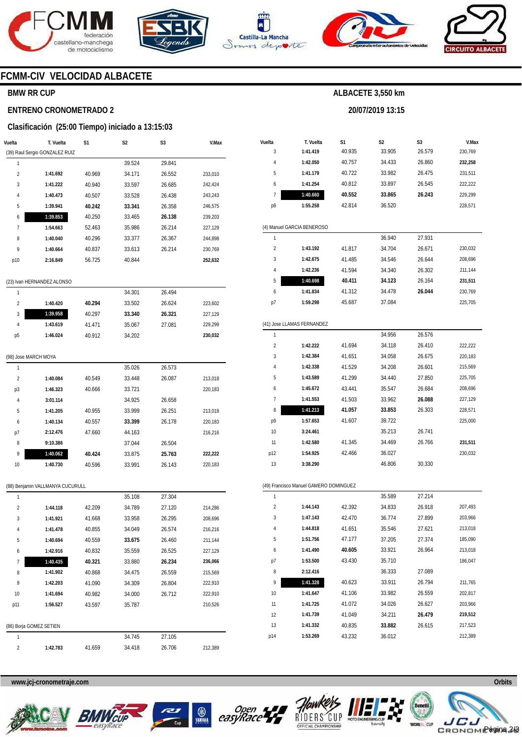







**20/07/2019 13:15** 



### **FCMM-CIV VELOCIDAD ALBACETE**

### **BMW RR CUP**

#### **ENTRENO CRONOMETRADO 2**

#### **Clasificación (25:00 Tiempo) iniciado a 13:15:03**

| Vuelta               | T. Vuelta                        | S1     | S2     | S3     | V.Max   |
|----------------------|----------------------------------|--------|--------|--------|---------|
|                      | (39) Raul Sergio GONZALEZ RUIZ   |        |        |        |         |
| 1                    |                                  |        | 39.524 | 29.841 |         |
| $\overline{2}$       | 1:41.692                         | 40.969 | 34.171 | 26.552 | 233,010 |
| 3                    | 1:41.222                         | 40.940 | 33.597 | 26.685 | 242,424 |
| 4                    | 1:40.473                         | 40.507 | 33.528 | 26.438 | 243,243 |
| 5                    | 1:39.941                         | 40.242 | 33.341 | 26.358 | 246,575 |
| 6                    | 1:39.853                         | 40.250 | 33.465 | 26.138 | 239,203 |
| 7                    | 1:54.663                         | 52.463 | 35.986 | 26.214 | 227,129 |
| 8                    | 1:40.040                         | 40.296 | 33.377 | 26.367 | 244,898 |
| 9                    | 1:40.664                         | 40.837 | 33.613 | 26.214 | 230,769 |
| p10                  | 2:16.849                         | 56.725 | 40.844 |        | 252,632 |
|                      | (23) Ivan HERNANDEZ ALONSO       |        |        |        |         |
| 1                    |                                  |        | 34.301 | 26.494 |         |
| 2                    | 1:40.420                         | 40.294 | 33.502 | 26.624 | 223,602 |
| 3                    | 1:39.958                         | 40.297 | 33.340 | 26.321 | 227,129 |
| 4                    | 1:43.619                         | 41.471 | 35.067 | 27.081 | 229,299 |
| p5                   | 1:46.024                         | 40.912 | 34.202 |        | 230,032 |
|                      |                                  |        |        |        |         |
| (98) Jose MARCH MOYA |                                  |        |        |        |         |
| 1                    |                                  |        | 35.026 | 26.573 |         |
| 2                    | 1:40.084                         | 40.549 | 33.448 | 26.087 | 213,018 |
| p3                   | 1:46.323                         | 40.666 | 33.721 |        | 220,183 |
| 4                    | 3:01.114                         |        | 34.925 | 26.658 |         |
| 5                    | 1:41.205                         | 40.955 | 33.999 | 26.251 | 213,018 |
| 6                    | 1:40.134                         | 40.557 | 33.399 | 26.178 | 220,183 |
| p7                   | 2:12.476                         | 47.660 | 44.163 |        | 216,216 |
| 8                    | 9:10.386                         |        | 37.044 | 26.504 |         |
| 9                    | 1:40.062                         | 40.424 | 33.875 | 25.763 | 222,222 |
| 10                   | 1:40.730                         | 40.596 | 33.991 | 26.143 | 220,183 |
|                      | (88) Benjamin VALLMANYA CUCURULL |        |        |        |         |
| 1                    |                                  |        | 35.108 | 27.304 |         |
| 2                    | 1:44.118                         | 42.209 | 34.789 | 27.120 | 214,286 |
| 3                    | 1:41.921                         | 41.668 | 33.958 | 26.295 | 208,696 |
| 4                    | 1:41.478                         | 40.855 | 34.049 | 26.574 | 216,216 |
| 5                    | 1:40.694                         | 40.559 | 33.675 | 26.460 | 211,144 |
| 6                    | 1:42.916                         | 40.832 | 35.559 | 26.525 | 227,129 |
| 7                    | 1:40.435                         | 40.321 | 33.880 | 26.234 | 236,066 |
| 8                    | 1:41.902                         | 40.868 | 34.475 | 26.559 | 215,569 |
| 9                    | 1:42.203                         | 41.090 | 34.309 | 26.804 | 222,910 |
| 10                   | 1:41.694                         | 40.982 | 34.000 | 26.712 | 222,910 |
| p11                  | 1:56.527                         | 43.597 | 35.787 |        | 210,526 |
|                      |                                  |        |        |        |         |
|                      | (86) Borja GOMEZ SETIEN          |        |        |        |         |
| 1                    |                                  |        | 34.745 | 27.105 |         |
| 2                    | 1:42.783                         | 41.659 | 34.418 | 26.706 | 212,389 |

| Vuelta<br>3    | T. Vuelta<br>1:41.419                  | S1<br>40.935 | S2<br>33.905 | S3<br>26.579 | V.Max<br>230,769 |
|----------------|----------------------------------------|--------------|--------------|--------------|------------------|
| 4              | 1:42.050                               | 40.757       | 34.433       | 26.860       | 232,258          |
| 5              | 1:41.179                               | 40.722       | 33.982       | 26.475       | 231,511          |
| 6              | 1:41.254                               | 40.812       | 33.897       | 26.545       | 222,222          |
| 7              | 1:40.660                               | 40.552       | 33.865       | 26.243       | 229,299          |
| p8             | 1:55.258                               | 42.814       | 36.520       |              | 228,571          |
|                |                                        |              |              |              |                  |
|                | (4) Manuel GARCIA BENEROSO             |              |              |              |                  |
| 1              |                                        |              | 36.940       | 27.931       |                  |
| $\overline{2}$ | 1:43.192                               | 41.817       | 34.704       | 26.671       | 230,032          |
| 3              | 1:42.675                               | 41.485       | 34.546       | 26.644       | 208,696          |
| 4              | 1:42.236                               | 41.594       | 34.340       | 26.302       | 211,144          |
| 5              | 1:40.698                               | 40.411       | 34.123       | 26.164       | 231,511          |
| 6              | 1:41.834                               | 41.312       | 34.478       | 26.044       | 230,769          |
| p7             | 1:59.298                               | 45.687       | 37.084       |              | 225,705          |
|                |                                        |              |              |              |                  |
|                | (41) Jose LLAMAS FERNANDEZ             |              |              |              |                  |
| 1              |                                        |              | 34.956       | 26.576       |                  |
| $\overline{2}$ | 1:42.222                               | 41.694       | 34.118       | 26.410       | 222,222          |
| 3              | 1:42.384                               | 41.651       | 34.058       | 26.675       | 220,183          |
| 4              | 1:42.338                               | 41.529       | 34.208       | 26.601       | 215,569          |
| 5              | 1:43.589                               | 41.299       | 34.440       | 27.850       | 225,705          |
| 6              | 1:45.672                               | 43.441       | 35.547       | 26.684       | 208,696          |
| 7              | 1:41.553                               | 41.503       | 33.962       | 26.088       | 227,129          |
| 8              | 1:41.213                               | 41.057       | 33.853       | 26.303       | 228,571          |
| p9             | 1:57.653                               | 41.607       | 39.722       |              | 225,000          |
| 10             | 3:24.461                               |              | 35.213       | 26.741       |                  |
| 11             | 1:42.580                               | 41.345       | 34.469       | 26.766       | 231,511          |
| p12            | 1:54.925                               | 42.466       | 36.027       |              | 230,032          |
| 13             | 3:38.290                               |              | 46.806       | 30.330       |                  |
|                |                                        |              |              |              |                  |
|                | (49) Francisco Manuel GAMERO DOMINGUEZ |              |              |              |                  |
| 1              |                                        |              | 35.589       | 27.214       |                  |
| 2              | 1:44.143                               | 42.392       | 34.833       | 26.918       | 207,493          |
| 3              | 1:47.143                               | 42.470       | 36.774       | 27.899       | 203,966          |
| 4              | 1:44.818                               | 41.651       | 35.546       | 27.621       | 213,018          |
| 5              | 1:51.756                               | 47.177       | 37.205       | 27.374       | 185,090          |
| 6              | 1:41.490                               | 40.605       | 33.921       | 26.964       | 213,018          |
| р7             | 1:53.500                               | 43.430       | 35.710       |              | 186,047          |
| 8              | 2:12.416                               |              | 36.333       | 27.089       |                  |
| 9              | 1:41.328                               | 40.623       | 33.911       | 26.794       | 211,765          |
| 10             | 1:41.647                               | 41.106       | 33.982       | 26.559       | 202,817          |
| 11             | 1:41.725                               | 41.072       | 34.026       | 26.627       | 203,966          |
| 12             | 1:41.739                               | 41.049       | 34.211       | 26.479       | 219,512          |
| 13             | 1:41.332                               | 40.835       | 33.882       | 26.615       | 217,523          |

**www.jcj-cronometraje.com Orbits** 







p14



**1:53.269** 

43.232

36.012



212,389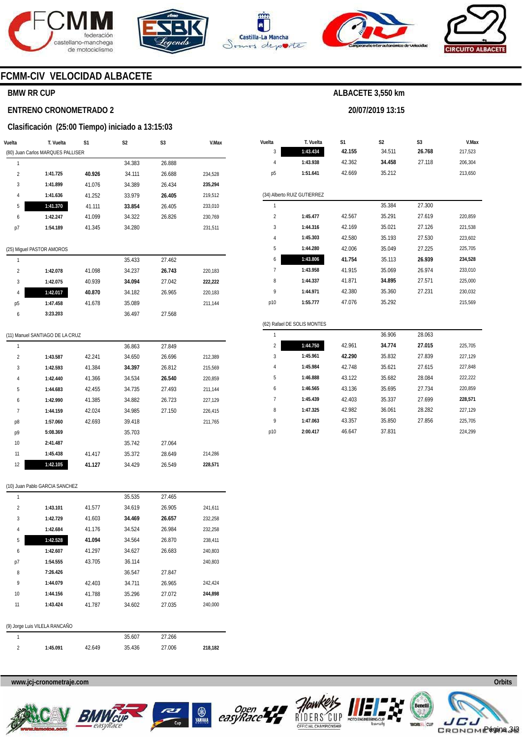





**Vuelta** 

**T. Vuelta** 

**S1** 





**V.Max** 

### **FCMM-CIV VELOCIDAD ALBACETE**

### **BMW RR CUP**

#### **ENTRENO CRONOMETRADO 2**

#### **Clasificación (25:00 Tiempo) iniciado a 13:15:03**

|                | . <b>. .</b>                      |        |                |        |         |  |  |  |
|----------------|-----------------------------------|--------|----------------|--------|---------|--|--|--|
| Vuelta         | T. Vuelta                         | S1     | S <sub>2</sub> | S3     | V.Max   |  |  |  |
|                | (80) Juan Carlos MARQUES PALLISER |        |                |        |         |  |  |  |
| 1              |                                   |        | 34.383         | 26.888 |         |  |  |  |
| $\overline{2}$ | 1:41.725                          | 40.926 | 34.111         | 26.688 | 234,528 |  |  |  |
| 3              | 1:41.899                          | 41.076 | 34.389         | 26.434 | 235,294 |  |  |  |
| $\overline{4}$ | 1:41.636                          | 41.252 | 33.979         | 26.405 | 219,512 |  |  |  |
| 5              | 1:41.370                          | 41.111 | 33.854         | 26.405 | 233,010 |  |  |  |
| 6              | 1:42.247                          | 41.099 | 34.322         | 26.826 | 230,769 |  |  |  |
| p7             | 1:54.189                          | 41.345 | 34.280         |        | 231,511 |  |  |  |
|                |                                   |        |                |        |         |  |  |  |
|                | (25) Miguel PASTOR AMOROS         |        |                |        |         |  |  |  |
| 1              |                                   |        | 35.433         | 27.462 |         |  |  |  |
| $\overline{2}$ | 1:42.078                          | 41.098 | 34.237         | 26.743 | 220,183 |  |  |  |
| 3              | 1:42.075                          | 40.939 | 34.094         | 27.042 | 222,222 |  |  |  |
| 4              | 1:42.017                          | 40.870 | 34.182         | 26.965 | 220,183 |  |  |  |
| p5             | 1:47.458                          | 41.678 | 35.089         |        | 211,144 |  |  |  |

| 3                           | 1:43.434 | 42.155 | 34.511 | 26.768 | 217,523 |  |  |  |
|-----------------------------|----------|--------|--------|--------|---------|--|--|--|
| 4                           | 1:43.938 | 42.362 | 34.458 | 27.118 | 206,304 |  |  |  |
| p <sub>5</sub>              | 1:51.641 | 42.669 | 35.212 |        | 213,650 |  |  |  |
|                             |          |        |        |        |         |  |  |  |
| (34) Alberto RUIZ GUTIERREZ |          |        |        |        |         |  |  |  |
| 1                           |          |        | 35.384 | 27.300 |         |  |  |  |
| $\overline{2}$              | 1:45.477 | 42.567 | 35.291 | 27.619 | 220,859 |  |  |  |
| 3                           | 1:44.316 | 42.169 | 35.021 | 27.126 | 221,538 |  |  |  |
| 4                           | 1:45.303 | 42.580 | 35.193 | 27.530 | 223,602 |  |  |  |
| 5                           | 1:44.280 | 42.006 | 35.049 | 27.225 | 225,705 |  |  |  |
| 6                           | 1:43.806 | 41.754 | 35.113 | 26.939 | 234,528 |  |  |  |
| 7                           | 1:43.958 | 41.915 | 35.069 | 26.974 | 233,010 |  |  |  |
| 8                           | 1:44.337 | 41.871 | 34.895 | 27.571 | 225,000 |  |  |  |
| 9                           | 1:44.971 | 42.380 | 35.360 | 27.231 | 230,032 |  |  |  |
| p10                         | 1:55.777 | 47.076 | 35.292 |        | 215,569 |  |  |  |
|                             |          |        |        |        |         |  |  |  |

**S2** 

**ALBACETE 3,550 km** 

**20/07/2019 13:15** 

**S3** 

### (11) Manuel SANTIAGO DE LA CRUZ

**3:23.203** 

6

| 1              |          |        | 36.863 | 27.849 |         |
|----------------|----------|--------|--------|--------|---------|
| $\overline{2}$ | 1:43.587 | 42.241 | 34.650 | 26.696 | 212,389 |
| 3              | 1:42.593 | 41.384 | 34.397 | 26.812 | 215,569 |
| 4              | 1:42.440 | 41.366 | 34.534 | 26.540 | 220,859 |
| 5              | 1:44.683 | 42.455 | 34.735 | 27.493 | 211,144 |
| 6              | 1:42.990 | 41.385 | 34.882 | 26.723 | 227,129 |
| 7              | 1:44.159 | 42.024 | 34.985 | 27.150 | 226,415 |
| p8             | 1:57.060 | 42.693 | 39.418 |        | 211,765 |
| p9             | 5:08.369 |        | 35.703 |        |         |
| 10             | 2:41.487 |        | 35.742 | 27.064 |         |
| 11             | 1:45.438 | 41.417 | 35.372 | 28.649 | 214.286 |
| 12             | 1:42.105 | 41.127 | 34.429 | 26.549 | 228,571 |
|                |          |        |        |        |         |

36.497

27.568

|                | (62) Rafael DE SOLIS MONTES |        |        |        |         |  |  |  |  |
|----------------|-----------------------------|--------|--------|--------|---------|--|--|--|--|
| 1              |                             |        | 36.906 | 28.063 |         |  |  |  |  |
| $\overline{2}$ | 1:44.750                    | 42.961 | 34.774 | 27.015 | 225.705 |  |  |  |  |
| 3              | 1:45.961                    | 42.290 | 35.832 | 27.839 | 227.129 |  |  |  |  |
| 4              | 1:45.984                    | 42.748 | 35.621 | 27.615 | 227.848 |  |  |  |  |
| 5              | 1:46.888                    | 43.122 | 35.682 | 28.084 | 222.222 |  |  |  |  |
| 6              | 1:46.565                    | 43.136 | 35.695 | 27.734 | 220.859 |  |  |  |  |
| 7              | 1:45.439                    | 42.403 | 35.337 | 27.699 | 228,571 |  |  |  |  |
| 8              | 1:47.325                    | 42.982 | 36.061 | 28.282 | 227.129 |  |  |  |  |
| 9              | 1:47.063                    | 43.357 | 35.850 | 27.856 | 225.705 |  |  |  |  |
| p10            | 2:00.417                    | 46.647 | 37.831 |        | 224.299 |  |  |  |  |
|                |                             |        |        |        |         |  |  |  |  |

#### (10) Juan Pablo GARCIA SANCHEZ

| 1              |                               |        | 35.535 | 27.465 |         |
|----------------|-------------------------------|--------|--------|--------|---------|
| $\overline{2}$ | 1:43.101                      | 41.577 | 34.619 | 26.905 | 241,611 |
| 3              | 1:42.729                      | 41.603 | 34.469 | 26.657 | 232,258 |
| $\overline{4}$ | 1:42.684                      | 41.176 | 34.524 | 26.984 | 232,258 |
| 5              | 1:42.528                      | 41.094 | 34.564 | 26.870 | 238,411 |
| 6              | 1:42.607                      | 41.297 | 34.627 | 26.683 | 240,803 |
| p7             | 1:54.555                      | 43.705 | 36.114 |        | 240,803 |
| 8              | 7:26.426                      |        | 36.547 | 27.847 |         |
| 9              | 1:44.079                      | 42.403 | 34.711 | 26.965 | 242,424 |
| 10             | 1:44.156                      | 41.788 | 35.296 | 27.072 | 244,898 |
| 11             | 1:43.424                      | 41.787 | 34.602 | 27.035 | 240,000 |
|                |                               |        |        |        |         |
|                | (9) Jorge Luis VILELA RANCAÑO |        |        |        |         |
| 1              |                               |        | 35.607 | 27.266 |         |
| $\overline{2}$ | 1:45.091                      | 42.649 | 35.436 | 27.006 | 218,182 |
|                |                               |        |        |        |         |









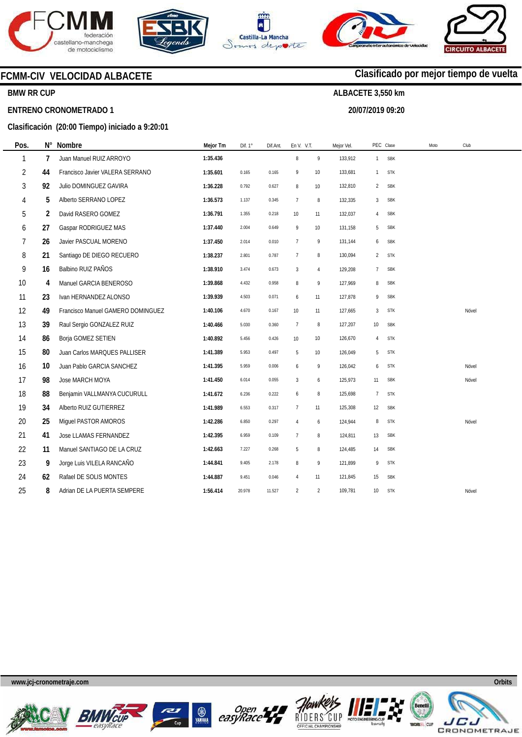







**20/07/2019 09:20** 



**Clasificado por mejor tiempo de vuelta**

### **FCMM-CIV VELOCIDAD ALBACETE**

### **BMW RR CUP**

#### **ENTRENO CRONOMETRADO 1**

### **Clasificación (20:00 Tiempo) iniciado a 9:20:01**

| Pos.           | Ν° | Nombre                            | Mejor Tm | Dif. 1° | Dif.Ant. | En V. V.T.      |                | Mejor Vel. |                | PEC Clase  | Moto<br>Club |  |
|----------------|----|-----------------------------------|----------|---------|----------|-----------------|----------------|------------|----------------|------------|--------------|--|
| 1              | 7  | Juan Manuel RUIZ ARROYO           | 1:35.436 |         |          | 8               | 9              | 133,912    |                | 1 SBK      |              |  |
| $\overline{2}$ | 44 | Francisco Javier VALERA SERRANO   | 1:35.601 | 0.165   | 0.165    | 9               | $10$           | 133,681    | $\mathbf{1}$   | <b>STK</b> |              |  |
| 3              | 92 | Julio DOMINGUEZ GAVIRA            | 1:36.228 | 0.792   | 0.627    | 8               | 10             | 132,810    | $\overline{2}$ | <b>SBK</b> |              |  |
| 4              | 5  | Alberto SERRANO LOPEZ             | 1:36.573 | 1.137   | 0.345    | $\overline{7}$  | 8              | 132,335    | 3              | <b>SBK</b> |              |  |
| 5              | 2  | David RASERO GOMEZ                | 1:36.791 | 1.355   | 0.218    | 10              | 11             | 132,037    | $\overline{4}$ | <b>SBK</b> |              |  |
| 6              | 27 | Gaspar RODRIGUEZ MAS              | 1:37.440 | 2.004   | 0.649    | 9               | 10             | 131,158    | 5              | <b>SBK</b> |              |  |
| 7              | 26 | Javier PASCUAL MORENO             | 1:37.450 | 2.014   | 0.010    | $7\overline{ }$ | 9              | 131,144    | 6              | <b>SBK</b> |              |  |
| 8              | 21 | Santiago DE DIEGO RECUERO         | 1:38.237 | 2.801   | 0.787    | $\overline{7}$  | 8              | 130,094    | 2              | <b>STK</b> |              |  |
| 9              | 16 | Balbino RUIZ PAÑOS                | 1:38.910 | 3.474   | 0.673    | $\mathbf{3}$    | 4              | 129,208    | $\overline{7}$ | <b>SBK</b> |              |  |
| 10             | 4  | Manuel GARCIA BENEROSO            | 1:39.868 | 4.432   | 0.958    | 8               | 9              | 127,969    | 8              | <b>SBK</b> |              |  |
| 11             | 23 | Ivan HERNANDEZ ALONSO             | 1:39.939 | 4.503   | 0.071    | 6               | 11             | 127,878    | 9              | <b>SBK</b> |              |  |
| 12             | 49 | Francisco Manuel GAMERO DOMINGUEZ | 1:40.106 | 4.670   | 0.167    | 10              | 11             | 127,665    | 3              | <b>STK</b> | Nóvel        |  |
| 13             | 39 | Raul Sergio GONZALEZ RUIZ         | 1:40.466 | 5.030   | 0.360    | 7               | 8              | 127,207    | 10             | <b>SBK</b> |              |  |
| 14             | 86 | Borja GOMEZ SETIEN                | 1:40.892 | 5.456   | 0.426    | 10              | 10             | 126,670    | 4              | <b>STK</b> |              |  |
| 15             | 80 | Juan Carlos MARQUES PALLISER      | 1:41.389 | 5.953   | 0.497    | 5               | 10             | 126,049    | 5              | <b>STK</b> |              |  |
| 16             | 10 | Juan Pablo GARCIA SANCHEZ         | 1:41.395 | 5.959   | 0.006    | 6               | 9              | 126,042    | 6              | <b>STK</b> | Nóvel        |  |
| 17             | 98 | Jose MARCH MOYA                   | 1:41.450 | 6.014   | 0.055    | $\mathbf{3}$    | 6              | 125,973    | 11             | <b>SBK</b> | Nóvel        |  |
| 18             | 88 | Benjamin VALLMANYA CUCURULL       | 1:41.672 | 6.236   | 0.222    | 6               | 8              | 125,698    | $\overline{7}$ | <b>STK</b> |              |  |
| 19             | 34 | Alberto RUIZ GUTIERREZ            | 1:41.989 | 6.553   | 0.317    | $7\overline{ }$ | 11             | 125,308    | 12             | <b>SBK</b> |              |  |
| 20             | 25 | Miguel PASTOR AMOROS              | 1:42.286 | 6.850   | 0.297    | $\overline{4}$  | 6              | 124,944    | 8              | <b>STK</b> | Nóvel        |  |
| 21             | 41 | Jose LLAMAS FERNANDEZ             | 1:42.395 | 6.959   | 0.109    | $\overline{1}$  | 8              | 124,811    | 13             | <b>SBK</b> |              |  |
| 22             | 11 | Manuel SANTIAGO DE LA CRUZ        | 1:42.663 | 7.227   | 0.268    | 5               | 8              | 124,485    | 14             | <b>SBK</b> |              |  |
| 23             | 9  | Jorge Luis VILELA RANCAÑO         | 1:44.841 | 9.405   | 2.178    | 8               | 9              | 121,899    | 9              | <b>STK</b> |              |  |
| 24             | 62 | Rafael DE SOLIS MONTES            | 1:44.887 | 9.451   | 0.046    | $\overline{4}$  | 11             | 121,845    | 15             | <b>SBK</b> |              |  |
| 25             | 8  | Adrian DE LA PUERTA SEMPERE       | 1:56.414 | 20.978  | 11.527   | 2               | $\overline{2}$ | 109,781    | 10             | <b>STK</b> | Nóvel        |  |
|                |    |                                   |          |         |          |                 |                |            |                |            |              |  |

**www.jcj-cronometraje.com Orbits** 













JE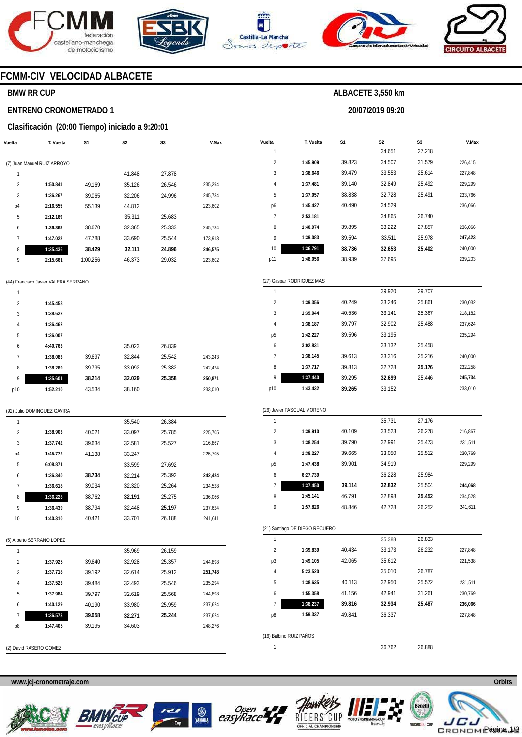





**Vuelta**  1 **T. Vuelta** 

**S1** 



**S2**  34.651

**20/07/2019 09:20** 

**ALBACETE 3,550 km** 

**S3**  27.218



**V.Max** 

### **FCMM-CIV VELOCIDAD ALBACETE**

### **BMW RR CUP**

#### **ENTRENO CRONOMETRADO 1**

#### **Clasificación (20:00 Tiempo) iniciado a 9:20:01**

| Vuelta         | T. Vuelta                   | S1       | S <sub>2</sub> | S <sub>3</sub> | V.Max   |
|----------------|-----------------------------|----------|----------------|----------------|---------|
|                | (7) Juan Manuel RUIZ ARROYO |          |                |                |         |
| 1              |                             |          | 41.848         | 27.878         |         |
| $\overline{2}$ | 1:50.841                    | 49.169   | 35.126         | 26.546         | 235,294 |
| 3              | 1:36.267                    | 39.065   | 32.206         | 24.996         | 245,734 |
| p4             | 2:16.555                    | 55.139   | 44.812         |                | 223,602 |
| 5              | 2:12.169                    |          | 35.311         | 25.683         |         |
| 6              | 1:36.368                    | 38.670   | 32.365         | 25.333         | 245.734 |
| 7              | 1:47.022                    | 47.788   | 33.690         | 25.544         | 173.913 |
| 8              | 1:35.436                    | 38.429   | 32.111         | 24.896         | 246,575 |
| 9              | 2:15.661                    | 1:00.256 | 46.373         | 29.032         | 223,602 |

#### (44) Francisco Javier VALERA SERRANO

| 1              |          |        |        |        |         |
|----------------|----------|--------|--------|--------|---------|
| $\overline{2}$ | 1:45.458 |        |        |        |         |
| 3              | 1:38.622 |        |        |        |         |
| 4              | 1:36.462 |        |        |        |         |
| 5              | 1:36.007 |        |        |        |         |
| 6              | 4:40.763 |        | 35.023 | 26.839 |         |
| 7              | 1:38.083 | 39.697 | 32.844 | 25.542 | 243,243 |
| 8              | 1:38.269 | 39.795 | 33.092 | 25.382 | 242,424 |
| 9              | 1:35.601 | 38.214 | 32.029 | 25.358 | 250,871 |
| p10            | 1:52.210 | 43.534 | 38.160 |        | 233,010 |

| $\overline{2}$ | 1:45.909                   | 39.823 | 34.507 | 31.579 | 226,415 |
|----------------|----------------------------|--------|--------|--------|---------|
| 3              | 1:38.646                   | 39.479 | 33.553 | 25.614 | 227,848 |
| 4              | 1:37.481                   | 39.140 | 32.849 | 25.492 | 229,299 |
| 5              | 1:37.057                   | 38.838 | 32.728 | 25.491 | 233,766 |
| p6             | 1:45.427                   | 40.490 | 34.529 |        | 236,066 |
| 7              | 2:53.181                   |        | 34.865 | 26.740 |         |
| 8              | 1:40.974                   | 39.895 | 33.222 | 27.857 | 236,066 |
| 9              | 1:39.083                   | 39.594 | 33.511 | 25.978 | 247,423 |
| 10             | 1:36.791                   | 38.736 | 32.653 | 25.402 | 240,000 |
| p11            | 1:48.056                   | 38.939 | 37.695 |        | 239,203 |
|                |                            |        |        |        |         |
|                | (27) Gaspar RODRIGUEZ MAS  |        |        |        |         |
| 1              |                            |        | 39.920 | 29.707 |         |
| $\overline{2}$ | 1:39.356                   | 40.249 | 33.246 | 25.861 | 230,032 |
| 3              | 1:39.044                   | 40.536 | 33.141 | 25.367 | 218,182 |
| 4              | 1:38.187                   | 39.797 | 32.902 | 25.488 | 237,624 |
| р5             | 1:42.227                   | 39.596 | 33.195 |        | 235,294 |
| 6              | 3:02.831                   |        | 33.132 | 25.458 |         |
| 7              | 1:38.145                   | 39.613 | 33.316 | 25.216 | 240,000 |
| 8              | 1:37.717                   | 39.813 | 32.728 | 25.176 | 232,258 |
| 9              | 1:37.440                   | 39.295 | 32.699 | 25.446 | 245,734 |
| p10            | 1:43.432                   | 39.265 | 33.152 |        | 233,010 |
|                |                            |        |        |        |         |
|                | (26) Javier PASCUAL MORENO |        |        |        |         |
| 1              |                            |        | 35.731 | 27.176 |         |
| $\overline{2}$ | 1:39.910                   | 40.109 | 33.523 | 26.278 | 216,867 |
| 3              | 1:38.254                   | 39.790 | 32.991 | 25.473 | 231,511 |
| 4              | 1:38.227                   | 39.665 | 33.050 | 25.512 | 230,769 |
| p <sub>5</sub> | 1:47.438                   | 39.901 | 34.919 |        | 229,299 |

| (92) Julio DOMINGUEZ GAVIRA |          |        |        |  |  |  |
|-----------------------------|----------|--------|--------|--|--|--|
|                             |          |        | 35.540 |  |  |  |
|                             | 1:38.903 | 40.021 | 33.097 |  |  |  |
|                             | 1:37.742 | 39.634 | 32.581 |  |  |  |

| 3  | 1:37.742 | 39.634 | 32.581 | 25.527 | 216,867 |
|----|----------|--------|--------|--------|---------|
| p4 | 1:45.772 | 41.138 | 33.247 |        | 225,705 |
| 5  | 6:08.871 |        | 33.599 | 27.692 |         |
| 6  | 1:36.340 | 38.734 | 32.214 | 25.392 | 242.424 |
| 7  | 1:36.618 | 39.034 | 32.320 | 25.264 | 234,528 |
| 8  | 1:36.228 | 38.762 | 32.191 | 25.275 | 236.066 |
| 9  | 1:36.439 | 38.794 | 32.448 | 25.197 | 237,624 |
| 10 | 1:40.310 | 40.421 | 33.701 | 26.188 | 241,611 |
|    |          |        |        |        |         |

26.384 25.785 25.527

225,705

#### (5) Alberto SERRANO LOPEZ

| 1              |          |        | 35.969 | 26.159 |         |
|----------------|----------|--------|--------|--------|---------|
| $\overline{2}$ | 1:37.925 | 39.640 | 32.928 | 25.357 | 244.898 |
| 3              | 1:37.718 | 39.192 | 32.614 | 25.912 | 251,748 |
| 4              | 1:37.523 | 39.484 | 32.493 | 25.546 | 235.294 |
| 5              | 1:37.984 | 39.797 | 32.619 | 25.568 | 244.898 |
| 6              | 1:40.129 | 40.190 | 33.980 | 25.959 | 237.624 |
| 7              | 1:36.573 | 39.058 | 32.271 | 25.244 | 237.624 |
| p8             | 1:47.405 | 39.195 | 34.603 |        | 248.276 |
|                |          |        |        |        |         |

| H.                      |                                |        |        |        |         |
|-------------------------|--------------------------------|--------|--------|--------|---------|
| 6                       | 6:27.739                       |        | 36.228 | 25.984 |         |
| 7                       | 1:37.450                       | 39.114 | 32.832 | 25.504 | 244,068 |
| 8                       | 1:45.141                       | 46.791 | 32.898 | 25.452 | 234,528 |
| 9                       | 1:57.826                       | 48.846 | 42.728 | 26.252 | 241,611 |
|                         |                                |        |        |        |         |
|                         | (21) Santiago DE DIEGO RECUERO |        |        |        |         |
| 1                       |                                |        | 35.388 | 26.833 |         |
| 2                       | 1:39.839                       | 40.434 | 33.173 | 26.232 | 227,848 |
| p3                      | 1:49.105                       | 42.065 | 35.612 |        | 221,538 |
| 4                       | 5:23.520                       |        | 35.010 | 26.787 |         |
| 5                       | 1:38.635                       | 40.113 | 32.950 | 25.572 | 231,511 |
| 6                       | 1:55.358                       | 41.156 | 42.941 | 31.261 | 230,769 |
| 7                       | 1:38.237                       | 39.816 | 32.934 | 25.487 | 236,066 |
| p8                      | 1:59.337                       | 49.841 | 36.337 |        | 227,848 |
|                         |                                |        |        |        |         |
| (16) Balbino RUIZ PAÑOS |                                |        |        |        |         |

1

36.762 26.888

**www.jcj-cronometraje.com Orbits** 



(2) David RASERO GOMEZ







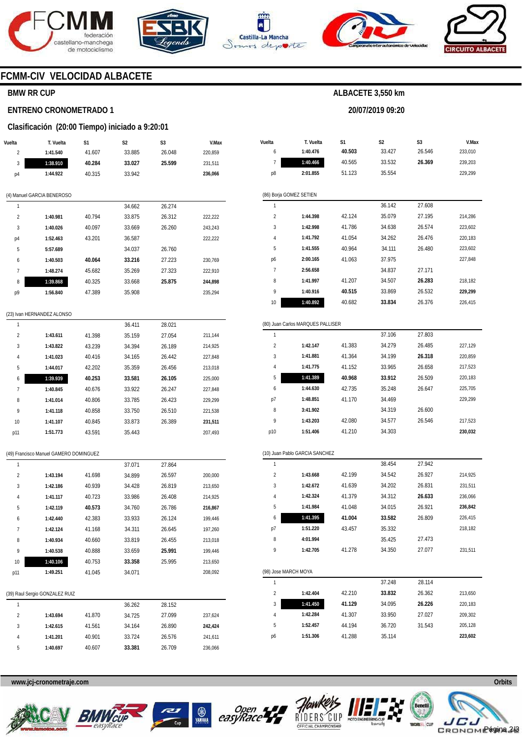







**20/07/2019 09:20** 



### **FCMM-CIV VELOCIDAD ALBACETE**

### **BMW RR CUP**

#### **ENTRENO CRONOMETRADO 1**

#### **Clasificación (20:00 Tiempo) iniciado a 9:20:01**

| Vuelta                  | T. Vuelta                              | S1     | S <sub>2</sub> | S3     | V.Max   |
|-------------------------|----------------------------------------|--------|----------------|--------|---------|
| 2                       | 1:41.540                               | 41.607 | 33.885         | 26.048 | 220,859 |
| 3                       | 1:38.910                               | 40.284 | 33.027         | 25.599 | 231,511 |
| p4                      | 1:44.922                               | 40.315 | 33.942         |        | 236,066 |
|                         |                                        |        |                |        |         |
|                         | (4) Manuel GARCIA BENEROSO             |        |                |        |         |
| 1                       |                                        |        | 34.662         | 26.274 |         |
| $\overline{2}$          | 1:40.981                               | 40.794 | 33.875         | 26.312 | 222,222 |
| 3                       | 1:40.026                               | 40.097 | 33.669         | 26.260 | 243,243 |
| p4                      | 1:52.463                               | 43.201 | 36.587         |        | 222,222 |
| 5                       | 5:57.689                               |        | 34.037         | 26.760 |         |
| 6                       | 1:40.503                               | 40.064 | 33.216         | 27.223 | 230,769 |
| 7                       | 1:48.274                               | 45.682 | 35.269         | 27.323 | 222,910 |
| 8                       | 1:39.868                               | 40.325 | 33.668         | 25.875 | 244,898 |
| p9                      | 1:56.840                               | 47.389 | 35.908         |        | 235,294 |
|                         |                                        |        |                |        |         |
|                         | (23) Ivan HERNANDEZ ALONSO             |        |                |        |         |
| 1                       |                                        |        | 36.411         | 28.021 |         |
| $\overline{2}$          | 1:43.611                               | 41.398 | 35.159         | 27.054 | 211,144 |
| 3                       | 1:43.822                               | 43.239 | 34.394         | 26.189 | 214,925 |
| 4                       | 1:41.023                               | 40.416 | 34.165         | 26.442 | 227,848 |
| 5                       | 1:44.017                               | 42.202 | 35.359         | 26.456 | 213,018 |
| 6                       | 1:39.939                               | 40.253 | 33.581         | 26.105 | 225,000 |
| 7                       | 1:40.845                               | 40.676 | 33.922         | 26.247 | 227,848 |
| 8                       | 1:41.014                               | 40.806 | 33.785         | 26.423 | 229,299 |
| 9                       | 1:41.118                               | 40.858 | 33.750         | 26.510 | 221,538 |
| 10                      | 1:41.107                               | 40.845 | 33.873         | 26.389 | 231,511 |
| p11                     | 1:51.773                               | 43.591 | 35.443         |        | 207,493 |
|                         |                                        |        |                |        |         |
|                         | (49) Francisco Manuel GAMERO DOMINGUEZ |        |                |        |         |
| 1                       |                                        |        | 37.071         | 27.864 |         |
| $\overline{\mathbf{c}}$ | 1:43.194                               | 41.698 | 34.899         | 26.597 | 200,000 |
| 3                       | 1:42.186                               | 40.939 | 34.428         | 26.819 | 213,650 |
| 4                       | 1:41.117                               | 40.723 | 33.986         | 26.408 | 214,925 |
| 5                       | 1:42.119                               | 40.573 | 34.760         | 26.786 | 216,867 |
| 6                       | 1:42.440                               | 42.383 | 33.933         | 26.124 | 199,446 |
| 7                       | 1:42.124                               | 41.168 | 34.311         | 26.645 | 197,260 |
| 8                       | 1:40.934                               | 40.660 | 33.819         | 26.455 | 213,018 |
| 9                       | 1:40.538                               | 40.888 | 33.659         | 25.991 | 199,446 |
| 10                      | 1:40.106                               | 40.753 | 33.358         | 25.995 | 213,650 |
| p11                     | 1:49.251                               | 41.045 | 34.071         |        | 208,092 |
|                         |                                        |        |                |        |         |
|                         | (39) Raul Sergio GONZALEZ RUIZ         |        |                |        |         |
| 1                       |                                        |        | 36.262         | 28.152 |         |
| 2                       | 1:43.694                               | 41.870 | 34.725         | 27.099 | 237,624 |
| 3                       | 1:42.615                               | 41.561 | 34.164         | 26.890 | 242,424 |
| 4                       | 1:41.201                               | 40.901 | 33.724         | 26.576 | 241,611 |
| 5                       | 1:40.697                               | 40.607 | 33.381         | 26.709 | 236,066 |

| Vuelta         | T. Vuelta                         | S <sub>1</sub> | S <sub>2</sub> | S <sub>3</sub> | V.Max   |
|----------------|-----------------------------------|----------------|----------------|----------------|---------|
| 6              | 1:40.476                          | 40.503         | 33.427         | 26.546         | 233,010 |
| 7              | 1:40.466                          | 40.565         | 33.532         | 26.369         | 239,203 |
| p8             | 2:01.855                          | 51.123         | 35.554         |                | 229,299 |
|                |                                   |                |                |                |         |
|                | (86) Borja GOMEZ SETIEN           |                |                |                |         |
| 1              |                                   |                | 36.142         | 27.608         |         |
| $\overline{2}$ | 1:44.398                          | 42.124         | 35.079         | 27.195         | 214,286 |
| 3              | 1:42.998                          | 41.786         | 34.638         | 26.574         | 223,602 |
| 4              | 1:41.792                          | 41.054         | 34.262         | 26.476         | 220,183 |
| 5              | 1:41.555                          | 40.964         | 34.111         | 26.480         | 223,602 |
| p6             | 2:00.165                          | 41.063         | 37.975         |                | 227,848 |
| $\overline{1}$ | 2:56.658                          |                | 34.837         | 27.171         |         |
| 8              | 1:41.997                          | 41.207         | 34.507         | 26.283         | 218,182 |
| 9              | 1:40.916                          | 40.515         | 33.869         | 26.532         | 229,299 |
| 10             | 1:40.892                          | 40.682         | 33.834         | 26.376         | 226,415 |
|                |                                   |                |                |                |         |
|                | (80) Juan Carlos MARQUES PALLISER |                |                |                |         |
| 1              |                                   |                | 37.106         | 27.803         |         |
| $\overline{2}$ | 1:42.147                          | 41.383         | 34.279         | 26.485         | 227,129 |
| 3              | 1:41.881                          | 41.364         | 34.199         | 26.318         | 220,859 |
| 4              | 1:41.775                          | 41.152         | 33.965         | 26.658         | 217,523 |
| 5              | 1:41.389                          | 40.968         | 33.912         | 26.509         | 220,183 |
|                |                                   |                |                |                |         |

| 6   | 1:44.630 | 42.735 | 35.248 | 26.647 | 225,705 |
|-----|----------|--------|--------|--------|---------|
| p7  | 1:48.851 | 41.170 | 34.469 |        | 229.299 |
| 8   | 3:41.902 |        | 34.319 | 26.600 |         |
| 9   | 1:43.203 | 42.080 | 34.577 | 26.546 | 217,523 |
| p10 | 1:51.406 | 41.210 | 34.303 |        | 230,032 |
|     |          |        |        |        |         |

|                | (10) Juan Pablo GARCIA SANCHEZ |        |        |        |         |  |  |  |  |
|----------------|--------------------------------|--------|--------|--------|---------|--|--|--|--|
| 1              |                                |        | 38.454 | 27.942 |         |  |  |  |  |
| $\mathfrak{p}$ | 1:43.668                       | 42.199 | 34.542 | 26.927 | 214.925 |  |  |  |  |
| 3              | 1:42.672                       | 41.639 | 34.202 | 26.831 | 231.511 |  |  |  |  |
| 4              | 1:42.324                       | 41.379 | 34.312 | 26.633 | 236.066 |  |  |  |  |
| 5              | 1:41.984                       | 41.048 | 34.015 | 26.921 | 236.842 |  |  |  |  |
| 6              | 1:41.395                       | 41.004 | 33.582 | 26.809 | 226.415 |  |  |  |  |
| p7             | 1:51.220                       | 43.457 | 35.332 |        | 218,182 |  |  |  |  |
| 8              | 4:01.994                       |        | 35.425 | 27.473 |         |  |  |  |  |
| 9              | 1:42.705                       | 41.278 | 34.350 | 27.077 | 231.511 |  |  |  |  |
|                |                                |        |        |        |         |  |  |  |  |

(98) Jose MARCH MOYA 1  $\overline{2}$ 3 4 5 p6 **1:42.404 1:41.450 1:42.284 1:52.457 1:51.306**  42.210 **41.129**  41.307 44.194 41.288 37.248 **33.832**  34.095 33.950 36.720 35.114 28.114 26.362 **26.226**  27.027 31.543 213,650 220,183 209,302 205,128 **223,602** 









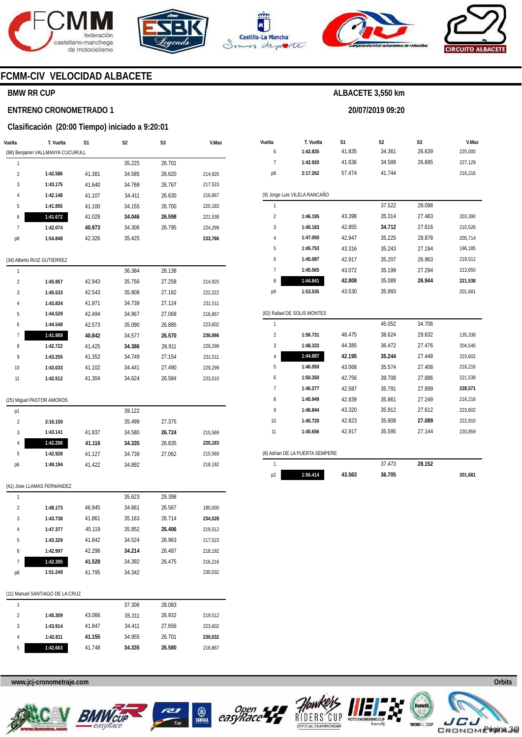







**20/07/2019 09:20** 



### **FCMM-CIV VELOCIDAD ALBACETE**

### **BMW RR CUP**

#### **ENTRENO CRONOMETRADO 1**

#### **Clasificación (20:00 Tiempo) iniciado a 9:20:01**

| Vuelta                  | T. Vuelta                        | S1     | S2     | S3     | V.Max   |
|-------------------------|----------------------------------|--------|--------|--------|---------|
|                         | (88) Benjamin VALLMANYA CUCURULL |        |        |        |         |
| 1                       |                                  |        | 35.225 | 26.701 |         |
| $\overline{\mathbf{c}}$ | 1:42.586                         | 41.381 | 34.585 | 26.620 | 214,925 |
| 3                       | 1:43.175                         | 41.640 | 34.768 | 26.767 | 217,523 |
| 4                       | 1:42.148                         | 41.107 | 34.411 | 26.630 | 216,867 |
| 5                       | 1:41.955                         | 41.100 | 34.155 | 26.700 | 220,183 |
| 6                       | 1:41.672                         | 41.028 | 34.046 | 26.598 | 221,538 |
| 7                       | 1:42.074                         | 40.973 | 34.306 | 26.795 | 224,299 |
| p8                      | 1:54.848                         | 42.326 | 35.425 |        | 233,766 |
|                         | (34) Alberto RUIZ GUTIERREZ      |        |        |        |         |
| 1                       |                                  |        | 36.384 | 28.138 |         |
| $\overline{\mathbf{c}}$ | 1:45.957                         | 42.943 | 35.756 | 27.258 | 214,925 |
| 3                       | 1:45.533                         | 42.543 | 35.808 | 27.182 | 222,222 |
| 4                       | 1:43.834                         | 41.971 | 34.739 | 27.124 | 231,511 |
| 5                       | 1:44.529                         | 42.494 | 34.967 | 27.068 | 216,867 |
| 6                       | 1:44.548                         | 42.573 | 35.090 | 26.885 | 223,602 |
| 7                       | 1:41.989                         | 40.842 | 34.577 | 26.570 | 236,066 |
| 8                       | 1:42.722                         | 41.425 | 34.386 | 26.911 | 229,299 |
| 9                       | 1:43.255                         | 41.352 | 34.749 | 27.154 | 231,511 |
| 10                      | 1:43.033                         | 41.102 | 34.441 | 27.490 | 229,299 |
| 11                      | 1:42.512                         | 41.304 | 34.624 | 26.584 | 233,010 |
|                         | (25) Miguel PASTOR AMOROS        |        |        |        |         |
| p1                      |                                  |        | 39.122 |        |         |
| $\overline{2}$          | 3:16.150                         |        | 35.499 | 27.375 |         |
| 3                       | 1:43.141                         | 41.837 | 34.580 | 26.724 | 215,569 |
| 4                       | 1:42.286                         | 41.116 | 34.335 | 26.835 | 220,183 |
| 5                       | 1:42.928                         | 41.127 | 34.739 | 27.062 | 215,569 |
| p6                      | 1:49.194                         | 41.422 | 34.892 |        | 218,182 |
|                         | (41) Jose LLAMAS FERNANDEZ       |        |        |        |         |
| 1                       |                                  |        | 35.623 | 29.398 |         |
| $\overline{\mathbf{c}}$ | 1:48.173                         | 46.945 | 34.661 | 26.567 | 180,000 |
| 3                       | 1:43.738                         | 41.861 | 35.163 | 26.714 | 234,528 |
| 4                       | 1:47.377                         | 45.119 | 35.852 | 26.406 | 219,512 |
| 5                       | 1:43.329                         | 41.842 | 34.524 | 26.963 | 217,523 |
| 6                       | 1:42.997                         | 42.296 | 34.214 | 26.487 | 218,182 |
| 7                       | 1:42.395                         | 41.528 | 34.392 | 26.475 | 216,216 |
| p8                      | 1:51.249                         | 41.795 | 34.342 |        | 230,032 |
|                         | (11) Manuel SANTIAGO DE LA CRUZ  |        |        |        |         |
| 1                       |                                  |        | 27.204 | 28 U83 |         |

| Vuelta | T. Vuelta                       | S1     | S <sub>2</sub> | S3     | V.Max   |
|--------|---------------------------------|--------|----------------|--------|---------|
| 6      | 1:42.835                        | 41.835 | 34.361         | 26.639 | 225,000 |
| 7      | 1:42.920                        | 41.636 | 34.589         | 26.695 | 227,129 |
| p8     | 2:17.262                        | 57.474 | 41.744         |        | 216,216 |
|        | (9) Jorge Luis VILELA RANCAÑO   |        |                |        |         |
| 1      |                                 |        | 37.522         | 28.098 |         |
| 2      | 1:46.195                        | 43.398 | 35.314         | 27.483 | 203,390 |
| 3      | 1:45.183                        | 42.855 | 34.712         | 27.616 | 210,526 |
| 4      | 1:47.050                        | 42.947 | 35.225         | 28.878 | 205,714 |
| 5      | 1:45.753                        | 43.316 | 35.243         | 27.194 | 196,185 |
| 6      | 1:45.087                        | 42.917 | 35.207         | 26.963 | 219,512 |
| 7      | 1:45.565                        | 43.072 | 35.199         | 27.294 | 213,650 |
| 8      | 1:44.841                        | 42.808 | 35.089         | 26.944 | 221,538 |
| p9     | 1:53.535                        | 43.530 | 35.993         |        | 201,681 |
|        | (62) Rafael DE SOLIS MONTES     |        |                |        |         |
| 1      |                                 |        | 45.052         | 34.706 |         |
| 2      | 1:56.731                        | 48.475 | 38.624         | 29.632 | 135,338 |
| 3      | 1:48.333                        | 44.385 | 36.472         | 27.476 | 204,545 |
| 4      | 1:44.887                        | 42.195 | 35.244         | 27.448 | 223,602 |
| 5      | 1:46.050                        | 43.068 | 35.574         | 27.408 | 216,216 |
| 6      | 1:50.350                        | 42.756 | 39.708         | 27.886 | 221,538 |
| 7      | 1:46.277                        | 42.587 | 35.791         | 27.899 | 228,571 |
| 8      | 1:45.949                        | 42.839 | 35.861         | 27.249 | 216,216 |
| 9      | 1:46.844                        | 43.320 | 35.912         | 27.612 | 223,602 |
| 10     | 1:45.720                        | 42.823 | 35.808         | 27.089 | 222,910 |
| 11     | 1:45.656                        | 42.917 | 35.595         | 27.144 | 220,859 |
|        |                                 |        |                |        |         |
|        | (8) Adrian DE LA PUERTA SEMPERE |        |                |        |         |
| 1      |                                 |        | 37.473         | 28.152 |         |

|   |          |        | 37.306 | 28.083 |         |
|---|----------|--------|--------|--------|---------|
| 2 | 1:45.309 | 43.066 | 35.311 | 26.932 | 219.512 |
| 3 | 1:43.914 | 41.847 | 34.411 | 27.656 | 223,602 |
| 4 | 1:42.811 | 41.155 | 34.955 | 26.701 | 230,032 |
| 5 | 1:42.663 | 41.748 | 34.335 | 26.580 | 216,867 |









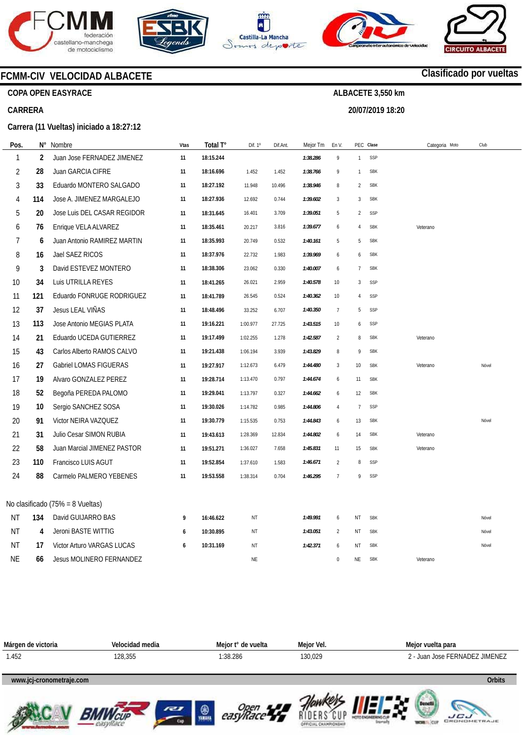









### **FCMM-CIV VELOCIDAD ALBACETE**

**COPA OPEN EASYRACE** 

#### **CARRERA**

#### **Carrera (11 Vueltas) iniciado a 18:27:12**

| Pos.      | N°  | Nombre                            | Vtas | Total T°  | Dif. 1º   | Dif.Ant. | Mejor Tm | En V             |                | PEC Clase  | Categoria Moto | Club  |
|-----------|-----|-----------------------------------|------|-----------|-----------|----------|----------|------------------|----------------|------------|----------------|-------|
| 1         | 2   | Juan Jose FERNADEZ JIMENEZ        | 11   | 18:15.244 |           |          | 1:38.286 | $\boldsymbol{9}$ | $\mathbf{1}$   | SSP        |                |       |
| 2         | 28  | Juan GARCIA CIFRE                 | 11   | 18:16.696 | 1.452     | 1.452    | 1:38.766 | 9                | 1              | <b>SBK</b> |                |       |
| 3         | 33  | Eduardo MONTERO SALGADO           | 11   | 18:27.192 | 11.948    | 10.496   | 1:38.946 | 8                | $\overline{2}$ | <b>SBK</b> |                |       |
| 4         | 114 | Jose A. JIMENEZ MARGALEJO         | 11   | 18:27.936 | 12.692    | 0.744    | 1:39.602 | $\mathbf{3}$     | 3              | <b>SBK</b> |                |       |
| 5         | 20  | Jose Luis DEL CASAR REGIDOR       | 11   | 18:31.645 | 16.401    | 3.709    | 1:39.051 | 5                | $\overline{2}$ | SSP        |                |       |
| 6         | 76  | Enrique VELA ALVAREZ              | 11   | 18:35.461 | 20.217    | 3.816    | 1:39.677 | 6                | 4              | <b>SBK</b> | Veterano       |       |
| 7         | 6   | Juan Antonio RAMIREZ MARTIN       | 11   | 18:35.993 | 20.749    | 0.532    | 1:40.161 | 5                | 5              | <b>SBK</b> |                |       |
| 8         | 16  | Jael SAEZ RICOS                   | 11   | 18:37.976 | 22.732    | 1.983    | 1:39.969 | 6                | 6              | <b>SBK</b> |                |       |
| 9         | 3   | David ESTEVEZ MONTERO             | 11   | 18:38.306 | 23.062    | 0.330    | 1:40.007 | 6                | $\overline{7}$ | <b>SBK</b> |                |       |
| 10        | 34  | Luis UTRILLA REYES                | 11   | 18:41.265 | 26.021    | 2.959    | 1:40.578 | 10               | 3              | SSP        |                |       |
| 11        | 121 | Eduardo FONRUGE RODRIGUEZ         | 11   | 18:41.789 | 26.545    | 0.524    | 1:40.362 | 10               | 4              | SSP        |                |       |
| 12        | 37  | Jesus LEAL VIÑAS                  | 11   | 18:48.496 | 33.252    | 6.707    | 1:40.350 | $\overline{7}$   | 5              | SSP        |                |       |
| 13        | 113 | Jose Antonio MEGIAS PLATA         | 11   | 19:16.221 | 1:00.977  | 27.725   | 1:43.515 | 10               | 6              | SSP        |                |       |
| 14        | 21  | Eduardo UCEDA GUTIERREZ           | 11   | 19:17.499 | 1:02.255  | 1.278    | 1:42.587 | $\overline{2}$   | 8              | <b>SBK</b> | Veterano       |       |
| 15        | 43  | Carlos Alberto RAMOS CALVO        | 11   | 19:21.438 | 1:06.194  | 3.939    | 1:43.829 | 8                | $\mathsf{Q}$   | <b>SBK</b> |                |       |
| 16        | 27  | <b>Gabriel LOMAS FIGUERAS</b>     | 11   | 19:27.917 | 1:12.673  | 6.479    | 1:44.480 | 3                | 10             | <b>SBK</b> | Veterano       | Nóvel |
| 17        | 19  | Alvaro GONZALEZ PEREZ             | 11   | 19:28.714 | 1:13.470  | 0.797    | 1:44.674 | 6                | 11             | <b>SBK</b> |                |       |
| 18        | 52  | Begoña PEREDA PALOMO              | 11   | 19:29.041 | 1:13.797  | 0.327    | 1:44.662 | 6                | 12             | <b>SBK</b> |                |       |
| 19        | 10  | Sergio SANCHEZ SOSA               | 11   | 19:30.026 | 1:14.782  | 0.985    | 1:44.806 | $\overline{4}$   | $\overline{7}$ | SSP        |                |       |
| 20        | 91  | Victor NEIRA VAZQUEZ              | 11   | 19:30.779 | 1:15.535  | 0.753    | 1:44.843 | 6                | 13             | <b>SBK</b> |                | Nóvel |
| 21        | 31  | Julio Cesar SIMON RUBIA           | 11   | 19:43.613 | 1:28.369  | 12.834   | 1:44.802 | 6                | 14             | <b>SBK</b> | Veterano       |       |
| 22        | 58  | Juan Marcial JIMENEZ PASTOR       | 11   | 19:51.271 | 1:36.027  | 7.658    | 1:45.831 | 11               | 15             | <b>SBK</b> | Veterano       |       |
| 23        | 110 | Francisco LUIS AGUT               | 11   | 19:52.854 | 1:37.610  | 1.583    | 1:46.671 | $\overline{2}$   | 8              | SSP        |                |       |
| 24        | 88  | Carmelo PALMERO YEBENES           | 11   | 19:53.558 | 1:38.314  | 0.704    | 1:46.295 | $\overline{7}$   | 9              | SSP        |                |       |
|           |     |                                   |      |           |           |          |          |                  |                |            |                |       |
|           |     | No clasificado (75% = 8 Vueltas)  |      |           |           |          |          |                  |                |            |                |       |
| ΝT        | 134 | David GUIJARRO BAS                | 9    | 16:46.622 | <b>NT</b> |          | 1:49.991 | 6                | NT             | <b>SBK</b> |                | Nóvel |
| ΝT        | 4   | Jeroni BASTE WITTIG               | 6    | 10:30.895 | ΝT        |          | 1:43.051 | $\overline{2}$   | ΝT             | <b>SBK</b> |                | Nóvel |
| ΝT        | 17  | <b>Victor Arturo VARGAS LUCAS</b> | 6    | 10:31.169 | ΝT        |          | 1:42.371 | 6                | ΝT             | <b>SBK</b> |                | Nóvel |
| <b>NE</b> | 66  | <b>Jesus MOLINERO FERNANDEZ</b>   |      |           | NE        |          |          | $\boldsymbol{0}$ | NE             | <b>SBK</b> | Veterano       |       |















### **Clasificado por vueltas**

**ALBACETE 3,550 km 20/07/2019 18:20**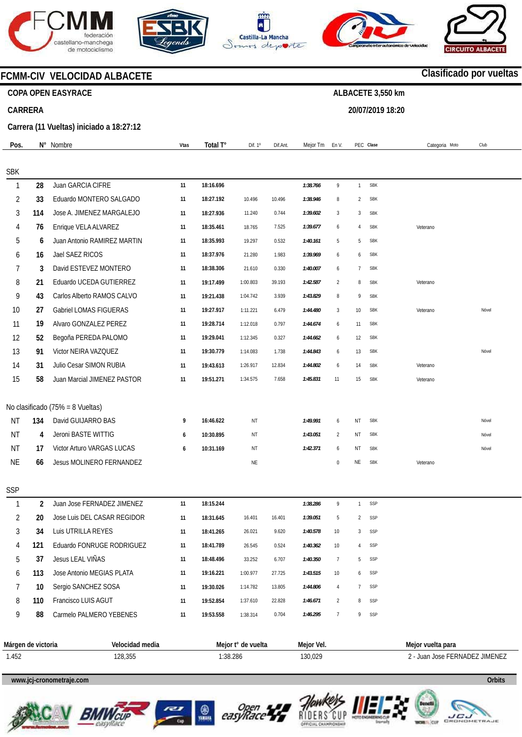







**20/07/2019 18:20** 



**Clasificado por vueltas**

### **FCMM-CIV VELOCIDAD ALBACETE**

### **COPA OPEN EASYRACE**

### **CARRERA**

**Carrera (11 Vueltas) iniciado a 18:27:12** 

| Pos.           |                | N° Nombre                        | <b>Vtas</b> | Total T°               | Dif. 1º   | Dif.Ant. | Mejor Tm             | En V.            |                | PEC Clase  | Categoria Moto | Club  |  |
|----------------|----------------|----------------------------------|-------------|------------------------|-----------|----------|----------------------|------------------|----------------|------------|----------------|-------|--|
| <b>SBK</b>     |                |                                  |             |                        |           |          |                      |                  |                |            |                |       |  |
| $\mathbf{1}$   | 28             | Juan GARCIA CIFRE                | 11          | 18:16.696              |           |          | 1:38.766             | $\overline{9}$   | $\mathbf{1}$   | <b>SBK</b> |                |       |  |
| $\overline{2}$ | 33             | Eduardo MONTERO SALGADO          | 11          | 18:27.192              | 10.496    | 10.496   | 1:38.946             | 8                | $\overline{2}$ | <b>SBK</b> |                |       |  |
| 3              | 114            | Jose A. JIMENEZ MARGALEJO        | 11          | 18:27.936              | 11.240    | 0.744    | 1:39.602             | 3                | 3              | <b>SBK</b> |                |       |  |
| 4              | 76             | Enrique VELA ALVAREZ             | 11          | 18:35.461              | 18.765    | 7.525    | 1:39.677             | 6                | $\overline{4}$ | <b>SBK</b> | Veterano       |       |  |
| 5              | 6              | Juan Antonio RAMIREZ MARTIN      | 11          | 18:35.993              | 19.297    | 0.532    | 1:40.161             | 5                | 5              | <b>SBK</b> |                |       |  |
|                | 16             | Jael SAEZ RICOS                  | 11          | 18:37.976              | 21.280    | 1.983    |                      | 6                | 6              | <b>SBK</b> |                |       |  |
| 6<br>7         | 3              | David ESTEVEZ MONTERO            | 11          |                        |           | 0.330    | 1:39.969<br>1:40.007 | 6                | $\overline{7}$ | <b>SBK</b> |                |       |  |
| 8              | 21             | Eduardo UCEDA GUTIERREZ          |             | 18:38.306<br>19:17.499 | 21.610    |          |                      |                  | 8              | <b>SBK</b> |                |       |  |
|                |                | Carlos Alberto RAMOS CALVO       | 11          |                        | 1:00.803  | 39.193   | 1:42.587             | $\overline{2}$   |                | <b>SBK</b> | Veterano       |       |  |
| 9              | 43             |                                  | 11          | 19:21.438              | 1:04.742  | 3.939    | 1:43.829             | 8                | 9              |            |                |       |  |
| 10             | 27             | Gabriel LOMAS FIGUERAS           | 11          | 19:27.917              | 1:11.221  | 6.479    | 1:44.480             | $\sqrt{3}$       | 10             | <b>SBK</b> | Veterano       | Nóvel |  |
| 11             | 19             | Alvaro GONZALEZ PEREZ            | 11          | 19:28.714              | 1:12.018  | 0.797    | 1:44.674             | 6                | 11             | <b>SBK</b> |                |       |  |
| 12             | 52             | Begoña PEREDA PALOMO             | 11          | 19:29.041              | 1:12.345  | 0.327    | 1:44.662             | 6                | 12             | <b>SBK</b> |                |       |  |
| 13             | 91             | Victor NEIRA VAZQUEZ             | 11          | 19:30.779              | 1:14.083  | 1.738    | 1:44.843             | 6                | 13             | <b>SBK</b> |                | Nóvel |  |
| 14             | 31             | Julio Cesar SIMON RUBIA          | 11          | 19:43.613              | 1:26.917  | 12.834   | 1:44.802             | 6                | 14             | <b>SBK</b> | Veterano       |       |  |
| 15             | 58             | Juan Marcial JIMENEZ PASTOR      | 11          | 19:51.271              | 1:34.575  | 7.658    | 1:45.831             | 11               | 15             | <b>SBK</b> | Veterano       |       |  |
|                |                | No clasificado (75% = 8 Vueltas) |             |                        |           |          |                      |                  |                |            |                |       |  |
| <b>NT</b>      | 134            | David GUIJARRO BAS               | 9           | 16:46.622              | ΝT        |          | 1:49.991             | 6                | NT             | <b>SBK</b> |                | Nóvel |  |
| <b>NT</b>      | 4              | Jeroni BASTE WITTIG              | 6           | 10:30.895              | ΝT        |          | 1:43.051             | $\overline{2}$   | NT             | <b>SBK</b> |                | Nóvel |  |
| <b>NT</b>      | 17             | Victor Arturo VARGAS LUCAS       | 6           | 10:31.169              | ΝT        |          | 1:42.371             | 6                | ΝT             | <b>SBK</b> |                | Nóvel |  |
| <b>NE</b>      | 66             | Jesus MOLINERO FERNANDEZ         |             |                        | <b>NE</b> |          |                      | $\boldsymbol{0}$ | NE             | <b>SBK</b> | Veterano       |       |  |
|                |                |                                  |             |                        |           |          |                      |                  |                |            |                |       |  |
| <b>SSP</b>     |                |                                  |             |                        |           |          |                      |                  |                |            |                |       |  |
| $\mathbf{1}$   | $\overline{2}$ | Juan Jose FERNADEZ JIMENEZ       | 11          | 18:15.244              |           |          | 1:38.286             | $\,9$            | $\mathbf{1}$   | SSP        |                |       |  |
| $\overline{2}$ | 20             | Jose Luis DEL CASAR REGIDOR      | 11          | 18:31.645              | 16.401    | 16.401   | 1:39.051             | 5                | $\overline{c}$ | SSP        |                |       |  |
| 3              | 34             | Luis UTRILLA REYES               | 11          | 18:41.265              | 26.021    | 9.620    | 1:40.578             | 10               | 3              | SSP        |                |       |  |
| 4              | 121            | Eduardo FONRUGE RODRIGUEZ        | 11          | 18:41.789              | 26.545    | 0.524    | 1:40.362             | 10               | $\overline{4}$ | SSP        |                |       |  |
| 5              | 37             | Jesus LEAL VIÑAS                 | 11          | 18:48.496              | 33.252    | 6.707    | 1:40.350             | $\overline{7}$   | 5              | SSP        |                |       |  |
| 6              | 113            | Jose Antonio MEGIAS PLATA        | 11          | 19:16.221              | 1:00.977  | 27.725   | 1:43.515             | 10 <sup>10</sup> | 6              | SSP        |                |       |  |

| Márgen de victoria | Velocidad media | Meior t°<br>de vuelta | Meior Vel. | Meior vuelta para                |
|--------------------|-----------------|-----------------------|------------|----------------------------------|
| 1.452              | 128,355         | :38.286               | 130,029    | ' JIMENEZ<br>Juan Jose FERNADEZ. |

1:14.782 1:37.610 1:38.314

13.805 22.828 0.704

*1:44.806 1:46.671 1:46.295* 

4  $\overline{2}$ 7

7 8 9

SSP SSP SSP

#### **www.jcj-cronometraje.com Orbits**



7 8 9

**10 110 88**  Sergio SANCHEZ SOSA Francisco LUIS AGUT

Carmelo PALMERO YEBENES



**11 11 11** 

**19:30.026 19:52.854 19:53.558** 







**www.mylaps.com**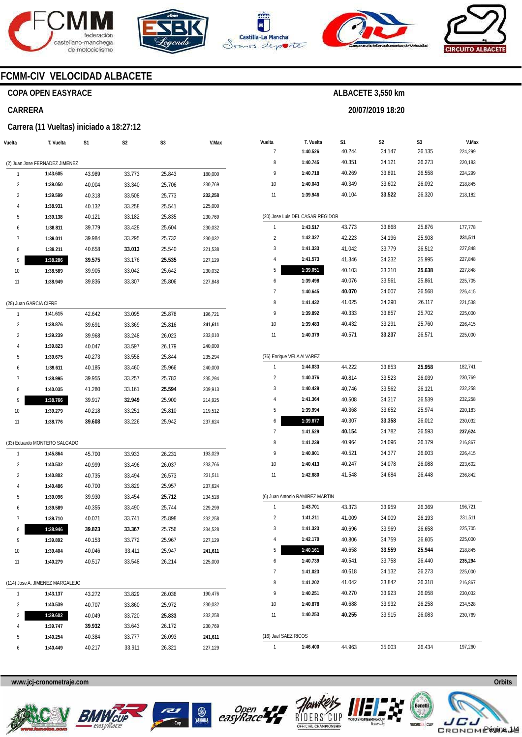







**20/07/2019 18:20** 



### **FCMM-CIV VELOCIDAD ALBACETE**

### **COPA OPEN EASYRACE**

#### **CARRERA**

#### **Carrera (11 Vueltas) iniciado a 18:27:12**

| Vuelta                  | T. Vuelta                       | S1     | S2     | S3     | V.Max   |
|-------------------------|---------------------------------|--------|--------|--------|---------|
|                         |                                 |        |        |        |         |
|                         | (2) Juan Jose FERNADEZ JIMENEZ  |        |        |        |         |
| 1                       | 1:43.605                        | 43.989 | 33.773 | 25.843 | 180,000 |
| 2                       | 1:39.050                        | 40.004 | 33.340 | 25.706 | 230,769 |
| 3                       | 1:39.599                        | 40.318 | 33.508 | 25.773 | 232,258 |
| 4                       | 1:38.931                        | 40.132 | 33.258 | 25.541 | 225,000 |
| 5                       | 1:39.138                        | 40.121 | 33.182 | 25.835 | 230,769 |
| 6                       | 1:38.811                        | 39.779 | 33.428 | 25.604 | 230,032 |
| 7                       | 1:39.011                        | 39.984 | 33.295 | 25.732 | 230,032 |
| 8                       | 1:39.211                        | 40.658 | 33.013 | 25.540 | 221,538 |
| 9                       | 1:38.286                        | 39.575 | 33.176 | 25.535 | 227,129 |
| 10                      | 1:38.589                        | 39.905 | 33.042 | 25.642 | 230,032 |
| 11                      | 1:38.949                        | 39.836 | 33.307 | 25.806 | 227,848 |
|                         |                                 |        |        |        |         |
| (28) Juan GARCIA CIFRE  |                                 |        |        |        |         |
| 1                       | 1:41.615                        | 42.642 | 33.095 | 25.878 | 196,721 |
| 2                       | 1:38.876                        | 39.691 | 33.369 | 25.816 | 241,611 |
| 3                       | 1:39.239                        | 39.968 | 33.248 | 26.023 | 233,010 |
| 4                       | 1:39.823                        | 40.047 | 33.597 | 26.179 | 240,000 |
| 5                       | 1:39.675                        | 40.273 | 33.558 | 25.844 | 235,294 |
| 6                       | 1:39.611                        | 40.185 | 33.460 | 25.966 | 240,000 |
| 7                       | 1:38.995                        | 39.955 | 33.257 | 25.783 | 235,294 |
| 8                       | 1:40.035                        | 41.280 | 33.161 | 25.594 | 209,913 |
| 9                       | 1:38.766                        | 39.917 | 32.949 | 25.900 | 214,925 |
| 10                      | 1:39.279                        | 40.218 | 33.251 | 25.810 | 219,512 |
| 11                      | 1:38.776                        | 39.608 | 33.226 | 25.942 | 237,624 |
|                         |                                 |        |        |        |         |
|                         | (33) Eduardo MONTERO SALGADO    |        |        |        |         |
| 1                       | 1:45.864                        | 45.700 | 33.933 | 26.231 | 193,029 |
| $\overline{\mathbf{c}}$ | 1:40.532                        | 40.999 | 33.496 | 26.037 | 233,766 |
| 3                       | 1:40.802                        | 40.735 | 33.494 | 26.573 | 231,511 |
| 4                       | 1:40.486                        | 40.700 | 33.829 | 25.957 | 237,624 |
| 5                       | 1:39.096                        | 39.930 | 33.454 | 25.712 | 234,528 |
| 6                       | 1:39.589                        | 40.355 | 33.490 | 25.744 | 229,299 |
| 7                       | 1:39.710                        | 40.071 | 33.741 | 25.898 | 232,258 |
| 8                       | 1:38.946                        | 39.823 | 33.367 | 25.756 | 234,528 |
| 9                       | 1:39.892                        | 40.153 | 33.772 | 25.967 | 227,129 |
| 10                      | 1:39.404                        | 40.046 | 33.411 | 25.947 | 241,611 |
| 11                      | 1:40.279                        | 40.517 | 33.548 | 26.214 | 225,000 |
|                         |                                 |        |        |        |         |
|                         | (114) Jose A. JIMENEZ MARGALEJO |        |        |        |         |
| 1                       | 1:43.137                        | 43.272 | 33.829 | 26.036 | 190,476 |
| 2                       | 1:40.539                        | 40.707 | 33.860 | 25.972 | 230,032 |
| 3                       | 1:39.602                        | 40.049 | 33.720 | 25.833 | 232,258 |
| 4                       | 1:39.747                        | 39.932 | 33.643 | 26.172 | 230,769 |
| 5                       | 1:40.254                        | 40.384 | 33.777 | 26.093 | 241,611 |
| 6                       | 1:40.449                        | 40.217 | 33.911 | 26.321 | 227,129 |

| Vuelta               |                                  |                  |                  |              | V.Max   |
|----------------------|----------------------------------|------------------|------------------|--------------|---------|
| 7                    | T. Vuelta<br>1:40.526            | S1<br>40.244     | S2<br>34.147     | S3<br>26.135 | 224,299 |
| 8                    | 1:40.745                         | 40.351           | 34.121           | 26.273       | 220,183 |
| 9                    | 1:40.718                         | 40.269           | 33.891           | 26.558       | 224,299 |
| 10                   | 1:40.043                         | 40.349           | 33.602           | 26.092       | 218,845 |
| 11                   | 1:39.946                         | 40.104           | 33.522           | 26.320       | 218,182 |
|                      |                                  |                  |                  |              |         |
|                      | (20) Jose Luis DEL CASAR REGIDOR |                  |                  |              |         |
| 1                    | 1:43.517                         | 43.773           | 33.868           | 25.876       | 177,778 |
| 2                    | 1:42.327                         | 42.223           | 34.196           | 25.908       | 231,511 |
| 3                    | 1:41.333                         | 41.042           | 33.779           | 26.512       | 227,848 |
| 4                    | 1:41.573                         | 41.346           | 34.232           | 25.995       | 227,848 |
| 5                    | 1:39.051                         | 40.103           | 33.310           | 25.638       | 227,848 |
| 6                    | 1:39.498                         | 40.076           | 33.561           | 25.861       | 225,705 |
| 7                    | 1:40.645                         | 40.070           | 34.007           | 26.568       | 226,415 |
| 8                    | 1:41.432                         | 41.025           | 34.290           | 26.117       | 221,538 |
| 9                    | 1:39.892                         | 40.333           | 33.857           | 25.702       | 225,000 |
| 10                   | 1:39.483                         | 40.432           | 33.291           | 25.760       | 226,415 |
| 11                   | 1:40.379                         | 40.571           | 33.237           | 26.571       | 225,000 |
|                      |                                  |                  |                  |              |         |
|                      | (76) Enrique VELA ALVAREZ        |                  |                  |              |         |
| 1                    | 1:44.033                         | 44.222           | 33.853           | 25.958       | 182,741 |
| $\overline{2}$       | 1:40.376                         | 40.814           | 33.523           | 26.039       | 230,769 |
| 3                    | 1:40.429                         | 40.746           | 33.562           | 26.121       | 232,258 |
| 4                    | 1:41.364                         | 40.508           | 34.317           | 26.539       | 232,258 |
| 5                    | 1:39.994                         | 40.368           | 33.652           | 25.974       | 220,183 |
| 6                    | 1:39.677                         | 40.307           | 33.358           | 26.012       | 230,032 |
| 7                    | 1:41.529                         | 40.154           | 34.782           | 26.593       | 237,624 |
| 8                    | 1:41.239                         | 40.964           | 34.096           | 26.179       | 216,867 |
| 9                    | 1:40.901                         | 40.521           | 34.377           | 26.003       | 226,415 |
| 10                   | 1:40.413                         | 40.247           | 34.078           | 26.088       | 223,602 |
| 11                   | 1:42.680                         | 41.548           | 34.684           | 26.448       | 236,842 |
|                      |                                  |                  |                  |              |         |
| 1                    | (6) Juan Antonio RAMIREZ MARTIN  |                  |                  | 26.369       | 196,721 |
| 2                    | 1:43.701<br>1:41.211             | 43.373<br>41.009 | 33.959<br>34.009 | 26.193       | 231,511 |
|                      |                                  |                  |                  |              |         |
| 3                    | 1:41.323                         | 40.696           | 33.969           | 26.658       | 225,705 |
| 4                    | 1:42.170                         | 40.806           | 34.759           | 26.605       | 225,000 |
| 5                    | 1:40.161                         | 40.658           | 33.559           | 25.944       | 218,845 |
| 6                    | 1:40.739                         | 40.541           | 33.758           | 26.440       | 235,294 |
| 7                    | 1:41.023                         | 40.618           | 34.132           | 26.273       | 225,000 |
| 8                    | 1:41.202                         | 41.042           | 33.842           | 26.318       | 216,867 |
| 9                    | 1:40.251                         | 40.270           | 33.923           | 26.058       | 230,032 |
| 10                   | 1:40.878                         | 40.688           | 33.932           | 26.258       | 234,528 |
| 11                   | 1:40.253                         | 40.255           | 33.915           | 26.083       | 230,769 |
| (16) Jael SAEZ RICOS |                                  |                  |                  |              |         |
| 1                    | 1:46.400                         | 44.963           | 35.003           | 26.434       | 197,260 |









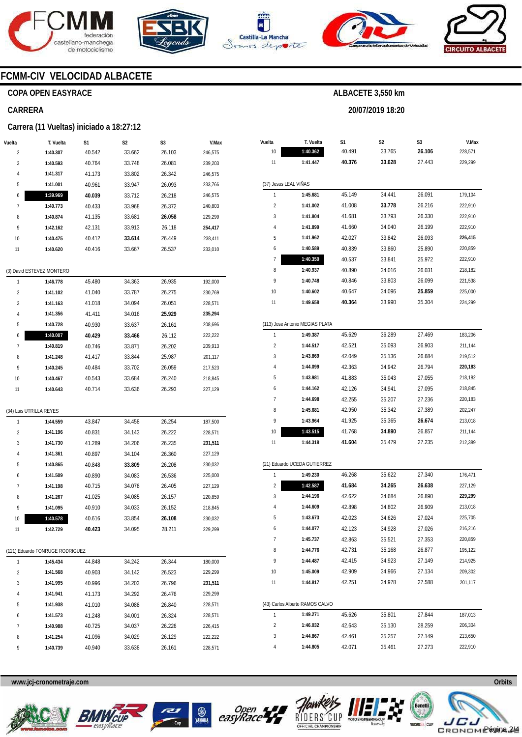







**20/07/2019 18:20** 



### **FCMM-CIV VELOCIDAD ALBACETE**

### **COPA OPEN EASYRACE**

#### **CARRERA**

#### **Carrera (11 Vueltas) iniciado a 18:27:12**

| Vuelta         | T. Vuelta                                   | S1     | S2     | S3     | V.Max              |  |  |  |  |  |
|----------------|---------------------------------------------|--------|--------|--------|--------------------|--|--|--|--|--|
| $\overline{c}$ | 1:40.307                                    | 40.542 | 33.662 | 26.103 | 246,575            |  |  |  |  |  |
| 3              | 1:40.593                                    | 40.764 | 33.748 | 26.081 | 239,203            |  |  |  |  |  |
| 4              | 1:41.317                                    | 41.173 | 33.802 | 26.342 | 246,575            |  |  |  |  |  |
| 5              | 1:41.001                                    | 40.961 | 33.947 | 26.093 | 233,766            |  |  |  |  |  |
| 6              | 1:39.969                                    | 40.039 | 33.712 | 26.218 | 246,575            |  |  |  |  |  |
| 7              | 1:40.773                                    | 40.433 | 33.968 | 26.372 | 240,803            |  |  |  |  |  |
| 8              | 1:40.874                                    | 41.135 | 33.681 | 26.058 | 229,299            |  |  |  |  |  |
| 9              | 1:42.162                                    | 42.131 | 33.913 | 26.118 | 254,417            |  |  |  |  |  |
| 10             | 1:40.475                                    | 40.412 | 33.614 | 26.449 | 238,411            |  |  |  |  |  |
| 11             | 1:40.620                                    | 40.416 | 33.667 | 26.537 | 233,010            |  |  |  |  |  |
|                |                                             |        |        |        |                    |  |  |  |  |  |
|                | (3) David ESTEVEZ MONTERO                   |        |        |        |                    |  |  |  |  |  |
| 1              | 1:46.778                                    | 45.480 | 34.363 | 26.935 | 192,000            |  |  |  |  |  |
| 2              | 1:41.102                                    | 41.040 | 33.787 | 26.275 | 230,769            |  |  |  |  |  |
| 3              | 1:41.163                                    | 41.018 | 34.094 | 26.051 | 228,571            |  |  |  |  |  |
| 4              | 1:41.356                                    | 41.411 | 34.016 | 25.929 | 235,294            |  |  |  |  |  |
| 5              | 1:40.728                                    | 40.930 | 33.637 | 26.161 | 208,696            |  |  |  |  |  |
| 6              | 1:40.007                                    | 40.429 | 33.466 | 26.112 | 222,222            |  |  |  |  |  |
| 7              | 1:40.819                                    | 40.746 | 33.871 | 26.202 | 209,913            |  |  |  |  |  |
| 8              | 1:41.248                                    | 41.417 | 33.844 | 25.987 | 201,117            |  |  |  |  |  |
| 9              | 1:40.245                                    | 40.484 | 33.702 | 26.059 | 217,523            |  |  |  |  |  |
| 10             | 1:40.467                                    | 40.543 | 33.684 | 26.240 | 218,845            |  |  |  |  |  |
| 11             | 1:40.643                                    | 40.714 | 33.636 | 26.293 | 227,129            |  |  |  |  |  |
|                |                                             |        |        |        |                    |  |  |  |  |  |
|                | (34) Luis UTRILLA REYES                     |        |        |        |                    |  |  |  |  |  |
| 1              | 1:44.559                                    | 43.847 | 34.458 | 26.254 | 187,500            |  |  |  |  |  |
| $\overline{c}$ | 1:41.196                                    | 40.831 | 34.143 | 26.222 | 228,571            |  |  |  |  |  |
| 3              | 1:41.730                                    | 41.289 | 34.206 | 26.235 | 231,511            |  |  |  |  |  |
| 4              | 1:41.361                                    | 40.897 | 34.104 | 26.360 | 227,129            |  |  |  |  |  |
| 5              | 1:40.865                                    | 40.848 | 33.809 | 26.208 | 230,032            |  |  |  |  |  |
| 6              | 1:41.509                                    | 40.890 | 34.083 | 26.536 | 225,000            |  |  |  |  |  |
| 7              | 1:41.198                                    | 40.715 | 34.078 | 26.405 | 227,129            |  |  |  |  |  |
| 8              | 1:41.267                                    | 41.025 | 34.085 | 26.157 | 220,859            |  |  |  |  |  |
| 9              | 1:41.095                                    | 40.910 | 34.033 | 26.152 | 218,845            |  |  |  |  |  |
| 10             | 1:40.578                                    | 40.616 | 33.854 | 26.108 | 230,032            |  |  |  |  |  |
| 11             | 1:42.729                                    | 40.423 | 34.095 | 28.211 | 229,299            |  |  |  |  |  |
|                |                                             |        |        |        |                    |  |  |  |  |  |
| 1              | (121) Eduardo FONRUGE RODRIGUEZ<br>1:45.434 | 44.848 | 34.242 | 26.344 |                    |  |  |  |  |  |
| 2              | 1:41.568                                    | 40.903 | 34.142 | 26.523 | 180,000<br>229,299 |  |  |  |  |  |
| 3              | 1:41.995                                    | 40.996 | 34.203 | 26.796 | 231,511            |  |  |  |  |  |
| 4              | 1:41.941                                    | 41.173 | 34.292 | 26.476 | 229,299            |  |  |  |  |  |
| 5              | 1:41.938                                    | 41.010 | 34.088 | 26.840 | 228,571            |  |  |  |  |  |
| 6              | 1:41.573                                    | 41.248 | 34.001 | 26.324 | 228,571            |  |  |  |  |  |
| 7              | 1:40.988                                    | 40.725 | 34.037 | 26.226 | 226,415            |  |  |  |  |  |
| 8              | 1:41.254                                    | 41.096 | 34.029 | 26.129 | 222,222            |  |  |  |  |  |
| 9              | 1:40.739                                    | 40.940 | 33.638 | 26.161 | 228,571            |  |  |  |  |  |

| 1:40.362<br>40.491<br>33.765<br>26.106<br>228,571<br>10<br>27.443<br>11<br>1:41.447<br>40.376<br>33.628<br>229,299<br>(37) Jesus LEAL VIÑAS<br>1:45.681<br>179,104<br>1<br>45.149<br>34.441<br>26.091<br>2<br>1:41.002<br>33.778<br>26.216<br>222,910<br>41.008<br>33.793<br>26.330<br>3<br>1:41.804<br>41.681<br>222,910<br>41.660<br>26.199<br>4<br>1:41.899<br>34.040<br>222,910<br>5<br>42.027<br>33.842<br>26.093<br>226,415<br>1:41.962<br>1:40.589<br>40.839<br>33.860<br>25.890<br>220,859<br>6<br>7<br>1:40.350<br>40.537<br>33.841<br>25.972<br>222,910<br>8<br>1:40.937<br>40.890<br>34.016<br>26.031<br>218,182<br>26.099<br>9<br>1:40.748<br>40.846<br>33.803<br>221,538<br>40.647<br>34.096<br>25.859<br>10<br>1:40.602<br>225,000<br>11<br>1:49.658<br>40.364<br>33.990<br>35.304<br>224,299<br>(113) Jose Antonio MEGIAS PLATA<br>1<br>45.629<br>36.289<br>27.469<br>183,206<br>1:49.387<br>2<br>42.521<br>35.093<br>26.903<br>1:44.517<br>211,144<br>3<br>1:43.869<br>42.049<br>35.136<br>26.684<br>219,512<br>34.942<br>4<br>1:44.099<br>42.363<br>26.794<br>220,183<br>5<br>1:43.981<br>41.883<br>35.043<br>27.055<br>218,182<br>6<br>1:44.162<br>42.126<br>34.941<br>27.095<br>218,845<br>7<br>1:44.698<br>42.255<br>35.207<br>27.236<br>220,183<br>8<br>1:45.681<br>42.950<br>35.342<br>27.389<br>202,247<br>9<br>1:43.964<br>41.925<br>35.365<br>26.674<br>213,018<br>10<br>1:43.515<br>41.768<br>211,144<br>34.890<br>26.857<br>11<br>1:44.318<br>41.604<br>35.479<br>27.235<br>212,389<br>(21) Eduardo UCEDA GUTIERREZ<br>46.268<br>35.622<br>27.340<br>1<br>1:49.230<br>176,471<br>1:42.587<br>41.684<br>34.265<br>26.638<br>2<br>227,129<br>3<br>34.684<br>26.890<br>1:44.196<br>42.622<br>229,299<br>4<br>1:44.609<br>42.898<br>34.802<br>26.909<br>213,018<br>5<br>1:43.673<br>42.023<br>34.626<br>27.024<br>225,705<br>42.123<br>34.928<br>27.026<br>216,216<br>1:44.077<br>6<br>7<br>1:45.737<br>35.521<br>42.863<br>27.353<br>220,859<br>8<br>1:44.776<br>42.731<br>35.168<br>195,122<br>26.877<br>9<br>1:44.487<br>34.923<br>214,925<br>42.415<br>27.149<br>1:45.009<br>42.909<br>34.966<br>209,302<br>10<br>27.134<br>1:44.817<br>42.251<br>34.978<br>27.588<br>11<br>201,117<br>(43) Carlos Alberto RAMOS CALVO<br>187,013<br>1<br>1:49.271<br>45.626<br>35.801<br>27.844<br>2<br>1:46.032<br>42.643<br>35.130<br>206,304<br>28.259<br>3<br>1:44.867<br>42.461<br>35.257<br>27.149<br>213,650 | Vuelta | T. Vuelta | S1 | S2 | S3 | V.Max |
|---------------------------------------------------------------------------------------------------------------------------------------------------------------------------------------------------------------------------------------------------------------------------------------------------------------------------------------------------------------------------------------------------------------------------------------------------------------------------------------------------------------------------------------------------------------------------------------------------------------------------------------------------------------------------------------------------------------------------------------------------------------------------------------------------------------------------------------------------------------------------------------------------------------------------------------------------------------------------------------------------------------------------------------------------------------------------------------------------------------------------------------------------------------------------------------------------------------------------------------------------------------------------------------------------------------------------------------------------------------------------------------------------------------------------------------------------------------------------------------------------------------------------------------------------------------------------------------------------------------------------------------------------------------------------------------------------------------------------------------------------------------------------------------------------------------------------------------------------------------------------------------------------------------------------------------------------------------------------------------------------------------------------------------------------------------------------------------------------------------------------------------------------------------------------------------------------------------------------------------------------------------------------------------------------------------------------------------------------------------------------------------------------------------------------------|--------|-----------|----|----|----|-------|
|                                                                                                                                                                                                                                                                                                                                                                                                                                                                                                                                                                                                                                                                                                                                                                                                                                                                                                                                                                                                                                                                                                                                                                                                                                                                                                                                                                                                                                                                                                                                                                                                                                                                                                                                                                                                                                                                                                                                                                                                                                                                                                                                                                                                                                                                                                                                                                                                                                 |        |           |    |    |    |       |
|                                                                                                                                                                                                                                                                                                                                                                                                                                                                                                                                                                                                                                                                                                                                                                                                                                                                                                                                                                                                                                                                                                                                                                                                                                                                                                                                                                                                                                                                                                                                                                                                                                                                                                                                                                                                                                                                                                                                                                                                                                                                                                                                                                                                                                                                                                                                                                                                                                 |        |           |    |    |    |       |
|                                                                                                                                                                                                                                                                                                                                                                                                                                                                                                                                                                                                                                                                                                                                                                                                                                                                                                                                                                                                                                                                                                                                                                                                                                                                                                                                                                                                                                                                                                                                                                                                                                                                                                                                                                                                                                                                                                                                                                                                                                                                                                                                                                                                                                                                                                                                                                                                                                 |        |           |    |    |    |       |
|                                                                                                                                                                                                                                                                                                                                                                                                                                                                                                                                                                                                                                                                                                                                                                                                                                                                                                                                                                                                                                                                                                                                                                                                                                                                                                                                                                                                                                                                                                                                                                                                                                                                                                                                                                                                                                                                                                                                                                                                                                                                                                                                                                                                                                                                                                                                                                                                                                 |        |           |    |    |    |       |
|                                                                                                                                                                                                                                                                                                                                                                                                                                                                                                                                                                                                                                                                                                                                                                                                                                                                                                                                                                                                                                                                                                                                                                                                                                                                                                                                                                                                                                                                                                                                                                                                                                                                                                                                                                                                                                                                                                                                                                                                                                                                                                                                                                                                                                                                                                                                                                                                                                 |        |           |    |    |    |       |
|                                                                                                                                                                                                                                                                                                                                                                                                                                                                                                                                                                                                                                                                                                                                                                                                                                                                                                                                                                                                                                                                                                                                                                                                                                                                                                                                                                                                                                                                                                                                                                                                                                                                                                                                                                                                                                                                                                                                                                                                                                                                                                                                                                                                                                                                                                                                                                                                                                 |        |           |    |    |    |       |
|                                                                                                                                                                                                                                                                                                                                                                                                                                                                                                                                                                                                                                                                                                                                                                                                                                                                                                                                                                                                                                                                                                                                                                                                                                                                                                                                                                                                                                                                                                                                                                                                                                                                                                                                                                                                                                                                                                                                                                                                                                                                                                                                                                                                                                                                                                                                                                                                                                 |        |           |    |    |    |       |
|                                                                                                                                                                                                                                                                                                                                                                                                                                                                                                                                                                                                                                                                                                                                                                                                                                                                                                                                                                                                                                                                                                                                                                                                                                                                                                                                                                                                                                                                                                                                                                                                                                                                                                                                                                                                                                                                                                                                                                                                                                                                                                                                                                                                                                                                                                                                                                                                                                 |        |           |    |    |    |       |
|                                                                                                                                                                                                                                                                                                                                                                                                                                                                                                                                                                                                                                                                                                                                                                                                                                                                                                                                                                                                                                                                                                                                                                                                                                                                                                                                                                                                                                                                                                                                                                                                                                                                                                                                                                                                                                                                                                                                                                                                                                                                                                                                                                                                                                                                                                                                                                                                                                 |        |           |    |    |    |       |
|                                                                                                                                                                                                                                                                                                                                                                                                                                                                                                                                                                                                                                                                                                                                                                                                                                                                                                                                                                                                                                                                                                                                                                                                                                                                                                                                                                                                                                                                                                                                                                                                                                                                                                                                                                                                                                                                                                                                                                                                                                                                                                                                                                                                                                                                                                                                                                                                                                 |        |           |    |    |    |       |
|                                                                                                                                                                                                                                                                                                                                                                                                                                                                                                                                                                                                                                                                                                                                                                                                                                                                                                                                                                                                                                                                                                                                                                                                                                                                                                                                                                                                                                                                                                                                                                                                                                                                                                                                                                                                                                                                                                                                                                                                                                                                                                                                                                                                                                                                                                                                                                                                                                 |        |           |    |    |    |       |
|                                                                                                                                                                                                                                                                                                                                                                                                                                                                                                                                                                                                                                                                                                                                                                                                                                                                                                                                                                                                                                                                                                                                                                                                                                                                                                                                                                                                                                                                                                                                                                                                                                                                                                                                                                                                                                                                                                                                                                                                                                                                                                                                                                                                                                                                                                                                                                                                                                 |        |           |    |    |    |       |
|                                                                                                                                                                                                                                                                                                                                                                                                                                                                                                                                                                                                                                                                                                                                                                                                                                                                                                                                                                                                                                                                                                                                                                                                                                                                                                                                                                                                                                                                                                                                                                                                                                                                                                                                                                                                                                                                                                                                                                                                                                                                                                                                                                                                                                                                                                                                                                                                                                 |        |           |    |    |    |       |
|                                                                                                                                                                                                                                                                                                                                                                                                                                                                                                                                                                                                                                                                                                                                                                                                                                                                                                                                                                                                                                                                                                                                                                                                                                                                                                                                                                                                                                                                                                                                                                                                                                                                                                                                                                                                                                                                                                                                                                                                                                                                                                                                                                                                                                                                                                                                                                                                                                 |        |           |    |    |    |       |
|                                                                                                                                                                                                                                                                                                                                                                                                                                                                                                                                                                                                                                                                                                                                                                                                                                                                                                                                                                                                                                                                                                                                                                                                                                                                                                                                                                                                                                                                                                                                                                                                                                                                                                                                                                                                                                                                                                                                                                                                                                                                                                                                                                                                                                                                                                                                                                                                                                 |        |           |    |    |    |       |
|                                                                                                                                                                                                                                                                                                                                                                                                                                                                                                                                                                                                                                                                                                                                                                                                                                                                                                                                                                                                                                                                                                                                                                                                                                                                                                                                                                                                                                                                                                                                                                                                                                                                                                                                                                                                                                                                                                                                                                                                                                                                                                                                                                                                                                                                                                                                                                                                                                 |        |           |    |    |    |       |
|                                                                                                                                                                                                                                                                                                                                                                                                                                                                                                                                                                                                                                                                                                                                                                                                                                                                                                                                                                                                                                                                                                                                                                                                                                                                                                                                                                                                                                                                                                                                                                                                                                                                                                                                                                                                                                                                                                                                                                                                                                                                                                                                                                                                                                                                                                                                                                                                                                 |        |           |    |    |    |       |
|                                                                                                                                                                                                                                                                                                                                                                                                                                                                                                                                                                                                                                                                                                                                                                                                                                                                                                                                                                                                                                                                                                                                                                                                                                                                                                                                                                                                                                                                                                                                                                                                                                                                                                                                                                                                                                                                                                                                                                                                                                                                                                                                                                                                                                                                                                                                                                                                                                 |        |           |    |    |    |       |
|                                                                                                                                                                                                                                                                                                                                                                                                                                                                                                                                                                                                                                                                                                                                                                                                                                                                                                                                                                                                                                                                                                                                                                                                                                                                                                                                                                                                                                                                                                                                                                                                                                                                                                                                                                                                                                                                                                                                                                                                                                                                                                                                                                                                                                                                                                                                                                                                                                 |        |           |    |    |    |       |
|                                                                                                                                                                                                                                                                                                                                                                                                                                                                                                                                                                                                                                                                                                                                                                                                                                                                                                                                                                                                                                                                                                                                                                                                                                                                                                                                                                                                                                                                                                                                                                                                                                                                                                                                                                                                                                                                                                                                                                                                                                                                                                                                                                                                                                                                                                                                                                                                                                 |        |           |    |    |    |       |
|                                                                                                                                                                                                                                                                                                                                                                                                                                                                                                                                                                                                                                                                                                                                                                                                                                                                                                                                                                                                                                                                                                                                                                                                                                                                                                                                                                                                                                                                                                                                                                                                                                                                                                                                                                                                                                                                                                                                                                                                                                                                                                                                                                                                                                                                                                                                                                                                                                 |        |           |    |    |    |       |
|                                                                                                                                                                                                                                                                                                                                                                                                                                                                                                                                                                                                                                                                                                                                                                                                                                                                                                                                                                                                                                                                                                                                                                                                                                                                                                                                                                                                                                                                                                                                                                                                                                                                                                                                                                                                                                                                                                                                                                                                                                                                                                                                                                                                                                                                                                                                                                                                                                 |        |           |    |    |    |       |
|                                                                                                                                                                                                                                                                                                                                                                                                                                                                                                                                                                                                                                                                                                                                                                                                                                                                                                                                                                                                                                                                                                                                                                                                                                                                                                                                                                                                                                                                                                                                                                                                                                                                                                                                                                                                                                                                                                                                                                                                                                                                                                                                                                                                                                                                                                                                                                                                                                 |        |           |    |    |    |       |
|                                                                                                                                                                                                                                                                                                                                                                                                                                                                                                                                                                                                                                                                                                                                                                                                                                                                                                                                                                                                                                                                                                                                                                                                                                                                                                                                                                                                                                                                                                                                                                                                                                                                                                                                                                                                                                                                                                                                                                                                                                                                                                                                                                                                                                                                                                                                                                                                                                 |        |           |    |    |    |       |
|                                                                                                                                                                                                                                                                                                                                                                                                                                                                                                                                                                                                                                                                                                                                                                                                                                                                                                                                                                                                                                                                                                                                                                                                                                                                                                                                                                                                                                                                                                                                                                                                                                                                                                                                                                                                                                                                                                                                                                                                                                                                                                                                                                                                                                                                                                                                                                                                                                 |        |           |    |    |    |       |
|                                                                                                                                                                                                                                                                                                                                                                                                                                                                                                                                                                                                                                                                                                                                                                                                                                                                                                                                                                                                                                                                                                                                                                                                                                                                                                                                                                                                                                                                                                                                                                                                                                                                                                                                                                                                                                                                                                                                                                                                                                                                                                                                                                                                                                                                                                                                                                                                                                 |        |           |    |    |    |       |
|                                                                                                                                                                                                                                                                                                                                                                                                                                                                                                                                                                                                                                                                                                                                                                                                                                                                                                                                                                                                                                                                                                                                                                                                                                                                                                                                                                                                                                                                                                                                                                                                                                                                                                                                                                                                                                                                                                                                                                                                                                                                                                                                                                                                                                                                                                                                                                                                                                 |        |           |    |    |    |       |
|                                                                                                                                                                                                                                                                                                                                                                                                                                                                                                                                                                                                                                                                                                                                                                                                                                                                                                                                                                                                                                                                                                                                                                                                                                                                                                                                                                                                                                                                                                                                                                                                                                                                                                                                                                                                                                                                                                                                                                                                                                                                                                                                                                                                                                                                                                                                                                                                                                 |        |           |    |    |    |       |
|                                                                                                                                                                                                                                                                                                                                                                                                                                                                                                                                                                                                                                                                                                                                                                                                                                                                                                                                                                                                                                                                                                                                                                                                                                                                                                                                                                                                                                                                                                                                                                                                                                                                                                                                                                                                                                                                                                                                                                                                                                                                                                                                                                                                                                                                                                                                                                                                                                 |        |           |    |    |    |       |
|                                                                                                                                                                                                                                                                                                                                                                                                                                                                                                                                                                                                                                                                                                                                                                                                                                                                                                                                                                                                                                                                                                                                                                                                                                                                                                                                                                                                                                                                                                                                                                                                                                                                                                                                                                                                                                                                                                                                                                                                                                                                                                                                                                                                                                                                                                                                                                                                                                 |        |           |    |    |    |       |
|                                                                                                                                                                                                                                                                                                                                                                                                                                                                                                                                                                                                                                                                                                                                                                                                                                                                                                                                                                                                                                                                                                                                                                                                                                                                                                                                                                                                                                                                                                                                                                                                                                                                                                                                                                                                                                                                                                                                                                                                                                                                                                                                                                                                                                                                                                                                                                                                                                 |        |           |    |    |    |       |
|                                                                                                                                                                                                                                                                                                                                                                                                                                                                                                                                                                                                                                                                                                                                                                                                                                                                                                                                                                                                                                                                                                                                                                                                                                                                                                                                                                                                                                                                                                                                                                                                                                                                                                                                                                                                                                                                                                                                                                                                                                                                                                                                                                                                                                                                                                                                                                                                                                 |        |           |    |    |    |       |
|                                                                                                                                                                                                                                                                                                                                                                                                                                                                                                                                                                                                                                                                                                                                                                                                                                                                                                                                                                                                                                                                                                                                                                                                                                                                                                                                                                                                                                                                                                                                                                                                                                                                                                                                                                                                                                                                                                                                                                                                                                                                                                                                                                                                                                                                                                                                                                                                                                 |        |           |    |    |    |       |
|                                                                                                                                                                                                                                                                                                                                                                                                                                                                                                                                                                                                                                                                                                                                                                                                                                                                                                                                                                                                                                                                                                                                                                                                                                                                                                                                                                                                                                                                                                                                                                                                                                                                                                                                                                                                                                                                                                                                                                                                                                                                                                                                                                                                                                                                                                                                                                                                                                 |        |           |    |    |    |       |
|                                                                                                                                                                                                                                                                                                                                                                                                                                                                                                                                                                                                                                                                                                                                                                                                                                                                                                                                                                                                                                                                                                                                                                                                                                                                                                                                                                                                                                                                                                                                                                                                                                                                                                                                                                                                                                                                                                                                                                                                                                                                                                                                                                                                                                                                                                                                                                                                                                 |        |           |    |    |    |       |
|                                                                                                                                                                                                                                                                                                                                                                                                                                                                                                                                                                                                                                                                                                                                                                                                                                                                                                                                                                                                                                                                                                                                                                                                                                                                                                                                                                                                                                                                                                                                                                                                                                                                                                                                                                                                                                                                                                                                                                                                                                                                                                                                                                                                                                                                                                                                                                                                                                 |        |           |    |    |    |       |
|                                                                                                                                                                                                                                                                                                                                                                                                                                                                                                                                                                                                                                                                                                                                                                                                                                                                                                                                                                                                                                                                                                                                                                                                                                                                                                                                                                                                                                                                                                                                                                                                                                                                                                                                                                                                                                                                                                                                                                                                                                                                                                                                                                                                                                                                                                                                                                                                                                 |        |           |    |    |    |       |
|                                                                                                                                                                                                                                                                                                                                                                                                                                                                                                                                                                                                                                                                                                                                                                                                                                                                                                                                                                                                                                                                                                                                                                                                                                                                                                                                                                                                                                                                                                                                                                                                                                                                                                                                                                                                                                                                                                                                                                                                                                                                                                                                                                                                                                                                                                                                                                                                                                 |        |           |    |    |    |       |
|                                                                                                                                                                                                                                                                                                                                                                                                                                                                                                                                                                                                                                                                                                                                                                                                                                                                                                                                                                                                                                                                                                                                                                                                                                                                                                                                                                                                                                                                                                                                                                                                                                                                                                                                                                                                                                                                                                                                                                                                                                                                                                                                                                                                                                                                                                                                                                                                                                 |        |           |    |    |    |       |
|                                                                                                                                                                                                                                                                                                                                                                                                                                                                                                                                                                                                                                                                                                                                                                                                                                                                                                                                                                                                                                                                                                                                                                                                                                                                                                                                                                                                                                                                                                                                                                                                                                                                                                                                                                                                                                                                                                                                                                                                                                                                                                                                                                                                                                                                                                                                                                                                                                 |        |           |    |    |    |       |
|                                                                                                                                                                                                                                                                                                                                                                                                                                                                                                                                                                                                                                                                                                                                                                                                                                                                                                                                                                                                                                                                                                                                                                                                                                                                                                                                                                                                                                                                                                                                                                                                                                                                                                                                                                                                                                                                                                                                                                                                                                                                                                                                                                                                                                                                                                                                                                                                                                 |        |           |    |    |    |       |
|                                                                                                                                                                                                                                                                                                                                                                                                                                                                                                                                                                                                                                                                                                                                                                                                                                                                                                                                                                                                                                                                                                                                                                                                                                                                                                                                                                                                                                                                                                                                                                                                                                                                                                                                                                                                                                                                                                                                                                                                                                                                                                                                                                                                                                                                                                                                                                                                                                 |        |           |    |    |    |       |
|                                                                                                                                                                                                                                                                                                                                                                                                                                                                                                                                                                                                                                                                                                                                                                                                                                                                                                                                                                                                                                                                                                                                                                                                                                                                                                                                                                                                                                                                                                                                                                                                                                                                                                                                                                                                                                                                                                                                                                                                                                                                                                                                                                                                                                                                                                                                                                                                                                 |        |           |    |    |    |       |
|                                                                                                                                                                                                                                                                                                                                                                                                                                                                                                                                                                                                                                                                                                                                                                                                                                                                                                                                                                                                                                                                                                                                                                                                                                                                                                                                                                                                                                                                                                                                                                                                                                                                                                                                                                                                                                                                                                                                                                                                                                                                                                                                                                                                                                                                                                                                                                                                                                 |        |           |    |    |    |       |
|                                                                                                                                                                                                                                                                                                                                                                                                                                                                                                                                                                                                                                                                                                                                                                                                                                                                                                                                                                                                                                                                                                                                                                                                                                                                                                                                                                                                                                                                                                                                                                                                                                                                                                                                                                                                                                                                                                                                                                                                                                                                                                                                                                                                                                                                                                                                                                                                                                 |        |           |    |    |    |       |
|                                                                                                                                                                                                                                                                                                                                                                                                                                                                                                                                                                                                                                                                                                                                                                                                                                                                                                                                                                                                                                                                                                                                                                                                                                                                                                                                                                                                                                                                                                                                                                                                                                                                                                                                                                                                                                                                                                                                                                                                                                                                                                                                                                                                                                                                                                                                                                                                                                 |        |           |    |    |    |       |
| 1:44.805<br>42.071<br>4<br>35.461<br>27.273<br>222,910                                                                                                                                                                                                                                                                                                                                                                                                                                                                                                                                                                                                                                                                                                                                                                                                                                                                                                                                                                                                                                                                                                                                                                                                                                                                                                                                                                                                                                                                                                                                                                                                                                                                                                                                                                                                                                                                                                                                                                                                                                                                                                                                                                                                                                                                                                                                                                          |        |           |    |    |    |       |









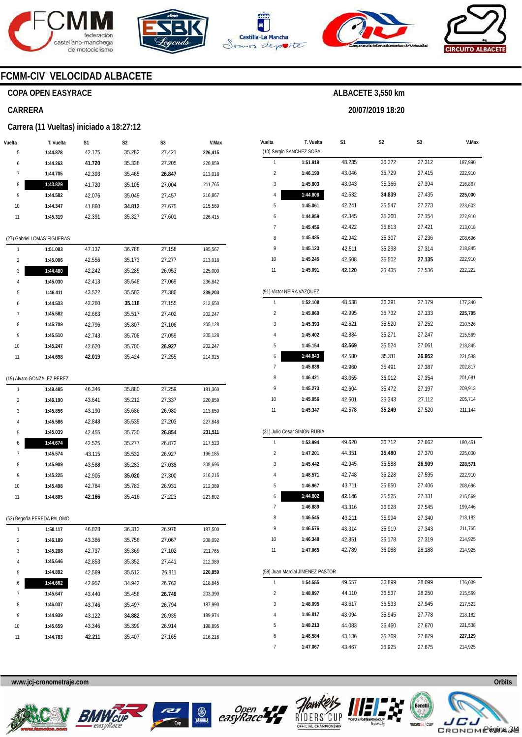







**20/07/2019 18:20** 



### **FCMM-CIV VELOCIDAD ALBACETE**

### **COPA OPEN EASYRACE**

#### **CARRERA**

#### **Carrera (11 Vueltas) iniciado a 18:27:12**

| Vuelta<br>5             | T. Vuelta                   | S1     | S2               | S3               | V.Max              |
|-------------------------|-----------------------------|--------|------------------|------------------|--------------------|
|                         | 1:44.878<br>1:44.263        | 42.175 | 35.282           | 27.421           | 226,415<br>220,859 |
| 6<br>7                  |                             | 41.720 | 35.338           | 27.205<br>26.847 |                    |
|                         | 1:44.705                    | 42.393 | 35.465<br>35.105 |                  | 213,018            |
| 8<br>9                  | 1:43.829                    | 41.720 |                  | 27.004           | 211,765            |
|                         | 1:44.582                    | 42.076 | 35.049           | 27.457           | 216,867            |
| 10                      | 1:44.347                    | 41.860 | 34.812           | 27.675           | 215,569            |
| 11                      | 1:45.319                    | 42.391 | 35.327           | 27.601           | 226,415            |
|                         | (27) Gabriel LOMAS FIGUERAS |        |                  |                  |                    |
| 1                       | 1:51.083                    | 47.137 | 36.788           | 27.158           | 185,567            |
| $\overline{\mathbf{c}}$ | 1:45.006                    | 42.556 | 35.173           | 27.277           | 213,018            |
| 3                       | 1:44.480                    | 42.242 | 35.285           | 26.953           | 225,000            |
| 4                       | 1:45.030                    | 42.413 | 35.548           | 27.069           | 236,842            |
| 5                       | 1:46.411                    | 43.522 | 35.503           | 27.386           | 239,203            |
| 6                       | 1:44.533                    | 42.260 | 35.118           | 27.155           | 213,650            |
| 7                       | 1:45.582                    | 42.663 | 35.517           | 27.402           | 202,247            |
| 8                       | 1:45.709                    | 42.796 | 35.807           | 27.106           | 205,128            |
| 9                       | 1:45.510                    | 42.743 | 35.708           | 27.059           | 205,128            |
| 10                      | 1:45.247                    | 42.620 | 35.700           | 26.927           | 202,247            |
| 11                      | 1:44.698                    | 42.019 | 35.424           | 27.255           | 214,925            |
|                         | (19) Alvaro GONZALEZ PEREZ  |        |                  |                  |                    |
| 1                       | 1:49.485                    | 46.346 | 35.880           | 27.259           | 181,360            |
| $\overline{2}$          | 1:46.190                    | 43.641 | 35.212           | 27.337           | 220,859            |
| 3                       | 1:45.856                    | 43.190 | 35.686           | 26.980           | 213,650            |
| 4                       | 1:45.586                    | 42.848 | 35.535           | 27.203           | 227,848            |
| 5                       | 1:45.039                    | 42.455 | 35.730           | 26.854           | 231,511            |
| 6                       | 1:44.674                    | 42.525 | 35.277           | 26.872           | 217,523            |
| 7                       | 1:45.574                    | 43.115 | 35.532           | 26.927           | 196,185            |
| 8                       | 1:45.909                    | 43.588 | 35.283           | 27.038           | 208,696            |
| 9                       | 1:45.225                    | 42.905 | 35.020           | 27.300           | 216,216            |
| 10                      | 1:45.498                    | 42.784 | 35.783           | 26.931           | 212,389            |
| 11                      | 1:44.805                    | 42.166 | 35.416           | 27.223           | 223,602            |
|                         |                             |        |                  |                  |                    |
|                         | (52) Begoña PEREDA PALOMO   |        |                  |                  |                    |
| 1                       | 1:50.117                    | 46.828 | 36.313           | 26.976           | 187,500            |
| $\overline{\mathbf{c}}$ | 1:46.189                    | 43.366 | 35.756           | 27.067           | 208,092            |
| 3                       | 1:45.208                    | 42.737 | 35.369           | 27.102           | 211,765            |
| 4                       | 1:45.646                    | 42.853 | 35.352           | 27.441           | 212,389            |
| 5                       | 1:44.892                    | 42.569 | 35.512           | 26.811           | 220,859            |
| 6                       | 1:44.662                    | 42.957 | 34.942           | 26.763           | 218,845            |
| 7                       | 1:45.647                    | 43.440 | 35.458           | 26.749           | 203,390            |
| 8                       | 1:46.037                    | 43.746 | 35.497           | 26.794           | 187,990            |
| 9                       | 1:44.939                    | 43.122 | 34.882           | 26.935           | 189,974            |
| 10                      | 1:45.659                    | 43.346 | 35.399           | 26.914           | 198,895            |
| 11                      | 1:44.783                    | 42.211 | 35.407           | 27.165           | 216,216            |

| Vuelta                  | T. Vuelta<br>(10) Sergio SANCHEZ SOSA | S1     | S2     | S3     | V.Max   |
|-------------------------|---------------------------------------|--------|--------|--------|---------|
| 1                       | 1:51.919                              | 48.235 | 36.372 | 27.312 | 187,990 |
|                         |                                       |        |        |        |         |
| $\overline{\mathbf{c}}$ | 1:46.190                              | 43.046 | 35.729 | 27.415 | 222,910 |
| 3                       | 1:45.803                              | 43.043 | 35.366 | 27.394 | 216,867 |
| 4                       | 1:44.806                              | 42.532 | 34.839 | 27.435 | 225,000 |
| 5                       | 1:45.061                              | 42.241 | 35.547 | 27.273 | 223,602 |
| 6                       | 1:44.859                              | 42.345 | 35.360 | 27.154 | 222,910 |
| 7                       | 1:45.456                              | 42.422 | 35.613 | 27.421 | 213,018 |
| 8                       | 1:45.485                              | 42.942 | 35.307 | 27.236 | 208,696 |
| 9                       | 1:45.123                              | 42.511 | 35.298 | 27.314 | 218,845 |
| 10                      | 1:45.245                              | 42.608 | 35.502 | 27.135 | 222,910 |
| 11                      | 1:45.091                              | 42.120 | 35.435 | 27.536 | 222,222 |
|                         | (91) Victor NEIRA VAZQUEZ             |        |        |        |         |
| 1                       | 1:52.108                              | 48.538 | 36.391 | 27.179 | 177,340 |
| $\overline{\mathbf{c}}$ | 1:45.860                              | 42.995 | 35.732 | 27.133 | 225,705 |
| 3                       | 1:45.393                              | 42.621 | 35.520 | 27.252 | 210,526 |
| 4                       | 1:45.402                              | 42.884 | 35.271 | 27.247 | 215,569 |
| 5                       | 1:45.154                              | 42.569 | 35.524 | 27.061 | 218,845 |
| 6                       | 1:44.843                              | 42.580 | 35.311 | 26.952 | 221,538 |
| 7                       | 1:45.838                              | 42.960 | 35.491 | 27.387 | 202,817 |
| 8                       | 1:46.421                              | 43.055 | 36.012 | 27.354 | 201,681 |
| 9                       | 1:45.273                              | 42.604 | 35.472 | 27.197 | 209,913 |
| 10                      | 1:45.056                              | 42.601 | 35.343 | 27.112 | 205,714 |
| 11                      | 1:45.347                              | 42.578 | 35.249 | 27.520 | 211,144 |
|                         |                                       |        |        |        |         |
|                         | (31) Julio Cesar SIMON RUBIA          |        |        |        |         |
| 1                       | 1:53.994                              | 49.620 | 36.712 | 27.662 | 180,451 |
| $\overline{\mathbf{c}}$ | 1:47.201                              | 44.351 | 35.480 | 27.370 | 225,000 |
| 3                       | 1:45.442                              | 42.945 | 35.588 | 26.909 | 228,571 |
| 4                       | 1:46.571                              | 42.748 | 36.228 | 27.595 | 222,910 |
| 5                       | 1:46.967                              | 43.711 | 35.850 | 27.406 | 208,696 |
| 6                       | 1:44.802                              | 42.146 | 35.525 | 27.131 | 215,569 |
| 7                       | 1:46.889                              | 43.316 | 36.028 | 27.545 | 199,446 |
| 8                       | 1:46.545                              | 43.211 | 35.994 | 27.340 | 218,182 |
| У                       | 1:46.576                              | 43.314 | 35.919 | 27.343 | 211,765 |
| 10                      | 1:46.348                              | 42.851 | 36.178 | 27.319 | 214,925 |
| 11                      | 1:47.065                              | 42.789 | 36.088 | 28.188 | 214,925 |
|                         |                                       |        |        |        |         |
|                         | (58) Juan Marcial JIMENEZ PASTOR      |        |        |        |         |
| 1                       | 1:54.555                              | 49.557 | 36.899 | 28.099 | 176,039 |
| $\overline{\mathbf{c}}$ | 1:48.897                              | 44.110 | 36.537 | 28.250 | 215,569 |
| 3                       | 1:48.095                              | 43.617 | 36.533 | 27.945 | 217,523 |
| 4                       | 1:46.817                              | 43.094 | 35.945 | 27.778 | 218,182 |
| 5                       | 1:48.213                              | 44.083 | 36.460 | 27.670 | 221,538 |
| 6                       | 1:46.584                              | 43.136 | 35.769 | 27.679 | 227,129 |
| 7                       | 1:47.067                              | 43.467 | 35.925 | 27.675 | 214,925 |









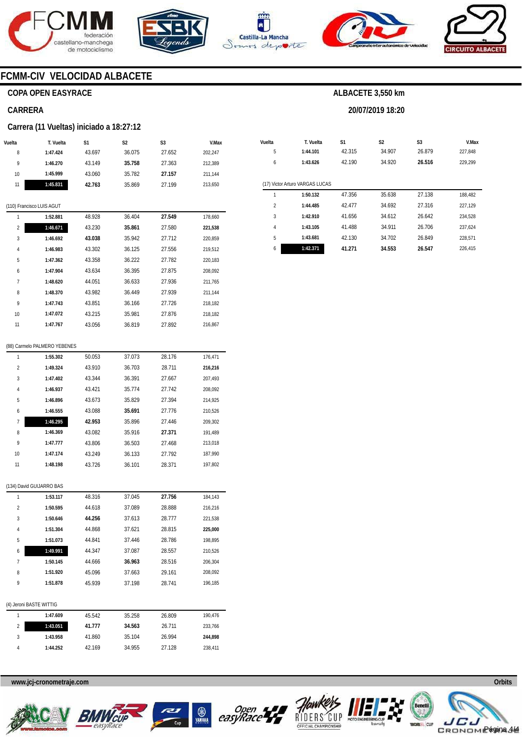









### **FCMM-CIV VELOCIDAD ALBACETE**

### **COPA OPEN EASYRACE**

#### **CARRERA**

#### **Carrera (11 Vueltas) iniciado a 18:27:12**

| Vuelta | T. Vuelta | S1     | S <sub>2</sub> | S <sub>3</sub> | V.Max   |
|--------|-----------|--------|----------------|----------------|---------|
| 8      | 1:47.424  | 43.697 | 36.075         | 27.652         | 202.247 |
| 9      | 1:46.270  | 43.149 | 35.758         | 27.363         | 212,389 |
| 10     | 1:45.999  | 43.060 | 35.782         | 27.157         | 211.144 |
| 11     | 1:45.831  | 42.763 | 35.869         | 27.199         | 213.650 |

#### (110) Francisco LUIS AGUT

| 1              | 1:52.881 | 48.928 | 36.404 | 27.549 | 178,660 |
|----------------|----------|--------|--------|--------|---------|
| $\overline{2}$ | 1:46.671 | 43.230 | 35.861 | 27.580 | 221,538 |
| 3              | 1:46.692 | 43.038 | 35.942 | 27.712 | 220,859 |
| $\overline{4}$ | 1:46.983 | 43.302 | 36.125 | 27.556 | 219,512 |
| 5              | 1:47.362 | 43.358 | 36.222 | 27.782 | 220,183 |
| 6              | 1:47.904 | 43.634 | 36.395 | 27.875 | 208,092 |
| 7              | 1:48.620 | 44.051 | 36.633 | 27.936 | 211,765 |
| 8              | 1:48.370 | 43.982 | 36.449 | 27.939 | 211,144 |
| 9              | 1:47.743 | 43.851 | 36.166 | 27.726 | 218.182 |
| 10             | 1:47.072 | 43.215 | 35.981 | 27.876 | 218,182 |
| 11             | 1:47.767 | 43.056 | 36.819 | 27.892 | 216.867 |
|                |          |        |        |        |         |

#### (88) Carmelo PALMERO YEBENES

| 1              | 1:55.302 | 50.053 | 37.073 | 28.176 | 176.471 |
|----------------|----------|--------|--------|--------|---------|
| $\overline{2}$ | 1:49.324 | 43.910 | 36.703 | 28.711 | 216.216 |
| 3              | 1:47.402 | 43.344 | 36.391 | 27.667 | 207.493 |
| 4              | 1:46.937 | 43.421 | 35.774 | 27.742 | 208.092 |
| 5              | 1:46.896 | 43.673 | 35.829 | 27.394 | 214.925 |
| 6              | 1:46.555 | 43.088 | 35.691 | 27.776 | 210.526 |
| 7              | 1:46.295 | 42.953 | 35.896 | 27.446 | 209.302 |
| 8              | 1:46.369 | 43.082 | 35.916 | 27.371 | 191.489 |
| 9              | 1:47.777 | 43.806 | 36.503 | 27.468 | 213.018 |
| 10             | 1:47.174 | 43.249 | 36.133 | 27.792 | 187.990 |
| 11             | 1:48.198 | 43.726 | 36.101 | 28.371 | 197.802 |

#### (134) David GUIJARRO BAS

| 1              | 1:53.117                | 48.316 | 37.045 | 27.756 | 184,143 |
|----------------|-------------------------|--------|--------|--------|---------|
| $\overline{2}$ | 1:50.595                | 44.618 | 37.089 | 28.888 | 216,216 |
| 3              | 1:50.646                | 44.256 | 37.613 | 28.777 | 221,538 |
| 4              | 1:51.304                | 44.868 | 37.621 | 28.815 | 225,000 |
| 5              | 1:51.073                | 44.841 | 37.446 | 28.786 | 198,895 |
| 6              | 1:49.991                | 44.347 | 37.087 | 28.557 | 210,526 |
| 7              | 1:50.145                | 44.666 | 36.963 | 28.516 | 206,304 |
| 8              | 1:51.920                | 45.096 | 37.663 | 29.161 | 208,092 |
| 9              | 1:51.878                | 45.939 | 37.198 | 28.741 | 196,185 |
|                |                         |        |        |        |         |
|                | (4) Jeroni BASTE WITTIG |        |        |        |         |
| 1              | 1:47.609                | 45.542 | 35.258 | 26.809 | 190,476 |
| $\overline{2}$ | 1:43.051                | 41.777 | 34.563 | 26.711 | 233,766 |
| 3              | 1:43.958                | 41.860 | 35.104 | 26.994 | 244.898 |

### www.jcj-cronometraje.com **Orbits** and Construction of the Construction of the Construction of the Construction of the Construction of the Construction of the Construction of the Construction of the Construction of the Cons

**1:44.252** 

42.169



4



34.955

27.128

238,411

**B**<br>easyRace

RIDERS



# **ALBACETE 3,550 km**

**20/07/2019 18:20** 

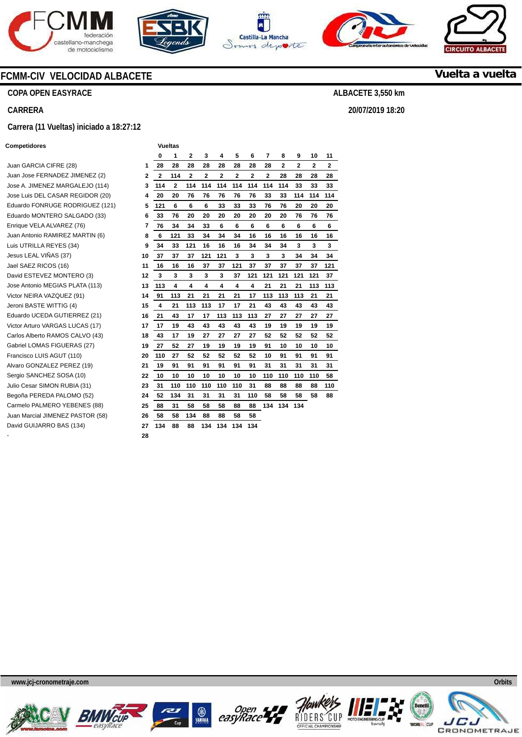









**COPA OPEN EASYRACE** 

**CARRERA** 

#### **Carrera (11 Vueltas) iniciado a 18:27:12**

#### **Competidores Vueltas**

|                                  |    | 0            | 1   | $\mathbf{2}$ | 3            | 4            | 5            | 6            | 7            | 8            | 9            | 10           | 11  |
|----------------------------------|----|--------------|-----|--------------|--------------|--------------|--------------|--------------|--------------|--------------|--------------|--------------|-----|
| Juan GARCIA CIFRE (28)           | 1  | 28           | 28  | 28           | 28           | 28           | 28           | 28           | 28           | $\mathbf{2}$ | $\mathbf{2}$ | $\mathbf{2}$ | 2   |
| Juan Jose FERNADEZ JIMENEZ (2)   | 2  | $\mathbf{2}$ | 114 | $\mathbf{2}$ | $\mathbf{2}$ | $\mathbf{2}$ | $\mathbf{2}$ | $\mathbf{2}$ | $\mathbf{2}$ | 28           | 28           | 28           | 28  |
| Jose A. JIMENEZ MARGALEJO (114)  | 3  | 114          | 2   | 114          | 114          | 114          | 114          | 114          | 114          | 114          | 33           | 33           | 33  |
| Jose Luis DEL CASAR REGIDOR (20) | 4  | 20           | 20  | 76           | 76           | 76           | 76           | 76           | 33           | 33           | 114          | 114          | 114 |
| Eduardo FONRUGE RODRIGUEZ (121)  | 5  | 121          | 6   | 6            | 6            | 33           | 33           | 33           | 76           | 76           | 20           | 20           | 20  |
| Eduardo MONTERO SALGADO (33)     | 6  | 33           | 76  | 20           | 20           | 20           | 20           | 20           | 20           | 20           | 76           | 76           | 76  |
| Enrique VELA ALVAREZ (76)        | 7  | 76           | 34  | 34           | 33           | 6            | 6            | 6            | 6            | 6            | 6            | 6            | 6   |
| Juan Antonio RAMIREZ MARTIN (6)  | 8  | 6            | 121 | 33           | 34           | 34           | 34           | 16           | 16           | 16           | 16           | 16           | 16  |
| Luis UTRILLA REYES (34)          | 9  | 34           | 33  | 121          | 16           | 16           | 16           | 34           | 34           | 34           | 3            | 3            | 3   |
| Jesus LEAL VIÑAS (37)            | 10 | 37           | 37  | 37           | 121          | 121          | 3            | 3            | 3            | 3            | 34           | 34           | 34  |
| Jael SAEZ RICOS (16)             | 11 | 16           | 16  | 16           | 37           | 37           | 121          | 37           | 37           | 37           | 37           | 37           | 121 |
| David ESTEVEZ MONTERO (3)        | 12 | 3            | 3   | 3            | 3            | 3            | 37           | 121          | 121          | 121          | 121          | 121          | 37  |
| Jose Antonio MEGIAS PLATA (113)  | 13 | 113          | 4   | 4            | 4            | 4            | 4            | 4            | 21           | 21           | 21           | 113          | 113 |
| Victor NEIRA VAZQUEZ (91)        | 14 | 91           | 113 | 21           | 21           | 21           | 21           | 17           | 113          | 113          | 113          | 21           | 21  |
| Jeroni BASTE WITTIG (4)          | 15 | 4            | 21  | 113          | 113          | 17           | 17           | 21           | 43           | 43           | 43           | 43           | 43  |
| Eduardo UCEDA GUTIERREZ (21)     | 16 | 21           | 43  | 17           | 17           | 113          | 113          | 113          | 27           | 27           | 27           | 27           | 27  |
| Victor Arturo VARGAS LUCAS (17)  | 17 | 17           | 19  | 43           | 43           | 43           | 43           | 43           | 19           | 19           | 19           | 19           | 19  |
| Carlos Alberto RAMOS CALVO (43)  | 18 | 43           | 17  | 19           | 27           | 27           | 27           | 27           | 52           | 52           | 52           | 52           | 52  |
| Gabriel LOMAS FIGUERAS (27)      | 19 | 27           | 52  | 27           | 19           | 19           | 19           | 19           | 91           | 10           | 10           | 10           | 10  |
| Francisco LUIS AGUT (110)        | 20 | 110          | 27  | 52           | 52           | 52           | 52           | 52           | 10           | 91           | 91           | 91           | 91  |
| Alvaro GONZALEZ PEREZ (19)       | 21 | 19           | 91  | 91           | 91           | 91           | 91           | 91           | 31           | 31           | 31           | 31           | 31  |
| Sergio SANCHEZ SOSA (10)         | 22 | 10           | 10  | 10           | 10           | 10           | 10           | 10           | 110          | 110          | 110          | 110          | 58  |
| Julio Cesar SIMON RUBIA (31)     | 23 | 31           | 110 | 110          | 110          | 110          | 110          | 31           | 88           | 88           | 88           | 88           | 110 |
| Begoña PEREDA PALOMO (52)        | 24 | 52           | 134 | 31           | 31           | 31           | 31           | 110          | 58           | 58           | 58           | 58           | 88  |
| Carmelo PALMERO YEBENES (88)     | 25 | 88           | 31  | 58           | 58           | 58           | 88           | 88           | 134          | 134          | 134          |              |     |
| Juan Marcial JIMENEZ PASTOR (58) | 26 | 58           | 58  | 134          | 88           | 88           | 58           | 58           |              |              |              |              |     |
| David GUIJARRO BAS (134)         | 27 | 134          | 88  | 88           | 134          | 134          | 134          | 134          |              |              |              |              |     |
|                                  | 28 |              |     |              |              |              |              |              |              |              |              |              |     |

**www.jcj-cronometraje.com Orbits** 













**Vuelta a vuelta**

**CIRCUITO** 

**ALBACETE 3,550 km** 

**20/07/2019 18:20**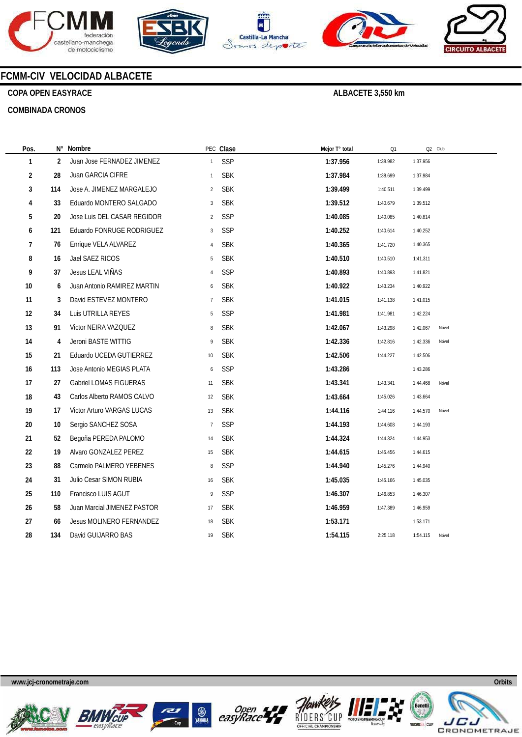









### **FCMM-CIV VELOCIDAD ALBACETE**

### **COPA OPEN EASYRACE**

**COMBINADA CRONOS** 

| Pos.                    |     | N° Nombre                     |                | PEC Clase  | Mejor T° total | Q1       | Q2 Club  |       |
|-------------------------|-----|-------------------------------|----------------|------------|----------------|----------|----------|-------|
| 1                       | 2   | Juan Jose FERNADEZ JIMENEZ    | $\mathbf{1}$   | SSP        | 1:37.956       | 1:38.982 | 1:37.956 |       |
| $\overline{\mathbf{c}}$ | 28  | Juan GARCIA CIFRE             | $\mathbf{1}$   | <b>SBK</b> | 1:37.984       | 1:38.699 | 1:37.984 |       |
| 3                       | 114 | Jose A. JIMENEZ MARGALEJO     | $\overline{2}$ | <b>SBK</b> | 1:39.499       | 1:40.511 | 1:39.499 |       |
| 4                       | 33  | Eduardo MONTERO SALGADO       | $\sqrt{3}$     | <b>SBK</b> | 1:39.512       | 1:40.679 | 1:39.512 |       |
| 5                       | 20  | Jose Luis DEL CASAR REGIDOR   | $\overline{2}$ | SSP        | 1:40.085       | 1:40.085 | 1:40.814 |       |
| 6                       | 121 | Eduardo FONRUGE RODRIGUEZ     | 3              | SSP        | 1:40.252       | 1:40.614 | 1:40.252 |       |
| 7                       | 76  | Enrique VELA ALVAREZ          | $\overline{4}$ | <b>SBK</b> | 1:40.365       | 1:41.720 | 1:40.365 |       |
| 8                       | 16  | Jael SAEZ RICOS               | 5              | <b>SBK</b> | 1:40.510       | 1:40.510 | 1:41.311 |       |
| 9                       | 37  | Jesus LEAL VIÑAS              | $\overline{4}$ | SSP        | 1:40.893       | 1:40.893 | 1:41.821 |       |
| $10\,$                  | 6   | Juan Antonio RAMIREZ MARTIN   | 6              | <b>SBK</b> | 1:40.922       | 1:43.234 | 1:40.922 |       |
| 11                      | 3   | David ESTEVEZ MONTERO         | $\overline{7}$ | <b>SBK</b> | 1:41.015       | 1:41.138 | 1:41.015 |       |
| 12                      | 34  | Luis UTRILLA REYES            | 5              | SSP        | 1:41.981       | 1:41.981 | 1:42.224 |       |
| 13                      | 91  | Victor NEIRA VAZQUEZ          | 8              | <b>SBK</b> | 1:42.067       | 1:43.298 | 1:42.067 | Nóvel |
| 14                      | 4   | Jeroni BASTE WITTIG           | 9              | <b>SBK</b> | 1:42.336       | 1:42.816 | 1:42.336 | Nóvel |
| 15                      | 21  | Eduardo UCEDA GUTIERREZ       | 10             | <b>SBK</b> | 1:42.506       | 1:44.227 | 1:42.506 |       |
| 16                      | 113 | Jose Antonio MEGIAS PLATA     | 6              | SSP        | 1:43.286       |          | 1:43.286 |       |
| 17                      | 27  | <b>Gabriel LOMAS FIGUERAS</b> | 11             | <b>SBK</b> | 1:43.341       | 1:43.341 | 1:44.468 | Nóvel |
| 18                      | 43  | Carlos Alberto RAMOS CALVO    | 12             | <b>SBK</b> | 1:43.664       | 1:45.026 | 1:43.664 |       |
| 19                      | 17  | Victor Arturo VARGAS LUCAS    | 13             | <b>SBK</b> | 1:44.116       | 1:44.116 | 1:44.570 | Nóvel |
| $20\,$                  | 10  | Sergio SANCHEZ SOSA           | $\overline{7}$ | SSP        | 1:44.193       | 1:44.608 | 1:44.193 |       |
| 21                      | 52  | Begoña PEREDA PALOMO          | 14             | <b>SBK</b> | 1:44.324       | 1:44.324 | 1:44.953 |       |
| 22                      | 19  | Alvaro GONZALEZ PEREZ         | 15             | <b>SBK</b> | 1:44.615       | 1:45.456 | 1:44.615 |       |
| 23                      | 88  | Carmelo PALMERO YEBENES       | 8              | SSP        | 1:44.940       | 1:45.276 | 1:44.940 |       |
| 24                      | 31  | Julio Cesar SIMON RUBIA       | 16             | <b>SBK</b> | 1:45.035       | 1:45.166 | 1:45.035 |       |
| 25                      | 110 | Francisco LUIS AGUT           | 9              | SSP        | 1:46.307       | 1:46.853 | 1:46.307 |       |
| 26                      | 58  | Juan Marcial JIMENEZ PASTOR   | 17             | <b>SBK</b> | 1:46.959       | 1:47.389 | 1:46.959 |       |
| 27                      | 66  | Jesus MOLINERO FERNANDEZ      | 18             | <b>SBK</b> | 1:53.171       |          | 1:53.171 |       |
| 28                      | 134 | David GUIJARRO BAS            | 19             | <b>SBK</b> | 1:54.115       | 2:25.118 | 1:54.115 | Nóvel |
|                         |     |                               |                |            |                |          |          |       |









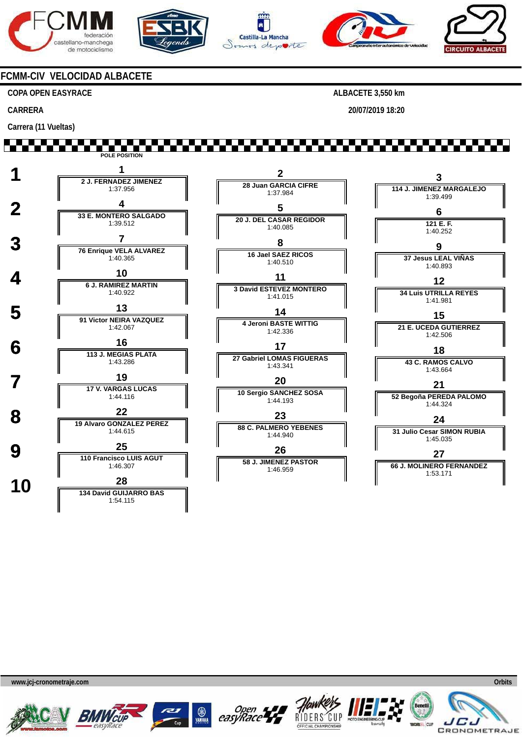







**20/07/2019 18:20** 



### **FCMM-CIV VELOCIDAD ALBACETE**

1:40.922

1:42.067

1:43.286

1:44.116

1:44.615

1:46.307

1:54.115

 **5 <sup>13</sup> 91 Victor NEIRA VAZQUEZ**

**6 16 113 J. MEGIAS PLATA** 

**19 17 V. VARGAS LUCAS** 

 **8 <sup>22</sup> 19 Alvaro GONZALEZ PEREZ**

**9 110 Francisco LUIS AGUT** 

**10 1 134 David GUIJARRO BAS** 

#### **COPA OPEN EASYRACE**

**CARRERA** 

**Carrera (11 Vueltas)** 

,,,,,,,,,,, **POLE POSITION 1 <sup>1</sup> 2 J. FERNADEZ JIMENEZ 2 3 28 Juan GARCIA CIFRE 114 J. JIMENEZ MARGALEJO** 1:37.956 1:37.984 1:39.499  **2 <sup>4</sup> 33 E. MONTERO SALGADO 5 6 20 J. DEL CASAR REGIDOR** 1:39.512 **121 E. F.** 1:40.085 1:40.252 **3 7 76 Enrique VELA ALVAREZ 8 9 16 Jael SAEZ RICOS 37 Jesus LEAL VIÑAS** 1:40.365 1:40.510 1:40.893 **4 10**<br> **6 J. RAMIREZ MARTIN** 

**11 3 David ESTEVEZ MONTERO** 1:41.015 **14 4 Jeroni BASTE WITTIG** 1:42.336

**17 27 Gabriel LOMAS FIGUERAS** 1:43.341 **20**

**10 Sergio SANCHEZ SOSA** 1:44.193

**23 88 C. PALMERO YEBENES** 1:44.940 **26 58 J. JIMENEZ PASTOR**

1:46.959



1:53.171









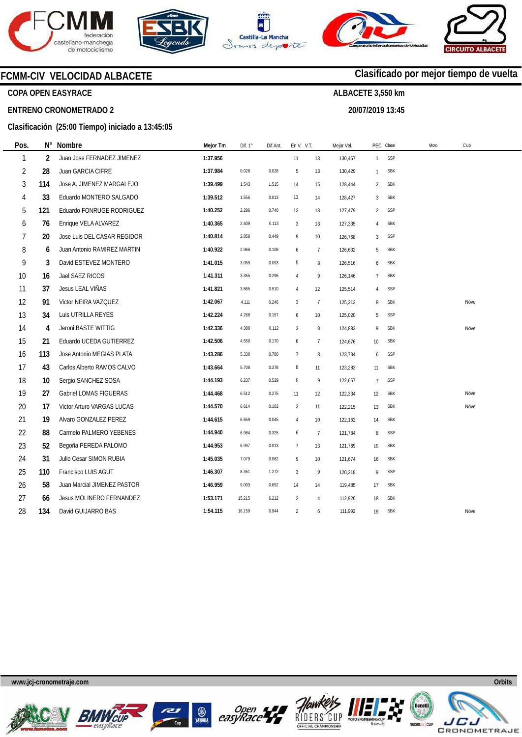







**20/07/2019 13:45** 

**Clasificado por mejor tiempo de vuelta**



### **COPA OPEN EASYRACE**

**Pos.** 

#### **ENTRENO CRONOMETRADO 2**

### **Clasificación (25:00 Tiempo) iniciado a 13:45:05**

| Pos.           | N°             | Nombre                      | Mejor Tm | Dif. 1° | Dif.Ant. | En V. V.T.     |                | Mejor Vel. |                 | PEC Clase  | Club<br>Moto |       |
|----------------|----------------|-----------------------------|----------|---------|----------|----------------|----------------|------------|-----------------|------------|--------------|-------|
| 1              | $\overline{2}$ | Juan Jose FERNADEZ JIMENEZ  | 1:37.956 |         |          | 11             | 13             | 130,467    | $\mathbf{1}$    | SSP        |              |       |
| $\overline{2}$ | 28             | Juan GARCIA CIFRE           | 1:37.984 | 0.028   | 0.028    | 5              | 13             | 130,429    | 1               | <b>SBK</b> |              |       |
| 3              | 114            | Jose A. JIMENEZ MARGALEJO   | 1:39.499 | 1.543   | 1.515    | 14             | 15             | 128,444    | 2               | <b>SBK</b> |              |       |
| 4              | 33             | Eduardo MONTERO SALGADO     | 1:39.512 | 1.556   | 0.013    | 13             | 14             | 128,427    | 3               | <b>SBK</b> |              |       |
| 5              | 121            | Eduardo FONRUGE RODRIGUEZ   | 1:40.252 | 2.296   | 0.740    | 13             | 13             | 127,479    | $\overline{a}$  | SSP        |              |       |
| 6              | 76             | Enrique VELA ALVAREZ        | 1:40.365 | 2.409   | 0.113    | 3              | 13             | 127,335    | 4               | <b>SBK</b> |              |       |
| 7              | 20             | Jose Luis DEL CASAR REGIDOR | 1:40.814 | 2.858   | 0.449    | 9              | 10             | 126,768    | 3               | SSP        |              |       |
| 8              | 6              | Juan Antonio RAMIREZ MARTIN | 1:40.922 | 2.966   | 0.108    | 6              | $\overline{7}$ | 126,632    | 5               | <b>SBK</b> |              |       |
| 9              | 3              | David ESTEVEZ MONTERO       | 1:41.015 | 3.059   | 0.093    | 5              | 8              | 126,516    | 6               | <b>SBK</b> |              |       |
| 10             | 16             | Jael SAEZ RICOS             | 1:41.311 | 3.355   | 0.296    | $\overline{4}$ | 9              | 126,146    | $\overline{7}$  | <b>SBK</b> |              |       |
| 11             | 37             | Jesus LEAL VIÑAS            | 1:41.821 | 3.865   | 0.510    | 4              | 12             | 125,514    | 4               | SSP        |              |       |
| 12             | 91             | Victor NEIRA VAZQUEZ        | 1:42.067 | 4.111   | 0.246    | $\overline{3}$ | $\overline{7}$ | 125,212    | 8               | <b>SBK</b> |              | Nóvel |
| 13             | 34             | Luis UTRILLA REYES          | 1:42.224 | 4.268   | 0.157    | 6              | 10             | 125,020    | 5               | SSP        |              |       |
| 14             | 4              | Jeroni BASTE WITTIG         | 1:42.336 | 4.380   | 0.112    | $\overline{3}$ | $\, 8$         | 124,883    | 9               | <b>SBK</b> |              | Nóvel |
| 15             | 21             | Eduardo UCEDA GUTIERREZ     | 1:42.506 | 4.550   | 0.170    | 6              | $\overline{7}$ | 124,676    | 10 <sup>°</sup> | <b>SBK</b> |              |       |
| 16             | 113            | Jose Antonio MEGIAS PLATA   | 1:43.286 | 5.330   | 0.780    | $\overline{1}$ | 8              | 123,734    | 6               | SSP        |              |       |
| 17             | 43             | Carlos Alberto RAMOS CALVO  | 1:43.664 | 5.708   | 0.378    | 8              | 11             | 123,283    | 11              | <b>SBK</b> |              |       |
| 18             | 10             | Sergio SANCHEZ SOSA         | 1:44.193 | 6.237   | 0.529    | 5              | 9              | 122,657    | $\overline{7}$  | SSP        |              |       |
| 19             | 27             | Gabriel LOMAS FIGUERAS      | 1:44.468 | 6.512   | 0.275    | 11             | 12             | 122,334    | 12              | <b>SBK</b> |              | Nóvel |
| 20             | 17             | Victor Arturo VARGAS LUCAS  | 1:44.570 | 6.614   | 0.102    | $\overline{3}$ | 11             | 122,215    | 13              | <b>SBK</b> |              | Nóvel |
| 21             | 19             | Alvaro GONZALEZ PEREZ       | 1:44.615 | 6.659   | 0.045    | $\overline{4}$ | 10             | 122,162    | 14              | <b>SBK</b> |              |       |
| 22             | 88             | Carmelo PALMERO YEBENES     | 1:44.940 | 6.984   | 0.325    | 6              | $\overline{7}$ | 121,784    | 8               | SSP        |              |       |
| 23             | 52             | Begoña PEREDA PALOMO        | 1:44.953 | 6.997   | 0.013    | $\overline{1}$ | 13             | 121,769    | 15              | <b>SBK</b> |              |       |
| 24             | 31             | Julio Cesar SIMON RUBIA     | 1:45.035 | 7.079   | 0.082    | 9              | 10             | 121,674    | 16              | <b>SBK</b> |              |       |
| 25             | 110            | Francisco LUIS AGUT         | 1:46.307 | 8.351   | 1.272    | 3              | 9              | 120,218    | 9               | SSP        |              |       |
| 26             | 58             | Juan Marcial JIMENEZ PASTOR | 1:46.959 | 9.003   | 0.652    | 14             | 14             | 119,485    | 17              | <b>SBK</b> |              |       |
| 27             | 66             | Jesus MOLINERO FERNANDEZ    | 1:53.171 | 15.215  | 6.212    | $\overline{2}$ | $\overline{4}$ | 112,926    | 18              | <b>SBK</b> |              |       |
| 28             | 134            | David GUIJARRO BAS          | 1:54.115 | 16.159  | 0.944    | $\overline{2}$ | 6              | 111,992    | 19              | <b>SBK</b> |              | Nóvel |
|                |                |                             |          |         |          |                |                |            |                 |            |              |       |











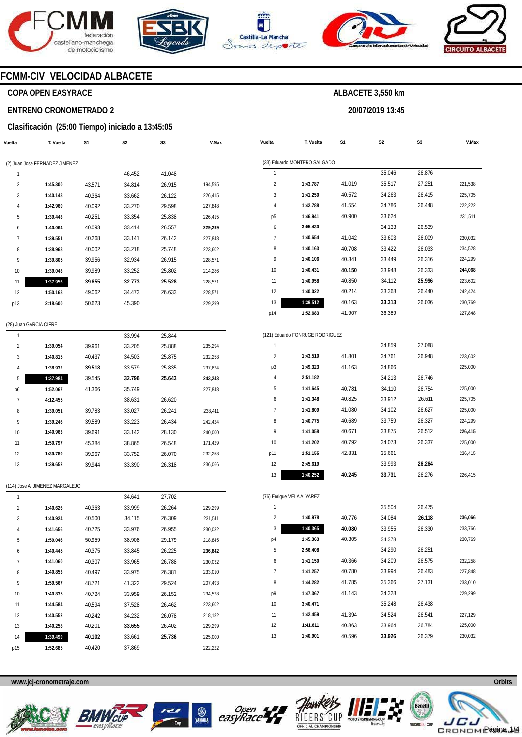





**Vuelta** 

**T. Vuelta** 

**S1** 



**S2** 

**ALBACETE 3,550 km** 

**20/07/2019 13:45** 

**S3** 



**V.Max** 

### **FCMM-CIV VELOCIDAD ALBACETE**

### **COPA OPEN EASYRACE**

#### **ENTRENO CRONOMETRADO 2**

#### **Clasificación (25:00 Tiempo) iniciado a 13:45:05**

| Vuelta         | T. Vuelta                      | S1     | S <sub>2</sub> | S3     | V.Max   |
|----------------|--------------------------------|--------|----------------|--------|---------|
|                | (2) Juan Jose FERNADEZ JIMENEZ |        |                |        |         |
| 1              |                                |        | 46.452         | 41.048 |         |
| $\overline{2}$ | 1:45.300                       | 43.571 | 34.814         | 26.915 | 194,595 |
| 3              | 1:40.148                       | 40.364 | 33.662         | 26.122 | 226,415 |
| 4              | 1:42.960                       | 40.092 | 33.270         | 29.598 | 227,848 |
| 5              | 1:39.443                       | 40.251 | 33.354         | 25.838 | 226,415 |
| 6              | 1:40.064                       | 40.093 | 33.414         | 26.557 | 229,299 |
| 7              | 1:39.551                       | 40.268 | 33.141         | 26.142 | 227,848 |
| 8              | 1:38.968                       | 40.002 | 33.218         | 25.748 | 223,602 |
| 9              | 1:39.805                       | 39.956 | 32.934         | 26.915 | 228,571 |
| 10             | 1:39.043                       | 39.989 | 33.252         | 25.802 | 214,286 |
| 11             | 1:37.956                       | 39.655 | 32.773         | 25.528 | 228,571 |
| 12             | 1:50.168                       | 49.062 | 34.473         | 26.633 | 228,571 |
| p13            | 2:18.600                       | 50.623 | 45.390         |        | 229,299 |
|                |                                |        |                |        |         |

#### (28) Juan GARCIA CIFRE

| 1              |          |        | 33.994 | 25.844 |         |
|----------------|----------|--------|--------|--------|---------|
| $\overline{2}$ | 1:39.054 | 39.961 | 33.205 | 25.888 | 235,294 |
| 3              | 1:40.815 | 40.437 | 34.503 | 25.875 | 232,258 |
| 4              | 1:38.932 | 39.518 | 33.579 | 25.835 | 237,624 |
| 5              | 1:37.984 | 39.545 | 32.796 | 25.643 | 243,243 |
| p6             | 1:52.067 | 41.366 | 35.749 |        | 227.848 |
| 7              | 4:12.455 |        | 38.631 | 26.620 |         |
| 8              | 1:39.051 | 39.783 | 33.027 | 26.241 | 238,411 |
| 9              | 1:39.246 | 39.589 | 33.223 | 26.434 | 242,424 |
| 10             | 1:40.963 | 39.691 | 33.142 | 28.130 | 240.000 |
| 11             | 1:50.797 | 45.384 | 38.865 | 26.548 | 171,429 |
| 12             | 1:39.789 | 39.967 | 33.752 | 26.070 | 232,258 |
| 13             | 1:39.652 | 39.944 | 33.390 | 26.318 | 236,066 |

#### (114) Jose A. JIMENEZ MARGALEJO

| 1              |          |        | 34.641 | 27.702 |         |
|----------------|----------|--------|--------|--------|---------|
| $\overline{2}$ | 1:40.626 | 40.363 | 33.999 | 26.264 | 229,299 |
| 3              | 1:40.924 | 40.500 | 34.115 | 26.309 | 231,511 |
| 4              | 1:41.656 | 40.725 | 33.976 | 26.955 | 230,032 |
| 5              | 1:59.046 | 50.959 | 38.908 | 29.179 | 218,845 |
| 6              | 1:40.445 | 40.375 | 33.845 | 26.225 | 236,842 |
| 7              | 1:41.060 | 40.307 | 33.965 | 26.788 | 230,032 |
| 8              | 1:40.853 | 40.497 | 33.975 | 26.381 | 233,010 |
| 9              | 1:59.567 | 48.721 | 41.322 | 29.524 | 207,493 |
| 10             | 1:40.835 | 40.724 | 33.959 | 26.152 | 234,528 |
| 11             | 1:44.584 | 40.594 | 37.528 | 26.462 | 223,602 |
| 12             | 1:40.552 | 40.242 | 34.232 | 26.078 | 218,182 |
| 13             | 1:40.258 | 40.201 | 33.655 | 26.402 | 229,299 |
| 14             | 1:39.499 | 40.102 | 33.661 | 25.736 | 225,000 |
| p15            | 1:52.685 | 40.420 | 37.869 |        | 222,222 |

| 1              |          |        | 35.046 | 26.876 |         |
|----------------|----------|--------|--------|--------|---------|
| $\overline{2}$ | 1:43.787 | 41.019 | 35.517 | 27.251 | 221,538 |
| 3              | 1:41.250 | 40.572 | 34.263 | 26.415 | 225,705 |
| 4              | 1:42.788 | 41.554 | 34.786 | 26.448 | 222,222 |
| p <sub>5</sub> | 1:46.941 | 40.900 | 33.624 |        | 231,511 |
| 6              | 3:05.430 |        | 34.133 | 26.539 |         |
| 7              | 1:40.654 | 41.042 | 33.603 | 26.009 | 230,032 |
| 8              | 1:40.163 | 40.708 | 33.422 | 26.033 | 234,528 |
| 9              | 1:40.106 | 40.341 | 33.449 | 26.316 | 224,299 |
| 10             | 1:40.431 | 40.150 | 33.948 | 26.333 | 244,068 |
| 11             | 1:40.958 | 40.850 | 34.112 | 25.996 | 223,602 |
| 12             | 1:40.022 | 40.214 | 33.368 | 26.440 | 242,424 |
| 13             | 1:39.512 | 40.163 | 33.313 | 26.036 | 230,769 |
| p14            | 1:52.683 | 41.907 | 36.389 |        | 227,848 |

|     | (121) Eduardo FONRUGE RODRIGUEZ |        |        |        |         |  |  |  |  |  |
|-----|---------------------------------|--------|--------|--------|---------|--|--|--|--|--|
| 1   |                                 |        | 34.859 | 27.088 |         |  |  |  |  |  |
| 2   | 1:43.510                        | 41.801 | 34.761 | 26.948 | 223,602 |  |  |  |  |  |
| p3  | 1:49.323                        | 41.163 | 34.866 |        | 225,000 |  |  |  |  |  |
| 4   | 2:51.182                        |        | 34.213 | 26.746 |         |  |  |  |  |  |
| 5   | 1:41.645                        | 40.781 | 34.110 | 26.754 | 225,000 |  |  |  |  |  |
| 6   | 1:41.348                        | 40.825 | 33.912 | 26.611 | 225,705 |  |  |  |  |  |
| 7   | 1:41.809                        | 41.080 | 34.102 | 26.627 | 225,000 |  |  |  |  |  |
| 8   | 1:40.775                        | 40.689 | 33.759 | 26.327 | 224,299 |  |  |  |  |  |
| 9   | 1:41.058                        | 40.671 | 33.875 | 26.512 | 226,415 |  |  |  |  |  |
| 10  | 1:41.202                        | 40.792 | 34.073 | 26.337 | 225,000 |  |  |  |  |  |
| p11 | 1:51.155                        | 42.831 | 35.661 |        | 226,415 |  |  |  |  |  |
| 12  | 2:45.619                        |        | 33.993 | 26.264 |         |  |  |  |  |  |
| 13  | 1:40.252                        | 40.245 | 33.731 | 26.276 | 226,415 |  |  |  |  |  |

|                | (76) Enrique VELA ALVAREZ |        |        |        |         |  |  |  |  |  |  |
|----------------|---------------------------|--------|--------|--------|---------|--|--|--|--|--|--|
| 1              |                           |        | 35.504 | 26.475 |         |  |  |  |  |  |  |
| $\overline{2}$ | 1:40.978                  | 40.776 | 34.084 | 26.118 | 236,066 |  |  |  |  |  |  |
| 3              | 1:40.365                  | 40.080 | 33.955 | 26.330 | 233,766 |  |  |  |  |  |  |
| p4             | 1:45.363                  | 40.305 | 34.378 |        | 230,769 |  |  |  |  |  |  |
| 5              | 2:56.408                  |        | 34.290 | 26.251 |         |  |  |  |  |  |  |
| 6              | 1:41.150                  | 40.366 | 34.209 | 26.575 | 232,258 |  |  |  |  |  |  |
| 7              | 1:41.257                  | 40.780 | 33.994 | 26.483 | 227,848 |  |  |  |  |  |  |
| 8              | 1:44.282                  | 41.785 | 35.366 | 27.131 | 233,010 |  |  |  |  |  |  |
| p9             | 1:47.367                  | 41.143 | 34.328 |        | 229,299 |  |  |  |  |  |  |
| 10             | 3:40.471                  |        | 35.248 | 26.438 |         |  |  |  |  |  |  |
| 11             | 1:42.459                  | 41.394 | 34.524 | 26.541 | 227,129 |  |  |  |  |  |  |
| 12             | 1:41.611                  | 40.863 | 33.964 | 26.784 | 225,000 |  |  |  |  |  |  |
| 13             | 1:40.901                  | 40.596 | 33.926 | 26.379 | 230.032 |  |  |  |  |  |  |









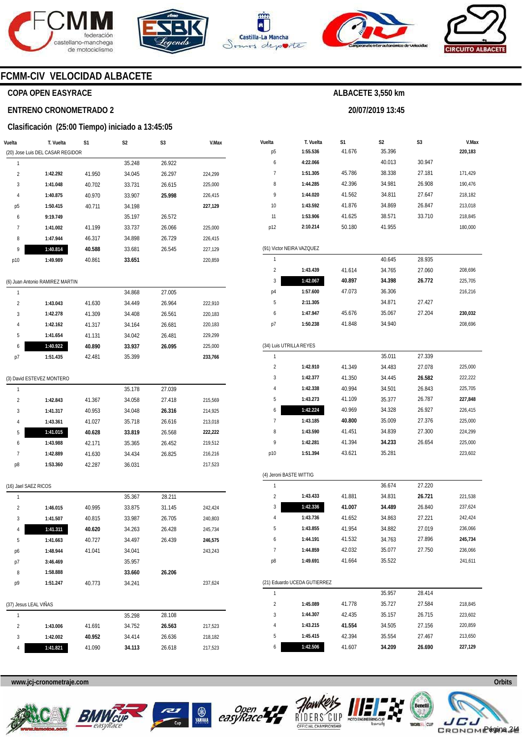







**20/07/2019 13:45** 



### **FCMM-CIV VELOCIDAD ALBACETE**

### **COPA OPEN EASYRACE**

#### **ENTRENO CRONOMETRADO 2**

#### **Clasificación (25:00 Tiempo) iniciado a 13:45:05**

| Vuelta                | T. Vuelta                        | S1     | S <sub>2</sub> | S <sub>3</sub> | V.Max   | Vuelta          | T. Vuelta                    | S1     | S <sub>2</sub> | S <sub>3</sub>   | V.Max              |
|-----------------------|----------------------------------|--------|----------------|----------------|---------|-----------------|------------------------------|--------|----------------|------------------|--------------------|
|                       | (20) Jose Luis DEL CASAR REGIDOR |        |                |                |         | p <sub>5</sub>  | 1:55.536                     | 41.676 | 35.396         |                  | 220,183            |
| $\mathbf{1}$          |                                  |        | 35.248         | 26.922         |         | 6               | 4:22.066                     |        | 40.013         | 30.947           |                    |
| $\overline{2}$        | 1:42.292                         | 41.950 | 34.045         | 26.297         | 224,299 | 7               | 1:51.305                     | 45.786 | 38.338         | 27.181           | 171,429            |
| 3                     | 1:41.048                         | 40.702 | 33.731         | 26.615         | 225,000 | 8               | 1:44.285                     | 42.396 | 34.981         | 26.908           | 190,476            |
|                       | 1:40.875                         | 40.970 | 33.907         | 25.998         | 226,415 | 9               | 1:44.020                     | 41.562 | 34.811         | 27.647           | 218,182            |
| p <sub>5</sub>        | 1:50.415                         | 40.711 | 34.198         |                | 227,129 | 10              | 1:43.592                     | 41.876 | 34.869         | 26.847           | 213,018            |
| 6                     | 9:19.749                         |        | 35.197         | 26.572         |         | 11              | 1:53.906                     | 41.625 | 38.571         | 33.710           | 218,845            |
| $\overline{7}$        | 1:41.002                         | 41.199 | 33.737         | 26.066         | 225,000 | p12             | 2:10.214                     | 50.180 | 41.955         |                  | 180,000            |
| 8                     | 1:47.944                         | 46.317 | 34.898         | 26.729         | 226,415 |                 |                              |        |                |                  |                    |
|                       | 1:40.814                         | 40.588 | 33.681         | 26.545         | 227,129 |                 | (91) Victor NEIRA VAZQUEZ    |        |                |                  |                    |
| p10                   | 1:49.989                         | 40.861 | 33.651         |                | 220,859 | $\mathbf{1}$    |                              |        | 40.645         | 28.935           |                    |
|                       |                                  |        |                |                |         | $\overline{2}$  | 1:43.439                     | 41.614 | 34.765         | 27.060           | 208,696            |
|                       | (6) Juan Antonio RAMIREZ MARTIN  |        |                |                |         | 3               | 1:42.067                     | 40.897 | 34.398         | 26.772           | 225,705            |
| 1                     |                                  |        | 34.868         | 27.005         |         | p4              | 1:57.600                     | 47.073 | 36.306         |                  | 216,216            |
| $\overline{2}$        | 1:43.043                         | 41.630 | 34.449         | 26.964         | 222,910 | 5               | 2:11.305                     |        | 34.871         | 27.427           |                    |
| 3                     | 1:42.278                         | 41.309 | 34.408         | 26.561         | 220,183 | 6               | 1:47.947                     | 45.676 | 35.067         | 27.204           | 230,032            |
|                       | 1:42.162                         | 41.317 | 34.164         | 26.681         | 220,183 | p7              | 1:50.238                     | 41.848 | 34.940         |                  | 208,696            |
| 5                     | 1:41.654                         | 41.131 | 34.042         | 26.481         | 229,299 |                 |                              |        |                |                  |                    |
| 6                     | 1:40.922                         | 40.890 | 33.937         | 26.095         | 225,000 |                 | (34) Luis UTRILLA REYES      |        |                |                  |                    |
| p7                    | 1:51.435                         | 42.481 | 35.399         |                | 233,766 | $\mathbf{1}$    |                              |        | 35.011         | 27.339           |                    |
|                       |                                  |        |                |                |         | $\overline{2}$  | 1:42.910                     | 41.349 | 34.483         | 27.078           | 225,000            |
|                       | (3) David ESTEVEZ MONTERO        |        |                |                |         | 3               | 1:42.377                     | 41.350 | 34.445         | 26.582           | 222,222            |
| $\mathbf{1}$          |                                  |        | 35.178         | 27.039         |         | 4               | 1:42.338                     | 40.994 | 34.501         | 26.843           | 225,705            |
| $\overline{2}$        | 1:42.843                         | 41.367 | 34.058         | 27.418         | 215,569 | 5               | 1:43.273                     | 41.109 | 35.377         | 26.787           | 227,848            |
| 3                     | 1:41.317                         | 40.953 | 34.048         | 26.316         | 214,925 | 6               | 1:42.224                     | 40.969 | 34.328         | 26.927           | 226,415            |
| 4                     | 1:43.361                         | 41.027 | 35.718         | 26.616         | 213,018 | $\overline{7}$  | 1:43.185                     | 40.800 | 35.009         | 27.376           | 225,000            |
| 5                     | 1:41.015                         | 40.628 | 33.819         | 26.568         | 222,222 | 8               | 1:43.590                     | 41.451 | 34.839         | 27.300           | 224,299            |
| 6                     | 1:43.988                         | 42.171 | 35.365         | 26.452         | 219,512 | 9               | 1:42.281                     | 41.394 | 34.233         | 26.654           | 225,000            |
| $\overline{7}$        | 1:42.889                         | 41.630 | 34.434         | 26.825         | 216,216 | p10             | 1:51.394                     | 43.621 | 35.281         |                  | 223,602            |
| p8                    | 1:53.360                         | 42.287 | 36.031         |                | 217,523 |                 |                              |        |                |                  |                    |
|                       |                                  |        |                |                |         |                 | (4) Jeroni BASTE WITTIG      |        |                |                  |                    |
| (16) Jael SAEZ RICOS  |                                  |        |                |                |         | $\overline{1}$  |                              |        | 36.674         | 27.220           |                    |
| $\overline{1}$        |                                  |        | 35.367         | 28.211         |         | $\overline{2}$  | 1:43.433                     | 41.881 | 34.831         | 26.721           | 221,538            |
| $\overline{2}$        | 1:46.015                         | 40.995 | 33.875         | 31.145         | 242,424 | 3               | 1:42.336                     | 41.007 | 34.489         | 26.840           | 237,624            |
| 3                     | 1:41.507                         | 40.815 | 33.987         | 26.705         | 240,803 | 4               | 1:43.736                     | 41.652 | 34.863         | 27.221           | 242,424            |
|                       | 1:41.311                         | 40.620 | 34.263         | 26.428         | 245,734 | 5               | 1:43.855                     | 41.954 | 34.882         | 27.019           | 236,066            |
| 5                     | 1:41.663                         | 40.727 | 34.497         | 26.439         | 246,575 | 6               | 1:44.191                     | 41.532 | 34.763         | 27.896           | 245,734            |
|                       | 1:48.944                         | 41.041 | 34.041         |                | 243,243 | $\overline{1}$  | 1:44.859                     | 42.032 | 35.077         | 27.750           | 236,066            |
| p6                    | 3:46.469                         |        | 35.957         |                |         | p8              | 1:49.691                     | 41.664 | 35.522         |                  | 241,611            |
| p7                    |                                  |        |                | 26.206         |         |                 |                              |        |                |                  |                    |
| 8                     | 1:58.888                         |        | 33.660         |                |         |                 | (21) Eduardo UCEDA GUTIERREZ |        |                |                  |                    |
| p9                    | 1:51.247                         | 40.773 | 34.241         |                | 237,624 | $\mathbf{1}$    |                              |        | 35.957         | 28.414           |                    |
|                       |                                  |        |                |                |         |                 |                              |        |                |                  |                    |
| (37) Jesus LEAL VIÑAS |                                  |        |                |                |         | $\sqrt{2}$<br>3 | 1:45.089                     | 41.778 | 35.727         | 27.584<br>26.715 | 218,845<br>223,602 |
| $\mathbf{1}$          |                                  |        | 35.298         | 28.108         |         |                 | 1:44.307                     | 42.435 | 35.157         |                  |                    |
| $\overline{2}$        | 1:43.006                         | 41.691 | 34.752         | 26.563         | 217,523 | 4               | 1:43.215                     | 41.554 | 34.505         | 27.156           | 220,859            |
| 3                     | 1:42.002                         | 40.952 | 34.414         | 26.636         | 218,182 | 5               | 1:45.415                     | 42.394 | 35.554         | 27.467           | 213,650            |
| 4                     | 1:41.821                         | 41.090 | 34.113         | 26.618         | 217,523 | 6               | 1:42.506                     | 41.607 | 34.209         | 26.690           | 227,129            |









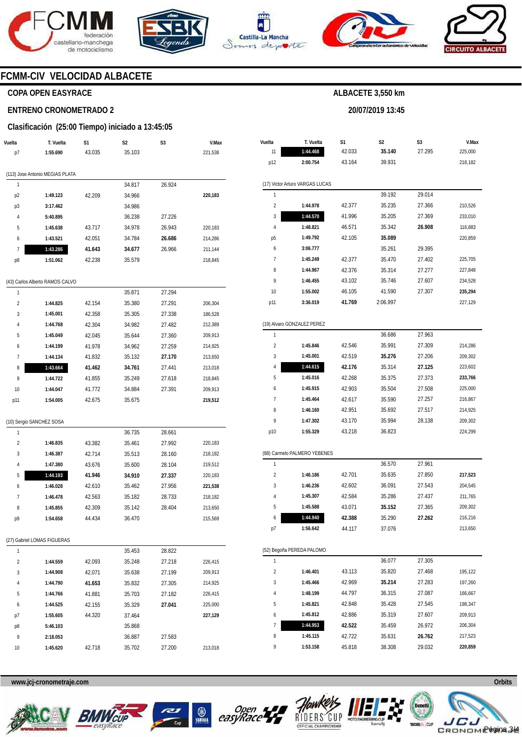







**20/07/2019 13:45** 



### **FCMM-CIV VELOCIDAD ALBACETE**

### **COPA OPEN EASYRACE**

#### **ENTRENO CRONOMETRADO 2**

#### **Clasificación (25:00 Tiempo) iniciado a 13:45:05**

| Vuelta                  | T. Vuelta                       | S1     | S2     | S3     | V.Max   |  |
|-------------------------|---------------------------------|--------|--------|--------|---------|--|
| p7                      | 1:55.690                        | 43.035 | 35.103 |        | 221,538 |  |
|                         | (113) Jose Antonio MEGIAS PLATA |        |        |        |         |  |
| 1                       |                                 |        | 34.817 | 26.924 |         |  |
| p2                      | 1:49.123                        | 42.209 | 34.966 |        | 220,183 |  |
| p3                      | 3:17.462                        |        | 34.986 |        |         |  |
| 4                       | 5:40.895                        |        | 36.238 | 27.226 |         |  |
| 5                       | 1:45.638                        | 43.717 | 34.978 | 26.943 | 220,183 |  |
| 6                       | 1:43.521                        | 42.051 | 34.784 | 26.686 | 214,286 |  |
| 7                       | 1:43.286                        | 41.643 | 34.677 | 26.966 | 211,144 |  |
| p8                      | 1:51.062                        | 42.238 | 35.579 |        | 218,845 |  |
|                         |                                 |        |        |        |         |  |
|                         | (43) Carlos Alberto RAMOS CALVO |        |        |        |         |  |
| 1                       |                                 |        | 35.871 | 27.294 |         |  |
| $\overline{\mathbf{c}}$ | 1:44.825                        | 42.154 | 35.380 | 27.291 | 206,304 |  |
| 3                       | 1:45.001                        | 42.358 | 35.305 | 27.338 | 186,528 |  |
| 4                       | 1:44.768                        | 42.304 | 34.982 | 27.482 | 212,389 |  |
| 5                       | 1:45.049                        | 42.045 | 35.644 | 27.360 | 209,913 |  |
| 6                       | 1:44.199                        | 41.978 | 34.962 | 27.259 | 214,925 |  |
| 7                       | 1:44.134                        | 41.832 | 35.132 | 27.170 | 213,650 |  |
| 8                       | 1:43.664                        | 41.462 | 34.761 | 27.441 | 213,018 |  |
| 9                       | 1:44.722                        | 41.855 | 35.249 | 27.618 | 218,845 |  |
| 10                      | 1:44.047                        | 41.772 | 34.884 | 27.391 | 209,913 |  |
| p11                     | 1:54.005                        | 42.675 | 35.675 |        | 219,512 |  |
|                         | (10) Sergio SANCHEZ SOSA        |        |        |        |         |  |
| 1                       |                                 |        | 36.735 | 28.661 |         |  |
| $\overline{c}$          | 1:46.835                        | 43.382 | 35.461 | 27.992 | 220,183 |  |
| 3                       | 1:46.387                        | 42.714 | 35.513 | 28.160 | 218,182 |  |
| 4                       | 1:47.380                        | 43.676 | 35.600 | 28.104 | 219,512 |  |
| 5                       | 1:44.193                        | 41.946 | 34.910 | 27.337 | 220,183 |  |
| 6                       | 1:46.028                        | 42.610 | 35.462 | 27.956 | 221,538 |  |
| 7                       | 1:46.478                        | 42.563 | 35.182 | 28.733 | 218,182 |  |
| 8                       | 1:45.855                        | 42.309 | 35.142 | 28.404 | 213,650 |  |
| p9                      | 1:54.658                        | 44.434 | 36.470 |        | 215,569 |  |
|                         | (27) Gabriel LOMAS FIGUERAS     |        |        |        |         |  |
| 1                       |                                 |        | 35.453 | 28.822 |         |  |
| 2                       | 1:44.559                        | 42.093 | 35.248 | 27.218 | 226,415 |  |
| 3                       | 1:44.908                        | 42.071 | 35.638 | 27.199 | 209,913 |  |
| 4                       | 1:44.790                        | 41.653 | 35.832 | 27.305 | 214,925 |  |
| 5                       | 1:44.766                        | 41.881 | 35.703 | 27.182 | 226,415 |  |
| 6                       | 1:44.525                        | 42.155 | 35.329 | 27.041 | 225,000 |  |
| p7                      | 1:55.605                        | 44.320 | 37.464 |        | 227,129 |  |
| p8                      | 5:46.103                        |        | 35.868 |        |         |  |
| 9                       | 2:18.053                        |        | 36.887 | 27.583 |         |  |
| 10                      | 1:45.620                        | 42.718 | 35.702 | 27.200 | 213,018 |  |
|                         |                                 |        |        |        |         |  |

| Vuelta                  | T. Vuelta                       | S1     | S2       | S3     | V.Max   |
|-------------------------|---------------------------------|--------|----------|--------|---------|
| 11                      | 1:44.468                        | 42.033 | 35.140   | 27.295 | 225,000 |
| p12                     | 2:00.754                        | 43.164 | 39.931   |        | 218,182 |
|                         |                                 |        |          |        |         |
|                         | (17) Victor Arturo VARGAS LUCAS |        |          |        |         |
| 1                       |                                 |        | 39.192   | 29.014 |         |
| $\overline{\mathbf{c}}$ | 1:44.978                        | 42.377 | 35.235   | 27.366 | 210,526 |
| 3                       | 1:44.570                        | 41.996 | 35.205   | 27.369 | 233,010 |
| 4                       | 1:48.821                        | 46.571 | 35.342   | 26.908 | 116,883 |
| р5                      | 1:49.792                        | 42.105 | 35.089   |        | 220,859 |
| 6                       | 3:06.777                        |        | 35.261   | 29.395 |         |
| 7                       | 1:45.249                        | 42.377 | 35.470   | 27.402 | 225,705 |
| 8                       | 1:44.967                        | 42.376 | 35.314   | 27.277 | 227,848 |
| 9                       | 1:46.455                        | 43.102 | 35.746   | 27.607 | 234,528 |
| 10                      | 1:55.002                        | 46.105 | 41.590   | 27.307 | 235,294 |
| p11                     | 3:36.019                        | 41.769 | 2:06.997 |        | 227,129 |
|                         |                                 |        |          |        |         |
|                         | (19) Alvaro GONZALEZ PEREZ      |        |          |        |         |
| 1                       |                                 |        | 36.686   | 27.963 |         |
| $\overline{2}$          | 1:45.846                        | 42.546 | 35.991   | 27.309 | 214,286 |
| 3                       | 1:45.001                        | 42.519 | 35.276   | 27.206 | 209,302 |
| 4                       | 1:44.615                        | 42.176 | 35.314   | 27.125 | 223,602 |
| 5                       | 1:45.016                        | 42.268 | 35.375   | 27.373 | 233,766 |
| 6                       | 1:45.915                        | 42.903 | 35.504   | 27.508 | 225,000 |
| 7                       | 1:45.464                        | 42.617 | 35.590   | 27.257 | 216,867 |
| 8                       | 1:46.160                        | 42.951 | 35.692   | 27.517 | 214,925 |
| 9                       | 1:47.302                        | 43.170 | 35.994   | 28.138 | 209,302 |
| p10                     | 1:55.329                        | 43.218 | 36.823   |        | 224,299 |
|                         |                                 |        |          |        |         |
|                         | (88) Carmelo PALMERO YEBENES    |        |          |        |         |
| 1                       |                                 |        | 36.570   | 27.961 |         |
| $\overline{\mathbf{c}}$ | 1:46.186                        | 42.701 | 35.635   | 27.850 | 217,523 |
| 3                       | 1:46.236                        | 42.602 | 36.091   | 27.543 | 204,545 |
| 4                       | 1:45.307                        | 42.584 | 35.286   | 27.437 | 211,765 |
| 5                       | 1:45.588                        | 43.071 | 35.152   | 27.365 | 209,302 |
| 6                       | 1:44.940                        | 42.388 | 35.290   | 27.262 | 216,216 |
| p/                      | 1:56.642                        | 44.117 | 37.076   |        | 213,650 |
|                         |                                 |        |          |        |         |
|                         | (52) Begoña PEREDA PALOMO       |        |          |        |         |
| 1                       |                                 |        | 36.077   | 27.305 |         |
| 2                       | 1:46.401                        | 43.113 | 35.820   | 27.468 | 195,122 |
| 3                       | 1:45.466                        | 42.969 | 35.214   | 27.283 | 197,260 |
| 4                       | 1:48.199                        | 44.797 | 36.315   | 27.087 | 166,667 |
| 5                       | 1:45.821                        | 42.848 | 35.428   | 27.545 | 198,347 |
| 6                       | 1:45.812                        | 42.886 | 35.319   | 27.607 | 209,913 |
| 7                       | 1:44.953                        | 42.522 | 35.459   | 26.972 | 206,304 |
| 8                       | 1:45.115                        | 42.722 | 35.631   | 26.762 | 217,523 |
| 9                       | 1:53.158                        | 45.818 | 38.308   | 29.032 | 220,859 |











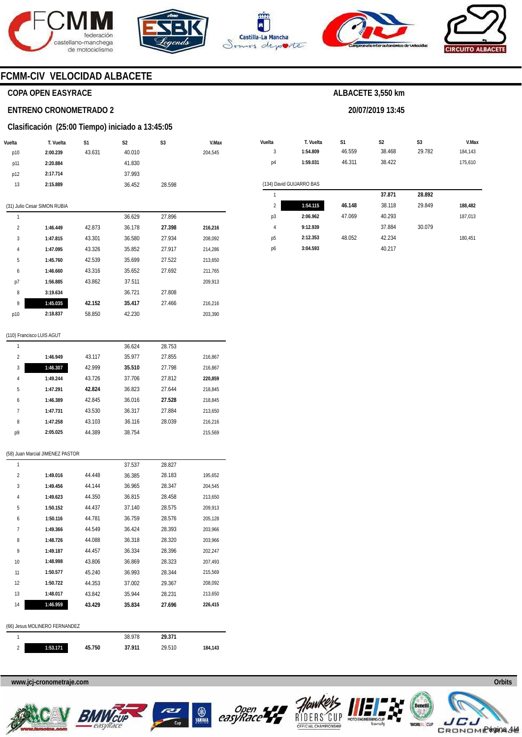









### **FCMM-CIV VELOCIDAD ALBACETE**

### **COPA OPEN EASYRACE**

#### **ENTRENO CRONOMETRADO 2**

#### **Clasificación (25:00 Tiempo) iniciado a 13:45:05**

| Vuelta         | T. Vuelta                    | S1     | S <sub>2</sub> | S <sub>3</sub> | V.Max   |
|----------------|------------------------------|--------|----------------|----------------|---------|
| p10            | 2:00.239                     | 43.631 | 40.010         |                | 204,545 |
| p11            | 2:20.884                     |        | 41.830         |                |         |
| p12            | 2:17.714                     |        | 37.993         |                |         |
| 13             | 2:15.889                     |        | 36.452         | 28.598         |         |
|                |                              |        |                |                |         |
|                | (31) Julio Cesar SIMON RUBIA |        |                |                |         |
| 1              |                              |        | 36.629         | 27.896         |         |
| $\overline{2}$ | 1:46.449                     | 42.873 | 36.178         | 27.398         | 216,216 |
| 3              | 1:47.815                     | 43.301 | 36.580         | 27.934         | 208,092 |
| 4              | 1:47.095                     | 43.326 | 35.852         | 27.917         | 214,286 |
| 5              | 1:45.760                     | 42.539 | 35.699         | 27.522         | 213,650 |
| 6              | 1:46.660                     | 43.316 | 35.652         | 27.692         | 211,765 |
| p7             | 1:56.885                     | 43.862 | 37.511         |                | 209,913 |
| 8              | 3:19.634                     |        | 36.721         | 27.808         |         |
| 9              | 1:45.035                     | 42.152 | 35.417         | 27.466         | 216,216 |
| p10            | 2:18.837                     | 58.850 | 42.230         |                | 203,390 |
|                |                              |        |                |                |         |

| Vuelta         | T. Vuelta                | S <sub>1</sub> | S <sub>2</sub> | S <sub>3</sub> | V.Max   |
|----------------|--------------------------|----------------|----------------|----------------|---------|
| 3              | 1:54.809                 | 46.559         | 38.468         | 29.782         | 184,143 |
| p4             | 1:59.031                 | 46.311         | 38.422         |                | 175,610 |
|                |                          |                |                |                |         |
|                | (134) David GUIJARRO BAS |                |                |                |         |
| 1              |                          |                | 37.871         | 28.892         |         |
| $\overline{2}$ | 1:54.115                 | 46.148         | 38.118         | 29.849         | 188,482 |
| p3             | 2:06.962                 | 47.069         | 40.293         |                | 187,013 |
| $\overline{4}$ | 9:12.939                 |                | 37.884         | 30.079         |         |
| p5             | 2:12.353                 | 48.052         | 42.234         |                | 180,451 |
| p6             | 3:04.593                 |                | 40.217         |                |         |

**ALBACETE 3,550 km** 

**20/07/2019 13:45** 

#### (110) Francisco LUIS AGUT

| 1              |          |        | 36.624 | 28.753 |         |
|----------------|----------|--------|--------|--------|---------|
| $\overline{2}$ | 1:46.949 | 43.117 | 35.977 | 27.855 | 216,867 |
| 3              | 1:46.307 | 42.999 | 35.510 | 27.798 | 216.867 |
| 4              | 1:49.244 | 43.726 | 37.706 | 27.812 | 220.859 |
| 5              | 1:47.291 | 42.824 | 36.823 | 27.644 | 218.845 |
| 6              | 1:46.389 | 42.845 | 36.016 | 27.528 | 218.845 |
| 7              | 1:47.731 | 43.530 | 36.317 | 27.884 | 213,650 |
| 8              | 1:47.258 | 43.103 | 36.116 | 28.039 | 216.216 |
| p9             | 2:05.025 | 44.389 | 38.754 |        | 215.569 |
|                |          |        |        |        |         |

#### (58) Juan Marcial JIMENEZ PASTOR

| 1                             |          |        | 37.537 | 28.827 |         |  |  |  |  |
|-------------------------------|----------|--------|--------|--------|---------|--|--|--|--|
| $\overline{2}$                | 1:49.016 | 44.448 | 36.385 | 28.183 | 195,652 |  |  |  |  |
| 3                             | 1:49.456 | 44.144 | 36.965 | 28.347 | 204,545 |  |  |  |  |
| 4                             | 1:49.623 | 44.350 | 36.815 | 28.458 | 213,650 |  |  |  |  |
| 5                             | 1:50.152 | 44.437 | 37.140 | 28.575 | 209,913 |  |  |  |  |
| 6                             | 1:50.116 | 44.781 | 36.759 | 28.576 | 205,128 |  |  |  |  |
| 7                             | 1:49.366 | 44.549 | 36.424 | 28.393 | 203,966 |  |  |  |  |
| 8                             | 1:48.726 | 44.088 | 36.318 | 28.320 | 203,966 |  |  |  |  |
| 9                             | 1:49.187 | 44.457 | 36.334 | 28.396 | 202,247 |  |  |  |  |
| 10                            | 1:48.998 | 43.806 | 36.869 | 28.323 | 207,493 |  |  |  |  |
| 11                            | 1:50.577 | 45.240 | 36.993 | 28.344 | 215,569 |  |  |  |  |
| 12                            | 1:50.722 | 44.353 | 37.002 | 29.367 | 208,092 |  |  |  |  |
| 13                            | 1:48.017 | 43.842 | 35.944 | 28.231 | 213,650 |  |  |  |  |
| 14                            | 1:46.959 | 43.429 | 35.834 | 27.696 | 226,415 |  |  |  |  |
|                               |          |        |        |        |         |  |  |  |  |
| (66) Jesus MOLINERO FERNANDEZ |          |        |        |        |         |  |  |  |  |

| $\sim$ |          |        |        |        |  |
|--------|----------|--------|--------|--------|--|
|        |          |        | 38.978 | 29.371 |  |
| $\sim$ | 1:53.171 | 45.750 | 37 011 | 29.510 |  |

#### **www.jcj-cronometraje.com Orbits**







**184,143** 



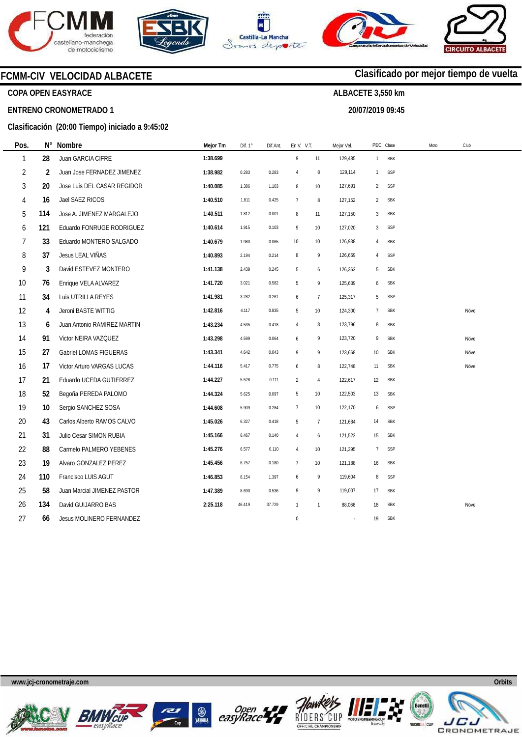







**20/07/2019 09:45** 



**Clasificado por mejor tiempo de vuelta**

### **FCMM-CIV VELOCIDAD ALBACETE**

### **COPA OPEN EASYRACE**

#### **ENTRENO CRONOMETRADO 1**

#### **Clasificación (20:00 Tiempo) iniciado a 9:45:02**

| Pos.           | Ν°  | Nombre                      | Mejor Tm | Dif. 1° | Dif.Ant. | En V. V.T.       |                | Mejor Vel. |                | PEC Clase  | Moto | Club  |
|----------------|-----|-----------------------------|----------|---------|----------|------------------|----------------|------------|----------------|------------|------|-------|
| 1              | 28  | Juan GARCIA CIFRE           | 1:38.699 |         |          | 9                | 11             | 129,485    |                | 1 SBK      |      |       |
| $\overline{2}$ | 2   | Juan Jose FERNADEZ JIMENEZ  | 1:38.982 | 0.283   | 0.283    | $\overline{4}$   | 8              | 129,114    | $\mathbf{1}$   | SSP        |      |       |
| 3              | 20  | Jose Luis DEL CASAR REGIDOR | 1:40.085 | 1.386   | 1.103    | 8                | 10             | 127,691    | 2              | SSP        |      |       |
| 4              | 16  | Jael SAEZ RICOS             | 1:40.510 | 1.811   | 0.425    | $\overline{7}$   | 8              | 127,152    | 2              | <b>SBK</b> |      |       |
| 5              | 114 | Jose A. JIMENEZ MARGALEJO   | 1:40.511 | 1.812   | 0.001    | 8                | 11             | 127,150    | 3              | <b>SBK</b> |      |       |
| 6              | 121 | Eduardo FONRUGE RODRIGUEZ   | 1:40.614 | 1.915   | 0.103    | 9                | 10             | 127,020    | 3              | SSP        |      |       |
| 7              | 33  | Eduardo MONTERO SALGADO     | 1:40.679 | 1.980   | 0.065    | $10$             | 10             | 126,938    | 4              | <b>SBK</b> |      |       |
| 8              | 37  | Jesus LEAL VIÑAS            | 1:40.893 | 2.194   | 0.214    | 8                | 9              | 126,669    | 4              | SSP        |      |       |
| 9              | 3   | David ESTEVEZ MONTERO       | 1:41.138 | 2.439   | 0.245    | 5                | 6              | 126,362    | 5              | <b>SBK</b> |      |       |
| 10             | 76  | Enrique VELA ALVAREZ        | 1:41.720 | 3.021   | 0.582    | 5                | 9              | 125,639    | 6              | <b>SBK</b> |      |       |
| 11             | 34  | Luis UTRILLA REYES          | 1:41.981 | 3.282   | 0.261    | 6                | $\overline{7}$ | 125,317    | 5              | SSP        |      |       |
| 12             | 4   | Jeroni BASTE WITTIG         | 1:42.816 | 4.117   | 0.835    | 5                | 10             | 124,300    | $\overline{7}$ | <b>SBK</b> |      | Nóvel |
| 13             | 6   | Juan Antonio RAMIREZ MARTIN | 1:43.234 | 4.535   | 0.418    | $\overline{4}$   | 8              | 123,796    | 8              | <b>SBK</b> |      |       |
| 14             | 91  | Victor NEIRA VAZQUEZ        | 1:43.298 | 4.599   | 0.064    | 6                | 9              | 123,720    | 9              | <b>SBK</b> |      | Nóvel |
| 15             | 27  | Gabriel LOMAS FIGUERAS      | 1:43.341 | 4.642   | 0.043    | 9                | 9              | 123,668    | 10             | <b>SBK</b> |      | Nóvel |
| 16             | 17  | Victor Arturo VARGAS LUCAS  | 1:44.116 | 5.417   | 0.775    | 6                | $\, 8$         | 122,748    | 11             | <b>SBK</b> |      | Nóvel |
| 17             | 21  | Eduardo UCEDA GUTIERREZ     | 1:44.227 | 5.528   | 0.111    | $\overline{2}$   | $\overline{4}$ | 122,617    | 12             | <b>SBK</b> |      |       |
| 18             | 52  | Begoña PEREDA PALOMO        | 1:44.324 | 5.625   | 0.097    | 5                | 10             | 122,503    | 13             | <b>SBK</b> |      |       |
| 19             | 10  | Sergio SANCHEZ SOSA         | 1:44.608 | 5.909   | 0.284    | $\overline{7}$   | 10             | 122,170    | 6              | SSP        |      |       |
| 20             | 43  | Carlos Alberto RAMOS CALVO  | 1:45.026 | 6.327   | 0.418    | 5                | $\overline{7}$ | 121,684    | 14             | <b>SBK</b> |      |       |
| 21             | 31  | Julio Cesar SIMON RUBIA     | 1:45.166 | 6.467   | 0.140    | 4                | 6              | 121,522    | 15             | <b>SBK</b> |      |       |
| 22             | 88  | Carmelo PALMERO YEBENES     | 1:45.276 | 6.577   | 0.110    | $\overline{4}$   | 10             | 121,395    | $\overline{7}$ | SSP        |      |       |
| 23             | 19  | Alvaro GONZALEZ PEREZ       | 1:45.456 | 6.757   | 0.180    | $7\phantom{.0}$  | 10             | 121,188    | 16             | <b>SBK</b> |      |       |
| 24             | 110 | Francisco LUIS AGUT         | 1:46.853 | 8.154   | 1.397    | 6                | 9              | 119,604    | 8              | SSP        |      |       |
| 25             | 58  | Juan Marcial JIMENEZ PASTOR | 1:47.389 | 8.690   | 0.536    | 9                | 9              | 119,007    | 17             | <b>SBK</b> |      |       |
| 26             | 134 | David GUIJARRO BAS          | 2:25.118 | 46.419  | 37.729   | $\overline{1}$   | $\mathbf{1}$   | 88,066     | 18             | <b>SBK</b> |      | Nóvel |
| 27             | 66  | Jesus MOLINERO FERNANDEZ    |          |         |          | $\boldsymbol{0}$ |                |            | 19             | <b>SBK</b> |      |       |











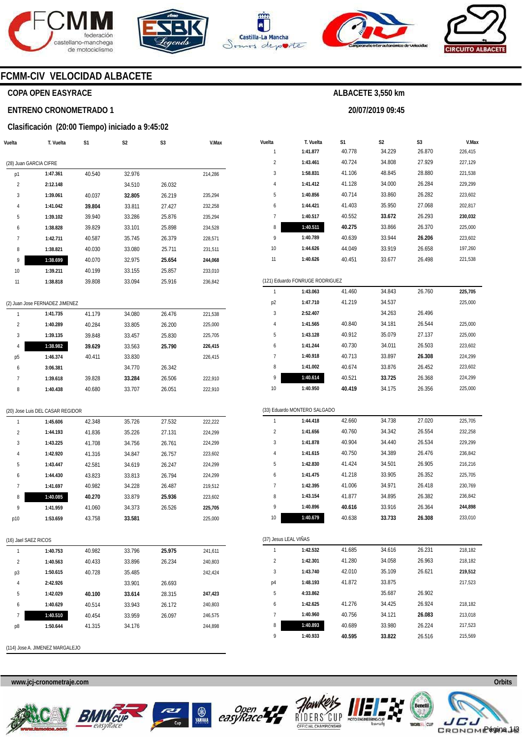





7 8 9

**Open** 

**1:40.960 1:40.893 1:40.933** 

RIDERS OFFICIAL CHA

40.756 40.689 **40.595** 



**ALBACETE 3,550 km** 

**20/07/2019 09:45** 



### **FCMM-CIV VELOCIDAD ALBACETE**

### **COPA OPEN EASYRACE**

**Vuelta** 

#### **ENTRENO CRONOMETRADO 1**

#### **Clasificación (20:00 Tiempo) iniciado a 9:45:02**

| /uelta         | T. Vuelta              | S <sub>1</sub> | S <sub>2</sub> | S <sub>3</sub> | V.Max   |
|----------------|------------------------|----------------|----------------|----------------|---------|
|                | (28) Juan GARCIA CIFRE |                |                |                |         |
| p1             | 1:47.361               | 40.540         | 32.976         |                | 214,286 |
| $\overline{2}$ | 2:12.148               |                | 34.510         | 26.032         |         |
| 3              | 1:39.061               | 40.037         | 32.805         | 26.219         | 235,294 |
| $\overline{4}$ | 1:41.042               | 39.804         | 33.811         | 27.427         | 232,258 |
| 5              | 1:39.102               | 39.940         | 33.286         | 25.876         | 235,294 |
| 6              | 1:38.828               | 39.829         | 33.101         | 25.898         | 234,528 |
| 7              | 1:42.711               | 40.587         | 35.745         | 26.379         | 228,571 |
| 8              | 1:38.821               | 40.030         | 33.080         | 25.711         | 231,511 |
| 9              | 1:38.699               | 40.070         | 32.975         | 25.654         | 244,068 |
| 10             | 1:39.211               | 40.199         | 33.155         | 25.857         | 233,010 |
| 11             | 1:38.818               | 39.808         | 33.094         | 25.916         | 236,842 |
|                |                        |                |                |                |         |

|                | (2) Juan Jose FERNADEZ JIMENEZ |        |        |        |         |
|----------------|--------------------------------|--------|--------|--------|---------|
| 1              | 1:41.735                       | 41.179 | 34.080 | 26.476 | 221,538 |
| $\overline{2}$ | 1:40.289                       | 40.284 | 33.805 | 26.200 | 225,000 |
| 3              | 1:39.135                       | 39.848 | 33.457 | 25.830 | 225,705 |
| 4              | 1:38.982                       | 39.629 | 33.563 | 25.790 | 226.415 |
| p5             | 1:46.374                       | 40.411 | 33.830 |        | 226.415 |
| 6              | 3:06.381                       |        | 34.770 | 26.342 |         |
| 7              | 1:39.618                       | 39.828 | 33.284 | 26.506 | 222.910 |
| 8              | 1:40.438                       | 40.680 | 33.707 | 26.051 | 222.910 |

#### (20) Jose Luis DEL CASAR REGIDOR

| 1              | 1:45.606 | 42.348 | 35.726 | 27.532 | 222.222 |
|----------------|----------|--------|--------|--------|---------|
| $\overline{2}$ | 1:44.193 | 41.836 | 35.226 | 27.131 | 224.299 |
| 3              | 1:43.225 | 41.708 | 34.756 | 26.761 | 224.299 |
| 4              | 1:42.920 | 41.316 | 34.847 | 26.757 | 223.602 |
| 5              | 1:43.447 | 42.581 | 34.619 | 26.247 | 224.299 |
| 6              | 1:44.430 | 43.823 | 33.813 | 26.794 | 224.299 |
| 7              | 1:41.697 | 40.982 | 34.228 | 26.487 | 219.512 |
| 8              | 1:40.085 | 40.270 | 33.879 | 25.936 | 223.602 |
| 9              | 1:41.959 | 41.060 | 34.373 | 26.526 | 225.705 |
| p10            | 1:53.659 | 43.758 | 33.581 |        | 225.000 |

#### (16) Jael SAEZ RICOS

|                | 1:40.753 | 40.982 | 33.796 | 25.975 | 241.611 |
|----------------|----------|--------|--------|--------|---------|
| $\mathfrak{p}$ | 1:40.563 | 40.433 | 33.896 | 26.234 | 240.803 |
| p3             | 1:50.615 | 40.728 | 35.485 |        | 242.424 |
| 4              | 2:42.926 |        | 33.901 | 26.693 |         |
| 5              | 1:42.029 | 40.100 | 33.614 | 28.315 | 247,423 |
| 6              | 1:40.629 | 40.514 | 33.943 | 26.172 | 240.803 |
| 7              | 1:40.510 | 40.454 | 33.959 | 26.097 | 246.575 |
| p8             | 1:50.644 | 41.315 | 34.176 |        | 244.898 |
|                |          |        |        |        |         |

(114) Jose A. JIMENEZ MARGALEJO





| Vuelta                | T. Vuelta                       | S1     | S2     | S3     | V.Max   |
|-----------------------|---------------------------------|--------|--------|--------|---------|
| 1                     | 1:41.877                        | 40.778 | 34.229 | 26.870 | 226,415 |
| 2                     | 1:43.461                        | 40.724 | 34.808 | 27.929 | 227,129 |
| 3                     | 1:58.831                        | 41.106 | 48.845 | 28.880 | 221,538 |
| 4                     | 1:41.412                        | 41.128 | 34.000 | 26.284 | 229,299 |
| 5                     | 1:40.856                        | 40.714 | 33.860 | 26.282 | 223,602 |
| 6                     | 1:44.421                        | 41.403 | 35.950 | 27.068 | 202,817 |
| 7                     | 1:40.517                        | 40.552 | 33.672 | 26.293 | 230,032 |
| 8                     | 1:40.511                        | 40.275 | 33.866 | 26.370 | 225,000 |
| 9                     | 1:40.789                        | 40.639 | 33.944 | 26.206 | 223,602 |
| 10                    | 1:44.626                        | 44.049 | 33.919 | 26.658 | 197,260 |
| 11                    | 1:40.626                        | 40.451 | 33.677 | 26.498 | 221,538 |
|                       | (121) Eduardo FONRUGE RODRIGUEZ |        |        |        |         |
| 1                     | 1:43.063                        | 41.460 | 34.843 | 26.760 | 225,705 |
| p2                    | 1:47.710                        | 41.219 | 34.537 |        | 225,000 |
| 3                     | 2:52.407                        |        | 34.263 | 26.496 |         |
| 4                     | 1:41.565                        | 40.840 | 34.181 | 26.544 | 225,000 |
| 5                     | 1:43.128                        | 40.912 | 35.079 | 27.137 | 225,000 |
| 6                     | 1:41.244                        | 40.730 | 34.011 | 26.503 | 223,602 |
| 7                     | 1:40.918                        | 40.713 | 33.897 | 26.308 | 224,299 |
| 8                     | 1:41.002                        | 40.674 | 33.876 | 26.452 | 223,602 |
| 9                     | 1:40.614                        | 40.521 | 33.725 | 26.368 | 224,299 |
| 10                    | 1:40.950                        | 40.419 | 34.175 | 26.356 | 225,000 |
|                       | (33) Eduardo MONTERO SALGADO    |        |        |        |         |
| 1                     | 1:44.418                        | 42.660 | 34.738 | 27.020 | 225,705 |
| 2                     | 1:41.656                        | 40.760 | 34.342 | 26.554 | 232,258 |
| 3                     | 1:41.878                        | 40.904 | 34.440 | 26.534 | 229,299 |
| 4                     | 1:41.615                        | 40.750 | 34.389 | 26.476 | 236,842 |
| 5                     | 1:42.830                        | 41.424 | 34.501 | 26.905 | 216,216 |
| 6                     | 1:41.475                        | 41.218 | 33.905 | 26.352 | 225,705 |
| 7                     | 1:42.395                        | 41.006 | 34.971 | 26.418 | 230,769 |
| 8                     | 1:43.154                        | 41.877 | 34.895 | 26.382 | 236,842 |
| 9                     | 1:40.896                        | 40.616 | 33.916 | 26.364 | 244,898 |
| 10                    | 1:40.679                        | 40.638 | 33.733 | 26.308 | 233,010 |
| (37) Jesus LEAL VIÑAS |                                 |        |        |        |         |
| 1                     | 1:42.532                        | 41.685 | 34.616 | 26.231 | 218,182 |
| 2                     | 1:42.301                        | 41.280 | 34.058 | 26.963 | 218,182 |
| 3                     | 1:43.740                        | 42.010 | 35.109 | 26.621 | 219,512 |
| p4                    | 1:48.193                        | 41.872 | 33.875 |        | 217,523 |
| 5                     | 4:33.862                        |        | 35.687 | 26.902 |         |
| 6                     | 1:42.625                        | 41.276 | 34.425 | 26.924 | 218,182 |

**www.jcj-cronometraje.com Orbits** 

34.121 33.980 **33.822** 

**26.083**  26.224 26.516



213,018 217,523 215,569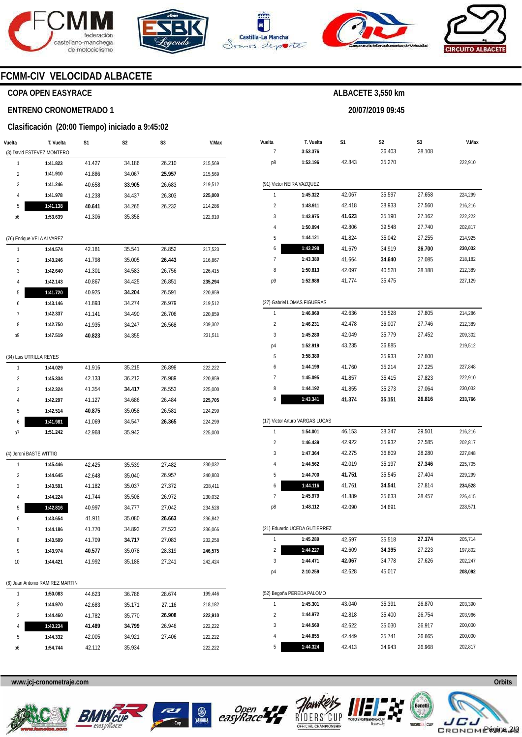







**20/07/2019 09:45** 



### **FCMM-CIV VELOCIDAD ALBACETE**

### **COPA OPEN EASYRACE**

#### **ENTRENO CRONOMETRADO 1**

#### **Clasificación (20:00 Tiempo) iniciado a 9:45:02**

| (3) David ESTEVEZ MONTERO<br>215,569<br>1<br>1:41.823<br>41.427<br>34.186<br>26.210<br>34.067<br>25.957<br>$\overline{c}$<br>41.886<br>215,569<br>1:41.910<br>3<br>1:41.246<br>40.658<br>33.905<br>26.683<br>219,512<br>41.238<br>34.437<br>26.303<br>4<br>1:41.978<br>225,000<br>1:41.138<br>40.641<br>5<br>34.265<br>26.232<br>214,286<br>1:53.639<br>222,910<br>41.306<br>35.358<br>p6<br>(76) Enrique VELA ALVAREZ<br>1<br>42.181<br>35.541<br>26.852<br>217,523<br>1:44.574<br>1:43.246<br>41.798<br>35.005<br>26.443<br>$\overline{c}$<br>216,867<br>3<br>1:42.640<br>26.756<br>226,415<br>41.301<br>34.583<br>1:42.143<br>26.851<br>4<br>40.867<br>34.425<br>235,294<br>5<br>1:41.720<br>26.591<br>220,859<br>40.925<br>34.204<br>26.979<br>6<br>1:43.146<br>41.893<br>34.274<br>219,512<br>7<br>1:42.337<br>41.141<br>34.490<br>26.706<br>220,859<br>8<br>1:42.750<br>41.935<br>34.247<br>26.568<br>209,302<br>р9<br>1:47.519<br>40.823<br>34.355<br>231,511<br>(34) Luis UTRILLA REYES<br>26.898<br>1<br>41.916<br>35.215<br>222,222<br>1:44.029<br>2<br>42.133<br>36.212<br>26.989<br>220,859<br>1:45.334<br>3<br>225,000<br>1:42.324<br>41.354<br>34.417<br>26.553<br>4<br>1:42.297<br>41.127<br>34.686<br>26.484<br>225,705<br>5<br>1:42.514<br>40.875<br>26.581<br>224,299<br>35.058<br>1:41.981<br>26.365<br>41.069<br>34.547<br>224,299<br>6<br>42.968<br>35.942<br>225,000<br>p7<br>1:51.242<br>(4) Jeroni BASTE WITTIG<br>1:45.446<br>1<br>42.425<br>35.539<br>27.482<br>230,032<br>35.040<br>26.957<br>2<br>1:44.645<br>42.648<br>240,803<br>3<br>1:43.591<br>41.182<br>35.037<br>27.372<br>238,411<br>4<br>1:44.224<br>41.744<br>35.508<br>26.972<br>230,032<br>5<br>1:42.816<br>27.042<br>234,528<br>40.997<br>34.777<br>1:43.654<br>236,842<br>6<br>41.911<br>35.080<br>26.663<br>1:44.186<br>34.893<br>27.523<br>236,066<br>7<br>41.770<br>1:43.509<br>27.083<br>8<br>41.709<br>34.717<br>232,258<br>9<br>35.078<br>1:43.974<br>40.577<br>28.319<br>246,575<br>1:44.421<br>41.992<br>35.188<br>10<br>27.241<br>242,424<br>(6) Juan Antonio RAMIREZ MARTIN<br>199,446<br>1<br>1:50.083<br>44.623<br>36.786<br>28.674<br>35.171<br>2<br>1:44.970<br>42.683<br>27.116<br>218,182<br>3<br>1:44.460<br>41.782<br>35.770<br>26.908<br>222,910<br>1:43.234<br>4<br>41.489<br>34.799<br>26.946<br>222,222<br>5<br>1:44.332<br>42.005<br>34.921<br>27.406<br>222,222<br>222,222<br>1:54.744<br>42.112<br>35.934<br>р6 | Vuelta | T. Vuelta | S1 | S2 | S3 | V.Max |
|------------------------------------------------------------------------------------------------------------------------------------------------------------------------------------------------------------------------------------------------------------------------------------------------------------------------------------------------------------------------------------------------------------------------------------------------------------------------------------------------------------------------------------------------------------------------------------------------------------------------------------------------------------------------------------------------------------------------------------------------------------------------------------------------------------------------------------------------------------------------------------------------------------------------------------------------------------------------------------------------------------------------------------------------------------------------------------------------------------------------------------------------------------------------------------------------------------------------------------------------------------------------------------------------------------------------------------------------------------------------------------------------------------------------------------------------------------------------------------------------------------------------------------------------------------------------------------------------------------------------------------------------------------------------------------------------------------------------------------------------------------------------------------------------------------------------------------------------------------------------------------------------------------------------------------------------------------------------------------------------------------------------------------------------------------------------------------------------------------------------------------------------------------------------------------------------------------------------------------------------------------------------------------------------------------------------------------------------------------------------------------------------------------------------------------|--------|-----------|----|----|----|-------|
|                                                                                                                                                                                                                                                                                                                                                                                                                                                                                                                                                                                                                                                                                                                                                                                                                                                                                                                                                                                                                                                                                                                                                                                                                                                                                                                                                                                                                                                                                                                                                                                                                                                                                                                                                                                                                                                                                                                                                                                                                                                                                                                                                                                                                                                                                                                                                                                                                                    |        |           |    |    |    |       |
|                                                                                                                                                                                                                                                                                                                                                                                                                                                                                                                                                                                                                                                                                                                                                                                                                                                                                                                                                                                                                                                                                                                                                                                                                                                                                                                                                                                                                                                                                                                                                                                                                                                                                                                                                                                                                                                                                                                                                                                                                                                                                                                                                                                                                                                                                                                                                                                                                                    |        |           |    |    |    |       |
|                                                                                                                                                                                                                                                                                                                                                                                                                                                                                                                                                                                                                                                                                                                                                                                                                                                                                                                                                                                                                                                                                                                                                                                                                                                                                                                                                                                                                                                                                                                                                                                                                                                                                                                                                                                                                                                                                                                                                                                                                                                                                                                                                                                                                                                                                                                                                                                                                                    |        |           |    |    |    |       |
|                                                                                                                                                                                                                                                                                                                                                                                                                                                                                                                                                                                                                                                                                                                                                                                                                                                                                                                                                                                                                                                                                                                                                                                                                                                                                                                                                                                                                                                                                                                                                                                                                                                                                                                                                                                                                                                                                                                                                                                                                                                                                                                                                                                                                                                                                                                                                                                                                                    |        |           |    |    |    |       |
|                                                                                                                                                                                                                                                                                                                                                                                                                                                                                                                                                                                                                                                                                                                                                                                                                                                                                                                                                                                                                                                                                                                                                                                                                                                                                                                                                                                                                                                                                                                                                                                                                                                                                                                                                                                                                                                                                                                                                                                                                                                                                                                                                                                                                                                                                                                                                                                                                                    |        |           |    |    |    |       |
|                                                                                                                                                                                                                                                                                                                                                                                                                                                                                                                                                                                                                                                                                                                                                                                                                                                                                                                                                                                                                                                                                                                                                                                                                                                                                                                                                                                                                                                                                                                                                                                                                                                                                                                                                                                                                                                                                                                                                                                                                                                                                                                                                                                                                                                                                                                                                                                                                                    |        |           |    |    |    |       |
|                                                                                                                                                                                                                                                                                                                                                                                                                                                                                                                                                                                                                                                                                                                                                                                                                                                                                                                                                                                                                                                                                                                                                                                                                                                                                                                                                                                                                                                                                                                                                                                                                                                                                                                                                                                                                                                                                                                                                                                                                                                                                                                                                                                                                                                                                                                                                                                                                                    |        |           |    |    |    |       |
|                                                                                                                                                                                                                                                                                                                                                                                                                                                                                                                                                                                                                                                                                                                                                                                                                                                                                                                                                                                                                                                                                                                                                                                                                                                                                                                                                                                                                                                                                                                                                                                                                                                                                                                                                                                                                                                                                                                                                                                                                                                                                                                                                                                                                                                                                                                                                                                                                                    |        |           |    |    |    |       |
|                                                                                                                                                                                                                                                                                                                                                                                                                                                                                                                                                                                                                                                                                                                                                                                                                                                                                                                                                                                                                                                                                                                                                                                                                                                                                                                                                                                                                                                                                                                                                                                                                                                                                                                                                                                                                                                                                                                                                                                                                                                                                                                                                                                                                                                                                                                                                                                                                                    |        |           |    |    |    |       |
|                                                                                                                                                                                                                                                                                                                                                                                                                                                                                                                                                                                                                                                                                                                                                                                                                                                                                                                                                                                                                                                                                                                                                                                                                                                                                                                                                                                                                                                                                                                                                                                                                                                                                                                                                                                                                                                                                                                                                                                                                                                                                                                                                                                                                                                                                                                                                                                                                                    |        |           |    |    |    |       |
|                                                                                                                                                                                                                                                                                                                                                                                                                                                                                                                                                                                                                                                                                                                                                                                                                                                                                                                                                                                                                                                                                                                                                                                                                                                                                                                                                                                                                                                                                                                                                                                                                                                                                                                                                                                                                                                                                                                                                                                                                                                                                                                                                                                                                                                                                                                                                                                                                                    |        |           |    |    |    |       |
|                                                                                                                                                                                                                                                                                                                                                                                                                                                                                                                                                                                                                                                                                                                                                                                                                                                                                                                                                                                                                                                                                                                                                                                                                                                                                                                                                                                                                                                                                                                                                                                                                                                                                                                                                                                                                                                                                                                                                                                                                                                                                                                                                                                                                                                                                                                                                                                                                                    |        |           |    |    |    |       |
|                                                                                                                                                                                                                                                                                                                                                                                                                                                                                                                                                                                                                                                                                                                                                                                                                                                                                                                                                                                                                                                                                                                                                                                                                                                                                                                                                                                                                                                                                                                                                                                                                                                                                                                                                                                                                                                                                                                                                                                                                                                                                                                                                                                                                                                                                                                                                                                                                                    |        |           |    |    |    |       |
|                                                                                                                                                                                                                                                                                                                                                                                                                                                                                                                                                                                                                                                                                                                                                                                                                                                                                                                                                                                                                                                                                                                                                                                                                                                                                                                                                                                                                                                                                                                                                                                                                                                                                                                                                                                                                                                                                                                                                                                                                                                                                                                                                                                                                                                                                                                                                                                                                                    |        |           |    |    |    |       |
|                                                                                                                                                                                                                                                                                                                                                                                                                                                                                                                                                                                                                                                                                                                                                                                                                                                                                                                                                                                                                                                                                                                                                                                                                                                                                                                                                                                                                                                                                                                                                                                                                                                                                                                                                                                                                                                                                                                                                                                                                                                                                                                                                                                                                                                                                                                                                                                                                                    |        |           |    |    |    |       |
|                                                                                                                                                                                                                                                                                                                                                                                                                                                                                                                                                                                                                                                                                                                                                                                                                                                                                                                                                                                                                                                                                                                                                                                                                                                                                                                                                                                                                                                                                                                                                                                                                                                                                                                                                                                                                                                                                                                                                                                                                                                                                                                                                                                                                                                                                                                                                                                                                                    |        |           |    |    |    |       |
|                                                                                                                                                                                                                                                                                                                                                                                                                                                                                                                                                                                                                                                                                                                                                                                                                                                                                                                                                                                                                                                                                                                                                                                                                                                                                                                                                                                                                                                                                                                                                                                                                                                                                                                                                                                                                                                                                                                                                                                                                                                                                                                                                                                                                                                                                                                                                                                                                                    |        |           |    |    |    |       |
|                                                                                                                                                                                                                                                                                                                                                                                                                                                                                                                                                                                                                                                                                                                                                                                                                                                                                                                                                                                                                                                                                                                                                                                                                                                                                                                                                                                                                                                                                                                                                                                                                                                                                                                                                                                                                                                                                                                                                                                                                                                                                                                                                                                                                                                                                                                                                                                                                                    |        |           |    |    |    |       |
|                                                                                                                                                                                                                                                                                                                                                                                                                                                                                                                                                                                                                                                                                                                                                                                                                                                                                                                                                                                                                                                                                                                                                                                                                                                                                                                                                                                                                                                                                                                                                                                                                                                                                                                                                                                                                                                                                                                                                                                                                                                                                                                                                                                                                                                                                                                                                                                                                                    |        |           |    |    |    |       |
|                                                                                                                                                                                                                                                                                                                                                                                                                                                                                                                                                                                                                                                                                                                                                                                                                                                                                                                                                                                                                                                                                                                                                                                                                                                                                                                                                                                                                                                                                                                                                                                                                                                                                                                                                                                                                                                                                                                                                                                                                                                                                                                                                                                                                                                                                                                                                                                                                                    |        |           |    |    |    |       |
|                                                                                                                                                                                                                                                                                                                                                                                                                                                                                                                                                                                                                                                                                                                                                                                                                                                                                                                                                                                                                                                                                                                                                                                                                                                                                                                                                                                                                                                                                                                                                                                                                                                                                                                                                                                                                                                                                                                                                                                                                                                                                                                                                                                                                                                                                                                                                                                                                                    |        |           |    |    |    |       |
|                                                                                                                                                                                                                                                                                                                                                                                                                                                                                                                                                                                                                                                                                                                                                                                                                                                                                                                                                                                                                                                                                                                                                                                                                                                                                                                                                                                                                                                                                                                                                                                                                                                                                                                                                                                                                                                                                                                                                                                                                                                                                                                                                                                                                                                                                                                                                                                                                                    |        |           |    |    |    |       |
|                                                                                                                                                                                                                                                                                                                                                                                                                                                                                                                                                                                                                                                                                                                                                                                                                                                                                                                                                                                                                                                                                                                                                                                                                                                                                                                                                                                                                                                                                                                                                                                                                                                                                                                                                                                                                                                                                                                                                                                                                                                                                                                                                                                                                                                                                                                                                                                                                                    |        |           |    |    |    |       |
|                                                                                                                                                                                                                                                                                                                                                                                                                                                                                                                                                                                                                                                                                                                                                                                                                                                                                                                                                                                                                                                                                                                                                                                                                                                                                                                                                                                                                                                                                                                                                                                                                                                                                                                                                                                                                                                                                                                                                                                                                                                                                                                                                                                                                                                                                                                                                                                                                                    |        |           |    |    |    |       |
|                                                                                                                                                                                                                                                                                                                                                                                                                                                                                                                                                                                                                                                                                                                                                                                                                                                                                                                                                                                                                                                                                                                                                                                                                                                                                                                                                                                                                                                                                                                                                                                                                                                                                                                                                                                                                                                                                                                                                                                                                                                                                                                                                                                                                                                                                                                                                                                                                                    |        |           |    |    |    |       |
|                                                                                                                                                                                                                                                                                                                                                                                                                                                                                                                                                                                                                                                                                                                                                                                                                                                                                                                                                                                                                                                                                                                                                                                                                                                                                                                                                                                                                                                                                                                                                                                                                                                                                                                                                                                                                                                                                                                                                                                                                                                                                                                                                                                                                                                                                                                                                                                                                                    |        |           |    |    |    |       |
|                                                                                                                                                                                                                                                                                                                                                                                                                                                                                                                                                                                                                                                                                                                                                                                                                                                                                                                                                                                                                                                                                                                                                                                                                                                                                                                                                                                                                                                                                                                                                                                                                                                                                                                                                                                                                                                                                                                                                                                                                                                                                                                                                                                                                                                                                                                                                                                                                                    |        |           |    |    |    |       |
|                                                                                                                                                                                                                                                                                                                                                                                                                                                                                                                                                                                                                                                                                                                                                                                                                                                                                                                                                                                                                                                                                                                                                                                                                                                                                                                                                                                                                                                                                                                                                                                                                                                                                                                                                                                                                                                                                                                                                                                                                                                                                                                                                                                                                                                                                                                                                                                                                                    |        |           |    |    |    |       |
|                                                                                                                                                                                                                                                                                                                                                                                                                                                                                                                                                                                                                                                                                                                                                                                                                                                                                                                                                                                                                                                                                                                                                                                                                                                                                                                                                                                                                                                                                                                                                                                                                                                                                                                                                                                                                                                                                                                                                                                                                                                                                                                                                                                                                                                                                                                                                                                                                                    |        |           |    |    |    |       |
|                                                                                                                                                                                                                                                                                                                                                                                                                                                                                                                                                                                                                                                                                                                                                                                                                                                                                                                                                                                                                                                                                                                                                                                                                                                                                                                                                                                                                                                                                                                                                                                                                                                                                                                                                                                                                                                                                                                                                                                                                                                                                                                                                                                                                                                                                                                                                                                                                                    |        |           |    |    |    |       |
|                                                                                                                                                                                                                                                                                                                                                                                                                                                                                                                                                                                                                                                                                                                                                                                                                                                                                                                                                                                                                                                                                                                                                                                                                                                                                                                                                                                                                                                                                                                                                                                                                                                                                                                                                                                                                                                                                                                                                                                                                                                                                                                                                                                                                                                                                                                                                                                                                                    |        |           |    |    |    |       |
|                                                                                                                                                                                                                                                                                                                                                                                                                                                                                                                                                                                                                                                                                                                                                                                                                                                                                                                                                                                                                                                                                                                                                                                                                                                                                                                                                                                                                                                                                                                                                                                                                                                                                                                                                                                                                                                                                                                                                                                                                                                                                                                                                                                                                                                                                                                                                                                                                                    |        |           |    |    |    |       |
|                                                                                                                                                                                                                                                                                                                                                                                                                                                                                                                                                                                                                                                                                                                                                                                                                                                                                                                                                                                                                                                                                                                                                                                                                                                                                                                                                                                                                                                                                                                                                                                                                                                                                                                                                                                                                                                                                                                                                                                                                                                                                                                                                                                                                                                                                                                                                                                                                                    |        |           |    |    |    |       |
|                                                                                                                                                                                                                                                                                                                                                                                                                                                                                                                                                                                                                                                                                                                                                                                                                                                                                                                                                                                                                                                                                                                                                                                                                                                                                                                                                                                                                                                                                                                                                                                                                                                                                                                                                                                                                                                                                                                                                                                                                                                                                                                                                                                                                                                                                                                                                                                                                                    |        |           |    |    |    |       |
|                                                                                                                                                                                                                                                                                                                                                                                                                                                                                                                                                                                                                                                                                                                                                                                                                                                                                                                                                                                                                                                                                                                                                                                                                                                                                                                                                                                                                                                                                                                                                                                                                                                                                                                                                                                                                                                                                                                                                                                                                                                                                                                                                                                                                                                                                                                                                                                                                                    |        |           |    |    |    |       |
|                                                                                                                                                                                                                                                                                                                                                                                                                                                                                                                                                                                                                                                                                                                                                                                                                                                                                                                                                                                                                                                                                                                                                                                                                                                                                                                                                                                                                                                                                                                                                                                                                                                                                                                                                                                                                                                                                                                                                                                                                                                                                                                                                                                                                                                                                                                                                                                                                                    |        |           |    |    |    |       |
|                                                                                                                                                                                                                                                                                                                                                                                                                                                                                                                                                                                                                                                                                                                                                                                                                                                                                                                                                                                                                                                                                                                                                                                                                                                                                                                                                                                                                                                                                                                                                                                                                                                                                                                                                                                                                                                                                                                                                                                                                                                                                                                                                                                                                                                                                                                                                                                                                                    |        |           |    |    |    |       |
|                                                                                                                                                                                                                                                                                                                                                                                                                                                                                                                                                                                                                                                                                                                                                                                                                                                                                                                                                                                                                                                                                                                                                                                                                                                                                                                                                                                                                                                                                                                                                                                                                                                                                                                                                                                                                                                                                                                                                                                                                                                                                                                                                                                                                                                                                                                                                                                                                                    |        |           |    |    |    |       |
|                                                                                                                                                                                                                                                                                                                                                                                                                                                                                                                                                                                                                                                                                                                                                                                                                                                                                                                                                                                                                                                                                                                                                                                                                                                                                                                                                                                                                                                                                                                                                                                                                                                                                                                                                                                                                                                                                                                                                                                                                                                                                                                                                                                                                                                                                                                                                                                                                                    |        |           |    |    |    |       |
|                                                                                                                                                                                                                                                                                                                                                                                                                                                                                                                                                                                                                                                                                                                                                                                                                                                                                                                                                                                                                                                                                                                                                                                                                                                                                                                                                                                                                                                                                                                                                                                                                                                                                                                                                                                                                                                                                                                                                                                                                                                                                                                                                                                                                                                                                                                                                                                                                                    |        |           |    |    |    |       |
|                                                                                                                                                                                                                                                                                                                                                                                                                                                                                                                                                                                                                                                                                                                                                                                                                                                                                                                                                                                                                                                                                                                                                                                                                                                                                                                                                                                                                                                                                                                                                                                                                                                                                                                                                                                                                                                                                                                                                                                                                                                                                                                                                                                                                                                                                                                                                                                                                                    |        |           |    |    |    |       |
|                                                                                                                                                                                                                                                                                                                                                                                                                                                                                                                                                                                                                                                                                                                                                                                                                                                                                                                                                                                                                                                                                                                                                                                                                                                                                                                                                                                                                                                                                                                                                                                                                                                                                                                                                                                                                                                                                                                                                                                                                                                                                                                                                                                                                                                                                                                                                                                                                                    |        |           |    |    |    |       |
|                                                                                                                                                                                                                                                                                                                                                                                                                                                                                                                                                                                                                                                                                                                                                                                                                                                                                                                                                                                                                                                                                                                                                                                                                                                                                                                                                                                                                                                                                                                                                                                                                                                                                                                                                                                                                                                                                                                                                                                                                                                                                                                                                                                                                                                                                                                                                                                                                                    |        |           |    |    |    |       |
|                                                                                                                                                                                                                                                                                                                                                                                                                                                                                                                                                                                                                                                                                                                                                                                                                                                                                                                                                                                                                                                                                                                                                                                                                                                                                                                                                                                                                                                                                                                                                                                                                                                                                                                                                                                                                                                                                                                                                                                                                                                                                                                                                                                                                                                                                                                                                                                                                                    |        |           |    |    |    |       |
|                                                                                                                                                                                                                                                                                                                                                                                                                                                                                                                                                                                                                                                                                                                                                                                                                                                                                                                                                                                                                                                                                                                                                                                                                                                                                                                                                                                                                                                                                                                                                                                                                                                                                                                                                                                                                                                                                                                                                                                                                                                                                                                                                                                                                                                                                                                                                                                                                                    |        |           |    |    |    |       |

| Vuelta | T. Vuelta                                   | S1     | S2     | S3     | V.Max   |
|--------|---------------------------------------------|--------|--------|--------|---------|
| 7      | 3:53.376                                    |        | 36.403 | 28.108 |         |
| p8     | 1:53.196                                    | 42.843 | 35.270 |        | 222,910 |
|        |                                             |        |        |        |         |
|        | (91) Victor NEIRA VAZQUEZ                   |        |        |        |         |
| 1      | 1:45.322                                    | 42.067 | 35.597 | 27.658 | 224,299 |
| 2      | 1:48.911                                    | 42.418 | 38.933 | 27.560 | 216,216 |
| 3      | 1:43.975                                    | 41.623 | 35.190 | 27.162 | 222,222 |
| 4      | 1:50.094                                    | 42.806 | 39.548 | 27.740 | 202,817 |
| 5      | 1:44.121                                    | 41.824 | 35.042 | 27.255 | 214,925 |
| 6      | 1:43.298                                    | 41.679 | 34.919 | 26.700 | 230,032 |
| 7      | 1:43.389                                    | 41.664 | 34.640 | 27.085 | 218,182 |
| 8      | 1:50.813                                    | 42.097 | 40.528 | 28.188 | 212,389 |
| p9     | 1:52.988                                    | 41.774 | 35.475 |        | 227,129 |
|        |                                             |        |        |        |         |
|        | (27) Gabriel LOMAS FIGUERAS                 |        |        |        |         |
| 1      | 1:46.969                                    | 42.636 | 36.528 | 27.805 | 214,286 |
| 2      | 1:46.231                                    | 42.478 | 36.007 | 27.746 | 212,389 |
| 3      | 1:45.280                                    | 42.049 | 35.779 | 27.452 | 209,302 |
| p4     | 1:52.919                                    | 43.235 | 36.885 |        | 219,512 |
| 5      | 3:58.380                                    |        | 35.933 | 27.600 |         |
| 6      | 1:44.199                                    | 41.760 | 35.214 | 27.225 | 227,848 |
| 7      | 1:45.095                                    | 41.857 | 35.415 | 27.823 | 222,910 |
| 8      | 1:44.192                                    | 41.855 | 35.273 | 27.064 | 230,032 |
| 9      | 1:43.341                                    | 41.374 | 35.151 | 26.816 | 233,766 |
|        |                                             |        |        |        |         |
|        |                                             |        |        |        |         |
| 1      | (17) Victor Arturo VARGAS LUCAS<br>1:54.001 |        |        |        |         |
|        |                                             | 46.153 | 38.347 | 29.501 | 216,216 |
| 2      | 1:46.439                                    | 42.922 | 35.932 | 27.585 | 202,817 |
| 3      | 1:47.364                                    | 42.275 | 36.809 | 28.280 | 227,848 |
| 4      | 1:44.562                                    | 42.019 | 35.197 | 27.346 | 225,705 |
| 5      | 1:44.700                                    | 41.751 | 35.545 | 27.404 | 229,299 |
| 6      | 1:44.116                                    | 41.761 | 34.541 | 27.814 | 234,528 |
| 7      | 1:45.979                                    | 41.889 | 35.633 | 28.457 | 226,415 |
| p8     | 1:48.112                                    | 42.090 | 34.691 |        | 228,571 |
|        |                                             |        |        |        |         |
|        | (21) Eduardo UCEDA GUTIERREZ                |        |        |        |         |
| 1      | 1:45.289                                    | 42.597 | 35.518 | 27.174 | 205,714 |
| 2      | 1:44.227                                    | 42.609 | 34.395 | 27.223 | 197,802 |
| 3      | 1:44.471                                    | 42.067 | 34.778 | 27.626 | 202,247 |
| p4     | 2:10.259                                    | 42.628 | 45.017 |        | 208,092 |
|        |                                             |        |        |        |         |
|        | (52) Begoña PEREDA PALOMO                   |        |        |        |         |
| 1      | 1:45.301                                    | 43.040 | 35.391 | 26.870 | 203,390 |
| 2      | 1:44.972                                    | 42.818 | 35.400 | 26.754 | 203,966 |
| 3      | 1:44.569                                    | 42.622 | 35.030 | 26.917 | 200,000 |
| 4      | 1:44.855                                    | 42.449 | 35.741 | 26.665 | 200,000 |
| 5      | 1:44.324                                    | 42.413 | 34.943 | 26.968 | 202,817 |









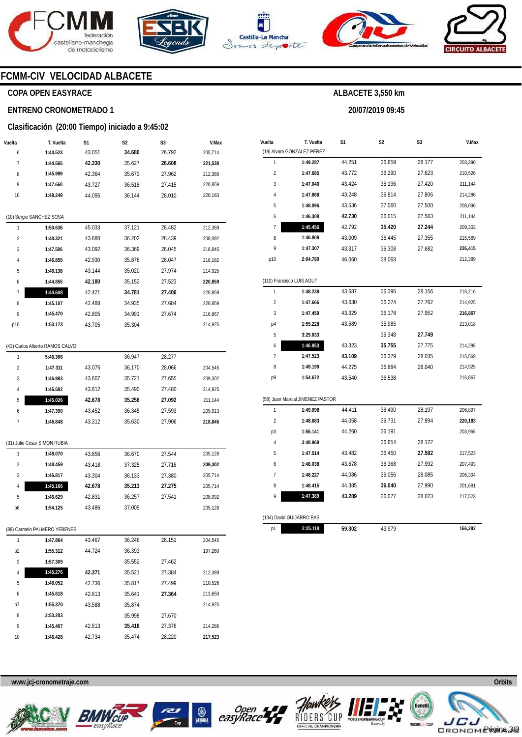







**20/07/2019 09:45** 



### **FCMM-CIV VELOCIDAD ALBACETE**

### **COPA OPEN EASYRACE**

#### **ENTRENO CRONOMETRADO 1**

#### **Clasificación (20:00 Tiempo) iniciado a 9:45:02**

| Vuelta         | T. Vuelta                | S1     | S <sub>2</sub> | S <sub>3</sub> | V.Max   |
|----------------|--------------------------|--------|----------------|----------------|---------|
| 6              | 1:44.523                 | 43.051 | 34.680         | 26.792         | 205,714 |
| 7              | 1:44.565                 | 42.330 | 35.627         | 26.608         | 221,538 |
| 8              | 1:45.999                 | 42.364 | 35.673         | 27.962         | 212,389 |
| 9              | 1:47.660                 | 43.727 | 36.518         | 27.415         | 220,859 |
| 10             | 1:48.249                 | 44.095 | 36.144         | 28.010         | 220,183 |
|                |                          |        |                |                |         |
|                | (10) Sergio SANCHEZ SOSA |        |                |                |         |
| 1              | 1:50.636                 | 45.033 | 37.121         | 28.482         | 212,389 |
| $\overline{2}$ | 1:48.321                 | 43.680 | 36.202         | 28.439         | 208,092 |
| 3              | 1:47.506                 | 43.092 | 36.369         | 28.045         | 218,845 |
| 4              | 1:46.855                 | 42.930 | 35.878         | 28.047         | 218,182 |
| 5              | 1:46.138                 | 43.144 | 35.020         | 27.974         | 214,925 |
| 6              | 1:44.855                 | 42.180 | 35.152         | 27.523         | 220,859 |
| 7              | 1:44.608                 | 42.421 | 34.781         | 27.406         | 220,859 |
| 8              | 1:45.107                 | 42.488 | 34.935         | 27.684         | 220,859 |
| 9              | 1:45.470                 | 42.805 | 34.991         | 27.674         | 216,867 |
| p10            | 1:53.173                 | 43.705 | 35.304         |                | 214,925 |
|                |                          |        |                |                |         |

|               | (43) Carlos Alberto RAMOS CALVO |        |        |        |         |
|---------------|---------------------------------|--------|--------|--------|---------|
| 1             | 5:46.366                        |        | 36.947 | 28.277 |         |
| $\mathfrak z$ | 1:47.311                        | 43.075 | 36.170 | 28.066 | 204.545 |
| 3             | 1:46.983                        | 43.607 | 35.721 | 27.655 | 209.302 |
| 4             | 1:46.582                        | 43.612 | 35.490 | 27.480 | 214,925 |
| 5             | 1:45.026                        | 42.678 | 35.256 | 27.092 | 211,144 |
| 6             | 1:47.390                        | 43.452 | 36.345 | 27.593 | 209.913 |
| 7             | 1:46.848                        | 43.312 | 35.630 | 27.906 | 218,845 |
|               |                                 |        |        |        |         |

|  | (31) Julio Cesar SIMON RUBIA |  |
|--|------------------------------|--|
|  |                              |  |

|    | 1:48.070 | 43.856 | 36.670 | 27.544 | 205.128 |
|----|----------|--------|--------|--------|---------|
| 2  | 1:48.459 | 43.418 | 37.325 | 27.716 | 209.302 |
| 3  | 1:46.817 | 43.304 | 36.133 | 27.380 | 205.714 |
| 4  | 1:45.166 | 42.678 | 35.213 | 27.275 | 205.714 |
| 5  | 1:46.629 | 42.831 | 36.257 | 27.541 | 208.092 |
| p6 | 1:54.125 | 43.486 | 37.009 |        | 205.128 |

#### (88) Carmelo PALMERO YEBENES

| 1              | 1:47.864 | 43.467 | 36.246 | 28.151 | 204.545 |
|----------------|----------|--------|--------|--------|---------|
| p <sub>2</sub> | 1:55.312 | 44.724 | 36.393 |        | 197.260 |
| 3              | 1:57.309 |        | 35.552 | 27.462 |         |
| $\overline{4}$ | 1:45.276 | 42.371 | 35.521 | 27.384 | 212.389 |
| 5              | 1:46.052 | 42.736 | 35.817 | 27.499 | 210,526 |
| 6              | 1:45.618 | 42.613 | 35.641 | 27.364 | 213.650 |
| p7             | 1:55.370 | 43.588 | 35.874 |        | 214.925 |
| 8              | 2:53.203 |        | 35.998 | 27.670 |         |
| 9              | 1:45.407 | 42.613 | 35.418 | 27.376 | 214.286 |
| 10             | 1:46.428 | 42.734 | 35.474 | 28.220 | 217.523 |

| Vuelta         | T. Vuelta                        | S1     | S2     | S3     | V.Max   |
|----------------|----------------------------------|--------|--------|--------|---------|
|                | (19) Alvaro GONZALEZ PEREZ       |        |        |        |         |
| 1              | 1:49.287                         | 44.251 | 36.859 | 28.177 | 203,390 |
| 2              | 1:47.685                         | 43.772 | 36.290 | 27.623 | 210,526 |
| 3              | 1:47.040                         | 43.424 | 36.196 | 27.420 | 211,144 |
| 4              | 1:47.868                         | 43.248 | 36.814 | 27.806 | 214,286 |
| 5              | 1:48.096                         | 43.536 | 37.060 | 27.500 | 208,696 |
| 6              | 1:46.308                         | 42.730 | 36.015 | 27.563 | 211,144 |
| 7              | 1:45.456                         | 42.792 | 35.420 | 27.244 | 209,302 |
| 8              | 1:46.809                         | 43.009 | 36.445 | 27.355 | 215,569 |
| 9              | 1:47.307                         | 43.317 | 36.308 | 27.682 | 226,415 |
| p10            | 2:04.780                         | 46.060 | 38.068 |        | 212,389 |
|                | (110) Francisco LUIS AGUT        |        |        |        |         |
| 1              | 1:48.239                         | 43.687 | 36.396 | 28.156 | 216,216 |
| $\overline{2}$ | 1:47.666                         | 43.630 | 36.274 | 27.762 | 214,925 |
| 3              | 1:47.459                         | 43.329 | 36.178 | 27.952 | 216,867 |
| p4             | 1:55.228                         | 43.589 | 35.985 |        | 213,018 |
| 5              | 3:29.633                         |        | 36.348 | 27.749 |         |
| 6              | 1:46.853                         | 43.323 | 35.755 | 27.775 | 214,286 |
| $\overline{1}$ | 1:47.523                         | 43.109 | 36.379 | 28.035 | 215,569 |
| 8              | 1:49.199                         | 44.275 | 36.884 | 28.040 | 214,925 |
| p9             | 1:54.672                         | 43.540 | 36.538 |        | 216,867 |
|                | (58) Juan Marcial JIMENEZ PASTOR |        |        |        |         |
| 1              | 1:49.098                         | 44.411 | 36.490 | 28.197 | 206,897 |
| $\overline{2}$ | 1:48.683                         | 44.058 | 36.731 | 27.894 | 220,183 |
| p3             | 1:56.141                         | 44.260 | 36.191 |        | 203,966 |
| 4              | 3:48.968                         |        | 36.654 | 28.122 |         |
| 5              | 1:47.514                         | 43.482 | 36.450 | 27.582 | 217,523 |
| 6              | 1:48.038                         | 43.678 | 36.368 | 27.992 | 207,493 |
| 7              | 1:48.227                         | 44.086 | 36.056 | 28.085 | 206,304 |
| 8              | 1:48.415                         | 44.385 | 36.040 | 27.990 | 201,681 |
| 9              | 1:47.389                         | 43.289 | 36.077 | 28.023 | 217,523 |
|                |                                  |        |        |        |         |
|                | (134) David GUIJARRO BAS         |        |        |        |         |
| p1             | 2:25.118                         | 59.302 | 43.979 |        | 166,282 |











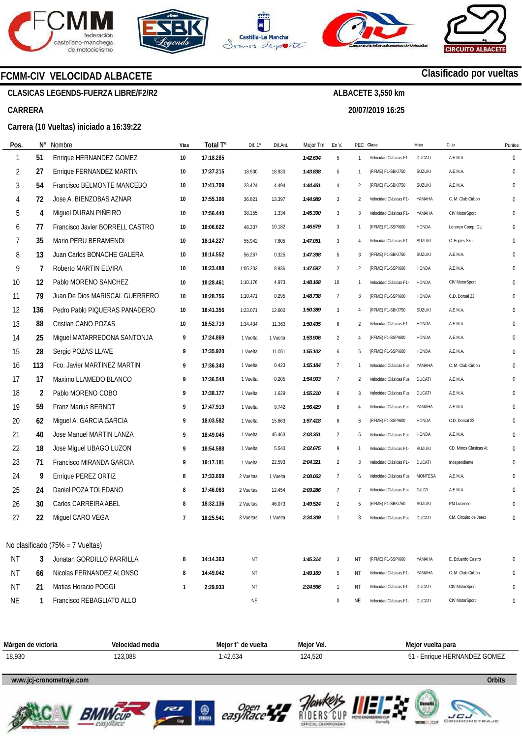







**20/07/2019 16:25** 



## **Clasificado por vueltas**

### **CLASICAS LEGENDS-FUERZA LIBRE/F2/R2**

**FCMM-CIV VELOCIDAD ALBACETE** 

#### **CARRERA**

#### **Carrera (10 Vueltas) iniciado a 16:39:22**

| Pos.      | N°  | Nombre                           | <b>Vtas</b>  | Total T°  | Dif. 1º   | Dif.Ant. | Mejor Tm | En V.          |                | PEC Clase              | Moto           | Club                  | Puntos       |
|-----------|-----|----------------------------------|--------------|-----------|-----------|----------|----------|----------------|----------------|------------------------|----------------|-----------------------|--------------|
| -1        | 51  | Enrique HERNANDEZ GOMEZ          | 10           | 17:18.285 |           |          | 1:42.634 | 5              | 1              | Velocidad Clásicas F1- | <b>DUCATI</b>  | A.E.M.A.              | $\Omega$     |
| 2         | 27  | Enrique FERNANDEZ MARTIN         | 10           | 17:37.215 | 18.930    | 18.930   | 1:43.838 | 5              | 1              | (RFME) F1-SBK/750      | <b>SUZUKI</b>  | A.E.M.A.              | $\mathbf{0}$ |
| 3         | 54  | Francisco BELMONTE MANCEBO       | 10           | 17:41.709 | 23.424    | 4.494    | 1:44.461 | $\overline{4}$ | $\overline{2}$ | (RFME) F1-SBK/750      | SUZUKI         | A.E.M.A.              | $\Omega$     |
| 4         | 72  | Jose A. BIENZOBAS AZNAR          | 10           | 17:55.106 | 36.821    | 13.397   | 1:44.989 | 3              | 2              | Velocidad Clásicas F1- | YAMAHA         | C. M. Club Cirbón     | $\Omega$     |
| 5         | 4   | Miguel DURAN PIÑEIRO             | 10           | 17:56.440 | 38.155    | 1.334    | 1:45.390 | 3              | 3              | Velocidad Clásicas F1- | YAMAHA         | CIV MotorSport        | $\Omega$     |
| 6         | 77  | Francisco Javier BORRELL CASTRO  | 10           | 18:06.622 | 48.337    | 10.182   | 1:46.579 | 3              | 1              | (RFME) F1-SSP/600      | HONDA          | Lorenzo Comp. GU      | 0            |
| 7         | 35  | Mario PERU BERAMENDI             | 10           | 18:14.227 | 55.942    | 7.605    | 1:47.051 | 3              | 4              | Velocidad Clásicas F1- | <b>SUZUKI</b>  | C. Eqüés Skull        | $\Omega$     |
| 8         | 13  | Juan Carlos BONACHE GALERA       | 10           | 18:14.552 | 56.267    | 0.325    | 1:47.398 | 5              | 3              | (RFME) F1-SBK/750      | <b>SUZUKI</b>  | A.E.M.A.              | $\Omega$     |
| 9         | 7   | Roberto MARTIN ELVIRA            | 10           | 18:23.488 | 1:05.203  | 8.936    | 1:47.597 | $\overline{2}$ | 2              | (RFME) F1-SSP/600      | HONDA          | A.E.M.A.              | $\Omega$     |
| 10        | 12  | Pablo MORENO SANCHEZ             | 10           | 18:28.461 | 1:10.176  | 4.973    | 1:48.168 | 10             | 1              | Velocidad Clásicas F1- | <b>HONDA</b>   | CIV MotorSport        | $\Omega$     |
| 11        | 79  | Juan De Dios MARISCAL GUERRERO   | 10           | 18:28.756 | 1:10.471  | 0.295    | 1:48.738 | $\overline{7}$ | 3              | (RFME) F1-SSP/600      | HONDA          | C.D. Dorsal 23        | $\Omega$     |
| 12        | 136 | Pedro Pablo PIQUERAS PANADERO    | 10           | 18:41.356 | 1:23.071  | 12.600   | 1:50.389 | 3              | 4              | (RFME) F1-SBK/750      | <b>SUZUKI</b>  | A.E.M.A.              | $\Omega$     |
| 13        | 88  | Cristian CANO POZAS              | 10           | 18:52.719 | 1:34.434  | 11.363   | 1:50.435 | 6              | 2              | Velocidad Clásicas F1- | HONDA          | A.E.M.A.              | $\Omega$     |
| 14        | 25  | Miguel MATARREDONA SANTONJA      | 9            | 17:24.869 | 1 Vuelta  | 1 Vuelta | 1:53.906 | $\overline{2}$ | 4              | (RFME) F1-SSP/600      | HONDA          | A.E.M.A.              | $\Omega$     |
| 15        | 28  | Sergio POZAS LLAVE               | 9            | 17:35.920 | 1 Vuelta  | 11.051   | 1:55.102 | 6              | 5              | (RFME) F1-SSP/600      | <b>HONDA</b>   | A.E.M.A.              | $\Omega$     |
| 16        | 113 | Fco. Javier MARTINEZ MARTIN      | 9            | 17:36.343 | 1 Vuelta  | 0.423    | 1:55.184 | $\overline{7}$ | 1              | Velocidad Clásicas Fue | YAMAHA         | C. M. Club Cirbón     | $\Omega$     |
| 17        | 17  | Maximo LLAMEDO BLANCO            | 9            | 17:36.548 | 1 Vuelta  | 0.205    | 1:54.903 | $\overline{7}$ | 2              | Velocidad Clásicas Fue | <b>DUCATI</b>  | A.E.M.A.              | $\Omega$     |
| 18        | 2   | Pablo MORENO COBO                | 9            | 17:38.177 | 1 Vuelta  | 1.629    | 1:55.210 | 6              | 3              | Velocidad Clásicas Fue | <b>DUCATI</b>  | A.E.M.A.              | $\mathbf 0$  |
| 19        | 59  | <b>Franz Marius BERNDT</b>       | 9            | 17:47.919 | 1 Vuelta  | 9.742    | 1:56.429 | 8              | 4              | Velocidad Clásicas Fue | YAMAHA         | A.E.M.A.              | $\Omega$     |
| 20        | 62  | Miguel A. GARCIA GARCIA          | 9            | 18:03.582 | 1 Vuelta  | 15.663   | 1:57.418 | 6              | 6              | (RFME) F1-SSP/600      | HONDA          | C.D. Dorsal 23        | $\Omega$     |
| 21        | 40  | Jose Manuel MARTIN LANZA         | 9            | 18:49.045 | 1 Vuelta  | 45.463   | 2:03.351 | $\overline{2}$ | 5              | Velocidad Clásicas Fue | <b>HONDA</b>   | A.E.M.A.              | $\Omega$     |
| 22        | 18  | Jose Miguel UBAGO LUZON          | 9            | 18:54.588 | 1 Vuelta  | 5.543    | 2:02.675 | 9              | 1              | Velocidad Clásicas F1- | SUZUKI         | CD. Motos Clasicas At | $\mathbf 0$  |
| 23        | 71  | Francisco MIRANDA GARCIA         | 9            | 19:17.181 | 1 Vuelta  | 22.593   | 2:04.321 | $\overline{2}$ | 3              | Velocidad Clásicas F1- | <b>DUCATI</b>  | Independiente         | $\Omega$     |
| 24        | 9   | Enrique PEREZ ORTIZ              | 8            | 17:33.609 | 2 Vueltas | 1 Vuelta | 2:08.063 | $\overline{7}$ | 6              | Velocidad Clásicas Fue | <b>MONTESA</b> | A.E.M.A.              | $\Omega$     |
| 25        | 24  | Daniel POZA TOLEDANO             | 8            | 17:46.063 | 2 Vueltas | 12.454   | 2:09.286 | $\overline{7}$ | 7              | Velocidad Clásicas Fue | GUZZI          | A.E.M.A.              | $\Omega$     |
| 26        | 30  | Carlos CARREIRA ABEL             | 8            | 18:32.136 | 2 Vueltas | 46.073   | 1:49.524 | $\overline{2}$ | 5              | (RFME) F1-SBK/750      | <b>SUZUKI</b>  | PM Lucense            | $\Omega$     |
| 27        | 22  | Miguel CARO VEGA                 | 7            | 18:25.541 | 3 Vueltas | 1 Vuelta | 2:24.309 | $\mathbf{1}$   | 8              | Velocidad Clásicas Fue | <b>DUCATI</b>  | CM. Circuito de Jerez | 0            |
|           |     |                                  |              |           |           |          |          |                |                |                        |                |                       |              |
|           |     | No clasificado (75% = 7 Vueltas) |              |           |           |          |          |                |                |                        |                |                       |              |
| NT        | 3   | Jonatan GORDILLO PARRILLA        | 8            | 14:14.363 | ΝT        |          | 1:45.314 | 3              | ΝT             | (RFME) F1-SSP/600      | YAMAHA         | E. Eduardo Castro     | 0            |
| <b>NT</b> | 66  | Nicolas FERNANDEZ ALONSO         | 8            | 14:49.042 | ΝT        |          | 1:49.169 | 5              | ΝT             | Velocidad Clásicas F1- | YAMAHA         | C. M. Club Cirbón     | 0            |
| <b>NT</b> | 21  | Matias Horacio POGGI             | $\mathbf{1}$ | 2:29.933  | ΝT        |          | 2:24.566 | $\mathbf{1}$   | ΝT             | Velocidad Clásicas F1- | <b>DUCATI</b>  | CIV MotorSport        | 0            |
| <b>NE</b> |     | Francisco REBAGLIATO ALLO        |              |           | NE        |          |          | $\bf{0}$       | ΝE             | Velocidad Clásicas F1- | DUCATI         | CIV MotorSport        | 0            |



#### **www.jcj-cronometraje.com Orbits**











**www.mylaps.com LICU**<br>GRONOMETRAJE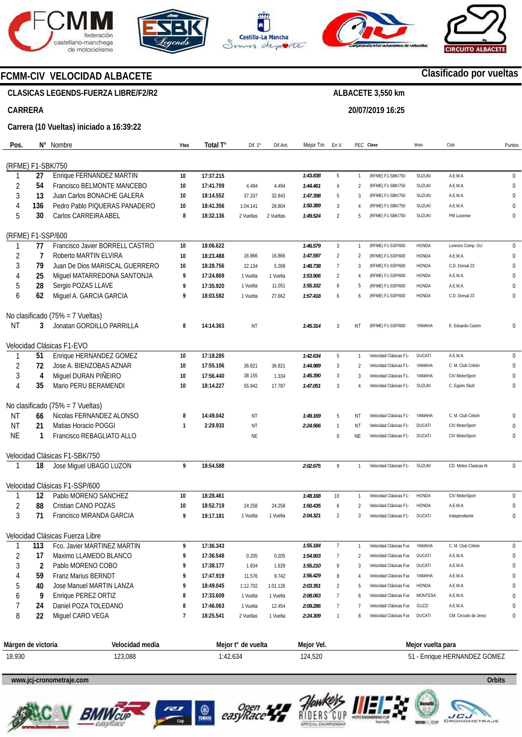









### **FCMM-CIV VELOCIDAD ALBACETE**

### **CLASICAS LEGENDS-FUERZA LIBRE/F2/R2**

### **CARRERA**

**Pos.** 

### **Carrera (10 Vueltas) iniciado a 16:39:22**

| Pos.              |          | N° Nombre                                | Vtas | Total T°  | Dif. 1°   | Dif.Ant   | Mejor Tm | En V.          |                | PEC Clase              | Moto           | Club                  | Puntos       |
|-------------------|----------|------------------------------------------|------|-----------|-----------|-----------|----------|----------------|----------------|------------------------|----------------|-----------------------|--------------|
|                   |          |                                          |      |           |           |           |          |                |                |                        |                |                       |              |
| (RFME) F1-SBK/750 |          |                                          |      |           |           |           |          |                |                |                        |                |                       |              |
|                   | 27       | Enrique FERNANDEZ MARTIN                 | 10   | 17:37.215 |           |           | 1:43.838 | 5              | 1              | (RFME) F1-SBK/750      | <b>SUZUKI</b>  | A.E.M.A.              | $\pmb{0}$    |
| 2                 | 54       | Francisco BELMONTE MANCEBO               | 10   | 17:41.709 | 4.494     | 4.494     | 1:44.461 | 4              | $\overline{2}$ | (RFME) F1-SBK/750      | <b>SUZUKI</b>  | A.E.M.A.              | $\mathbf{0}$ |
| 3                 | 13       | Juan Carlos BONACHE GALERA               | 10   | 18:14.552 | 37.337    | 32.843    | 1:47.398 | 5              | 3              | (RFME) F1-SBK/750      | <b>SUZUKI</b>  | A.E.M.A.              | $\Omega$     |
| 4                 | 136      | Pedro Pablo PIQUERAS PANADERO            | 10   | 18:41.356 | 1:04.141  | 26.804    | 1:50.389 | 3              | $\overline{A}$ | (RFME) F1-SBK/750      | <b>SUZUKI</b>  | A.E.M.A.              | $\Omega$     |
| 5                 | 30       | Carlos CARREIRA ABEL                     | 8    | 18:32.136 | 2 Vueltas | 2 Vueltas | 1:49.524 | $\overline{2}$ | 5              | (RFME) F1-SBK/750      | <b>SUZUKI</b>  | PM Lucense            | $\mathbf{0}$ |
| (RFME) F1-SSP/600 |          |                                          |      |           |           |           |          |                |                |                        |                |                       |              |
|                   | 77       | Francisco Javier BORRELL CASTRO          | 10   | 18:06.622 |           |           | 1:46.579 | 3              | $\mathbf{1}$   | (RFME) F1-SSP/600      | HONDA          | Lorenzo Comp. GU      | 0            |
| $\overline{2}$    | 7        | Roberto MARTIN ELVIRA                    | 10   | 18:23.488 | 16.866    | 16.866    | 1:47.597 | $\overline{2}$ | $\overline{2}$ | (RFME) F1-SSP/600      | HONDA          | A.E.M.A.              | 0            |
| 3                 | 79       | Juan De Dios MARISCAL GUERRERO           | 10   | 18:28.756 | 22.134    | 5.268     | 1:48.738 | $\overline{7}$ | 3              | (RFME) F1-SSP/600      | HONDA          | C.D. Dorsal 23        | 0            |
| 4                 | 25       | Miguel MATARREDONA SANTONJA              | 9    | 17:24.869 | 1 Vuelta  | 1 Vuelta  | 1:53.906 | $\overline{2}$ | $\overline{4}$ | (RFME) F1-SSP/600      | HONDA          | A.E.M.A.              | $\Omega$     |
| 5                 | 28       | Sergio POZAS LLAVE                       | 9    | 17:35.920 | 1 Vuelta  | 11.051    | 1:55.102 | 6              | .5             | (RFME) F1-SSP/600      | <b>HONDA</b>   | A.E.M.A.              | $\Omega$     |
| 6                 | 62       | Miguel A. GARCIA GARCIA                  | 9    | 18:03.582 | 1 Vuelta  | 27.662    | 1:57.418 | 6              | 6              | (RFME) F1-SSP/600      | HONDA          | C.D. Dorsal 23        | $\Omega$     |
|                   |          | No clasificado (75% = 7 Vueltas)         |      |           |           |           |          |                |                |                        |                |                       |              |
| <b>NT</b>         | 3        | Jonatan GORDILLO PARRILLA                | 8    | 14:14.363 | ΝT        |           | 1:45.314 | 3              | NT             | (RFME) F1-SSP/600      | YAMAHA         | E. Eduardo Castro     | $\Omega$     |
|                   |          |                                          |      |           |           |           |          |                |                |                        |                |                       |              |
|                   |          | Velocidad Clásicas F1-EVO                |      |           |           |           |          |                |                |                        |                |                       |              |
|                   | 51       | Enrique HERNANDEZ GOMEZ                  | 10   | 17:18.285 |           |           | 1:42.634 | 5              | $\mathbf{1}$   | Velocidad Clásicas F1- | <b>DUCATI</b>  | A.E.M.A.              | $\pmb{0}$    |
| $\sqrt{2}$        | 72       | Jose A. BIENZOBAS AZNAR                  | 10   | 17:55.106 | 36.821    | 36.821    | 1:44.989 | 3              | $\overline{2}$ | Velocidad Clásicas F1- | YAMAHA         | C. M. Club Cirbón     | 0            |
| 3                 | 4        | Miguel DURAN PIÑEIRO                     | 10   | 17:56.440 | 38.155    | 1.334     | 1:45.390 | 3              | 3              | Velocidad Clásicas F1- | YAMAHA         | CIV MotorSport        | 0            |
| 4                 | 35       | Mario PERU BERAMENDI                     | 10   | 18:14.227 | 55.942    | 17.787    | 1:47.051 | 3              |                | Velocidad Clásicas F1- | <b>SUZUKI</b>  | C. Egüés Skull        | $\Omega$     |
|                   |          | No clasificado (75% = 7 Vueltas)         |      |           |           |           |          |                |                |                        |                |                       |              |
| ΝT                | 66       | Nicolas FERNANDEZ ALONSO                 | 8    | 14:49.042 | ΝT        |           | 1:49.169 | 5              | ΝT             | Velocidad Clásicas F1- | YAMAHA         | C. M. Club Cirbón     | $\Omega$     |
| <b>NT</b>         | 21       | Matias Horacio POGGI                     | 1    | 2:29.933  | <b>NT</b> |           | 2:24.566 | $\mathbf{1}$   | ΝT             | Velocidad Clásicas F1- | <b>DUCATI</b>  | CIV MotorSport        | $\Omega$     |
| <b>NE</b>         | 1        | Francisco REBAGLIATO ALLO                |      |           | NE        |           |          | $\mathbf 0$    | ΝE             | Velocidad Clásicas F1- | <b>DUCATI</b>  | CIV MotorSport        | $\Omega$     |
|                   |          |                                          |      |           |           |           |          |                |                |                        |                |                       |              |
|                   |          | Velocidad Clásicas F1-SBK/750            |      |           |           |           |          |                |                |                        |                |                       |              |
|                   | 18       | Jose Miguel UBAGO LUZON                  | 9    | 18:54.588 |           |           | 2:02.675 | 9              | $\mathbf{1}$   | Velocidad Clásicas F1- | <b>SUZUKI</b>  | CD. Motos Clasicas At | 0            |
|                   |          | Velocidad Clásicas F1-SSP/600            |      |           |           |           |          |                |                |                        |                |                       |              |
|                   | 12       | Pablo MORENO SANCHEZ                     | 10   | 18:28.461 |           |           | 1:48.168 | 10             | 1              | Velocidad Clásicas F1- | <b>HONDA</b>   | CIV MotorSport        | $\pmb{0}$    |
| $\overline{2}$    | 88       | Cristian CANO POZAS                      | 10   | 18:52.719 | 24.258    | 24.258    | 1:50.435 | 6              | $\overline{2}$ | Velocidad Clásicas F1- | HONDA          | A.E.M.A.              | $\mathbf{0}$ |
| 3                 | 71       | Francisco MIRANDA GARCIA                 | 9    | 19:17.181 | 1 Vuelta  | 1 Vuelta  | 2:04.321 | $\overline{2}$ | 3              | Velocidad Clásicas F1- | <b>DUCATI</b>  | Independiente         | $\mathbf{0}$ |
|                   |          | Velocidad Clásicas Fuerza Libre          |      |           |           |           |          |                |                |                        |                |                       |              |
|                   | 113      | Fco. Javier MARTINEZ MARTIN              | 9    | 17:36.343 |           |           | 1:55.184 | $\overline{1}$ | $\mathbf{1}$   | Velocidad Clásicas Fue | YAMAHA         | C. M. Club Cirbón     | $\pmb{0}$    |
| 2                 | 17       | Maximo LLAMEDO BLANCO                    | 9    | 17:36.548 | 0.205     | 0.205     | 1:54.903 | 7              | $\overline{2}$ | Velocidad Clásicas Fue | <b>DUCATI</b>  | A.E.M.A.              | 0            |
| 3                 | 2        | Pablo MORENO COBO                        | 9    | 17:38.177 | 1.834     | 1.629     | 1:55.210 | 6              | 3              | Velocidad Clásicas Fue | DUCATI         | A.E.M.A.              | $\mathbf{0}$ |
| 4                 | 59       | <b>Franz Marius BERNDT</b>               | 9    | 17:47.919 | 11.576    | 9.742     | 1:56.429 | 8              | $\overline{4}$ | Velocidad Clásicas Fue | YAMAHA         | A.E.M.A.              | $\mathbf{0}$ |
| 5                 | 40       | Jose Manuel MARTIN LANZA                 | 9    | 18:49.045 | 1:12.702  | 1:01.126  | 2:03.351 | 2              | .5             | Velocidad Clásicas Fue | HONDA          | A.E.M.A.              | $\mathbf{0}$ |
|                   | 9        | Enrique PEREZ ORTIZ                      | 8    |           |           |           |          |                |                |                        | <b>MONTESA</b> | A.E.M.A.              | 0            |
| 6                 |          |                                          |      | 17:33.609 | 1 Vuelta  | 1 Vuelta  | 2:08.063 | 7              | 6              | Velocidad Clásicas Fue |                | A.E.M.A.              |              |
| 8                 | 24<br>22 | Daniel POZA TOLEDANO<br>Miquel CARO VEGA | 8    | 17:46.063 | 1 Vuelta  | 12.454    | 2:09.286 | 7              |                | Velocidad Clásicas Fue | GUZZI          |                       | 0            |
|                   |          |                                          | 7    | 18:25.541 | 2 Vueltas | 1 Vuelta  | 2:24.309 | $\mathbf{1}$   | 8              | Velocidad Clásicas Fue | <b>DUCATI</b>  | CM. Circuito de Jerez | 0            |
|                   |          |                                          |      |           |           |           |          |                |                |                        |                |                       |              |
|                   |          |                                          |      |           |           |           |          |                |                |                        |                |                       |              |

| Márgen<br>∘de victoria | $\cdot$ .<br>Velocidad media | $\overline{\phantom{a}}$<br>Mejor *<br>de vuelta | .<br>Meior Vel. | ∙lta para<br>Mejor vue               |
|------------------------|------------------------------|--------------------------------------------------|-----------------|--------------------------------------|
| 18.930                 | 123,088                      | $\sim$<br>$\pm 42$<br>ى0ئ.                       | 124,520         | $-MANDFT$<br><b>GOMEZ</b><br>∙nrigu∈ |

### **www.jcj-cronometraje.com Orbits**











**www.mylaps.com LICU**<br>CRONOMETRAJE

### **Clasificado por vueltas**

# **ALBACETE 3,550 km**

### **20/07/2019 16:25**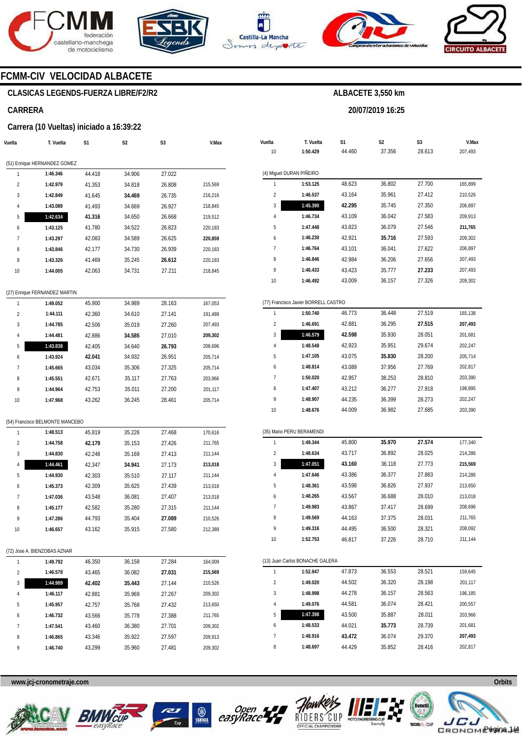





**Vuelta** 

**T. Vuelta** 

**S1** 



**S2** 

**ALBACETE 3,550 km** 

**20/07/2019 16:25** 

**S3** 



**V.Max** 

### **FCMM-CIV VELOCIDAD ALBACETE**

### **CLASICAS LEGENDS-FUERZA LIBRE/F2/R2**

#### **CARRERA**

#### **Carrera (10 Vueltas) iniciado a 16:39:22**

| Vuelta         | T. Vuelta                       | S1     | S <sub>2</sub> | S3     | V.Max   | Vuelta          | T. Vuelta                            | S1     | S <sub>2</sub> | S3     | V.Ma    |
|----------------|---------------------------------|--------|----------------|--------|---------|-----------------|--------------------------------------|--------|----------------|--------|---------|
|                |                                 |        |                |        |         | 10              | 1:50.429                             | 44.460 | 37.356         | 28.613 | 207,493 |
|                | (51) Enrique HERNANDEZ GOMEZ    |        |                |        |         |                 |                                      |        |                |        |         |
| $\mathbf{1}$   | 1:46.346                        | 44.418 | 34.906         | 27.022 |         |                 | (4) Miguel DURAN PIÑEIRO             |        |                |        |         |
| $\sqrt{2}$     | 1:42.979                        | 41.353 | 34.818         | 26.808 | 215,569 | $\mathbf{1}$    | 1:53.125                             | 48.623 | 36.802         | 27.700 | 165,899 |
| 3              | 1:42.849                        | 41.645 | 34.469         | 26.735 | 216,216 | $\overline{2}$  | 1:46.537                             | 43.164 | 35.961         | 27.412 | 210,526 |
| $\overline{4}$ | 1:43.089                        | 41.493 | 34.669         | 26.927 | 218,845 | 3               | 1:45.390                             | 42.295 | 35.745         | 27.350 | 206,897 |
| 5              | 1:42.634                        | 41.316 | 34.650         | 26.668 | 219,512 | $\sqrt{4}$      | 1:46.734                             | 43.109 | 36.042         | 27.583 | 209,913 |
| 6              | 1:43.125                        | 41.780 | 34.522         | 26.823 | 220,183 | 5               | 1:47.448                             | 43.823 | 36.079         | 27.546 | 211,765 |
| 7              | 1:43.297                        | 42.083 | 34.589         | 26.625 | 220,859 | 6               | 1:46.230                             | 42.921 | 35.716         | 27.593 | 209,302 |
| 8              | 1:43.846                        | 42.177 | 34.730         | 26.939 | 220,183 | $\overline{7}$  | 1:46.764                             | 43.101 | 36.041         | 27.622 | 206,897 |
| 9              | 1:43.326                        | 41.469 | 35.245         | 26.612 | 220,183 | 8               | 1:46.846                             | 42.984 | 36.206         | 27.656 | 207,493 |
| 10             | 1:44.005                        | 42.063 | 34.731         | 27.211 | 218,845 | 9               | 1:46.433                             | 43.423 | 35.777         | 27.233 | 207,493 |
|                |                                 |        |                |        |         | 10              | 1:46.492                             | 43.009 | 36.157         | 27.326 | 209,302 |
|                | (27) Enrique FERNANDEZ MARTIN   |        |                |        |         |                 |                                      |        |                |        |         |
| $\mathbf{1}$   | 1:49.052                        | 45.900 | 34.989         | 28.163 | 167,053 |                 | (77) Francisco Javier BORRELL CASTRO |        |                |        |         |
| $\overline{2}$ | 1:44.111                        | 42.360 | 34.610         | 27.141 | 191,489 | $\overline{1}$  | 1:50.740                             | 46.773 | 36.448         | 27.519 | 165,138 |
| 3              | 1:44.785                        | 42.506 | 35.019         | 27.260 | 207,493 | $\overline{2}$  | 1:46.691                             | 42.881 | 36.295         | 27.515 | 207,493 |
| $\overline{A}$ | 1:44.481                        | 42.886 | 34.585         | 27.010 | 209,302 | 3               | 1:46.579                             | 42.598 | 35.930         | 28.051 | 201,681 |
| 5              | 1:43.838                        | 42.405 | 34.640         | 26.793 | 208,696 | $\overline{4}$  | 1:48.548                             | 42.923 | 35.951         | 29.674 | 202,247 |
| 6              | 1:43.924                        | 42.041 | 34.932         | 26.951 | 205,714 | 5               | 1:47.105                             | 43.075 | 35.830         | 28.200 | 205,714 |
| $\overline{7}$ | 1:45.665                        | 43.034 | 35.306         | 27.325 | 205,714 | 6               | 1:48.814                             | 43.089 | 37.956         | 27.769 | 202,817 |
| 8              | 1:45.551                        | 42.671 | 35.117         | 27.763 | 203,966 | $\overline{7}$  | 1:50.020                             | 42.957 | 38.253         | 28.810 | 203,390 |
| 9              | 1:44.964                        | 42.753 | 35.011         | 27.200 | 201,117 | 8               | 1:47.407                             | 43.212 | 36.277         | 27.918 | 198,895 |
| 10             | 1:47.968                        | 43.262 | 36.245         | 28.461 | 205,714 | 9               | 1:48.907                             | 44.235 | 36.399         | 28.273 | 202,247 |
|                |                                 |        |                |        |         | 10 <sup>°</sup> | 1:48.676                             | 44.009 | 36.982         | 27.685 | 203,390 |
|                | (54) Francisco BELMONTE MANCEBO |        |                |        |         |                 |                                      |        |                |        |         |
| $\mathbf{1}$   | 1:48.513                        | 45.819 | 35.226         | 27.468 | 170,616 |                 | (35) Mario PERU BERAMENDI            |        |                |        |         |
| $\overline{2}$ | 1:44.758                        | 42.179 | 35.153         | 27.426 | 211,765 | $\overline{1}$  | 1:49.344                             | 45.800 | 35.970         | 27.574 | 177,340 |
| 3              | 1:44.830                        | 42.248 | 35.169         | 27.413 | 211,144 | $\overline{2}$  | 1:48.634                             | 43.717 | 36.892         | 28.025 | 214,286 |
|                | 1:44.461                        | 42.347 | 34.941         | 27.173 | 213,018 | 3               | 1:47.051                             | 43.160 | 36.118         | 27.773 | 215,569 |
| 5              | 1:44.930                        | 42.303 | 35.510         | 27.117 | 211,144 | 4               | 1:47.646                             | 43.386 | 36.377         | 27.883 | 214,286 |
| 6              | 1:45.373                        | 42.309 | 35.625         | 27.439 | 213,018 | 5               | 1:48.361                             | 43.598 | 36.826         | 27.937 | 213,650 |
| $\overline{7}$ | 1:47.036                        | 43.548 | 36.081         | 27.407 | 213,018 | 6               | 1:48.265                             | 43.567 | 36.688         | 28.010 | 213,018 |
| 8              | 1:45.177                        | 42.582 | 35.280         | 27.315 | 211,144 | 7               | 1:49.983                             | 43.867 | 37.417         | 28.699 | 208,696 |
| 9              | 1:47.286                        | 44.793 | 35.404         | 27.089 | 210,526 | 8               | 1:49.569                             | 44.163 | 37.375         | 28.031 | 211,765 |
| 10             | 1:46.657                        | 43.162 | 35.915         | 27.580 | 212,389 | 9               | 1:49.316                             | 44.495 | 36.500         | 28.321 | 208,092 |
|                |                                 |        |                |        |         | 10              | 1:52.753                             | 46.817 | 37.226         | 28.710 | 211,144 |
|                | (72) Jose A. BIENZOBAS AZNAR    |        |                |        |         |                 |                                      |        |                |        |         |
| $\mathbf{1}$   | 1:49.792                        | 46.350 | 36.158         | 27.284 | 164,009 |                 | (13) Juan Carlos BONACHE GALERA      |        |                |        |         |
| $\overline{2}$ | 1:46.578                        | 43.465 | 36.082         | 27.031 | 215,569 | $\mathbf{1}$    | 1:52.947                             | 47.873 | 36.553         | 28.521 | 159,645 |
| 3              | 1:44.989                        | 42.402 | 35.443         | 27.144 | 210,526 | $\overline{2}$  | 1:49.020                             | 44.502 | 36.320         | 28.198 | 201,117 |
| 4              | 1:46.117                        | 42.881 | 35.969         | 27.267 | 209,302 | 3               | 1:48.998                             | 44.278 | 36.157         | 28.563 | 196,185 |
| 5              | 1:45.957                        | 42.757 | 35.768         | 27.432 | 213,650 | $\overline{4}$  | 1:49.076                             | 44.581 | 36.074         | 28.421 | 200,557 |
| 6              | 1:46.732                        | 43.566 | 35.778         | 27.388 |         | 5               | 1:47.398                             | 43.500 | 35.887         | 28.011 | 203,966 |
| $\overline{7}$ | 1:47.541                        |        |                | 27.701 | 211,765 | 6               | 1:48.533                             | 44.021 | 35.773         | 28.739 | 201,681 |
|                |                                 | 43.460 | 36.380         |        | 209,302 | $\overline{7}$  | 1:48.916                             | 43.472 | 36.074         | 29.370 | 207,493 |
| 8              | 1:46.865                        | 43.346 | 35.922         | 27.597 | 209,913 |                 |                                      |        | 35.852         |        |         |
| 9              | 1:46.740                        | 43.299 | 35.960         | 27.481 | 209,302 | 8               | 1:48.697                             | 44.429 |                | 28.416 | 202,817 |









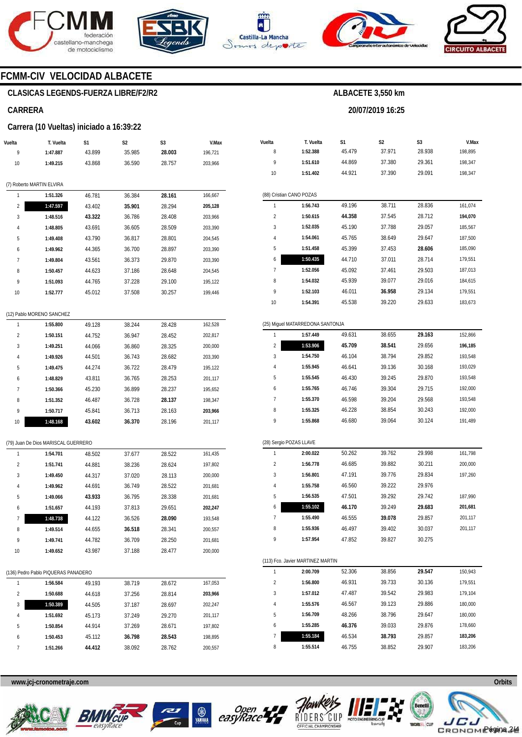







**20/07/2019 16:25** 



### **FCMM-CIV VELOCIDAD ALBACETE**

### **CLASICAS LEGENDS-FUERZA LIBRE/F2/R2**

#### **CARRERA**

#### **Carrera (10 Vueltas) iniciado a 16:39:22**

| Vuelta | T. Vuelta                           | S1     | S2     | S3     | V.Max   |
|--------|-------------------------------------|--------|--------|--------|---------|
| 9      | 1:47.887                            | 43.899 | 35.985 | 28.003 | 196,721 |
| 10     | 1:49.215                            | 43.868 | 36.590 | 28.757 | 203,966 |
|        |                                     |        |        |        |         |
|        | (7) Roberto MARTIN ELVIRA           |        |        |        |         |
| 1      | 1:51.326                            | 46.781 | 36.384 | 28.161 | 166,667 |
| 2      | 1:47.597                            | 43.402 | 35.901 | 28.294 | 205,128 |
| 3      | 1:48.516                            | 43.322 | 36.786 | 28.408 | 203,966 |
| 4      | 1:48.805                            | 43.691 | 36.605 | 28.509 | 203,390 |
| 5      | 1:49.408                            | 43.790 | 36.817 | 28.801 | 204,545 |
| 6      | 1:49.962                            | 44.365 | 36.700 | 28.897 | 203,390 |
| 7      | 1:49.804                            | 43.561 | 36.373 | 29.870 | 203,390 |
| 8      | 1:50.457                            | 44.623 | 37.186 | 28.648 | 204,545 |
| 9      | 1:51.093                            | 44.765 | 37.228 | 29.100 | 195,122 |
| 10     | 1:52.777                            | 45.012 | 37.508 | 30.257 | 199,446 |
|        |                                     |        |        |        |         |
|        | (12) Pablo MORENO SANCHEZ           |        |        |        |         |
| 1      | 1:55.800                            | 49.128 | 38.244 | 28.428 | 162,528 |
| 2      | 1:50.151                            | 44.752 | 36.947 | 28.452 | 202,817 |
| 3      | 1:49.251                            | 44.066 | 36.860 | 28.325 | 200,000 |
| 4      | 1:49.926                            | 44.501 | 36.743 | 28.682 | 203,390 |
| 5      | 1:49.475                            | 44.274 | 36.722 | 28.479 | 195,122 |
| 6      | 1:48.829                            | 43.811 | 36.765 | 28.253 | 201,117 |
| 7      | 1:50.366                            | 45.230 | 36.899 | 28.237 | 195,652 |
| 8      | 1:51.352                            | 46.487 | 36.728 | 28.137 | 198,347 |
| 9      | 1:50.717                            | 45.841 | 36.713 | 28.163 | 203,966 |
| 10     | 1:48.168                            | 43.602 | 36.370 | 28.196 | 201,117 |
|        |                                     |        |        |        |         |
|        | (79) Juan De Dios MARISCAL GUERRERO |        |        |        |         |
| 1      | 1:54.701                            | 48.502 | 37.677 | 28.522 | 161,435 |
| 2      | 1:51.741                            | 44.881 | 38.236 | 28.624 | 197,802 |
| 3      | 1:49.450                            | 44.317 | 37.020 | 28.113 | 200,000 |
| 4      | 1:49.962                            | 44.691 | 36.749 | 28.522 | 201,681 |
| 5      | 1:49.066                            | 43.933 | 36.795 | 28.338 | 201,681 |
| 6      | 1:51.657                            | 44.193 | 37.813 | 29.651 | 202,247 |
| 7      | 1:48.738                            | 44.122 | 36.526 | 28.090 | 193,548 |
| 8      | 1:49.514                            | 44.655 | 36.518 | 28.341 | 200,557 |
| 9      | 1:49.741                            | 44.782 | 36.709 | 28.250 | 201,681 |
| 10     | 1:49.652                            | 43.987 | 37.188 | 28.477 | 200,000 |
|        |                                     |        |        |        |         |
|        | (136) Pedro Pablo PIQUERAS PANADERO |        |        |        |         |
| 1      | 1:56.584                            | 49.193 | 38.719 | 28.672 | 167,053 |
| 2      | 1:50.688                            | 44.618 | 37.256 | 28.814 | 203,966 |
| 3      | 1:50.389                            | 44.505 | 37.187 | 28.697 | 202,247 |
| 4      | 1:51.692                            | 45.173 | 37.249 | 29.270 | 201,117 |
| 5      | 1:50.854                            | 44.914 | 37.269 | 28.671 | 197,802 |
| 6      | 1:50.453                            | 45.112 | 36.798 | 28.543 | 198,895 |
| 7      | 1:51.266                            | 44.412 | 38.092 | 28.762 | 200,557 |

| Vuelta         | T. Vuelta                         | S1               | S2               | S3               | V.Max   |
|----------------|-----------------------------------|------------------|------------------|------------------|---------|
| 8              | 1:52.388                          | 45.479           | 37.971           | 28.938           | 198,895 |
| 9              | 1:51.610                          | 44.869           | 37.380           | 29.361           | 198,347 |
| 10             | 1:51.402                          | 44.921           | 37.390           | 29.091           | 198,347 |
|                |                                   |                  |                  |                  |         |
|                | (88) Cristian CANO POZAS          |                  |                  |                  |         |
| 1              | 1:56.743                          | 49.196           | 38.711           | 28.836           | 161,074 |
| 2              | 1:50.615                          | 44.358           | 37.545           | 28.712           | 194,070 |
| 3              | 1:52.035                          | 45.190           | 37.788           | 29.057           | 185,567 |
| 4              | 1:54.061                          | 45.765           | 38.649           | 29.647           | 187,500 |
| 5              | 1:51.458                          | 45.399           | 37.453           | 28.606           | 185,090 |
| 6              | 1:50.435                          | 44.710           | 37.011           | 28.714           | 179,551 |
| 7              | 1:52.056                          | 45.092           | 37.461           | 29.503           | 187,013 |
| 8              | 1:54.032                          | 45.939           | 39.077           | 29.016           | 184,615 |
| 9              | 1:52.103                          | 46.011           | 36.958           | 29.134           | 179,551 |
| 10             | 1:54.391                          | 45.538           | 39.220           | 29.633           | 183,673 |
|                |                                   |                  |                  |                  |         |
|                | (25) Miguel MATARREDONA SANTONJA  |                  |                  |                  |         |
| 1              | 1:57.449                          | 49.631           | 38.655           | 29.163           | 152,866 |
| $\overline{c}$ | 1:53.906                          | 45.709           | 38.541           | 29.656           | 196,185 |
| 3              | 1:54.750                          | 46.104           | 38.794           | 29.852           | 193,548 |
| 4              | 1:55.945                          | 46.641           | 39.136           | 30.168           | 193,029 |
| 5              | 1:55.545                          | 46.430           | 39.245           | 29.870           | 193,548 |
| 6              | 1:55.765                          | 46.746           | 39.304           | 29.715           | 192,000 |
| 7              | 1:55.370                          | 46.598           | 39.204           | 29.568           | 193,548 |
| 8              | 1:55.325                          | 46.228           | 38.854           | 30.243           | 192,000 |
| 9              | 1:55.868                          | 46.680           | 39.064           | 30.124           | 191,489 |
|                |                                   |                  |                  |                  |         |
| 1              | (28) Sergio POZAS LLAVE           |                  |                  |                  |         |
| $\overline{2}$ | 2:00.022<br>1:56.778              | 50.262<br>46.685 | 39.762<br>39.882 | 29.998<br>30.211 | 161,798 |
| 3              |                                   |                  | 39.776           |                  | 200,000 |
| 4              | 1:56.801<br>1:55.758              | 47.191           |                  | 29.834           | 197,260 |
| 5              | 1:56.535                          | 46.560           | 39.222           | 29.976           | 187,990 |
| 6              | 1:55.102                          | 47.501<br>46.170 | 39.292           | 29.742           | 201,681 |
| 7              | 1:55.490                          | 46.555           | 39.249<br>39.078 | 29.683<br>29.857 | 201,117 |
|                |                                   | 46.497           |                  |                  |         |
| 8<br>9         | 1:55.936<br>1:57.954              | 47.852           | 39.402<br>39.827 | 30.037<br>30.275 | 201,117 |
|                |                                   |                  |                  |                  |         |
|                | (113) Fco. Javier MARTINEZ MARTIN |                  |                  |                  |         |
| 1              | 2:00.709                          | 52.306           | 38.856           | 29.547           | 150,943 |
| 2              | 1:56.800                          | 46.931           | 39.733           | 30.136           | 179,551 |
| 3              | 1:57.012                          | 47.487           | 39.542           | 29.983           | 179,104 |
| 4              | 1:55.576                          | 46.567           | 39.123           | 29.886           | 180,000 |
| 5              | 1:56.709                          | 48.266           | 38.796           | 29.647           | 180,000 |
| 6              | 1:55.285                          | 46.376           | 39.033           | 29.876           | 178,660 |
| 7              | 1:55.184                          | 46.534           | 38.793           | 29.857           | 183,206 |

**www.jcj-cronometraje.com Orbits** 







8



**1:55.514** 

46.755

38.852



29.907

183,206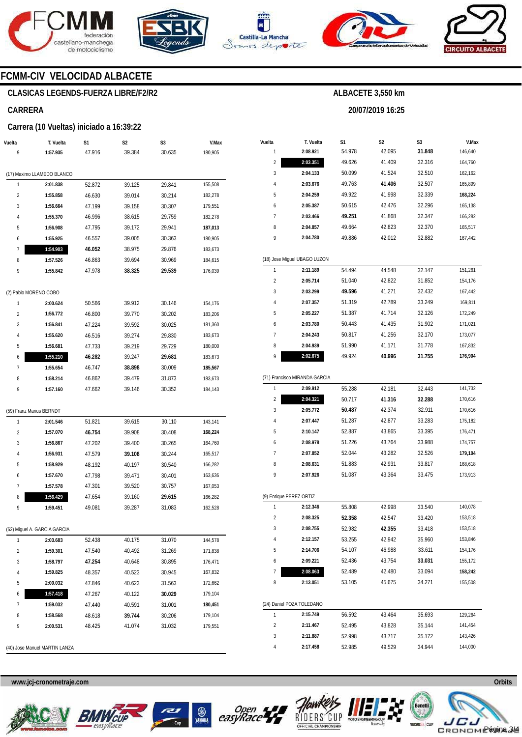







**20/07/2019 16:25** 



### **FCMM-CIV VELOCIDAD ALBACETE**

### **CLASICAS LEGENDS-FUERZA LIBRE/F2/R2**

#### **CARRERA**

#### **Carrera (10 Vueltas) iniciado a 16:39:22**

|                         | T. Vuelta                            | S1               | S2               | S3               | V.Max              |
|-------------------------|--------------------------------------|------------------|------------------|------------------|--------------------|
| 9                       | 1:57.935                             | 47.916           | 39.384           | 30.635           | 180,905            |
|                         | (17) Maximo LLAMEDO BLANCO           |                  |                  |                  |                    |
| 1                       | 2:01.838                             | 52.872           | 39.125           | 29.841           | 155,508            |
| $\overline{\mathbf{c}}$ | 1:55.858                             | 46.630           | 39.014           | 30.214           | 182,278            |
| 3                       | 1:56.664                             | 47.199           |                  |                  |                    |
|                         |                                      |                  | 39.158           | 30.307           | 179,551            |
| 4                       | 1:55.370                             | 46.996           | 38.615           | 29.759           | 182,278            |
| 5                       | 1:56.908                             | 47.795           | 39.172           | 29.941           | 187,013            |
| 6                       | 1:55.925                             | 46.557           | 39.005           | 30.363           | 180,905            |
| 7                       | 1:54.903                             | 46.052           | 38.975           | 29.876           | 183,673            |
| 8                       | 1:57.526                             | 46.863           | 39.694           | 30.969           | 184,615            |
| 9                       | 1:55.842                             | 47.978           | 38.325           | 29.539           | 176,039            |
|                         | (2) Pablo MORENO COBO                |                  |                  |                  |                    |
| 1                       | 2:00.624                             | 50.566           | 39.912           | 30.146           | 154,176            |
| 2                       | 1:56.772                             | 46.800           | 39.770           | 30.202           | 183,206            |
| 3                       | 1:56.841                             | 47.224           | 39.592           | 30.025           | 181,360            |
| 4                       | 1:55.620                             | 46.516           | 39.274           | 29.830           | 183,673            |
| 5                       | 1:56.681                             | 47.733           | 39.219           | 29.729           | 180,000            |
| 6                       | 1:55.210                             | 46.282           | 39.247           | 29.681           | 183,673            |
|                         |                                      | 46.747           | 38.898           | 30.009           | 185,567            |
| 7                       | 1:55.654                             |                  |                  |                  |                    |
|                         | 1:58.214                             | 46.862           | 39.479           | 31.873           | 183,673            |
| 8<br>9                  | 1:57.160                             | 47.662           | 39.146           | 30.352           | 184,143            |
| 1                       | (59) Franz Marius BERNDT<br>2:01.546 | 51.821           | 39.615           | 30.110           | 143,141            |
| $\overline{\mathbf{c}}$ | 1:57.070                             | 46.754           | 39.908           | 30.408           | 168,224            |
|                         | 1:56.867                             | 47.202           | 39.400           | 30.265           | 164,760            |
| 3<br>4                  | 1:56.931                             | 47.579           | 39.108           | 30.244           | 165,517            |
|                         | 1:58.929                             | 48.192           | 40.197           | 30.540           | 166,282            |
|                         | 1:57.670                             | 47.798           | 39.471           | 30.401           | 163,636            |
| 7                       | 1:57.578                             | 47.301           | 39.520           | 30.757           | 167,053            |
| 5<br>6<br>8             | 1:56.429                             | 47.654           | 39.160           | 29.615           | 166,282            |
| 9                       | 1:59.451                             | 49.081           | 39.287           | 31.083           | 162,528            |
|                         | (62) Miguel A. GARCIA GARCIA         |                  |                  |                  |                    |
| 1                       | 2:03.683                             | 52.438           | 40.175           | 31.070           | 144,578            |
| 2                       | 1:59.301                             | 47.540           | 40.492           | 31.269           | 171,838            |
| 3                       | 1:58.797                             | 47.254           | 40.648           | 30.895           | 176,471            |
| 4                       |                                      |                  |                  |                  | 167,832            |
|                         | 1:59.825                             | 48.357           | 40.523           | 30.945           |                    |
| 5                       | 2:00.032                             | 47.846           | 40.623           | 31.563           | 172,662            |
| 6                       | 1:57.418                             | 47.267           | 40.122           | 30.029           | 179,104            |
| 7<br>8                  | 1:59.032<br>1:58.568                 | 47.440<br>48.618 | 40.591<br>39.744 | 31.001<br>30.206 | 180,451<br>179,104 |

| Vuelta                  | T. Vuelta                     | S1     | S <sub>2</sub> | S3     | V.Max   |
|-------------------------|-------------------------------|--------|----------------|--------|---------|
| 1                       | 2:08.921                      | 54.978 | 42.095         | 31.848 | 146,640 |
| $\overline{2}$          | 2:03.351                      | 49.626 | 41.409         | 32.316 | 164,760 |
| 3                       | 2:04.133                      | 50.099 | 41.524         | 32.510 | 162,162 |
| 4                       | 2:03.676                      | 49.763 | 41.406         | 32.507 | 165,899 |
| 5                       | 2:04.259                      | 49.922 | 41.998         | 32.339 | 168,224 |
| 6                       | 2:05.387                      | 50.615 | 42.476         | 32.296 | 165,138 |
| 7                       | 2:03.466                      | 49.251 | 41.868         | 32.347 | 166,282 |
| 8                       | 2:04.857                      | 49.664 | 42.823         | 32.370 | 165,517 |
| 9                       | 2:04.780                      | 49.886 | 42.012         | 32.882 | 167,442 |
|                         |                               |        |                |        |         |
|                         | (18) Jose Miguel UBAGO LUZON  |        |                |        |         |
| 1                       | 2:11.189                      | 54.494 | 44.548         | 32.147 | 151,261 |
| 2                       | 2:05.714                      | 51.040 | 42.822         | 31.852 | 154,176 |
| 3                       | 2:03.299                      | 49.596 | 41.271         | 32.432 | 167,442 |
| 4                       | 2:07.357                      | 51.319 | 42.789         | 33.249 | 169,811 |
| 5                       | 2:05.227                      | 51.387 | 41.714         | 32.126 | 172,249 |
| 6                       | 2:03.780                      | 50.443 | 41.435         | 31.902 | 171,021 |
| 7                       | 2:04.243                      | 50.817 | 41.256         | 32.170 | 173,077 |
| 8                       | 2:04.939                      | 51.990 | 41.171         | 31.778 | 167,832 |
| 9                       | 2:02.675                      | 49.924 | 40.996         | 31.755 | 176,904 |
|                         |                               |        |                |        |         |
|                         | (71) Francisco MIRANDA GARCIA |        |                |        |         |
| 1                       | 2:09.912                      | 55.288 | 42.181         | 32.443 | 141,732 |
| $\overline{c}$          | 2:04.321                      | 50.717 | 41.316         | 32.288 | 170,616 |
| 3                       | 2:05.772                      | 50.487 | 42.374         | 32.911 | 170,616 |
| 4                       | 2:07.447                      | 51.287 | 42.877         | 33.283 | 175,182 |
| 5                       | 2:10.147                      | 52.887 | 43.865         | 33.395 | 176,471 |
| 6                       | 2:08.978                      | 51.226 | 43.764         | 33.988 | 174,757 |
| 7                       | 2:07.852                      | 52.044 | 43.282         | 32.526 | 179,104 |
| 8                       | 2:08.631                      | 51.883 | 42.931         | 33.817 | 168,618 |
| 9                       | 2:07.926                      | 51.087 | 43.364         | 33.475 | 173,913 |
|                         |                               |        |                |        |         |
|                         | (9) Enrique PEREZ ORTIZ       |        |                |        |         |
| 1                       | 2:12.346                      | 55.808 | 42.998         | 33.540 | 140,078 |
| $\overline{c}$          | 2:08.325                      | 52.358 | 42.547         | 33.420 | 153,518 |
| 3                       | 2:08.755                      | 52.982 | 42.355         | 33.418 | 153,518 |
| 4                       | 2:12.157                      | 53.255 | 42.942         | 35.960 | 153,846 |
| 5                       | 2:14.706                      | 54.107 | 46.988         | 33.611 | 154,176 |
| 6                       | 2:09.221                      | 52.436 | 43.754         | 33.031 | 155,172 |
| 7                       | 2:08.063                      | 52.489 | 42.480         | 33.094 | 158,242 |
| 8                       | 2:13.051                      | 53.105 | 45.675         | 34.271 | 155,508 |
|                         |                               |        |                |        |         |
|                         | (24) Daniel POZA TOLEDANO     |        |                |        |         |
| 1                       | 2:15.749                      | 56.592 | 43.464         | 35.693 | 129,264 |
| $\overline{\mathbf{c}}$ | 2:11.467                      | 52.495 | 43.828         | 35.144 | 141,454 |
| 3                       | 2:11.887                      | 52.998 | 43.717         | 35.172 | 143,426 |
| 4                       | 2:17.458                      | 52.985 | 49.529         | 34.944 | 144,000 |







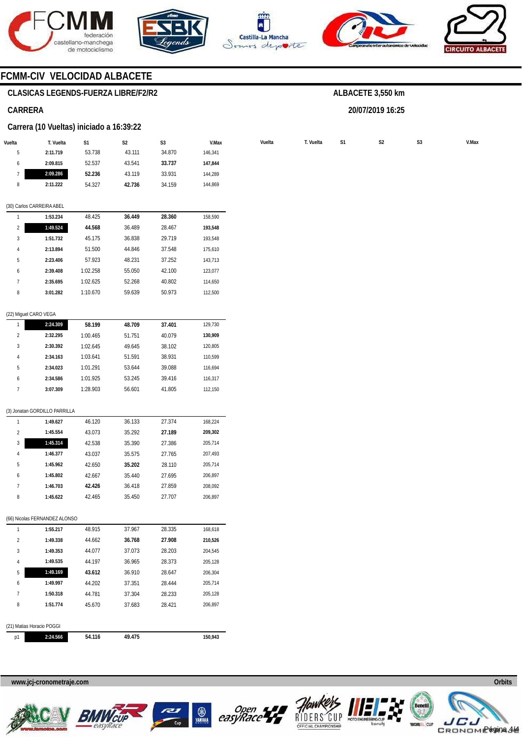







**20/07/2019 16:25** 



## **FCMM-CIV VELOCIDAD ALBACETE**

### **CLASICAS LEGENDS-FUERZA LIBRE/F2/R2**

#### **CARRERA**

#### **Carrera (10 Vueltas) iniciado a 16:39:22**

|                | <b>Darrord</b> (10 vachas) imclude a 10.97.22 |                |                |        |         |        |           |                |                |                |
|----------------|-----------------------------------------------|----------------|----------------|--------|---------|--------|-----------|----------------|----------------|----------------|
| Vuelta         | T. Vuelta                                     | S <sub>1</sub> | S <sub>2</sub> | S3     | V.Max   | Vuelta | T. Vuelta | S <sub>1</sub> | S <sub>2</sub> | S <sub>3</sub> |
| 5              | 2:11.719                                      | 53.738         | 43.111         | 34.870 | 146,341 |        |           |                |                |                |
| 6              | 2:09.815                                      | 52.537         | 43.541         | 33.737 | 147,844 |        |           |                |                |                |
| 7              | 2:09.286                                      | 52.236         | 43.119         | 33.931 | 144,289 |        |           |                |                |                |
| 8              | 2:11.222                                      | 54.327         | 42.736         | 34.159 | 144,869 |        |           |                |                |                |
|                |                                               |                |                |        |         |        |           |                |                |                |
|                | (30) Carlos CARREIRA ABEL                     |                |                |        |         |        |           |                |                |                |
|                | 1:53.234                                      | 48.425         | 36.449         | 28.360 | 158,590 |        |           |                |                |                |
| $\overline{2}$ | 1:49.524                                      | 44.568         | 36.489         | 28.467 | 193,548 |        |           |                |                |                |
| 3              | 1:51.732                                      | 45.175         | 36.838         | 29.719 | 193,548 |        |           |                |                |                |
| $\overline{4}$ | 2:13.894                                      | 51.500         | 44.846         | 37.548 | 175,610 |        |           |                |                |                |
| 5              | 2:23.406                                      | 57.923         | 48.231         | 37.252 | 143,713 |        |           |                |                |                |
|                |                                               |                |                |        |         |        |           |                |                |                |

| h | 2:39.408 | 1:02.258 | 55.050 | 42.100 | 123,077 |
|---|----------|----------|--------|--------|---------|
|   | 2:35.695 | 1:02.625 | 52.268 | 40.802 | 114,650 |
| 8 | 3:01.282 | 1:10.670 | 59.639 | 50.973 | 112,500 |
|   |          |          |        |        |         |

#### (22) Miguel CARO VEGA

|   | 2:24.309 | 58.199   | 48.709 | 37.401 | 129.730 |
|---|----------|----------|--------|--------|---------|
| 2 | 2:32.295 | 1:00.465 | 51.751 | 40.079 | 130.909 |
| 3 | 2:30.392 | 1:02.645 | 49.645 | 38.102 | 120.805 |
| 4 | 2:34.163 | 1:03.641 | 51.591 | 38.931 | 110.599 |
| 5 | 2:34.023 | 1:01.291 | 53.644 | 39.088 | 116.694 |
| 6 | 2:34.586 | 1:01.925 | 53.245 | 39.416 | 116.317 |
|   | 3:07.309 | 1:28.903 | 56.601 | 41.805 | 112.150 |

#### (3) Jonatan GORDILLO PARRILLA

|                | 1:49.627 | 46.120 | 36.133 | 27.374 | 168.224 |
|----------------|----------|--------|--------|--------|---------|
| $\overline{2}$ | 1:45.554 | 43.073 | 35.292 | 27.189 | 209,302 |
| 3              | 1:45.314 | 42.538 | 35.390 | 27.386 | 205.714 |
| 4              | 1:46.377 | 43.037 | 35.575 | 27.765 | 207.493 |
| 5              | 1:45.962 | 42.650 | 35.202 | 28.110 | 205,714 |
| 6              | 1:45.802 | 42.667 | 35.440 | 27.695 | 206.897 |
|                | 1:46.703 | 42.426 | 36.418 | 27.859 | 208.092 |
| 8              | 1:45.622 | 42.465 | 35.450 | 27.707 | 206.897 |

#### (66) Nicolas FERNANDEZ ALONSO

| (21) Matias Horacio POGGI |          |        |        |        |         |  |  |  |  |  |
|---------------------------|----------|--------|--------|--------|---------|--|--|--|--|--|
| 8                         | 1:51.774 | 45.670 | 37.683 | 28.421 | 206.897 |  |  |  |  |  |
| 7                         | 1:50.318 | 44.781 | 37.304 | 28.233 | 205,128 |  |  |  |  |  |
| 6                         | 1:49.997 | 44.202 | 37.351 | 28.444 | 205.714 |  |  |  |  |  |
| 5                         | 1:49.169 | 43.612 | 36.910 | 28.647 | 206.304 |  |  |  |  |  |
| 4                         | 1:49.535 | 44.197 | 36.965 | 28.373 | 205,128 |  |  |  |  |  |
| 3                         | 1:49.353 | 44.077 | 37.073 | 28.203 | 204,545 |  |  |  |  |  |
| $\overline{2}$            | 1:49.338 | 44.662 | 36.768 | 27.908 | 210.526 |  |  |  |  |  |
| 1                         | 1:55.217 | 48.915 | 37.967 | 28.335 | 168.618 |  |  |  |  |  |

#### **www.jcj-cronometraje.com Orbits**











Página 4/4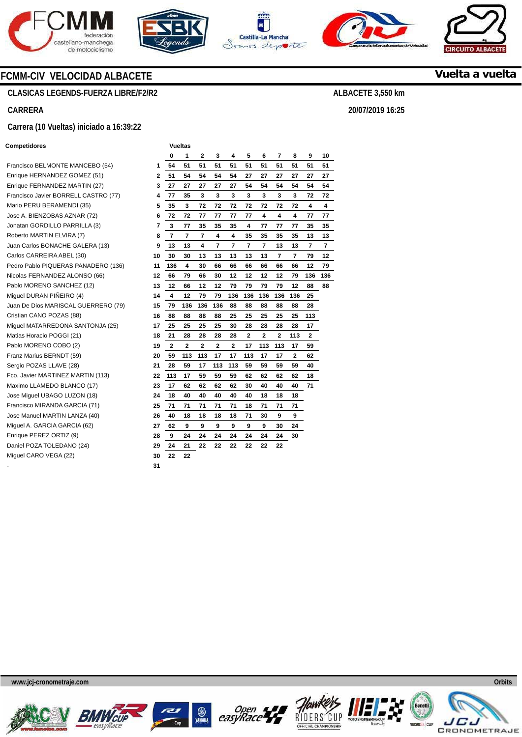







**20/07/2019 16:25** 



**Vuelta a vuelta**

## **FCMM-CIV VELOCIDAD ALBACETE**

### **CLASICAS LEGENDS-FUERZA LIBRE/F2/R2**

### **CARRERA**

#### **Carrera (10 Vueltas) iniciado a 16:39:22**

#### **Competidores**

| Francisco BELMONTE MANCEBO (54)      | 1  |
|--------------------------------------|----|
| Enrique HERNANDEZ GOMEZ (51)         | 2  |
| Enrique FERNANDEZ MARTIN (27)        | 3  |
| Francisco Javier BORRELL CASTRO (77) | 4  |
| Mario PERU BERAMENDI (35)            | 5  |
| Jose A. BIENZOBAS AZNAR (72)         | 6  |
| Jonatan GORDILLO PARRILLA (3)        | 7  |
| Roberto MARTIN ELVIRA (7)            | 8  |
| Juan Carlos BONACHE GALERA (13)      | 9  |
| Carlos CARREIRA ABEL (30)            | 10 |
| Pedro Pablo PIQUERAS PANADERO (136)  | 11 |
| Nicolas FERNANDEZ ALONSO (66)        | 12 |
| Pablo MORENO SANCHEZ (12)            | 13 |
| Miquel DURAN PIÑEIRO (4)             | 14 |
| Juan De Dios MARISCAL GUERRERO (79)  | 15 |
| Cristian CANO POZAS (88)             | 16 |
| Miquel MATARREDONA SANTONJA (25)     | 17 |
| Matias Horacio POGGI (21)            | 18 |
| Pablo MORENO COBO (2)                | 19 |
| Franz Marius BERNDT (59)             | 20 |
| Sergio POZAS LLAVE (28)              | 21 |
| Fco. Javier MARTINEZ MARTIN (113)    | 22 |
| Maximo LLAMEDO BLANCO (17)           | 23 |
| Jose Miguel UBAGO LUZON (18)         | 24 |
| Francisco MIRANDA GARCIA (71)        | 25 |
| Jose Manuel MARTIN LANZA (40)        | 26 |
| Miquel A. GARCIA GARCIA (62)         | 27 |
| Enrique PEREZ ORTIZ (9)              | 28 |
| Daniel POZA TOLEDANO (24)            | 29 |
| Miguel CARO VEGA (22)                | 30 |
|                                      |    |

- **31** 

|    |                | vuenas         |                |                |                |     |             |     |     |     |     |
|----|----------------|----------------|----------------|----------------|----------------|-----|-------------|-----|-----|-----|-----|
|    | 0              | 1              | 2              | 3              | 4              | 5   | 6           | 7   | 8   | 9   | 10  |
| 1  | 54             | 51             | 51             | 51             | 51             | 51  | 51          | 51  | 51  | 51  | 51  |
| 2  | 51             | 54             | 54             | 54             | 54             | 27  | 27          | 27  | 27  | 27  | 27  |
| 3  | 27             | 27             | 27             | 27             | 27             | 54  | 54          | 54  | 54  | 54  | 54  |
| 4  | 77             | 35             | 3              | 3              | 3              | 3   | 3           | 3   | 3   | 72  | 72  |
| 5  | 35             | 3              | 72             | 72             | 72             | 72  | 72          | 72  | 72  | 4   | 4   |
| 6  | 72             | 72             | 77             | 77             | 77             | 77  | 4<br>4<br>4 |     | 77  | 77  |     |
| 7  | 3              | 77             | 35             | 35             | 35             | 4   | 77          | 77  | 77  | 35  | 35  |
| 8  | 7              | 7              | 7              | 4              | 4              | 35  | 35          | 35  | 35  | 13  | 13  |
| 9  | 13             | 13             | 4              | 7              | 7              | 7   | 7           | 13  | 13  | 7   | 7   |
| 10 | 30             | 30             | 13             | 13             | 13             | 13  | 13          | 7   | 7   | 79  | 12  |
| 11 | 136            | 4              | 30             | 66             | 66             | 66  | 66          | 66  | 66  | 12  | 79  |
| 12 | 66             | 79             | 66             | 30             | 12             | 12  | 12          | 12  | 79  | 136 | 136 |
| 13 | 12             | 66             | 12             | 12             | 79             | 79  | 79          | 79  | 12  | 88  | 88  |
| 14 | 4              | 12             | 79             | 79             | 136            | 136 | 136         | 136 | 136 | 25  |     |
| 15 | 79             | 136            | 136            | 136            | 88             | 88  | 88          | 88  | 88  | 28  |     |
| 16 | 88             | 88             | 88             | 88             | 25             | 25  | 25          | 25  | 25  | 113 |     |
| 17 | 25             | 25             | 25             | 25             | 30             | 28  | 28          | 28  | 28  | 17  |     |
| 18 | 21             | 28             | 28             | 28             | 28             | 2   | 2           | 2   | 113 | 2   |     |
| 19 | $\overline{2}$ | $\overline{2}$ | $\overline{2}$ | $\overline{2}$ | $\overline{2}$ | 17  | 113         | 113 | 17  | 59  |     |
| 20 | 59             | 113            | 113            | 17             | 17             | 113 | 17          | 17  | 2   | 62  |     |
| 21 | 28             | 59             | 17             | 113            | 113            | 59  | 59          | 59  | 59  | 40  |     |
| 22 | 113            | 17             | 59             | 59             | 59             | 62  | 62          | 62  | 62  | 18  |     |
| 23 | 17             | 62             | 62             | 62             | 62             | 30  | 40          | 40  | 40  | 71  |     |
| 24 | 18             | 40             | 40             | 40             | 40             | 40  | 18          | 18  | 18  |     |     |
| 25 | 71             | 71             | 71             | 71             | 71             | 18  | 71          | 71  | 71  |     |     |
| 26 | 40             | 18             | 18             | 18             | 18             | 71  | 30          | 9   | 9   |     |     |
| 27 | 62             | 9              | 9              | 9              | 9              | 9   | 9           | 30  | 24  |     |     |
| 28 | 9              | 24             | 24             | 24             | 24             | 24  | 24          | 24  | 30  |     |     |
| 29 | 24             | 21             | 22             | 22             | 22             | 22  | 22          | 22  |     |     |     |
| 30 | 22             | 22             |                |                |                |     |             |     |     |     |     |











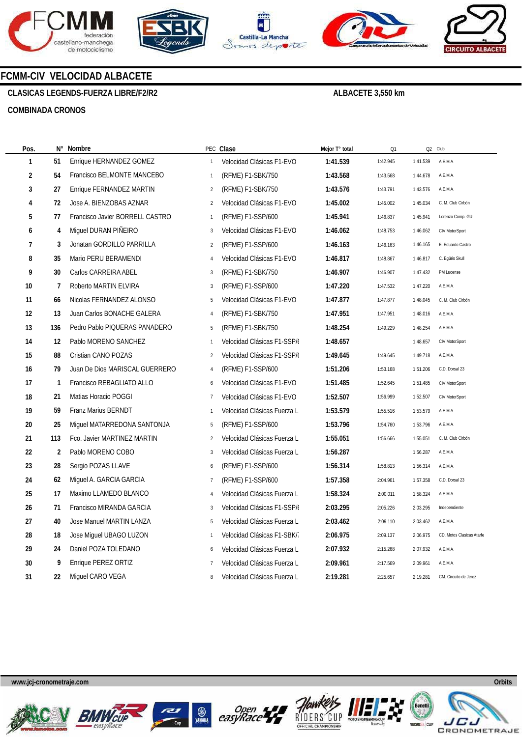









### **FCMM-CIV VELOCIDAD ALBACETE**

**CLASICAS LEGENDS-FUERZA LIBRE/F2/R2** 

### **ALBACETE 3,550 km**

#### **COMBINADA CRONOS**

| Pos.           |     | N° Nombre                       |                | PEC Clase                   | Mejor T° total | Q1       |          | Q2 Club                   |
|----------------|-----|---------------------------------|----------------|-----------------------------|----------------|----------|----------|---------------------------|
| 1              | 51  | Enrique HERNANDEZ GOMEZ         | $\mathbf{1}$   | Velocidad Clásicas F1-EVO   | 1:41.539       | 1:42.945 | 1:41.539 | A.E.M.A.                  |
| 2              | 54  | Francisco BELMONTE MANCEBO      | $\mathbf{1}$   | (RFME) F1-SBK/750           | 1:43.568       | 1:43.568 | 1:44.678 | A.E.M.A.                  |
| 3              | 27  | Enrique FERNANDEZ MARTIN        | $\overline{2}$ | (RFME) F1-SBK/750           | 1:43.576       | 1:43.791 | 1:43.576 | A.E.M.A.                  |
| 4              | 72  | Jose A. BIENZOBAS AZNAR         | $\overline{2}$ | Velocidad Clásicas F1-EVO   | 1:45.002       | 1:45.002 | 1:45.034 | C. M. Club Cirbón         |
| 5              | 77  | Francisco Javier BORRELL CASTRO | $\mathbf{1}$   | (RFME) F1-SSP/600           | 1:45.941       | 1:46.837 | 1:45.941 | Lorenzo Comp. GU          |
| 6              | 4   | Miquel DURAN PIÑEIRO            | $\overline{3}$ | Velocidad Clásicas F1-EVO   | 1:46.062       | 1:48.753 | 1:46.062 | CIV MotorSport            |
| $\overline{1}$ | 3   | Jonatan GORDILLO PARRILLA       | $\overline{2}$ | (RFME) F1-SSP/600           | 1:46.163       | 1:46.163 | 1:46.165 | E. Eduardo Castro         |
| 8              | 35  | Mario PERU BERAMENDI            | $\overline{4}$ | Velocidad Clásicas F1-EVO   | 1:46.817       | 1:48.867 | 1:46.817 | C. Egüés Skull            |
| 9              | 30  | Carlos CARREIRA ABEL            | $\mathbf{3}$   | (RFME) F1-SBK/750           | 1:46.907       | 1:46.907 | 1:47.432 | PM Lucense                |
| 10             | 7   | Roberto MARTIN ELVIRA           | 3              | (RFME) F1-SSP/600           | 1:47.220       | 1:47.532 | 1:47.220 | A.E.M.A.                  |
| 11             | 66  | Nicolas FERNANDEZ ALONSO        | 5              | Velocidad Clásicas F1-EVO   | 1:47.877       | 1:47.877 | 1:48.045 | C. M. Club Cirbón         |
| 12             | 13  | Juan Carlos BONACHE GALERA      | $\overline{4}$ | (RFME) F1-SBK/750           | 1:47.951       | 1:47.951 | 1:48.016 | A.E.M.A.                  |
| 13             | 136 | Pedro Pablo PIQUERAS PANADERO   | 5              | (RFME) F1-SBK/750           | 1:48.254       | 1:49.229 | 1:48.254 | A.E.M.A.                  |
| 14             | 12  | Pablo MORENO SANCHEZ            | $\mathbf{1}$   | Velocidad Clásicas F1-SSP/  | 1:48.657       |          | 1:48.657 | CIV MotorSport            |
| 15             | 88  | Cristian CANO POZAS             | $\overline{2}$ | Velocidad Clásicas F1-SSP/t | 1:49.645       | 1:49.645 | 1:49.718 | A.E.M.A.                  |
| 16             | 79  | Juan De Dios MARISCAL GUERRERO  | $\overline{4}$ | (RFME) F1-SSP/600           | 1:51.206       | 1:53.168 | 1:51.206 | C.D. Dorsal 23            |
| 17             | 1   | Francisco REBAGLIATO ALLO       | 6              | Velocidad Clásicas F1-EVO   | 1:51.485       | 1:52.645 | 1:51.485 | CIV MotorSport            |
| 18             | 21  | Matias Horacio POGGI            | $\overline{7}$ | Velocidad Clásicas F1-EVO   | 1:52.507       | 1:56.999 | 1:52.507 | CIV MotorSport            |
| 19             | 59  | Franz Marius BERNDT             | $\mathbf{1}$   | Velocidad Clásicas Fuerza L | 1:53.579       | 1:55.516 | 1:53.579 | A.E.M.A.                  |
| 20             | 25  | Miguel MATARREDONA SANTONJA     | 5              | (RFME) F1-SSP/600           | 1:53.796       | 1:54.760 | 1:53.796 | A.E.M.A.                  |
| 21             | 113 | Fco. Javier MARTINEZ MARTIN     | $\overline{2}$ | Velocidad Clásicas Fuerza L | 1:55.051       | 1:56.666 | 1:55.051 | C. M. Club Cirbón         |
| 22             | 2   | Pablo MORENO COBO               | 3              | Velocidad Clásicas Fuerza L | 1:56.287       |          | 1:56.287 | A.E.M.A.                  |
| 23             | 28  | Sergio POZAS LLAVE              | 6              | (RFME) F1-SSP/600           | 1:56.314       | 1:58.813 | 1:56.314 | A.E.M.A.                  |
| 24             | 62  | Miguel A. GARCIA GARCIA         | $\overline{7}$ | (RFME) F1-SSP/600           | 1:57.358       | 2:04.961 | 1:57.358 | C.D. Dorsal 23            |
| 25             | 17  | Maximo LLAMEDO BLANCO           | $\overline{4}$ | Velocidad Clásicas Fuerza L | 1:58.324       | 2:00.011 | 1:58.324 | A.E.M.A.                  |
| 26             | 71  | Francisco MIRANDA GARCIA        | $\overline{3}$ | Velocidad Clásicas F1-SSP/  | 2:03.295       | 2:05.226 | 2:03.295 | Independiente             |
| 27             | 40  | Jose Manuel MARTIN LANZA        | 5              | Velocidad Clásicas Fuerza L | 2:03.462       | 2:09.110 | 2:03.462 | A.E.M.A.                  |
| 28             | 18  | Jose Miguel UBAGO LUZON         | $\mathbf{1}$   | Velocidad Clásicas F1-SBK/  | 2:06.975       | 2:09.137 | 2:06.975 | CD. Motos Clasicas Atarfe |
| 29             | 24  | Daniel POZA TOLEDANO            | 6              | Velocidad Clásicas Fuerza L | 2:07.932       | 2:15.268 | 2:07.932 | A.E.M.A.                  |
| 30             | 9   | Enrique PEREZ ORTIZ             | $\overline{7}$ | Velocidad Clásicas Fuerza L | 2:09.961       | 2:17.569 | 2:09.961 | A.E.M.A.                  |
| 31             | 22  | Miquel CARO VEGA                | 8              | Velocidad Clásicas Fuerza L | 2:19.281       | 2:25.657 | 2:19.281 | CM. Circuito de Jerez     |











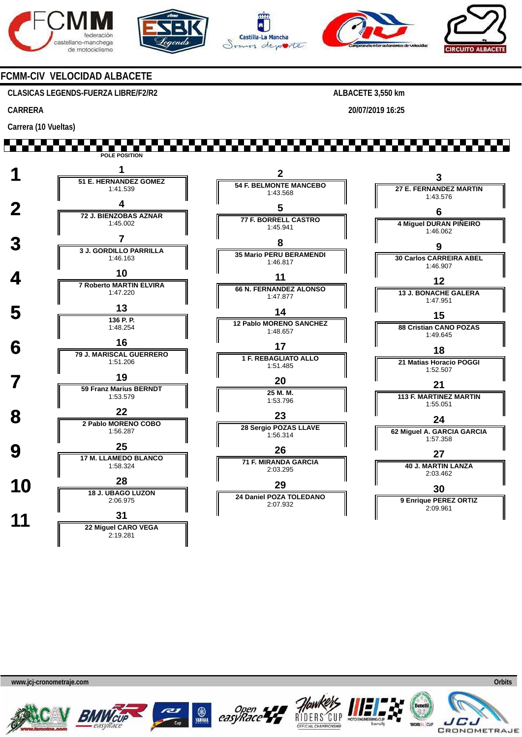









### **FCMM-CIV VELOCIDAD ALBACETE**

**CLASICAS LEGENDS-FUERZA LIBRE/F2/R2** 

### **CARRERA**

**ALBACETE 3,550 km** 

**20/07/2019 16:25** 

#### **Carrera (10 Vueltas)**  \*\*\*\*\*\*\*\*\*\* **POLE POSITION 1 <sup>1</sup> 51 E. HERNANDEZ GOMEZ 2 3 54 F. BELMONTE MANCEBO 27 E. FERNANDEZ MARTIN** 1:41.539 1:43.568 1:43.576 **2 1 72 J. BIENZOBAS AZNAR 5 6 77 F. BORRELL CASTRO** 1:45.002 **4 Miguel DURAN PIÑEIRO** 1:45.941 1:46.062  **3 <sup>7</sup> 3 J. GORDILLO PARRILLA 8 9 35 Mario PERU BERAMENDI 30 Carlos CARREIRA ABEL** 1:46.163 1:46.817 1:46.907 **4 10**<br> **10**<br> **7 Roberto MARTIN ELVIRA 11 12 66 N. FERNANDEZ ALONSO** 1:47.220 **13 J. BONACHE GALERA** 1:47.877 1:47.951  $\frac{13}{136 P}$ **14 15 136 P. P. 12 Pablo MORENO SANCHEZ** 1:48.254 **88 Cristian CANO POZAS** 1:48.657 1:49.645  **6 <sup>16</sup> 79 J. MARISCAL GUERRERO 17 18 1 F. REBAGLIATO ALLO** 1:51.206 **21 Matias Horacio POGGI** 1:51.485 1:52.507  **7 <sup>19</sup> 59 Franz Marius BERNDT 20 21 25 M. M. 113 F. MARTINEZ MARTIN** 1:53.579 1:53.796 1:55.051  **8 <sup>22</sup> 2 Pablo MORENO COBO 23 24 28 Sergio POZAS LLAVE 62 Miguel A. GARCIA GARCIA** 1:56.287 1:56.314 1:57.358 **9 17 M. LLAMEDO BLANCO 26 27 71 F. MIRANDA GARCIA 40 J. MARTIN LANZA** 1:58.324 2:03.295 2:03.462 **10 18 J. UBAGO LUZON 29**

**24 Daniel POZA TOLEDANO** 2:07.932

**30**

**9 Enrique PEREZ ORTIZ** 2:09.961

**www.jcj-cronometraje.com Orbits** 



2:06.975

2:19.281

 **11 <sup>31</sup> 22 Miguel CARO VEGA**





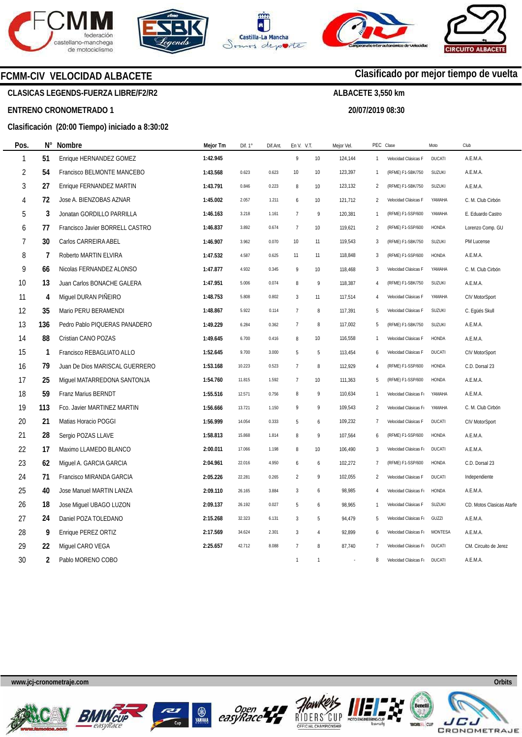







**20/07/2019 08:30** 

**Clasificado por mejor tiempo de vuelta**

### **FCMM-CIV VELOCIDAD ALBACETE**

**CLASICAS LEGENDS-FUERZA LIBRE/F2/R2** 

#### **ENTRENO CRONOMETRADO 1**

### **Clasificación (20:00 Tiempo) iniciado a 8:30:02**

| Pos.           | N°  | Nombre                          | Mejor Tm | Dif. 1° | Dif.Ant | En V. V.T.                        |                | Mejor Vel. | PEC Clase      |                       | Moto           | Club                      |
|----------------|-----|---------------------------------|----------|---------|---------|-----------------------------------|----------------|------------|----------------|-----------------------|----------------|---------------------------|
| 1              | 51  | Enrique HERNANDEZ GOMEZ         | 1:42.945 |         |         | $\mathsf{g}% _{T}=\mathsf{g}_{T}$ | 10             | 124,144    | $\mathbf{1}$   | Velocidad Clásicas F  | DUCATI         | A.E.M.A.                  |
| $\overline{2}$ | 54  | Francisco BELMONTE MANCEBO      | 1:43.568 | 0.623   | 0.623   | 10                                | 10             | 123,397    | $\mathbf{1}$   | (RFME) F1-SBK/750     | SUZUKI         | A.E.M.A.                  |
| $\sqrt{3}$     | 27  | Enrique FERNANDEZ MARTIN        | 1:43.791 | 0.846   | 0.223   | $\, 8$                            | 10             | 123,132    | 2              | (RFME) F1-SBK/750     | SUZUKI         | A.E.M.A.                  |
| 4              | 72  | Jose A. BIENZOBAS AZNAR         | 1:45.002 | 2.057   | 1.211   | 6                                 | 10             | 121,712    | 2              | Velocidad Clásicas F  | YAMAHA         | C. M. Club Cirbón         |
| 5              | 3   | Jonatan GORDILLO PARRILLA       | 1:46.163 | 3.218   | 1.161   | $\overline{7}$                    | 9              | 120,381    | $\overline{1}$ | (RFME) F1-SSP/600     | YAMAHA         | E. Eduardo Castro         |
| 6              | 77  | Francisco Javier BORRELL CASTRO | 1:46.837 | 3.892   | 0.674   | $\overline{7}$                    | 10             | 119,621    | 2              | (RFME) F1-SSP/600     | HONDA          | Lorenzo Comp. GU          |
| 7              | 30  | Carlos CARREIRA ABEL            | 1:46.907 | 3.962   | 0.070   | 10                                | 11             | 119,543    | 3              | (RFME) F1-SBK/750     | SUZUKI         | PM Lucense                |
| 8              | 7   | Roberto MARTIN ELVIRA           | 1:47.532 | 4.587   | 0.625   | 11                                | 11             | 118,848    | 3              | (RFME) F1-SSP/600     | HONDA          | A.E.M.A.                  |
| 9              | 66  | Nicolas FERNANDEZ ALONSO        | 1:47.877 | 4.932   | 0.345   | 9                                 | 10             | 118,468    | 3              | Velocidad Clásicas F  | YAMAHA         | C. M. Club Cirbón         |
| 10             | 13  | Juan Carlos BONACHE GALERA      | 1:47.951 | 5.006   | 0.074   | 8                                 | 9              | 118,387    | $\overline{4}$ | (RFME) F1-SBK/750     | SUZUKI         | A.E.M.A.                  |
| 11             | 4   | Miguel DURAN PIÑEIRO            | 1:48.753 | 5.808   | 0.802   | $\mathbf{3}$                      | 11             | 117,514    | 4              | Velocidad Clásicas F  | YAMAHA         | CIV MotorSport            |
| 12             | 35  | Mario PERU BERAMENDI            | 1:48.867 | 5.922   | 0.114   | $\overline{7}$                    | 8              | 117,391    | 5              | Velocidad Clásicas F  | SUZUKI         | C. Egüés Skull            |
| 13             | 136 | Pedro Pablo PIQUERAS PANADERO   | 1:49.229 | 6.284   | 0.362   | $\overline{7}$                    | 8              | 117,002    | 5              | (RFME) F1-SBK/750     | SUZUKI         | A.E.M.A.                  |
| 14             | 88  | Cristian CANO POZAS             | 1:49.645 | 6.700   | 0.416   | 8                                 | 10             | 116,558    | $\overline{1}$ | Velocidad Clásicas F  | HONDA          | A.E.M.A.                  |
| 15             | -1  | Francisco REBAGLIATO ALLO       | 1:52.645 | 9.700   | 3.000   | 5                                 | 5              | 113,454    | 6              | Velocidad Clásicas F  | <b>DUCATI</b>  | CIV MotorSport            |
| 16             | 79  | Juan De Dios MARISCAL GUERRERO  | 1:53.168 | 10.223  | 0.523   | $\overline{7}$                    | 8              | 112,929    | $\overline{4}$ | (RFME) F1-SSP/600     | <b>HONDA</b>   | C.D. Dorsal 23            |
| 17             | 25  | Miguel MATARREDONA SANTONJA     | 1:54.760 | 11.815  | 1.592   | $\overline{7}$                    | 10             | 111,363    | 5              | (RFME) F1-SSP/600     | HONDA          | A.E.M.A.                  |
| 18             | 59  | Franz Marius BERNDT             | 1:55.516 | 12.571  | 0.756   | 8                                 | 9              | 110,634    | 1              | Velocidad Clásicas F  | YAMAHA         | A.E.M.A.                  |
| 19             | 113 | Fco. Javier MARTINEZ MARTIN     | 1:56.666 | 13.721  | 1.150   | 9                                 | 9              | 109,543    | $\overline{2}$ | Velocidad Clásicas F  | YAMAHA         | C. M. Club Cirbón         |
| 20             | 21  | Matias Horacio POGGI            | 1:56.999 | 14.054  | 0.333   | 5                                 | 6              | 109,232    | 7              | Velocidad Clásicas F  | DUCATI         | CIV MotorSport            |
| 21             | 28  | Sergio POZAS LLAVE              | 1:58.813 | 15.868  | 1.814   | 8                                 | 9              | 107,564    | 6              | (RFME) F1-SSP/600     | <b>HONDA</b>   | A.E.M.A.                  |
| 22             | 17  | Maximo LLAMEDO BLANCO           | 2:00.011 | 17.066  | 1.198   | 8                                 | 10             | 106,490    | 3              | Velocidad Clásicas F  | <b>DUCATI</b>  | A.E.M.A.                  |
| 23             | 62  | Miguel A. GARCIA GARCIA         | 2:04.961 | 22.016  | 4.950   | 6                                 | 6              | 102,272    | $\overline{7}$ | (RFME) F1-SSP/600     | HONDA          | C.D. Dorsal 23            |
| 24             | 71  | Francisco MIRANDA GARCIA        | 2:05.226 | 22.281  | 0.265   | $\overline{2}$                    | $\,9$          | 102,055    | $\overline{2}$ | Velocidad Clásicas F  | <b>DUCATI</b>  | Independiente             |
| 25             | 40  | Jose Manuel MARTIN LANZA        | 2:09.110 | 26.165  | 3.884   | $\mathbf{3}$                      | 6              | 98,985     | $\overline{4}$ | Velocidad Clásicas F  | HONDA          | A.E.M.A.                  |
| 26             | 18  | Jose Miguel UBAGO LUZON         | 2:09.137 | 26.192  | 0.027   | 5                                 | 6              | 98,965     | $\mathbf{1}$   | Velocidad Clásicas F  | SUZUKI         | CD. Motos Clasicas Atarfe |
| 27             | 24  | Daniel POZA TOLEDANO            | 2:15.268 | 32.323  | 6.131   | 3                                 | 5              | 94,479     | 5              | Velocidad Clásicas F  | GUZZI          | A.E.M.A.                  |
| 28             | 9   | Enrique PEREZ ORTIZ             | 2:17.569 | 34.624  | 2.301   | $\mathbf{3}$                      | $\overline{4}$ | 92,899     | 6              | Velocidad Clásicas F  | <b>MONTESA</b> | A.E.M.A.                  |
| 29             | 22  | Miquel CARO VEGA                | 2:25.657 | 42.712  | 8.088   | $\overline{7}$                    | 8              | 87,740     | $\overline{7}$ | Velocidad Clásicas Fr | <b>DUCATI</b>  | CM. Circuito de Jerez     |
| 30             | 2   | Pablo MORENO COBO               |          |         |         | $\overline{1}$                    | $\mathbf{1}$   |            | 8              | Velocidad Clásicas F  | <b>DUCATI</b>  | A.E.M.A.                  |

**www.jcj-cronometraje.com Orbits** 













 $\overline{1}$ F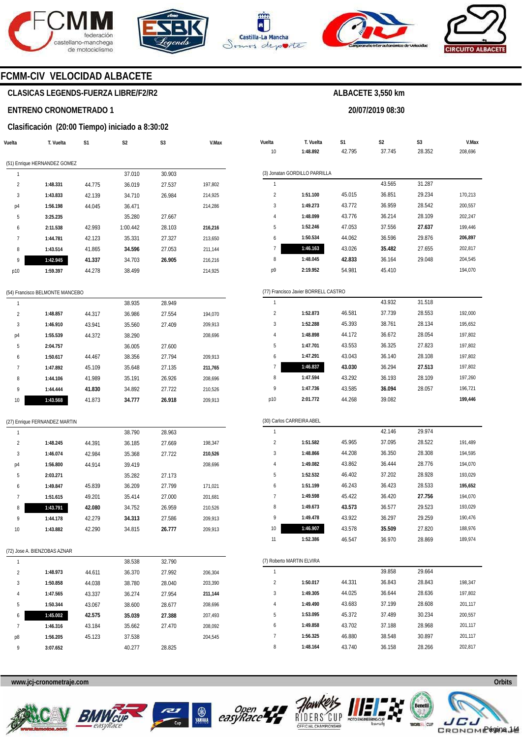







**20/07/2019 08:30** 

**ALBACETE 3,550 km** 



**V.Max** 

# **FCMM-CIV VELOCIDAD ALBACETE**

# **CLASICAS LEGENDS-FUERZA LIBRE/F2/R2**

### **ENTRENO CRONOMETRADO 1**

### **Clasificación (20:00 Tiempo) iniciado a 8:30:02**

| Vuelta         | T. Vuelta                       | S1     | S2       | S3     | V.Max   | Vuelta         | T. Vuelta                            | S1     | S <sub>2</sub> | S <sub>3</sub> | V.Max   |
|----------------|---------------------------------|--------|----------|--------|---------|----------------|--------------------------------------|--------|----------------|----------------|---------|
|                |                                 |        |          |        |         | 10             | 1:48.892                             | 42.795 | 37.745         | 28.352         | 208,696 |
|                | (51) Enrique HERNANDEZ GOMEZ    |        |          |        |         |                |                                      |        |                |                |         |
| $\mathbf{1}$   |                                 |        | 37.010   | 30.903 |         | $\mathbf{1}$   | (3) Jonatan GORDILLO PARRILLA        |        | 43.565         | 31.287         |         |
| $\overline{2}$ | 1:48.331                        | 44.775 | 36.019   | 27.537 | 197,802 | $\sqrt{2}$     |                                      |        |                |                |         |
| 3              | 1:43.833                        | 42.139 | 34.710   | 26.984 | 214,925 |                | 1:51.100                             | 45.015 | 36.851         | 29.234         | 170,213 |
| p4             | 1:56.198                        | 44.045 | 36.471   |        | 214,286 | 3              | 1:49.273                             | 43.772 | 36.959         | 28.542         | 200,557 |
| 5              | 3:25.235                        |        | 35.280   | 27.667 |         |                | 1:48.099                             | 43.776 | 36.214         | 28.109         | 202,247 |
| 6              | 2:11.538                        | 42.993 | 1:00.442 | 28.103 | 216,216 | 5              | 1:52.246                             | 47.053 | 37.556         | 27.637         | 199,446 |
| $\overline{7}$ | 1:44.781                        | 42.123 | 35.331   | 27.327 | 213,650 | 6              | 1:50.534                             | 44.062 | 36.596         | 29.876         | 206,897 |
| 8              | 1:43.514                        | 41.865 | 34.596   | 27.053 | 211,144 | $\overline{7}$ | 1:46.163                             | 43.026 | 35.482         | 27.655         | 202,817 |
| 9              | 1:42.945                        | 41.337 | 34.703   | 26.905 | 216,216 | 8              | 1:48.045                             | 42.833 | 36.164         | 29.048         | 204,545 |
| p10            | 1:59.397                        | 44.278 | 38.499   |        | 214,925 | p9             | 2:19.952                             | 54.981 | 45.410         |                | 194,070 |
|                | (54) Francisco BELMONTE MANCEBO |        |          |        |         |                | (77) Francisco Javier BORRELL CASTRO |        |                |                |         |
| $\mathbf{1}$   |                                 |        | 38.935   | 28.949 |         | $\mathbf{1}$   |                                      |        | 43.932         | 31.518         |         |
| $\overline{2}$ | 1:48.857                        | 44.317 | 36.986   | 27.554 | 194,070 | $\overline{2}$ | 1:52.873                             | 46.581 | 37.739         | 28.553         | 192,000 |
| 3              | 1:46.910                        | 43.941 | 35.560   | 27.409 | 209,913 | 3              | 1:52.288                             | 45.393 | 38.761         | 28.134         | 195,652 |
| p4             | 1:55.539                        | 44.372 | 38.290   |        | 208,696 | $\overline{4}$ | 1:48.898                             | 44.172 | 36.672         | 28.054         | 197,802 |
| 5              | 2:04.757                        |        | 36.005   | 27.600 |         | 5              | 1:47.701                             | 43.553 | 36.325         | 27.823         | 197,802 |
| 6              | 1:50.617                        | 44.467 | 38.356   | 27.794 | 209,913 | 6              | 1:47.291                             | 43.043 | 36.140         | 28.108         | 197,802 |
| 7              | 1:47.892                        | 45.109 | 35.648   | 27.135 | 211,765 | 7              | 1:46.837                             | 43.030 | 36.294         | 27.513         | 197,802 |
| 8              | 1:44.106                        | 41.989 | 35.191   | 26.926 | 208,696 | 8              | 1:47.594                             | 43.292 | 36.193         | 28.109         | 197,260 |
| 9              |                                 |        |          |        |         | 9              | 1:47.736                             | 43.585 | 36.094         | 28.057         | 196,721 |
|                | 1:44.444                        | 41.830 | 34.892   | 27.722 | 210,526 |                |                                      | 44.268 | 39.082         |                | 199,446 |
| 10             | 1:43.568                        | 41.873 | 34.777   | 26.918 | 209,913 | p10            | 2:01.772                             |        |                |                |         |
|                | (27) Enrique FERNANDEZ MARTIN   |        |          |        |         |                | (30) Carlos CARREIRA ABEL            |        |                |                |         |
| $\mathbf{1}$   |                                 |        | 38.790   | 28.963 |         | $\mathbf{1}$   |                                      |        | 42.146         | 29.974         |         |
| 2              | 1:48.245                        | 44.391 | 36.185   | 27.669 | 198,347 | $\overline{2}$ | 1:51.582                             | 45.965 | 37.095         | 28.522         | 191,489 |
| 3              | 1:46.074                        | 42.984 | 35.368   | 27.722 | 210,526 | 3              | 1:48.866                             | 44.208 | 36.350         | 28.308         | 194,595 |
| p4             | 1:56.800                        | 44.914 | 39.419   |        | 208,696 | $\overline{4}$ | 1:49.082                             | 43.862 | 36.444         | 28.776         | 194,070 |
| 5              | 2:03.271                        |        | 35.282   | 27.173 |         | 5              | 1:52.532                             | 46.402 | 37.202         | 28.928         | 193,029 |
| 6              | 1:49.847                        | 45.839 | 36.209   | 27.799 | 171,021 | 6              | 1:51.199                             | 46.243 | 36.423         | 28.533         | 195,652 |
| $\overline{7}$ | 1:51.615                        | 49.201 | 35.414   | 27.000 | 201,681 | $\overline{7}$ | 1:49.598                             | 45.422 | 36.420         | 27.756         | 194,070 |
| 8              | 1:43.791                        | 42.080 | 34.752   | 26.959 | 210,526 | 8              | 1:49.673                             | 43.573 | 36.577         | 29.523         | 193,029 |
| 9              | 1:44.178                        | 42.279 | 34.313   | 27.586 | 209,913 | 9              | 1:49.478                             | 43.922 | 36.297         | 29.259         | 190,476 |
| 10             | 1:43.882                        | 42.290 | 34.815   | 26.777 | 209,913 | 10             | 1:46.907                             | 43.578 | 35.509         | 27.820         | 188,976 |
|                |                                 |        |          |        |         | 11             | 1:52.386                             | 46.547 | 36.970         | 28.869         | 189,974 |
|                | (72) Jose A. BIENZOBAS AZNAR    |        |          |        |         |                |                                      |        |                |                |         |
| $\mathbf{1}$   |                                 |        | 38.538   | 32.790 |         |                | (7) Roberto MARTIN ELVIRA            |        |                |                |         |
| $\overline{2}$ | 1:48.973                        | 44.611 | 36.370   | 27.992 | 206,304 | $\mathbf{1}$   |                                      |        | 39.858         | 29.664         |         |
| 3              | 1:50.858                        | 44.038 | 38.780   | 28.040 | 203,390 | $\overline{2}$ | 1:50.017                             | 44.331 | 36.843         | 28.843         | 198,347 |
| 4              | 1:47.565                        | 43.337 | 36.274   | 27.954 | 211,144 | 3              | 1:49.305                             | 44.025 | 36.644         | 28.636         | 197,802 |
| 5              | 1:50.344                        | 43.067 | 38.600   | 28.677 | 208,696 | $\overline{4}$ | 1:49.490                             | 43.683 | 37.199         | 28.608         | 201,117 |
| 6              | 1:45.002                        | 42.575 | 35.039   | 27.388 | 207,493 | 5              | 1:53.095                             | 45.372 | 37.489         | 30.234         | 200,557 |
| $\overline{7}$ | 1:46.316                        | 43.184 | 35.662   | 27.470 | 208,092 | 6              | 1:49.858                             | 43.702 | 37.188         | 28.968         | 201,117 |
| p8             | 1:56.205                        | 45.123 | 37.538   |        | 204,545 | $\overline{1}$ | 1:56.325                             | 46.880 | 38.548         | 30.897         | 201,117 |
| 9              | 3:07.652                        |        | 40.277   | 28.825 |         | 8              | 1:48.164                             | 43.740 | 36.158         | 28.266         | 202,817 |









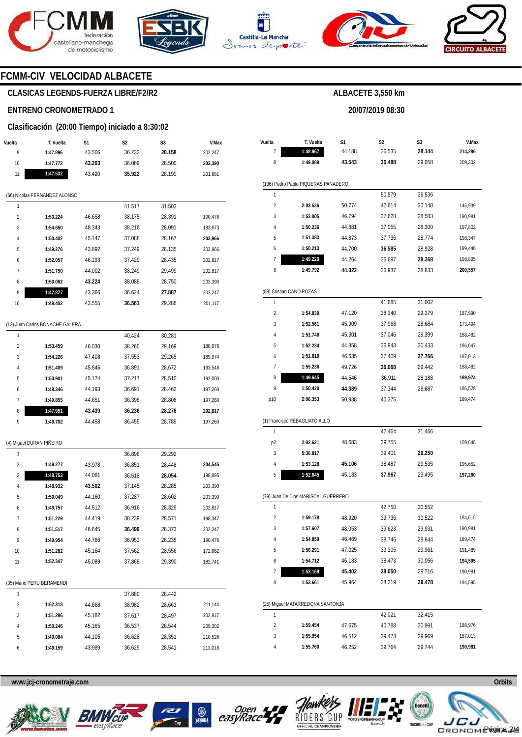







**20/07/2019 08:30** 



# **FCMM-CIV VELOCIDAD ALBACETE**

# **CLASICAS LEGENDS-FUERZA LIBRE/F2/R2**

# **ENTRENO CRONOMETRADO 1**

# **Clasificación (20:00 Tiempo) iniciado a 8:30:02**

| Vuelta | T. Vuelta                       | S1     | S2     | S3     | V.Max   |
|--------|---------------------------------|--------|--------|--------|---------|
| 9      | 1:47.896                        | 43.506 | 36.232 | 28.158 | 202,247 |
| 10     | 1:47.772                        | 43.203 | 36.069 | 28.500 | 203,390 |
| 11     | 1:47.532                        | 43.420 | 35.922 | 28.190 | 201,681 |
|        |                                 |        |        |        |         |
|        | (66) Nicolas FERNANDEZ ALONSO   |        |        |        |         |
| 1      |                                 |        | 41.517 | 31.503 |         |
| 2      | 1:53.224                        | 46.658 | 38.175 | 28.391 | 190,476 |
| 3      | 1:54.650                        | 48.343 | 38.216 | 28.091 | 183,673 |
| 4      | 1:50.402                        | 45.147 | 37.088 | 28.167 | 203,966 |
| 5      | 1:49.276                        | 43.892 | 37.249 | 28.135 | 203,966 |
| 6      | 1:52.057                        | 46.193 | 37.429 | 28.435 | 202,817 |
| 7      | 1:51.750                        | 44.002 | 38.249 | 29.499 | 202,817 |
| 8      | 1:50.062                        | 43.224 | 38.088 | 28.750 | 203,390 |
| 9      | 1:47.877                        | 43.366 | 36.624 | 27.887 | 202,247 |
| 10     | 1:49.402                        | 43.555 | 36.561 | 29.286 | 201,117 |
|        |                                 |        |        |        |         |
|        | (13) Juan Carlos BONACHE GALERA |        |        |        |         |
| 1      |                                 |        | 40.424 | 30.281 |         |
| 2      | 1:53.459                        | 46.030 | 38.260 | 29.169 | 188,976 |
| 3      | 1:54.226                        | 47.408 | 37.553 | 29.265 | 189,974 |
| 4      | 1:51.409                        | 45.846 | 36.891 | 28.672 | 193,548 |
| 5      | 1:50.901                        | 45.174 | 37.217 | 28.510 | 192,000 |
| 6      | 1:49.346                        | 44.193 | 36.691 | 28.462 | 197,260 |
| 7      | 1:49.855                        | 44.651 | 36.396 | 28.808 | 197,260 |
| 8      | 1:47.951                        | 43.439 | 36.236 | 28.276 | 202,817 |
| 9      | 1:49.702                        | 44.458 | 36.455 | 28.789 | 197,260 |
|        |                                 |        |        |        |         |
|        | (4) Miguel DURAN PIÑEIRO        |        |        |        |         |
| 1      |                                 |        | 36.896 | 29.292 |         |
| 2      | 1:49.277                        | 43.978 | 36.851 | 28.448 | 204,545 |
| 3      | 1:48.753                        | 44.081 | 36.618 | 28.054 | 198,895 |
| 4      | 1:48.932                        | 43.502 | 37.145 | 28.285 | 203,390 |
| 5      | 1:50.049                        | 44.160 | 37.287 | 28.602 | 203,390 |
| 6      | 1:49.757                        | 44.512 | 36.916 | 28.329 | 202,817 |
| 7      | 1:51.229                        | 44.419 | 38.239 | 28.571 | 198,347 |
| 8      | 1:51.517                        | 46.645 | 36.499 | 28.373 | 202,247 |
| 9      | 1:49.954                        | 44.766 | 36.953 | 28.235 | 190,476 |
| 10     | 1:51.282                        | 45.164 | 37.562 | 28.556 | 172,662 |
| 11     | 1:52.347                        | 45.089 | 37.868 | 29.390 | 182,741 |
|        |                                 |        |        |        |         |
|        | (35) Mario PERU BERAMENDI       |        |        |        |         |
| 1      |                                 |        | 37.880 | 28.442 |         |
| 2      | 1:52.313                        | 44.668 | 38.982 | 28.663 | 211,144 |
| 3      | 1:51.296                        | 45.182 | 37.617 | 28.497 | 202,817 |
| 4      | 1:50.246                        | 45.165 | 36.537 | 28.544 | 209,302 |
| 5      | 1:49.084                        | 44.105 | 36.628 | 28.351 | 210,526 |
| 6      | 1:49.159                        | 43.989 | 36.629 | 28.541 | 213,018 |

| Vuelta         | T. Vuelta                           | S1     | S2     | S3     | V.Max   |
|----------------|-------------------------------------|--------|--------|--------|---------|
| 7              | 1:48.867                            | 44.188 | 36.535 | 28.144 | 214,286 |
| 8              | 1:49.089                            | 43.543 | 36.488 | 29.058 | 209,302 |
|                | (136) Pedro Pablo PIQUERAS PANADERO |        |        |        |         |
| 1              |                                     |        | 50.579 | 36.536 |         |
| 2              | 2:03.536                            | 50.774 | 42.614 | 30.148 | 146,939 |
| 3              | 1:53.005                            | 46.794 | 37.628 | 28.583 | 190,981 |
| 4              | 1:50.236                            | 44.881 | 37.055 | 28.300 | 197,802 |
| 5              | 1:51.383                            | 44.873 | 37.736 | 28.774 | 198,347 |
| 6              | 1:50.213                            | 44.700 | 36.585 | 28.928 | 199,446 |
| 7              | 1:49.229                            | 44.264 | 36.697 | 28.268 | 198,895 |
| 8              | 1:49.792                            | 44.022 | 36.937 | 28.833 | 200,557 |
|                | (88) Cristian CANO POZAS            |        |        |        |         |
| 1              |                                     |        | 41.685 | 31.002 |         |
| $\overline{2}$ | 1:54.839                            | 47.120 | 38.340 | 29.379 | 187,990 |
| 3              | 1:52.561                            | 45.909 | 37.968 | 28.684 | 173,494 |
| 4              | 1:51.746                            | 45.301 | 37.046 | 29.399 | 188,482 |
| 5              | 1:52.234                            | 44.858 | 36.943 | 30.433 | 186,047 |
| 6              | 1:51.810                            | 46.635 | 37.409 | 27.766 | 187,013 |
| 7              | 1:55.236                            | 49.726 | 36.068 | 29.442 | 188,482 |
| 8              | 1:49.645                            | 44.546 | 36.911 | 28.188 | 189,974 |
| 9              | 1:50.420                            | 44.389 | 37.344 | 28.687 | 186,528 |
| p10            | 2:06.353                            | 50.938 | 40.375 |        | 189,474 |
|                | (1) Francisco REBAGLIATO ALLO       |        |        |        |         |
| 1              |                                     |        | 42.464 | 31.466 |         |
| p <sub>2</sub> | 2:02.621                            | 48.683 | 39.755 |        | 159,645 |
| 3              | 5:36.817                            |        | 39.401 | 29.250 |         |
| 4              | 1:53.128                            | 45.106 | 38.487 | 29.535 | 195,652 |
| 5              | 1:52.645                            | 45.183 | 37.967 | 29.495 | 197,260 |
|                | (79) Juan De Dios MARISCAL GUERRERO |        |        |        |         |
| 1              |                                     |        | 42.750 | 30.552 |         |
| $\overline{2}$ | 1:59.178                            | 48.920 | 39.736 | 30.522 | 184,615 |
| 3              | 1:57.607                            | 48.053 | 39.623 | 29.931 | 190,981 |
| 4              | 1:54.859                            | 46.469 | 38.746 | 29.644 | 189,474 |
| 5              | 1:56.291                            | 47.025 | 39.305 | 29.961 | 191,489 |
| 6              | 1:54.712                            | 46.183 | 38.473 | 30.056 | 194,595 |
| 7              | 1:53.168                            | 45.402 | 38.050 | 29.716 | 190,981 |
| 8              | 1:53.661                            | 45.964 | 38.219 | 29.478 | 194,595 |
|                | (25) Miguel MATARREDONA SANTONJA    |        |        |        |         |
| 1              |                                     |        | 42.021 | 32.415 |         |
| 2              | 1:59.454                            | 47.675 | 40.788 | 30.991 | 188,976 |
| 3              | 1:55.954                            | 46.512 | 39.473 | 29.969 | 187,013 |
| 4              | 1:55.760                            | 46.252 | 39.764 | 29.744 | 190,981 |









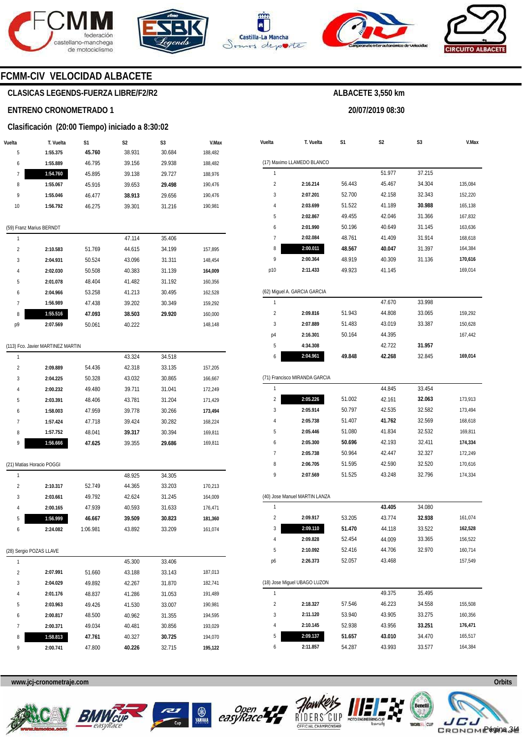







**20/07/2019 08:30** 

**ALBACETE 3,550 km** 



# **FCMM-CIV VELOCIDAD ALBACETE**

# **CLASICAS LEGENDS-FUERZA LIBRE/F2/R2**

### **ENTRENO CRONOMETRADO 1**

### **Clasificación (20:00 Tiempo) iniciado a 8:30:02**

| Vuelta | T. Vuelta                         | S1     | S2     | S3     | V.Max   |
|--------|-----------------------------------|--------|--------|--------|---------|
| 5      | 1:55.375                          | 45.760 | 38.931 | 30.684 | 188,482 |
| 6      | 1:55.889                          | 46.795 | 39.156 | 29.938 | 188,482 |
| 7      | 1:54.760                          | 45.895 | 39.138 | 29.727 | 188,976 |
| 8      | 1:55.067                          | 45.916 | 39.653 | 29.498 | 190,476 |
| 9      | 1:55.046                          | 46.477 | 38.913 | 29.656 | 190,476 |
| 10     | 1:56.792                          | 46.275 | 39.301 | 31.216 | 190,981 |
|        | (59) Franz Marius BERNDT          |        |        |        |         |
| 1      |                                   |        | 47.114 | 35.406 |         |
| 2      | 2:10.583                          | 51.769 | 44.615 | 34.199 | 157,895 |
| 3      | 2:04.931                          | 50.524 | 43.096 | 31.311 | 148,454 |
| 4      | 2:02.030                          | 50.508 | 40.383 | 31.139 | 164,009 |
| 5      | 2:01.078                          | 48.404 | 41.482 | 31.192 | 160,356 |
| 6      | 2:04.966                          | 53.258 | 41.213 | 30.495 | 162,528 |
| 7      | 1:56.989                          | 47.438 | 39.202 | 30.349 | 159,292 |
| 8      | 1:55.516                          | 47.093 | 38.503 | 29.920 | 160,000 |
| р9     | 2:07.569                          | 50.061 | 40.222 |        | 148,148 |
|        | (113) Fco. Javier MARTINEZ MARTIN |        |        |        |         |
| 1      |                                   |        | 43.324 | 34.518 |         |
| 2      | 2:09.889                          | 54.436 | 42.318 | 33.135 | 157,205 |
| 3      | 2:04.225                          | 50.328 | 43.032 | 30.865 | 166,667 |
| 4      | 2:00.232                          | 49.480 | 39.711 | 31.041 | 172,249 |
| 5      | 2:03.391                          | 48.406 | 43.781 | 31.204 | 171,429 |
| 6      | 1:58.003                          | 47.959 | 39.778 | 30.266 | 173,494 |
| 7      | 1:57.424                          | 47.718 | 39.424 | 30.282 | 168,224 |
| 8      | 1:57.752                          | 48.041 | 39.317 | 30.394 | 169,811 |
| 9      | 1:56.666                          | 47.625 | 39.355 | 29.686 | 169,811 |
|        | (21) Matias Horacio POGGI         |        |        |        |         |

|   |          |          | 48.925 | 34.305 |         |
|---|----------|----------|--------|--------|---------|
| 2 | 2:10.317 | 52.749   | 44.365 | 33.203 | 170.213 |
| 3 | 2:03.661 | 49.792   | 42.624 | 31.245 | 164.009 |
| 4 | 2:00.165 | 47.939   | 40.593 | 31.633 | 176.471 |
| 5 | 1:56.999 | 46.667   | 39.509 | 30.823 | 181,360 |
| 6 | 2:24.082 | 1:06.981 | 43.892 | 33.209 | 161.074 |
|   |          |          |        |        |         |

|                | (28) Sergio POZAS LLAVE |        |        |        |         |
|----------------|-------------------------|--------|--------|--------|---------|
| 1              |                         |        | 45.300 | 33.406 |         |
| $\overline{2}$ | 2:07.991                | 51.660 | 43.188 | 33.143 | 187,013 |
| 3              | 2:04.029                | 49.892 | 42.267 | 31.870 | 182.741 |
| 4              | 2:01.176                | 48.837 | 41.286 | 31.053 | 191,489 |
| 5              | 2:03.963                | 49.426 | 41.530 | 33.007 | 190.981 |
| 6              | 2:00.817                | 48.500 | 40.962 | 31.355 | 194,595 |
| 7              | 2:00.371                | 49.034 | 40.481 | 30.856 | 193.029 |
| 8              | 1:58.813                | 47.761 | 40.327 | 30.725 | 194.070 |
| 9              | 2:00.741                | 47.800 | 40.226 | 32.715 | 195.122 |

| Vuelta                  | T. Vuelta                     | S1     | S <sub>2</sub> | S3     | V.Max   |
|-------------------------|-------------------------------|--------|----------------|--------|---------|
|                         | (17) Maximo LLAMEDO BLANCO    |        |                |        |         |
| 1                       |                               |        | 51.977         | 37.215 |         |
| $\overline{\mathbf{c}}$ | 2:16.214                      | 56.443 | 45.467         | 34.304 | 135,084 |
| 3                       | 2:07.201                      | 52.700 | 42.158         | 32.343 | 152,220 |
| 4                       | 2:03.699                      | 51.522 | 41.189         | 30.988 | 165,138 |
| 5                       | 2:02.867                      | 49.455 | 42.046         | 31.366 | 167,832 |
| 6                       | 2:01.990                      | 50.196 | 40.649         | 31.145 | 163,636 |
| 7                       | 2:02.084                      | 48.761 | 41.409         | 31.914 | 168,618 |
| 8                       | 2:00.011                      | 48.567 | 40.047         | 31.397 | 164,384 |
| 9                       | 2:00.364                      | 48.919 | 40.309         | 31.136 | 170,616 |
| p10                     | 2:11.433                      | 49.923 | 41.145         |        | 169,014 |
|                         | (62) Miguel A. GARCIA GARCIA  |        |                |        |         |
| 1                       |                               |        | 47.670         | 33.998 |         |
| $\overline{\mathbf{c}}$ | 2:09.816                      | 51.943 | 44.808         | 33.065 | 159,292 |
| 3                       | 2:07.889                      | 51.483 | 43.019         | 33.387 | 150,628 |
| p4                      | 2:16.301                      | 50.164 | 44.395         |        | 167,442 |
| 5                       | 4:34.308                      |        | 42.722         | 31.957 |         |
| 6                       | 2:04.961                      | 49.848 | 42.268         | 32.845 | 169,014 |
|                         | (71) Francisco MIRANDA GARCIA |        |                |        |         |
| 1                       |                               |        | 44.845         | 33.454 |         |
| 2                       | 2:05.226                      | 51.002 | 42.161         | 32.063 | 173,913 |
| 3                       | 2:05.914                      | 50.797 | 42.535         | 32.582 | 173,494 |
| 4                       | 2:05.738                      | 51.407 | 41.762         | 32.569 | 168,618 |
| 5                       | 2:05.446                      | 51.080 | 41.834         | 32.532 | 169,811 |
| 6                       | 2:05.300                      | 50.696 | 42.193         | 32.411 | 174,334 |
| 7                       | 2:05.738                      | 50.964 | 42.447         | 32.327 | 172,249 |
| 8                       | 2:06.705                      | 51.595 | 42.590         | 32.520 | 170,616 |
| 9                       | 2:07.569                      | 51.525 | 43.248         | 32.796 | 174,334 |
|                         | (40) Jose Manuel MARTIN LANZA |        |                |        |         |
| 1                       |                               |        | 43.405         | 34.080 |         |
| $\overline{\mathbf{c}}$ | 2:09.917                      | 53.205 | 43.774         | 32.938 | 161,074 |
| 3                       | 2:09.110                      | 51.470 | 44.118         | 33.522 | 162,528 |
| 4                       | 2:09.828                      | 52.454 | 44.009         | 33.365 | 156,522 |
| 5                       | 2:10.092                      | 52.416 | 44.706         | 32.970 | 160,714 |
| p6                      | 2:26.373                      | 52.057 | 43.468         |        | 157,549 |
|                         | (18) Jose Miguel UBAGO LUZON  |        |                |        |         |
| 1                       |                               |        | 49.375         | 35.495 |         |
|                         |                               |        |                |        |         |











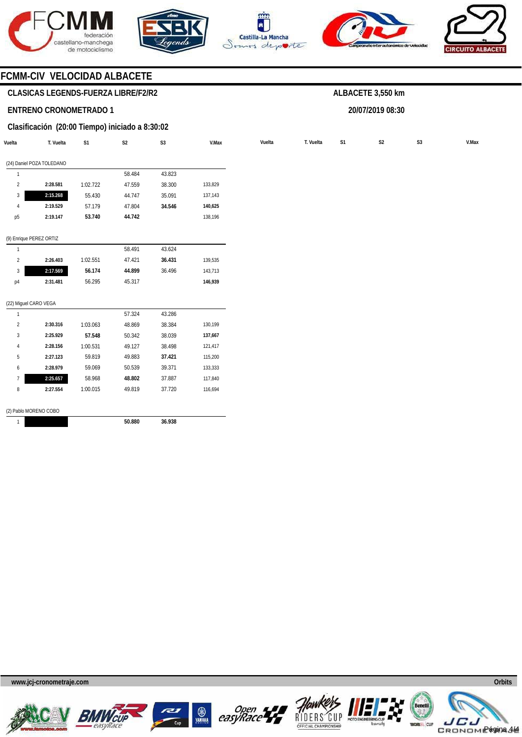







**20/07/2019 08:30** 



# **FCMM-CIV VELOCIDAD ALBACETE**

# **CLASICAS LEGENDS-FUERZA LIBRE/F2/R2**

## **ENTRENO CRONOMETRADO 1**

# **Clasificación (20:00 Tiempo) iniciado a 8:30:02**

| Vuelta                | T. Vuelta                 | S <sub>1</sub> | S <sub>2</sub> | S <sub>3</sub> | V.Max   | Vuelta | T. Vuelta | S <sub>1</sub> | S <sub>2</sub> | S <sub>3</sub> |
|-----------------------|---------------------------|----------------|----------------|----------------|---------|--------|-----------|----------------|----------------|----------------|
|                       | (24) Daniel POZA TOLEDANO |                |                |                |         |        |           |                |                |                |
| $\mathbf{1}$          |                           |                | 58.484         | 43.823         |         |        |           |                |                |                |
| $\overline{2}$        | 2:28.581                  | 1:02.722       | 47.559         | 38.300         | 133,829 |        |           |                |                |                |
| 3                     | 2:15.268                  | 55.430         | 44.747         | 35.091         | 137,143 |        |           |                |                |                |
| $\sqrt{4}$            | 2:19.529                  | 57.179         | 47.804         | 34.546         | 140,625 |        |           |                |                |                |
| p <sub>5</sub>        | 2:19.147                  | 53.740         | 44.742         |                | 138,196 |        |           |                |                |                |
|                       | (9) Enrique PEREZ ORTIZ   |                |                |                |         |        |           |                |                |                |
| $\mathbf{1}$          |                           |                | 58.491         | 43.624         |         |        |           |                |                |                |
| $\overline{2}$        | 2:26.403                  | 1:02.551       | 47.421         | 36.431         | 139,535 |        |           |                |                |                |
| 3                     | 2:17.569                  | 56.174         | 44.899         | 36.496         | 143,713 |        |           |                |                |                |
| p <sub>4</sub>        | 2:31.481                  | 56.295         | 45.317         |                | 146,939 |        |           |                |                |                |
| (22) Miguel CARO VEGA |                           |                |                |                |         |        |           |                |                |                |
| $\mathbf{1}$          |                           |                | 57.324         | 43.286         |         |        |           |                |                |                |
| $\overline{2}$        | 2:30.316                  | 1:03.063       | 48.869         | 38.384         | 130,199 |        |           |                |                |                |
| 3                     | 2:25.929                  | 57.548         | 50.342         | 38.039         | 137,667 |        |           |                |                |                |
| $\sqrt{4}$            | 2:28.156                  | 1:00.531       | 49.127         | 38.498         | 121,417 |        |           |                |                |                |
| 5                     | 2:27.123                  | 59.819         | 49.883         | 37.421         | 115,200 |        |           |                |                |                |
| 6                     | 2:28.979                  | 59.069         | 50.539         | 39.371         | 133,333 |        |           |                |                |                |
| $\overline{7}$        | 2:25.657                  | 58.968         | 48.802         | 37.887         | 117,840 |        |           |                |                |                |
| 8                     | 2:27.554                  | 1:00.015       | 49.819         | 37.720         | 116,694 |        |           |                |                |                |

1

**36.938** 

**50.880** 











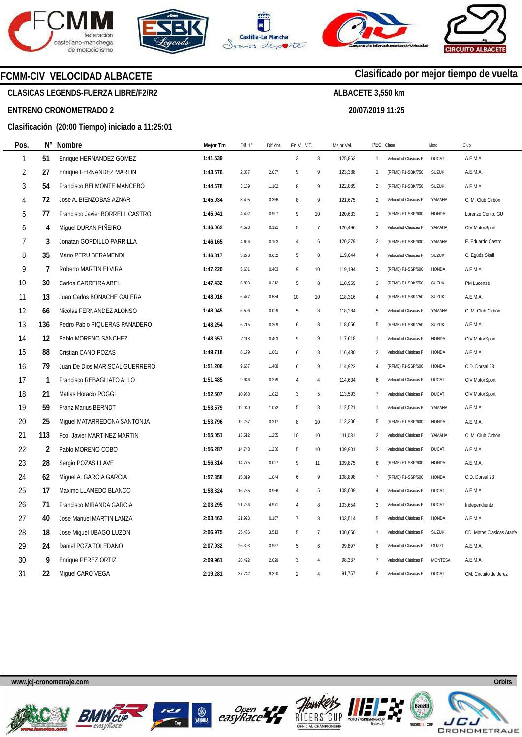







**20/07/2019 11:25** 

**Clasificado por mejor tiempo de vuelta**

# **FCMM-CIV VELOCIDAD ALBACETE**

**CLASICAS LEGENDS-FUERZA LIBRE/F2/R2** 

# **ENTRENO CRONOMETRADO 2**

# **Clasificación (20:00 Tiempo) iniciado a 11:25:01**

| Pos.           | Ν°  | Nombre                          | Mejor Tm | Dif. $1^\circ$ | Dif.Ant. | En V. V.T.       |                | Mejor Vel. | PEC Clase      |                       | Moto           | Club                      |
|----------------|-----|---------------------------------|----------|----------------|----------|------------------|----------------|------------|----------------|-----------------------|----------------|---------------------------|
| 1              | 51  | Enrique HERNANDEZ GOMEZ         | 1:41.539 |                |          | $\sqrt{3}$       | $\, 8$         | 125,863    | $\mathbf{1}$   | Velocidad Clásicas F  | <b>DUCATI</b>  | A.E.M.A.                  |
| $\overline{2}$ | 27  | Enrique FERNANDEZ MARTIN        | 1:43.576 | 2.037          | 2.037    | 9                | 9              | 123,388    | $\mathbf{1}$   | (RFME) F1-SBK/750     | SUZUKI         | A.E.M.A.                  |
| $\mathfrak{Z}$ | 54  | Francisco BELMONTE MANCEBO      | 1:44.678 | 3.139          | 1.102    | 8                | 9              | 122,089    | $\overline{2}$ | (RFME) F1-SBK/750     | SUZUKI         | A.E.M.A.                  |
| 4              | 72  | Jose A. BIENZOBAS AZNAR         | 1:45.034 | 3.495          | 0.356    | 8                | 9              | 121,675    | $\overline{2}$ | Velocidad Clásicas F  | YAMAHA         | C. M. Club Cirbón         |
| 5              | 77  | Francisco Javier BORRELL CASTRO | 1:45.941 | 4.402          | 0.907    | $\,9$            | 10             | 120,633    | $\overline{1}$ | (RFME) F1-SSP/600     | HONDA          | Lorenzo Comp. GU          |
| 6              | 4   | Miguel DURAN PIÑEIRO            | 1:46.062 | 4.523          | 0.121    | 5                | $\overline{7}$ | 120,496    | 3              | Velocidad Clásicas F  | YAMAHA         | CIV MotorSport            |
| $\overline{7}$ | 3   | Jonatan GORDILLO PARRILLA       | 1:46.165 | 4.626          | 0.103    | $\overline{4}$   | 6              | 120,379    | $\overline{2}$ | (RFME) F1-SSP/600     | YAMAHA         | E. Eduardo Castro         |
| 8              | 35  | Mario PERU BERAMENDI            | 1:46.817 | 5.278          | 0.652    | 5                | 8              | 119,644    | 4              | Velocidad Clásicas F  | SUZUKI         | C. Egüés Skull            |
| 9              | 7   | Roberto MARTIN ELVIRA           | 1:47.220 | 5.681          | 0.403    | 9                | 10             | 119,194    | 3              | (RFME) F1-SSP/600     | HONDA          | A.E.M.A.                  |
| 10             | 30  | Carlos CARREIRA ABEL            | 1:47.432 | 5.893          | 0.212    | 5                | 8              | 118,959    | 3              | (RFME) F1-SBK/750     | SUZUKI         | PM Lucense                |
| 11             | 13  | Juan Carlos BONACHE GALERA      | 1:48.016 | 6.477          | 0.584    | 10               | 10             | 118,316    | 4              | (RFME) F1-SBK/750     | SUZUKI         | A.E.M.A.                  |
| 12             | 66  | Nicolas FERNANDEZ ALONSO        | 1:48.045 | 6.506          | 0.029    | 5                | 8              | 118,284    | 5              | Velocidad Clásicas F  | YAMAHA         | C. M. Club Cirbón         |
| 13             | 136 | Pedro Pablo PIQUERAS PANADERO   | 1:48.254 | 6.715          | 0.209    | $\boldsymbol{6}$ | 8              | 118,056    | 5              | (RFME) F1-SBK/750     | SUZUKI         | A.E.M.A.                  |
| 14             | 12  | Pablo MORENO SANCHEZ            | 1:48.657 | 7.118          | 0.403    | 9                | 9              | 117,618    | $\mathbf{1}$   | Velocidad Clásicas F  | HONDA          | CIV MotorSport            |
| 15             | 88  | Cristian CANO POZAS             | 1:49.718 | 8.179          | 1.061    | 6                | 8              | 116,480    | $\overline{2}$ | Velocidad Clásicas F  | HONDA          | A.E.M.A.                  |
| 16             | 79  | Juan De Dios MARISCAL GUERRERO  | 1:51.206 | 9.667          | 1.488    | $\boldsymbol{6}$ | 9              | 114,922    | $\overline{4}$ | (RFME) F1-SSP/600     | HONDA          | C.D. Dorsal 23            |
| 17             | 1   | Francisco REBAGLIATO ALLO       | 1:51.485 | 9.946          | 0.279    | $\overline{4}$   | $\overline{4}$ | 114,634    | 6              | Velocidad Clásicas F  | <b>DUCATI</b>  | <b>CIV MotorSport</b>     |
| 18             | 21  | Matias Horacio POGGI            | 1:52.507 | 10.968         | 1.022    | $\mathbf{3}$     | 5              | 113,593    | $\overline{7}$ | Velocidad Clásicas F  | <b>DUCATI</b>  | CIV MotorSport            |
| 19             | 59  | Franz Marius BERNDT             | 1:53.579 | 12.040         | 1.072    | 5                | 8              | 112,521    | $\mathbf{1}$   | Velocidad Clásicas F  | YAMAHA         | A.E.M.A.                  |
| $20\,$         | 25  | Miguel MATARREDONA SANTONJA     | 1:53.796 | 12.257         | 0.217    | 8                | 10             | 112,306    | 5              | (RFME) F1-SSP/600     | HONDA          | A.E.M.A.                  |
| 21             | 113 | Fco. Javier MARTINEZ MARTIN     | 1:55.051 | 13.512         | 1.255    | 10               | 10             | 111,081    | $\overline{2}$ | Velocidad Clásicas Fr | YAMAHA         | C. M. Club Cirbón         |
| 22             | 2   | Pablo MORENO COBO               | 1:56.287 | 14.748         | 1.236    | 5                | 10             | 109,901    | 3              | Velocidad Clásicas Fr | <b>DUCATI</b>  | A.E.M.A.                  |
| 23             | 28  | Sergio POZAS LLAVE              | 1:56.314 | 14.775         | 0.027    | 9                | 11             | 109,875    | 6              | (RFME) F1-SSP/600     | HONDA          | A.E.M.A.                  |
| 24             | 62  | Miguel A. GARCIA GARCIA         | 1:57.358 | 15.819         | 1.044    | 6                | 9              | 108,898    | $\overline{7}$ | (RFME) F1-SSP/600     | HONDA          | C.D. Dorsal 23            |
| 25             | 17  | Maximo LLAMEDO BLANCO           | 1:58.324 | 16.785         | 0.966    | $\overline{4}$   | 5              | 108,009    | 4              | Velocidad Clásicas Fr | <b>DUCATI</b>  | A.E.M.A.                  |
| 26             | 71  | Francisco MIRANDA GARCIA        | 2:03.295 | 21.756         | 4.971    | $\overline{4}$   | 8              | 103,654    | 3              | Velocidad Clásicas F  | <b>DUCATI</b>  | Independiente             |
| 27             | 40  | Jose Manuel MARTIN LANZA        | 2:03.462 | 21.923         | 0.167    | $\overline{7}$   | 8              | 103,514    | 5              | Velocidad Clásicas F  | HONDA          | A.E.M.A.                  |
| 28             | 18  | Jose Miguel UBAGO LUZON         | 2:06.975 | 25.436         | 3.513    | 5                | $\overline{7}$ | 100,650    | $\mathbf{1}$   | Velocidad Clásicas F  | SUZUKI         | CD. Motos Clasicas Atarfe |
| 29             | 24  | Daniel POZA TOLEDANO            | 2:07.932 | 26.393         | 0.957    | 5                | 6              | 99,897     | 6              | Velocidad Clásicas F  | GUZZI          | A.E.M.A.                  |
| 30             | 9   | Enrique PEREZ ORTIZ             | 2:09.961 | 28.422         | 2.029    | $\mathbf{3}$     | $\overline{4}$ | 98,337     | 7              | Velocidad Clásicas F  | <b>MONTESA</b> | A.E.M.A.                  |
| 31             | 22  | Miquel CARO VEGA                | 2:19.281 | 37.742         | 9.320    | $\overline{2}$   | $\overline{4}$ | 91,757     | 8              | Velocidad Clásicas Fr | <b>DUCATI</b>  | CM. Circuito de Jerez     |











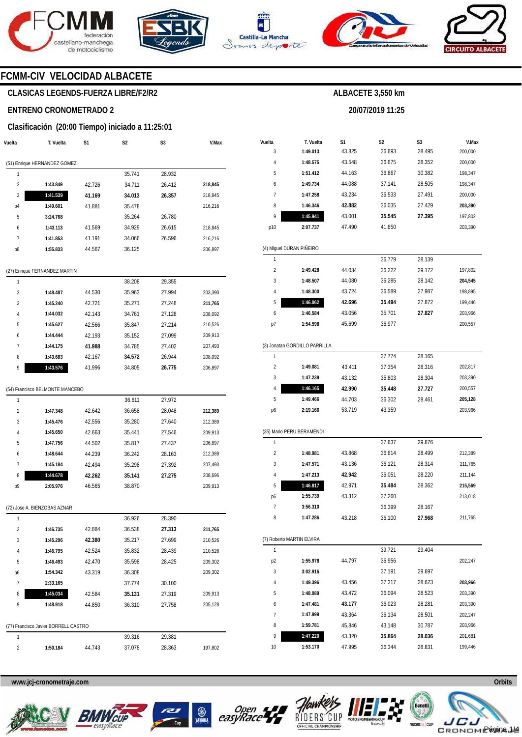







**20/07/2019 11:25** 



# **FCMM-CIV VELOCIDAD ALBACETE**

# **CLASICAS LEGENDS-FUERZA LIBRE/F2/R2**

### **ENTRENO CRONOMETRADO 2**

### **Clasificación (20:00 Tiempo) iniciado a 11:25:01**

| Vuelta                  | T. Vuelta                            | S1     | S2     | S3     | V.Max   |
|-------------------------|--------------------------------------|--------|--------|--------|---------|
|                         | (51) Enrique HERNANDEZ GOMEZ         |        |        |        |         |
| 1                       |                                      |        | 35.741 | 28.932 |         |
| $\overline{\mathbf{c}}$ | 1:43.849                             | 42.726 | 34.711 | 26.412 | 218,845 |
| 3                       | 1:41.539                             | 41.169 | 34.013 | 26.357 | 218,845 |
| p4                      | 1:49.601                             | 41.881 | 35.478 |        | 216,216 |
| 5                       | 3:24.768                             |        | 35.264 | 26.780 |         |
| 6                       | 1:43.113                             | 41.569 | 34.929 | 26.615 | 218,845 |
| 7                       | 1:41.853                             | 41.191 | 34.066 | 26.596 | 216,216 |
| p8                      | 1:55.833                             | 44.567 | 36.125 |        | 206,897 |
|                         | (27) Enrique FERNANDEZ MARTIN        |        |        |        |         |
| 1                       |                                      |        | 38.208 | 29.355 |         |
| $\overline{\mathbf{c}}$ | 1:48.487                             | 44.530 | 35.963 | 27.994 | 203,390 |
| 3                       | 1:45.240                             | 42.721 | 35.271 | 27.248 | 211,765 |
| 4                       | 1:44.032                             | 42.143 | 34.761 | 27.128 | 208,092 |
| 5                       | 1:45.627                             | 42.566 | 35.847 | 27.214 | 210,526 |
| 6                       | 1:44.444                             | 42.193 | 35.152 | 27.099 | 209,913 |
| 7                       | 1:44.175                             | 41.988 | 34.785 | 27.402 | 207,493 |
| 8                       | 1:43.683                             | 42.167 | 34.572 | 26.944 | 208,092 |
| 9                       | 1:43.576                             | 41.996 | 34.805 | 26.775 | 206,897 |
|                         | (54) Francisco BELMONTE MANCEBO      |        |        |        |         |
| 1                       |                                      |        | 36.611 | 27.972 |         |
| $\overline{2}$          | 1:47.348                             | 42.642 | 36.658 | 28.048 | 212,389 |
| 3                       | 1:45.476                             | 42.556 | 35.280 | 27.640 | 212,389 |
| 4                       | 1:45.650                             | 42.663 | 35.441 | 27.546 | 209,913 |
| 5                       | 1:47.756                             | 44.502 | 35.817 | 27.437 | 206,897 |
| 6                       | 1:48.644                             | 44.239 | 36.242 | 28.163 | 212,389 |
| 7                       | 1:45.184                             | 42.494 | 35.298 | 27.392 | 207,493 |
| 8                       | 1:44.678                             | 42.262 | 35.141 | 27.275 | 208,696 |
| p9                      | 2:05.976                             | 46.565 | 38.870 |        | 209,913 |
|                         | (72) Jose A. BIENZOBAS AZNAR         |        |        |        |         |
| 1                       |                                      |        | 36.926 | 28.390 |         |
| $\overline{\mathbf{c}}$ | 1:46.735                             | 42.884 | 36.538 | 27.313 | 211,765 |
| 3                       | 1:45.296                             | 42.380 | 35.217 | 27.699 | 210,526 |
| 4                       | 1:46.795                             | 42.524 | 35.832 | 28.439 | 210,526 |
| 5                       | 1:46.493                             | 42.470 | 35.598 | 28.425 | 209,302 |
| p6                      | 1:54.342                             | 43.319 | 36.308 |        | 209,302 |
| 7                       | 2:33.165                             |        | 37.774 | 30.100 |         |
| 8                       | 1:45.034                             | 42.584 | 35.131 | 27.319 | 209,913 |
| 9                       | 1:48.918                             | 44.850 | 36.310 | 27.758 | 205,128 |
|                         | (77) Francisco Javier BORRELL CASTRO |        |        |        |         |
| 1                       |                                      |        | 39.316 | 29.381 |         |
| $\overline{\mathbf{c}}$ | 1:50.184                             | 44.743 | 37.078 | 28.363 | 197,802 |
|                         |                                      |        |        |        |         |

| Vuelta         | T. Vuelta                     | S1     | S2     | S3     | V.Max   |
|----------------|-------------------------------|--------|--------|--------|---------|
| 3              | 1:49.013                      | 43.825 | 36.693 | 28.495 | 200,000 |
| 4              | 1:48.575                      | 43.548 | 36.675 | 28.352 | 200,000 |
| 5              | 1:51.412                      | 44.163 | 36.867 | 30.382 | 198,347 |
| 6              | 1:49.734                      | 44.088 | 37.141 | 28.505 | 198,347 |
| 7              | 1:47.258                      | 43.234 | 36.533 | 27.491 | 200,000 |
| 8              | 1:46.346                      | 42.882 | 36.035 | 27.429 | 203,390 |
| 9              | 1:45.941                      | 43.001 | 35.545 | 27.395 | 197,802 |
| p10            | 2:07.737                      | 47.490 | 41.650 |        | 203,390 |
|                |                               |        |        |        |         |
|                | (4) Miguel DURAN PIÑEIRO      |        |        |        |         |
| 1              |                               |        | 36.779 | 28.139 |         |
| $\overline{c}$ | 1:49.428                      | 44.034 | 36.222 | 29.172 | 197,802 |
| 3              | 1:48.507                      | 44.080 | 36.285 | 28.142 | 204,545 |
| 4              | 1:48.300                      | 43.724 | 36.589 | 27.987 | 198,895 |
| 5              | 1:46.062                      | 42.696 | 35.494 | 27.872 | 199,446 |
| 6              | 1:46.584                      | 43.056 | 35.701 | 27.827 | 203,966 |
| p7             | 1:54.598                      | 45.699 | 36.977 |        | 200,557 |
|                |                               |        |        |        |         |
|                | (3) Jonatan GORDILLO PARRILLA |        |        |        |         |
| 1              |                               |        | 37.774 | 28.165 |         |
| $\overline{c}$ | 1:49.081                      | 43.411 | 37.354 | 28.316 | 202,817 |
| 3              | 1:47.239                      | 43.132 | 35.803 | 28.304 | 203,390 |
| 4              | 1:46.165                      | 42.990 | 35.448 | 27.727 | 200,557 |
| 5              | 1:49.466                      | 44.703 | 36.302 | 28.461 | 205,128 |
| p6             | 2:19.166                      | 53.719 | 43.359 |        | 203,966 |
|                | (35) Mario PERU BERAMENDI     |        |        |        |         |
| 1              |                               |        | 37.637 | 29.876 |         |
| $\overline{2}$ | 1:48.981                      | 43.868 | 36.614 | 28.499 | 212,389 |
| 3              | 1:47.571                      | 43.136 | 36.121 | 28.314 | 211,765 |
| 4              | 1:47.213                      | 42.942 | 36.051 | 28.220 | 211,144 |
| 5              | 1:46.817                      | 42.971 | 35.484 | 28.362 | 215,569 |
|                | 1:55.739                      | 43.312 | 37.260 |        | 213,018 |
| p6<br>7        | 3:56.310                      |        | 36.399 | 28.167 |         |
| 8              | 1:47.286                      | 43.218 | 36.100 | 27.968 |         |
|                |                               |        |        |        | 211,765 |
|                | (7) Roberto MARTIN ELVIRA     |        |        |        |         |
| 1              |                               |        | 39.721 | 29.404 |         |
| p <sub>2</sub> | 1:55.978                      | 44.797 | 36.956 |        | 202,247 |
| 3              | 3:02.916                      |        | 37.191 | 29.697 |         |
| 4              | 1:49.396                      | 43.456 | 37.317 | 28.623 | 203,966 |
| 5              | 1:48.089                      | 43.472 | 36.094 | 28.523 | 203,390 |
| 6              | 1:47.481                      | 43.177 | 36.023 | 28.281 | 203,390 |
| 7              | 1:47.999                      | 43.364 | 36.134 | 28.501 | 202,247 |
| 8              | 1:59.781                      | 45.846 | 43.148 | 30.787 | 203,966 |
| 9              | 1:47.220                      | 43.320 | 35.864 | 28.036 | 201,681 |
| 10             | 1:53.170                      | 47.995 | 36.344 | 28.831 | 199,446 |









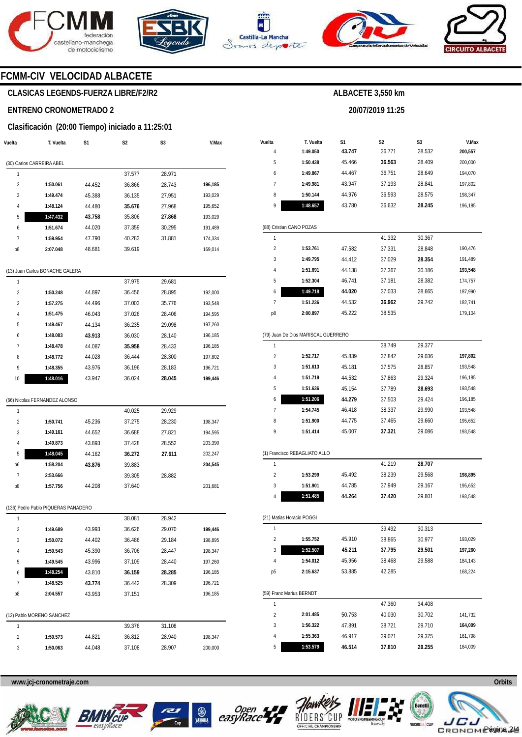







**20/07/2019 11:25** 



# **FCMM-CIV VELOCIDAD ALBACETE**

# **CLASICAS LEGENDS-FUERZA LIBRE/F2/R2**

### **ENTRENO CRONOMETRADO 2**

# **Clasificación (20:00 Tiempo) iniciado a 11:25:01**

| Vuelta         | T. Vuelta                           | S1     | S2     | S3     | V.Max   |
|----------------|-------------------------------------|--------|--------|--------|---------|
|                | (30) Carlos CARREIRA ABEL           |        |        |        |         |
| 1              |                                     |        | 37.577 | 28.971 |         |
| 2              | 1:50.061                            | 44.452 | 36.866 | 28.743 | 196,185 |
| 3              | 1:49.474                            | 45.388 | 36.135 | 27.951 | 193,029 |
| 4              | 1:48.124                            | 44.480 | 35.676 | 27.968 | 195,652 |
| 5              | 1:47.432                            | 43.758 | 35.806 | 27.868 | 193,029 |
| 6              | 1:51.674                            | 44.020 | 37.359 | 30.295 | 191,489 |
| 7              | 1:59.954                            | 47.790 | 40.283 | 31.881 | 174,334 |
| p8             | 2:07.048                            | 48.681 | 39.619 |        | 169,014 |
|                | (13) Juan Carlos BONACHE GALERA     |        |        |        |         |
| 1              |                                     |        | 37.975 | 29.681 |         |
| $\overline{2}$ | 1:50.248                            | 44.897 | 36.456 | 28.895 | 192,000 |
| 3              | 1:57.275                            | 44.496 | 37.003 | 35.776 | 193,548 |
| 4              | 1:51.475                            | 46.043 | 37.026 | 28.406 | 194,595 |
| 5              | 1:49.467                            | 44.134 | 36.235 | 29.098 | 197,260 |
| 6              | 1:48.083                            | 43.913 | 36.030 | 28.140 | 196,185 |
| 7              | 1:48.478                            | 44.087 | 35.958 | 28.433 | 196,185 |
| 8              | 1:48.772                            | 44.028 | 36.444 | 28.300 | 197,802 |
| 9              | 1:48.355                            | 43.976 | 36.196 | 28.183 | 196,721 |
| 10             | 1:48.016                            | 43.947 | 36.024 | 28.045 | 199,446 |
|                |                                     |        |        |        |         |
|                | (66) Nicolas FERNANDEZ ALONSO       |        |        |        |         |
| 1              |                                     |        | 40.025 | 29.929 |         |
| 2              | 1:50.741                            | 45.236 | 37.275 | 28.230 | 198,347 |
| 3              | 1:49.161                            | 44.652 | 36.688 | 27.821 | 194,595 |
| 4              | 1:49.873                            | 43.893 | 37.428 | 28.552 | 203,390 |
| 5              | 1:48.045                            | 44.162 | 36.272 | 27.611 | 202,247 |
| p6             | 1:58.204                            | 43.876 | 39.883 |        | 204,545 |
| 7              | 2:53.666                            |        | 39.305 | 28.882 |         |
| p8             | 1:57.756                            | 44.208 | 37.640 |        | 201,681 |
|                | (136) Pedro Pablo PIQUERAS PANADERO |        |        |        |         |
| 1              |                                     |        | 38.081 | 28.942 |         |
| 2              | 1:49.689                            | 43.993 | 36.626 | 29.070 | 199,446 |
| 3              | 1:50.072                            | 44.402 | 36.486 | 29.184 | 198,895 |
| 4              | 1:50.543                            | 45.390 | 36.706 | 28.447 | 198,347 |
| 5              | 1:49.545                            | 43.996 | 37.109 | 28.440 | 197,260 |
| 6              | 1:48.254                            | 43.810 | 36.159 | 28.285 | 196,185 |
| 7              | 1:48.525                            | 43.774 | 36.442 | 28.309 | 196,721 |
| p8             | 2:04.557                            | 43.953 | 37.151 |        | 196,185 |
|                | (12) Pablo MORENO SANCHEZ           |        |        |        |         |
| 1              |                                     |        | 39.376 | 31.108 |         |
| 2              | 1:50.573                            | 44.821 | 36.812 | 28.940 | 198,347 |
| 3              | 1:50.063                            | 44.048 | 37.108 | 28.907 | 200,000 |
|                |                                     |        |        |        |         |

| Vuelta         | T. Vuelta                           | S1     | S2     | S3     | V.Max   |
|----------------|-------------------------------------|--------|--------|--------|---------|
| 4              | 1:49.050                            | 43.747 | 36.771 | 28.532 | 200,557 |
| 5              | 1:50.438                            | 45.466 | 36.563 | 28.409 | 200,000 |
| 6              | 1:49.867                            | 44.467 | 36.751 | 28.649 | 194,070 |
| 7              | 1:49.981                            | 43.947 | 37.193 | 28.841 | 197,802 |
| 8              | 1:50.144                            | 44.976 | 36.593 | 28.575 | 198,347 |
| 9              | 1:48.657                            | 43.780 | 36.632 | 28.245 | 196,185 |
|                | (88) Cristian CANO POZAS            |        |        |        |         |
| 1              |                                     |        | 41.332 | 30.367 |         |
| $\overline{2}$ | 1:53.761                            | 47.582 | 37.331 | 28.848 | 190,476 |
| 3              | 1:49.795                            | 44.412 | 37.029 | 28.354 | 191,489 |
| 4              | 1:51.691                            | 44.138 | 37.367 | 30.186 | 193,548 |
| 5              | 1:52.304                            | 46.741 | 37.181 | 28.382 | 174,757 |
| 6              | 1:49.718                            | 44.020 | 37.033 | 28.665 | 187,990 |
| 7              | 1:51.236                            | 44.532 | 36.962 | 29.742 | 182,741 |
| p8             | 2:00.897                            | 45.222 | 38.535 |        | 179,104 |
|                | (79) Juan De Dios MARISCAL GUERRERO |        |        |        |         |
| 1              |                                     |        | 38.749 | 29.377 |         |
| 2              | 1:52.717                            | 45.839 | 37.842 | 29.036 | 197,802 |
| 3              | 1:51.613                            | 45.181 | 37.575 | 28.857 | 193,548 |
| 4              | 1:51.719                            | 44.532 | 37.863 | 29.324 | 196,185 |
| 5              | 1:51.636                            | 45.154 | 37.789 | 28.693 | 193,548 |
| 6              | 1:51.206                            | 44.279 | 37.503 | 29.424 | 196,185 |
| $\overline{1}$ | 1:54.745                            | 46.418 | 38.337 | 29.990 | 193,548 |
| 8              | 1:51.900                            | 44.775 | 37.465 | 29.660 | 195,652 |
| 9              | 1:51.414                            | 45.007 | 37.321 | 29.086 | 193,548 |
|                | (1) Francisco REBAGLIATO ALLO       |        |        |        |         |
| 1              |                                     |        | 41.219 | 28.707 |         |
| $\overline{2}$ | 1:53.299                            | 45.492 | 38.239 | 29.568 | 198,895 |
| 3              | 1:51.901                            | 44.785 | 37.949 | 29.167 | 195,652 |
| 4              | 1:51.485                            | 44.264 | 37.420 | 29.801 | 193,548 |
|                | (21) Matias Horacio POGGI           |        |        |        |         |
| 1              |                                     |        | 39.492 | 30.313 |         |
| 2              | 1:55.752                            | 45.910 | 38.865 | 30.977 | 193,029 |
| 3              | 1:52.507                            | 45.211 | 37.795 | 29.501 | 197,260 |
| 4              | 1:54.012                            | 45.956 | 38.468 | 29.588 | 184,143 |
| p5             | 2:15.637                            | 53.885 | 42.285 |        | 168,224 |
|                | (59) Franz Marius BERNDT            |        |        |        |         |
| 1              |                                     |        | 47.360 | 34.408 |         |
| 2              | 2:01.485                            | 50.753 | 40.030 | 30.702 | 141,732 |
| 3              | 1:56.322                            | 47.891 | 38.721 | 29.710 | 164,009 |
| 4              | 1:55.363                            | 46.917 | 39.071 | 29.375 | 161,798 |
| 5              | 1:53.579                            | 46.514 | 37.810 | 29.255 | 164,009 |









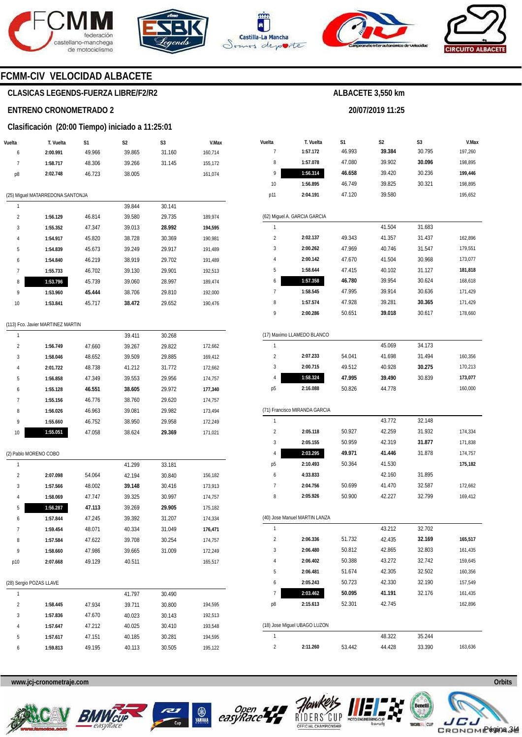







**20/07/2019 11:25** 



# **FCMM-CIV VELOCIDAD ALBACETE**

# **CLASICAS LEGENDS-FUERZA LIBRE/F2/R2**

### **ENTRENO CRONOMETRADO 2**

### **Clasificación (20:00 Tiempo) iniciado a 11:25:01**

| Vuelta                  | T. Vuelta                         | S1     | S2     | S3     | V.Max   |
|-------------------------|-----------------------------------|--------|--------|--------|---------|
| 6                       | 2:00.991                          | 49.966 | 39.865 | 31.160 | 160,714 |
| 7                       | 1:58.717                          | 48.306 | 39.266 | 31.145 | 155,172 |
| p8                      | 2:02.748                          | 46.723 | 38.005 |        | 161,074 |
|                         |                                   |        |        |        |         |
|                         | (25) Miguel MATARREDONA SANTONJA  |        |        |        |         |
| 1                       |                                   |        | 39.844 | 30.141 |         |
| 2                       | 1:56.129                          | 46.814 | 39.580 | 29.735 | 189,974 |
| 3                       | 1:55.352                          | 47.347 | 39.013 | 28.992 | 194,595 |
| 4                       | 1:54.917                          | 45.820 | 38.728 | 30.369 | 190,981 |
| 5                       | 1:54.839                          | 45.673 | 39.249 | 29.917 | 191,489 |
| 6                       | 1:54.840                          | 46.219 | 38.919 | 29.702 | 191,489 |
| 7                       | 1:55.733                          | 46.702 | 39.130 | 29.901 | 192,513 |
| 8                       | 1:53.796                          | 45.739 | 39.060 | 28.997 | 189,474 |
| 9                       | 1:53.960                          | 45.444 | 38.706 | 29.810 | 192,000 |
| 10                      | 1:53.841                          | 45.717 | 38.472 | 29.652 | 190,476 |
|                         |                                   |        |        |        |         |
|                         | (113) Fco. Javier MARTINEZ MARTIN |        |        |        |         |
| 1                       |                                   |        | 39.411 | 30.268 |         |
| $\overline{\mathbf{c}}$ | 1:56.749                          | 47.660 | 39.267 | 29.822 | 172,662 |
| 3                       | 1:58.046                          | 48.652 | 39.509 | 29.885 | 169,412 |
| 4                       | 2:01.722                          | 48.738 | 41.212 | 31.772 | 172,662 |
| 5                       | 1:56.858                          | 47.349 | 39.553 | 29.956 | 174,757 |
| 6                       | 1:55.128                          | 46.551 | 38.605 | 29.972 | 177,340 |
| 7                       | 1:55.156                          | 46.776 | 38.760 | 29.620 | 174,757 |
| 8                       | 1:56.026                          | 46.963 | 39.081 | 29.982 | 173,494 |
| 9                       | 1:55.660                          | 46.752 | 38.950 | 29.958 | 172,249 |
| 10                      | 1:55.051                          | 47.058 | 38.624 | 29.369 | 171,021 |
|                         |                                   |        |        |        |         |
|                         | (2) Pablo MORENO COBO             |        |        |        |         |
| 1                       |                                   |        | 41.299 | 33.181 |         |
| $\overline{2}$          | 2:07.098                          | 54.064 | 42.194 | 30.840 | 156,182 |
| 3                       | 1:57.566                          | 48.002 | 39.148 | 30.416 | 173,913 |
| 4                       | 1:58.069                          | 47.747 | 39.325 | 30.997 | 174,757 |
| 5                       | 1:56.287                          | 47.113 | 39.269 | 29.905 | 175,182 |
| 6                       | 1:57.844                          | 47.245 | 39.392 | 31.207 | 174,334 |
| 7                       | 1:59.454                          | 48.071 | 40.334 | 31.049 | 176,471 |
| 8                       | 1:57.584                          | 47.622 | 39.708 | 30.254 | 174,757 |
| 9                       | 1:58.660                          | 47.986 | 39.665 | 31.009 | 172,249 |
| p10                     | 2:07.668                          | 49.129 | 40.511 |        | 165,517 |
|                         |                                   |        |        |        |         |
|                         | (28) Sergio POZAS LLAVE           |        |        |        |         |
| 1                       |                                   |        | 41.797 | 30.490 |         |
| $\overline{\mathbf{c}}$ | 1:58.445                          | 47.934 | 39.711 | 30.800 | 194,595 |
| 3                       | 1:57.836                          | 47.670 | 40.023 | 30.143 | 192,513 |
| 4                       | 1:57.647                          | 47.212 | 40.025 | 30.410 | 193,548 |
| 5                       | 1:57.617                          | 47.151 | 40.185 | 30.281 | 194,595 |
| 6                       | 1:59.813                          | 49.195 | 40.113 | 30.505 | 195,122 |

| Vuelta                  | T. Vuelta                     | S1     | S2     | S3     | V.Max   |
|-------------------------|-------------------------------|--------|--------|--------|---------|
| 7                       | 1:57.172                      | 46.993 | 39.384 | 30.795 | 197,260 |
| 8                       | 1:57.078                      | 47.080 | 39.902 | 30.096 | 198,895 |
| 9                       | 1:56.314                      | 46.658 | 39.420 | 30.236 | 199,446 |
| 10                      | 1:56.895                      | 46.749 | 39.825 | 30.321 | 198,895 |
| p11                     | 2:04.191                      | 47.120 | 39.580 |        | 195,652 |
|                         | (62) Miguel A. GARCIA GARCIA  |        |        |        |         |
| 1                       |                               |        | 41.504 | 31.683 |         |
| 2                       | 2:02.137                      | 49.343 | 41.357 | 31.437 | 162,896 |
| 3                       | 2:00.262                      | 47.969 | 40.746 | 31.547 | 179,551 |
| 4                       | 2:00.142                      | 47.670 | 41.504 | 30.968 | 173,077 |
| 5                       | 1:58.644                      | 47.415 | 40.102 | 31.127 | 181,818 |
| 6                       | 1:57.358                      | 46.780 | 39.954 | 30.624 | 168,618 |
| 7                       | 1:58.545                      | 47.995 | 39.914 | 30.636 | 171,429 |
| 8                       | 1:57.574                      | 47.928 | 39.281 | 30.365 | 171,429 |
| 9                       | 2:00.286                      | 50.651 | 39.018 | 30.617 | 178,660 |
|                         | (17) Maximo LLAMEDO BLANCO    |        |        |        |         |
| 1                       |                               |        | 45.069 | 34.173 |         |
| $\overline{2}$          | 2:07.233                      | 54.041 | 41.698 | 31.494 | 160,356 |
| 3                       | 2:00.715                      | 49.512 | 40.928 | 30.275 | 170,213 |
| 4                       | 1:58.324                      | 47.995 | 39.490 | 30.839 | 173,077 |
| р5                      | 2:16.088                      | 50.826 | 44.778 |        | 160,000 |
|                         | (71) Francisco MIRANDA GARCIA |        |        |        |         |
| 1                       |                               |        | 43.772 | 32.148 |         |
| $\overline{2}$          | 2:05.118                      | 50.927 | 42.259 | 31.932 | 174,334 |
| 3                       | 2:05.155                      | 50.959 | 42.319 | 31.877 | 171,838 |
| 4                       | 2:03.295                      | 49.971 | 41.446 | 31.878 | 174,757 |
| р5                      | 2:10.493                      | 50.364 | 41.530 |        | 175,182 |
| 6                       | 4:33.833                      |        | 42.160 | 31.895 |         |
| 7                       | 2:04.756                      | 50.699 | 41.470 | 32.587 | 172,662 |
| 8                       | 2:05.926                      | 50.900 | 42.227 | 32.799 | 169,412 |
|                         | (40) Jose Manuel MARTIN LANZA |        |        |        |         |
| 1                       |                               |        | 43.212 | 32.702 |         |
| $\overline{\mathbf{c}}$ | 2:06.336                      | 51.732 | 42.435 | 32.169 | 165,517 |
| 3                       | 2:06.480                      | 50.812 | 42.865 | 32.803 | 161,435 |
| 4                       | 2:06.402                      | 50.388 | 43.272 | 32.742 | 159,645 |
| 5                       | 2:06.481                      | 51.674 | 42.305 | 32.502 | 160,356 |
| 6                       | 2:05.243                      | 50.723 | 42.330 | 32.190 | 157,549 |
| 7                       | 2:03.462                      | 50.095 | 41.191 | 32.176 | 161,435 |
| p8                      | 2:15.613                      | 52.301 | 42.745 |        | 162,896 |
|                         |                               |        |        |        |         |
|                         | (18) Jose Miguel UBAGO LUZON  |        |        |        |         |
| 1                       |                               |        | 48.322 | 35.244 |         |
| $\overline{\mathbf{c}}$ | 2:11.260                      | 53.442 | 44.428 | 33.390 | 163,636 |









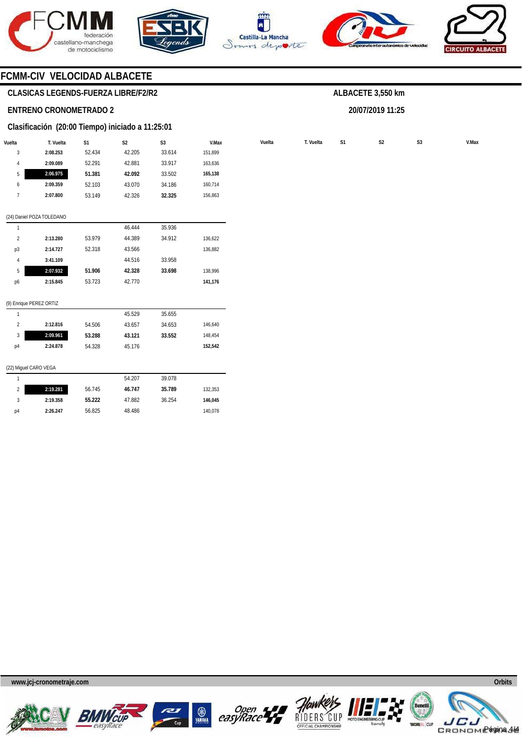









# **CLASICAS LEGENDS-FUERZA LIBRE/F2/R2**

### **ENTRENO CRONOMETRADO 2**

### **Clasificación (20:00 Tiempo) iniciado a 11:25:01**

| Vuelta         | T. Vuelta                 | S1     | S <sub>2</sub> | S <sub>3</sub> | V.Max   |
|----------------|---------------------------|--------|----------------|----------------|---------|
| 3              | 2:08.253                  | 52.434 | 42.205         | 33.614         | 151,899 |
| $\overline{4}$ | 2:09.089                  | 52.291 | 42.881         | 33.917         | 163,636 |
| 5              | 2:06.975                  | 51.381 | 42.092         | 33.502         | 165,138 |
| 6              | 2:09.359                  | 52.103 | 43.070         | 34.186         | 160,714 |
| 7              | 2:07.800                  | 53.149 | 42.326         | 32.325         | 156,863 |
|                |                           |        |                |                |         |
|                | (24) Daniel POZA TOLEDANO |        |                |                |         |
| 1              |                           |        | 46.444         | 35.936         |         |
| $\overline{2}$ | 2:13.280                  | 53.979 | 44.389         | 34.912         | 136,622 |
| p3             | 2:14.727                  | 52.318 | 43.566         |                | 136,882 |
| $\overline{4}$ | 3:41.109                  |        | 44.516         | 33.958         |         |
| 5              | 2:07.932                  | 51.906 | 42.328         | 33.698         | 138,996 |
| p6             | 2:15.845                  | 53.723 | 42.770         |                | 141,176 |
|                |                           |        |                |                |         |
|                | (9) Enrique PEREZ ORTIZ   |        |                |                |         |
| 1              |                           |        | 45.529         | 35.655         |         |

# **ALBACETE 3,550 km**

**20/07/2019 11:25** 

**Vuelta Vuelta T. Vuelta S1 S2 S3 V.Max** 

#### 2 3 p4 **2:12.816 2:09.961 2:24.878**  54.506 **53.288**  54.328 43.657 **43.121**  45.176 34.653 **33.552**  146,640 148,454 **152,542**

### (22) Miguel CARO VEGA

|    |          |        | 54.207 | 39.078 |         |
|----|----------|--------|--------|--------|---------|
|    | 2:19.281 | 56.745 | 46.747 | 35.789 | 132.353 |
|    | 2:19.358 | 55.222 | 47.882 | 36.254 | 146.045 |
| p4 | 2:26.247 | 56.825 | 48.486 |        | 140,078 |

**www.jcj-cronometraje.com Orbits** 











Página 4/4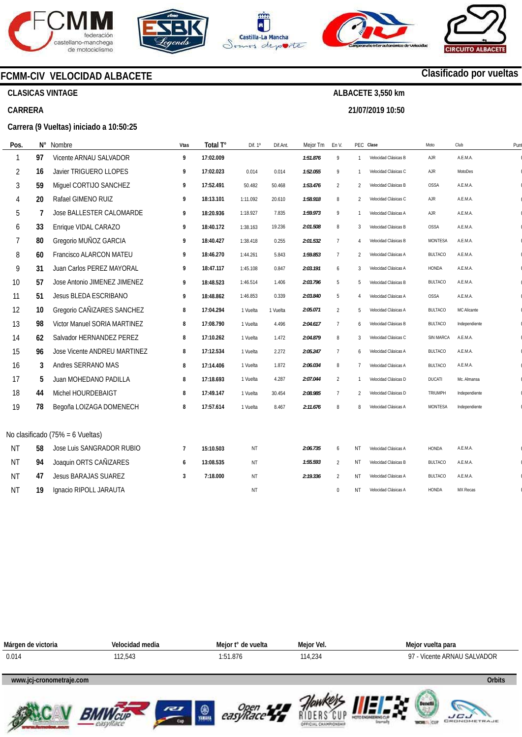







**21/07/2019 10:50** 



# **Clasificado por vueltas**

 $\overline{a}$  $\overline{a}$  $\overline{a}$  $\overline{a}$  $\overline{a}$  $\overline{a}$  $\overline{a}$  $\overline{a}$  $\overline{a}$  $\overline{a}$  $\overline{a}$  $\overline{a}$  $\overline{a}$  $\overline{a}$  $\overline{a}$  $\overline{a}$  $\overline{a}$  $\overline{a}$  $\overline{a}$ 

 $\overline{a}$  $\overline{a}$  $\overline{a}$  $\overline{a}$ 

**LICU**<br>GRONOMETRAJE

# **CLASICAS VINTAGE**

**Impresos: 21/07/2019 11:12:37** 

# **CARRERA**

**Carrera (9 Vueltas) iniciado a 10:50:25** 

**FCMM-CIV VELOCIDAD ALBACETE** 

| Pos.           | N° | Nombre                           | Vtas           | Total T°  | Dif. 1º  | Dif.Ant. | Mejor Tm | En V.          |                | PEC Clase            | Moto           | Club            | Pun |
|----------------|----|----------------------------------|----------------|-----------|----------|----------|----------|----------------|----------------|----------------------|----------------|-----------------|-----|
|                | 97 | Vicente ARNAU SALVADOR           | 9              | 17:02.009 |          |          | 1:51.876 | 9              | $\mathbf{1}$   | Velocidad Clásicas B | AJR            | A.E.M.A.        |     |
| $\overline{2}$ | 16 | Javier TRIGUERO LLOPES           | 9              | 17:02.023 | 0.014    | 0.014    | 1:52.055 | 9              | $\mathbf{1}$   | Velocidad Clásicas C | AJR            | MotoDes         |     |
| 3              | 59 | Miguel CORTIJO SANCHEZ           | 9              | 17:52.491 | 50.482   | 50.468   | 1:53.476 | $\overline{2}$ | 2              | Velocidad Clásicas B | <b>OSSA</b>    | A.E.M.A.        |     |
| 4              | 20 | Rafael GIMENO RUIZ               | 9              | 18:13.101 | 1:11.092 | 20.610   | 1:58.918 | 8              | 2              | Velocidad Clásicas C | AJR            | A.E.M.A.        |     |
| 5              | 7  | Jose BALLESTER CALOMARDE         | 9              | 18:20.936 | 1:18.927 | 7.835    | 1:59.973 | 9              | $\mathbf{1}$   | Velocidad Clásicas A | AJR            | A.E.M.A.        |     |
| 6              | 33 | Enrique VIDAL CARAZO             | 9              | 18:40.172 | 1:38.163 | 19.236   | 2:01.508 | $\, 8$         | 3              | Velocidad Clásicas B | OSSA           | A.E.M.A.        |     |
| 7              | 80 | Gregorio MUÑOZ GARCIA            | 9              | 18:40.427 | 1:38.418 | 0.255    | 2:01.532 | $\overline{7}$ | 4              | Velocidad Clásicas B | <b>MONTESA</b> | A.E.M.A.        |     |
| 8              | 60 | <b>Francisco ALARCON MATEU</b>   | 9              | 18:46.270 | 1:44.261 | 5.843    | 1:59.853 | 7              | $\overline{2}$ | Velocidad Clásicas A | <b>BULTACO</b> | A.E.M.A.        |     |
| 9              | 31 | Juan Carlos PEREZ MAYORAL        | 9              | 18:47.117 | 1:45.108 | 0.847    | 2:03.191 | 6              | 3              | Velocidad Clásicas A | HONDA          | A.E.M.A.        |     |
| 10             | 57 | Jose Antonio JIMENEZ JIMENEZ     | 9              | 18:48.523 | 1:46.514 | 1.406    | 2:03.796 | 5              | 5              | Velocidad Clásicas B | <b>BULTACO</b> | A.E.M.A.        |     |
| 11             | 51 | <b>Jesus BLEDA ESCRIBANO</b>     | 9              | 18:48.862 | 1:46.853 | 0.339    | 2:03.840 | 5              | 4              | Velocidad Clásicas A | <b>OSSA</b>    | A.E.M.A.        |     |
| 12             | 10 | Gregorio CAÑIZARES SANCHEZ       | 8              | 17:04.294 | 1 Vuelta | 1 Vuelta | 2:05.071 | $\overline{2}$ | 5              | Velocidad Clásicas A | <b>BULTACO</b> | MC Alicante     |     |
| 13             | 98 | Victor Manuel SORIA MARTINEZ     | 8              | 17:08.790 | 1 Vuelta | 4.496    | 2:04.617 | $7\phantom{.}$ | 6              | Velocidad Clásicas B | <b>BULTACO</b> | Independiente   |     |
| 14             | 62 | Salvador HERNANDEZ PEREZ         | 8              | 17:10.262 | 1 Vuelta | 1.472    | 2:04.879 | $\, 8$         | 3              | Velocidad Clásicas C | SIN MARCA      | A.E.M.A.        |     |
| 15             | 96 | Jose Vicente ANDREU MARTINEZ     | 8              | 17:12.534 | 1 Vuelta | 2.272    | 2:05.247 | $\overline{7}$ | 6              | Velocidad Clásicas A | <b>BULTACO</b> | A.E.M.A.        |     |
| 16             | 3  | Andres SERRANO MAS               | 8              | 17:14.406 | 1 Vuelta | 1.872    | 2:06.034 | 8              | $\overline{7}$ | Velocidad Clásicas A | <b>BULTACO</b> | A.E.M.A.        |     |
| 17             | 5  | Juan MOHEDANO PADILLA            | 8              | 17:18.693 | 1 Vuelta | 4.287    | 2:07.044 | $\overline{2}$ | $\mathbf{1}$   | Velocidad Clásicas D | <b>DUCATI</b>  | Mc. Almansa     |     |
| 18             | 44 | Michel HOURDEBAIGT               | 8              | 17:49.147 | 1 Vuelta | 30.454   | 2:08.985 | $\overline{7}$ | 2              | Velocidad Clásicas D | TRIUMPH        | Independiente   |     |
| 19             | 78 | Begoña LOIZAGA DOMENECH          | 8              | 17:57.614 | 1 Vuelta | 8.467    | 2:11.676 | 8              | 8              | Velocidad Clásicas A | <b>MONTESA</b> | Independiente   |     |
|                |    | No clasificado (75% = 6 Vueltas) |                |           |          |          |          |                |                |                      |                |                 |     |
| <b>NT</b>      | 58 | Jose Luis SANGRADOR RUBIO        | $\overline{7}$ | 15:10.503 | NT       |          | 2:06.735 | 6              | <b>NT</b>      | Velocidad Clásicas A | HONDA          | A.E.M.A.        |     |
| <b>NT</b>      | 94 | Joaquin ORTS CAÑIZARES           | 6              | 13:08.535 | ΝT       |          | 1:55.593 | $\overline{2}$ | NT             | Velocidad Clásicas B | <b>BULTACO</b> | A.E.M.A.        |     |
| <b>NT</b>      | 47 | <b>Jesus BARAJAS SUAREZ</b>      | 3              | 7:18.000  | ΝT       |          | 2:19.336 | $\overline{2}$ | NT             | Velocidad Clásicas A | <b>BULTACO</b> | A.E.M.A.        |     |
| <b>NT</b>      | 19 | Ignacio RIPOLL JARAUTA           |                |           | NT       |          |          | $\mathbf{0}$   | ΝT             | Velocidad Clásicas A | <b>HONDA</b>   | <b>MX Recas</b> |     |

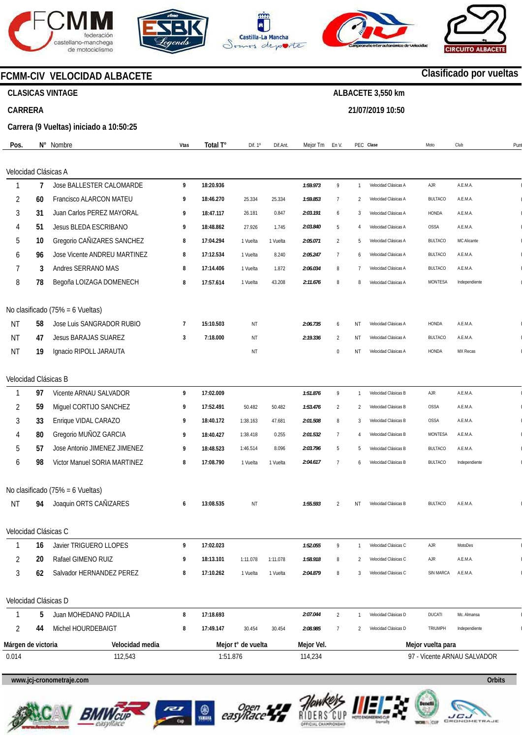







**21/07/2019 10:50** 



# **FCMM-CIV VELOCIDAD ALBACETE**

# **CLASICAS VINTAGE**

# **CARRERA**

**Carrera (9 Vueltas) iniciado a 10:50:25** 

| Pos.                 |    | N° Nombre                        | Vtas           | Total T°  | Dif. 1º            | Dif.Ant. | Mejor Tm   | En V.                       |                | PEC Clase            | Moto              | Club<br>Pun   |
|----------------------|----|----------------------------------|----------------|-----------|--------------------|----------|------------|-----------------------------|----------------|----------------------|-------------------|---------------|
|                      |    |                                  |                |           |                    |          |            |                             |                |                      |                   |               |
| Velocidad Clásicas A |    |                                  |                |           |                    |          |            |                             |                |                      |                   |               |
| 1                    | 7  | Jose BALLESTER CALOMARDE         | 9              | 18:20.936 |                    |          | 1:59.973   | 9                           | $\mathbf{1}$   | Velocidad Clásicas A | AJR               | A.E.M.A.      |
| 2                    | 60 | Francisco ALARCON MATEU          | 9              | 18:46.270 | 25.334             | 25.334   | 1:59.853   | 7                           | 2              | Velocidad Clásicas A | <b>BULTACO</b>    | A.E.M.A.      |
| 3                    | 31 | Juan Carlos PEREZ MAYORAL        | 9              | 18:47.117 | 26.181             | 0.847    | 2:03.191   | 6                           | 3              | Velocidad Clásicas A | <b>HONDA</b>      | A.E.M.A.      |
| 4                    | 51 | Jesus BLEDA ESCRIBANO            | 9              | 18:48.862 | 27.926             | 1.745    | 2:03.840   | 5                           | $\overline{4}$ | Velocidad Clásicas A | OSSA              | A.E.M.A.      |
| 5                    | 10 | Gregorio CAÑIZARES SANCHEZ       | 8              | 17:04.294 | 1 Vuelta           | 1 Vuelta | 2:05.071   | $\overline{2}$              | 5              | Velocidad Clásicas A | <b>BULTACO</b>    | MC Alicante   |
| 6                    | 96 | Jose Vicente ANDREU MARTINEZ     | 8              | 17:12.534 | 1 Vuelta           | 8.240    | 2:05.247   | 7                           | 6              | Velocidad Clásicas A | <b>BULTACO</b>    | A.E.M.A.      |
|                      | 3  | Andres SERRANO MAS               | 8              | 17:14.406 | 1 Vuelta           | 1.872    | 2:06.034   | 8                           | 7              | Velocidad Clásicas A | <b>BULTACO</b>    | A.E.M.A.      |
| 8                    | 78 | Begoña LOIZAGA DOMENECH          | 8              | 17:57.614 | 1 Vuelta           | 43.208   | 2:11.676   | 8                           | 8              | Velocidad Clásicas A | <b>MONTESA</b>    | Independiente |
|                      |    | No clasificado (75% = 6 Vueltas) |                |           |                    |          |            |                             |                |                      |                   |               |
| <b>NT</b>            | 58 | Jose Luis SANGRADOR RUBIO        | $\overline{7}$ | 15:10.503 | ΝT                 |          | 2:06.735   | 6                           | ΝT             | Velocidad Clásicas A | HONDA             | A.E.M.A.      |
| <b>NT</b>            | 47 | <b>Jesus BARAJAS SUAREZ</b>      | 3              | 7:18.000  | ΝT                 |          | 2:19.336   | $\overline{2}$              | ΝT             | Velocidad Clásicas A | <b>BULTACO</b>    | A.E.M.A.      |
| <b>NT</b>            | 19 | Ignacio RIPOLL JARAUTA           |                |           | ΝT                 |          |            | 0                           | ΝT             | Velocidad Clásicas A | HONDA             | MX Recas      |
| Velocidad Clásicas B |    |                                  |                |           |                    |          |            |                             |                |                      |                   |               |
| 1                    | 97 | Vicente ARNAU SALVADOR           | 9              | 17:02.009 |                    |          | 1:51.876   | 9                           | $\mathbf{1}$   | Velocidad Clásicas B | AJR               | A.E.M.A.      |
| 2                    | 59 | Miguel CORTIJO SANCHEZ           | 9              | 17:52.491 | 50.482             | 50.482   | 1:53.476   | $\overline{2}$              | 2              | Velocidad Clásicas B | <b>OSSA</b>       | A.E.M.A.      |
| 3                    | 33 | Enrique VIDAL CARAZO             | 9              | 18:40.172 | 1:38.163           | 47.681   | 2:01.508   | 8                           | 3              | Velocidad Clásicas B | <b>OSSA</b>       | A.E.M.A.      |
| 4                    | 80 | Gregorio MUÑOZ GARCIA            | 9              | 18:40.427 | 1:38.418           | 0.255    | 2:01.532   | $\overline{7}$              | $\overline{4}$ | Velocidad Clásicas B | <b>MONTESA</b>    | A.E.M.A.      |
| 5                    | 57 | Jose Antonio JIMENEZ JIMENEZ     | 9              | 18:48.523 | 1:46.514           | 8.096    | 2:03.796   | 5                           | 5              | Velocidad Clásicas B | <b>BULTACO</b>    | A.E.M.A.      |
| 6                    | 98 | Victor Manuel SORIA MARTINEZ     | 8              | 17:08.790 | 1 Vuelta           | 1 Vuelta | 2:04.617   | 7                           | 6              | Velocidad Clásicas B | <b>BULTACO</b>    | Independiente |
|                      |    | No clasificado (75% = 6 Vueltas) |                |           |                    |          |            |                             |                |                      |                   |               |
| <b>NT</b>            | 94 | Joaquin ORTS CAÑIZARES           | 6              | 13:08.535 | ΝT                 |          | 1:55.593   | $\overline{2}$              | ΝT             | Velocidad Clásicas B | <b>BULTACO</b>    | A.E.M.A.      |
| Velocidad Clásicas C |    |                                  |                |           |                    |          |            |                             |                |                      |                   |               |
| 1                    | 16 | Javier TRIGUERO LLOPES           | 9              | 17:02.023 |                    |          | 1:52.055   | 9                           | -1             | Velocidad Clásicas C | AJR               | MotoDes       |
| 2                    | 20 | Rafael GIMENO RUIZ               | 9              | 18:13.101 | 1:11.078           | 1:11.078 | 1:58.918   | 8                           | 2              | Velocidad Clásicas C | AJR               | A.E.M.A.      |
| 3                    | 62 | Salvador HERNANDEZ PEREZ         | 8              | 17:10.262 | 1 Vuelta           | 1 Vuelta | 2:04.879   | 8                           | 3              | Velocidad Clásicas C | SIN MARCA         | A.E.M.A.      |
| Velocidad Clásicas D |    |                                  |                |           |                    |          |            |                             |                |                      |                   |               |
|                      | 5  | Juan MOHEDANO PADILLA            | 8              | 17:18.693 |                    |          | 2:07.044   | $\overline{2}$              | $\mathbf{1}$   | Velocidad Clásicas D | <b>DUCATI</b>     | Mc. Almansa   |
| 2                    | 44 | Michel HOURDEBAIGT               | 8              | 17:49.147 | 30.454             | 30.454   | 2:08.985   | 7                           | 2              | Velocidad Clásicas D | TRIUMPH           | Independiente |
| Márgen de victoria   |    | Velocidad media                  |                |           | Mejor t° de vuelta |          | Mejor Vel. |                             |                |                      | Mejor vuelta para |               |
| 0.014                |    | 112,543                          |                | 1:51.876  |                    |          | 114,234    | 97 - Vicente ARNAU SALVADOR |                |                      |                   |               |
|                      |    |                                  |                |           |                    |          |            |                             |                |                      |                   |               |

# **www.jcj-cronometraje.com Orbits**













# **Clasificado por vueltas**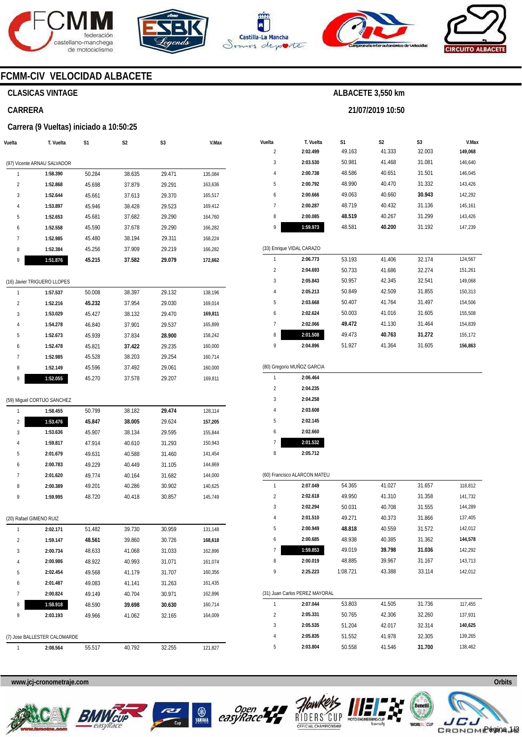







**21/07/2019 10:50** 



# **FCMM-CIV VELOCIDAD ALBACETE**

# **CLASICAS VINTAGE**

# **CARRERA**

### **Carrera (9 Vueltas) iniciado a 10:50:25**

| Vuelta                  | T. Vuelta                                | S1     | S <sub>2</sub> | S3     | V.Max   |
|-------------------------|------------------------------------------|--------|----------------|--------|---------|
|                         |                                          |        |                |        |         |
|                         | (97) Vicente ARNAU SALVADOR              |        |                |        |         |
| 1                       | 1:58.390                                 | 50.284 | 38.635         | 29.471 | 135,084 |
| $\overline{c}$          | 1:52.868                                 | 45.698 | 37.879         | 29.291 | 163,636 |
| 3                       | 1:52.644                                 | 45.661 | 37.613         | 29.370 | 165,517 |
| 4                       | 1:53.897                                 | 45.946 | 38.428         | 29.523 | 169,412 |
| 5                       | 1:52.653                                 | 45.681 | 37.682         | 29.290 | 164,760 |
| 6                       | 1:52.558                                 | 45.590 | 37.678         | 29.290 | 166,282 |
| 7                       | 1:52.985                                 | 45.480 | 38.194         | 29.311 | 168,224 |
| 8                       | 1:52.384                                 | 45.256 | 37.909         | 29.219 | 166,282 |
| 9                       | 1:51.876                                 | 45.215 | 37.582         | 29.079 | 172,662 |
|                         | (16) Javier TRIGUERO LLOPES              |        |                |        |         |
| 1                       | 1:57.537                                 | 50.008 | 38.397         | 29.132 | 138,196 |
| 2                       | 1:52.216                                 | 45.232 | 37.954         | 29.030 | 169,014 |
| 3                       | 1:53.029                                 | 45.427 | 38.132         | 29.470 | 169,811 |
| 4                       | 1:54.278                                 | 46.840 | 37.901         | 29.537 | 165,899 |
| 5                       | 1:52.673                                 | 45.939 | 37.834         | 28.900 | 158,242 |
| 6                       | 1:52.478                                 | 45.821 | 37.422         | 29.235 | 160,000 |
| 7                       | 1:52.985                                 | 45.528 | 38.203         | 29.254 | 160,714 |
| 8                       | 1:52.149                                 | 45.596 | 37.492         | 29.061 | 160,000 |
| 9                       | 1:52.055                                 | 45.270 | 37.578         | 29.207 | 169,811 |
|                         |                                          |        |                |        |         |
|                         | (59) Miguel CORTIJO SANCHEZ              |        |                |        |         |
| 1                       | 1:58.455                                 | 50.799 | 38.182         | 29.474 | 128,114 |
| 2                       | 1:53.476                                 | 45.847 | 38.005         | 29.624 | 157,205 |
| 3                       | 1:53.636                                 | 45.907 | 38.134         | 29.595 | 155,844 |
| 4                       | 1:59.817                                 | 47.914 | 40.610         | 31.293 | 150,943 |
| 5                       | 2:01.679                                 | 49.631 | 40.588         | 31.460 | 141,454 |
| 6                       | 2:00.783                                 | 49.229 | 40.449         | 31.105 | 144,869 |
| 7                       | 2:01.620                                 | 49.774 | 40.164         | 31.682 | 144,000 |
| 8                       | 2:00.389                                 | 49.201 | 40.286         | 30.902 | 140,625 |
| 9                       | 1:59.995                                 | 48.720 | 40.418         | 30.857 | 145,749 |
|                         |                                          |        |                |        |         |
| (20) Rafael GIMENO RUIZ |                                          |        |                |        |         |
|                         | 2:02.171                                 | 51.482 | 39.730         | 30.959 | 131,148 |
| 2                       | 1:59.147                                 | 48.561 | 39.860         | 30.726 | 168,618 |
| 3                       | 2:00.734                                 | 48.633 | 41.068         | 31.033 | 162,896 |
| 4                       | 2:00.986                                 | 48.922 | 40.993         | 31.071 | 161,074 |
| 5                       | 2:02.454                                 | 49.568 | 41.179         | 31.707 | 160,356 |
| 6                       | 2:01.487                                 | 49.083 | 41.141         | 31.263 | 161,435 |
| 7                       | 2:00.824                                 | 49.149 | 40.704         | 30.971 | 162,896 |
| 8                       | 1:58.918                                 | 48.590 | 39.698         | 30.630 | 160,714 |
| 9                       | 2:03.193                                 | 49.966 | 41.062         | 32.165 | 164,009 |
|                         |                                          |        |                |        |         |
| 1                       | (7) Jose BALLESTER CALOMARDE<br>2:08.564 |        |                |        |         |
|                         |                                          | 55.517 | 40.792         | 32.255 | 121,827 |

| Vuelta         | T. Vuelta                  | S <sub>1</sub> | S <sub>2</sub> | S <sub>3</sub> | V.Max   |
|----------------|----------------------------|----------------|----------------|----------------|---------|
| $\overline{2}$ | 2:02.499                   | 49.163         | 41.333         | 32.003         | 149,068 |
| 3              | 2:03.530                   | 50.981         | 41.468         | 31.081         | 146,640 |
| 4              | 2:00.738                   | 48.586         | 40.651         | 31.501         | 146,045 |
| 5              | 2:00.792                   | 48.990         | 40.470         | 31.332         | 143,426 |
| 6              | 2:00.666                   | 49.063         | 40.660         | 30.943         | 142,292 |
| 7              | 2:00.287                   | 48.719         | 40.432         | 31.136         | 145,161 |
| 8              | 2:00.085                   | 48.519         | 40.267         | 31.299         | 143,426 |
| 9              | 1:59.973                   | 48.581         | 40.200         | 31.192         | 147,239 |
|                |                            |                |                |                |         |
|                | (33) Enrique VIDAL CARAZO  |                |                |                |         |
| 1              | 2:06.773                   | 53.193         | 41.406         | 32.174         | 124,567 |
| $\overline{2}$ | 2:04.693                   | 50.733         | 41.686         | 32.274         | 151,261 |
| 3              | 2:05.843                   | 50.957         | 42.345         | 32.541         | 149,068 |
| 4              | 2:05.213                   | 50.849         | 42.509         | 31.855         | 150,313 |
| 5              | 2:03.668                   | 50.407         | 41.764         | 31.497         | 154,506 |
| 6              | 2:02.624                   | 50.003         | 41.016         | 31.605         | 155,508 |
| 7              | 2:02.066                   | 49.472         | 41.130         | 31.464         | 154,839 |
| 8              | 2:01.508                   | 49.473         | 40.763         | 31.272         | 155,172 |
| 9              | 2:04.896                   | 51.927         | 41.364         | 31.605         | 156,863 |
|                |                            |                |                |                |         |
|                | (80) Gregorio MUÑOZ GARCIA |                |                |                |         |
| 1              | 2:06.464                   |                |                |                |         |
| $\overline{2}$ | 2:04.235                   |                |                |                |         |
| 3              | 2:04.258                   |                |                |                |         |

| $\mathfrak z$ | 2:04.235 |
|---------------|----------|
| 3             | 2:04.258 |
| 4             | 2:03.608 |
| 5             | 2:02.145 |
| 6             | 2:02.660 |
| 7             | 2:01.532 |
| ጸ             | 2:05.712 |
|               |          |

| (60) Francisco ALARCON MATEU |                                |          |        |        |         |  |  |  |
|------------------------------|--------------------------------|----------|--------|--------|---------|--|--|--|
| 1                            | 2:07.049                       | 54.365   | 41.027 | 31.657 | 118,812 |  |  |  |
| $\overline{2}$               | 2:02.618                       | 49.950   | 41.310 | 31.358 | 141,732 |  |  |  |
| 3                            | 2:02.294                       | 50.031   | 40.708 | 31.555 | 144,289 |  |  |  |
| 4                            | 2:01.510                       | 49.271   | 40.373 | 31.866 | 137,405 |  |  |  |
| 5                            | 2:00.949                       | 48.818   | 40.559 | 31.572 | 142,012 |  |  |  |
| 6                            | 2:00.685                       | 48.938   | 40.385 | 31.362 | 144,578 |  |  |  |
| 7                            | 1:59.853                       | 49.019   | 39.798 | 31.036 | 142,292 |  |  |  |
| 8                            | 2:00.019                       | 48.885   | 39.967 | 31.167 | 143,713 |  |  |  |
| 9                            | 2:25.223                       | 1:08.721 | 43.388 | 33.114 | 142,012 |  |  |  |
|                              |                                |          |        |        |         |  |  |  |
|                              | (31) Juan Carlos PEREZ MAYORAL |          |        |        |         |  |  |  |
| 1                            | 2:07.044                       | 53.803   | 41.505 | 31.736 | 117,455 |  |  |  |
| $\mathfrak{p}$               | 2:05.331                       | 50.765   | 42.306 | 32.260 | 137,931 |  |  |  |
| 3                            | 2:05.535                       | 51.204   | 42.017 | 32.314 | 140,625 |  |  |  |
| 4                            | 2:05.835                       | 51.552   | 41.978 | 32.305 | 139,265 |  |  |  |
| 5                            | 2:03.804                       | 50.558   | 41.546 | 31.700 | 138,462 |  |  |  |









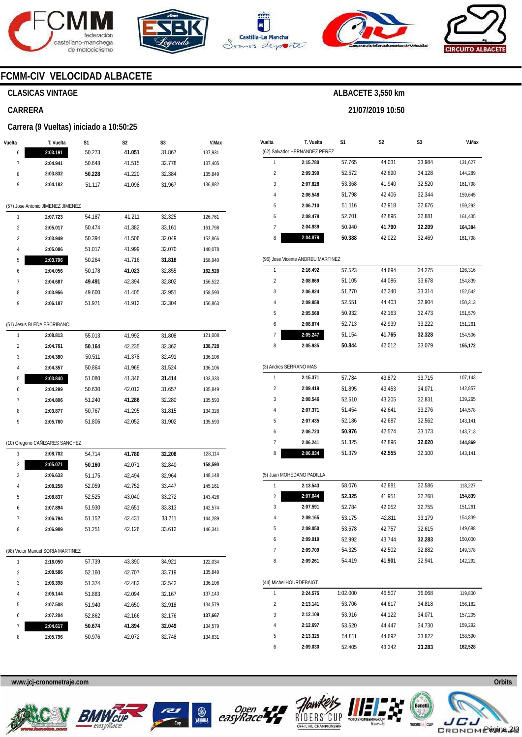







**21/07/2019 10:50** 



# **FCMM-CIV VELOCIDAD ALBACETE**

# **CLASICAS VINTAGE**

# **CARRERA**

### **Carrera (9 Vueltas) iniciado a 10:50:25**

| Vuelta | T. Vuelta                         | S1               | S2               | S3               | V.Max              |  |  |  |  |
|--------|-----------------------------------|------------------|------------------|------------------|--------------------|--|--|--|--|
| 6      | 2:03.191                          | 50.273           | 41.051           | 31.867           | 137,931            |  |  |  |  |
| 7      | 2:04.941                          | 50.648           | 41.515           | 32.778           | 137,405            |  |  |  |  |
| 8      | 2:03.832                          | 50.228           | 41.220           | 32.384           | 135,849            |  |  |  |  |
| 9      | 2:04.182                          | 51.117           | 41.098           | 31.967           | 136,882            |  |  |  |  |
|        |                                   |                  |                  |                  |                    |  |  |  |  |
|        | (57) Jose Antonio JIMENEZ JIMENEZ |                  |                  |                  |                    |  |  |  |  |
| 1      | 2:07.723                          | 54.187           | 41.211           | 32.325           | 126,761            |  |  |  |  |
| 2      | 2:05.017                          | 50.474           | 41.382           | 33.161           | 161,798            |  |  |  |  |
| 3      | 2:03.949                          | 50.394           | 41.506           | 32.049           | 152,866            |  |  |  |  |
| 4      | 2:05.086                          | 51.017           | 41.999           | 32.070           | 140,078            |  |  |  |  |
| 5      | 2:03.796                          | 50.264           | 41.716           | 31.816           | 158,940            |  |  |  |  |
| 6      | 2:04.056                          | 50.178           | 41.023           | 32.855           | 162,528            |  |  |  |  |
| 7      | 2:04.687                          | 49.491           | 42.394           | 32.802           | 156,522            |  |  |  |  |
| 8      | 2:03.956                          | 49.600           | 41.405           | 32.951           | 158,590            |  |  |  |  |
| 9      | 2:06.187                          | 51.971           | 41.912           | 32.304           | 156,863            |  |  |  |  |
|        |                                   |                  |                  |                  |                    |  |  |  |  |
|        | (51) Jesus BLEDA ESCRIBANO        |                  |                  |                  |                    |  |  |  |  |
| 1      | 2:08.813                          | 55.013           | 41.992           | 31.808           | 121,008            |  |  |  |  |
| 2      | 2:04.761                          | 50.164           | 42.235           | 32.362           | 138,728            |  |  |  |  |
| 3<br>4 | 2:04.380                          | 50.511           | 41.378           | 32.491           | 136,106            |  |  |  |  |
| 5      | 2:04.357                          | 50.864<br>51.080 | 41.969<br>41.346 | 31.524<br>31.414 | 136,106            |  |  |  |  |
| 6      | 2:03.840<br>2:04.299              | 50.630           | 42.012           | 31.657           | 133,333<br>135,849 |  |  |  |  |
| 7      | 2:04.806                          | 51.240           | 41.286           | 32.280           | 135,593            |  |  |  |  |
| 8      | 2:03.877                          | 50.767           | 41.295           | 31.815           | 134,328            |  |  |  |  |
| 9      | 2:05.760                          | 51.806           | 42.052           | 31.902           | 135,593            |  |  |  |  |
|        |                                   |                  |                  |                  |                    |  |  |  |  |
|        | (10) Gregorio CAÑIZARES SANCHEZ   |                  |                  |                  |                    |  |  |  |  |
| 1      | 2:08.702                          | 54.714           | 41.780           | 32.208           | 128,114            |  |  |  |  |
| 2      | 2:05.071                          | 50.160           | 42.071           | 32.840           | 158,590            |  |  |  |  |
| 3      | 2:06.633                          | 51.175           | 42.494           | 32.964           | 148,148            |  |  |  |  |
| 4      | 2:08.258                          | 52.059           | 42.752           | 33.447           | 145,161            |  |  |  |  |
| 5      | 2:08.837                          | 52.525           | 43.040           | 33.272           | 143,426            |  |  |  |  |
| 6      | 2:07.894                          | 51.930           | 42.651           | 33.313           | 142,574            |  |  |  |  |
| 7      | 2:06.794                          | 51.152           | 42.431           | 33.211           | 144,289            |  |  |  |  |
| 8      | 2:06.989                          | 51.251           | 42.126           | 33.612           | 146,341            |  |  |  |  |
|        |                                   |                  |                  |                  |                    |  |  |  |  |
|        | (98) Victor Manuel SORIA MARTINEZ |                  |                  |                  |                    |  |  |  |  |
| 1      | 2:16.050                          | 57.739           | 43.390           | 34.921           | 122,034            |  |  |  |  |
| 2      | 2:08.586                          | 52.160           | 42.707           | 33.719           | 135,849            |  |  |  |  |
| 3      | 2:06.398                          | 51.374           | 42.482           | 32.542           | 136,106            |  |  |  |  |
| 4      | 2:06.144                          | 51.883           | 42.094           | 32.167           | 137,143            |  |  |  |  |
| 5      | 2:07.508                          | 51.940           | 42.650           | 32.918           | 134,579            |  |  |  |  |
| 6      | 2:07.204                          | 52.862           | 42.166           | 32.176           | 137,667            |  |  |  |  |
| 7      | 2:04.617                          | 50.674           | 41.894           | 32.049           | 134,579            |  |  |  |  |
| 8      | 2:05.796                          | 50.976           | 42.072           | 32.748           | 134,831            |  |  |  |  |

| Vuelta                  | T. Vuelta                           | S1       | S2               | S3     | V.Max   |
|-------------------------|-------------------------------------|----------|------------------|--------|---------|
|                         | (62) Salvador HERNANDEZ PEREZ       |          |                  |        |         |
| 1                       | 2:15.780                            | 57.765   | 44.031           | 33.984 | 131,627 |
| $\overline{2}$          | 2:09.390                            | 52.572   | 42.690           | 34.128 | 144,289 |
| 3                       | 2:07.828                            | 53.368   | 41.940           | 32.520 | 161,798 |
| 4                       | 2:06.548                            | 51.798   | 42.406           | 32.344 | 159,645 |
| 5                       | 2:06.710                            | 51.116   | 42.918           | 32.676 | 159,292 |
| 6                       | 2:08.478                            | 52.701   | 42.896           | 32.881 | 161,435 |
| 7                       | 2:04.939                            | 50.940   | 41.790           | 32.209 | 164,384 |
| 8                       | 2:04.879                            | 50.388   | 42.022           | 32.469 | 161,798 |
|                         | (96) Jose Vicente ANDREU MARTINEZ   |          |                  |        |         |
| 1                       | 2:16.492                            | 57.523   | 44.694           | 34.275 | 126,316 |
| $\overline{\mathbf{c}}$ | 2:08.869                            | 51.105   | 44.086           | 33.678 | 154,839 |
| 3                       | 2:06.824                            | 51.270   | 42.240           | 33.314 | 152,542 |
| 4                       | 2:09.858                            | 52.551   | 44.403           | 32.904 | 150,313 |
| 5                       | 2:05.568                            | 50.932   | 42.163           | 32.473 | 151,579 |
| 6                       | 2:08.874                            | 52.713   | 42.939           | 33.222 | 151,261 |
| 7                       | 2:05.247                            | 51.154   | 41.765           | 32.328 | 154,506 |
| 8                       | 2:05.935                            | 50.844   | 42.012           | 33.079 | 155,172 |
|                         | (3) Andres SERRANO MAS              |          |                  |        |         |
| 1                       | 2:15.371                            | 57.784   | 43.872           | 33.715 | 107,143 |
| $\overline{\mathbf{c}}$ | 2:09.419                            | 51.895   | 43.453           | 34.071 | 142,857 |
| 3                       | 2:08.546                            | 52.510   | 43.205           | 32.831 | 139,265 |
| 4                       | 2:07.371                            | 51.454   | 42.641           | 33.276 | 144,578 |
| 5                       | 2:07.435                            | 52.186   | 42.687           | 32.562 | 143,141 |
| 6                       | 2:06.723                            | 50.976   | 42.574           | 33.173 | 143,713 |
| 7                       | 2:06.241                            | 51.325   | 42.896           | 32.020 | 144,869 |
| 8                       | 2:06.034                            | 51.379   | 42.555           | 32.100 | 143,141 |
|                         | (5) Juan MOHEDANO PADILLA           |          |                  |        |         |
| 1                       | 2:13.543                            | 58.076   | 42.881           | 32.586 | 118,227 |
| $\overline{\mathbf{c}}$ | 2:07.044                            | 52.325   | 41.951           | 32.768 | 154,839 |
| 3                       | 2:07.591                            | 52.784   | 42.052           | 32.755 | 151,261 |
| 4                       | 2:09.165                            | 53.175   | 42.811           | 33.179 | 154,839 |
| 5                       | 2:09.050                            | 53.678   | 42.757           | 32.615 | 149,688 |
| 6                       | 2:09.019                            | 52.992   | 43.744           | 32.283 | 150,000 |
| 7                       | 2:09.709                            | 54.325   | 42.502           | 32.882 | 149,378 |
| 8                       | 2:09.261                            | 54.419   | 41.901           | 32.941 | 142,292 |
|                         |                                     |          |                  |        |         |
| 1                       | (44) Michel HOURDEBAIGT<br>2:24.575 |          |                  |        |         |
| $\overline{2}$          |                                     | 1:02.000 | 46.507           | 36.068 | 119,800 |
| 3                       | 2:13.141                            | 53.706   | 44.617           | 34.818 | 156,182 |
|                         | 2:12.109                            | 53.916   | 44.122<br>44.447 | 34.071 | 157,205 |
| 4                       | 2:12.697                            | 53.520   |                  | 34.730 | 159,292 |
| 5                       | 2:13.325                            | 54.811   | 44.692           | 33.822 | 158,590 |
| 6                       | 2:09.030                            | 52.405   | 43.342           | 33.283 | 162,528 |

**www.jcj-cronometraje.com Orbits** 









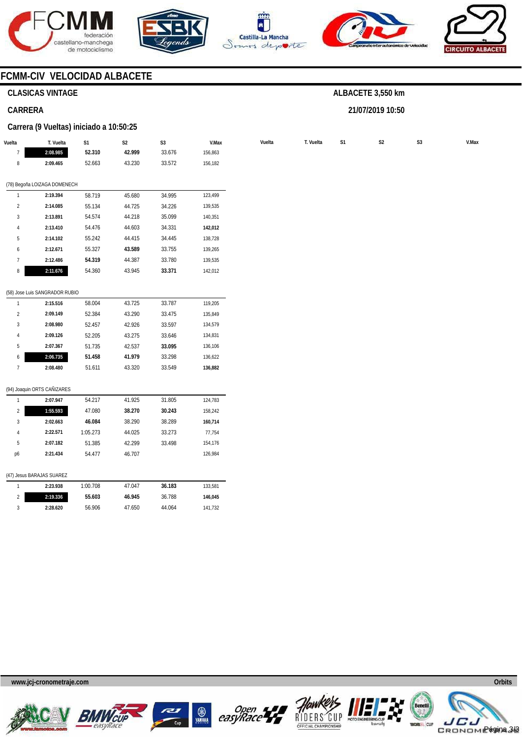









# **CLASICAS VINTAGE**

# **CARRERA**

### **Carrera (9 Vueltas) iniciado a 10:50:25**

| Vuelta         | T. Vuelta                      | S1       | S <sub>2</sub> | $\mathsf{S}3$ | V.Max   | Vuelta | T. Vuelta | S1 | $\mathsf{S2}\,$ | $\mathsf{S}3$ | V.Max |
|----------------|--------------------------------|----------|----------------|---------------|---------|--------|-----------|----|-----------------|---------------|-------|
| $\overline{7}$ | 2:08.985                       | 52.310   | 42.999         | 33.676        | 156,863 |        |           |    |                 |               |       |
| 8              | 2:09.465                       | 52.663   | 43.230         | 33.572        | 156,182 |        |           |    |                 |               |       |
|                | (78) Begoña LOIZAGA DOMENECH   |          |                |               |         |        |           |    |                 |               |       |
| $\mathbf{1}$   | 2:19.394                       | 58.719   | 45.680         | 34.995        | 123,499 |        |           |    |                 |               |       |
| $\overline{2}$ | 2:14.085                       | 55.134   | 44.725         | 34.226        | 139,535 |        |           |    |                 |               |       |
| 3              | 2:13.891                       | 54.574   | 44.218         | 35.099        | 140,351 |        |           |    |                 |               |       |
| 4              | 2:13.410                       | 54.476   | 44.603         | 34.331        | 142,012 |        |           |    |                 |               |       |
| 5              | 2:14.102                       | 55.242   | 44.415         | 34.445        | 138,728 |        |           |    |                 |               |       |
| 6              | 2:12.671                       | 55.327   | 43.589         | 33.755        | 139,265 |        |           |    |                 |               |       |
| $\overline{7}$ | 2:12.486                       | 54.319   | 44.387         | 33.780        | 139,535 |        |           |    |                 |               |       |
| 8              | 2:11.676                       | 54.360   | 43.945         | 33.371        | 142,012 |        |           |    |                 |               |       |
|                |                                |          |                |               |         |        |           |    |                 |               |       |
|                | (58) Jose Luis SANGRADOR RUBIO |          |                |               |         |        |           |    |                 |               |       |
| $\mathbf{1}$   | 2:15.516                       | 58.004   | 43.725         | 33.787        | 119,205 |        |           |    |                 |               |       |
| $\sqrt{2}$     | 2:09.149                       | 52.384   | 43.290         | 33.475        | 135,849 |        |           |    |                 |               |       |
| 3              | 2:08.980                       | 52.457   | 42.926         | 33.597        | 134,579 |        |           |    |                 |               |       |
| 4              | 2:09.126                       | 52.205   | 43.275         | 33.646        | 134,831 |        |           |    |                 |               |       |
| 5              | 2:07.367                       | 51.735   | 42.537         | 33.095        | 136,106 |        |           |    |                 |               |       |
| 6              | 2:06.735                       | 51.458   | 41.979         | 33.298        | 136,622 |        |           |    |                 |               |       |
| $7\phantom{.}$ | 2:08.480                       | 51.611   | 43.320         | 33.549        | 136,882 |        |           |    |                 |               |       |
|                | (94) Joaquin ORTS CAÑIZARES    |          |                |               |         |        |           |    |                 |               |       |
| $\mathbf{1}$   | 2:07.947                       | 54.217   | 41.925         | 31.805        | 124,783 |        |           |    |                 |               |       |
| $\sqrt{2}$     | 1:55.593                       | 47.080   | 38.270         | 30.243        | 158,242 |        |           |    |                 |               |       |
| 3              | 2:02.663                       | 46.084   | 38.290         | 38.289        | 160,714 |        |           |    |                 |               |       |
| $\overline{4}$ | 2:22.571                       | 1:05.273 | 44.025         | 33.273        | 77,754  |        |           |    |                 |               |       |
| 5              | 2:07.182                       | 51.385   | 42.299         | 33.498        | 154,176 |        |           |    |                 |               |       |
| p6             | 2:21.434                       | 54.477   | 46.707         |               | 126,984 |        |           |    |                 |               |       |
|                | (47) Jesus BARAJAS SUAREZ      |          |                |               |         |        |           |    |                 |               |       |
| $\overline{1}$ | 2:23.938                       | 1:00.708 | 47.047         | 36.183        | 133,581 |        |           |    |                 |               |       |
| $\sqrt{2}$     | 2:19.336                       | 55.603   | 46.945         | 36.788        | 146,045 |        |           |    |                 |               |       |
| 3              | 2:28.620                       | 56.906   | 47.650         | 44.064        | 141,732 |        |           |    |                 |               |       |
|                |                                |          |                |               |         |        |           |    |                 |               |       |

**ALBACETE 3,550 km** 

**21/07/2019 10:50** 









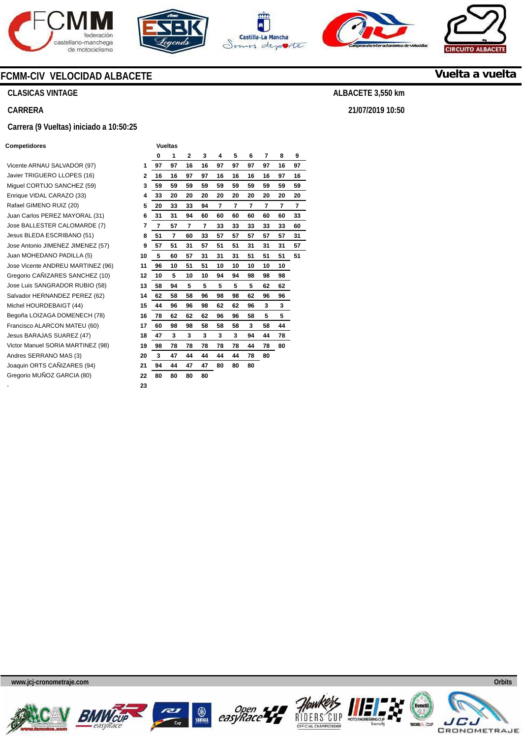









**CLASICAS VINTAGE** 

**CARRERA** 

### **Carrera (9 Vueltas) iniciado a 10:50:25**

#### **Competidores Vueltas**

|                                   |              | 0  | 1  | $\mathbf{2}$ | 3  | 4  | 5  | 6  | 7  | 8  | 9  |
|-----------------------------------|--------------|----|----|--------------|----|----|----|----|----|----|----|
| Vicente ARNAU SALVADOR (97)       | 1            | 97 | 97 | 16           | 16 | 97 | 97 | 97 | 97 | 16 | 97 |
| Javier TRIGUERO LLOPES (16)       | $\mathbf{2}$ | 16 | 16 | 97           | 97 | 16 | 16 | 16 | 16 | 97 | 16 |
| Miguel CORTIJO SANCHEZ (59)       | 3            | 59 | 59 | 59           | 59 | 59 | 59 | 59 | 59 | 59 | 59 |
| Enrique VIDAL CARAZO (33)         | 4            | 33 | 20 | 20           | 20 | 20 | 20 | 20 | 20 | 20 | 20 |
| Rafael GIMENO RUIZ (20)           | 5            | 20 | 33 | 33           | 94 | 7  | 7  | 7  | 7  | 7  | 7  |
| Juan Carlos PEREZ MAYORAL (31)    | 6            | 31 | 31 | 94           | 60 | 60 | 60 | 60 | 60 | 60 | 33 |
| Jose BALLESTER CALOMARDE (7)      | 7            | 7  | 57 | 7            | 7  | 33 | 33 | 33 | 33 | 33 | 60 |
| Jesus BLEDA ESCRIBANO (51)        | 8            | 51 | 7  | 60           | 33 | 57 | 57 | 57 | 57 | 57 | 31 |
| Jose Antonio JIMENEZ JIMENEZ (57) | 9            | 57 | 51 | 31           | 57 | 51 | 51 | 31 | 31 | 31 | 57 |
| Juan MOHEDANO PADILLA (5)         | 10           | 5  | 60 | 57           | 31 | 31 | 31 | 51 | 51 | 51 | 51 |
| Jose Vicente ANDREU MARTINEZ (96) | 11           | 96 | 10 | 51           | 51 | 10 | 10 | 10 | 10 | 10 |    |
| Gregorio CAÑIZARES SANCHEZ (10)   | 12           | 10 | 5  | 10           | 10 | 94 | 94 | 98 | 98 | 98 |    |
| Jose Luis SANGRADOR RUBIO (58)    | 13           | 58 | 94 | 5            | 5  | 5  | 5  | 5  | 62 | 62 |    |
| Salvador HERNANDEZ PEREZ (62)     | 14           | 62 | 58 | 58           | 96 | 98 | 98 | 62 | 96 | 96 |    |
| Michel HOURDEBAIGT (44)           | 15           | 44 | 96 | 96           | 98 | 62 | 62 | 96 | 3  | 3  |    |
| Begoña LOIZAGA DOMENECH (78)      | 16           | 78 | 62 | 62           | 62 | 96 | 96 | 58 | 5  | 5  |    |
| Francisco ALARCON MATEU (60)      | 17           | 60 | 98 | 98           | 58 | 58 | 58 | 3  | 58 | 44 |    |
| Jesus BARAJAS SUAREZ (47)         | 18           | 47 | 3  | 3            | 3  | 3  | 3  | 94 | 44 | 78 |    |
| Victor Manuel SORIA MARTINEZ (98) | 19           | 98 | 78 | 78           | 78 | 78 | 78 | 44 | 78 | 80 |    |
| Andres SERRANO MAS (3)            | 20           | 3  | 47 | 44           | 44 | 44 | 44 | 78 | 80 |    |    |
| Joaquin ORTS CAÑIZARES (94)       | 21           | 94 | 44 | 47           | 47 | 80 | 80 | 80 |    |    |    |
| Gregorio MUÑOZ GARCIA (80)        | 22           | 80 | 80 | 80           | 80 |    |    |    |    |    |    |
|                                   | 23           |    |    |              |    |    |    |    |    |    |    |















**Vuelta a vuelta**

**ALBACETE 3,550 km** 

**21/07/2019 10:50**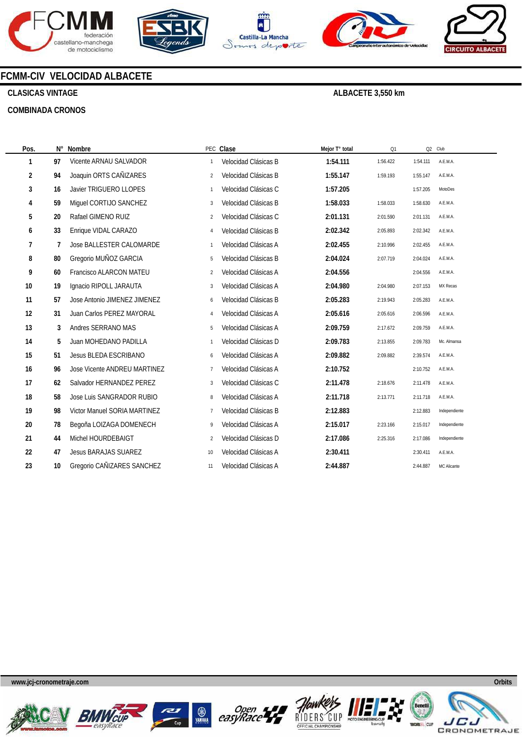









# **CLASICAS VINTAGE**

### **COMBINADA CRONOS**

**ALBACETE 3,550 km** 

| Pos.           | N° | Nombre                          |                | PEC Clase            | Mejor T° total | Q1       |          | Q2 Club       |
|----------------|----|---------------------------------|----------------|----------------------|----------------|----------|----------|---------------|
| 1              | 97 | Vicente ARNAU SALVADOR          | $\mathbf{1}$   | Velocidad Clásicas B | 1:54.111       | 1:56.422 | 1:54.111 | A.E.M.A.      |
| $\overline{2}$ | 94 | Joaquin ORTS CAÑIZARES          | $\overline{2}$ | Velocidad Clásicas B | 1:55.147       | 1:59.193 | 1:55.147 | A.E.M.A.      |
| 3              | 16 | Javier TRIGUERO LLOPES          | $\mathbf{1}$   | Velocidad Clásicas C | 1:57.205       |          | 1:57.205 | MotoDes       |
| 4              | 59 | Miquel CORTIJO SANCHEZ          | 3              | Velocidad Clásicas B | 1:58.033       | 1:58.033 | 1:58.630 | A.E.M.A.      |
| 5              | 20 | Rafael GIMENO RUIZ              | $\overline{2}$ | Velocidad Clásicas C | 2:01.131       | 2:01.590 | 2:01.131 | A.E.M.A.      |
| 6              | 33 | Enrique VIDAL CARAZO            | $\overline{4}$ | Velocidad Clásicas B | 2:02.342       | 2:05.893 | 2:02.342 | A.E.M.A.      |
| 7              | 7  | <b>Jose BALLESTER CALOMARDE</b> | $\mathbf{1}$   | Velocidad Clásicas A | 2:02.455       | 2:10.996 | 2:02.455 | A.E.M.A.      |
| 8              | 80 | Gregorio MUÑOZ GARCIA           | 5              | Velocidad Clásicas B | 2:04.024       | 2:07.719 | 2:04.024 | A.E.M.A.      |
| 9              | 60 | Francisco ALARCON MATEU         | $\overline{2}$ | Velocidad Clásicas A | 2:04.556       |          | 2:04.556 | A.E.M.A.      |
| 10             | 19 | Ignacio RIPOLL JARAUTA          | 3              | Velocidad Clásicas A | 2:04.980       | 2:04.980 | 2:07.153 | MX Recas      |
| 11             | 57 | Jose Antonio JIMENEZ JIMENEZ    | 6              | Velocidad Clásicas B | 2:05.283       | 2:19.943 | 2:05.283 | A.E.M.A.      |
| 12             | 31 | Juan Carlos PEREZ MAYORAL       | $\overline{4}$ | Velocidad Clásicas A | 2:05.616       | 2:05.616 | 2:06.596 | A.E.M.A.      |
| 13             | 3  | Andres SERRANO MAS              | 5              | Velocidad Clásicas A | 2:09.759       | 2:17.672 | 2:09.759 | A.E.M.A.      |
| 14             | 5  | Juan MOHEDANO PADILLA           | $\mathbf{1}$   | Velocidad Clásicas D | 2:09.783       | 2:13.855 | 2:09.783 | Mc. Almansa   |
| 15             | 51 | Jesus BLEDA ESCRIBANO           | 6              | Velocidad Clásicas A | 2:09.882       | 2:09.882 | 2:39.574 | A.E.M.A.      |
| 16             | 96 | Jose Vicente ANDREU MARTINEZ    | $\overline{7}$ | Velocidad Clásicas A | 2:10.752       |          | 2:10.752 | A.E.M.A.      |
| 17             | 62 | Salvador HERNANDEZ PEREZ        | 3              | Velocidad Clásicas C | 2:11.478       | 2:18.676 | 2:11.478 | A.E.M.A.      |
| 18             | 58 | Jose Luis SANGRADOR RUBIO       | 8              | Velocidad Clásicas A | 2:11.718       | 2:13.771 | 2:11.718 | A.E.M.A.      |
| 19             | 98 | Victor Manuel SORIA MARTINEZ    | $\overline{7}$ | Velocidad Clásicas B | 2:12.883       |          | 2:12.883 | Independiente |
| 20             | 78 | Begoña LOIZAGA DOMENECH         | 9              | Velocidad Clásicas A | 2:15.017       | 2:23.166 | 2:15.017 | Independiente |
| 21             | 44 | Michel HOURDEBAIGT              | $\overline{c}$ | Velocidad Clásicas D | 2:17.086       | 2:25.316 | 2:17.086 | Independiente |
| 22             | 47 | <b>Jesus BARAJAS SUAREZ</b>     | 10             | Velocidad Clásicas A | 2:30.411       |          | 2:30.411 | A.E.M.A.      |
| 23             | 10 | Gregorio CAÑIZARES SANCHEZ      | 11             | Velocidad Clásicas A | 2:44.887       |          | 2:44.887 | MC Alicante   |
|                |    |                                 |                |                      |                |          |          |               |











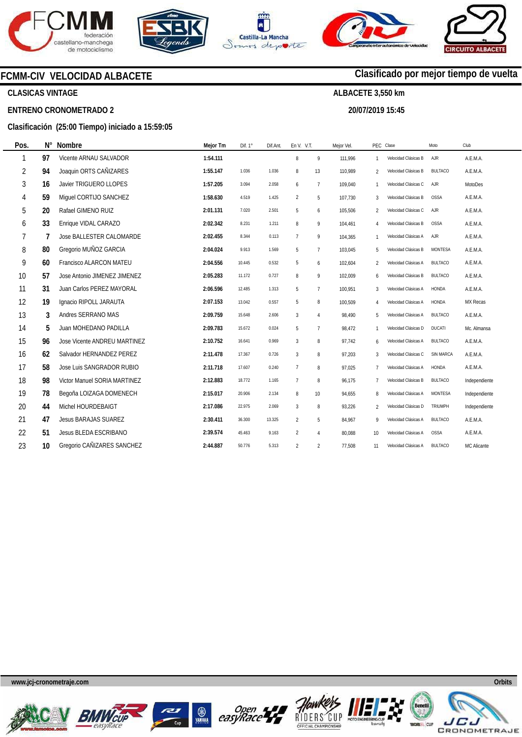







**20/07/2019 15:45** 

**Clasificado por mejor tiempo de vuelta**



**CLASICAS VINTAGE** 

**ENTRENO CRONOMETRADO 2** 

# **Clasificación (25:00 Tiempo) iniciado a 15:59:05**

| Pos.           | $N^{\circ}$ | <b>Nombre</b>                   | Mejor Tm | Dif. 1° | Dif.Ant. | En V. V.T.     |                | Mejor Vel. | PEC.             | Clase                | Moto             | Club           |
|----------------|-------------|---------------------------------|----------|---------|----------|----------------|----------------|------------|------------------|----------------------|------------------|----------------|
| 1              | 97          | Vicente ARNAU SALVADOR          | 1:54.111 |         |          | 8              | 9              | 111.996    | $\mathbf{1}$     | Velocidad Clásicas B | <b>AJR</b>       | A.E.M.A.       |
| $\overline{2}$ | 94          | Joaquin ORTS CAÑIZARES          | 1:55.147 | 1.036   | 1.036    | 8              | 13             | 110,989    | 2                | Velocidad Clásicas B | <b>BULTACO</b>   | A.E.M.A.       |
| 3              | 16          | Javier TRIGUERO LLOPES          | 1:57.205 | 3.094   | 2.058    | 6              | $\overline{7}$ | 109.040    | $\mathbf{1}$     | Velocidad Clásicas C | AJR              | <b>MotoDes</b> |
| 4              | 59          | Miquel CORTIJO SANCHEZ          | 1:58.630 | 4.519   | 1.425    | 2              | 5              | 107,730    | 3                | Velocidad Clásicas B | <b>OSSA</b>      | A.E.M.A.       |
| 5              | 20          | Rafael GIMENO RUIZ              | 2:01.131 | 7.020   | 2.501    | 5              | 6              | 105.506    | 2                | Velocidad Clásicas C | AJR              | A.E.M.A.       |
| 6              | 33          | Enrique VIDAL CARAZO            | 2:02.342 | 8.231   | 1.211    | 8              | 9              | 104,461    | 4                | Velocidad Clásicas B | <b>OSSA</b>      | A.E.M.A.       |
| 7              | 7           | <b>Jose BALLESTER CALOMARDE</b> | 2:02.455 | 8.344   | 0.113    | $\overline{7}$ | 9              | 104.365    | $\mathbf{1}$     | Velocidad Clásicas A | AJR              | A.E.M.A.       |
| 8              | 80          | Gregorio MUÑOZ GARCIA           | 2:04.024 | 9.913   | 1.569    | 5              | $\overline{7}$ | 103,045    | 5                | Velocidad Clásicas B | <b>MONTESA</b>   | A.E.M.A.       |
| 9              | 60          | Francisco ALARCON MATEU         | 2:04.556 | 10.445  | 0.532    | 5              | 6              | 102,604    | 2                | Velocidad Clásicas A | <b>BULTACO</b>   | A.E.M.A.       |
| 10             | 57          | Jose Antonio JIMENEZ JIMENEZ    | 2:05.283 | 11.172  | 0.727    | 8              | 9              | 102,009    | 6                | Velocidad Clásicas B | <b>BULTACO</b>   | A.E.M.A.       |
| 11             | 31          | Juan Carlos PEREZ MAYORAL       | 2:06.596 | 12.485  | 1.313    | 5              | $\overline{7}$ | 100,951    | 3                | Velocidad Clásicas A | HONDA            | A.E.M.A.       |
| 12             | 19          | Ignacio RIPOLL JARAUTA          | 2:07.153 | 13.042  | 0.557    | 5              | 8              | 100.509    | 4                | Velocidad Clásicas A | HONDA            | MX Recas       |
| 13             | 3           | Andres SERRANO MAS              | 2:09.759 | 15.648  | 2.606    | 3              | $\overline{4}$ | 98.490     | 5                | Velocidad Clásicas A | <b>BULTACO</b>   | A.E.M.A.       |
| 14             | 5           | Juan MOHEDANO PADILLA           | 2:09.783 | 15.672  | 0.024    | 5              | $\overline{7}$ | 98.472     | $\mathbf{1}$     | Velocidad Clásicas D | <b>DUCATI</b>    | Mc. Almansa    |
| 15             | 96          | Jose Vicente ANDREU MARTINEZ    | 2:10.752 | 16.641  | 0.969    | $\mathbf{3}$   | 8              | 97.742     | 6                | Velocidad Clásicas A | <b>BULTACO</b>   | A.E.M.A.       |
| 16             | 62          | Salvador HERNANDEZ PEREZ        | 2:11.478 | 17.367  | 0.726    | 3              | 8              | 97.203     | 3                | Velocidad Clásicas C | <b>SIN MARCA</b> | A.E.M.A.       |
| 17             | 58          | Jose Luis SANGRADOR RUBIO       | 2:11.718 | 17.607  | 0.240    | $\overline{7}$ | 8              | 97,025     | $\overline{7}$   | Velocidad Clásicas A | HONDA            | A.E.M.A.       |
| 18             | 98          | Victor Manuel SORIA MARTINEZ    | 2:12.883 | 18.772  | 1.165    | $\overline{7}$ | 8              | 96.175     | 7                | Velocidad Clásicas B | <b>BULTACO</b>   | Independiente  |
| 19             | 78          | Begoña LOIZAGA DOMENECH         | 2:15.017 | 20.906  | 2.134    | 8              | 10             | 94,655     | 8                | Velocidad Clásicas A | MONTESA          | Independiente  |
| 20             | 44          | Michel HOURDEBAIGT              | 2:17.086 | 22.975  | 2.069    | 3              | 8              | 93,226     | $\overline{2}$   | Velocidad Clásicas D | TRIUMPH          | Independiente  |
| 21             | 47          | <b>Jesus BARAJAS SUAREZ</b>     | 2:30.411 | 36.300  | 13.325   | $\overline{2}$ | 5              | 84,967     | 9                | Velocidad Clásicas A | <b>BULTACO</b>   | A.E.M.A.       |
| 22             | 51          | Jesus BLEDA ESCRIBANO           | 2:39.574 | 45.463  | 9.163    | $\overline{2}$ | $\overline{4}$ | 80,088     | 10 <sup>10</sup> | Velocidad Clásicas A | <b>OSSA</b>      | A.E.M.A.       |
| 23             | 10          | Gregorio CAÑIZARES SANCHEZ      | 2:44.887 | 50.776  | 5.313    | $\overline{2}$ | $\overline{2}$ | 77,508     | 11               | Velocidad Clásicas A | <b>BULTACO</b>   | MC Alicante    |
|                |             |                                 |          |         |          |                |                |            |                  |                      |                  |                |











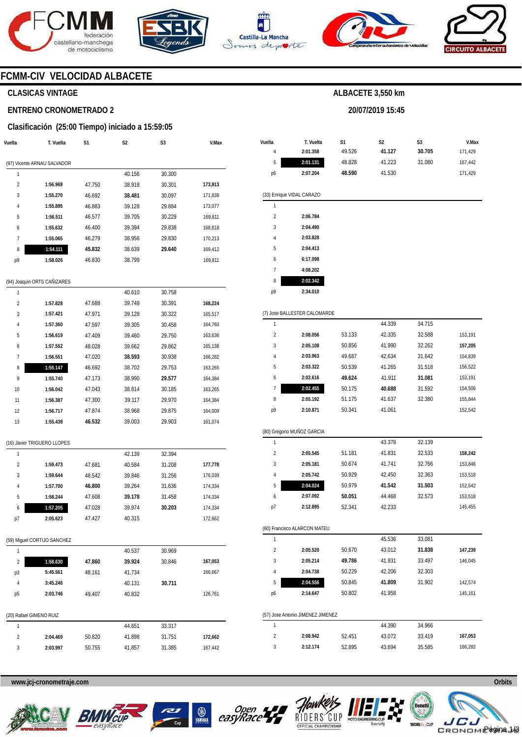







**20/07/2019 15:45** 



# **FCMM-CIV VELOCIDAD ALBACETE**

# **CLASICAS VINTAGE**

# **ENTRENO CRONOMETRADO 2**

# **Clasificación (25:00 Tiempo) iniciado a 15:59:05**

| Vuelta         | T. Vuelta                   | S1     | S2     | S3     | V.Max   |
|----------------|-----------------------------|--------|--------|--------|---------|
|                | (97) Vicente ARNAU SALVADOR |        |        |        |         |
| 1              |                             |        | 40.156 | 30.300 |         |
| $\overline{2}$ | 1:56.969                    | 47.750 | 38.918 | 30.301 | 173,913 |
| 3              | 1:55.270                    | 46.692 | 38.481 | 30.097 | 171,838 |
| 4              | 1:55.895                    | 46.883 | 39.128 | 29.884 | 173,077 |
| 5              | 1:56.511                    | 46.577 | 39.705 | 30.229 | 169,811 |
| 6              | 1:55.632                    | 46.400 | 39.394 | 29.838 | 168,618 |
| 7              | 1:55.065                    | 46.279 | 38.956 | 29.830 | 170,213 |
| 8              | 1:54.111                    | 45.832 | 38.639 | 29.640 | 169,412 |
| p9             | 1:58.026                    | 46.830 | 38.799 |        | 169,811 |
|                | (94) Joaquin ORTS CAÑIZARES |        |        |        |         |
| 1              |                             |        | 40.610 | 30.758 |         |
| $\overline{2}$ | 1:57.828                    | 47.688 | 39.749 | 30.391 | 168,224 |
| 3              | 1:57.421                    | 47.971 | 39.128 | 30.322 | 165,517 |
| 4              | 1:57.360                    | 47.597 | 39.305 | 30.458 | 164,760 |
| 5              | 1:56.619                    | 47.409 | 39.460 | 29.750 | 163,636 |
| 6              | 1:57.552                    | 48.028 | 39.662 | 29.862 | 165,138 |
| $\overline{1}$ | 1:56.551                    | 47.020 | 38.593 | 30.938 | 166,282 |
| 8              | 1:55.147                    | 46.692 | 38.702 | 29.753 | 163,265 |
| 9              | 1:55.740                    | 47.173 | 38.990 | 29.577 | 164,384 |
| 10             | 1:56.042                    | 47.043 | 38.814 | 30.185 | 163,265 |
| 11             | 1:56.387                    | 47.300 | 39.117 | 29.970 | 164,384 |
| 12             | 1:56.717                    | 47.874 | 38.968 | 29.875 | 164,009 |
| 13             | 1:55.438                    | 46.532 | 39.003 | 29.903 | 161,074 |
|                | (16) Javier TRIGUERO LLOPES |        |        |        |         |
| 1              |                             |        | 42.139 | 32.394 |         |
| 2              | 1:59.473                    | 47.681 | 40.584 | 31.208 | 177,778 |
| 3              | 1:59.644                    | 48.542 | 39.846 | 31.256 | 176,039 |
| 4              | 1:57.700                    | 46.800 | 39.264 | 31.636 | 174,334 |
| 5              | 1:58.244                    | 47.608 | 39.178 | 31.458 | 174,334 |
| 6              | 1:57.205                    | 47.028 | 39.974 | 30.203 | 174,334 |
| p7             | 2:05.623                    | 47.427 | 40.315 |        | 172,662 |
|                | (59) Miguel CORTIJO SANCHEZ |        |        |        |         |
| 1              |                             |        | 40.537 | 30.969 |         |
| 2              | 1:58.630                    | 47.860 | 39.924 | 30.846 | 167,053 |
| p3             | 5:45.561                    | 48.161 | 41.734 |        | 166,667 |
| 4              | 3:45.246                    |        | 40.131 | 30.711 |         |
| р5             | 2:03.746                    | 49.407 | 40.832 |        | 126,761 |
|                | (20) Rafael GIMENO RUIZ     |        |        |        |         |
| 1              |                             |        | 44.651 | 33.317 |         |
| 2              | 2:04.469                    | 50.820 | 41.898 | 31.751 | 172,662 |
| 3              | 2:03.997                    | 50.755 | 41.857 | 31.385 | 167,442 |
|                |                             |        |        |        |         |

| Vuelta                  | T. Vuelta                         | S1     | S2     | S3     | V.Max   |
|-------------------------|-----------------------------------|--------|--------|--------|---------|
| 4                       | 2:01.358                          | 49.526 | 41.127 | 30.705 | 171,429 |
| 5                       | 2:01.131                          | 48.828 | 41.223 | 31.080 | 167,442 |
| p6                      | 2:07.204                          | 48.590 | 41.530 |        | 171,429 |
|                         | (33) Enrique VIDAL CARAZO         |        |        |        |         |
| 1                       |                                   |        |        |        |         |
| $\overline{\mathbf{c}}$ | 2:06.784                          |        |        |        |         |
| 3                       | 2:04.490                          |        |        |        |         |
| 4                       | 2:03.828                          |        |        |        |         |
| 5                       | 2:04.413                          |        |        |        |         |
| 6                       | 6:17.098                          |        |        |        |         |
| 7                       | 4:08.202                          |        |        |        |         |
| 8                       | 2:02.342                          |        |        |        |         |
| p9                      | 2:34.010                          |        |        |        |         |
|                         | (7) Jose BALLESTER CALOMARDE      |        |        |        |         |
| 1                       |                                   |        | 44.339 | 34.715 |         |
| $\overline{2}$          | 2:08.056                          | 53.133 | 42.335 | 32.588 | 153,191 |
| 3                       | 2:05.108                          | 50.856 | 41.990 | 32.262 | 157,205 |
| 4                       | 2:03.963                          | 49.687 | 42.634 | 31.642 | 154,839 |
| 5                       | 2:03.322                          | 50.539 | 41.265 | 31.518 | 156,522 |
| 6                       | 2:02.616                          | 49.624 | 41.911 | 31.081 | 153,191 |
| 7                       | 2:02.455                          | 50.175 | 40.688 | 31.592 | 154,506 |
| 8                       | 2:05.192                          | 51.175 | 41.637 | 32.380 | 155,844 |
| p9                      | 2:10.871                          | 50.341 | 41.061 |        | 152,542 |
|                         | (80) Gregorio MUÑOZ GARCIA        |        |        |        |         |
| 1                       |                                   |        | 43.378 | 32.139 |         |
| 2                       | 2:05.545                          | 51.181 | 41.831 | 32.533 | 158,242 |
| 3                       | 2:05.181                          | 50.674 | 41.741 | 32.766 | 153,846 |
| 4                       | 2:05.742                          | 50.929 | 42.450 | 32.363 | 153,518 |
| 5                       | 2:04.024                          | 50.979 | 41.542 | 31.503 | 152,542 |
| 6                       | 2:07.092                          | 50.051 | 44.468 | 32.573 | 153,518 |
| p7                      | 2:12.895                          | 52.341 | 42.233 |        | 145,455 |
|                         | (60) Francisco ALARCON MATEU      |        |        |        |         |
| 1                       |                                   |        | 45.536 | 33.081 |         |
| $\overline{\mathbf{c}}$ | 2:05.520                          | 50.670 | 43.012 | 31.838 | 147,239 |
| 3                       | 2:05.214                          | 49.786 | 41.931 | 33.497 | 146,045 |
| 4                       | 2:04.738                          | 50.229 | 42.206 | 32.303 |         |
| 5                       | 2:04.556                          | 50.845 | 41.809 | 31.902 | 142,574 |
| р6                      | 2:14.647                          | 50.802 | 41.958 |        | 145,161 |
|                         | (57) Jose Antonio JIMENEZ JIMENEZ |        |        |        |         |
| 1                       |                                   |        | 44.390 | 34.966 |         |
| 2                       | 2:08.942                          | 52.451 | 43.072 | 33.419 | 167,053 |
| 3                       | 2:12.174                          | 52.895 | 43.694 | 35.585 | 166,282 |









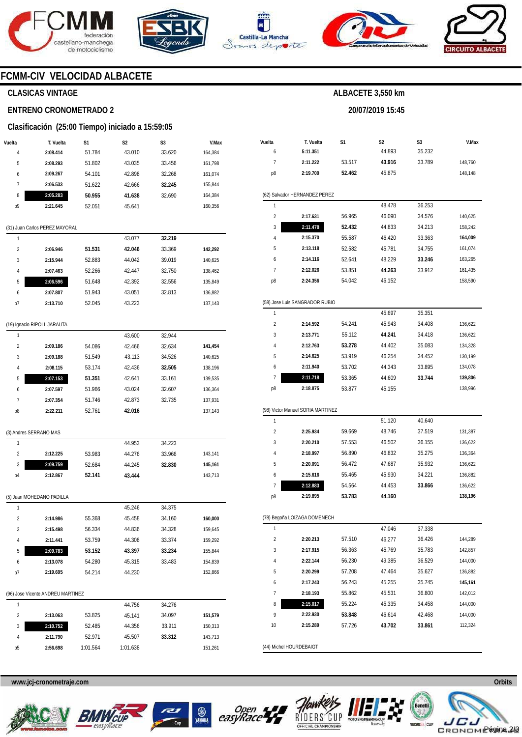







**20/07/2019 15:45** 



# **FCMM-CIV VELOCIDAD ALBACETE**

# **CLASICAS VINTAGE**

### **ENTRENO CRONOMETRADO 2**

### **Clasificación (25:00 Tiempo) iniciado a 15:59:05**

| Vuelta | T. Vuelta | S1     | S2     | S <sub>3</sub> | V.Max   |
|--------|-----------|--------|--------|----------------|---------|
| 4      | 2:08.414  | 51.784 | 43.010 | 33.620         | 164.384 |
| 5      | 2:08.293  | 51.802 | 43.035 | 33.456         | 161.798 |
| 6      | 2:09.267  | 54.101 | 42.898 | 32.268         | 161.074 |
|        | 2:06.533  | 51.622 | 42.666 | 32.245         | 155.844 |
| 8      | 2:05.283  | 50.955 | 41.638 | 32.690         | 164.384 |
| p9     | 2:21.645  | 52.051 | 45.641 |                | 160.356 |
|        |           |        |        |                |         |

#### (31) Juan Carlos PEREZ MAYORAL

|    |          |        | 43.077 | 32.219 |         |
|----|----------|--------|--------|--------|---------|
| 2  | 2:06.946 | 51.531 | 42.046 | 33.369 | 142.292 |
| 3  | 2:15.944 | 52.883 | 44.042 | 39.019 | 140,625 |
| 4  | 2:07.463 | 52.266 | 42.447 | 32.750 | 138.462 |
| 5  | 2:06.596 | 51.648 | 42.392 | 32.556 | 135.849 |
| 6  | 2:07.807 | 51.943 | 43.051 | 32.813 | 136.882 |
| p7 | 2:13.710 | 52.045 | 43.223 |        | 137,143 |
|    |          |        |        |        |         |

### (19) Ignacio RIPOLL JARAUTA

|    |          |        | 43.600 | 32.944 |         |
|----|----------|--------|--------|--------|---------|
| 2  | 2:09.186 | 54.086 | 42.466 | 32.634 | 141.454 |
| 3  | 2:09.188 | 51.549 | 43.113 | 34.526 | 140,625 |
| 4  | 2:08.115 | 53.174 | 42.436 | 32.505 | 138.196 |
| 5  | 2:07.153 | 51.351 | 42.641 | 33.161 | 139.535 |
| 6  | 2:07.597 | 51.966 | 43.024 | 32.607 | 136.364 |
| 7  | 2:07.354 | 51.746 | 42.873 | 32.735 | 137.931 |
| p8 | 2:22.211 | 52.761 | 42.016 |        | 137,143 |

#### (3) Andres SERRANO MAS

|    |          |        | 44.953 | 34.223 |         |
|----|----------|--------|--------|--------|---------|
| 2  | 2:12.225 | 53.983 | 44.276 | 33.966 | 143.141 |
| 3  | 2:09.759 | 52.684 | 44.245 | 32.830 | 145.161 |
| p4 | 2:12.867 | 52.141 | 43.444 |        | 143.713 |

#### (5) Juan MOHEDANO PADILLA

|                |          |        | 45.246 | 34.375 |         |
|----------------|----------|--------|--------|--------|---------|
| $\overline{2}$ | 2:14.986 | 55.368 | 45.458 | 34.160 | 160,000 |
| 3              | 2:15.498 | 56.334 | 44.836 | 34.328 | 159.645 |
| 4              | 2:11.441 | 53.759 | 44.308 | 33.374 | 159.292 |
| 5              | 2:09.783 | 53.152 | 43.397 | 33.234 | 155.844 |
| 6              | 2:13.078 | 54.280 | 45.315 | 33.483 | 154.839 |
| рī             | 2:19.695 | 54.214 | 44.230 |        | 152.866 |
|                |          |        |        |        |         |

#### (96) Jose Vicente ANDREU MARTINEZ

|                |          |          | 44.756   | 34.276 |         |
|----------------|----------|----------|----------|--------|---------|
| 2              | 2:13.063 | 53.825   | 45.141   | 34.097 | 151,579 |
| 3              | 2:10.752 | 52.485   | 44.356   | 33.911 | 150,313 |
| 4              | 2:11.790 | 52.971   | 45.507   | 33.312 | 143,713 |
| p <sub>5</sub> | 2:56.698 | 1:01.564 | 1:01.638 |        | 151,261 |

| Vuelta                  | T. Vuelta                         | S1     | S2     | S3     | V.Max   |
|-------------------------|-----------------------------------|--------|--------|--------|---------|
| 6                       | 5:11.351                          |        | 44.893 | 35.232 |         |
| 7                       | 2:11.222                          | 53.517 | 43.916 | 33.789 | 148,760 |
| p8                      | 2:19.700                          | 52.462 | 45.875 |        | 148,148 |
|                         | (62) Salvador HERNANDEZ PEREZ     |        |        |        |         |
| 1                       |                                   |        | 48.478 | 36.253 |         |
| $\overline{2}$          | 2:17.631                          | 56.965 | 46.090 | 34.576 | 140,625 |
| 3                       | 2:11.478                          | 52.432 | 44.833 | 34.213 | 158,242 |
| 4                       | 2:15.370                          | 55.587 | 46.420 | 33.363 | 164,009 |
| 5                       | 2:13.118                          | 52.582 | 45.781 | 34.755 | 161,074 |
| 6                       | 2:14.116                          | 52.641 | 48.229 | 33.246 | 163,265 |
| 7                       | 2:12.026                          | 53.851 | 44.263 | 33.912 | 161,435 |
| p8                      | 2:24.356                          | 54.042 | 46.152 |        | 158,590 |
|                         | (58) Jose Luis SANGRADOR RUBIO    |        |        |        |         |
| 1                       |                                   |        | 45.697 | 35.351 |         |
| 2                       | 2:14.592                          | 54.241 | 45.943 | 34.408 | 136,622 |
| 3                       | 2:13.771                          | 55.112 | 44.241 | 34.418 | 136,622 |
| 4                       | 2:12.763                          | 53.278 | 44.402 | 35.083 | 134,328 |
| 5                       | 2:14.625                          | 53.919 | 46.254 | 34.452 | 130,199 |
| 6                       | 2:11.940                          | 53.702 | 44.343 | 33.895 | 134,078 |
| 7                       | 2:11.718                          | 53.365 | 44.609 | 33.744 | 139,806 |
| p8                      | 2:18.875                          | 53.877 | 45.155 |        | 138,996 |
|                         | (98) Victor Manuel SORIA MARTINEZ |        |        |        |         |
| 1                       |                                   |        | 51.120 | 40.640 |         |
| $\overline{2}$          | 2:25.934                          | 59.669 | 48.746 | 37.519 | 131,387 |
| 3                       | 2:20.210                          | 57.553 | 46.502 | 36.155 | 136,622 |
| 4                       | 2:18.997                          | 56.890 | 46.832 | 35.275 | 136,364 |
| 5                       | 2:20.091                          | 56.472 | 47.687 | 35.932 | 136,622 |
| 6                       | 2:15.616                          | 55.465 | 45.930 | 34.221 | 136,882 |
| 7                       | 2:12.883                          | 54.564 | 44.453 | 33.866 | 136,622 |
| p8                      | 2:19.895                          | 53.783 | 44.160 |        | 138,196 |
|                         | (78) Begoña LOIZAGA DOMENECH      |        |        |        |         |
| 1                       |                                   |        | 47.046 | 37.338 |         |
| $\overline{\mathbf{c}}$ | 2:20.213                          | 57.510 | 46.277 | 36.426 | 144,289 |
| 3                       | 2:17.915                          | 56.363 | 45.769 | 35.783 | 142,857 |
| 4                       | 2:22.144                          | 56.230 | 49.385 | 36.529 | 144,000 |
| 5                       | 2:20.299                          | 57.208 | 47.464 | 35.627 | 136,882 |
| 6                       | 2:17.243                          | 56.243 | 45.255 | 35.745 | 145,161 |
| 7                       | 2:18.193                          | 55.862 | 45.531 | 36.800 | 142,012 |
| 8                       | 2:15.017                          | 55.224 | 45.335 | 34.458 | 144,000 |
|                         |                                   |        |        |        |         |
| 9                       | 2:22.930                          | 53.848 | 46.614 | 42.468 | 144,000 |

#### (44) Michel HOURDEBAIGT









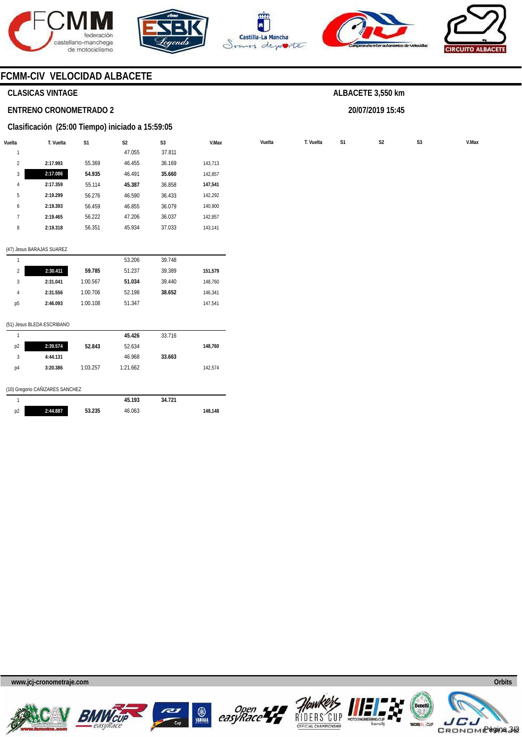









# **CLASICAS VINTAGE**

### **ENTRENO CRONOMETRADO 2**

### **Clasificación (25:00 Tiempo) iniciado a 15:59:05**

| Vuelta         | T. Vuelta | S1     | S <sub>2</sub> | S <sub>3</sub> | V.Max   | Vuelta | T. Vuelta | S <sub>1</sub> | S <sub>2</sub> | S <sub>3</sub> | V.Max |
|----------------|-----------|--------|----------------|----------------|---------|--------|-----------|----------------|----------------|----------------|-------|
|                |           |        | 47.055         | 37.811         |         |        |           |                |                |                |       |
| $\overline{2}$ | 2:17.993  | 55.369 | 46.455         | 36.169         | 143,713 |        |           |                |                |                |       |
| $\overline{3}$ | 2:17.086  | 54.935 | 46.491         | 35.660         | 142,857 |        |           |                |                |                |       |
| 4              | 2:17.359  | 55.114 | 45.387         | 36.858         | 147,541 |        |           |                |                |                |       |
| b              | 2:19.299  | 56.276 | 46.590         | 36.433         | 142,292 |        |           |                |                |                |       |
| 6              | 2:19.393  | 56.459 | 46.855         | 36.079         | 140,900 |        |           |                |                |                |       |
|                | 2:19.465  | 56.222 | 47.206         | 36.037         | 142,857 |        |           |                |                |                |       |
| 8              | 2:19.318  | 56.351 | 45.934         | 37.033         | 143,141 |        |           |                |                |                |       |
|                |           |        |                |                |         |        |           |                |                |                |       |

#### (47) Jesus BARAJAS SUAREZ

|                |          |          | 53.206 | 39.748 |         |
|----------------|----------|----------|--------|--------|---------|
| $\overline{2}$ | 2:30.411 | 59.785   | 51.237 | 39.389 | 151,579 |
| 3              | 2:31.041 | 1:00.567 | 51.034 | 39.440 | 148.760 |
| 4              | 2:31.556 | 1:00.706 | 52.198 | 38.652 | 146.341 |
| p <sub>5</sub> | 2:46.093 | 1:00.108 | 51.347 |        | 147.541 |
|                |          |          |        |        |         |

#### (51) Jesus BLEDA ESCRIBANO

| 1              |                                 |          | 45.193   | 34.721 |         |
|----------------|---------------------------------|----------|----------|--------|---------|
|                | (10) Gregorio CAÑIZARES SANCHEZ |          |          |        |         |
| p4             | 3:20.386                        | 1:03.257 | 1:21.662 |        | 142,574 |
| 3              | 4:44.131                        |          | 46.968   | 33.663 |         |
| p <sub>2</sub> | 2:39.574                        | 52.843   | 52.634   |        | 148,760 |
|                |                                 |          | 45.426   | 33.716 |         |

| p <sub>2</sub> | 2:44.887 | 53.235 | 46.063 | 148.148 |
|----------------|----------|--------|--------|---------|

**www.jcj-cronometraje.com Orbits** 













# **ALBACETE 3,550 km**

**20/07/2019 15:45**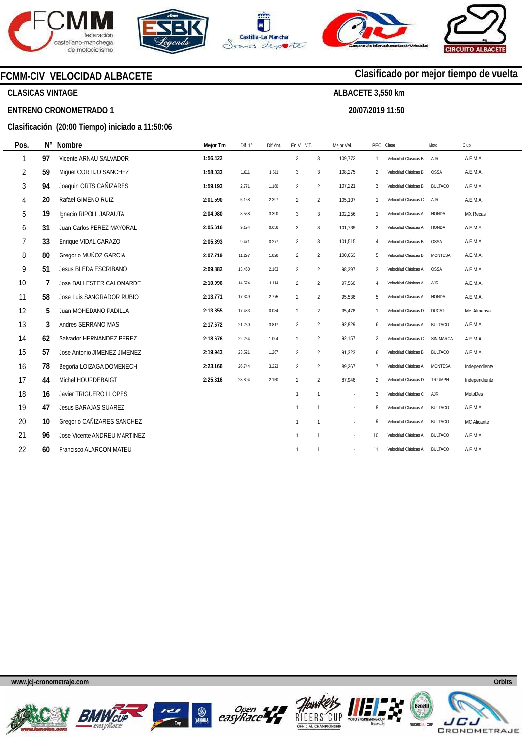







**20/07/2019 11:50** 

**Clasificado por mejor tiempo de vuelta**



# **CLASICAS VINTAGE**

**ENTRENO CRONOMETRADO 1** 

# **Clasificación (20:00 Tiempo) iniciado a 11:50:06**

| Pos. | N° | <b>Nombre</b>                   | Mejor Tm | Dif. 1° | Dif.Ant. | En V. V.T.     |                | Mejor Vel. |                | PEC Clase            | Moto             | Club          |
|------|----|---------------------------------|----------|---------|----------|----------------|----------------|------------|----------------|----------------------|------------------|---------------|
| 1    | 97 | Vicente ARNAU SALVADOR          | 1:56.422 |         |          | $\mathfrak{Z}$ | 3              | 109.773    | 1              | Velocidad Clásicas B | <b>AJR</b>       | A.E.M.A.      |
| 2    | 59 | Miquel CORTIJO SANCHEZ          | 1:58.033 | 1.611   | 1.611    | 3              | $\mathbf{3}$   | 108,275    | 2              | Velocidad Clásicas B | <b>OSSA</b>      | A.E.M.A.      |
| 3    | 94 | Joaquin ORTS CAÑIZARES          | 1:59.193 | 2.771   | 1.160    | $\overline{2}$ | $\overline{2}$ | 107,221    | 3              | Velocidad Clásicas B | <b>BULTACO</b>   | A.E.M.A.      |
| 4    | 20 | Rafael GIMENO RUIZ              | 2:01.590 | 5.168   | 2.397    | $\overline{2}$ | $\overline{2}$ | 105,107    | $\mathbf{1}$   | Velocidad Clásicas C | AJR              | A.E.M.A.      |
| 5    | 19 | Ignacio RIPOLL JARAUTA          | 2:04.980 | 8.558   | 3.390    | 3              | $\mathbf{3}$   | 102,256    | $\mathbf{1}$   | Velocidad Clásicas A | HONDA            | MX Recas      |
| 6    | 31 | Juan Carlos PEREZ MAYORAL       | 2:05.616 | 9.194   | 0.636    | $\overline{2}$ | $\mathbf{3}$   | 101,739    | 2              | Velocidad Clásicas A | HONDA            | A.E.M.A.      |
| 7    | 33 | Enrique VIDAL CARAZO            | 2:05.893 | 9.471   | 0.277    | $\overline{2}$ | $\mathbf{3}$   | 101,515    | 4              | Velocidad Clásicas B | <b>OSSA</b>      | A.E.M.A.      |
| 8    | 80 | Gregorio MUÑOZ GARCIA           | 2:07.719 | 11.297  | 1.826    | $\overline{2}$ | $\overline{2}$ | 100,063    | 5              | Velocidad Clásicas B | MONTESA          | A.E.M.A.      |
| 9    | 51 | Jesus BLEDA ESCRIBANO           | 2:09.882 | 13.460  | 2.163    | $\overline{2}$ | $\overline{2}$ | 98,397     | 3              | Velocidad Clásicas A | <b>OSSA</b>      | A.E.M.A.      |
| 10   | 7  | <b>Jose BALLESTER CALOMARDE</b> | 2:10.996 | 14.574  | 1.114    | $\overline{2}$ | $\overline{2}$ | 97,560     | $\overline{A}$ | Velocidad Clásicas A | AJR              | A.E.M.A.      |
| 11   | 58 | Jose Luis SANGRADOR RUBIO       | 2:13.771 | 17.349  | 2.775    | $\overline{2}$ | $\overline{2}$ | 95,536     | 5              | Velocidad Clásicas A | HONDA            | A.E.M.A.      |
| 12   | 5  | Juan MOHEDANO PADILLA           | 2:13.855 | 17.433  | 0.084    | $\overline{2}$ | $\overline{2}$ | 95,476     | 1              | Velocidad Clásicas D | <b>DUCATI</b>    | Mc. Almansa   |
| 13   | 3  | Andres SERRANO MAS              | 2:17.672 | 21.250  | 3.817    | $\overline{2}$ | $\overline{2}$ | 92,829     | 6              | Velocidad Clásicas A | <b>BULTACO</b>   | A.E.M.A.      |
| 14   | 62 | Salvador HERNANDEZ PEREZ        | 2:18.676 | 22.254  | 1.004    | $\overline{2}$ | $\overline{2}$ | 92,157     | 2              | Velocidad Clásicas C | <b>SIN MARCA</b> | A.E.M.A.      |
| 15   | 57 | Jose Antonio JIMENEZ JIMENEZ    | 2:19.943 | 23.521  | 1.267    | $\overline{2}$ | $\overline{2}$ | 91,323     | 6              | Velocidad Clásicas B | <b>BULTACO</b>   | A.E.M.A.      |
| 16   | 78 | Begoña LOIZAGA DOMENECH         | 2:23.166 | 26.744  | 3.223    | $\overline{2}$ | $\overline{2}$ | 89,267     | $\overline{7}$ | Velocidad Clásicas A | MONTESA          | Independiente |
| 17   | 44 | Michel HOURDEBAIGT              | 2:25.316 | 28.894  | 2.150    | $\overline{2}$ | $\overline{2}$ | 87,946     | $\overline{2}$ | Velocidad Clásicas D | <b>TRIUMPH</b>   | Independiente |
| 18   | 16 | Javier TRIGUERO LLOPES          |          |         |          | $\mathbf{1}$   | $\mathbf{1}$   |            | 3              | Velocidad Clásicas C | AJR              | MotoDes       |
| 19   | 47 | Jesus BARAJAS SUAREZ            |          |         |          | $\mathbf{1}$   | $\overline{1}$ |            | 8              | Velocidad Clásicas A | <b>BULTACO</b>   | A.E.M.A.      |
| 20   | 10 | Gregorio CAÑIZARES SANCHEZ      |          |         |          | $\mathbf{1}$   | $\mathbf{1}$   |            | 9              | Velocidad Clásicas A | <b>BULTACO</b>   | MC Alicante   |
| 21   | 96 | Jose Vicente ANDREU MARTINEZ    |          |         |          | $\mathbf{1}$   | $\overline{1}$ |            | 10             | Velocidad Clásicas A | <b>BULTACO</b>   | A.E.M.A.      |
| 22   | 60 | Francisco ALARCON MATEU         |          |         |          | $\mathbf{1}$   | $\overline{1}$ | $\sim$     | 11             | Velocidad Clásicas A | <b>BULTACO</b>   | A.E.M.A.      |
|      |    |                                 |          |         |          |                |                |            |                |                      |                  |               |











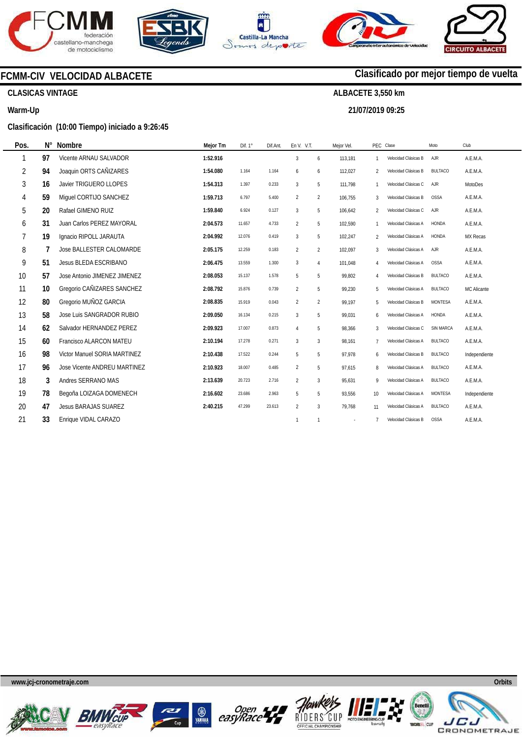







**21/07/2019 09:25** 

**Clasificado por mejor tiempo de vuelta**



**CLASICAS VINTAGE** 

# **Warm-Up**

# **Clasificación (10:00 Tiempo) iniciado a 9:26:45**

| Pos.           | $N^{\circ}$ | <b>Nombre</b>                   | Mejor Tm | Dif. 1° | Dif.Ant. | En V. V.T.     |                | Mejor Vel. |                | PEC Clase            | Moto           | Club            |
|----------------|-------------|---------------------------------|----------|---------|----------|----------------|----------------|------------|----------------|----------------------|----------------|-----------------|
| 1              | 97          | Vicente ARNAU SALVADOR          | 1:52.916 |         |          | $\overline{3}$ | 6              | 113,181    | $\mathbf{1}$   | Velocidad Clásicas B | AJR            | A.E.M.A.        |
| $\overline{2}$ | 94          | Joaquin ORTS CAÑIZARES          | 1:54.080 | 1.164   | 1.164    | 6              | 6              | 112,027    | 2              | Velocidad Clásicas B | <b>BULTACO</b> | A.E.M.A.        |
| 3              | 16          | Javier TRIGUERO LLOPES          | 1:54.313 | 1.397   | 0.233    | 3              | 5              | 111.798    | $\mathbf{1}$   | Velocidad Clásicas C | AJR            | <b>MotoDes</b>  |
| 4              | 59          | Miquel CORTIJO SANCHEZ          | 1:59.713 | 6.797   | 5.400    | $\overline{2}$ | $\overline{2}$ | 106,755    | 3              | Velocidad Clásicas B | OSSA           | A.E.M.A.        |
| 5              | 20          | Rafael GIMENO RUIZ              | 1:59.840 | 6.924   | 0.127    | 3              | 5              | 106,642    | 2              | Velocidad Clásicas C | AJR            | A.E.M.A.        |
| 6              | 31          | Juan Carlos PEREZ MAYORAL       | 2:04.573 | 11.657  | 4.733    | $\overline{2}$ | 5              | 102,590    | $\mathbf{1}$   | Velocidad Clásicas A | <b>HONDA</b>   | A.E.M.A.        |
| 7              | 19          | Ignacio RIPOLL JARAUTA          | 2:04.992 | 12.076  | 0.419    | 3              | 5              | 102,247    | 2              | Velocidad Clásicas A | <b>HONDA</b>   | <b>MX Recas</b> |
| 8              |             | <b>Jose BALLESTER CALOMARDE</b> | 2:05.175 | 12.259  | 0.183    | $\overline{2}$ | $\overline{2}$ | 102.097    | 3              | Velocidad Clásicas A | AJR            | A.E.M.A.        |
| 9              | 51          | Jesus BLEDA ESCRIBANO           | 2:06.475 | 13.559  | 1.300    | 3              | $\overline{4}$ | 101.048    | $\overline{4}$ | Velocidad Clásicas A | <b>OSSA</b>    | A.E.M.A.        |
| 10             | 57          | Jose Antonio JIMENEZ JIMENEZ    | 2:08.053 | 15.137  | 1.578    | 5              | 5              | 99,802     | 4              | Velocidad Clásicas B | <b>BULTACO</b> | A.E.M.A.        |
| 11             | 10          | Gregorio CAÑIZARES SANCHEZ      | 2:08.792 | 15.876  | 0.739    | $\overline{2}$ | 5              | 99,230     | 5              | Velocidad Clásicas A | <b>BULTACO</b> | MC Alicante     |
| 12             | 80          | Gregorio MUÑOZ GARCIA           | 2:08.835 | 15.919  | 0.043    | $\overline{2}$ | $\overline{2}$ | 99,197     | 5              | Velocidad Clásicas B | <b>MONTESA</b> | A.E.M.A.        |
| 13             | 58          | Jose Luis SANGRADOR RUBIO       | 2:09.050 | 16.134  | 0.215    | 3              | 5              | 99.031     | 6              | Velocidad Clásicas A | HONDA          | A.E.M.A.        |
| 14             | 62          | Salvador HERNANDEZ PEREZ        | 2:09.923 | 17.007  | 0.873    | $\overline{4}$ | 5              | 98,366     | 3              | Velocidad Clásicas C | SIN MARCA      | A.E.M.A.        |
| 15             | 60          | <b>Francisco ALARCON MATEU</b>  | 2:10.194 | 17.278  | 0.271    | 3              | 3              | 98.161     | $\overline{7}$ | Velocidad Clásicas A | <b>BULTACO</b> | A.E.M.A.        |
| 16             | 98          | Victor Manuel SORIA MARTINEZ    | 2:10.438 | 17.522  | 0.244    | 5              | 5              | 97,978     | 6              | Velocidad Clásicas B | <b>BULTACO</b> | Independiente   |
| 17             | 96          | Jose Vicente ANDREU MARTINEZ    | 2:10.923 | 18.007  | 0.485    | 2              | 5              | 97.615     | 8              | Velocidad Clásicas A | <b>BULTACO</b> | A.E.M.A.        |
| 18             | 3           | Andres SERRANO MAS              | 2:13.639 | 20.723  | 2.716    | $\overline{2}$ | 3              | 95,631     | 9              | Velocidad Clásicas A | <b>BULTACO</b> | A.E.M.A.        |
| 19             | 78          | Begoña LOIZAGA DOMENECH         | 2:16.602 | 23.686  | 2.963    | 5              | 5              | 93,556     | 10             | Velocidad Clásicas A | MONTESA        | Independiente   |
| 20             | 47          | <b>Jesus BARAJAS SUAREZ</b>     | 2:40.215 | 47.299  | 23.613   | 2              | $\overline{3}$ | 79,768     | 11             | Velocidad Clásicas A | <b>BULTACO</b> | A.E.M.A.        |
| 21             | 33          | Enrique VIDAL CARAZO            |          |         |          | $\mathbf{1}$   | $\overline{1}$ |            |                | Velocidad Clásicas B | <b>OSSA</b>    | A.E.M.A.        |











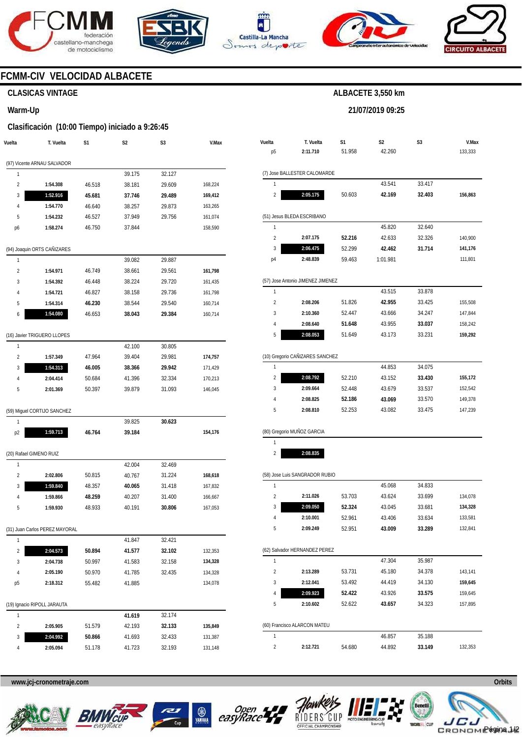







**21/07/2019 09:25** 



# **FCMM-CIV VELOCIDAD ALBACETE**

# **CLASICAS VINTAGE**

### **Warm-Up**

# **Clasificación (10:00 Tiempo) iniciado a 9:26:45**

| Vuelta                  | T. Vuelta                      | S1     | S2     | S3     | V.Max   |
|-------------------------|--------------------------------|--------|--------|--------|---------|
|                         | (97) Vicente ARNAU SALVADOR    |        |        |        |         |
| 1                       |                                |        | 39.175 | 32.127 |         |
| $\overline{\mathbf{c}}$ | 1:54.308                       | 46.518 | 38.181 | 29.609 | 168,224 |
| 3                       | 1:52.916                       | 45.681 | 37.746 | 29.489 | 169,412 |
| 4                       | 1:54.770                       | 46.640 | 38.257 | 29.873 | 163,265 |
| 5                       | 1:54.232                       | 46.527 | 37.949 | 29.756 | 161,074 |
| p6                      | 1:58.274                       | 46.750 | 37.844 |        | 158,590 |
|                         | (94) Joaquin ORTS CAÑIZARES    |        |        |        |         |
| 1                       |                                |        | 39.082 | 29.887 |         |
| 2                       | 1:54.971                       | 46.749 | 38.661 | 29.561 | 161,798 |
| 3                       | 1:54.392                       | 46.448 | 38.224 | 29.720 | 161,435 |
| 4                       | 1:54.721                       | 46.827 | 38.158 | 29.736 | 161,798 |
| 5                       | 1:54.314                       | 46.230 | 38.544 | 29.540 | 160,714 |
| 6                       | 1:54.080                       | 46.653 | 38.043 | 29.384 | 160,714 |
|                         | (16) Javier TRIGUERO LLOPES    |        |        |        |         |
| 1                       |                                |        | 42.100 | 30.805 |         |
| 2                       | 1:57.349                       | 47.964 | 39.404 | 29.981 | 174,757 |
| 3                       | 1:54.313                       | 46.005 | 38.366 | 29.942 | 171,429 |
| 4                       | 2:04.414                       | 50.684 | 41.396 | 32.334 | 170,213 |
| 5                       | 2:01.369                       | 50.397 | 39.879 | 31.093 | 146,045 |
|                         | (59) Miguel CORTIJO SANCHEZ    |        |        |        |         |
| 1                       |                                |        | 39.825 | 30.623 |         |
| p2                      | 1:59.713                       | 46.764 | 39.184 |        | 154,176 |
| (20) Rafael GIMENO RUIZ |                                |        |        |        |         |
| 1                       |                                |        | 42.004 | 32.469 |         |
| $\overline{2}$          | 2:02.806                       | 50.815 | 40.767 | 31.224 | 168,618 |
| 3                       | 1:59.840                       | 48.357 | 40.065 | 31.418 | 167,832 |
| 4                       | 1:59.866                       | 48.259 | 40.207 | 31.400 | 166,667 |
| 5                       | 1:59.930                       | 48.933 | 40.191 | 30.806 | 167,053 |
|                         | (31) Juan Carlos PEREZ MAYORAL |        |        |        |         |
| 1                       |                                |        | 41.847 | 32.421 |         |
| 2                       | 2:04.573                       | 50.894 | 41.577 | 32.102 | 132,353 |
| 3                       | 2:04.738                       | 50.997 | 41.583 | 32.158 | 134,328 |
| 4                       | 2:05.190                       | 50.970 | 41.785 | 32.435 | 134,328 |
| p5                      | 2:18.312                       | 55.482 | 41.885 |        | 134,078 |
|                         | (19) Ignacio RIPOLL JARAUTA    |        |        |        |         |
| 1                       |                                |        | 41.619 | 32.174 |         |
| 2                       | 2:05.905                       | 51.579 | 42.193 | 32.133 | 135,849 |
| 3                       | 2:04.992                       | 50.866 | 41.693 | 32.433 | 131,387 |
| 4                       | 2:05.094                       | 51.178 | 41.723 | 32.193 | 131,148 |

|                         | T. Vuelta                         | S1     | S <sub>2</sub> | S3     | V.Max                         |
|-------------------------|-----------------------------------|--------|----------------|--------|-------------------------------|
| p5                      | 2:11.710                          | 51.958 | 42.260         |        | 133,333                       |
|                         | (7) Jose BALLESTER CALOMARDE      |        |                |        |                               |
| 1                       |                                   |        | 43.541         | 33.417 |                               |
| $\overline{c}$          | 2:05.175                          | 50.603 | 42.169         | 32.403 | 156,863                       |
|                         | (51) Jesus BLEDA ESCRIBANO        |        |                |        |                               |
| 1                       |                                   |        | 45.820         | 32.640 |                               |
| $\overline{2}$          | 2:07.175                          | 52.216 | 42.633         | 32.326 | 140,900                       |
| 3                       | 2:06.475                          | 52.299 | 42.462         | 31.714 | 141,176                       |
| p4                      | 2:48.839                          | 59.463 | 1:01.981       |        | 111,801                       |
|                         |                                   |        |                |        |                               |
| 1                       | (57) Jose Antonio JIMENEZ JIMENEZ |        | 43.515         | 33.878 |                               |
| $\overline{2}$          | 2:08.206                          | 51.826 | 42.955         | 33.425 | 155,508                       |
| 3                       | 2:10.360                          | 52.447 | 43.666         | 34.247 | 147,844                       |
| 4                       | 2:08.640                          | 51.648 | 43.955         | 33.037 | 158,242                       |
| 5                       | 2:08.053                          | 51.649 | 43.173         | 33.231 | 159,292                       |
|                         |                                   |        |                |        |                               |
|                         | (10) Gregorio CAÑIZARES SANCHEZ   |        |                |        |                               |
| 1                       |                                   |        | 44.853         | 34.075 |                               |
| $\overline{2}$          | 2:08.792                          | 52.210 | 43.152         | 33.430 | 155,172                       |
| 3                       | 2:09.664                          | 52.448 | 43.679         | 33.537 | 152,542                       |
|                         |                                   |        |                | 33.570 |                               |
| 4                       | 2:08.825                          | 52.186 | 43.069         |        | 149,378                       |
| 5                       | 2:08.810                          | 52.253 | 43.082         | 33.475 |                               |
|                         | (80) Gregorio MUÑOZ GARCIA        |        |                |        |                               |
| 1                       |                                   |        |                |        |                               |
| $\overline{\mathbf{c}}$ | 2:08.835                          |        |                |        |                               |
|                         | (58) Jose Luis SANGRADOR RUBIO    |        |                |        |                               |
| 1                       |                                   |        | 45.068         | 34.833 |                               |
| $\overline{2}$          | 2:11.026                          | 53.703 | 43.624         | 33.699 |                               |
| 3                       | 2:09.050                          | 52.324 | 43.045         | 33.681 |                               |
| 4                       | 2:10.001                          | 52.961 | 43.406         | 33.634 |                               |
| 5                       | 2:09.249                          | 52.951 | 43.009         | 33.289 | 133,581<br>132,841            |
|                         | (62) Salvador HERNANDEZ PEREZ     |        |                |        |                               |
| 1                       |                                   |        | 47.304         | 35.987 | 147,239<br>134,078<br>134,328 |
| $\overline{2}$          | 2:13.289                          | 53.731 | 45.180         | 34.378 |                               |
| 3                       | 2:12.041                          | 53.492 | 44.419         | 34.130 |                               |
| 4                       | 2:09.923                          | 52.422 | 43.926         | 33.575 | 143,141<br>159,645<br>159,645 |

**www.jcj-cronometraje.com Orbits** 







1 2



54.680

46.857 44.892 35.188 **33.149** 

**2:12.721** 



132,353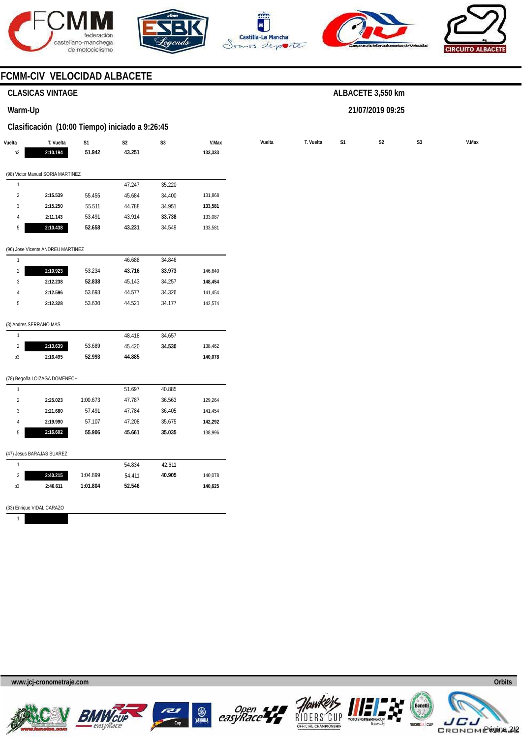







**21/07/2019 09:25** 



# **FCMM-CIV VELOCIDAD ALBACETE**

# **CLASICAS VINTAGE**

# **Warm-Up**

# **Clasificación (10:00 Tiempo) iniciado a 9:26:45**

| Vuelta         | T. Vuelta                         | $\mathsf{S}1$ | $\mathsf{S2}\,$ | $\mathsf{S}3$ | V.Max   | Vuelta | T. Vuelta | S1 | $\mathsf{S2}\,$ | S3 |  |
|----------------|-----------------------------------|---------------|-----------------|---------------|---------|--------|-----------|----|-----------------|----|--|
| p3             | 2:10.194                          | 51.942        | 43.251          |               | 133,333 |        |           |    |                 |    |  |
|                | (98) Victor Manuel SORIA MARTINEZ |               |                 |               |         |        |           |    |                 |    |  |
| $\overline{1}$ |                                   |               | 47.247          | 35.220        |         |        |           |    |                 |    |  |
| $\overline{2}$ | 2:15.539                          | 55.455        | 45.684          | 34.400        | 131,868 |        |           |    |                 |    |  |
| $\mathbf{3}$   | 2:15.250                          | 55.511        | 44.788          | 34.951        | 133,581 |        |           |    |                 |    |  |
| $\overline{4}$ | 2:11.143                          | 53.491        | 43.914          | 33.738        | 133,087 |        |           |    |                 |    |  |
| 5              | 2:10.438                          | 52.658        | 43.231          | 34.549        | 133,581 |        |           |    |                 |    |  |
|                | (96) Jose Vicente ANDREU MARTINEZ |               |                 |               |         |        |           |    |                 |    |  |
| $\mathbf{1}$   |                                   |               | 46.688          | 34.846        |         |        |           |    |                 |    |  |
| $\sqrt{2}$     | 2:10.923                          | 53.234        | 43.716          | 33.973        | 146,640 |        |           |    |                 |    |  |
| $\sqrt{3}$     | 2:12.238                          | 52.838        | 45.143          | 34.257        | 148,454 |        |           |    |                 |    |  |
| $\overline{4}$ | 2:12.596                          | 53.693        | 44.577          | 34.326        | 141,454 |        |           |    |                 |    |  |
| $\sqrt{5}$     | 2:12.328                          | 53.630        | 44.521          | 34.177        | 142,574 |        |           |    |                 |    |  |
|                | (3) Andres SERRANO MAS            |               |                 |               |         |        |           |    |                 |    |  |
| $\overline{1}$ |                                   |               | 48.418          | 34.657        |         |        |           |    |                 |    |  |
| $\sqrt{2}$     | 2:13.639                          | 53.689        | 45.420          | 34.530        | 138,462 |        |           |    |                 |    |  |
| p3             | 2:16.495                          | 52.993        | 44.885          |               | 140,078 |        |           |    |                 |    |  |
|                | (78) Begoña LOIZAGA DOMENECH      |               |                 |               |         |        |           |    |                 |    |  |
| $\overline{1}$ |                                   |               | 51.697          | 40.885        |         |        |           |    |                 |    |  |
| $\sqrt{2}$     | 2:25.023                          | 1:00.673      | 47.787          | 36.563        | 129,264 |        |           |    |                 |    |  |
| 3              | 2:21.680                          | 57.491        | 47.784          | 36.405        | 141,454 |        |           |    |                 |    |  |
| $\overline{4}$ | 2:19.990                          | 57.107        | 47.208          | 35.675        | 142,292 |        |           |    |                 |    |  |
| 5              | 2:16.602                          | 55.906        | 45.661          | 35.035        | 138,996 |        |           |    |                 |    |  |
|                | (47) Jesus BARAJAS SUAREZ         |               |                 |               |         |        |           |    |                 |    |  |
| $\overline{1}$ |                                   |               | 54.834          | 42.611        |         |        |           |    |                 |    |  |
| $\overline{2}$ | 2:40.215                          | 1:04.899      | 54.411          | 40.905        | 140,078 |        |           |    |                 |    |  |
| p3             | 2:46.611                          | 1:01.804      | 52.546          |               | 140,625 |        |           |    |                 |    |  |
|                | (33) Enrique VIDAL CARAZO         |               |                 |               |         |        |           |    |                 |    |  |
| $\mathbf{1}$   |                                   |               |                 |               |         |        |           |    |                 |    |  |











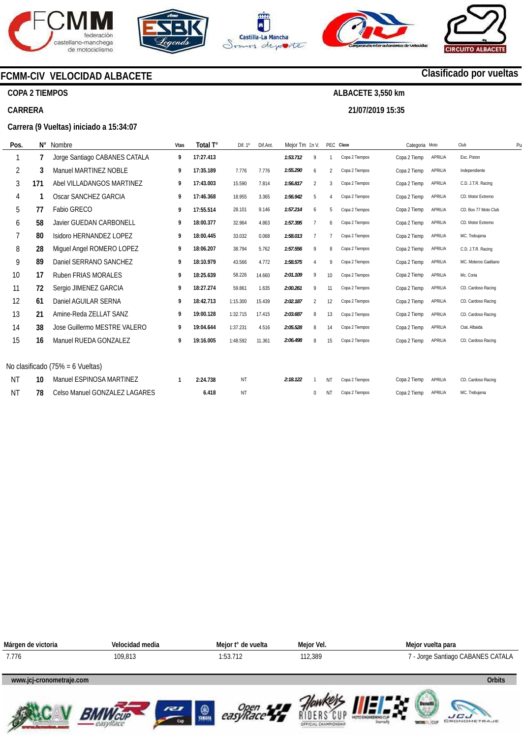

**COPA 2 TIEMPOS** 

**CARRERA** 









# **Clasificado por vueltas**

# **ALBACETE 3,550 km 21/07/2019 15:35**

**Carrera (9 Vueltas) iniciado a 15:34:07** 

**FCMM-CIV VELOCIDAD ALBACETE** 

| Pos.      | N°  | Nombre                           | Vtas | Total T°  | Dif. $1^\circ$ | Dif.Ant | Mejor Tm En V. |                |                        | PEC Clase      | Categoria Moto |         | Club                 | P <sub>l</sub> |
|-----------|-----|----------------------------------|------|-----------|----------------|---------|----------------|----------------|------------------------|----------------|----------------|---------|----------------------|----------------|
|           |     | Jorge Santiago CABANES CATALA    | 9    | 17:27.413 |                |         | 1:53.712       | 9              |                        | Copa 2 Tiempos | Copa 2 Tiemp   | APRILIA | Esc. Piston          |                |
| 2         | 3   | Manuel MARTINEZ NOBLE            | 9    | 17:35.189 | 7.776          | 7.776   | 1:55.290       | 6              | $\overline{2}$         | Copa 2 Tiempos | Copa 2 Tiemp   | APRILIA | Independiente        |                |
| 3         | 171 | Abel VILLADANGOS MARTINEZ        | 9    | 17:43.003 | 15.590         | 7.814   | 1:56.817       | $\overline{2}$ | 3                      | Copa 2 Tiempos | Copa 2 Tiemp   | APRILIA | C.D. J.T.R. Racing   |                |
| 4         |     | Oscar SANCHEZ GARCIA             | 9    | 17:46.368 | 18.955         | 3.365   | 1:56.942       | 5              | $\boldsymbol{\Lambda}$ | Copa 2 Tiempos | Copa 2 Tiemp   | APRILIA | CD. Motor Extremo    |                |
| 5         | 77  | Fabio GRECO                      | 9    | 17:55.514 | 28.101         | 9.146   | 1:57.214       | 6              | 5                      | Copa 2 Tiempos | Copa 2 Tiemp   | APRILIA | CD. Box 77 Moto Club |                |
| 6         | 58  | <b>Javier GUEDAN CARBONELL</b>   | 9    | 18:00.377 | 32.964         | 4.863   | 1:57.395       |                | 6                      | Copa 2 Tiempos | Copa 2 Tiemp   | APRILIA | CD. Motor Extremo    |                |
|           | 80  | Isidoro HERNANDEZ LOPEZ          | 9    | 18:00.445 | 33.032         | 0.068   | 1:58.013       |                |                        | Copa 2 Tiempos | Copa 2 Tiemp   | APRILIA | MC. Trebujena        |                |
| 8         | 28  | Miguel Angel ROMERO LOPEZ        | 9    | 18:06.207 | 38.794         | 5.762   | 1:57.556       | 9              | 8                      | Copa 2 Tiempos | Copa 2 Tiemp   | APRILIA | C.D. J.T.R. Racing   |                |
| 9         | 89  | Daniel SERRANO SANCHEZ           | 9    | 18:10.979 | 43.566         | 4.772   | 1:58.575       | $\overline{A}$ | 9                      | Copa 2 Tiempos | Copa 2 Tiemp   | APRILIA | MC. Moteros Gaditano |                |
| 10        | 17  | <b>Ruben FRIAS MORALES</b>       | 9    | 18:25.639 | 58.226         | 14.660  | 2:01.109       | 9              | 10                     | Copa 2 Tiempos | Copa 2 Tiemp   | APRILIA | Mc. Coria            |                |
| 11        | 72  | Sergio JIMENEZ GARCIA            | 9    | 18:27.274 | 59.861         | 1.635   | 2:00.261       | 9              | 11                     | Copa 2 Tiempos | Copa 2 Tiemp   | APRILIA | CD. Cardoso Racing   |                |
| 12        | 61  | Daniel AGUILAR SERNA             | 9    | 18:42.713 | 1:15.300       | 15.439  | 2:02.187       | $\overline{2}$ | 12                     | Copa 2 Tiempos | Copa 2 Tiemp   | APRILIA | CD. Cardoso Racing   |                |
| 13        | 21  | Amine-Reda ZELLAT SANZ           | 9    | 19:00.128 | 1:32.715       | 17.415  | 2:03.687       | 8              | 13                     | Copa 2 Tiempos | Copa 2 Tiemp   | APRILIA | CD. Cardoso Racing   |                |
| 14        | 38  | Jose Guillermo MESTRE VALERO     | 9    | 19:04.644 | 1:37.231       | 4.516   | 2:05.528       | 8              | 14                     | Copa 2 Tiempos | Copa 2 Tiemp   | APRILIA | Ctat. Albaida        |                |
| 15        | 16  | Manuel RUEDA GONZALEZ            | 9    | 19:16.005 | 1:48.592       | 11.361  | 2:06.498       | 8              | 15                     | Copa 2 Tiempos | Copa 2 Tiemp   | APRILIA | CD. Cardoso Racing   |                |
|           |     |                                  |      |           |                |         |                |                |                        |                |                |         |                      |                |
|           |     | No clasificado (75% = 6 Vueltas) |      |           |                |         |                |                |                        |                |                |         |                      |                |
| <b>NT</b> | 10  | Manuel ESPINOSA MARTINEZ         | 1    | 2:24.738  | <b>NT</b>      |         | 2:18.122       |                | ΝT                     | Copa 2 Tiempos | Copa 2 Tiemp   | APRILIA | CD. Cardoso Racing   |                |
| <b>NT</b> | 78  | Celso Manuel GONZALEZ LAGARES    |      | 6.418     | <b>NT</b>      |         |                | $\mathbf{0}$   | NT                     | Copa 2 Tiempos | Copa 2 Tiemp   | APRILIA | MC. Trebujena        |                |

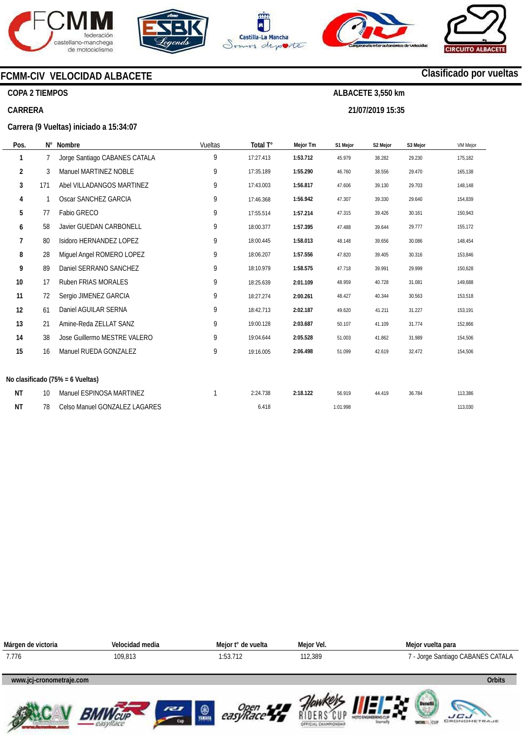







**21/07/2019 15:35** 



# **Clasificado por vueltas**

**COPA 2 TIEMPOS** 

### **CARRERA**

**Carrera (9 Vueltas) iniciado a 15:34:07** 

**FCMM-CIV VELOCIDAD ALBACETE** 

| Pos. |     | N° Nombre                        | Vueltas | Total T°  | Mejor Tm | S1 Mejor | S2 Mejor | S3 Mejor | <b>VM Mejor</b> |
|------|-----|----------------------------------|---------|-----------|----------|----------|----------|----------|-----------------|
| 1    | 7   | Jorge Santiago CABANES CATALA    | 9       | 17:27.413 | 1:53.712 | 45.979   | 38.282   | 29.230   | 175,182         |
| 2    | 3   | Manuel MARTINEZ NOBLE            | 9       | 17:35.189 | 1:55.290 | 46.760   | 38.556   | 29.470   | 165,138         |
| 3    | 171 | Abel VILLADANGOS MARTINEZ        | 9       | 17:43.003 | 1:56.817 | 47.606   | 39.130   | 29.703   | 148,148         |
| 4    | 1   | Oscar SANCHEZ GARCIA             | 9       | 17:46.368 | 1:56.942 | 47.307   | 39.330   | 29.640   | 154,839         |
| 5    | 77  | Fabio GRECO                      | 9       | 17:55.514 | 1:57.214 | 47.315   | 39.426   | 30.161   | 150,943         |
| 6    | 58  | <b>Javier GUEDAN CARBONELL</b>   | 9       | 18:00.377 | 1:57.395 | 47.488   | 39.644   | 29.777   | 155,172         |
| 7    | 80  | Isidoro HERNANDEZ LOPEZ          | 9       | 18:00.445 | 1:58.013 | 48.148   | 39.656   | 30.086   | 148,454         |
| 8    | 28  | Miguel Angel ROMERO LOPEZ        | 9       | 18:06.207 | 1:57.556 | 47.820   | 39.405   | 30.316   | 153,846         |
| 9    | 89  | Daniel SERRANO SANCHEZ           | 9       | 18:10.979 | 1:58.575 | 47.718   | 39.991   | 29.999   | 150,628         |
| 10   | 17  | Ruben FRIAS MORALES              | 9       | 18:25.639 | 2:01.109 | 48.959   | 40.728   | 31.081   | 149,688         |
| 11   | 72  | Sergio JIMENEZ GARCIA            | 9       | 18:27.274 | 2:00.261 | 48.427   | 40.344   | 30.563   | 153,518         |
| 12   | 61  | Daniel AGUILAR SERNA             | 9       | 18:42.713 | 2:02.187 | 49.620   | 41.211   | 31.227   | 153,191         |
| 13   | 21  | Amine-Reda ZELLAT SANZ           | 9       | 19:00.128 | 2:03.687 | 50.107   | 41.109   | 31.774   | 152,866         |
| 14   | 38  | Jose Guillermo MESTRE VALERO     | 9       | 19:04.644 | 2:05.528 | 51.003   | 41.862   | 31.989   | 154,506         |
| 15   | 16  | Manuel RUEDA GONZALEZ            | 9       | 19:16.005 | 2:06.498 | 51.099   | 42.619   | 32.472   | 154,506         |
|      |     |                                  |         |           |          |          |          |          |                 |
|      |     | No clasificado (75% = 6 Vueltas) |         |           |          |          |          |          |                 |
| ΝT   | 10  | Manuel ESPINOSA MARTINEZ         |         | 2:24.738  | 2:18.122 | 56.919   | 44.419   | 36.784   | 113,386         |
| ΝT   | 78  | Celso Manuel GONZALEZ LAGARES    |         | 6.418     |          | 1:01.998 |          |          | 113,030         |

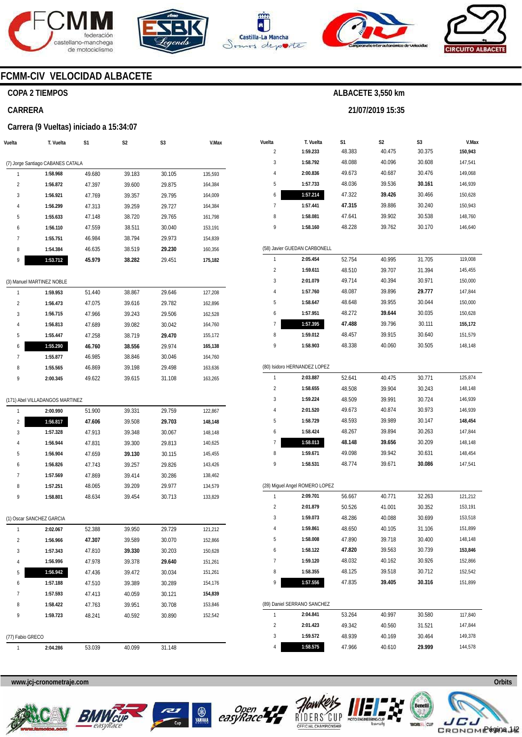







**21/07/2019 15:35** 



# **FCMM-CIV VELOCIDAD ALBACETE**

# **COPA 2 TIEMPOS**

# **CARRERA**

### **Carrera (9 Vueltas) iniciado a 15:34:07**

| Vuelta                  | T. Vuelta                         | S1               | S2               | S3               | V.Max              |
|-------------------------|-----------------------------------|------------------|------------------|------------------|--------------------|
|                         |                                   |                  |                  |                  |                    |
|                         | (7) Jorge Santiago CABANES CATALA |                  |                  |                  |                    |
| 1                       | 1:58.968                          | 49.680           | 39.183           | 30.105           | 135,593            |
| $\overline{\mathbf{c}}$ | 1:56.872                          | 47.397           | 39.600           | 29.875           | 164,384            |
| 3                       | 1:56.921                          | 47.769           | 39.357           | 29.795           | 164,009            |
| 4                       | 1:56.299                          | 47.313           | 39.259           | 29.727           | 164,384            |
| 5                       | 1:55.633                          | 47.148           | 38.720           | 29.765           | 161,798            |
| 6                       | 1:56.110                          | 47.559           | 38.511           | 30.040           | 153,191            |
| 7                       | 1:55.751                          | 46.984           | 38.794           | 29.973           | 154,839            |
| 8                       | 1:54.384                          | 46.635           | 38.519           | 29.230           | 160,356            |
| 9                       | 1:53.712                          | 45.979           | 38.282           | 29.451           | 175,182            |
|                         |                                   |                  |                  |                  |                    |
|                         | (3) Manuel MARTINEZ NOBLE         |                  |                  |                  |                    |
| 1                       | 1:59.953                          | 51.440           | 38.867           | 29.646           | 127,208            |
| $\overline{\mathbf{c}}$ | 1:56.473                          | 47.075           | 39.616           | 29.782           | 162,896            |
| 3                       | 1:56.715                          | 47.966           | 39.243           | 29.506           | 162,528            |
| 4                       | 1:56.813                          | 47.689           | 39.082           | 30.042           | 164,760            |
| 5                       | 1:55.447                          | 47.258           | 38.719           | 29.470           | 155,172            |
| 6                       | 1:55.290                          | 46.760           | 38.556           | 29.974           | 165,138            |
| 7                       | 1:55.877                          | 46.985           | 38.846           | 30.046           | 164,760            |
| 8                       | 1:55.565                          | 46.869           | 39.198           | 29.498           | 163,636            |
| 9                       | 2:00.345                          | 49.622           | 39.615           | 31.108           | 163,265            |
|                         |                                   |                  |                  |                  |                    |
|                         | (171) Abel VILLADANGOS MARTINEZ   |                  |                  |                  |                    |
| 1                       | 2:00.990                          | 51.900           | 39.331           | 29.759           | 122,867            |
| $\overline{2}$          | 1:56.817                          | 47.606           | 39.508           | 29.703           | 148,148            |
| 3                       | 1:57.328                          | 47.913           | 39.348           | 30.067           | 148,148            |
| 4                       | 1:56.944                          | 47.831           | 39.300           | 29.813           | 140,625            |
| 5                       | 1:56.904                          | 47.659           | 39.130           | 30.115           | 145,455            |
| 6                       | 1:56.826                          | 47.743           | 39.257           | 29.826           | 143,426            |
| 7                       | 1:57.569                          | 47.869           | 39.414           | 30.286           | 138,462            |
| 8                       | 1:57.251                          | 48.065           | 39.209           | 29.977           | 134,579            |
| 9                       | 1:58.801                          | 48.634           | 39.454           | 30.713           | 133,829            |
|                         | (1) Oscar SANCHEZ GARCIA          |                  |                  |                  |                    |
| 1                       |                                   |                  |                  |                  |                    |
| 2                       | 2:02.067<br>1:56.966              | 52.388<br>47.307 | 39.950<br>39.589 | 29.729<br>30.070 | 121,212<br>152,866 |
| 3                       | 1:57.343                          | 47.810           | 39.330           | 30.203           | 150,628            |
| 4                       | 1:56.996                          | 47.978           | 39.378           | 29.640           | 151,261            |
| 5                       | 1:56.942                          | 47.436           | 39.472           | 30.034           | 151,261            |
| 6                       |                                   |                  |                  |                  |                    |
| 7                       | 1:57.188<br>1:57.593              | 47.510           | 39.389           | 30.289           | 154,176<br>154,839 |
| 8                       |                                   | 47.413<br>47.763 | 40.059<br>39.951 | 30.121<br>30.708 | 153,846            |
| 9                       | 1:58.422<br>1:59.723              |                  |                  | 30.890           |                    |
|                         |                                   | 48.241           | 40.592           |                  | 152,542            |
| (77) Fabio GRECO        |                                   |                  |                  |                  |                    |
| 1                       | 2:04.286                          | 53.039           | 40.099           | 31.148           |                    |
|                         |                                   |                  |                  |                  |                    |

| Vuelta                  | T. Vuelta                      | S1     | S2     | S3     | V.Max   |
|-------------------------|--------------------------------|--------|--------|--------|---------|
| 2                       | 1:59.233                       | 48.383 | 40.475 | 30.375 | 150,943 |
| 3                       | 1:58.792                       | 48.088 | 40.096 | 30.608 | 147,541 |
| 4                       | 2:00.836                       | 49.673 | 40.687 | 30.476 | 149,068 |
| 5                       | 1:57.733                       | 48.036 | 39.536 | 30.161 | 146,939 |
| 6                       | 1:57.214                       | 47.322 | 39.426 | 30.466 | 150,628 |
| 7                       | 1:57.441                       | 47.315 | 39.886 | 30.240 | 150,943 |
| 8                       | 1:58.081                       | 47.641 | 39.902 | 30.538 | 148,760 |
| 9                       | 1:58.160                       | 48.228 | 39.762 | 30.170 | 146,640 |
|                         | (58) Javier GUEDAN CARBONELL   |        |        |        |         |
| 1                       | 2:05.454                       | 52.754 | 40.995 | 31.705 | 119,008 |
| $\overline{\mathbf{c}}$ | 1:59.611                       | 48.510 | 39.707 | 31.394 | 145,455 |
| 3                       | 2:01.079                       | 49.714 | 40.394 | 30.971 | 150,000 |
| 4                       | 1:57.760                       | 48.087 | 39.896 | 29.777 | 147,844 |
| 5                       | 1:58.647                       | 48.648 | 39.955 | 30.044 | 150,000 |
| 6                       | 1:57.951                       | 48.272 | 39.644 | 30.035 | 150,628 |
| 7                       | 1:57.395                       | 47.488 | 39.796 | 30.111 | 155,172 |
| 8                       | 1:59.012                       | 48.457 | 39.915 | 30.640 | 151,579 |
| 9                       | 1:58.903                       | 48.338 | 40.060 | 30.505 | 148,148 |
|                         | (80) Isidoro HERNANDEZ LOPEZ   |        |        |        |         |
| 1                       | 2:03.887                       | 52.641 | 40.475 | 30.771 | 125,874 |
| $\overline{\mathbf{c}}$ | 1:58.655                       | 48.508 | 39.904 | 30.243 | 148,148 |
| 3                       | 1:59.224                       | 48.509 | 39.991 | 30.724 | 146,939 |
| 4                       | 2:01.520                       | 49.673 | 40.874 | 30.973 | 146,939 |
| 5                       | 1:58.729                       | 48.593 | 39.989 | 30.147 | 148,454 |
| 6                       | 1:58.424                       | 48.267 | 39.894 | 30.263 | 147,844 |
| 7                       | 1:58.013                       | 48.148 | 39.656 | 30.209 | 148,148 |
| 8                       | 1:59.671                       | 49.098 | 39.942 | 30.631 | 148,454 |
| 9                       | 1:58.531                       | 48.774 | 39.671 | 30.086 | 147,541 |
|                         | (28) Miguel Angel ROMERO LOPEZ |        |        |        |         |
| 1                       | 2:09.701                       | 56.667 | 40.771 | 32.263 | 121,212 |
| $\overline{2}$          | 2:01.879                       | 50.526 | 41.001 | 30.352 | 153,191 |
| 3                       | 1:59.073                       | 48.286 | 40.088 | 30.699 | 153,518 |
| 4                       | 1:59.861                       | 48.650 | 40.105 | 31.106 | 151,899 |
| 5                       | 1:58.008                       | 47.890 | 39.718 | 30.400 | 148,148 |
| 6                       | 1:58.122                       | 47.820 | 39.563 | 30.739 | 153,846 |
| 7                       | 1:59.120                       | 48.032 | 40.162 | 30.926 | 152,866 |
| 8                       | 1:58.355                       | 48.125 | 39.518 | 30.712 | 152,542 |
| 9                       | 1:57.556                       | 47.835 | 39.405 | 30.316 | 151,899 |
|                         | (89) Daniel SERRANO SANCHEZ    |        |        |        |         |
| 1                       | 2:04.841                       | 53.264 | 40.997 | 30.580 | 117,840 |
| $\overline{\mathbf{c}}$ | 2:01.423                       | 49.342 | 40.560 | 31.521 | 147,844 |
| 3                       | 1:59.572                       | 48.939 | 40.169 | 30.464 | 149,378 |
| 4                       | 1:58.575                       | 47.966 | 40.610 | 29.999 | 144,578 |









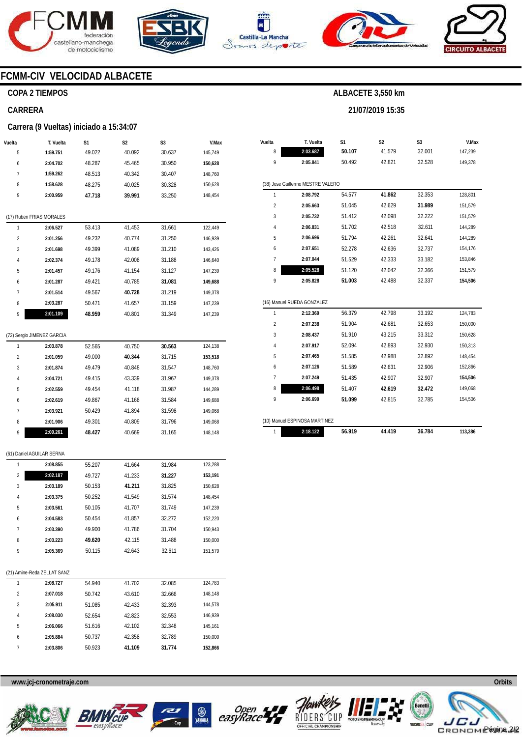





**Vuelta** 

**T. Vuelta** 

**S1** 



**S2** 

**21/07/2019 15:35** 

**ALBACETE 3,550 km** 

**S3** 



**V.Max** 

# **FCMM-CIV VELOCIDAD ALBACETE**

### **COPA 2 TIEMPOS**

### **CARRERA**

#### **Carrera (9 Vueltas) iniciado a 15:34:07**

| Vuelta         | T. Vuelta                | S1     | S <sub>2</sub> | S <sub>3</sub> | V.Max   |
|----------------|--------------------------|--------|----------------|----------------|---------|
| 5              | 1:59.751                 | 49.022 | 40.092         | 30.637         | 145,749 |
| 6              | 2:04.702                 | 48.287 | 45.465         | 30.950         | 150,628 |
| $\overline{7}$ | 1:59.262                 | 48.513 | 40.342         | 30.407         | 148,760 |
| 8              | 1:58.628                 | 48.275 | 40.025         | 30.328         | 150,628 |
| 9              | 2:00.959                 | 47.718 | 39.991         | 33.250         | 148,454 |
|                |                          |        |                |                |         |
|                | (17) Ruben FRIAS MORALES |        |                |                |         |
| 1              | 2:06.527                 | 53.413 | 41.453         | 31.661         | 122,449 |
| $\overline{2}$ | 2:01.256                 | 49.232 | 40.774         | 31.250         | 146,939 |
| 3              | 2:01.698                 | 49.399 | 41.089         | 31.210         | 143,426 |
| 4              | 2:02.374                 | 49.178 | 42.008         | 31.188         | 146,640 |
| 5              | 2:01.457                 | 49.176 | 41.154         | 31.127         | 147,239 |
| 6              | 2:01.287                 | 49.421 | 40.785         | 31.081         | 149,688 |
| 7              | 2:01.514                 | 49.567 | 40.728         | 31.219         | 149,378 |
| 8              | 2:03.287                 | 50.471 | 41.657         | 31.159         | 147,239 |
| 9              | 2:01.109                 | 48.959 | 40.801         | 31.349         | 147,239 |
|                |                          |        |                |                |         |

# (72) Sergio JIMENEZ GARCIA

| 31.715<br>49.000<br>40.344<br>$\overline{2}$<br>2:01.059<br>153.518<br>49.479<br>40.848<br>31.547<br>3<br>2:01.874<br>148.760<br>43.339<br>49.415<br>31.967<br>2:04.721<br>149.378<br>4 | 124.138 |
|-----------------------------------------------------------------------------------------------------------------------------------------------------------------------------------------|---------|
|                                                                                                                                                                                         |         |
|                                                                                                                                                                                         |         |
|                                                                                                                                                                                         |         |
| 5<br>2:02.559<br>41.118<br>31.987<br>144.289<br>49.454                                                                                                                                  |         |
| 2:02.619<br>49.867<br>41.168<br>31.584<br>149.688<br>6                                                                                                                                  |         |
| 7<br>2:03.921<br>50.429<br>31.598<br>41.894<br>149.068                                                                                                                                  |         |
| 31.796<br>40.809<br>49.301<br>8<br>2:01.906<br>149.068                                                                                                                                  |         |
| 2:00.261<br>40.669<br>31.165<br>9<br>48.427<br>148.148                                                                                                                                  |         |

#### (61) Daniel AGUILAR SERNA

| 1              | 2:08.855                    | 55.207 | 41.664 | 31.984 | 123.288 |
|----------------|-----------------------------|--------|--------|--------|---------|
| $\overline{2}$ | 2:02.187                    | 49.727 | 41.233 | 31.227 | 153,191 |
| 3              | 2:03.189                    | 50.153 | 41.211 | 31.825 | 150,628 |
| $\sqrt{4}$     | 2:03.375                    | 50.252 | 41.549 | 31.574 | 148,454 |
| 5              | 2:03.561                    | 50.105 | 41.707 | 31.749 | 147,239 |
| 6              | 2:04.583                    | 50.454 | 41.857 | 32.272 | 152,220 |
| 7              | 2:03.390                    | 49.900 | 41.786 | 31.704 | 150,943 |
| 8              | 2:03.223                    | 49.620 | 42.115 | 31.488 | 150,000 |
| 9              | 2:05.369                    | 50.115 | 42.643 | 32.611 | 151,579 |
|                |                             |        |        |        |         |
|                | (21) Amine-Reda ZELLAT SANZ |        |        |        |         |
| 1              | 2:08.727                    | 54.940 | 41.702 | 32.085 | 124,783 |
| $\overline{2}$ | 2:07.018                    | 50.742 | 43.610 | 32.666 | 148,148 |
| 3              | 2:05.911                    | 51.085 | 42.433 | 32.393 | 144,578 |
| 4              | 2:08.030                    | 52.654 | 42.823 | 32.553 | 146,939 |
| 5              | 2:06.066                    | 51.616 | 42.102 | 32.348 | 145,161 |
| 6              | 2:05.884                    | 50.737 | 42.358 | 32.789 | 150,000 |
| 7              | 2:03.806                    | 50.923 | 41.109 | 31.774 | 152,866 |

# **www.jcj-cronometraje.com Orbits**







| (10) Manuel ESPINOSA MARTINEZ |        |        |        |         |
|-------------------------------|--------|--------|--------|---------|
| 2:18.122                      | 56 919 | 44.419 | 36.784 | 113.386 |

**B**<br>easyRace



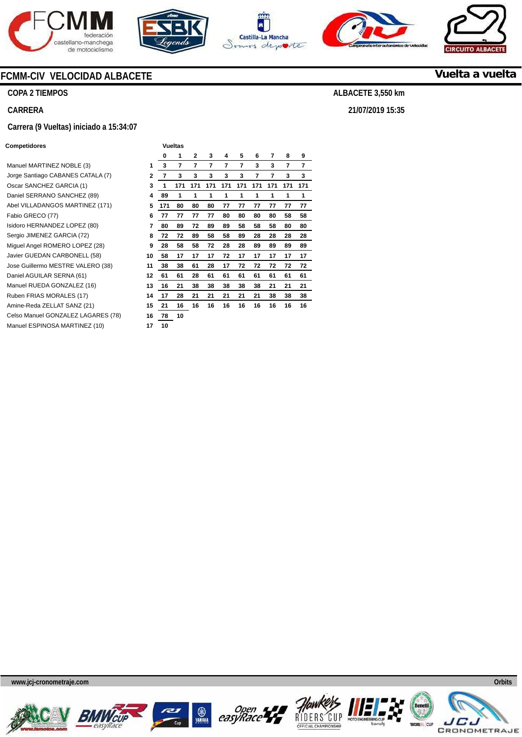









**COPA 2 TIEMPOS** 

**CARRERA** 

### **Carrera (9 Vueltas) iniciado a 15:34:07**

### **Competidores Vueltas Vueltas**

**Manuel MARTINEZ NOBLE (3)** Jorge Santiago CABANES CATALA (7) **2**  Oscar SANCHEZ GARCIA (1) **3**  Daniel SERRANO SANCHEZ (89) Abel VILLADANGOS MARTINEZ (171) **5**  Fabio GRECO (77) Isidoro HERNANDEZ LOPEZ (80) **7**  Sergio JIMENEZ GARCIA (72) **Miguel Angel ROMERO LOPEZ (28)** Javier GUEDAN CARBONELL (58) **10**  Jose Guillermo MESTRE VALERO (38) **11**  Daniel AGUILAR SERNA (61) Manuel RUEDA GONZALEZ (16) Ruben FRIAS MORALES (17) Amine-Reda ZELLAT SANZ (21) **15**  Celso Manuel GONZALEZ LAGARES (78) **16**  Manuel ESPINOSA MARTINEZ (10) **17** 

|    |     | vuenas |     |     |     |     |     |     |     |     |
|----|-----|--------|-----|-----|-----|-----|-----|-----|-----|-----|
|    | 0   | 1      | 2   | 3   | 4   | 5   | 6   | 7   | 8   | 9   |
| 1  | 3   | 7      | 7   | 7   | 7   | 7   | 3   | 3   | 7   | 7   |
| 2  | 7   | 3      | 3   | 3   | 3   | 3   | 7   | 7   | 3   | 3   |
| 3  | 1   | 171    | 171 | 171 | 171 | 171 | 171 | 171 | 171 | 171 |
| 4  | 89  | 1      | 1   | 1   | 1   | 1   | 1   | 1   | 1   | 1   |
| 5  | 171 | 80     | 80  | 80  | 77  | 77  | 77  | 77  | 77  | 77  |
| 6  | 77  | 77     | 77  | 77  | 80  | 80  | 80  | 80  | 58  | 58  |
| 7  | 80  | 89     | 72  | 89  | 89  | 58  | 58  | 58  | 80  | 80  |
| 8  | 72  | 72     | 89  | 58  | 58  | 89  | 28  | 28  | 28  | 28  |
| 9  | 28  | 58     | 58  | 72  | 28  | 28  | 89  | 89  | 89  | 89  |
| 10 | 58  | 17     | 17  | 17  | 72  | 17  | 17  | 17  | 17  | 17  |
| 11 | 38  | 38     | 61  | 28  | 17  | 72  | 72  | 72  | 72  | 72  |
| 12 | 61  | 61     | 28  | 61  | 61  | 61  | 61  | 61  | 61  | 61  |
| 13 | 16  | 21     | 38  | 38  | 38  | 38  | 38  | 21  | 21  | 21  |
| 14 | 17  | 28     | 21  | 21  | 21  | 21  | 21  | 38  | 38  | 38  |
| 15 | 21  | 16     | 16  | 16  | 16  | 16  | 16  | 16  | 16  | 16  |
| 16 | 78  | 10     |     |     |     |     |     |     |     |     |
| 17 | 10  |        |     |     |     |     |     |     |     |     |

**www.jcj-cronometraje.com Orbits** 















**Vuelta a vuelta**

**ALBACETE 3,550 km** 

**21/07/2019 15:35**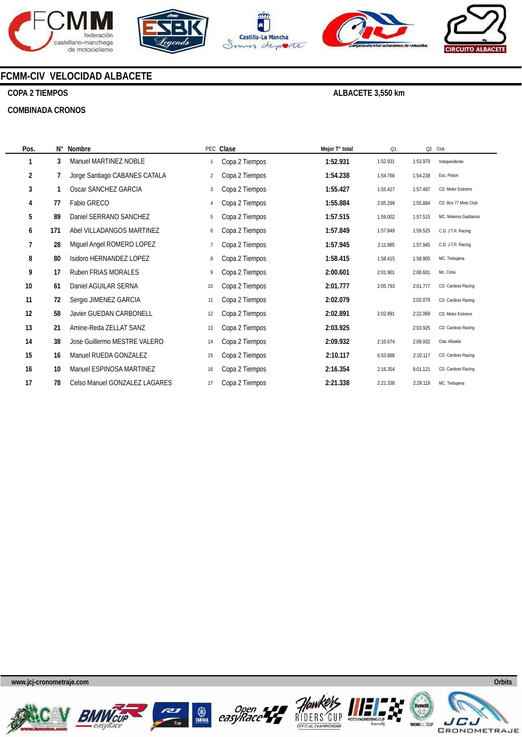









# **COPA 2 TIEMPOS**

### **COMBINADA CRONOS**

**ALBACETE 3,550 km** 

| Pos.           | N۰  | Nombre                        |                | PEC Clase      | Mejor T° total | Q1       | Q2 Club  |                       |
|----------------|-----|-------------------------------|----------------|----------------|----------------|----------|----------|-----------------------|
|                | 3   | Manuel MARTINEZ NOBLE         |                | Copa 2 Tiempos | 1:52.931       | 1:52.931 | 1:53.970 | Independiente         |
| $\overline{2}$ | 7   | Jorge Santiago CABANES CATALA | $\overline{2}$ | Copa 2 Tiempos | 1:54.238       | 1:54.766 | 1:54.238 | Esc. Piston           |
| 3              |     | Oscar SANCHEZ GARCIA          | 3              | Copa 2 Tiempos | 1:55.427       | 1:55.427 | 1:57.497 | CD. Motor Extremo     |
| 4              | 77  | Fabio GRECO                   | 4              | Copa 2 Tiempos | 1:55.884       | 2:05.299 | 1:55.884 | CD. Box 77 Moto Club  |
| 5              | 89  | Daniel SERRANO SANCHEZ        | 5              | Copa 2 Tiempos | 1:57.515       | 1:59.002 | 1:57.515 | MC. Moteros Gaditanos |
| 6              | 171 | Abel VILLADANGOS MARTINEZ     | 6              | Copa 2 Tiempos | 1:57.849       | 1:57.849 | 1:59.525 | C.D. J.T.R. Racing    |
| 7              | 28  | Miguel Angel ROMERO LOPEZ     |                | Copa 2 Tiempos | 1:57.945       | 2:11.985 | 1:57.945 | C.D. J.T.R. Racing    |
| 8              | 80  | Isidoro HERNANDEZ LOPEZ       | 8              | Copa 2 Tiempos | 1:58.415       | 1:58.415 | 1:58.905 | MC. Trebujena         |
| 9              | 17  | Ruben FRIAS MORALES           | 9              | Copa 2 Tiempos | 2:00.601       | 2:01.901 | 2:00.601 | Mc. Coria             |
| 10             | 61  | Daniel AGUILAR SERNA          | 10             | Copa 2 Tiempos | 2:01.777       | 2:05.793 | 2:01.777 | CD. Cardoso Racing    |
| 11             | 72  | Sergio JIMENEZ GARCIA         | 11             | Copa 2 Tiempos | 2:02.079       |          | 2:02.079 | CD. Cardoso Racing    |
| 12             | 58  | Javier GUEDAN CARBONELL       | 12             | Copa 2 Tiempos | 2:02.891       | 2:02.891 | 2:22.069 | CD. Motor Extremo     |
| 13             | 21  | Amine-Reda ZELLAT SANZ        | 13             | Copa 2 Tiempos | 2:03.925       |          | 2:03.925 | CD. Cardoso Racing    |
| 14             | 38  | Jose Guillermo MESTRE VALERO  | 14             | Copa 2 Tiempos | 2:09.932       | 2:10.674 | 2:09.932 | Ctat. Albaida         |
| 15             | 16  | Manuel RUEDA GONZALEZ         | 15             | Copa 2 Tiempos | 2:10.117       | 6:53.888 | 2:10.117 | CD. Cardoso Racing    |
| 16             | 10  | Manuel ESPINOSA MARTINEZ      | 16             | Copa 2 Tiempos | 2:16.354       | 2:16.354 | 8:01.121 | CD. Cardoso Racing    |
| 17             | 78  | Celso Manuel GONZALEZ LAGARES | 17             | Copa 2 Tiempos | 2:21.338       | 2:21.338 | 2:29.119 | MC. Trebujena         |













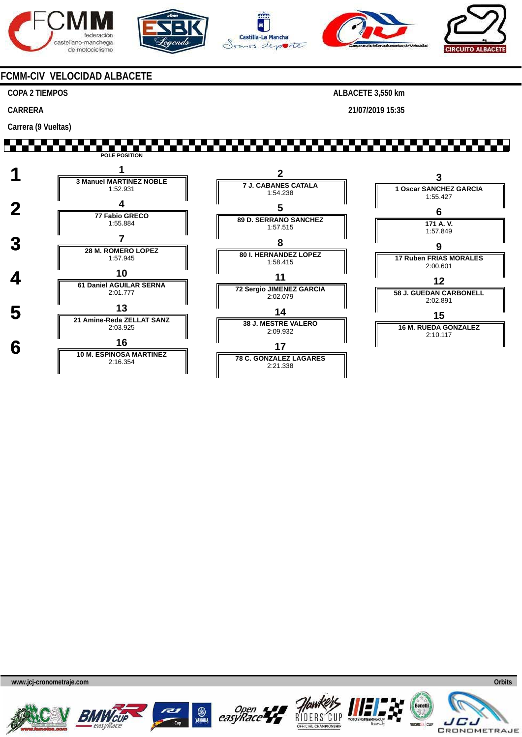









## **COPA 2 TIEMPOS**

**CARRERA** 

**Carrera (9 Vueltas)** 

**ALBACETE 3,550 km** 

**21/07/2019 15:35** 

# **WARRANTA M POLE POSITION**













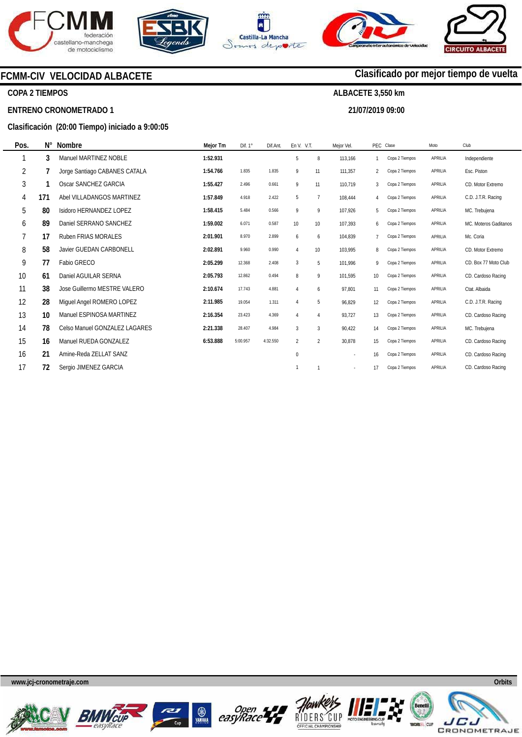







**21/07/2019 09:00** 

**Clasificado por mejor tiempo de vuelta**

# **FCMM-CIV VELOCIDAD ALBACETE**

# **COPA 2 TIEMPOS**

### **ENTRENO CRONOMETRADO 1**

## **Clasificación (20:00 Tiempo) iniciado a 9:00:05**

| Pos. | Ν°  | <b>Nombre</b>                 | Mejor Tm | Dif. $1^\circ$ | Dif.Ant. | En V. V.T.     |                | Mejor Vel. |                | PEC Clase      | Moto    | Club                  |
|------|-----|-------------------------------|----------|----------------|----------|----------------|----------------|------------|----------------|----------------|---------|-----------------------|
|      | 3   | Manuel MARTINEZ NOBLE         | 1:52.931 |                |          | 5              | 8              | 113,166    |                | Copa 2 Tiempos | APRILIA | Independiente         |
| 2    |     | Jorge Santiago CABANES CATALA | 1:54.766 | 1.835          | 1.835    | 9              | 11             | 111,357    | $\overline{2}$ | Copa 2 Tiempos | APRILIA | Esc. Piston           |
| 3    |     | Oscar SANCHEZ GARCIA          | 1:55.427 | 2.496          | 0.661    | 9              | 11             | 110,719    | 3              | Copa 2 Tiempos | APRILIA | CD. Motor Extremo     |
| 4    | 171 | Abel VILLADANGOS MARTINEZ     | 1:57.849 | 4.918          | 2.422    | 5              | $\overline{7}$ | 108,444    | 4              | Copa 2 Tiempos | APRILIA | C.D. J.T.R. Racing    |
| 5    | 80  | Isidoro HERNANDEZ LOPEZ       | 1:58.415 | 5.484          | 0.566    | 9              | 9              | 107,926    | 5              | Copa 2 Tiempos | APRILIA | MC. Trebujena         |
| 6    | 89  | Daniel SERRANO SANCHEZ        | 1:59.002 | 6.071          | 0.587    | 10             | 10             | 107,393    | 6              | Copa 2 Tiempos | APRILIA | MC. Moteros Gaditanos |
| 7    | 17  | <b>Ruben FRIAS MORALES</b>    | 2:01.901 | 8.970          | 2.899    | 6              | 6              | 104.839    | $\overline{7}$ | Copa 2 Tiempos | APRILIA | Mc. Coria             |
| 8    | 58  | Javier GUEDAN CARBONELL       | 2:02.891 | 9.960          | 0.990    | $\overline{4}$ | 10             | 103.995    | 8              | Copa 2 Tiempos | APRILIA | CD. Motor Extremo     |
| 9    | 77  | Fabio GRECO                   | 2:05.299 | 12.368         | 2.408    | 3              | 5              | 101,996    | 9              | Copa 2 Tiempos | APRILIA | CD. Box 77 Moto Club  |
| 10   | 61  | Daniel AGUILAR SERNA          | 2:05.793 | 12.862         | 0.494    | 8              | 9              | 101,595    | 10             | Copa 2 Tiempos | APRILIA | CD. Cardoso Racing    |
| 11   | 38  | Jose Guillermo MESTRE VALERO  | 2:10.674 | 17.743         | 4.881    | $\overline{4}$ | 6              | 97,801     | 11             | Copa 2 Tiempos | APRILIA | Ctat. Albaida         |
| 12   | 28  | Miguel Angel ROMERO LOPEZ     | 2:11.985 | 19.054         | 1.311    | $\overline{4}$ | 5              | 96,829     | 12             | Copa 2 Tiempos | APRILIA | C.D. J.T.R. Racing    |
| 13   | 10  | Manuel ESPINOSA MARTINEZ      | 2:16.354 | 23.423         | 4.369    | $\overline{4}$ | $\overline{4}$ | 93,727     | 13             | Copa 2 Tiempos | APRILIA | CD. Cardoso Racing    |
| 14   | 78  | Celso Manuel GONZALEZ LAGARES | 2:21.338 | 28.407         | 4.984    | 3              | 3              | 90,422     | 14             | Copa 2 Tiempos | APRILIA | MC. Trebujena         |
| 15   | 16  | Manuel RUEDA GONZALEZ         | 6:53.888 | 5:00.957       | 4:32.550 | $\overline{2}$ | $\overline{2}$ | 30,878     | 15             | Copa 2 Tiempos | APRILIA | CD. Cardoso Racing    |
| 16   | 21  | Amine-Reda ZELLAT SANZ        |          |                |          | 0              |                |            | 16             | Copa 2 Tiempos | APRILIA | CD. Cardoso Racing    |
| 17   | 72  | Sergio JIMENEZ GARCIA         |          |                |          |                |                |            | 17             | Copa 2 Tiempos | APRILIA | CD. Cardoso Racing    |













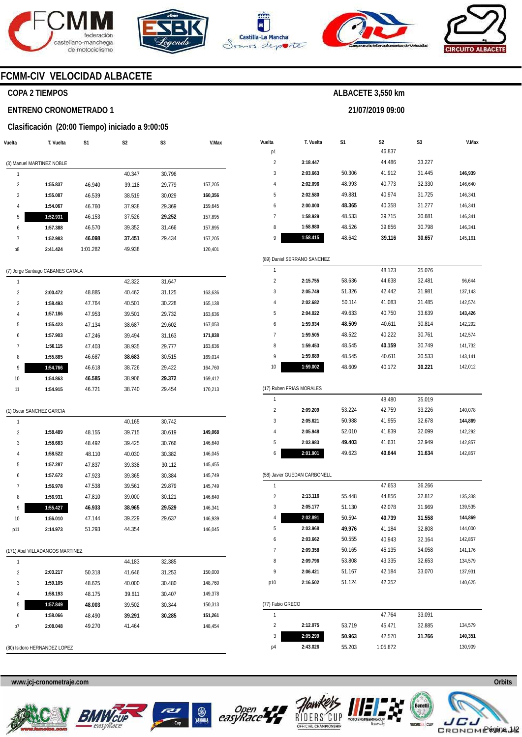







**21/07/2019 09:00** 



# **FCMM-CIV VELOCIDAD ALBACETE**

# **COPA 2 TIEMPOS**

### **ENTRENO CRONOMETRADO 1**

### **Clasificación (20:00 Tiempo) iniciado a 9:00:05**

| Vuelta         | T. Vuelta                         | S1       | S <sub>2</sub> | S <sub>3</sub> | V.Max   |
|----------------|-----------------------------------|----------|----------------|----------------|---------|
|                | (3) Manuel MARTINEZ NOBLE         |          |                |                |         |
| 1              |                                   |          | 40.347         | 30.796         |         |
| $\overline{2}$ | 1:55.837                          | 46.940   | 39.118         | 29.779         | 157,205 |
| 3              | 1:55.087                          | 46.539   | 38.519         | 30.029         | 160,356 |
| 4              | 1:54.067                          | 46.760   | 37.938         | 29.369         | 159,645 |
| 5              | 1:52.931                          | 46.153   | 37.526         | 29.252         | 157,895 |
| 6              | 1:57.388                          | 46.570   | 39.352         | 31.466         | 157,895 |
| 7              | 1:52.983                          | 46.098   | 37.451         | 29.434         | 157,205 |
| p8             | 2:41.424                          | 1:01.282 | 49.938         |                | 120,401 |
|                |                                   |          |                |                |         |
|                | (7) Jorge Santiago CABANES CATALA |          |                |                |         |

| 1              |          |        | 42.322 | 31.647 |         |
|----------------|----------|--------|--------|--------|---------|
| $\overline{2}$ | 2:00.472 | 48.885 | 40.462 | 31.125 | 163,636 |
| 3              | 1:58.493 | 47.764 | 40.501 | 30.228 | 165.138 |
| 4              | 1:57.186 | 47.953 | 39.501 | 29.732 | 163,636 |
| 5              | 1:55.423 | 47.134 | 38.687 | 29.602 | 167.053 |
| 6              | 1:57.903 | 47.246 | 39.494 | 31.163 | 171,838 |
| 7              | 1:56.115 | 47.403 | 38.935 | 29.777 | 163,636 |
| 8              | 1:55.885 | 46.687 | 38.683 | 30.515 | 169.014 |
| 9              | 1:54.766 | 46.618 | 38.726 | 29.422 | 164.760 |
| 10             | 1:54.863 | 46.585 | 38.906 | 29.372 | 169.412 |
| 11             | 1:54.915 | 46.721 | 38.740 | 29.454 | 170.213 |

|  | (1) Oscar SANCHEZ GARCIA |  |
|--|--------------------------|--|
|  |                          |  |

| 1              |                                 |        | 40.165 | 30.742 |         |
|----------------|---------------------------------|--------|--------|--------|---------|
| $\overline{2}$ | 1:58.489                        | 48.155 | 39.715 | 30.619 | 149,068 |
| 3              | 1:58.683                        | 48.492 | 39.425 | 30.766 | 146,640 |
| 4              | 1:58.522                        | 48.110 | 40.030 | 30.382 | 146,045 |
| 5              | 1:57.287                        | 47.837 | 39.338 | 30.112 | 145,455 |
| 6              | 1:57.672                        | 47.923 | 39.365 | 30.384 | 145,749 |
| 7              | 1:56.978                        | 47.538 | 39.561 | 29.879 | 145,749 |
| 8              | 1:56.931                        | 47.810 | 39.000 | 30.121 | 146,640 |
| 9              | 1:55.427                        | 46.933 | 38.965 | 29.529 | 146,341 |
| 10             | 1:56.010                        | 47.144 | 39.229 | 29.637 | 146,939 |
| p11            | 2:14.973                        | 51.293 | 44.354 |        | 146,045 |
|                |                                 |        |        |        |         |
|                | (171) Abel VILLADANGOS MARTINEZ |        |        |        |         |
| 1              |                                 |        | 44.183 | 32.385 |         |
| $\overline{2}$ | 2:03.217                        | 50.318 | 41.646 | 31.253 | 150,000 |
| 3              | 1:59.105                        | 48.625 | 40.000 | 30.480 | 148,760 |

|                       | T. Vuelta                    | S1               | S2               | S3               | V.Max              |
|-----------------------|------------------------------|------------------|------------------|------------------|--------------------|
| p1                    |                              |                  | 46.837           |                  |                    |
| 2                     | 3:18.447                     |                  | 44.486           | 33.227           |                    |
| 3                     | 2:03.663                     | 50.306           | 41.912           | 31.445           |                    |
| 4                     | 2:02.096                     | 48.993           | 40.773<br>32.330 |                  | 146,640            |
| 5                     | 2:02.580                     | 49.881           | 40.974           | 31.725           | 146,341            |
| 6                     | 2:00.000                     | 48.365           | 40.358           | 31.277           | 146,341            |
| 7                     | 1:58.929                     | 48.533           | 39.715           | 30.681           | 146,341            |
| 8                     | 1:58.980                     | 48.526           | 39.656           | 30.798           | 146,341            |
| 9                     | 1:58.415                     | 48.642           | 39.116           | 30.657           | 145,161            |
|                       | (89) Daniel SERRANO SANCHEZ  |                  |                  |                  |                    |
| 1                     |                              |                  | 48.123           | 35.076           |                    |
| $\overline{2}$        | 2:15.755                     | 58.636           | 44.638           | 32.481           | 96,644             |
| 3                     | 2:05.749                     | 51.326           | 42.442           | 31.981           | 137,143            |
| 4                     | 2:02.682                     | 50.114           | 41.083           | 31.485           | 142,574            |
| 5                     | 2:04.022                     | 49.633           | 40.750           | 33.639           | 143,426            |
| 6                     | 1:59.934                     | 48.509           | 40.611           | 30.814           | 142,292            |
| 7                     | 1:59.505                     | 48.522           | 40.222           | 30.761           | 142,574            |
| 8                     | 1:59.453                     | 48.545           | 40.159           | 30.749           | 141,732            |
| 9                     | 1:59.689                     | 48.545           | 40.611           | 30.533           | 143,141            |
| 10                    | 1:59.002                     | 48.609           | 40.172           | 30.221           | 142,012            |
|                       | (17) Ruben FRIAS MORALES     |                  |                  |                  |                    |
| 1                     |                              |                  | 48.480           | 35.019           |                    |
| 2                     | 2:09.209                     | 53.224           | 42.759           | 33.226           | 140,078            |
| 3                     | 2:05.621                     | 50.988           | 41.955           | 32.678           | 144,869            |
| 4                     | 2:05.948                     | 52.010           | 41.839           | 32.099           | 142,292            |
| 5                     | 2:03.983                     | 49.403           | 41.631           | 32.949           | 142,857            |
| 6                     | 2:01.901                     | 49.623           | 40.644           | 31.634           | 142,857            |
|                       | (58) Javier GUEDAN CARBONELL |                  |                  |                  |                    |
| 1                     |                              |                  | 47.653           | 36.266           |                    |
| 2                     | 2:13.116                     | 55.448           | 44.856           | 32.812           | 135,338            |
| 3                     | 2:05.177                     | 51.130           | 42.078           | 31.969           | 139,535            |
| 4                     | 2:02.891                     | 50.594           | 40.739           | 31.558           | 144,869            |
| 5                     | 2:03.968                     | 49.976           | 41.184           | 32.808           | 144,000            |
| 6                     | 2:03.662                     | 50.555           | 40.943           | 32.164           |                    |
| 7                     | 2:09.358                     | 50.165           | 45.135           | 34.058           | 142,857<br>141,176 |
| 8                     | 2:09.796                     | 53.808           | 43.335           | 32.653           | 134,579            |
| 9                     | 2:06.421                     | 51.167           | 42.184           | 33.070           | 137,931            |
| p10                   | 2:16.502                     | 51.124           | 42.352           |                  | 140,625            |
|                       |                              |                  |                  |                  |                    |
| 1                     |                              |                  |                  |                  |                    |
| $\overline{c}$        |                              |                  | 47.764           | 33.091           | 134,579            |
| (77) Fabio GRECO<br>3 | 2:12.075<br>2:05.299         | 53.719<br>50.963 | 45.471<br>42.570 | 32.885<br>31.766 | 140,351            |

**1:58.193 1:57.849 1:58.066 2:08.048**  48.175 **48.003**  48.490 49.270

(80) Isidoro HERNANDEZ LOPEZ





39.611 39.502 **39.291**  41.464

30.407 30.344 **30.285**  149,378 150,313 **151,261**  148,454

 $\bigotimes_{\underline{\mathtt{YAMAHA}}}$ 





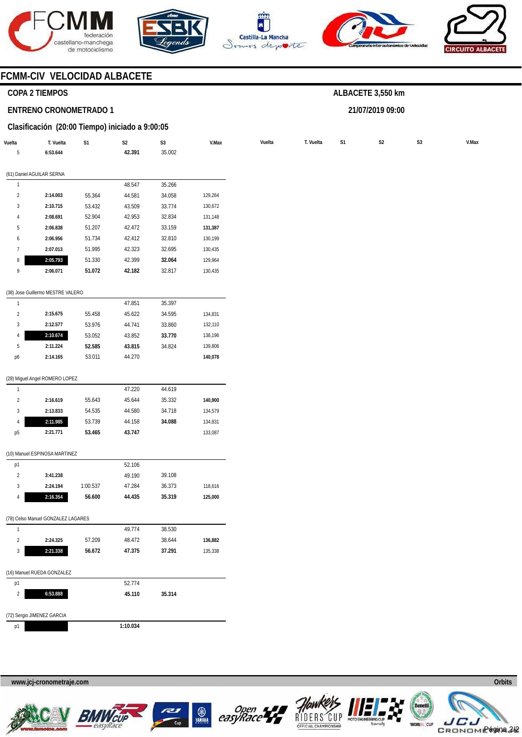







**21/07/2019 09:00** 



# **FCMM-CIV VELOCIDAD ALBACETE**

# **COPA 2 TIEMPOS**

### **ENTRENO CRONOMETRADO 1**

# **Clasificación (20:00 Tiempo) iniciado a 9:00:05**

| Vuelta<br>5    | T. Vuelta<br>6:53.644              | S1       | S <sub>2</sub><br>42.391 | $\mathsf{S}3$<br>35.002 | V.Max   | Vuelta | T. Vuelta | S1 | S <sub>2</sub> | S <sub>3</sub> |  |
|----------------|------------------------------------|----------|--------------------------|-------------------------|---------|--------|-----------|----|----------------|----------------|--|
|                | (61) Daniel AGUILAR SERNA          |          |                          |                         |         |        |           |    |                |                |  |
| $\mathbf{1}$   |                                    |          | 48.547                   | 35.266                  |         |        |           |    |                |                |  |
| $\overline{2}$ | 2:14.003                           | 55.364   | 44.581                   | 34.058                  | 129,264 |        |           |    |                |                |  |
| $\sqrt{3}$     | 2:10.715                           | 53.432   | 43.509                   | 33.774                  | 130,672 |        |           |    |                |                |  |
| $\overline{4}$ | 2:08.691                           | 52.904   | 42.953                   | 32.834                  | 131,148 |        |           |    |                |                |  |
| 5              | 2:06.838                           | 51.207   | 42.472                   | 33.159                  | 131,387 |        |           |    |                |                |  |
| 6              | 2:06.956                           | 51.734   | 42.412                   | 32.810                  | 130,199 |        |           |    |                |                |  |
| $7\phantom{.}$ | 2:07.013                           | 51.995   | 42.323                   | 32.695                  | 130,435 |        |           |    |                |                |  |
| 8              | 2:05.793                           | 51.330   | 42.399                   | 32.064                  | 129,964 |        |           |    |                |                |  |
| 9              | 2:06.071                           | 51.072   | 42.182                   | 32.817                  | 130,435 |        |           |    |                |                |  |
|                | (38) Jose Guillermo MESTRE VALERO  |          |                          |                         |         |        |           |    |                |                |  |
| $\mathbf{1}$   |                                    |          | 47.851                   | 35.397                  |         |        |           |    |                |                |  |
| $\overline{a}$ | 2:15.675                           | 55.458   | 45.622                   | 34.595                  | 134,831 |        |           |    |                |                |  |
| $\sqrt{3}$     | 2:12.577                           | 53.976   | 44.741                   | 33.860                  | 132,110 |        |           |    |                |                |  |
| 4              | 2:10.674                           | 53.052   | 43.852                   | 33.770                  | 138,196 |        |           |    |                |                |  |
| 5              | 2:11.224                           | 52.585   | 43.815                   | 34.824                  | 139,806 |        |           |    |                |                |  |
| p6             | 2:14.165                           | 53.011   | 44.270                   |                         | 140,078 |        |           |    |                |                |  |
|                | (28) Miguel Angel ROMERO LOPEZ     |          |                          |                         |         |        |           |    |                |                |  |
| $\overline{1}$ |                                    |          | 47.220                   | 44.619                  |         |        |           |    |                |                |  |
| $\overline{2}$ | 2:16.619                           | 55.643   | 45.644                   | 35.332                  | 140,900 |        |           |    |                |                |  |
| $\mathbf{3}$   | 2:13.833                           | 54.535   | 44.580                   | 34.718                  | 134,579 |        |           |    |                |                |  |
| $\overline{4}$ | 2:11.985                           | 53.739   | 44.158                   | 34.088                  | 134,831 |        |           |    |                |                |  |
| p <sub>5</sub> | 2:21.771                           | 53.465   | 43.747                   |                         | 133,087 |        |           |    |                |                |  |
|                | (10) Manuel ESPINOSA MARTINEZ      |          |                          |                         |         |        |           |    |                |                |  |
| p1             |                                    |          | 52.106                   |                         |         |        |           |    |                |                |  |
| $\overline{2}$ | 3:41.238                           |          | 49.190                   | 39.108                  |         |        |           |    |                |                |  |
| $\mathbf{3}$   | 2:24.194                           | 1:00.537 | 47.284                   | 36.373                  | 118,616 |        |           |    |                |                |  |
| 4              | 2:16.354                           | 56.600   | 44.435                   | 35.319                  | 125,000 |        |           |    |                |                |  |
|                | (78) Celso Manuel GONZALEZ LAGARES |          |                          |                         |         |        |           |    |                |                |  |
| $\mathbf{1}$   |                                    |          | 49.774                   | 38.530                  |         |        |           |    |                |                |  |
| $\overline{2}$ | 2:24.325                           | 57.209   | 48.472                   | 38.644                  | 136,882 |        |           |    |                |                |  |
| $\sqrt{3}$     | 2:21.338                           | 56.672   | 47.375                   | 37.291                  | 135,338 |        |           |    |                |                |  |
|                | (16) Manuel RUEDA GONZALEZ         |          |                          |                         |         |        |           |    |                |                |  |
| p1             |                                    |          | 52.774                   |                         |         |        |           |    |                |                |  |
| $\overline{2}$ | 6:53.888                           |          | 45.110                   | 35.314                  |         |        |           |    |                |                |  |
|                | (72) Sergio JIMENEZ GARCIA         |          |                          |                         |         |        |           |    |                |                |  |
| p1             |                                    |          | 1:10.034                 |                         |         |        |           |    |                |                |  |









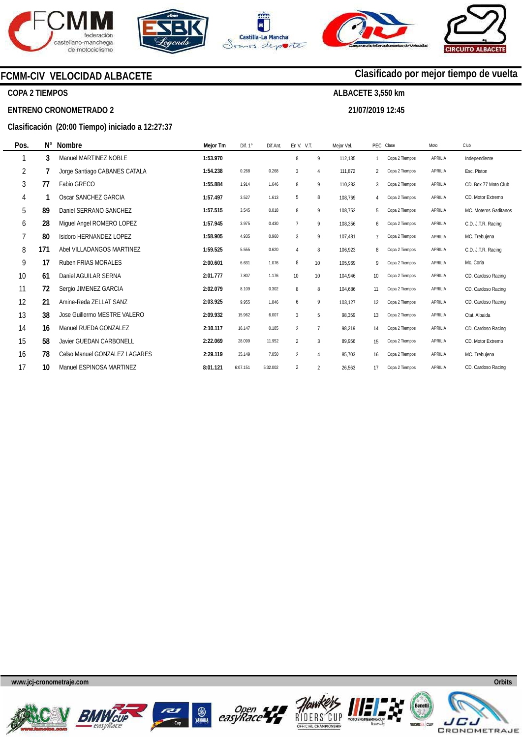







**21/07/2019 12:45** 

**Clasificado por mejor tiempo de vuelta**

# **FCMM-CIV VELOCIDAD ALBACETE**

# **COPA 2 TIEMPOS**

### **ENTRENO CRONOMETRADO 2**

# **Clasificación (20:00 Tiempo) iniciado a 12:27:37**

| N°  | Nombre                        | Mejor Tm | Dif. $1^\circ$ | Dif.Ant  |                |                | Mejor Vel. |                |                | Moto      | Club                  |
|-----|-------------------------------|----------|----------------|----------|----------------|----------------|------------|----------------|----------------|-----------|-----------------------|
| 3   | Manuel MARTINEZ NOBLE         | 1:53.970 |                |          | 8              | 9              | 112,135    | $\mathbf{1}$   | Copa 2 Tiempos | APRILIA   | Independiente         |
|     | Jorge Santiago CABANES CATALA | 1:54.238 | 0.268          | 0.268    | $\mathbf{3}$   | 4              | 111,872    | $\overline{2}$ | Copa 2 Tiempos | APRILIA   | Esc. Piston           |
| 77  | Fabio GRECO                   | 1:55.884 | 1.914          | 1.646    | 8              | 9              | 110,283    | 3              | Copa 2 Tiempos | APRILIA   | CD. Box 77 Moto Club  |
|     | Oscar SANCHEZ GARCIA          | 1:57.497 | 3.527          | 1.613    | 5              | 8              | 108,769    | 4              | Copa 2 Tiempos | APRILIA   | CD. Motor Extremo     |
| 89  | Daniel SERRANO SANCHEZ        | 1:57.515 | 3.545          | 0.018    | 8              | 9              | 108,752    | 5              | Copa 2 Tiempos | APRILIA   | MC. Moteros Gaditanos |
| 28  | Miguel Angel ROMERO LOPEZ     | 1:57.945 | 3.975          | 0.430    | $\overline{7}$ | 9              | 108,356    | 6              | Copa 2 Tiempos | APRILIA   | C.D. J.T.R. Racing    |
| 80  | Isidoro HERNANDEZ LOPEZ       | 1:58.905 | 4.935          | 0.960    | 3              | 9              | 107,481    | $\overline{7}$ | Copa 2 Tiempos | APRILIA   | MC. Trebujena         |
| 171 | Abel VILLADANGOS MARTINEZ     | 1:59.525 | 5.555          | 0.620    | $\overline{4}$ | 8              | 106,923    | 8              | Copa 2 Tiempos | APRILIA   | C.D. J.T.R. Racing    |
| 17  | <b>Ruben FRIAS MORALES</b>    | 2:00.601 | 6.631          | 1.076    | 8              | 10             | 105.969    | 9              | Copa 2 Tiempos | APRILIA   | Mc. Coria             |
| 61  | Daniel AGUILAR SERNA          | 2:01.777 | 7.807          | 1.176    | 10             | 10             | 104.946    | 10             | Copa 2 Tiempos | APRILIA   | CD. Cardoso Racing    |
| 72  | Sergio JIMENEZ GARCIA         | 2:02.079 | 8.109          | 0.302    | 8              | 8              | 104,686    | 11             | Copa 2 Tiempos | APRILIA   | CD. Cardoso Racing    |
| 21  | Amine-Reda ZELLAT SANZ        | 2:03.925 | 9.955          | 1.846    | 6              | 9              | 103,127    | 12             | Copa 2 Tiempos | APRILIA   | CD. Cardoso Racing    |
| 38  | Jose Guillermo MESTRE VALERO  | 2:09.932 | 15.962         | 6.007    | 3              | 5              | 98,359     | 13             | Copa 2 Tiempos | APRILIA   | Ctat. Albaida         |
| 16  | Manuel RUEDA GONZALEZ         | 2:10.117 | 16.147         | 0.185    | $\overline{2}$ | $\overline{7}$ | 98,219     | 14             | Copa 2 Tiempos | APRILIA   | CD. Cardoso Racing    |
| 58  | Javier GUEDAN CARBONELL       | 2:22.069 | 28.099         | 11.952   | $\overline{2}$ | 3              | 89,956     | 15             | Copa 2 Tiempos | APRILIA   | CD. Motor Extremo     |
| 78  | Celso Manuel GONZALEZ LAGARES | 2:29.119 | 35.149         | 7.050    | $\overline{2}$ | $\overline{4}$ | 85.703     | 16             | Copa 2 Tiempos | APRILIA   | MC. Trebujena         |
| 10  | Manuel ESPINOSA MARTINEZ      | 8:01.121 | 6:07.151       | 5:32.002 | 2              | $\overline{2}$ | 26,563     | 17             | Copa 2 Tiempos | APRILIA   | CD. Cardoso Racing    |
|     |                               |          |                |          |                |                | En V. V.T. |                |                | PEC Clase |                       |

**www.jcj-cronometraje.com Orbits** 















**www.mylaps.com LICENCIA CRONOMETRA**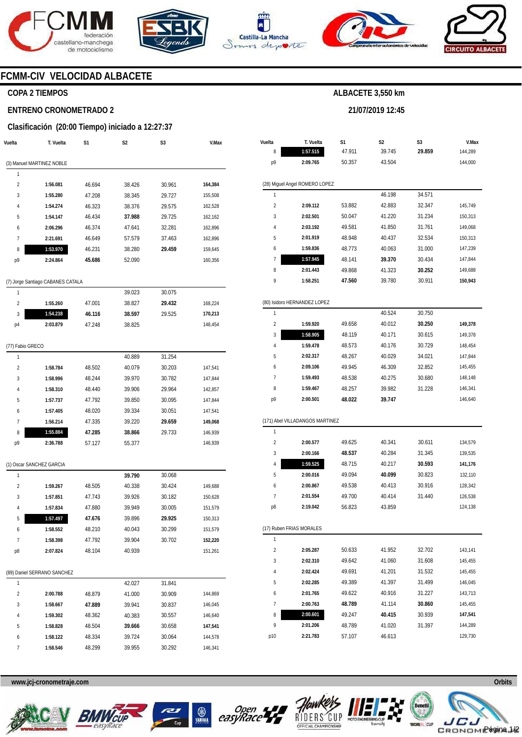







**21/07/2019 12:45** 



# **FCMM-CIV VELOCIDAD ALBACETE**

# **COPA 2 TIEMPOS**

### **ENTRENO CRONOMETRADO 2**

# **Clasificación (20:00 Tiempo) iniciado a 12:27:37**

| Vuelta           | T. Vuelta                         | S1     | S2     | S3     | V.Max   |
|------------------|-----------------------------------|--------|--------|--------|---------|
|                  | (3) Manuel MARTINEZ NOBLE         |        |        |        |         |
| 1                |                                   |        |        |        |         |
| 2                | 1:56.081                          | 46.694 | 38.426 | 30.961 | 164,384 |
| 3                | 1:55.280                          | 47.208 | 38.345 | 29.727 | 155,508 |
| 4                | 1:54.274                          | 46.323 | 38.376 | 29.575 | 162,528 |
| 5                | 1:54.147                          | 46.434 | 37.988 | 29.725 | 162,162 |
| 6                | 2:06.296                          | 46.374 | 47.641 | 32.281 | 162,896 |
| 7                | 2:21.691                          | 46.649 | 57.579 | 37.463 | 162,896 |
| 8                | 1:53.970                          | 46.231 | 38.280 | 29.459 | 159,645 |
| p9               | 2:24.864                          | 45.686 | 52.090 |        | 160,356 |
|                  |                                   |        |        |        |         |
|                  | (7) Jorge Santiago CABANES CATALA |        |        |        |         |
| 1                |                                   |        | 39.023 | 30.075 |         |
| 2                | 1:55.260                          | 47.001 | 38.827 | 29.432 | 168,224 |
| 3                | 1:54.238                          | 46.116 | 38.597 | 29.525 | 170,213 |
| p4               | 2:03.879                          | 47.248 | 38.825 |        | 148,454 |
|                  |                                   |        |        |        |         |
| (77) Fabio GRECO |                                   |        |        |        |         |
| 1                |                                   |        | 40.889 | 31.254 |         |
| 2                | 1:58.784                          | 48.502 | 40.079 | 30.203 | 147,541 |
| 3                | 1:58.996                          | 48.244 | 39.970 | 30.782 | 147,844 |
| 4                | 1:58.310                          | 48.440 | 39.906 | 29.964 | 142,857 |
| 5                | 1:57.737                          | 47.792 | 39.850 | 30.095 | 147,844 |
| 6                | 1:57.405                          | 48.020 | 39.334 | 30.051 | 147,541 |
| 7                | 1:56.214                          | 47.335 | 39.220 | 29.659 | 149,068 |
| 8                | 1:55.884                          | 47.285 | 38.866 | 29.733 | 146,939 |
| p9               | 2:36.788                          | 57.127 | 55.377 |        | 146,939 |
|                  | (1) Oscar SANCHEZ GARCIA          |        |        |        |         |
| 1                |                                   |        | 39.790 | 30.068 |         |
| 2                | 1:59.267                          | 48.505 | 40.338 | 30.424 | 149,688 |
| 3                | 1:57.851                          | 47.743 | 39.926 | 30.182 | 150,628 |
| 4                | 1:57.834                          | 47.880 | 39.949 | 30.005 | 151,579 |
| 5                | 1:57.497                          | 47.676 | 39.896 | 29.925 | 150,313 |
| 6                | 1:58.552                          | 48.210 | 40.043 | 30.299 | 151,579 |
| 7                | 1:58.398                          | 47.792 | 39.904 | 30.702 | 152,220 |
| p8               | 2:07.824                          | 48.104 | 40.939 |        | 151,261 |
|                  |                                   |        |        |        |         |
|                  | (89) Daniel SERRANO SANCHEZ       |        |        |        |         |
| 1                |                                   |        | 42.027 | 31.841 |         |
| 2                | 2:00.788                          | 48.879 | 41.000 | 30.909 | 144,869 |
| 3                | 1:58.667                          | 47.889 | 39.941 | 30.837 | 146,045 |
| 4                | 1:59.302                          | 48.362 | 40.383 | 30.557 | 146,640 |
| 5                | 1:58.828                          | 48.504 | 39.666 | 30.658 | 147,541 |
| 6                | 1:58.122                          | 48.334 | 39.724 | 30.064 | 144,578 |
| 7                | 1:58.546                          | 48.299 | 39.955 | 30.292 | 146,341 |

| Vuelta         | T. Vuelta                       | S1     | S2     | S3     | V.Max   |  |  |  |  |  |  |  |
|----------------|---------------------------------|--------|--------|--------|---------|--|--|--|--|--|--|--|
| 8              | 1:57.515                        | 47.911 | 39.745 | 29.859 | 144,289 |  |  |  |  |  |  |  |
| p9             | 2:09.765                        | 50.357 | 43.504 |        | 144,000 |  |  |  |  |  |  |  |
|                |                                 |        |        |        |         |  |  |  |  |  |  |  |
|                | (28) Miguel Angel ROMERO LOPEZ  |        |        |        |         |  |  |  |  |  |  |  |
| 1              |                                 |        | 46.198 | 34.571 |         |  |  |  |  |  |  |  |
| $\overline{2}$ | 2:09.112                        | 53.882 | 42.883 | 32.347 | 145,749 |  |  |  |  |  |  |  |
| 3              | 2:02.501                        | 50.047 | 41.220 | 31.234 | 150,313 |  |  |  |  |  |  |  |
| 4              | 2:03.192                        | 49.581 | 41.850 | 31.761 | 149,068 |  |  |  |  |  |  |  |
| 5              | 2:01.919                        | 48.948 | 40.437 | 32.534 | 150,313 |  |  |  |  |  |  |  |
| 6              | 1:59.836                        | 48.773 | 40.063 | 31.000 | 147,239 |  |  |  |  |  |  |  |
| 7              | 1:57.945                        | 48.141 | 39.370 | 30.434 | 147,844 |  |  |  |  |  |  |  |
| 8              | 2:01.443                        | 49.868 | 41.323 | 30.252 | 149,688 |  |  |  |  |  |  |  |
| 9              | 1:58.251                        | 47.560 | 39.780 | 30.911 | 150,943 |  |  |  |  |  |  |  |
|                |                                 |        |        |        |         |  |  |  |  |  |  |  |
|                | (80) Isidoro HERNANDEZ LOPEZ    |        |        |        |         |  |  |  |  |  |  |  |
| 1              |                                 |        | 40.524 | 30.750 |         |  |  |  |  |  |  |  |
| $\overline{c}$ | 1:59.920                        | 49.658 | 40.012 | 30.250 | 149,378 |  |  |  |  |  |  |  |
| 3              | 1:58.905                        | 48.119 | 40.171 | 30.615 | 149,378 |  |  |  |  |  |  |  |
| 4              | 1:59.478                        | 48.573 | 40.176 | 30.729 | 148,454 |  |  |  |  |  |  |  |
| 5              | 2:02.317                        | 48.267 | 40.029 | 34.021 | 147,844 |  |  |  |  |  |  |  |
| 6              | 2:09.106                        | 49.945 | 46.309 | 32.852 | 145,455 |  |  |  |  |  |  |  |
| 7              | 1:59.493                        | 48.538 | 40.275 | 30.680 | 148,148 |  |  |  |  |  |  |  |
| 8              | 1:59.467                        | 48.257 | 39.982 | 31.228 | 146,341 |  |  |  |  |  |  |  |
| р9             | 2:00.501                        | 48.022 | 39.747 |        | 146,640 |  |  |  |  |  |  |  |
|                |                                 |        |        |        |         |  |  |  |  |  |  |  |
|                | (171) Abel VILLADANGOS MARTINEZ |        |        |        |         |  |  |  |  |  |  |  |
| 1              |                                 |        |        |        |         |  |  |  |  |  |  |  |
| $\overline{2}$ | 2:00.577                        | 49.625 | 40.341 | 30.611 | 134,579 |  |  |  |  |  |  |  |
| 3              | 2:00.166                        | 48.537 | 40.284 | 31.345 | 139,535 |  |  |  |  |  |  |  |
| 4              | 1:59.525                        | 48.715 | 40.217 | 30.593 | 141,176 |  |  |  |  |  |  |  |
| 5              | 2:00.016                        | 49.094 | 40.099 | 30.823 | 132,110 |  |  |  |  |  |  |  |
| 6              | 2:00.867                        | 49.538 | 40.413 | 30.916 | 128,342 |  |  |  |  |  |  |  |
| 7              | 2:01.554                        | 49.700 | 40.414 | 31.440 | 126,538 |  |  |  |  |  |  |  |
| p8             | 2:19.042                        | 56.823 | 43.859 |        | 124,138 |  |  |  |  |  |  |  |
|                |                                 |        |        |        |         |  |  |  |  |  |  |  |
|                | (17) Ruben FRIAS MORALES        |        |        |        |         |  |  |  |  |  |  |  |
| 1              |                                 |        |        |        |         |  |  |  |  |  |  |  |
| $\overline{2}$ | 2:05.287                        | 50.633 | 41.952 | 32.702 | 143,141 |  |  |  |  |  |  |  |
| 3              | 2:02.310                        | 49.642 | 41.060 | 31.608 | 145,455 |  |  |  |  |  |  |  |
| 4              | 2:02.424                        | 49.691 | 41.201 | 31.532 | 145,455 |  |  |  |  |  |  |  |
| 5              | 2:02.285                        | 49.389 | 41.397 | 31.499 | 146,045 |  |  |  |  |  |  |  |
| 6              | 2:01.765                        | 49.622 | 40.916 | 31.227 | 143,713 |  |  |  |  |  |  |  |
| 7              | 2:00.763                        | 48.789 | 41.114 | 30.860 | 145,455 |  |  |  |  |  |  |  |
| 8              | 2:00.601                        | 49.247 | 40.415 | 30.939 | 147,541 |  |  |  |  |  |  |  |
| 9              | 2:01.206                        | 48.789 | 41.020 | 31.397 | 144,289 |  |  |  |  |  |  |  |
| p10            | 2:21.783                        | 57.107 | 46.613 |        | 129,730 |  |  |  |  |  |  |  |











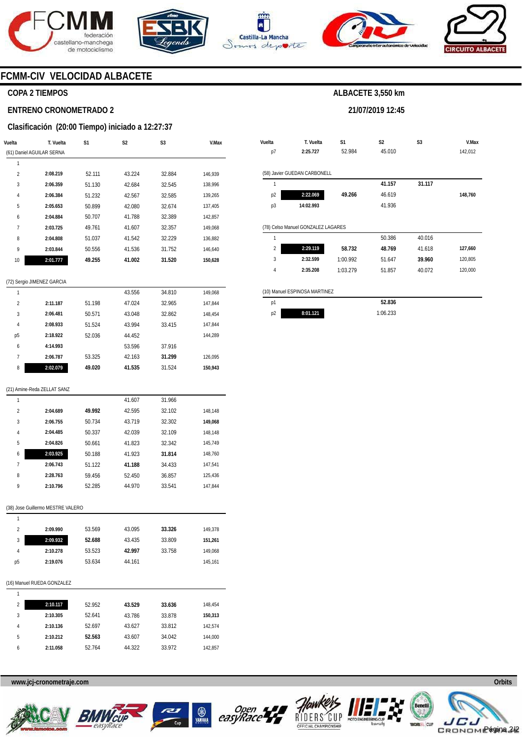





**Vuelta** 





**V.Max** 

# **FCMM-CIV VELOCIDAD ALBACETE**

#### **COPA 2 TIEMPOS**

#### **ENTRENO CRONOMETRADO 2**

#### **Clasificación (20:00 Tiempo) iniciado a 12:27:37**

|                         | T. Vuelta                         | S1               | S2               | S3               | V.Max              |
|-------------------------|-----------------------------------|------------------|------------------|------------------|--------------------|
|                         | (61) Daniel AGUILAR SERNA         |                  |                  |                  |                    |
| 1                       |                                   |                  |                  |                  |                    |
| $\overline{\mathbf{c}}$ | 2:08.219                          | 52.111           | 43.224           | 32.884           | 146,939            |
| 3                       | 2:06.359                          | 51.130           | 42.684           | 32.545           | 138,996            |
| 4                       | 2:06.384                          | 51.232           | 42.567           | 32.585           | 139,265            |
| 5                       | 2:05.653                          | 50.899           | 42.080           | 32.674           | 137,405            |
| 6                       | 2:04.884                          | 50.707           | 41.788           | 32.389           | 142,857            |
| 7                       | 2:03.725                          | 49.761           | 41.607           | 32.357           | 149,068            |
| 8                       | 2:04.808                          | 51.037           | 41.542           | 32.229           | 136,882            |
| 9                       | 2:03.844                          | 50.556           | 41.536           | 31.752           | 146,640            |
| 10                      | 2:01.777                          | 49.255           | 41.002           | 31.520           | 150,628            |
|                         | (72) Sergio JIMENEZ GARCIA        |                  |                  |                  |                    |
| 1                       |                                   |                  | 43.556           | 34.810           | 149,068            |
| $\overline{2}$          | 2:11.187                          | 51.198           | 47.024           | 32.965           | 147,844            |
| 3                       | 2:06.481                          | 50.571           | 43.048           | 32.862           | 148,454            |
| 4                       | 2:08.933                          | 51.524           | 43.994           | 33.415           | 147,844            |
| р5                      | 2:18.922                          | 52.036           | 44.452           |                  | 144,289            |
| 6                       | 4:14.993                          |                  | 53.596           | 37.916           |                    |
| 7                       | 2:06.787                          | 53.325           | 42.163           | 31.299           | 126,095            |
| 8                       | 2:02.079                          | 49.020           | 41.535           | 31.524           | 150,943            |
|                         | (21) Amine-Reda ZELLAT SANZ       |                  |                  |                  |                    |
| 1                       |                                   |                  | 41.607           | 31.966           |                    |
| $\overline{2}$          | 2:04.689                          | 49.992           | 42.595           | 32.102           | 148,148            |
| 3                       | 2:06.755                          | 50.734           | 43.719           | 32.302           | 149,068            |
| 4                       | 2:04.485                          | 50.337           | 42.039           | 32.109           | 148,148            |
|                         | 2:04.826                          | 50.661           | 41.823           | 32.342           | 145,749            |
|                         |                                   |                  |                  |                  | 148,760            |
| 5<br>6                  |                                   |                  |                  |                  |                    |
| 7                       | 2:03.925                          | 50.188           | 41.923           | 31.814           |                    |
|                         | 2:06.743                          | 51.122           | 41.188           | 34.433           | 147,541            |
| 8<br>9                  | 2:28.763<br>2:10.796              | 59.456<br>52.285 | 52.450<br>44.970 | 36.857<br>33.541 | 125,436<br>147,844 |
|                         |                                   |                  |                  |                  |                    |
| 1                       | (38) Jose Guillermo MESTRE VALERO |                  |                  |                  |                    |
| $\overline{c}$          | 2:09.990                          | 53.569           | 43.095           | 33.326           | 149,378            |
| 3                       | 2:09.932                          | 52.688           | 43.435           | 33.809           | 151,261            |
| 4                       | 2:10.278                          | 53.523           | 42.997           | 33.758           |                    |
| р5                      | 2:19.076                          | 53.634           | 44.161           |                  | 149,068<br>145,161 |
|                         |                                   |                  |                  |                  |                    |
|                         | (16) Manuel RUEDA GONZALEZ        |                  |                  |                  |                    |
| 1                       |                                   |                  |                  |                  |                    |
| 2                       | 2:10.117                          | 52.952           | 43.529           | 33.636           | 148,454            |
| 3                       | 2:10.305                          | 52.641           | 43.786           | 33.878           | 150,313            |
| 4<br>5                  | 2:10.136<br>2:10.212              | 52.697<br>52.563 | 43.627<br>43.607 | 33.812<br>34.042 | 142,574<br>144,000 |

#### p7 (58) Javier GUEDAN CARBONELL 1 p2 p3 (78) Celso Manuel GONZALEZ LAGARES 1 **2:25.727 2:22.069 14:02.993**  52.984 **49.266**  45.010 **41.157**  46.619 41.936 50.386 **31.117**  40.016 142,012 **148,760**

**S2** 

**ALBACETE 3,550 km** 

**21/07/2019 12:45** 

**S3** 

| 2:29.119 | 58.732   | 48.769 | 41.618 | 127.660 |
|----------|----------|--------|--------|---------|
| 2:32.599 | 1:00.992 | 51.647 | 39.960 | 120.805 |
| 2:35.208 | 1:03.279 | 51.857 | 40.072 | 120.000 |

**52.836** 

(10) Manuel ESPINOSA MARTINEZ

| p1             |          | 52.836   |
|----------------|----------|----------|
| p <sub>2</sub> | 8:01.121 | 1:06.233 |

**T. Vuelta** 

**S1** 









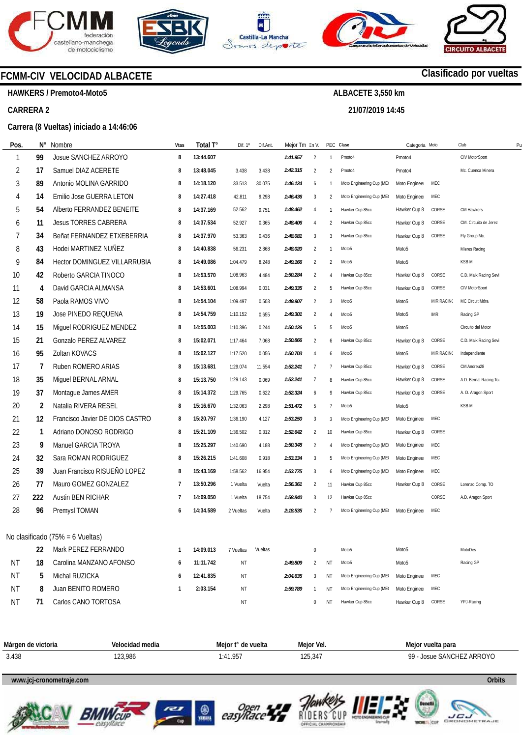







**21/07/2019 14:45** 



# **Clasificado por vueltas**

**HAWKERS / Premoto4-Moto5** 

#### **CARRERA 2**

#### **Carrera (8 Vueltas) iniciado a 14:46:06**

**FCMM-CIV VELOCIDAD ALBACETE** 

| Pos.      | N°  | Nombre                              | Vtas           | Total T°  | Dif. 1°   | Dif.Ant. | Mejor Tm En V. |                |                        | PEC Clase                 | Categoria Moto    |            | Club                   | P |
|-----------|-----|-------------------------------------|----------------|-----------|-----------|----------|----------------|----------------|------------------------|---------------------------|-------------------|------------|------------------------|---|
|           | 99  | Josue SANCHEZ ARROYO                | 8              | 13:44.607 |           |          | 1:41.957       | 2              | $\mathbf{1}$           | Pmoto4                    | Pmoto4            |            | CIV MotorSport         |   |
| 2         | 17  | Samuel DIAZ ACERETE                 | 8              | 13:48.045 | 3.438     | 3.438    | 1:42.315       | $\overline{2}$ | $\overline{2}$         | Pmoto4                    | Pmoto4            |            | Mc. Cuenca Minera      |   |
| 3         | 89  | Antonio MOLINA GARRIDO              | 8              | 14:18.120 | 33.513    | 30.075   | 1:46.124       | 6              | $\mathbf{1}$           | Moto Engineering Cup (ME) | Moto Engineer     | MEC        |                        |   |
| 4         | 14  | Emilio Jose GUERRA LETON            | 8              | 14:27.418 | 42.811    | 9.298    | 1:46.436       | 3              | $\overline{2}$         | Moto Engineering Cup (ME) | Moto Engineer     | MEC        |                        |   |
| 5         | 54  | Alberto FERRANDEZ BENEITE           | 8              | 14:37.169 | 52.562    | 9.751    | 1:48.462       | $\overline{4}$ | $\mathbf{1}$           | Hawker Cup 85cc           | Hawker Cup 8      | CORSE      | CM Hawkers             |   |
| 6         | 11  | <b>Jesus TORRES CABRERA</b>         | 8              | 14:37.534 | 52.927    | 0.365    | 1:48.406       | $\overline{4}$ | 2                      | Hawker Cup 85cc           | Hawker Cup 8      | CORSE      | CM. Circuito de Jerez  |   |
| 7         | 34  | Beñat FERNANDEZ ETXEBERRIA          | 8              | 14:37.970 | 53.363    | 0.436    | 1:48.081       | 3              | 3                      | Hawker Cup 85cc           | Hawker Cup 8      | CORSE      | Fly Group Mc.          |   |
| 8         | 43  | Hodei MARTINEZ NUÑEZ                | 8              | 14:40.838 | 56.231    | 2.868    | 1:48.020       | 2              | $\mathbf{1}$           | Moto <sub>5</sub>         | Moto <sub>5</sub> |            | Mieres Racing          |   |
| 9         | 84  | <b>Hector DOMINGUEZ VILLARRUBIA</b> | 8              | 14:49.086 | 1:04.479  | 8.248    | 1:49.166       | $\overline{2}$ | $\overline{2}$         | Moto <sub>5</sub>         | Moto <sub>5</sub> |            | <b>KSBM</b>            |   |
| 10        | 42  | Roberto GARCIA TINOCO               | 8              | 14:53.570 | 1:08.963  | 4.484    | 1:50.284       | 2              | $\boldsymbol{\Lambda}$ | Hawker Cup 85cc           | Hawker Cup 8      | CORSE      | C.D. Maik Racing Sevi  |   |
| 11        | 4   | David GARCIA ALMANSA                | 8              | 14:53.601 | 1:08.994  | 0.031    | 1:49.335       | 2              | 5                      | Hawker Cup 85cc           | Hawker Cup 8      | CORSE      | CIV MotorSport         |   |
| 12        | 58  | Paola RAMOS VIVO                    | 8              | 14:54.104 | 1:09.497  | 0.503    | 1:49.907       | 2              | 3                      | Moto <sub>5</sub>         | Moto <sub>5</sub> | MIR RACINO | MC Circuit Móra        |   |
| 13        | 19  | Jose PINEDO REQUENA                 | 8              | 14:54.759 | 1:10.152  | 0.655    | 1:49.301       | 2              | $\overline{4}$         | Moto <sub>5</sub>         | Moto <sub>5</sub> | IMR        | Racing GP              |   |
| 14        | 15  | Miguel RODRIGUEZ MENDEZ             | 8              | 14:55.003 | 1:10.396  | 0.244    | 1:50.126       | 5              | 5                      | Moto <sub>5</sub>         | Moto <sub>5</sub> |            | Circuito del Motor     |   |
| 15        | 21  | Gonzalo PEREZ ALVAREZ               | 8              | 15:02.071 | 1:17.464  | 7.068    | 1:50.866       | 2              | 6                      | Hawker Cup 85cc           | Hawker Cup 8      | CORSE      | C.D. Maik Racing Sevi  |   |
| 16        | 95  | Zoltan KOVACS                       | 8              | 15:02.127 | 1:17.520  | 0.056    | 1:50.703       | $\overline{4}$ | 6                      | Moto <sub>5</sub>         | Moto <sub>5</sub> | MIR RACINO | Independiente          |   |
| 17        | 7   | Ruben ROMERO ARIAS                  | 8              | 15:13.681 | 1:29.074  | 11.554   | 1:52.241       | $\overline{7}$ | $\overline{7}$         | Hawker Cup 85cc           | Hawker Cup 8      | CORSE      | CM Andreu28            |   |
| 18        | 35  | Miguel BERNAL ARNAL                 | 8              | 15:13.750 | 1:29.143  | 0.069    | 1:52.241       | $\overline{7}$ | 8                      | Hawker Cup 85cc           | Hawker Cup 8      | CORSE      | A.D. Bernal Racing Tea |   |
| 19        | 37  | Montague James AMER                 | 8              | 15:14.372 | 1:29.765  | 0.622    | 1:52.324       | 6              | 9                      | Hawker Cup 85cc           | Hawker Cup 8      | CORSE      | A. D. Aragon Sport     |   |
| 20        | 2   | Natalia RIVERA RESEL                | 8              | 15:16.670 | 1:32.063  | 2.298    | 1:51.472       | 5              | $\overline{7}$         | Moto <sub>5</sub>         | Moto <sub>5</sub> |            | <b>KSBM</b>            |   |
| 21        | 12  | Francisco Javier DE DIOS CASTRO     | 8              | 15:20.797 | 1:36.190  | 4.127    | 1:53.250       | 3              | 3                      | Moto Engineering Cup (ME  | Moto Engineer     | MEC        |                        |   |
| 22        | 1   | Adriano DONOSO RODRIGO              | 8              | 15:21.109 | 1:36.502  | 0.312    | 1:52.642       | $\overline{2}$ | 10                     | Hawker Cup 85cc           | Hawker Cup 8      | CORSE      |                        |   |
| 23        | 9   | Manuel GARCIA TROYA                 | 8              | 15:25.297 | 1:40.690  | 4.188    | 1:50.348       | 2              | $\overline{4}$         | Moto Engineering Cup (ME  | Moto Engineer     | MEC        |                        |   |
| 24        | 32  | Sara ROMAN RODRIGUEZ                | 8              | 15:26.215 | 1:41.608  | 0.918    | 1:53.134       | 3              | 5                      | Moto Engineering Cup (ME  | Moto Engineer     | MEC        |                        |   |
| 25        | 39  | Juan Francisco RISUEÑO LOPEZ        | 8              | 15:43.169 | 1:58.562  | 16.954   | 1:53.775       | 3              | 6                      | Moto Engineering Cup (ME  | Moto Engineer     | MEC        |                        |   |
| 26        | 77  | Mauro GOMEZ GONZALEZ                | $\overline{7}$ | 13:50.296 | 1 Vuelta  | Vuelta   | 1:56.361       | 2              | 11                     | Hawker Cup 85cc           | Hawker Cup 8      | CORSE      | Lorenzo Comp. TO       |   |
| 27        | 222 | <b>Austin BEN RICHAR</b>            | 7              | 14:09.050 | 1 Vuelta  | 18.754   | 1:58.840       | 3              | 12                     | Hawker Cup 85cc           |                   | CORSE      | A.D. Aragon Sport      |   |
| 28        | 96  | Premysl TOMAN                       | 6              | 14:34.589 | 2 Vueltas | Vuelta   | 2:18.535       | 2              | 7                      | Moto Engineering Cup (ME  | Moto Engineer     | MEC        |                        |   |
|           |     |                                     |                |           |           |          |                |                |                        |                           |                   |            |                        |   |
|           |     | No clasificado (75% = 6 Vueltas)    |                |           |           |          |                |                |                        |                           |                   |            |                        |   |
|           | 22  | Mark PEREZ FERRANDO                 | 1              | 14:09.013 | 7 Vueltas | Vueltas  |                | $\bf{0}$       |                        | Moto <sub>5</sub>         | Moto <sub>5</sub> |            | MotoDes                |   |
| ΝT        | 18  | Carolina MANZANO AFONSO             | 6              | 11:11.742 | ΝT        |          | 1:49.809       | $\overline{2}$ | ΝT                     | Moto <sub>5</sub>         | Moto <sub>5</sub> |            | Racing GP              |   |
| <b>NT</b> | 5   | Michal RUZICKA                      | 6              | 12:41.835 | ΝT        |          | 2:04.635       | 3              | ΝT                     | Moto Engineering Cup (ME) | Moto Engineer     | MEC        |                        |   |
| <b>NT</b> | 8   | Juan BENITO ROMERO                  | 1              | 2:03.154  | ΝT        |          | 1:59.789       | $\mathbf{1}$   | ΝT                     | Moto Engineering Cup (ME) | Moto Engineer     | MEC        |                        |   |
| <b>NT</b> | 71  | Carlos CANO TORTOSA                 |                |           | NT        |          |                | 0              | NT                     | Hawker Cup 85cc           | Hawker Cup 8      | CORSE      | YPJ-Racing             |   |

| Márgen de | Velocidad media | Meior f'                                                        |            | vuelta para                    |
|-----------|-----------------|-----------------------------------------------------------------|------------|--------------------------------|
| victoria  | .               | de vuelta                                                       | Meior Vel. | Meior <b>M</b>                 |
| 3.438     | 123,986         | i OF<br>. л<br>4<br>1.7J<br>the contract of the contract of the | 125,341    | ARROYO<br>QQ<br>SANC<br>INSLIF |

# **www.jcj-cronometraje.com Orbits**













**www.mylaps.com LICU**<br>CRONOMETRAJE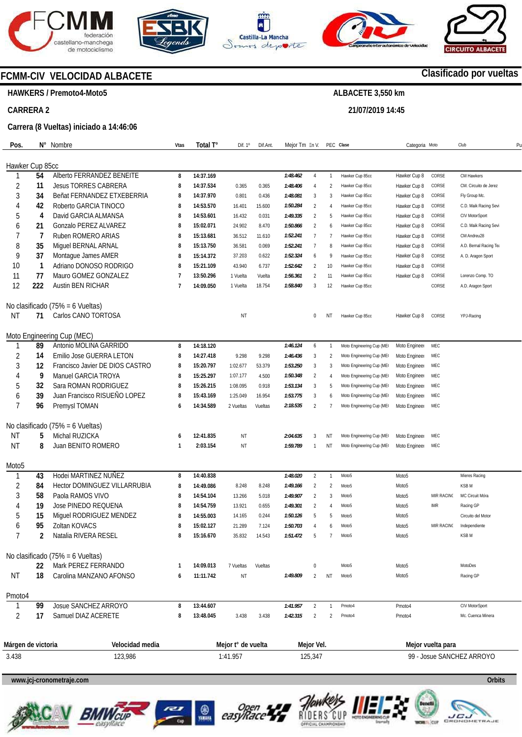









# **FCMM-CIV VELOCIDAD ALBACETE**

**HAWKERS / Premoto4-Moto5** 

**CARRERA 2** 

#### **Carrera (8 Vueltas) iniciado a 14:46:06**

| Pos.               | N°  | Nombre                              | Vtas    | Total T°  | Dif. 1º            | Dif.Ant. | Mejor Tm En V. |                |                | PEC Clase                 | Categoria Moto    |                   | Club                   | P <sub>l</sub> |
|--------------------|-----|-------------------------------------|---------|-----------|--------------------|----------|----------------|----------------|----------------|---------------------------|-------------------|-------------------|------------------------|----------------|
|                    |     |                                     |         |           |                    |          |                |                |                |                           |                   |                   |                        |                |
| Hawker Cup 85cc    |     |                                     |         |           |                    |          |                |                |                |                           |                   |                   |                        |                |
|                    | 54  | Alberto FERRANDEZ BENEITE           | 8       | 14:37.169 |                    |          | 1:48.462       | 4              | $\mathbf{1}$   | Hawker Cup 85cc           | Hawker Cup 8      | CORSE             | CM Hawkers             |                |
| 2                  | 11  | <b>Jesus TORRES CABRERA</b>         | 8       | 14:37.534 | 0.365              | 0.365    | 1:48.406       | $\overline{4}$ | $\overline{2}$ | Hawker Cup 85cc           | Hawker Cup 8      | CORSE             | CM. Circuito de Jerez  |                |
| 3                  | 34  | Beñat FERNANDEZ ETXEBERRIA          | 8       | 14:37.970 | 0.801              | 0.436    | 1:48.081       | 3              | 3              | Hawker Cup 85cc           | Hawker Cup 8      | CORSE             | Fly Group Mc.          |                |
| 4                  | 42  | Roberto GARCIA TINOCO               | 8       | 14:53.570 | 16.401             | 15.600   | 1:50.284       | $\overline{2}$ | 4              | Hawker Cup 85cc           | Hawker Cup 8      | CORSE             | C.D. Maik Racing Sevi  |                |
| 5                  | 4   | David GARCIA ALMANSA                | 8       | 14:53.601 | 16.432             | 0.031    | 1:49.335       | 2              | 5              | Hawker Cup 85cc           | Hawker Cup 8      | CORSE             | CIV MotorSport         |                |
| 6                  | 21  | Gonzalo PEREZ ALVAREZ               | 8       | 15:02.071 | 24.902             | 8.470    | 1:50.866       | $\overline{2}$ | 6              | Hawker Cup 85cc           | Hawker Cup 8      | CORSE             | C.D. Maik Racing Sevi  |                |
| 7                  | 7   | Ruben ROMERO ARIAS                  | 8       | 15:13.681 | 36.512             | 11.610   | 1:52.241       | $\overline{7}$ | 7              | Hawker Cup 85cc           | Hawker Cup 8      | CORSE             | CM Andreu28            |                |
| 8                  | 35  | Miguel BERNAL ARNAL                 | 8       | 15:13.750 | 36.581             | 0.069    | 1:52.241       | $\overline{7}$ | 8              | Hawker Cup 85cc           | Hawker Cup 8      | CORSE             | A.D. Bernal Racing Tea |                |
| 9                  | 37  | Montague James AMER                 | 8       | 15:14.372 | 37.203             | 0.622    | 1:52.324       | 6              | 9              | Hawker Cup 85cc           | Hawker Cup 8      | CORSE             | A. D. Aragon Sport     |                |
| 10                 | 1   | Adriano DONOSO RODRIGO              | 8       | 15:21.109 | 43.940             | 6.737    | 1:52.642       | $\overline{2}$ | 10             | Hawker Cup 85cc           | Hawker Cup 8      | CORSE             |                        |                |
| 11                 | 77  | Mauro GOMEZ GONZALEZ                | 7       | 13:50.296 | 1 Vuelta           | Vuelta   | 1:56.361       | $\overline{2}$ | 11             | Hawker Cup 85cc           | Hawker Cup 8      | CORSE             | Lorenzo Comp. TO       |                |
| 12                 | 222 | Austin BEN RICHAR                   | 7       | 14:09.050 | 1 Vuelta           | 18.754   | 1:58.840       | 3              | 12             | Hawker Cup 85cc           |                   | CORSE             | A.D. Aragon Sport      |                |
|                    |     | No clasificado (75% = 6 Vueltas)    |         |           |                    |          |                |                |                |                           |                   |                   |                        |                |
| ΝT                 | 71  | Carlos CANO TORTOSA                 |         |           | NT                 |          |                | $\bf{0}$       | ΝT             | Hawker Cup 85cc           | Hawker Cup 8      | CORSE             | YPJ-Racing             |                |
|                    |     | Moto Engineering Cup (MEC)          |         |           |                    |          |                |                |                |                           |                   |                   |                        |                |
| -1                 | 89  | Antonio MOLINA GARRIDO              | 8       | 14:18.120 |                    |          | 1:46.124       | 6              | $\mathbf{1}$   | Moto Engineering Cup (ME  | Moto Engineer     | MEC               |                        |                |
| $\overline{2}$     | 14  | Emilio Jose GUERRA LETON            | 8       | 14:27.418 | 9.298              | 9.298    | 1:46.436       | 3              | $\overline{2}$ | Moto Engineering Cup (ME  | Moto Engineer     | MEC               |                        |                |
| 3                  | 12  | Francisco Javier DE DIOS CASTRO     | 8       | 15:20.797 | 1:02.677           | 53.379   | 1:53.250       | 3              | 3              | Moto Engineering Cup (ME  | Moto Engineer     | MEC               |                        |                |
| 4                  | 9   | Manuel GARCIA TROYA                 | 8       | 15:25.297 | 1:07.177           | 4.500    | 1:50.348       | $\overline{2}$ | 4              | Moto Engineering Cup (ME  | Moto Engineer     | MEC               |                        |                |
| 5                  | 32  | Sara ROMAN RODRIGUEZ                | 8       | 15:26.215 | 1:08.095           | 0.918    | 1:53.134       | 3              | 5              | Moto Engineering Cup (ME  | Moto Engineer     | MEC               |                        |                |
| 6                  | 39  | Juan Francisco RISUEÑO LOPEZ        | 8       | 15:43.169 | 1:25.049           | 16.954   | 1:53.775       | 3              | 6              | Moto Engineering Cup (ME  | Moto Engineer     | MEC               |                        |                |
| 7                  | 96  | Premysl TOMAN                       | 6       | 14:34.589 | 2 Vueltas          | Vueltas  | 2:18.535       | $\overline{2}$ | 7              | Moto Engineering Cup (ME  | Moto Engineer     | MEC               |                        |                |
|                    |     | No clasificado (75% = 6 Vueltas)    |         |           |                    |          |                |                |                |                           |                   |                   |                        |                |
| ΝT                 | 5   | Michal RUZICKA                      |         | 12:41.835 | NT                 |          | 2:04.635       | 3              | ΝT             | Moto Engineering Cup (ME  | Moto Engineer     | MEC               |                        |                |
| <b>NT</b>          | 8   | Juan BENITO ROMERO                  | 6<br>-1 | 2:03.154  | NT                 |          | 1:59.789       | $\overline{1}$ | ΝT             | Moto Engineering Cup (ME) | Moto Engineer     | MEC               |                        |                |
|                    |     |                                     |         |           |                    |          |                |                |                |                           |                   |                   |                        |                |
| Moto5              |     |                                     |         |           |                    |          |                |                |                |                           |                   |                   |                        |                |
| 1                  | 43  | Hodei MARTINEZ NUÑEZ                | 8       | 14:40.838 |                    |          | 1:48.020       | $\overline{2}$ | $\mathbf{1}$   | Moto <sub>5</sub>         | Moto <sub>5</sub> |                   | Mieres Racing          |                |
| 2                  | 84  | <b>Hector DOMINGUEZ VILLARRUBIA</b> | 8       | 14:49.086 | 8.248              | 8.248    | 1:49.166       | $\overline{2}$ | 2              | Moto <sub>5</sub>         | Moto <sub>5</sub> |                   | KSB <sub>M</sub>       |                |
| 3                  | 58  | Paola RAMOS VIVO                    | 8       | 14:54.104 | 13.266             | 5.018    | 1:49.907       | $\overline{2}$ | 3              | Moto <sub>5</sub>         | Moto <sub>5</sub> | MIR RACINO        | MC Circuit Móra        |                |
| 4                  | 19  | Jose PINEDO REQUENA                 | 8       | 14:54.759 | 13.921             | 0.655    | 1:49.301       | $\overline{2}$ | 4              | Moto <sub>5</sub>         | Moto5             | IMR               | Racing GP              |                |
| 5                  | 15  | Miguel RODRIGUEZ MENDEZ             | 8       | 14:55.003 | 14.165             | 0.244    | 1:50.126       | 5              | 5              | Moto <sub>5</sub>         | Moto <sub>5</sub> |                   | Circuito del Motor     |                |
| 6                  | 95  | Zoltan KOVACS                       | 8       | 15:02.127 | 21.289             | 7.124    | 1:50.703       | 4              | 6              | Moto <sub>5</sub>         | Moto <sub>5</sub> | MIR RACINO        | Independiente          |                |
|                    | 2   | Natalia RIVERA RESEL                |         | 15:16.670 | 35.832             | 14.543   | 1:51.4/2       |                |                |                           | Moto5             |                   | KSB M                  |                |
|                    |     | No clasificado (75% = 6 Vueltas)    |         |           |                    |          |                |                |                |                           |                   |                   |                        |                |
|                    | 22  | Mark PEREZ FERRANDO                 | 1       | 14:09.013 | 7 Vueltas          | Vueltas  |                | $\bf{0}$       |                | Moto <sub>5</sub>         | Moto <sub>5</sub> |                   | MotoDes                |                |
| ΝT                 | 18  | Carolina MANZANO AFONSO             | 6       | 11:11.742 | ΝT                 |          | 1:49.809       | 2              | ΝT             | Moto <sub>5</sub>         | Moto <sub>5</sub> |                   | Racing GP              |                |
| Pmoto4             |     |                                     |         |           |                    |          |                |                |                |                           |                   |                   |                        |                |
|                    | 99  | Josue SANCHEZ ARROYO                | 8       | 13:44.607 |                    |          | 1:41.957       | 2              | $\mathbf{1}$   | Pmoto4                    | Pmoto4            |                   | CIV MotorSport         |                |
| 2                  | 17  | Samuel DIAZ ACERETE                 | 8       | 13:48.045 | 3.438              | 3.438    | 1:42.315       | 2              | 2              | Pmoto4                    | Pmoto4            |                   | Mc. Cuenca Minera      |                |
|                    |     |                                     |         |           |                    |          |                |                |                |                           |                   |                   |                        |                |
| Márgen de victoria |     | Velocidad media                     |         |           | Mejor t° de vuelta |          |                | Mejor Vel.     |                |                           |                   | Mejor vuelta para |                        |                |
|                    |     |                                     |         |           |                    |          |                |                |                |                           |                   |                   |                        |                |

3.438 123,986 1:41.957 125,347 99 - Josue SANCHEZ ARROYO

**www.jcj-cronometraje.com Orbits** 













# **Clasificado por vueltas**

**ALBACETE 3,550 km 21/07/2019 14:45**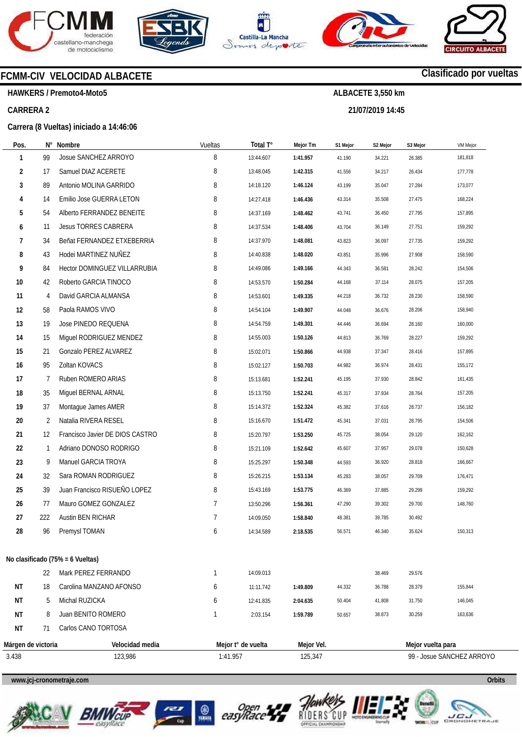







**21/07/2019 14:45** 



# **Clasificado por vueltas**

**HAWKERS / Premoto4-Moto5** 

### **CARRERA 2**

### **Carrera (8 Vueltas) iniciado a 14:46:06**

**FCMM-CIV VELOCIDAD ALBACETE** 

| Pos.               |     | N° Nombre                           | Vueltas  | Total T°           | Mejor Tm   | S1 Mejor | S2 Mejor | S3 Mejor          | VM Mejor                  |
|--------------------|-----|-------------------------------------|----------|--------------------|------------|----------|----------|-------------------|---------------------------|
| 1                  | 99  | Josue SANCHEZ ARROYO                | 8        | 13:44.607          | 1:41.957   | 41.190   | 34.221   | 26.385            | 181,818                   |
| 2                  | 17  | Samuel DIAZ ACERETE                 | 8        | 13:48.045          | 1:42.315   | 41.556   | 34.217   | 26.434            | 177,778                   |
| 3                  | 89  | Antonio MOLINA GARRIDO              | 8        | 14:18.120          | 1:46.124   | 43.199   | 35.047   | 27.284            | 173,077                   |
| 4                  | 14  | Emilio Jose GUERRA LETON            | 8        | 14:27.418          | 1:46.436   | 43.314   | 35.508   | 27.475            | 168,224                   |
| 5                  | 54  | Alberto FERRANDEZ BENEITE           | 8        | 14:37.169          | 1:48.462   | 43.741   | 36.450   | 27.795            | 157,895                   |
| 6                  | 11  | <b>Jesus TORRES CABRERA</b>         | 8        | 14:37.534          | 1:48.406   | 43.704   | 36.149   | 27.751            | 159,292                   |
| 7                  | 34  | Beñat FERNANDEZ ETXEBERRIA          | 8        | 14:37.970          | 1:48.081   | 43.823   | 36.097   | 27.735            | 159,292                   |
| 8                  | 43  | Hodei MARTINEZ NUÑEZ                | 8        | 14:40.838          | 1:48.020   | 43.851   | 35.996   | 27.908            | 158,590                   |
| 9                  | 84  | <b>Hector DOMINGUEZ VILLARRUBIA</b> | 8        | 14:49.086          | 1:49.166   | 44.343   | 36.581   | 28.242            | 154,506                   |
| 10                 | 42  | Roberto GARCIA TINOCO               | 8        | 14:53.570          | 1:50.284   | 44.168   | 37.114   | 28.075            | 157,205                   |
| 11                 | 4   | David GARCIA ALMANSA                | 8        | 14:53.601          | 1:49.335   | 44.218   | 36.732   | 28.230            | 158,590                   |
| 12                 | 58  | Paola RAMOS VIVO                    | 8        | 14:54.104          | 1:49.907   | 44.048   | 36.676   | 28.206            | 158,940                   |
| 13                 | 19  | Jose PINEDO REQUENA                 | 8        | 14:54.759          | 1:49.301   | 44.446   | 36.694   | 28.160            | 160,000                   |
| 14                 | 15  | Miquel RODRIGUEZ MENDEZ             | 8        | 14:55.003          | 1:50.126   | 44.813   | 36.769   | 28.227            | 159,292                   |
| 15                 | 21  | Gonzalo PEREZ ALVAREZ               | 8        | 15:02.071          | 1:50.866   | 44.938   | 37.347   | 28.416            | 157,895                   |
| 16                 | 95  | Zoltan KOVACS                       | 8        | 15:02.127          | 1:50.703   | 44.982   | 36.974   | 28.431            | 155,172                   |
| 17                 | 7   | Ruben ROMERO ARIAS                  | 8        | 15:13.681          | 1:52.241   | 45.195   | 37.930   | 28.842            | 161,435                   |
| 18                 | 35  | Miguel BERNAL ARNAL                 | 8        | 15:13.750          | 1:52.241   | 45.317   | 37.934   | 28.764            | 157,205                   |
| 19                 | 37  | Montague James AMER                 | 8        | 15:14.372          | 1:52.324   | 45.382   | 37.616   | 28.737            | 156,182                   |
| 20                 | 2   | Natalia RIVERA RESEL                | 8        | 15:16.670          | 1:51.472   | 45.341   | 37.031   | 28.795            | 154,506                   |
| 21                 | 12  | Francisco Javier DE DIOS CASTRO     | 8        | 15:20.797          | 1:53.250   | 45.725   | 38.054   | 29.120            | 162,162                   |
| 22                 | 1   | Adriano DONOSO RODRIGO              | 8        | 15:21.109          | 1:52.642   | 45.607   | 37.957   | 29.078            | 150,628                   |
| 23                 | 9   | Manuel GARCIA TROYA                 | 8        | 15:25.297          | 1:50.348   | 44.593   | 36.920   | 28.818            | 166,667                   |
| 24                 | 32  | Sara ROMAN RODRIGUEZ                | 8        | 15:26.215          | 1:53.134   | 45.283   | 38.057   | 29.709            | 176,471                   |
| 25                 | 39  | Juan Francisco RISUEÑO LOPEZ        | 8        | 15:43.169          | 1:53.775   | 46.369   | 37.885   | 29.299            | 159,292                   |
| 26                 | 77  | Mauro GOMEZ GONZALEZ                | 7        | 13:50.296          | 1:56.361   | 47.290   | 39.302   | 29.700            | 148,760                   |
| 27                 | 222 | Austin BEN RICHAR                   | 7        | 14:09.050          | 1:58.840   | 48.381   | 39.785   | 30.492            |                           |
| 28                 | 96  | Premysl TOMAN                       | 6        | 14:34.589          | 2:18.535   | 56.571   | 46.340   | 35.624            | 150,313                   |
|                    |     | No clasificado (75% = 6 Vueltas)    |          |                    |            |          |          |                   |                           |
|                    | 22  | Mark PEREZ FERRANDO                 | 1        | 14:09.013          |            |          | 38.469   | 29.576            |                           |
| ΝT                 | 18  | Carolina MANZANO AFONSO             | 6        | 11:11.742          | 1:49.809   | 44.332   | 36.788   | 28.379            | 155,844                   |
| ΝT                 | 5   | Michal RUZICKA                      | 6        | 12:41.835          | 2:04.635   | 50.404   | 41.808   | 31.750            | 146,045                   |
| ΝT                 | 8   | Juan BENITO ROMERO                  | 1        | 2:03.154           | 1:59.789   | 50.657   | 38.873   | 30.259            | 163,636                   |
| ΝT                 | 71  | Carlos CANO TORTOSA                 |          |                    |            |          |          |                   |                           |
| Márgen de victoria |     | Velocidad media                     |          | Mejor t° de vuelta | Mejor Vel. |          |          | Mejor vuelta para |                           |
| 3.438              |     | 123,986                             | 1:41.957 |                    | 125,347    |          |          |                   | 99 - Josue SANCHEZ ARROYO |











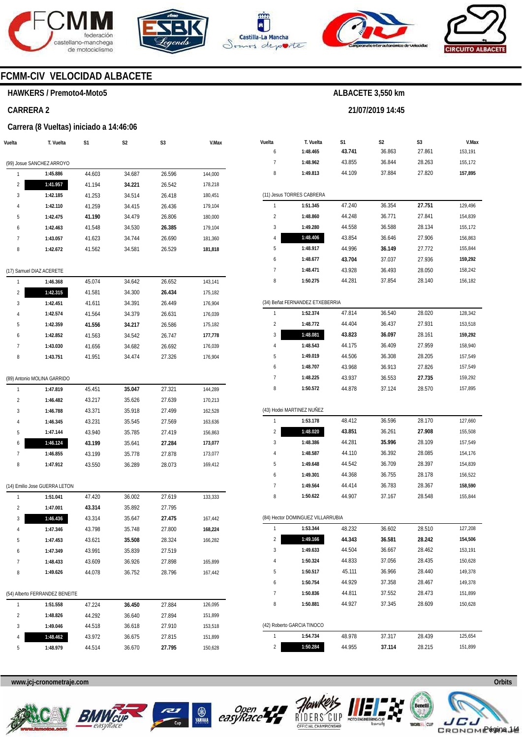







**21/07/2019 14:45** 



# **FCMM-CIV VELOCIDAD ALBACETE**

#### **HAWKERS / Premoto4-Moto5**

### **CARRERA 2**

#### **Carrera (8 Vueltas) iniciado a 14:46:06**

| Vuelta | T. Vuelta                      | S1     | S2     | S3               | V.Max   |
|--------|--------------------------------|--------|--------|------------------|---------|
|        | (99) Josue SANCHEZ ARROYO      |        |        |                  |         |
| 1      | 1:45.886                       | 44.603 | 34.687 | 26.596           | 144,000 |
| 2      | 1:41.957                       | 41.194 | 34.221 | 26.542           | 178,218 |
| 3      | 1:42.185                       | 41.253 | 34.514 | 26.418           | 180,451 |
| 4      | 1:42.110                       | 41.259 | 34.415 | 26.436           | 179,104 |
| 5      | 1:42.475                       | 41.190 | 34.479 | 26.806           | 180,000 |
| 6      | 1:42.463                       | 41.548 | 34.530 | 26.385           | 179,104 |
| 7      | 1:43.057                       | 41.623 | 34.744 | 26.690           | 181,360 |
| 8      | 1:42.672                       | 41.562 | 34.581 | 26.529           | 181,818 |
|        |                                |        |        |                  |         |
|        | (17) Samuel DIAZ ACERETE       |        |        |                  |         |
| 1      | 1:46.368                       | 45.074 | 34.642 | 26.652           | 143,141 |
| 2      | 1:42.315                       | 41.581 | 34.300 | 26.434           | 175,182 |
| 3      | 1:42.451                       | 41.611 | 34.391 | 26.449           | 176,904 |
| 4      | 1:42.574                       | 41.564 | 34.379 | 26.631           | 176,039 |
| 5      | 1:42.359                       | 41.556 | 34.217 | 26.586           | 175,182 |
| 6      | 1:42.852                       | 41.563 | 34.542 | 26.747           | 177,778 |
| 7      | 1:43.030                       | 41.656 | 34.682 | 26.692           | 176,039 |
| 8      | 1:43.751                       | 41.951 | 34.474 | 27.326           | 176,904 |
|        | (89) Antonio MOLINA GARRIDO    |        |        |                  |         |
| 1      | 1:47.819                       | 45.451 | 35.047 | 27.321           | 144,289 |
| 2      | 1:46.482                       | 43.217 | 35.626 | 27.639           | 170,213 |
| 3      | 1:46.788                       | 43.371 | 35.918 | 27.499           | 162,528 |
| 4      | 1:46.345                       | 43.231 | 35.545 | 27.569           | 163,636 |
| 5      | 1:47.144                       | 43.940 | 35.785 | 27.419           | 156,863 |
| 6      | 1:46.124                       | 43.199 | 35.641 | 27.284           | 173,077 |
| 7      | 1:46.855                       | 43.199 | 35.778 | 27.878           | 173,077 |
| 8      | 1:47.912                       | 43.550 | 36.289 | 28.073           | 169,412 |
|        | (14) Emilio Jose GUERRA LETON  |        |        |                  |         |
| 1      | 1:51.041                       | 47.420 | 36.002 | 27.619           | 133,333 |
| 2      | 1:47.001                       | 43.314 | 35.892 | 27.795           |         |
| 3      | 1:46.436                       | 43.314 | 35.647 | 27.475           | 167,442 |
| 4      |                                | 43.798 | 35.748 | 27.800           | 168,224 |
| 5      | 1:47.346<br>1:47.453           | 43.621 | 35.508 | 28.324           | 166,282 |
| 6      | 1:47.349                       | 43.991 | 35.839 | 27.519           |         |
| 7      | 1:48.433                       | 43.609 | 36.926 |                  | 165,899 |
| 8      | 1:49.626                       | 44.078 | 36.752 | 27.898<br>28.796 | 167,442 |
|        |                                |        |        |                  |         |
|        | (54) Alberto FERRANDEZ BENEITE |        |        |                  |         |
| 1      | 1:51.558                       | 47.224 | 36.450 | 27.884           | 126,095 |
| 2      | 1:48.826                       | 44.292 | 36.640 | 27.894           | 151,899 |
| 3      | 1:49.046                       | 44.518 | 36.618 | 27.910           | 153,518 |
| 4      | 1:48.462                       | 43.972 | 36.675 | 27.815           | 151,899 |
| 5      | 1:48.979                       | 44.514 | 36.670 | 27.795           | 150,628 |

| Vuelta                  | T. Vuelta                         | S1     | S2     | S3     | V.Max   |
|-------------------------|-----------------------------------|--------|--------|--------|---------|
| 6                       | 1:48.465                          | 43.741 | 36.863 | 27.861 | 153,191 |
| 7                       | 1:48.962                          | 43.855 | 36.844 | 28.263 | 155,172 |
| 8                       | 1:49.813                          | 44.109 | 37.884 | 27.820 | 157,895 |
|                         | (11) Jesus TORRES CABRERA         |        |        |        |         |
| 1                       | 1:51.345                          | 47.240 | 36.354 | 27.751 | 129,496 |
| 2                       | 1:48.860                          | 44.248 | 36.771 | 27.841 | 154,839 |
| 3                       | 1:49.280                          | 44.558 | 36.588 | 28.134 | 155,172 |
| 4                       | 1:48.406                          | 43.854 | 36.646 | 27.906 | 156,863 |
| 5                       | 1:48.917                          | 44.996 | 36.149 | 27.772 | 155,844 |
| 6                       | 1:48.677                          | 43.704 | 37.037 | 27.936 | 159,292 |
| 7                       | 1:48.471                          | 43.928 | 36.493 | 28.050 | 158,242 |
| 8                       | 1:50.275                          | 44.281 | 37.854 | 28.140 | 156,182 |
|                         | (34) Beñat FERNANDEZ ETXEBERRIA   |        |        |        |         |
| 1                       | 1:52.374                          | 47.814 | 36.540 | 28.020 | 128,342 |
| $\overline{2}$          | 1:48.772                          | 44.404 | 36.437 | 27.931 | 153,518 |
| 3                       | 1:48.081                          | 43.823 | 36.097 | 28.161 | 159,292 |
| 4                       | 1:48.543                          | 44.175 | 36.409 | 27.959 | 158,940 |
| 5                       | 1:49.019                          | 44.506 | 36.308 | 28.205 | 157,549 |
| 6                       | 1:48.707                          | 43.968 | 36.913 | 27.826 | 157,549 |
| 7                       | 1:48.225                          | 43.937 | 36.553 | 27.735 | 159,292 |
| 8                       | 1:50.572                          | 44.878 | 37.124 | 28.570 | 157,895 |
|                         | (43) Hodei MARTINEZ NUÑEZ         |        |        |        |         |
| 1                       | 1:53.178                          | 48.412 | 36.596 | 28.170 | 127,660 |
| 2                       | 1:48.020                          | 43.851 | 36.261 | 27.908 | 155,508 |
| 3                       | 1:48.386                          | 44.281 | 35.996 | 28.109 | 157,549 |
| 4                       | 1:48.587                          | 44.110 | 36.392 | 28.085 | 154,176 |
| 5                       | 1:49.648                          | 44.542 | 36.709 | 28.397 | 154,839 |
| 6                       | 1:49.301                          | 44.368 | 36.755 | 28.178 | 156,522 |
| 7                       | 1:49.564                          | 44.414 | 36.783 | 28.367 | 158,590 |
| 8                       | 1:50.622                          | 44.907 | 37.167 | 28.548 | 155,844 |
|                         | (84) Hector DOMINGUEZ VILLARRUBIA |        |        |        |         |
| 1                       | 1:53.344                          | 48.232 | 36.602 | 28.510 | 127,208 |
| 2                       | 1:49.166                          | 44.343 | 36.581 | 28.242 | 154,506 |
| 3                       | 1:49.633                          | 44.504 | 36.667 | 28.462 | 153,191 |
| 4                       | 1:50.324                          | 44.833 | 37.056 | 28.435 | 150,628 |
| 5                       | 1:50.517                          | 45.111 | 36.966 | 28.440 | 149,378 |
| 6                       | 1:50.754                          | 44.929 | 37.358 | 28.467 | 149,378 |
| 7                       | 1:50.836                          | 44.811 | 37.552 | 28.473 | 151,899 |
| 8                       | 1:50.881                          | 44.927 | 37.345 | 28.609 | 150,628 |
|                         |                                   |        |        |        |         |
|                         | (42) Roberto GARCIA TINOCO        |        |        |        |         |
| 1                       | 1:54.734                          | 48.978 | 37.317 | 28.439 | 125,654 |
| $\overline{\mathbf{c}}$ | 1:50.284                          | 44.955 | 37.114 | 28.215 | 151,899 |









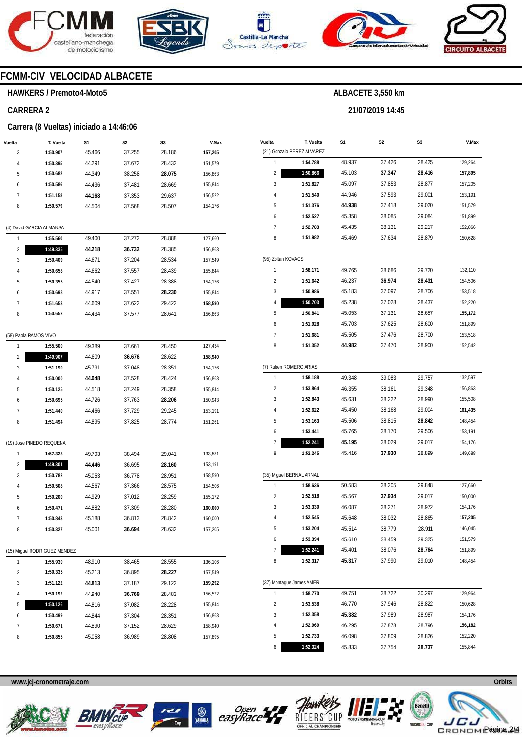







**21/07/2019 14:45** 



# **FCMM-CIV VELOCIDAD ALBACETE**

#### **HAWKERS / Premoto4-Moto5**

#### **CARRERA 2**

#### **Carrera (8 Vueltas) iniciado a 14:46:06**

| Vuelta | T. Vuelta | S1     | S <sub>2</sub> | S <sub>3</sub> | V.Max   |
|--------|-----------|--------|----------------|----------------|---------|
| 3      | 1:50.907  | 45.466 | 37.255         | 28.186         | 157,205 |
| 4      | 1:50.395  | 44.291 | 37.672         | 28.432         | 151,579 |
| 5      | 1:50.682  | 44.349 | 38.258         | 28.075         | 156,863 |
| 6      | 1:50.586  | 44.436 | 37.481         | 28.669         | 155.844 |
| 7      | 1:51.158  | 44.168 | 37.353         | 29.637         | 156,522 |
| 8      | 1:50.579  | 44.504 | 37.568         | 28.507         | 154.176 |
|        |           |        |                |                |         |

#### (4) David GARCIA ALMANSA

|                | 1:55.560 | 49.400 | 37.272 | 28.888 | 127,660 |
|----------------|----------|--------|--------|--------|---------|
| $\overline{2}$ | 1:49.335 | 44.218 | 36.732 | 28.385 | 156,863 |
| 3              | 1:50.409 | 44.671 | 37.204 | 28.534 | 157.549 |
| 4              | 1:50.658 | 44.662 | 37.557 | 28.439 | 155.844 |
| 5              | 1:50.355 | 44.540 | 37.427 | 28.388 | 154.176 |
| 6              | 1:50.698 | 44.917 | 37.551 | 28.230 | 155.844 |
|                | 1:51.653 | 44.609 | 37.622 | 29.422 | 158,590 |
| 8              | 1:50.652 | 44.434 | 37.577 | 28.641 | 156.863 |
|                |          |        |        |        |         |

#### (58) Paola RAMOS VIVO

| 4              | 1:55.500 | 49.389 | 37.661 | 28.450 | 127.434 |
|----------------|----------|--------|--------|--------|---------|
| $\overline{2}$ | 1:49.907 | 44.609 | 36.676 | 28.622 | 158.940 |
| 3              | 1:51.190 | 45.791 | 37.048 | 28.351 | 154.176 |
| 4              | 1:50.000 | 44.048 | 37.528 | 28.424 | 156.863 |
| 5              | 1:50.125 | 44.518 | 37.249 | 28.358 | 155.844 |
| 6              | 1:50.695 | 44.726 | 37.763 | 28.206 | 150.943 |
| 7              | 1:51.440 | 44.466 | 37.729 | 29.245 | 153.191 |
| 8              | 1:51.494 | 44.895 | 37.825 | 28.774 | 151.261 |
|                |          |        |        |        |         |

#### (19) Jose PINEDO REQUENA

| 1<br>49.793<br>38.494<br>29.041<br>1:57.328<br>133,581<br>$\overline{2}$<br>1:49.301<br>44.446<br>36.695<br>28.160<br>153.191<br>36.778<br>28.951<br>45.053<br>3<br>1:50.782<br>158.590<br>28.575<br>44.567<br>37.366<br>$\overline{4}$<br>1:50.508<br>154.506<br>1:50.200<br>44.929<br>37.012<br>28.259<br>5<br>155.172<br>6<br>44.882<br>28.280<br>1:50.471<br>37.309<br>160.000<br>7<br>1:50.843<br>36.813<br>28.842<br>45.188<br>160.000<br>8<br>1:50.327<br>36.694<br>28.632<br>157.205<br>45.001 |  |  |  |  |
|--------------------------------------------------------------------------------------------------------------------------------------------------------------------------------------------------------------------------------------------------------------------------------------------------------------------------------------------------------------------------------------------------------------------------------------------------------------------------------------------------------|--|--|--|--|
|                                                                                                                                                                                                                                                                                                                                                                                                                                                                                                        |  |  |  |  |
|                                                                                                                                                                                                                                                                                                                                                                                                                                                                                                        |  |  |  |  |
|                                                                                                                                                                                                                                                                                                                                                                                                                                                                                                        |  |  |  |  |
|                                                                                                                                                                                                                                                                                                                                                                                                                                                                                                        |  |  |  |  |
|                                                                                                                                                                                                                                                                                                                                                                                                                                                                                                        |  |  |  |  |
|                                                                                                                                                                                                                                                                                                                                                                                                                                                                                                        |  |  |  |  |
|                                                                                                                                                                                                                                                                                                                                                                                                                                                                                                        |  |  |  |  |
|                                                                                                                                                                                                                                                                                                                                                                                                                                                                                                        |  |  |  |  |

|                | (15) Miguel RODRIGUEZ MENDEZ |        |        |        |         |  |  |  |  |  |  |  |  |  |
|----------------|------------------------------|--------|--------|--------|---------|--|--|--|--|--|--|--|--|--|
| 1              | 1:55.930                     | 48.910 | 38.465 | 28.555 | 136.106 |  |  |  |  |  |  |  |  |  |
| $\mathfrak{p}$ | 1:50.335                     | 45.213 | 36.895 | 28.227 | 157.549 |  |  |  |  |  |  |  |  |  |
| 3              | 1:51.122                     | 44.813 | 37.187 | 29.122 | 159,292 |  |  |  |  |  |  |  |  |  |
| 4              | 1:50.192                     | 44.940 | 36.769 | 28.483 | 156,522 |  |  |  |  |  |  |  |  |  |
| 5              | 1:50.126                     | 44.816 | 37.082 | 28.228 | 155.844 |  |  |  |  |  |  |  |  |  |
| 6              | 1:50.499                     | 44.844 | 37.304 | 28.351 | 156.863 |  |  |  |  |  |  |  |  |  |
| 7              | 1:50.671                     | 44.890 | 37.152 | 28.629 | 158.940 |  |  |  |  |  |  |  |  |  |
| 8              | 1:50.855                     | 45.058 | 36.989 | 28.808 | 157.895 |  |  |  |  |  |  |  |  |  |

| Vuelta                  | T. Vuelta                  | S1     | S2     | S3     | V.Max   |
|-------------------------|----------------------------|--------|--------|--------|---------|
|                         | (21) Gonzalo PEREZ ALVAREZ |        |        |        |         |
| 1                       | 1:54.788                   | 48.937 | 37.426 | 28.425 | 129,264 |
| 2                       | 1:50.866                   | 45.103 | 37.347 | 28.416 | 157,895 |
| 3                       | 1:51.827                   | 45.097 | 37.853 | 28.877 | 157,205 |
| 4                       | 1:51.540                   | 44.946 | 37.593 | 29.001 | 153,191 |
| 5                       | 1:51.376                   | 44.938 | 37.418 | 29.020 | 151,579 |
| 6                       | 1:52.527                   | 45.358 | 38.085 | 29.084 | 151,899 |
| 7                       | 1:52.783                   | 45.435 | 38.131 | 29.217 | 152,866 |
| 8                       | 1:51.982                   | 45.469 | 37.634 | 28.879 | 150,628 |
| (95) Zoltan KOVACS      |                            |        |        |        |         |
| 1                       | 1:58.171                   | 49.765 | 38.686 | 29.720 | 132,110 |
| $\overline{\mathbf{c}}$ | 1:51.642                   | 46.237 | 36.974 | 28.431 | 154,506 |
| 3                       | 1:50.986                   | 45.183 | 37.097 | 28.706 | 153,518 |
| 4                       | 1:50.703                   | 45.238 | 37.028 | 28.437 | 152,220 |
| 5                       | 1:50.841                   | 45.053 | 37.131 | 28.657 | 155,172 |
| 6                       | 1:51.928                   | 45.703 | 37.625 | 28.600 | 151,899 |
| 7                       | 1:51.681                   | 45.505 | 37.476 | 28.700 | 153,518 |
| 8                       | 1:51.352                   | 44.982 | 37.470 | 28.900 | 152,542 |
|                         | (7) Ruben ROMERO ARIAS     |        |        |        |         |
| 1                       | 1:58.188                   | 49.348 | 39.083 | 29.757 | 132,597 |
| $\overline{\mathbf{c}}$ | 1:53.864                   | 46.355 | 38.161 | 29.348 | 156,863 |
| 3                       | 1:52.843                   | 45.631 | 38.222 | 28.990 | 155,508 |
| 4                       | 1:52.622                   | 45.450 | 38.168 | 29.004 | 161,435 |
| 5                       | 1:53.163                   | 45.506 | 38.815 | 28.842 | 148,454 |
| 6                       | 1:53.441                   | 45.765 | 38.170 | 29.506 | 153,191 |
| 7                       | 1:52.241                   | 45.195 | 38.029 | 29.017 | 154,176 |
| 8                       | 1:52.245                   | 45.416 | 37.930 | 28.899 | 149,688 |
|                         |                            |        |        |        |         |
|                         | (35) Miguel BERNAL ARNAL   |        |        |        |         |
| 1                       | 1:58.636                   | 50.583 | 38.205 | 29.848 | 127,660 |
| $\overline{2}$          | 1:52.518                   | 45.567 | 37.934 | 29.017 | 150,000 |
| 3                       | 1:53.330                   | 46.087 | 38.271 | 28.972 | 154,176 |
| 4                       | 1:52.545                   | 45.648 | 38.032 | 28.865 | 157,205 |
| 5                       | 1:53.204                   | 45.514 | 38.779 | 28.911 | 146,045 |
| 6                       | 1:53.394                   | 45.610 | 38.459 | 29.325 | 151,579 |
| 7                       | 1:52.241                   | 45.401 | 38.076 | 28.764 | 151,899 |
| 8                       | 1:52.317                   | 45.317 | 37.990 | 29.010 | 148,454 |
|                         | (37) Montague James AMER   |        |        |        |         |
| 1                       | 1:58.770                   | 49.751 | 38.722 | 30.297 | 129,964 |
| $\overline{\mathbf{c}}$ | 1:53.538                   | 46.770 | 37.946 | 28.822 | 150,628 |
| 3                       | 1:52.358                   | 45.382 | 37.989 | 28.987 | 154,176 |
| 4                       | 1:52.969                   | 46.295 | 37.878 | 28.796 | 156,182 |
| 5                       | 1:52.733                   | 46.098 | 37.809 | 28.826 | 152,220 |

**www.jcj-cronometraje.com Orbits** 







6



**1:52.324** 

45.833

37.754



**28.737** 

155,844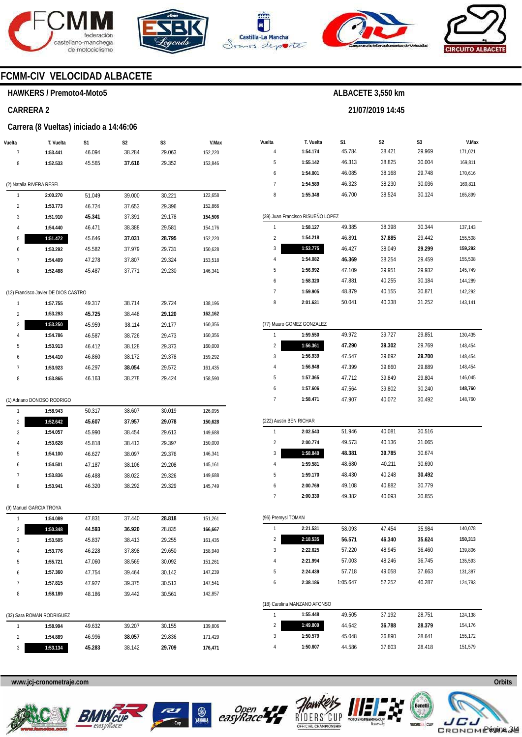







**21/07/2019 14:45** 



# **FCMM-CIV VELOCIDAD ALBACETE**

# **HAWKERS / Premoto4-Moto5**

### **CARRERA 2**

#### **Carrera (8 Vueltas) iniciado a 14:46:06**

| Vuelta                   | T. Vuelta                            | S1     | S2     | S3     | V.Max   |
|--------------------------|--------------------------------------|--------|--------|--------|---------|
| 7                        | 1:53.441                             | 46.094 | 38.284 | 29.063 | 152,220 |
| 8                        | 1:52.533                             | 45.565 | 37.616 | 29.352 | 153,846 |
|                          |                                      |        |        |        |         |
| (2) Natalia RIVERA RESEL |                                      |        |        |        |         |
| 1                        | 2:00.270                             | 51.049 | 39.000 | 30.221 | 122,658 |
| $\overline{2}$           | 1:53.773                             | 46.724 | 37.653 | 29.396 | 152,866 |
| 3                        | 1:51.910                             | 45.341 | 37.391 | 29.178 | 154,506 |
| 4                        | 1:54.440                             | 46.471 | 38.388 | 29.581 | 154,176 |
| 5                        | 1:51.472                             | 45.646 | 37.031 | 28.795 | 152,220 |
| 6                        | 1:53.292                             | 45.582 | 37.979 | 29.731 | 150,628 |
| 7                        | 1:54.409                             | 47.278 | 37.807 | 29.324 | 153,518 |
| 8                        | 1:52.488                             | 45.487 | 37.771 | 29.230 | 146,341 |
|                          |                                      |        |        |        |         |
|                          | (12) Francisco Javier DE DIOS CASTRO |        |        |        |         |
| 1                        | 1:57.755                             | 49.317 | 38.714 | 29.724 | 138,196 |
| 2                        | 1:53.293                             | 45.725 | 38.448 | 29.120 | 162,162 |
| 3                        | 1:53.250                             | 45.959 | 38.114 | 29.177 | 160,356 |
| 4                        | 1:54.786                             | 46.587 | 38.726 | 29.473 | 160,356 |
| 5                        | 1:53.913                             | 46.412 | 38.128 | 29.373 | 160,000 |
| 6                        | 1:54.410                             | 46.860 | 38.172 | 29.378 | 159,292 |
| 7                        | 1:53.923                             | 46.297 | 38.054 | 29.572 | 161,435 |
| 8                        | 1:53.865                             | 46.163 | 38.278 | 29.424 | 158,590 |
|                          |                                      |        |        |        |         |
|                          | (1) Adriano DONOSO RODRIGO           |        |        |        |         |
| 1                        | 1:58.943                             | 50.317 | 38.607 | 30.019 | 126,095 |
| 2                        | 1:52.642                             | 45.607 | 37.957 | 29.078 | 150,628 |
| 3                        | 1:54.057                             | 45.990 | 38.454 | 29.613 | 149,688 |
| 4                        | 1:53.628                             | 45.818 | 38.413 | 29.397 | 150,000 |
| 5                        | 1:54.100                             | 46.627 | 38.097 | 29.376 | 146,341 |
| 6                        | 1:54.501                             | 47.187 | 38.106 | 29.208 | 145,161 |
| 7                        | 1:53.836                             | 46.488 | 38.022 | 29.326 | 149,688 |
| 8                        | 1:53.941                             | 46.320 | 38.292 | 29.329 | 145,749 |
|                          |                                      |        |        |        |         |
|                          | (9) Manuel GARCIA TROYA              |        |        |        |         |
| 1                        | 1:54.089                             | 47.831 | 37.440 | 28.818 | 151,261 |
| 2                        | 1:50.348                             | 44.593 | 36.920 | 28.835 | 166,667 |
| 3                        | 1:53.505                             | 45.837 | 38.413 | 29.255 | 161,435 |
| 4                        | 1:53.776                             | 46.228 | 37.898 | 29.650 | 158,940 |
| 5                        | 1:55.721                             | 47.060 | 38.569 | 30.092 | 151,261 |
| 6                        | 1:57.360                             | 47.754 | 39.464 | 30.142 | 147,239 |
| 7                        | 1:57.815                             | 47.927 | 39.375 | 30.513 | 147,541 |
| 8                        | 1:58.189                             |        | 39.442 |        | 142,857 |
|                          |                                      | 48.186 |        | 30.561 |         |
|                          | (32) Sara ROMAN RODRIGUEZ            |        |        |        |         |
| 1                        | 1:58.994                             | 49.632 | 39.207 | 30.155 | 139,806 |
| 2                        | 1:54.889                             | 46.996 | 38.057 | 29.836 | 171,429 |
| 3                        | 1:53.134                             | 45.283 | 38.142 | 29.709 | 176,471 |
|                          |                                      |        |        |        |         |

| S1<br>S2<br>S3<br>Vuelta<br>T. Vuelta<br>V.Max<br>38.421<br>29.969<br>45.784<br>4<br>1:54.174<br>171,021<br>5<br>1:55.142<br>46.313<br>38.825<br>30.004<br>169,811<br>46.085<br>38.168<br>29.748<br>6<br>1:54.001<br>170,616<br>7<br>1:54.589<br>46.323<br>38.230<br>30.036<br>169,811<br>8<br>46.700<br>1:55.348<br>38.524<br>30.124<br>165,899<br>(39) Juan Francisco RISUEÑO LOPEZ<br>49.385<br>38.398<br>30.344<br>1<br>1:58.127<br>137,143<br>$\overline{2}$<br>46.891<br>37.885<br>29.442<br>1:54.218<br>155,508<br>1:53.775<br>3<br>46.427<br>38.049<br>29.299<br>159,292<br>4<br>1:54.082<br>46.369<br>38.254<br>29.459<br>155,508<br>5<br>1:56.992<br>47.109<br>39.951<br>29.932<br>145,749<br>40.255<br>6<br>1:58.320<br>47.881<br>30.184<br>144,289<br>7<br>1:59.905<br>48.879<br>40.155<br>30.871<br>142,292<br>8<br>2:01.631<br>50.041<br>40.338<br>31.252<br>143,141<br>(77) Mauro GOMEZ GONZALEZ<br>1<br>49.972<br>39.727<br>29.851<br>1:59.550<br>130,435<br>1:56.361<br>39.302<br>29.769<br>2<br>47.290<br>148,454<br>39.692<br>3<br>1:56.939<br>47.547<br>29.700<br>148.454<br>4<br>1:56.948<br>47.399<br>39.660<br>29.889<br>148,454<br>5<br>1:57.365<br>39.849<br>146,045<br>47.712<br>29.804<br>6<br>148,760<br>1:57.606<br>47.564<br>39.802<br>30.240<br>7<br>47.907<br>40.072<br>30.492<br>148,760<br>1:58.471<br>(222) Austin BEN RICHAR<br>1<br>2:02.543<br>51.946<br>30.516<br>40.081<br>2<br>2:00.774<br>49.573<br>40.136<br>31.065<br>3<br>1:58.840<br>48.381<br>39.785<br>30.674<br>48.680<br>30.690<br>4<br>1:59.581<br>40.211<br>5<br>1:59.170<br>48.430<br>40.248<br>30.492<br>2:00.769<br>30.779<br>6<br>49.108<br>40.882<br>7<br>2:00.330<br>49.382<br>40.093<br>30.855<br>(96) Premysl TOMAN<br>1<br>2:21.531<br>58.093<br>47.454<br>35.984<br>140,078<br>2:18.535<br>56.571<br>46.340<br>35.624<br>150,313<br>2<br>3<br>2:22.625<br>57.220<br>48.945<br>36.460<br>139,806<br>4<br>2:21.994<br>36.745<br>135,593<br>57.003<br>48.246<br>2:24.439<br>5<br>57.718<br>49.058<br>37.663<br>131,387<br>2:38.186<br>1:05.647<br>52.252<br>40.287<br>124,783<br>6<br>(18) Carolina MANZANO AFONSO<br>1<br>1:55.448<br>49.505<br>37.192<br>124,138<br>28.751<br>1:49.809<br>2<br>44.642<br>36.788<br>28.379<br>154,176<br>3<br>1:50.579<br>45.048<br>36.890<br>28.641<br>155,172<br>44.586<br>4<br>1:50.607<br>37.603<br>28.418<br>151,579 |  |  |  |
|-----------------------------------------------------------------------------------------------------------------------------------------------------------------------------------------------------------------------------------------------------------------------------------------------------------------------------------------------------------------------------------------------------------------------------------------------------------------------------------------------------------------------------------------------------------------------------------------------------------------------------------------------------------------------------------------------------------------------------------------------------------------------------------------------------------------------------------------------------------------------------------------------------------------------------------------------------------------------------------------------------------------------------------------------------------------------------------------------------------------------------------------------------------------------------------------------------------------------------------------------------------------------------------------------------------------------------------------------------------------------------------------------------------------------------------------------------------------------------------------------------------------------------------------------------------------------------------------------------------------------------------------------------------------------------------------------------------------------------------------------------------------------------------------------------------------------------------------------------------------------------------------------------------------------------------------------------------------------------------------------------------------------------------------------------------------------------------------------------------------------------------------------------------------------------------------------------------------------------------------------------------------------------------------------------------------------------------------------------------------------|--|--|--|
|                                                                                                                                                                                                                                                                                                                                                                                                                                                                                                                                                                                                                                                                                                                                                                                                                                                                                                                                                                                                                                                                                                                                                                                                                                                                                                                                                                                                                                                                                                                                                                                                                                                                                                                                                                                                                                                                                                                                                                                                                                                                                                                                                                                                                                                                                                                                                                       |  |  |  |
|                                                                                                                                                                                                                                                                                                                                                                                                                                                                                                                                                                                                                                                                                                                                                                                                                                                                                                                                                                                                                                                                                                                                                                                                                                                                                                                                                                                                                                                                                                                                                                                                                                                                                                                                                                                                                                                                                                                                                                                                                                                                                                                                                                                                                                                                                                                                                                       |  |  |  |
|                                                                                                                                                                                                                                                                                                                                                                                                                                                                                                                                                                                                                                                                                                                                                                                                                                                                                                                                                                                                                                                                                                                                                                                                                                                                                                                                                                                                                                                                                                                                                                                                                                                                                                                                                                                                                                                                                                                                                                                                                                                                                                                                                                                                                                                                                                                                                                       |  |  |  |
|                                                                                                                                                                                                                                                                                                                                                                                                                                                                                                                                                                                                                                                                                                                                                                                                                                                                                                                                                                                                                                                                                                                                                                                                                                                                                                                                                                                                                                                                                                                                                                                                                                                                                                                                                                                                                                                                                                                                                                                                                                                                                                                                                                                                                                                                                                                                                                       |  |  |  |
|                                                                                                                                                                                                                                                                                                                                                                                                                                                                                                                                                                                                                                                                                                                                                                                                                                                                                                                                                                                                                                                                                                                                                                                                                                                                                                                                                                                                                                                                                                                                                                                                                                                                                                                                                                                                                                                                                                                                                                                                                                                                                                                                                                                                                                                                                                                                                                       |  |  |  |
|                                                                                                                                                                                                                                                                                                                                                                                                                                                                                                                                                                                                                                                                                                                                                                                                                                                                                                                                                                                                                                                                                                                                                                                                                                                                                                                                                                                                                                                                                                                                                                                                                                                                                                                                                                                                                                                                                                                                                                                                                                                                                                                                                                                                                                                                                                                                                                       |  |  |  |
|                                                                                                                                                                                                                                                                                                                                                                                                                                                                                                                                                                                                                                                                                                                                                                                                                                                                                                                                                                                                                                                                                                                                                                                                                                                                                                                                                                                                                                                                                                                                                                                                                                                                                                                                                                                                                                                                                                                                                                                                                                                                                                                                                                                                                                                                                                                                                                       |  |  |  |
|                                                                                                                                                                                                                                                                                                                                                                                                                                                                                                                                                                                                                                                                                                                                                                                                                                                                                                                                                                                                                                                                                                                                                                                                                                                                                                                                                                                                                                                                                                                                                                                                                                                                                                                                                                                                                                                                                                                                                                                                                                                                                                                                                                                                                                                                                                                                                                       |  |  |  |
|                                                                                                                                                                                                                                                                                                                                                                                                                                                                                                                                                                                                                                                                                                                                                                                                                                                                                                                                                                                                                                                                                                                                                                                                                                                                                                                                                                                                                                                                                                                                                                                                                                                                                                                                                                                                                                                                                                                                                                                                                                                                                                                                                                                                                                                                                                                                                                       |  |  |  |
|                                                                                                                                                                                                                                                                                                                                                                                                                                                                                                                                                                                                                                                                                                                                                                                                                                                                                                                                                                                                                                                                                                                                                                                                                                                                                                                                                                                                                                                                                                                                                                                                                                                                                                                                                                                                                                                                                                                                                                                                                                                                                                                                                                                                                                                                                                                                                                       |  |  |  |
|                                                                                                                                                                                                                                                                                                                                                                                                                                                                                                                                                                                                                                                                                                                                                                                                                                                                                                                                                                                                                                                                                                                                                                                                                                                                                                                                                                                                                                                                                                                                                                                                                                                                                                                                                                                                                                                                                                                                                                                                                                                                                                                                                                                                                                                                                                                                                                       |  |  |  |
|                                                                                                                                                                                                                                                                                                                                                                                                                                                                                                                                                                                                                                                                                                                                                                                                                                                                                                                                                                                                                                                                                                                                                                                                                                                                                                                                                                                                                                                                                                                                                                                                                                                                                                                                                                                                                                                                                                                                                                                                                                                                                                                                                                                                                                                                                                                                                                       |  |  |  |
|                                                                                                                                                                                                                                                                                                                                                                                                                                                                                                                                                                                                                                                                                                                                                                                                                                                                                                                                                                                                                                                                                                                                                                                                                                                                                                                                                                                                                                                                                                                                                                                                                                                                                                                                                                                                                                                                                                                                                                                                                                                                                                                                                                                                                                                                                                                                                                       |  |  |  |
|                                                                                                                                                                                                                                                                                                                                                                                                                                                                                                                                                                                                                                                                                                                                                                                                                                                                                                                                                                                                                                                                                                                                                                                                                                                                                                                                                                                                                                                                                                                                                                                                                                                                                                                                                                                                                                                                                                                                                                                                                                                                                                                                                                                                                                                                                                                                                                       |  |  |  |
|                                                                                                                                                                                                                                                                                                                                                                                                                                                                                                                                                                                                                                                                                                                                                                                                                                                                                                                                                                                                                                                                                                                                                                                                                                                                                                                                                                                                                                                                                                                                                                                                                                                                                                                                                                                                                                                                                                                                                                                                                                                                                                                                                                                                                                                                                                                                                                       |  |  |  |
|                                                                                                                                                                                                                                                                                                                                                                                                                                                                                                                                                                                                                                                                                                                                                                                                                                                                                                                                                                                                                                                                                                                                                                                                                                                                                                                                                                                                                                                                                                                                                                                                                                                                                                                                                                                                                                                                                                                                                                                                                                                                                                                                                                                                                                                                                                                                                                       |  |  |  |
|                                                                                                                                                                                                                                                                                                                                                                                                                                                                                                                                                                                                                                                                                                                                                                                                                                                                                                                                                                                                                                                                                                                                                                                                                                                                                                                                                                                                                                                                                                                                                                                                                                                                                                                                                                                                                                                                                                                                                                                                                                                                                                                                                                                                                                                                                                                                                                       |  |  |  |
|                                                                                                                                                                                                                                                                                                                                                                                                                                                                                                                                                                                                                                                                                                                                                                                                                                                                                                                                                                                                                                                                                                                                                                                                                                                                                                                                                                                                                                                                                                                                                                                                                                                                                                                                                                                                                                                                                                                                                                                                                                                                                                                                                                                                                                                                                                                                                                       |  |  |  |
|                                                                                                                                                                                                                                                                                                                                                                                                                                                                                                                                                                                                                                                                                                                                                                                                                                                                                                                                                                                                                                                                                                                                                                                                                                                                                                                                                                                                                                                                                                                                                                                                                                                                                                                                                                                                                                                                                                                                                                                                                                                                                                                                                                                                                                                                                                                                                                       |  |  |  |
|                                                                                                                                                                                                                                                                                                                                                                                                                                                                                                                                                                                                                                                                                                                                                                                                                                                                                                                                                                                                                                                                                                                                                                                                                                                                                                                                                                                                                                                                                                                                                                                                                                                                                                                                                                                                                                                                                                                                                                                                                                                                                                                                                                                                                                                                                                                                                                       |  |  |  |
|                                                                                                                                                                                                                                                                                                                                                                                                                                                                                                                                                                                                                                                                                                                                                                                                                                                                                                                                                                                                                                                                                                                                                                                                                                                                                                                                                                                                                                                                                                                                                                                                                                                                                                                                                                                                                                                                                                                                                                                                                                                                                                                                                                                                                                                                                                                                                                       |  |  |  |
|                                                                                                                                                                                                                                                                                                                                                                                                                                                                                                                                                                                                                                                                                                                                                                                                                                                                                                                                                                                                                                                                                                                                                                                                                                                                                                                                                                                                                                                                                                                                                                                                                                                                                                                                                                                                                                                                                                                                                                                                                                                                                                                                                                                                                                                                                                                                                                       |  |  |  |
|                                                                                                                                                                                                                                                                                                                                                                                                                                                                                                                                                                                                                                                                                                                                                                                                                                                                                                                                                                                                                                                                                                                                                                                                                                                                                                                                                                                                                                                                                                                                                                                                                                                                                                                                                                                                                                                                                                                                                                                                                                                                                                                                                                                                                                                                                                                                                                       |  |  |  |
|                                                                                                                                                                                                                                                                                                                                                                                                                                                                                                                                                                                                                                                                                                                                                                                                                                                                                                                                                                                                                                                                                                                                                                                                                                                                                                                                                                                                                                                                                                                                                                                                                                                                                                                                                                                                                                                                                                                                                                                                                                                                                                                                                                                                                                                                                                                                                                       |  |  |  |
|                                                                                                                                                                                                                                                                                                                                                                                                                                                                                                                                                                                                                                                                                                                                                                                                                                                                                                                                                                                                                                                                                                                                                                                                                                                                                                                                                                                                                                                                                                                                                                                                                                                                                                                                                                                                                                                                                                                                                                                                                                                                                                                                                                                                                                                                                                                                                                       |  |  |  |
|                                                                                                                                                                                                                                                                                                                                                                                                                                                                                                                                                                                                                                                                                                                                                                                                                                                                                                                                                                                                                                                                                                                                                                                                                                                                                                                                                                                                                                                                                                                                                                                                                                                                                                                                                                                                                                                                                                                                                                                                                                                                                                                                                                                                                                                                                                                                                                       |  |  |  |
|                                                                                                                                                                                                                                                                                                                                                                                                                                                                                                                                                                                                                                                                                                                                                                                                                                                                                                                                                                                                                                                                                                                                                                                                                                                                                                                                                                                                                                                                                                                                                                                                                                                                                                                                                                                                                                                                                                                                                                                                                                                                                                                                                                                                                                                                                                                                                                       |  |  |  |
|                                                                                                                                                                                                                                                                                                                                                                                                                                                                                                                                                                                                                                                                                                                                                                                                                                                                                                                                                                                                                                                                                                                                                                                                                                                                                                                                                                                                                                                                                                                                                                                                                                                                                                                                                                                                                                                                                                                                                                                                                                                                                                                                                                                                                                                                                                                                                                       |  |  |  |
|                                                                                                                                                                                                                                                                                                                                                                                                                                                                                                                                                                                                                                                                                                                                                                                                                                                                                                                                                                                                                                                                                                                                                                                                                                                                                                                                                                                                                                                                                                                                                                                                                                                                                                                                                                                                                                                                                                                                                                                                                                                                                                                                                                                                                                                                                                                                                                       |  |  |  |
|                                                                                                                                                                                                                                                                                                                                                                                                                                                                                                                                                                                                                                                                                                                                                                                                                                                                                                                                                                                                                                                                                                                                                                                                                                                                                                                                                                                                                                                                                                                                                                                                                                                                                                                                                                                                                                                                                                                                                                                                                                                                                                                                                                                                                                                                                                                                                                       |  |  |  |
|                                                                                                                                                                                                                                                                                                                                                                                                                                                                                                                                                                                                                                                                                                                                                                                                                                                                                                                                                                                                                                                                                                                                                                                                                                                                                                                                                                                                                                                                                                                                                                                                                                                                                                                                                                                                                                                                                                                                                                                                                                                                                                                                                                                                                                                                                                                                                                       |  |  |  |
|                                                                                                                                                                                                                                                                                                                                                                                                                                                                                                                                                                                                                                                                                                                                                                                                                                                                                                                                                                                                                                                                                                                                                                                                                                                                                                                                                                                                                                                                                                                                                                                                                                                                                                                                                                                                                                                                                                                                                                                                                                                                                                                                                                                                                                                                                                                                                                       |  |  |  |
|                                                                                                                                                                                                                                                                                                                                                                                                                                                                                                                                                                                                                                                                                                                                                                                                                                                                                                                                                                                                                                                                                                                                                                                                                                                                                                                                                                                                                                                                                                                                                                                                                                                                                                                                                                                                                                                                                                                                                                                                                                                                                                                                                                                                                                                                                                                                                                       |  |  |  |
|                                                                                                                                                                                                                                                                                                                                                                                                                                                                                                                                                                                                                                                                                                                                                                                                                                                                                                                                                                                                                                                                                                                                                                                                                                                                                                                                                                                                                                                                                                                                                                                                                                                                                                                                                                                                                                                                                                                                                                                                                                                                                                                                                                                                                                                                                                                                                                       |  |  |  |
|                                                                                                                                                                                                                                                                                                                                                                                                                                                                                                                                                                                                                                                                                                                                                                                                                                                                                                                                                                                                                                                                                                                                                                                                                                                                                                                                                                                                                                                                                                                                                                                                                                                                                                                                                                                                                                                                                                                                                                                                                                                                                                                                                                                                                                                                                                                                                                       |  |  |  |
|                                                                                                                                                                                                                                                                                                                                                                                                                                                                                                                                                                                                                                                                                                                                                                                                                                                                                                                                                                                                                                                                                                                                                                                                                                                                                                                                                                                                                                                                                                                                                                                                                                                                                                                                                                                                                                                                                                                                                                                                                                                                                                                                                                                                                                                                                                                                                                       |  |  |  |
|                                                                                                                                                                                                                                                                                                                                                                                                                                                                                                                                                                                                                                                                                                                                                                                                                                                                                                                                                                                                                                                                                                                                                                                                                                                                                                                                                                                                                                                                                                                                                                                                                                                                                                                                                                                                                                                                                                                                                                                                                                                                                                                                                                                                                                                                                                                                                                       |  |  |  |
|                                                                                                                                                                                                                                                                                                                                                                                                                                                                                                                                                                                                                                                                                                                                                                                                                                                                                                                                                                                                                                                                                                                                                                                                                                                                                                                                                                                                                                                                                                                                                                                                                                                                                                                                                                                                                                                                                                                                                                                                                                                                                                                                                                                                                                                                                                                                                                       |  |  |  |
|                                                                                                                                                                                                                                                                                                                                                                                                                                                                                                                                                                                                                                                                                                                                                                                                                                                                                                                                                                                                                                                                                                                                                                                                                                                                                                                                                                                                                                                                                                                                                                                                                                                                                                                                                                                                                                                                                                                                                                                                                                                                                                                                                                                                                                                                                                                                                                       |  |  |  |
|                                                                                                                                                                                                                                                                                                                                                                                                                                                                                                                                                                                                                                                                                                                                                                                                                                                                                                                                                                                                                                                                                                                                                                                                                                                                                                                                                                                                                                                                                                                                                                                                                                                                                                                                                                                                                                                                                                                                                                                                                                                                                                                                                                                                                                                                                                                                                                       |  |  |  |
|                                                                                                                                                                                                                                                                                                                                                                                                                                                                                                                                                                                                                                                                                                                                                                                                                                                                                                                                                                                                                                                                                                                                                                                                                                                                                                                                                                                                                                                                                                                                                                                                                                                                                                                                                                                                                                                                                                                                                                                                                                                                                                                                                                                                                                                                                                                                                                       |  |  |  |
|                                                                                                                                                                                                                                                                                                                                                                                                                                                                                                                                                                                                                                                                                                                                                                                                                                                                                                                                                                                                                                                                                                                                                                                                                                                                                                                                                                                                                                                                                                                                                                                                                                                                                                                                                                                                                                                                                                                                                                                                                                                                                                                                                                                                                                                                                                                                                                       |  |  |  |
|                                                                                                                                                                                                                                                                                                                                                                                                                                                                                                                                                                                                                                                                                                                                                                                                                                                                                                                                                                                                                                                                                                                                                                                                                                                                                                                                                                                                                                                                                                                                                                                                                                                                                                                                                                                                                                                                                                                                                                                                                                                                                                                                                                                                                                                                                                                                                                       |  |  |  |
|                                                                                                                                                                                                                                                                                                                                                                                                                                                                                                                                                                                                                                                                                                                                                                                                                                                                                                                                                                                                                                                                                                                                                                                                                                                                                                                                                                                                                                                                                                                                                                                                                                                                                                                                                                                                                                                                                                                                                                                                                                                                                                                                                                                                                                                                                                                                                                       |  |  |  |
|                                                                                                                                                                                                                                                                                                                                                                                                                                                                                                                                                                                                                                                                                                                                                                                                                                                                                                                                                                                                                                                                                                                                                                                                                                                                                                                                                                                                                                                                                                                                                                                                                                                                                                                                                                                                                                                                                                                                                                                                                                                                                                                                                                                                                                                                                                                                                                       |  |  |  |











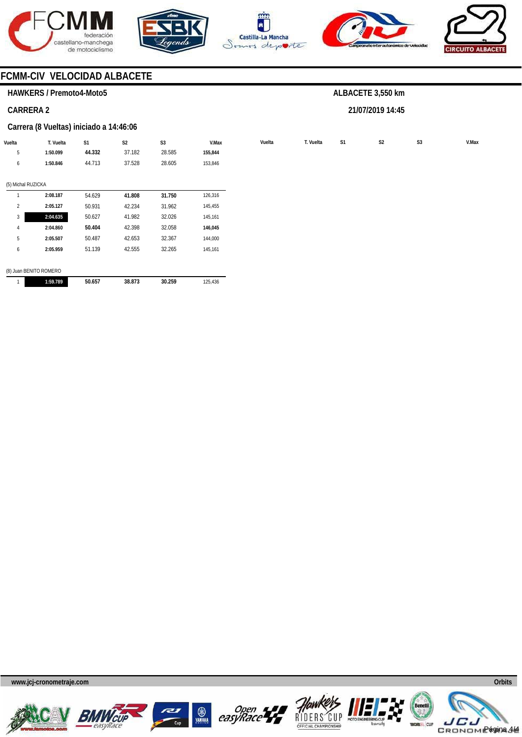









# **FCMM-CIV VELOCIDAD ALBACETE**

# **HAWKERS / Premoto4-Moto5**

### **CARRERA 2**

#### **Carrera (8 Vueltas) iniciado a 14:46:06**

| Vuelta             | T. Vuelta              | S1     | S <sub>2</sub> | S <sub>3</sub> | V.Max   | Vuelta | T. Vuelta | S1 | S <sub>2</sub> | S <sub>3</sub> | V.Max |
|--------------------|------------------------|--------|----------------|----------------|---------|--------|-----------|----|----------------|----------------|-------|
| 5                  | 1:50.099               | 44.332 | 37.182         | 28.585         | 155,844 |        |           |    |                |                |       |
| 6                  | 1:50.846               | 44.713 | 37.528         | 28.605         | 153,846 |        |           |    |                |                |       |
| (5) Michal RUZICKA |                        |        |                |                |         |        |           |    |                |                |       |
|                    | 2:08.187               | 54.629 | 41.808         | 31.750         | 126,316 |        |           |    |                |                |       |
| 2                  | 2:05.127               | 50.931 | 42.234         | 31.962         | 145,455 |        |           |    |                |                |       |
| 3                  | 2:04.635               | 50.627 | 41.982         | 32.026         | 145,161 |        |           |    |                |                |       |
| 4                  | 2:04.860               | 50.404 | 42.398         | 32.058         | 146,045 |        |           |    |                |                |       |
| 5                  | 2:05.507               | 50.487 | 42.653         | 32.367         | 144,000 |        |           |    |                |                |       |
| 6                  | 2:05.959               | 51.139 | 42.555         | 32.265         | 145,161 |        |           |    |                |                |       |
|                    | (8) Juan BENITO ROMERO |        |                |                |         |        |           |    |                |                |       |
|                    | 1:59.789               | 50.657 | 38.873         | 30.259         | 125,436 |        |           |    |                |                |       |

**ALBACETE 3,550 km** 

**21/07/2019 14:45** 













**www.jcj-cronometraje.com Orbits** 

Página 4/4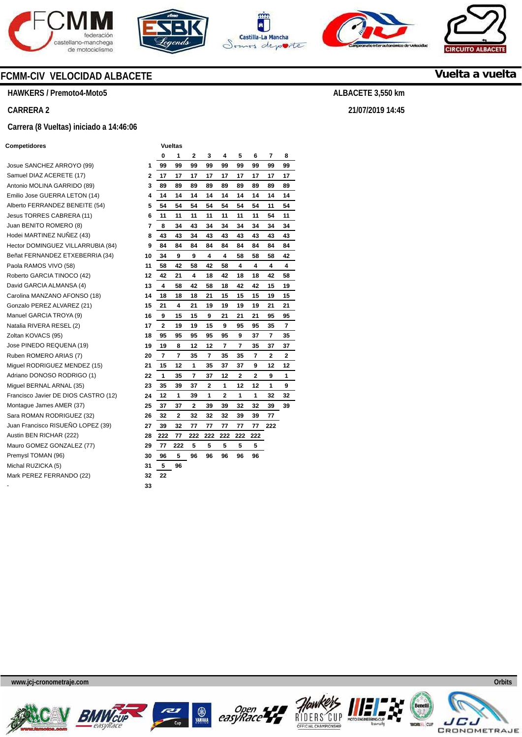









# **Vuelta a vuelta**

**ALBACETE 3,550 km** 

**21/07/2019 14:45** 

# **FCMM-CIV VELOCIDAD ALBACETE**

**HAWKERS / Premoto4-Moto5** 

### **CARRERA 2**

#### **Carrera (8 Vueltas) iniciado a 14:46:06**

#### **Competidores Vueltas**

Josue SANCHEZ ARROYO (99) **1**  Samuel DIAZ ACERETE (17) Antonio MOLINA GARRIDO (89) Emilio Jose GUERRA LETON (14) Alberto FERRANDEZ BENEITE (54) **5**  Jesus TORRES CABRERA (11) **6**  Juan BENITO ROMERO (8) Hodei MARTINEZ NUÑEZ (43) **8 Hector DOMINGUEZ VILLARRUBIA (84)** Beñat FERNANDEZ ETXEBERRIA (34) Paola RAMOS VIVO (58) Roberto GARCIA TINOCO (42) David GARCIA ALMANSA (4) Carolina MANZANO AFONSO (18) Gonzalo PEREZ ALVAREZ (21) **15**  Manuel GARCIA TROYA (9) Natalia RIVERA RESEL (2) **17**  Zoltan KOVACS (95) Jose PINEDO REQUENA (19) Ruben ROMERO ARIAS (7) **20 Miguel RODRIGUEZ MENDEZ (15)** Adriano DONOSO RODRIGO (1) **22 Miguel BERNAL ARNAL (35)** Francisco Javier DE DIOS CASTRO (12) **24**  Montague James AMER (37) Sara ROMAN RODRIGUEZ (32) Juan Francisco RISUEÑO LOPEZ (39) **27**  Austin BEN RICHAR (222) Mauro GOMEZ GONZALEZ (77) **29**  Premysl TOMAN (96) Michal RUZICKA (5) Mark PEREZ FERRANDO (22) - **33** 

|    | 0                       | 1   | 2   | 3              | 4   | 5   | 6   | 7   | 8              |
|----|-------------------------|-----|-----|----------------|-----|-----|-----|-----|----------------|
| 1  | 99                      | 99  | 99  | 99             | 99  | 99  | 99  | 99  | 99             |
| 2  | 17                      | 17  | 17  | 17             | 17  | 17  | 17  | 17  | 17             |
| 3  | 89                      | 89  | 89  | 89             | 89  | 89  | 89  | 89  | 89             |
| 4  | 14                      | 14  | 14  | 14             | 14  | 14  | 14  | 14  | 14             |
| 5  | 54                      | 54  | 54  | 54             | 54  | 54  | 54  | 11  | 54             |
| 6  | 11                      | 11  | 11  | 11             | 11  | 11  | 11  | 54  | 11             |
| 7  | 8                       | 34  | 43  | 34             | 34  | 34  | 34  | 34  | 34             |
| 8  | 43                      | 43  | 34  | 43             | 43  | 43  | 43  | 43  | 43             |
| 9  | 84                      | 84  | 84  | 84             | 84  | 84  | 84  | 84  | 84             |
| 10 | 34                      | 9   | 9   | 4              | 4   | 58  | 58  | 58  | 42             |
| 11 | 58                      | 42  | 58  | 42             | 58  | 4   | 4   | 4   | 4              |
| 12 | 42                      | 21  | 4   | 18             | 42  | 18  | 18  | 42  | 58             |
| 13 | 4                       | 58  | 42  | 58             | 18  | 42  | 42  | 15  | 19             |
| 14 | 18                      | 18  | 18  | 21             | 15  | 15  | 15  | 19  | 15             |
| 15 | 21                      | 4   | 21  | 19             | 19  | 19  | 19  | 21  | 21             |
| 16 | 9                       | 15  | 15  | 9              | 21  | 21  | 21  | 95  | 95             |
| 17 | $\overline{\mathbf{2}}$ | 19  | 19  | 15             | 9   | 95  | 95  | 35  | $\overline{7}$ |
| 18 | 95                      | 95  | 95  | 95             | 95  | 9   | 37  | 7   | 35             |
| 19 | 19                      | 8   | 12  | 12             | 7   | 7   | 35  | 37  | 37             |
| 20 | $\overline{7}$          | 7   | 35  | 7              | 35  | 35  | 7   | 2   | 2              |
| 21 | 15                      | 12  | 1   | 35             | 37  | 37  | 9   | 12  | 12             |
| 22 | 1                       | 35  | 7   | 37             | 12  | 2   | 2   | 9   | 1              |
| 23 | 35                      | 39  | 37  | $\overline{2}$ | 1   | 12  | 12  | 1   | 9              |
| 24 | 12                      | 1   | 39  | 1              | 2   | 1   | 1   | 32  | 32             |
| 25 | 37                      | 37  | 2   | 39             | 39  | 32  | 32  | 39  | 39             |
| 26 | 32                      | 2   | 32  | 32             | 32  | 39  | 39  | 77  |                |
| 27 | 39                      | 32  | 77  | 77             | 77  | 77  | 77  | 222 |                |
| 28 | 222                     | 77  | 222 | 222            | 222 | 222 | 222 |     |                |
| 29 | 77                      | 222 | 5   | 5              | 5   | 5   | 5   |     |                |
| 30 | 96                      | 5   | 96  | 96             | 96  | 96  | 96  |     |                |
| 31 | 5                       | 96  |     |                |     |     |     |     |                |
| 32 | 22                      |     |     |                |     |     |     |     |                |
|    |                         |     |     |                |     |     |     |     |                |











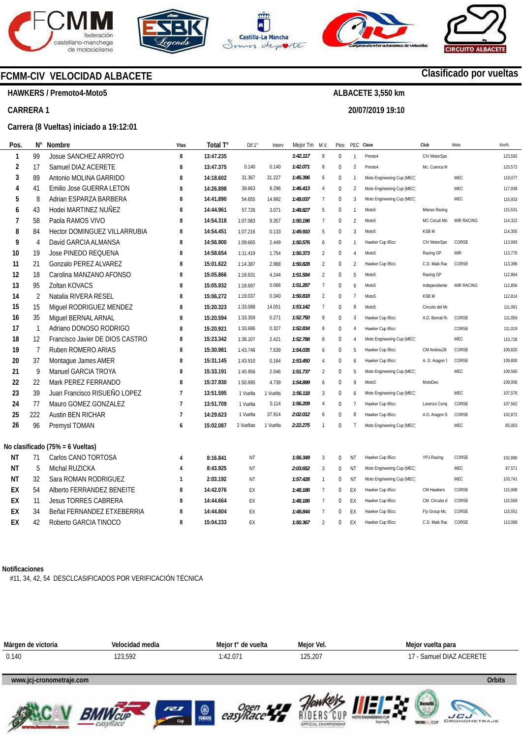









**HAWKERS / Premoto4-Moto5** 

**CARRERA 1** 

#### **Carrera (8 Vueltas) iniciado a 19:12:01**

| N°             | Nombre                              | Vtas                             | Total T°  | Diff.1°   | Interv   | Mejor Tm | M.V.           | Ptos         | PEC Clase      |                            | Club             | Moto       | Km/h.   |
|----------------|-------------------------------------|----------------------------------|-----------|-----------|----------|----------|----------------|--------------|----------------|----------------------------|------------------|------------|---------|
| 99             | Josue SANCHEZ ARROYO                | 8                                | 13:47.235 |           |          | 1:42.117 | 8              | $\mathbf 0$  | 1              | Pmoto4                     | CIV MotorSpo     |            | 123,592 |
| 17             | Samuel DIAZ ACERETE                 | 8                                | 13:47.375 | 0.140     | 0.140    | 1:42.071 | 8              | $\mathbf{0}$ | $\mathfrak{p}$ | Pmoto4                     | Mc. Cuenca M     |            | 123,572 |
| 89             | Antonio MOLINA GARRIDO              | 8                                | 14:18.602 | 31.367    | 31.227   | 1:45.396 | 6              | 0            | 1              | Moto Engineering Cup (MEC) |                  | MEC        | 119,077 |
| 41             | Emilio Jose GUERRA LETON            | 8                                | 14:26.898 | 39.663    | 8.296    | 1:46.413 | $\overline{4}$ | $\mathbf{0}$ | $\overline{2}$ | Moto Engineering Cup (MEC) |                  | MEC        | 117,938 |
| 8              | Adrian ESPARZA BARBERA              | 8                                | 14:41.890 | 54.655    | 14.992   | 1:48.037 | $\overline{7}$ | $\mathbf{0}$ | $\mathbf{3}$   | Moto Engineering Cup (MEC) |                  | MEC        | 115,933 |
| 43             | Hodei MARTINEZ NUÑEZ                | 8                                | 14:44.961 | 57.726    | 3.071    | 1:48.827 | 5              | $\Omega$     | 1              | Moto <sub>5</sub>          | Mieres Racinc    |            | 115.531 |
| 58             | Paola RAMOS VIVO                    | 8                                | 14:54.318 | 1:07.083  | 9.357    | 1:50.196 | $\overline{7}$ | $\Omega$     | $\overline{2}$ | Moto <sub>5</sub>          | MC Circuit Mó    | MIR RACING | 114,322 |
| 84             | <b>Hector DOMINGUEZ VILLARRUBIA</b> | 8                                | 14:54.451 | 1:07.216  | 0.133    | 1:49.910 | 5              | $\Omega$     | 3              | Moto <sub>5</sub>          | KSB <sub>M</sub> |            | 114,305 |
| 4              | David GARCIA ALMANSA                | 8                                | 14:56.900 | 1:09.665  | 2.449    | 1:50.576 | 6              | 0            | 1              | Hawker Cup 85cc            | CIV MotorSpo     | CORSE      | 113.993 |
| 19             | Jose PINEDO REQUENA                 | 8                                | 14:58.654 | 1:11.419  | 1.754    | 1:50.373 | $\overline{2}$ | $\mathbf{0}$ | 4              | Moto <sub>5</sub>          | Racing GP        | <b>IMR</b> | 113,770 |
| 21             | Gonzalo PEREZ ALVAREZ               | 8                                | 15:01.622 | 1:14.387  | 2.968    | 1:50.828 | $\overline{2}$ | 0            | $\mathfrak{p}$ | Hawker Cup 85cc            | C.D. Maik Rac    | CORSE      | 113.396 |
| 18             | Carolina MANZANO AFONSO             | 8                                | 15:05.866 | 1:18.631  | 4.244    | 1:51.584 | $\overline{2}$ | 0            | 5              | Moto <sub>5</sub>          | Racing GP        |            | 112,864 |
| 95             | Zoltan KOVACS                       | 8                                | 15:05.932 | 1:18.697  | 0.066    | 1:51.287 | $\overline{7}$ | 0            | 6              | Moto <sub>5</sub>          | Independiente    | MIR RACING | 112,856 |
| $\overline{2}$ | Natalia RIVERA RESEL                | 8                                | 15:06.272 | 1:19.037  | 0.340    | 1:50.818 | $\overline{2}$ | $\mathbf{0}$ | $\overline{7}$ | Moto <sub>5</sub>          | <b>KSBM</b>      |            | 112,814 |
| 15             | Miguel RODRIGUEZ MENDEZ             | 8                                | 15:20.323 | 1:33.088  | 14.051   | 1:53.142 | $\overline{7}$ | $\mathbf{0}$ | 8              | Moto <sub>5</sub>          | Circuito del M   |            | 111,091 |
| 35             | Miguel BERNAL ARNAL                 | 8                                | 15:20.594 | 1:33.359  | 0.271    | 1:52.750 | 8              | $\mathbf{0}$ | 3              | Hawker Cup 85cc            | A.D. Bernal R.   | CORSE      | 111,059 |
| $\overline{1}$ | Adriano DONOSO RODRIGO              | 8                                | 15:20.921 | 1:33.686  | 0.327    | 1:52.834 | 8              | $\mathbf{0}$ | 4              | Hawker Cup 85cc            |                  | CORSE      | 111,019 |
| 12             | Francisco Javier DE DIOS CASTRO     | 8                                | 15:23.342 | 1:36.107  | 2.421    | 1:52.788 | 8              | $\mathbf{0}$ | 4              | Moto Engineering Cup (MEC) |                  | MEC        | 110,728 |
| $\overline{7}$ | Ruben ROMERO ARIAS                  | 8                                | 15:30.981 | 1:43.746  | 7.639    | 1:54.035 | 6              | $\mathbf{0}$ | 5              | Hawker Cup 85cc            | CM Andreu28      | CORSE      | 109,820 |
| 37             | Montague James AMER                 | 8                                | 15:31.145 | 1:43.910  | 0.164    | 1:53.450 | $\overline{4}$ | 0            | 6              | Hawker Cup 85cc            | A. D. Aragon !   | CORSE      | 109,800 |
| 9              | Manuel GARCIA TROYA                 | 8                                | 15:33.191 | 1:45.956  | 2.046    | 1:51.737 | $\overline{2}$ | $\mathbf{0}$ | 5              | Moto Engineering Cup (MEC) |                  | MEC        | 109,560 |
| 22             | Mark PEREZ FERRANDO                 | 8                                | 15:37.930 | 1:50.695  | 4.739    | 1:54.899 | 6              | $\Omega$     | 9              | Moto <sub>5</sub>          | MotoDes          |            | 109,006 |
| 39             | Juan Francisco RISUEÑO LOPEZ        | $\overline{7}$                   | 13:51.595 | 1 Vuelta  | 1 Vuelta | 1:56.118 | $\overline{3}$ | $\mathbf{0}$ | 6              | Moto Engineering Cup (MEC) |                  | MEC        | 107,576 |
| 77             | Mauro GOMEZ GONZALEZ                | $\overline{7}$                   | 13:51.709 | 1 Vuelta  | 0.114    | 1:56.209 | 4              | 0            | 7              | Hawker Cup 85cc            | Lorenzo Com      | CORSE      | 107,562 |
| 222            | <b>Austin BEN RICHAR</b>            | $\overline{7}$                   | 14:29.623 | 1 Vuelta  | 37.914   | 2:02.012 | 6              | $\mathbf{0}$ | 8              | Hawker Cup 85cc            | A.D. Aragon S    | CORSE      | 102,872 |
| 96             | Premysl TOMAN                       | 6                                | 15:02.087 | 2 Vueltas | 1 Vuelta | 2:22.275 | $\mathbf{1}$   | $\Omega$     | $\overline{1}$ | Moto Engineering Cup (MEC) |                  | MEC        | 85.003  |
|                |                                     |                                  |           |           |          |          |                |              |                |                            |                  |            |         |
| 71             | Carlos CANO TORTOSA                 | 4                                | 8:16.841  | <b>NT</b> |          | 1:56.349 | 3              | $\mathbf 0$  | NT             | Hawker Cup 85cc            | YPJ-Racing       | CORSE      | 102,890 |
| 5              | Michal RUZICKA                      | 4                                | 8:43.925  | ΝT        |          | 2:03.652 | 3              | $\Omega$     | NT             | Moto Engineering Cup (MEC) |                  | MEC        | 97,571  |
| 32             | Sara ROMAN RODRIGUEZ                | $\mathbf{1}$                     | 2:03.192  | NT        |          | 1:57.428 | $\overline{1}$ | 0            | NT             | Moto Engineering Cup (MEC) |                  | MEC        | 103,741 |
| 54             | Alberto FERRANDEZ BENEITE           | 8                                | 14:42.076 | EX        |          | 1:48.186 | $\overline{7}$ | 0            | EX             | Hawker Cup 85cc            | CM Hawkers       | CORSE      | 115,908 |
| 11             | <b>Jesus TORRES CABRERA</b>         | 8                                | 14:44.664 | EX        |          | 1:48.186 | $\overline{7}$ | $\mathbf 0$  | EX             | Hawker Cup 85cc            | CM. Circuito d   | CORSE      | 115,569 |
| 34             | Beñat FERNANDEZ ETXEBERRIA          | 8                                | 14:44.804 | EX        |          | 1:48.844 | $\overline{7}$ | $\Omega$     | EX             | Hawker Cup 85cc            | Fly Group Mc.    | CORSE      | 115,551 |
| 42             | Roberto GARCIA TINOCO               | 8                                | 15:04.233 | EX        |          | 1:50.367 | $\overline{2}$ | $\mathbf 0$  | EX             | Hawker Cup 85cc            | C.D. Maik Rao    | CORSE      | 113,068 |
|                |                                     | No clasificado (75% = 6 Vueltas) |           |           |          |          |                |              |                |                            |                  |            |         |

#### **Notificaciones**

#11, 34, 42, 54 DESCLCASIFICADOS POR VERIFICACIÓN TÉCNICA

















**Clasificado por vueltas**

**ALBACETE 3,550 km 20/07/2019 19:10**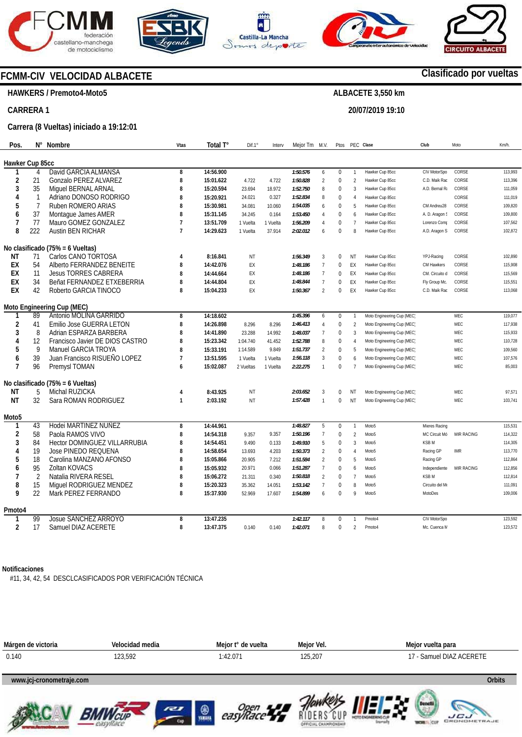









# **FCMM-CIV VELOCIDAD ALBACETE**

#### **HAWKERS / Premoto4-Moto5**

#### **CARRERA 1**

#### **Carrera (8 Vueltas) iniciado a 19:12:01**

| Pos.            |                | N° Nombre                           | Vtas           | Total T°  | Dif.1     | Interv   | Mejor Tm M.V. |                | Ptos         | PEC Clase      |                            | Club           | Moto       | Km/h.   |
|-----------------|----------------|-------------------------------------|----------------|-----------|-----------|----------|---------------|----------------|--------------|----------------|----------------------------|----------------|------------|---------|
| Hawker Cup 85cc |                |                                     |                |           |           |          |               |                |              |                |                            |                |            |         |
|                 | 4              | David GARCIA ALMANSA                | 8              | 14:56.900 |           |          | 1:50.576      | 6              | $\mathbf{0}$ |                | Hawker Cup 85cc            | CIV MotorSpo   | CORSE      | 113,993 |
| 2               | 21             | Gonzalo PEREZ ALVAREZ               | 8              | 15:01.622 | 4.722     | 4.722    | 1:50.828      | $\overline{2}$ | $\mathbf{0}$ | $\overline{2}$ | Hawker Cup 85cc            | C.D. Maik Rad  | CORSE      | 113,396 |
| 3               | 35             | Miquel BERNAL ARNAL                 | 8              | 15:20.594 | 23.694    | 18.972   | 1:52.750      | 8              | $\mathbf{0}$ | $\overline{3}$ | Hawker Cup 85cc            | A.D. Bernal R. | CORSE      | 111,059 |
| 4               | -1             | Adriano DONOSO RODRIGO              | 8              | 15:20.921 | 24.021    | 0.327    | 1:52.834      | 8              | $\mathbf 0$  |                | Hawker Cup 85cc            |                | CORSE      | 111,019 |
| 5               | $\overline{7}$ | Ruben ROMERO ARIAS                  | 8              | 15:30.981 | 34.081    | 10.060   | 1:54.035      | 6              | $\mathbf{0}$ | 5              | Hawker Cup 85cc            | CM Andreu28    | CORSE      | 109,820 |
| 6               | 37             | Montague James AMER                 | 8              | 15:31.145 | 34.245    | 0.164    | 1:53.450      | 4              | $\mathbf{0}$ | $\mathsf{f}$   | Hawker Cup 85cc            | A. D. Aragon ! | CORSE      | 109,800 |
| 7               | 77             | Mauro GOMEZ GONZALEZ                | $\overline{7}$ | 13:51.709 | 1 Vuelta  | 1 Vuelta | 1:56.209      | $\overline{4}$ | $\mathbf{0}$ | $\overline{7}$ | Hawker Cup 85cc            | Lorenzo Com    | CORSE      | 107,562 |
| 8               | 222            | <b>Austin BEN RICHAR</b>            | $\overline{7}$ | 14:29.623 | 1 Vuelta  | 37.914   | 2:02.012      | 6              | $\Omega$     | 8              | Hawker Cup 85cc            | A.D. Aragon S  | CORSE      | 102,872 |
|                 |                | No clasificado (75% = 6 Vueltas)    |                |           |           |          |               |                |              |                |                            |                |            |         |
| NΤ              | 71             | Carlos CANO TORTOSA                 | $\overline{4}$ | 8:16.841  | ΝT        |          | 1:56.349      | 3              | $\Omega$     | NT             | Hawker Cup 85cc            | YPJ-Racing     | CORSE      | 102,890 |
| EX              | 54             | Alberto FERRANDEZ BENEITE           | 8              | 14:42.076 | EX        |          | 1:48.186      | $\overline{7}$ | $\Omega$     | EX             | Hawker Cup 85cc            | CM Hawkers     | CORSE      | 115,908 |
| EX              | 11             | <b>Jesus TORRES CABRERA</b>         | 8              | 14:44.664 | EX        |          | 1:48.186      | $\overline{7}$ | $\Omega$     | EX             | Hawker Cup 85cc            | CM. Circuito d | CORSE      | 115,569 |
| EX              | 34             | Beñat FERNANDEZ ETXEBERRIA          | 8              | 14:44.804 | EX        |          | 1:48.844      | $\overline{7}$ | $\mathbf{0}$ | EX             | Hawker Cup 85cc            | Fly Group Mc.  | CORSE      | 115,551 |
| EX              | 42             | Roberto GARCIA TINOCO               | 8              | 15:04.233 | EX        |          | 1:50.367      | $\mathfrak{p}$ | $\Omega$     | EX             | Hawker Cup 85cc            | C.D. Maik Rao  | CORSE      | 113,068 |
|                 |                | Moto Engineering Cup (MEC)          |                |           |           |          |               |                |              |                |                            |                |            |         |
|                 | 89             | Antonio MOLINA GARRIDO              | 8              | 14:18.602 |           |          | 1:45.396      | 6              | $\mathbf 0$  | $\mathbf{1}$   | Moto Engineering Cup (MEC) |                | <b>MEC</b> | 119,077 |
| $\overline{2}$  | 41             | Emilio Jose GUERRA LETON            | 8              | 14:26.898 | 8.296     | 8.296    | 1:46.413      | 4              | $\mathbf{0}$ | $\overline{2}$ | Moto Engineering Cup (MEC) |                | MEC        | 117,938 |
| 3               | 8              | Adrian ESPARZA BARBERA              | 8              | 14:41.890 | 23.288    | 14.992   | 1:48.037      | $\overline{7}$ | $\Omega$     | 3              | Moto Engineering Cup (MEC) |                | MEC        | 115,933 |
| 4               | 12             | Francisco Javier DE DIOS CASTRO     | 8              | 15:23.342 | 1:04.740  | 41.452   | 1:52.788      | 8              | $\mathbf 0$  | $\overline{A}$ | Moto Engineering Cup (MEC) |                | MEC        | 110,728 |
| 5               | 9              | Manuel GARCIA TROYA                 | 8              | 15:33.191 | 1:14.589  | 9.849    | 1:51.737      | $\mathfrak{p}$ | $\mathbf{0}$ | 5              | Moto Engineering Cup (MEC) |                | MEC        | 109,560 |
| 6               | 39             | Juan Francisco RISUEÑO LOPEZ        | $\overline{7}$ | 13:51.595 | 1 Vuelta  | 1 Vuelta | 1:56.118      | 3              | $\Omega$     | $\overline{a}$ | Moto Engineering Cup (MEC) |                | MEC        | 107,576 |
| $\overline{7}$  | 96             | Premysl TOMAN                       | $\overline{6}$ | 15:02.087 | 2 Vueltas | 1 Vuelta | 2:22.275      | $\mathbf{1}$   | $\mathbf{0}$ |                | Moto Engineering Cup (MEC) |                | MEC        | 85,003  |
|                 |                | No clasificado (75% = 6 Vueltas)    |                |           |           |          |               |                |              |                |                            |                |            |         |
| ΝT              | 5              | Michal RUZICKA                      | 4              | 8:43.925  | NT        |          | 2:03.652      | 3              | $\Omega$     | NT             | Moto Engineering Cup (MEC) |                | MEC        | 97,571  |
| ΝT              | 32             | Sara ROMAN RODRIGUEZ                | $\mathbf{1}$   | 2:03.192  | NT        |          | 1:57.428      | $\mathbf{1}$   | $\mathbf{0}$ | <b>NT</b>      | Moto Engineering Cup (MEC) |                | MEC        | 103,741 |
| Moto5           |                |                                     |                |           |           |          |               |                |              |                |                            |                |            |         |
| 1               | 43             | Hodei MARTINEZ NUÑEZ                | 8              | 14:44.961 |           |          | 1:48.827      | 5              | $\mathbf{0}$ | $\mathbf{1}$   | Moto <sub>5</sub>          | Mieres Racinc  |            | 115,531 |
| 2               | 58             | Paola RAMOS VIVO                    | 8              | 14:54.318 | 9.357     | 9.357    | 1:50.196      | $\overline{7}$ | $\mathbf{0}$ | $\overline{2}$ | Moto <sub>5</sub>          | MC Circuit Mó  | MIR RACING | 114,322 |
| 3               | 84             | <b>Hector DOMINGUEZ VILLARRUBIA</b> | 8              | 14:54.451 | 9.490     | 0.133    | 1:49.910      | 5              | $\Omega$     | $\overline{3}$ | Moto <sub>5</sub>          | <b>KSBM</b>    |            | 114,305 |
|                 | 19             | <b>Jose PINEDO REQUENA</b>          | 8              | 14:58.654 | 13.693    | 4.203    | 1:50.373      | $\overline{2}$ | $\Omega$     | $\overline{A}$ | Moto <sub>5</sub>          | Racing GP      | <b>IMR</b> | 113,770 |
| 5               | 18             | Carolina MANZANO AFONSO             | 8              | 15:05.866 | 20.905    | 7.212    | 1:51.584      | $\overline{2}$ | $\mathbf{0}$ | -5             | Moto <sub>5</sub>          | Racing GP      |            | 112,864 |
| 6               | 95             | Zoltan KOVACS                       | 8              | 15:05.932 | 20.971    | 0.066    | 1:51.287      | $\overline{7}$ | $\mathbf{0}$ | 6              | Moto <sub>5</sub>          | Independiente  | MIR RACING | 112,856 |
| 7               | $\overline{2}$ | Natalia RIVERA RESEL                | 8              | 15:06.272 | 21.311    | 0.340    | 1:50.818      | $\mathfrak{p}$ | $\Omega$     | $\overline{7}$ | Moto <sub>5</sub>          | <b>KSBM</b>    |            | 112.814 |
| 8               | 15             | Miguel RODRIGUEZ MENDEZ             | 8              | 15:20.323 | 35.362    | 14.051   | 1:53.142      | $\overline{7}$ | $\Omega$     | 8              | Moto <sub>5</sub>          | Circuito del M |            | 111,091 |
| q               | 22             | Mark PEREZ FERRANDO                 | 8              | 15:37.930 | 52.969    | 17.607   | 1:54.899      | 6              | $\Omega$     | q              | Moto <sub>5</sub>          | MotoDes        |            | 109,006 |
| Pmoto4          |                |                                     |                |           |           |          |               |                |              |                |                            |                |            |         |
|                 | 99             | Josue SANCHEZ ARROYO                | 8              | 13:47.235 |           |          | 1:42.117      | 8              | $\mathbf{0}$ |                | Pmoto4                     | CIV MotorSpo   |            | 123.592 |
| $\overline{2}$  | 17             | Samuel DIAZ ACERETE                 | 8              | 13:47.375 | 0.140     | 0.140    | 1:42.071      | 8              | $\Omega$     | $\overline{2}$ | Pmoto4                     | Mc. Cuenca N   |            | 123,572 |
|                 |                |                                     |                |           |           |          |               |                |              |                |                            |                |            |         |

#### **Notificaciones**

#11, 34, 42, 54 DESCLCASIFICADOS POR VERIFICACIÓN TÉCNICA















**www.mylaps.com** 

# **Clasificado por vueltas**

# **ALBACETE 3,550 km**

# **20/07/2019 19:10**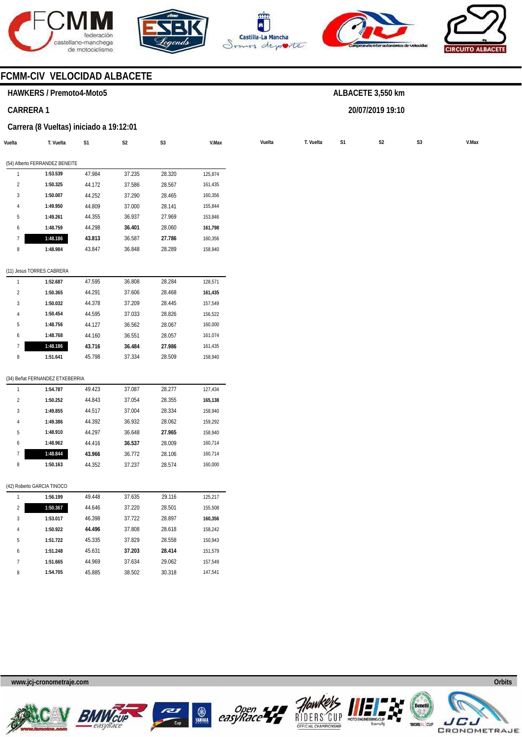







**ALBACETE 3,550 km** 

**20/07/2019 19:10** 



# **FCMM-CIV VELOCIDAD ALBACETE**

#### **HAWKERS / Premoto4-Moto5**

### **CARRERA 1**

#### **Carrera (8 Vueltas) iniciado a 19:12:01**

|                | T. Vuelta                       | S1     | $\mathsf{S2}\,$ | S <sub>3</sub> | V.Max   | Vuelta | T. Vuelta | S <sub>1</sub> | S <sub>2</sub> |  |
|----------------|---------------------------------|--------|-----------------|----------------|---------|--------|-----------|----------------|----------------|--|
|                | (54) Alberto FERRANDEZ BENEITE  |        |                 |                |         |        |           |                |                |  |
|                | 1:53.539                        | 47.984 | 37.235          | 28.320         | 125,874 |        |           |                |                |  |
| $\overline{2}$ | 1:50.325                        | 44.172 | 37.586          | 28.567         | 161,435 |        |           |                |                |  |
| $\sqrt{3}$     | 1:50.007                        | 44.252 | 37.290          | 28.465         | 160,356 |        |           |                |                |  |
| 4              | 1:49.950                        | 44.809 | 37.000          | 28.141         | 155,844 |        |           |                |                |  |
| 5              | 1:49.261                        | 44.355 | 36.937          | 27.969         | 153,846 |        |           |                |                |  |
| 6              | 1:48.759                        | 44.298 | 36.401          | 28.060         | 161,798 |        |           |                |                |  |
| $\overline{7}$ | 1:48.186                        | 43.813 | 36.587          | 27.786         | 160,356 |        |           |                |                |  |
| 8              | 1:48.984                        | 43.847 | 36.848          | 28.289         | 158,940 |        |           |                |                |  |
|                | (11) Jesus TORRES CABRERA       |        |                 |                |         |        |           |                |                |  |
| $\mathbf{1}$   | 1:52.687                        | 47.595 | 36.808          | 28.284         | 128,571 |        |           |                |                |  |
| $\overline{2}$ | 1:50.365                        | 44.291 | 37.606          | 28.468         | 161,435 |        |           |                |                |  |
| $\mathbf{3}$   | 1:50.032                        | 44.378 | 37.209          | 28.445         | 157,549 |        |           |                |                |  |
| 4              | 1:50.454                        | 44.595 | 37.033          | 28.826         | 156,522 |        |           |                |                |  |
| 5              | 1:48.756                        | 44.127 | 36.562          | 28.067         | 160,000 |        |           |                |                |  |
| 6              | 1:48.768                        | 44.160 | 36.551          | 28.057         | 161,074 |        |           |                |                |  |
| $\overline{7}$ | 1:48.186                        | 43.716 | 36.484          | 27.986         | 161,435 |        |           |                |                |  |
| 8              | 1:51.641                        | 45.798 | 37.334          | 28.509         | 158,940 |        |           |                |                |  |
|                | (34) Beñat FERNANDEZ ETXEBERRIA |        |                 |                |         |        |           |                |                |  |
| $\mathbf{1}$   | 1:54.787                        | 49.423 | 37.087          | 28.277         | 127,434 |        |           |                |                |  |
| $\overline{2}$ | 1:50.252                        | 44.843 | 37.054          | 28.355         | 165,138 |        |           |                |                |  |
| 3              | 1:49.855                        | 44.517 | 37.004          | 28.334         | 158,940 |        |           |                |                |  |
| 4              | 1:49.386                        | 44.392 | 36.932          | 28.062         | 159,292 |        |           |                |                |  |
| 5              | 1:48.910                        | 44.297 | 36.648          | 27.965         | 158,940 |        |           |                |                |  |
| 6              | 1:48.962                        | 44.416 | 36.537          | 28.009         | 160,714 |        |           |                |                |  |
| $\overline{7}$ | 1:48.844                        | 43.966 | 36.772          | 28.106         | 160,714 |        |           |                |                |  |
| 8              | 1:50.163                        | 44.352 | 37.237          | 28.574         | 160,000 |        |           |                |                |  |
|                | (42) Roberto GARCIA TINOCO      |        |                 |                |         |        |           |                |                |  |
| $\mathbf{1}$   | 1:56.199                        | 49.448 | 37.635          | 29.116         | 125,217 |        |           |                |                |  |
| $\overline{c}$ | 1:50.367                        | 44.646 | 37.220          | 28.501         | 155,508 |        |           |                |                |  |
| $\mathbf{3}$   | 1:53.017                        | 46.398 | 37.722          | 28.897         | 160,356 |        |           |                |                |  |
| 4              | 1:50.922                        | 44.496 | 37.808          | 28.618         | 158,242 |        |           |                |                |  |
| 5              | 1:51.722                        | 45.335 | 37.829          | 28.558         | 150,943 |        |           |                |                |  |
| 6              | 1:51.248                        | 45.631 | 37.203          | 28.414         | 151,579 |        |           |                |                |  |
| $\overline{7}$ | 1:51.665                        | 44.969 | 37.634          | 29.062         | 157,549 |        |           |                |                |  |

**www.jcj-cronometraje.com Orbits** 

**1:54.705** 

45.885



8



38.502

30.318

147,541







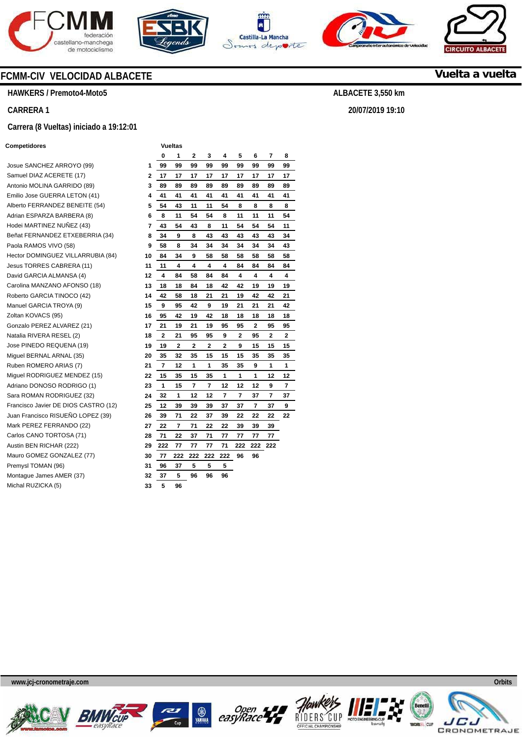









**Vuelta a vuelta**

**ALBACETE 3,550 km** 

**20/07/2019 19:10** 

# **FCMM-CIV VELOCIDAD ALBACETE**

**HAWKERS / Premoto4-Moto5** 

#### **CARRERA 1**

#### **Carrera (8 Vueltas) iniciado a 19:12:01**

#### **Competidores Vueltas**

Josue SANCHEZ ARROYO (99) **1**  Samuel DIAZ ACERETE (17) Antonio MOLINA GARRIDO (89) Emilio Jose GUERRA LETON (41) Alberto FERRANDEZ BENEITE (54) **5**  Adrian ESPARZA BARBERA (8) **6**  Hodei MARTINEZ NUÑEZ (43) **7**  Beñat FERNANDEZ ETXEBERRIA (34) Paola RAMOS VIVO (58) **Hector DOMINGUEZ VILLARRUBIA (84) Jesus TORRES CABRERA (11)** David GARCIA ALMANSA (4) Carolina MANZANO AFONSO (18) Roberto GARCIA TINOCO (42) Manuel GARCIA TROYA (9) Zoltan KOVACS (95) Gonzalo PEREZ ALVAREZ (21) **17**  Natalia RIVERA RESEL (2) **18**  Jose PINEDO REQUENA (19) Miguel BERNAL ARNAL (35) Ruben ROMERO ARIAS (7) **21**  Miguel RODRIGUEZ MENDEZ (15) **22**  Adriano DONOSO RODRIGO (1) **23**  Sara ROMAN RODRIGUEZ (32) Francisco Javier DE DIOS CASTRO (12) **25**  Juan Francisco RISUEÑO LOPEZ (39) **26**  Mark PEREZ FERRANDO (22) Carlos CANO TORTOSA (71) Austin BEN RICHAR (222) Mauro GOMEZ GONZALEZ (77) **30**  Premysl TOMAN (96) Montague James AMER (37) **Michal RUZICKA (5)** 

|    | 1<br>0         |                | 2   | 3         | 4                       | 5              | 6   | 7                       | 8              |
|----|----------------|----------------|-----|-----------|-------------------------|----------------|-----|-------------------------|----------------|
| 1  | 99             | 99             | 99  | 99        | 99                      | 99             | 99  | 99                      | 99             |
| 2  | 17             | 17             | 17  | 17        | 17                      | 17             | 17  | 17                      | 17             |
| 3  | 89             | 89             | 89  | 89        | 89                      | 89             | 89  | 89                      | 89             |
| 4  | 41             | 41             | 41  | 41        | 41                      | 41             | 41  | 41                      | 41             |
| 5  | 54             | 43             | 11  | 11        | 54                      | 8              | 8   | 8                       | 8              |
| 6  | 8              | 11             | 54  | 54        | 8                       | 11             | 11  | 11                      | 54             |
| 7  | 43             | 54             | 43  | 8         | 11                      | 54             | 54  | 54                      | 11             |
| 8  | 34             | 9              | 8   | 43        | 43                      | 43             | 43  | 43                      | 34             |
| 9  | 58             | 8              | 34  | 34        | 34                      | 34             | 34  | 34                      | 43             |
| 10 | 84             | 34             | 9   | 58        | 58                      | 58             | 58  | 58                      | 58             |
| 11 | 11             | 4              | 4   | 4         | 4                       | 84             | 84  | 84                      | 84             |
| 12 | 4              | 84             | 58  | 84        | 84                      | 4              | 4   | 4                       | 4              |
| 13 | 18             | 18             | 84  | 18        | 42                      | 42             | 19  | 19                      | 19             |
| 14 | 42             | 58             | 18  | 21        | 21                      | 19             | 42  | 42                      | 21             |
| 15 | 9              | 95             | 42  | 9         | 19                      | 21             | 21  | 21                      | 42             |
| 16 | 95             | 42             | 19  | 42        | 18                      | 18             | 18  | 18                      | 18             |
| 17 | 21             | 19             | 21  | 19        | 95                      | 95             | 2   | 95                      | 95             |
| 18 | $\overline{2}$ | 21             | 95  | 95        | 9                       | $\overline{2}$ | 95  | $\overline{\mathbf{2}}$ | $\overline{2}$ |
| 19 | 19             | $\overline{2}$ | 2   | 2         | $\overline{\mathbf{2}}$ | 9              | 15  | 15                      | 15             |
| 20 | 35             | 32             | 35  | 15        | 15                      | 15             | 35  | 35                      | 35             |
| 21 | 7              | 12             | 1   | 1         | 35                      | 35             | 9   | 1                       | 1              |
| 22 | 15             | 35             | 15  | 35        | 1                       | 1              | 1   | 12                      | 12             |
| 23 | 1              | 15             | 7   | $\pmb{7}$ | 12                      | 12             | 12  | 9                       | 7              |
| 24 | 32             | 1              | 12  | 12        | 7                       | 7              | 37  | 7                       | 37             |
| 25 | 12             | 39             | 39  | 39        | 37                      | 37             | 7   | 37                      | 9              |
| 26 | 39             | 71             | 22  | 37        | 39                      | 22             | 22  | 22                      | 22             |
| 27 | 22             | 7              | 71  | 22        | 22                      | 39             | 39  | 39                      |                |
| 28 | 71             | 22             | 37  | 71        | 77                      | 77             | 77  | 77                      |                |
| 29 | 222            | 77             | 77  | 77        | 71                      | 222            | 222 | 222                     |                |
| 30 | 77             | 222            | 222 | 222       | 222                     | 96             | 96  |                         |                |
| 31 | 96             | 37             | 5   | 5         | 5                       |                |     |                         |                |
| 32 | 37             | 5              | 96  | 96        | 96                      |                |     |                         |                |
| 33 | 5              | 96             |     |           |                         |                |     |                         |                |











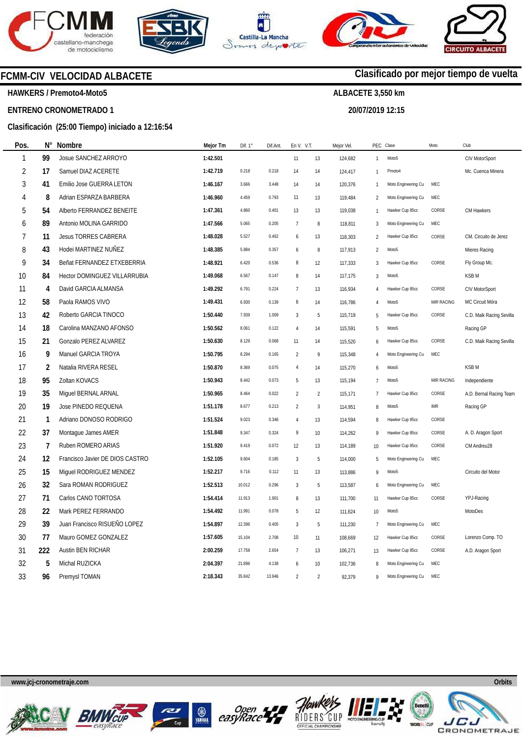







**20/07/2019 12:15** 

**Clasificado por mejor tiempo de vuelta**



**HAWKERS / Premoto4-Moto5** 

# **ENTRENO CRONOMETRADO 1**

#### **Clasificación (25:00 Tiempo) iniciado a 12:16:54**

| Pos.           | Ν°             | Nombre                          | Mejor Tm | Dif. $1^\circ$ | Dif.Ant. | En V. V.T.     |                | Mejor Vel. | PEC Clase      |                     | Moto                        | Club                     |
|----------------|----------------|---------------------------------|----------|----------------|----------|----------------|----------------|------------|----------------|---------------------|-----------------------------|--------------------------|
| $\mathbf{1}$   | 99             | Josue SANCHEZ ARROYO            | 1:42.501 |                |          | 11             | 13             | 124,682    | $\mathbf{1}$   | Moto <sub>5</sub>   |                             | CIV MotorSport           |
| $\overline{2}$ | 17             | Samuel DIAZ ACERETE             | 1:42.719 | 0.218          | 0.218    | 14             | 14             | 124,417    | 1              | Pmoto4              |                             | Mc. Cuenca Minera        |
| 3              | 41             | Emilio Jose GUERRA LETON        | 1:46.167 | 3.666          | 3.448    | 14             | 14             | 120,376    | $\mathbf{1}$   | Moto Engineering Cu | MEC                         |                          |
| 4              | 8              | Adrian ESPARZA BARBERA          | 1:46.960 | 4.459          | 0.793    | 11             | 13             | 119,484    | $\overline{2}$ | Moto Engineering Cu | MEC                         |                          |
| 5              | 54             | Alberto FERRANDEZ BENEITE       | 1:47.361 | 4.860          | 0.401    | 13             | 13             | 119,038    | $\mathbf{1}$   | Hawker Cup 85cc     | CORSE                       | CM Hawkers               |
| 6              | 89             | Antonio MOLINA GARRIDO          | 1:47.566 | 5.065          | 0.205    | $\overline{7}$ | 8              | 118,811    | 3              | Moto Engineering Cu | MEC                         |                          |
| 7              | 11             | <b>Jesus TORRES CABRERA</b>     | 1:48.028 | 5.527          | 0.462    | 6              | 13             | 118,303    | $\overline{2}$ | Hawker Cup 85cc     | CORSE                       | CM. Circuito de Jerez    |
| 8              | 43             | Hodei MARTINEZ NUÑEZ            | 1:48.385 | 5.884          | 0.357    | 6              | 8              | 117,913    | $\overline{2}$ | Moto <sub>5</sub>   |                             | Mieres Racing            |
| 9              | 34             | Beñat FERNANDEZ ETXEBERRIA      | 1:48.921 | 6.420          | 0.536    | 8              | 12             | 117,333    | 3              | Hawker Cup 85cc     | CORSE                       | Fly Group Mc.            |
| 10             | 84             | Hector DOMINGUEZ VILLARRUBIA    | 1:49.068 | 6.567          | 0.147    | 8              | 14             | 117,175    | 3              | Moto <sub>5</sub>   |                             | <b>KSBM</b>              |
| 11             | 4              | David GARCIA ALMANSA            | 1:49.292 | 6.791          | 0.224    | $\overline{7}$ | 13             | 116,934    | $\overline{4}$ | Hawker Cup 85cc     | CORSE                       | CIV MotorSport           |
| 12             | 58             | Paola RAMOS VIVO                | 1:49.431 | 6.930          | 0.139    | 6              | 14             | 116,786    | 4              | Moto <sub>5</sub>   | MIR RACING                  | MC Circuit Móra          |
| 13             | 42             | Roberto GARCIA TINOCO           | 1:50.440 | 7.939          | 1.009    | $\sqrt{3}$     | 5              | 115,719    | 5              | Hawker Cup 85cc     | CORSE                       | C.D. Maik Racing Sevilla |
| 14             | 18             | Carolina MANZANO AFONSO         | 1:50.562 | 8.061          | 0.122    | $\sqrt{4}$     | 14             | 115,591    | 5              | Moto <sub>5</sub>   |                             | Racing GP                |
| 15             | 21             | Gonzalo PEREZ ALVAREZ           | 1:50.630 | 8.129          | 0.068    | 11             | 14             | 115,520    | 6              | Hawker Cup 85cc     | CORSE                       | C.D. Maik Racing Sevilla |
| 16             | 9              | Manuel GARCIA TROYA             | 1:50.795 | 8.294          | 0.165    | $\sqrt{2}$     | 9              | 115,348    | $\overline{4}$ | Moto Engineering Cu | MEC                         |                          |
| 17             | $\overline{2}$ | Natalia RIVERA RESEL            | 1:50.870 | 8.369          | 0.075    | $\overline{4}$ | 14             | 115,270    | 6              | Moto <sub>5</sub>   |                             | <b>KSBM</b>              |
| 18             | 95             | Zoltan KOVACS                   | 1:50.943 | 8.442          | 0.073    | 5              | 13             | 115,194    | $\overline{7}$ | Moto <sub>5</sub>   | MIR RACING                  | Independiente            |
| 19             | 35             | Miguel BERNAL ARNAL             | 1:50.965 | 8.464          | 0.022    | $\overline{2}$ | 2              | 115,171    | $\overline{7}$ | Hawker Cup 85cc     | CORSE                       | A.D. Bernal Racing Team  |
| 20             | 19             | Jose PINEDO REQUENA             | 1:51.178 | 8.677          | 0.213    | $\sqrt{2}$     | $\mathbf{3}$   | 114,951    | 8              | Moto <sub>5</sub>   | $\ensuremath{\mathsf{IMR}}$ | Racing GP                |
| 21             | $\mathbf{1}$   | Adriano DONOSO RODRIGO          | 1:51.524 | 9.023          | 0.346    | $\sqrt{4}$     | 13             | 114,594    | 8              | Hawker Cup 85cc     | CORSE                       |                          |
| 22             | 37             | Montague James AMER             | 1:51.848 | 9.347          | 0.324    | 9              | 10             | 114,262    | 9              | Hawker Cup 85cc     | CORSE                       | A. D. Aragon Sport       |
| 23             | 7              | Ruben ROMERO ARIAS              | 1:51.920 | 9.419          | 0.072    | 12             | 13             | 114,189    | 10             | Hawker Cup 85cc     | CORSE                       | CM Andreu28              |
| 24             | 12             | Francisco Javier DE DIOS CASTRO | 1:52.105 | 9.604          | 0.185    | $\mathbf{3}$   | 5              | 114,000    | 5              | Moto Engineering Cu | MEC                         |                          |
| 25             | 15             | Miguel RODRIGUEZ MENDEZ         | 1:52.217 | 9.716          | 0.112    | 11             | 13             | 113,886    | $\mathsf{Q}$   | Moto <sub>5</sub>   |                             | Circuito del Motor       |
| 26             | 32             | Sara ROMAN RODRIGUEZ            | 1:52.513 | 10.012         | 0.296    | $\sqrt{3}$     | $5\,$          | 113,587    | 6              | Moto Engineering Cu | MEC                         |                          |
| 27             | 71             | Carlos CANO TORTOSA             | 1:54.414 | 11.913         | 1.901    | 8              | 13             | 111,700    | 11             | Hawker Cup 85cc     | CORSE                       | YPJ-Racing               |
| 28             | 22             | Mark PEREZ FERRANDO             | 1:54.492 | 11.991         | 0.078    | 5              | 12             | 111,624    | 10             | Moto <sub>5</sub>   |                             | MotoDes                  |
| 29             | 39             | Juan Francisco RISUEÑO LOPEZ    | 1:54.897 | 12.396         | 0.405    | $\sqrt{3}$     | 5              | 111,230    | $\overline{7}$ | Moto Engineering Cu | MEC                         |                          |
| 30             | 77             | Mauro GOMEZ GONZALEZ            | 1:57.605 | 15.104         | 2.708    | 10             | 11             | 108,669    | 12             | Hawker Cup 85cc     | CORSE                       | Lorenzo Comp. TO         |
| 31             | 222            | Austin BEN RICHAR               | 2:00.259 | 17.758         | 2.654    | 7              | 13             | 106,271    | 13             | Hawker Cup 85cc     | CORSE                       | A.D. Aragon Sport        |
| 32             | 5              | Michal RUZICKA                  | 2:04.397 | 21.896         | 4.138    | 6              | 10             | 102,736    | $\mathsf{R}$   | Moto Engineering Cu | MEC                         |                          |
| 33             | 96             | Premysl TOMAN                   | 2:18.343 | 35.842         | 13.946   | $\mathfrak{p}$ | $\overline{2}$ | 92,379     | 9              | Moto Engineering Cu | MEC                         |                          |











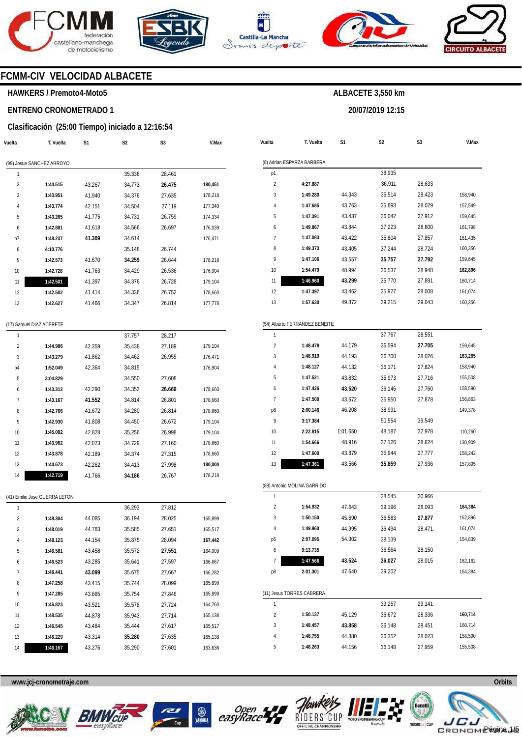





**Vuelta** 

**T. Vuelta** 

**S1** 



**S2** 

**ALBACETE 3,550 km** 

**20/07/2019 12:15** 

**S3** 



**V.Max** 

# **FCMM-CIV VELOCIDAD ALBACETE**

#### **HAWKERS / Premoto4-Moto5**

# **ENTRENO CRONOMETRADO 1**

#### **Clasificación (25:00 Tiempo) iniciado a 12:16:54**

| Vuelta | T. Vuelta                     | S1     | S2     | S3     | V.Max   |
|--------|-------------------------------|--------|--------|--------|---------|
|        | (99) Josue SANCHEZ ARROYO     |        |        |        |         |
| 1      |                               |        | 35.336 | 28.461 |         |
| 2      | 1:44.515                      | 43.267 | 34.773 | 26.475 | 180,451 |
| 3      | 1:43.951                      | 41.940 | 34.376 | 27.635 | 178,218 |
| 4      | 1:43.774                      | 42.151 | 34.504 | 27.119 | 177,340 |
| 5      | 1:43.265                      | 41.775 | 34.731 | 26.759 | 174,334 |
| 6      | 1:42.881                      | 41.618 | 34.566 | 26.697 | 176,039 |
| p7     | 1:48.237                      | 41.309 | 34.614 |        | 176,471 |
| 8      | 4:10.776                      |        | 35.148 | 26.744 |         |
| 9      | 1:42.573                      | 41.670 | 34.259 | 26.644 | 178,218 |
| 10     | 1:42.728                      | 41.763 | 34.429 | 26.536 | 176,904 |
| 11     | 1:42.501                      | 41.397 | 34.376 | 26.728 | 179,104 |
| 12     | 1:42.502                      | 41.414 | 34.336 | 26.752 | 178,660 |
| 13     | 1:42.627                      | 41.466 | 34.347 | 26.814 | 177,778 |
|        | (17) Samuel DIAZ ACERETE      |        |        |        |         |
| 1      |                               |        | 37.757 | 28.217 |         |
| 2      | 1:44.986                      | 42.359 | 35.438 | 27.189 | 179,104 |
| 3      | 1:43.279                      | 41.862 | 34.462 | 26.955 | 176,471 |
| p4     | 1:52.049                      | 42.364 | 34.815 |        | 176,904 |
| 5      | 3:04.829                      |        | 34.550 | 27.608 |         |
| 6      | 1:43.312                      | 42.290 | 34.353 | 26.669 | 178,660 |
| 7      | 1:43.167                      | 41.552 | 34.814 | 26.801 | 178,660 |
| 8      | 1:42.766                      | 41.672 | 34.280 | 26.814 | 178,660 |
| 9      | 1:42.930                      | 41.808 | 34.450 | 26.672 | 179,104 |
| 10     | 1:45.082                      | 42.828 | 35.256 | 26.998 | 179,104 |
| 11     | 1:43.962                      | 42.073 | 34.729 | 27.160 | 178,660 |
| 12     | 1:43.878                      | 42.189 | 34.374 | 27.315 | 178,660 |
| 13     | 1:44.673                      | 42.262 | 34.413 | 27.998 | 180,000 |
| 14     | 1:42.719                      | 41.766 | 34.186 | 26.767 | 178,218 |
|        | (41) Emilio Jose GUERRA LETON |        |        |        |         |
| 1      |                               |        | 36.293 | 27.812 |         |
| 2      | 1:48.304                      | 44.085 | 36.194 | 28.025 | 165,899 |
| 3      | 1:48.019                      | 44.783 | 35.585 | 27.651 | 165,517 |

|                | (8) Adrian ESPARZA BARBERA     |                  |                  |                  |                               |
|----------------|--------------------------------|------------------|------------------|------------------|-------------------------------|
| p1             |                                |                  | 38.935           |                  |                               |
| 2              | 4:27.887                       |                  | 36.911           | 28.633           |                               |
| 3              | 1:49.280                       | 44.343           | 36.514           | 28.423           | 158,940                       |
| 4              | 1:47.685                       | 43.763           | 35.893           | 28.029           | 157,549                       |
| 5              | 1:47.391                       | 43.437           | 36.042           | 27.912           | 159,645                       |
| 6              | 1:49.867                       | 43.844           | 37.223           | 28.800           | 161,798                       |
| 7              | 1:47.083                       | 43.422           | 35.804           | 27.857           | 161,435                       |
| 8              | 1:49.373                       | 43.405           | 37.244           | 28.724           | 160,356                       |
| 9              | 1:47.106                       | 43.557           | 35.757           | 27.792           | 159,645                       |
| 10             | 1:54.479                       | 48.994           | 36.537           | 28.948           | 162,896                       |
| 11             | 1:46.960                       | 43.299           | 35.770           | 27.891           | 160,714                       |
| 12             | 1:47.397                       | 43.462           | 35.927           | 28.008           | 161,074                       |
| 13             | 1:57.630                       | 49.372           | 39.215           | 29.043           | 160,356                       |
|                | (54) Alberto FERRANDEZ BENEITE |                  |                  |                  |                               |
| 1              |                                |                  | 37.767           | 28.551           |                               |
| $\overline{2}$ | 1:48.478                       | 44.179           | 36.594           | 27.705           | 159,645                       |
| 3              | 1:48.919                       | 44.193           | 36.700           | 28.026           | 163,265                       |
| 4              | 1:48.127                       | 44.132           | 36.171           | 27.824           | 158,940                       |
| 5              | 1:47.521                       | 43.832           | 35.973           | 27.716           | 155,508                       |
| 6              | 1:47.426                       | 43.520           | 36.146           | 27.760           | 158,590                       |
| 7              | 1:47.500                       | 43.672           | 35.950           | 27.878           | 156,863                       |
| p8             | 2:00.146                       | 46.208           | 38.991           |                  | 149,378                       |
| 9              | 3:17.384                       |                  | 50.554           | 39.549           |                               |
| 10             | 2:22.815                       | 1:01.650         | 48.187           | 32.978           | 110,260                       |
| 11             | 1:54.666                       | 48.916           | 37.126           | 28.624           | 130,909                       |
| 12             | 1:47.600                       | 43.879           | 35.944           | 27.777           | 158,242                       |
| 13             | 1:47.361                       | 43.566           | 35.859           | 27.936           | 157,895                       |
|                | (89) Antonio MOLINA GARRIDO    |                  |                  |                  |                               |
| 1              |                                |                  | 38.545           | 30.966           |                               |
| $\overline{2}$ | 1:54.932                       | 47.643           | 39.196           | 28.093           | 164,384                       |
| 3              | 1:50.150                       | 45.690           | 36.583           | 27.877           | 162,896                       |
| 4              | 1:49.960                       | 44.995           | 36.494           | 28.471           | 161,074                       |
| p5             | 2:07.095                       | 54.302           | 38.139           |                  | 154,839                       |
| 6              | 9:13.735                       |                  | 36.564           | 28.150           |                               |
| 7              | 1:47.566                       | 43.524           | 36.027           | 28.015           | 162,162                       |
| p8             | 2:01.301                       | 47.640           | 39.202           |                  | 164,384                       |
|                | (11) Jesus TORRES CABRERA      |                  |                  |                  |                               |
|                |                                |                  | 39.257           | 29.141           |                               |
| 1              |                                |                  |                  |                  |                               |
| $\overline{2}$ | 1:50.137                       |                  |                  |                  |                               |
| 3              | 1:48.457                       | 45.129           | 36.672           | 28.336           |                               |
| 4              | 1:48.755                       | 43.858<br>44.380 | 36.148<br>36.352 | 28.451<br>28.023 | 160,714<br>160,714<br>158,590 |

**www.jcj-cronometraje.com Orbits** 

**1:48.123 1:46.581 1:46.523 1:46.441 1:47.258 1:47.285 1:46.823 1:48.535 1:46.545 1:46.229 1:46.167**  44.154 43.458 43.285 **43.099**  43.415 43.685 43.521 44.878 43.484 43.314 43.276





35.875 35.572 35.641 35.675 35.744 35.754 35.578 35.943 35.444 **35.280**  35.290 28.094 **27.551**  27.597 27.667 28.099 27.846 27.724 27.714 27.617 27.635 27.601

**167,442**  164,009 166,667 166,282 165,899 165,899 164,760 165,138 165,517 165,138 163,636





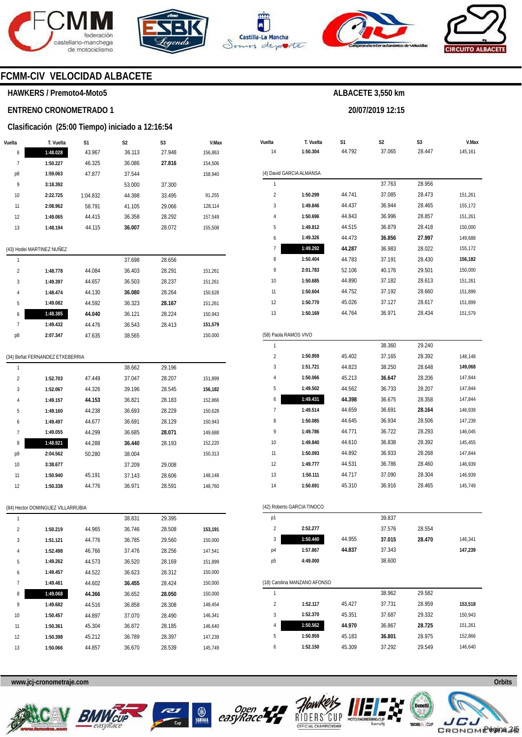







**20/07/2019 12:15** 



# **FCMM-CIV VELOCIDAD ALBACETE**

#### **HAWKERS / Premoto4-Moto5**

# **ENTRENO CRONOMETRADO 1**

### **Clasificación (25:00 Tiempo) iniciado a 12:16:54**

| Vuelta | T. Vuelta                         | S1       | S2     | S3     | V.Max   |  |
|--------|-----------------------------------|----------|--------|--------|---------|--|
| 6      | 1:48.028                          | 43.967   | 36.113 | 27.948 | 156,863 |  |
| 7      | 1:50.227                          | 46.325   | 36.086 | 27.816 | 154,506 |  |
| p8     | 1:59.063                          | 47.877   | 37.544 |        | 158,940 |  |
| 9      | 3:18.392                          |          | 53.000 | 37.300 |         |  |
| 10     | 2:22.725                          | 1:04.832 | 44.398 | 33.495 | 91,255  |  |
| 11     | 2:08.962                          | 58.791   | 41.105 | 29.066 | 128,114 |  |
| 12     | 1:49.065                          | 44.415   | 36.358 | 28.292 | 157,549 |  |
| 13     | 1:48.194                          | 44.115   | 36.007 | 28.072 | 155,508 |  |
|        | (43) Hodei MARTINEZ NUÑEZ         |          |        |        |         |  |
| 1      |                                   |          | 37.698 | 28.656 |         |  |
| 2      | 1:48.778                          | 44.084   | 36.403 | 28.291 | 151,261 |  |
| 3      | 1:49.397                          | 44.657   | 36.503 | 28.237 | 151,261 |  |
| 4      | 1:48.474                          | 44.130   | 36.080 | 28.264 | 150,628 |  |
| 5      | 1:49.082                          | 44.592   | 36.323 | 28.167 | 151,261 |  |
| 6      | 1:48.385                          | 44.040   | 36.121 | 28.224 | 150,943 |  |
| 7      | 1:49.432                          | 44.476   | 36.543 | 28.413 | 151,579 |  |
| p8     | 2:07.347                          | 47.635   | 38.565 |        | 150,000 |  |
|        |                                   |          |        |        |         |  |
|        | (34) Beñat FERNANDEZ ETXEBERRIA   |          |        |        |         |  |
| 1      |                                   |          | 38.662 | 29.196 |         |  |
| 2      | 1:52.703                          | 47.449   | 37.047 | 28.207 | 151,899 |  |
| 3      | 1:52.067                          | 44.326   | 39.196 | 28.545 | 156,182 |  |
| 4      | 1:49.157                          | 44.153   | 36.821 | 28.183 | 152,866 |  |
| 5      | 1:49.160                          | 44.238   | 36.693 | 28.229 | 150,628 |  |
| 6      | 1:49.497                          | 44.677   | 36.691 | 28.129 | 150,943 |  |
| 7      | 1:49.055                          | 44.299   | 36.685 | 28.071 | 149,688 |  |
| 8      | 1:48.921                          | 44.288   | 36.440 | 28.193 | 152,220 |  |
| р9     | 2:04.562                          | 50.280   | 38.004 |        | 150,313 |  |
| 10     | 3:38.677                          |          | 37.209 | 29.008 |         |  |
| 11     | 1:50.940                          | 45.191   | 37.143 | 28.606 | 148,148 |  |
| 12     | 1:50.338                          | 44.776   | 36.971 | 28.591 | 148,760 |  |
|        | (84) Hector DOMINGUEZ VILLARRUBIA |          |        |        |         |  |
| 1      |                                   |          | 38.831 | 29.395 |         |  |
| 2      | 1:50.219                          | 44.965   | 36.746 | 28.508 | 153,191 |  |
| 3      | 1:51.121                          | 44.776   | 36.785 | 29.560 | 150,000 |  |
| 4      | 1:52.498                          | 46.766   | 37.476 | 28.256 | 147,541 |  |
| 5      | 1:49.262                          | 44.573   | 36.520 | 28.169 | 151,899 |  |
| 6      | 1:49.457                          | 44.522   | 36.623 | 28.312 | 150,000 |  |
| 7      | 1:49.481                          | 44.602   | 36.455 | 28.424 | 150,000 |  |
| 8      | 1:49.068                          | 44.366   | 36.652 | 28.050 | 150,000 |  |
| 9      | 1:49.682                          | 44.516   | 36.858 | 28.308 | 148,454 |  |
| 10     | 1:50.457                          | 44.897   | 37.070 | 28.490 | 146,341 |  |
| 11     | 1:50.361                          | 45.304   | 36.872 | 28.185 | 146,640 |  |
| 12     | 1:50.398                          | 45.212   | 36.789 | 28.397 | 147,239 |  |

| Vuelta                | T. Vuelta                    | S1     | S2     | S3     | V.Max   |
|-----------------------|------------------------------|--------|--------|--------|---------|
| 14<br>1:50.304        |                              | 44.792 | 37.065 | 28.447 | 145,161 |
|                       | (4) David GARCIA ALMANSA     |        |        |        |         |
| 1                     |                              |        | 37.763 | 28.956 |         |
| $\overline{2}$        | 1:50.299                     | 44.741 | 37.085 | 28.473 | 151,261 |
| 3                     | 1:49.846                     | 44.437 | 36.944 | 28.465 | 155,172 |
| 4                     | 1:50.696                     | 44.843 | 36.996 | 28.857 | 151,261 |
| 5                     | 1:49.812                     | 44.515 | 36.879 | 28.418 | 150,000 |
| 6                     | 1:49.326                     | 44.473 | 36.856 | 27.997 | 149,688 |
| 7                     | 1:49.292                     | 44.287 | 36.983 | 28.022 | 155,172 |
| 8                     | 1:50.404                     | 44.783 | 37.191 | 28.430 | 156,182 |
| 9                     | 2:01.783                     | 52.106 | 40.176 | 29.501 | 150,000 |
| 10                    | 1:50.685                     | 44.890 | 37.182 | 28.613 | 151,261 |
| 11                    | 1:50.604                     | 44.752 | 37.192 | 28.660 | 151,899 |
| 12                    | 1:50.770                     | 45.026 | 37.127 | 28.617 | 151,899 |
| 13                    | 1:50.169                     | 44.764 | 36.971 | 28.434 | 151,579 |
|                       |                              |        |        |        |         |
| (58) Paola RAMOS VIVO |                              |        |        |        |         |
| 1                     |                              |        | 38.360 | 29.240 |         |
| $\overline{2}$        | 1:50.959                     | 45.402 | 37.165 | 28.392 | 148,148 |
| 3                     | 1:51.721                     | 44.823 | 38.250 | 28.648 | 149,068 |
| 4                     | 1:50.066                     | 45.213 | 36.647 | 28.206 | 147,844 |
| 5                     | 1:49.502                     | 44.562 | 36.733 | 28.207 | 147,844 |
| 6                     | 1:49.431                     | 44.398 | 36.675 | 28.358 | 147,844 |
| 7                     | 1:49.514                     | 44.659 | 36.691 | 28.164 | 146,939 |
| 8                     | 1:50.085                     | 44.645 | 36.934 | 28.506 | 147,239 |
| 9                     | 1:49.786                     | 44.771 | 36.722 | 28.293 | 146,045 |
| 10                    | 1:49.840                     | 44.610 | 36.838 | 28.392 | 145,455 |
| 11                    | 1:50.093                     | 44.892 | 36.933 | 28.268 | 147,844 |
| 12                    | 1:49.777                     | 44.531 | 36.786 | 28.460 | 146,939 |
| 13                    | 1:50.111                     | 44.717 | 37.090 | 28.304 | 146,939 |
| 14                    | 1:50.691                     | 45.310 | 36.916 | 28.465 | 145,749 |
|                       | (42) Roberto GARCIA TINOCO   |        |        |        |         |
| p1                    |                              |        | 39.837 |        |         |
| $\overline{c}$        | 2:52.277                     |        | 37.576 | 28.554 |         |
| 3                     | 1:50.440                     | 44.955 | 37.015 | 28.470 | 146,341 |
| p4                    | 1:57.867                     | 44.837 | 37.343 |        | 147,239 |
| p5                    | 4:49.000                     |        | 38.600 |        |         |
|                       |                              |        |        |        |         |
|                       | (18) Carolina MANZANO AFONSO |        |        |        |         |
| 1                     |                              |        | 38.962 | 29.582 |         |
| 2                     | 1:52.117                     | 45.427 | 37.731 | 28.959 | 153,518 |
| 3                     | 1:52.370                     | 45.351 | 37.687 | 29.332 | 150,943 |
| 4                     | 1:50.562                     | 44.970 | 36.867 | 28.725 | 151,261 |
| 5                     | 1:50.959                     | 45.183 | 36.801 | 28.975 | 152,866 |
| 6                     | 1:52.150                     | 45.309 | 37.292 | 29.549 | 146,640 |

**www.jcj-cronometraje.com Orbits** 

**1:50.066** 

44.857



13



36.670

28.539

145,749





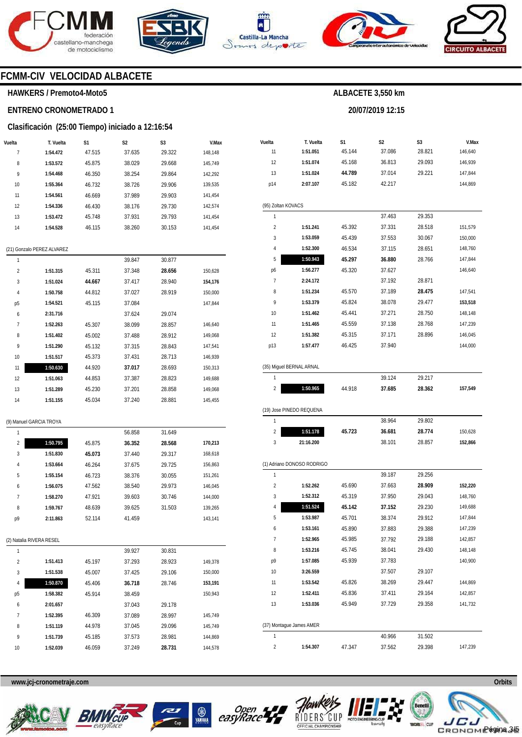







**20/07/2019 12:15** 



# **FCMM-CIV VELOCIDAD ALBACETE**

#### **HAWKERS / Premoto4-Moto5**

# **ENTRENO CRONOMETRADO 1**

#### **Clasificación (25:00 Tiempo) iniciado a 12:16:54**

| Vuelta | T. Vuelta                  | S1     | S2     | S3     | V.Max   |
|--------|----------------------------|--------|--------|--------|---------|
| 7      | 1:54.472                   | 47.515 | 37.635 | 29.322 | 148,148 |
| 8      | 1:53.572                   | 45.875 | 38.029 | 29.668 | 145,749 |
| 9      | 1:54.468                   | 46.350 | 38.254 | 29.864 | 142,292 |
| 10     | 1:55.364                   | 46.732 | 38.726 | 29.906 | 139,535 |
| 11     | 1:54.561                   | 46.669 | 37.989 | 29.903 | 141,454 |
| 12     | 1:54.336                   | 46.430 | 38.176 | 29.730 | 142,574 |
| 13     | 1:53.472                   | 45.748 | 37.931 | 29.793 | 141,454 |
| 14     | 1:54.528                   | 46.115 | 38.260 | 30.153 | 141,454 |
|        | (21) Gonzalo PEREZ ALVAREZ |        |        |        |         |
| 1      |                            |        | 39.847 | 30.877 |         |
| 2      | 1:51.315                   | 45.311 | 37.348 | 28.656 | 150,628 |
| 3      | 1:51.024                   | 44.667 | 37.417 | 28.940 | 154,176 |
| 4      | 1:50.758                   | 44.812 | 37.027 | 28.919 | 150,000 |
| р5     | 1:54.521                   | 45.115 | 37.084 |        | 147,844 |
| 6      | 2:31.716                   |        | 37.624 | 29.074 |         |
| 7      | 1:52.263                   | 45.307 | 38.099 | 28.857 | 146,640 |
| 8      | 1:51.402                   | 45.002 | 37.488 | 28.912 | 149,068 |
| 9      | 1:51.290                   | 45.132 | 37.315 | 28.843 | 147,541 |
| 10     | 1:51.517                   | 45.373 | 37.431 | 28.713 | 146,939 |
| 11     | 1:50.630                   | 44.920 | 37.017 | 28.693 | 150,313 |
| 12     | 1:51.063                   | 44.853 | 37.387 | 28.823 | 149,688 |
| 13     | 1:51.289                   | 45.230 | 37.201 | 28.858 | 149,068 |
| 14     | 1:51.155                   | 45.034 | 37.240 | 28.881 | 145,455 |
|        | (9) Manuel GARCIA TROYA    |        |        |        |         |
| 1      |                            |        | 56.858 | 31.649 |         |
| 2      | 1:50.795                   | 45.875 | 36.352 | 28.568 | 170,213 |
| 3      | 1:51.830                   | 45.073 | 37.440 | 29.317 | 168,618 |
| 4      | 1:53.664                   | 46.264 | 37.675 | 29.725 | 156,863 |
| 5      | 1:55.154                   | 46.723 | 38.376 | 30.055 | 151,261 |
| 6      | 1:56.075                   | 47.562 | 38.540 | 29.973 | 146,045 |
| 7      | 1:58.270                   | 47.921 | 39.603 | 30.746 | 144,000 |
| 8      | 1:59.767                   | 48.639 | 39.625 | 31.503 | 139,265 |
| p9     | 2:11.863                   | 52.114 | 41.459 |        | 143,141 |
|        | (2) Natalia RIVERA RESEL   |        |        |        |         |
| 1      |                            |        | 39.927 | 30.831 |         |
| 2      | 1:51.413                   | 45.197 | 37.293 | 28.923 | 149,378 |
| 3      | 1:51.538                   | 45.007 | 37.425 | 29.106 | 150,000 |
| 4      | 1:50.870                   | 45.406 | 36.718 | 28.746 | 153,191 |
| р5     | 1:58.382                   | 45.914 | 38.459 |        | 150,943 |
| 6      | 2:01.657                   |        | 37.043 | 29.178 |         |
| 7      | 1:52.395                   | 46.309 | 37.089 | 28.997 | 145,749 |
| 8      | 1:51.119                   | 44.978 | 37.045 | 29.096 | 145,749 |
| 9      | 1:51.739                   | 45.185 | 37.573 | 28.981 | 144,869 |
| 10     | 1:52.039                   | 46.059 | 37.249 | 28.731 | 144,578 |
|        |                            |        |        |        |         |

| Vuelta                  | T. Vuelta                  | S1     | S <sub>2</sub> | S3     | V.Max   |
|-------------------------|----------------------------|--------|----------------|--------|---------|
| 11                      | 1:51.051                   | 45.144 | 37.086         | 28.821 | 146,640 |
| 12                      | 1:51.074                   | 45.168 | 36.813         | 29.093 | 146,939 |
| 13                      | 1:51.024                   | 44.789 | 37.014         | 29.221 | 147,844 |
| p14                     | 2:07.107                   | 45.182 | 42.217         |        | 144,869 |
|                         |                            |        |                |        |         |
| (95) Zoltan KOVACS      |                            |        |                |        |         |
| 1                       |                            |        | 37.463         | 29.353 |         |
| $\overline{\mathbf{c}}$ | 1:51.241                   | 45.392 | 37.331         | 28.518 | 151,579 |
| 3                       | 1:53.059                   | 45.439 | 37.553         | 30.067 | 150,000 |
| 4                       | 1:52.300                   | 46.534 | 37.115         | 28.651 | 148,760 |
| 5                       | 1:50.943                   | 45.297 | 36.880         | 28.766 | 147,844 |
| p6                      | 1:56.277                   | 45.320 | 37.627         |        | 146,640 |
| 7                       | 2:24.172                   |        | 37.192         | 28.871 |         |
| 8                       | 1:51.234                   | 45.570 | 37.189         | 28.475 | 147,541 |
| 9                       | 1:53.379                   | 45.824 | 38.078         | 29.477 | 153,518 |
| 10                      | 1:51.462                   | 45.441 | 37.271         | 28.750 | 148,148 |
| 11                      | 1:51.465                   | 45.559 | 37.138         | 28.768 | 147,239 |
| 12                      | 1:51.382                   | 45.315 | 37.171         | 28.896 | 146,045 |
| p13                     | 1:57.477                   | 46.425 | 37.940         |        | 144,000 |
|                         |                            |        |                |        |         |
|                         | (35) Miguel BERNAL ARNAL   |        |                |        |         |
| 1                       |                            |        | 39.124         | 29.217 |         |
| $\overline{\mathbf{c}}$ | 1:50.965                   | 44.918 | 37.685         | 28.362 | 157,549 |
|                         |                            |        |                |        |         |
|                         | (19) Jose PINEDO REQUENA   |        |                |        |         |
| 1                       |                            |        | 38.964         | 29.802 |         |
| 2                       | 1:51.178                   | 45.723 | 36.681         | 28.774 | 150,628 |
| 3                       | 21:16.200                  |        | 38.101         | 28.857 | 152,866 |
|                         |                            |        |                |        |         |
|                         | (1) Adriano DONOSO RODRIGO |        |                |        |         |
| 1                       |                            |        | 39.187         | 29.256 |         |
| $\overline{2}$          | 1:52.262                   | 45.690 | 37.663         | 28.909 | 152,220 |
| 3                       | 1:52.312                   | 45.319 | 37.950         | 29.043 | 148,760 |
| 4                       | 1:51.524                   | 45.142 | 37.152         | 29.230 | 149,688 |
| 5                       | 1:53.987                   | 45.701 | 38.374         | 29.912 | 147,844 |
| 6                       | 1:53.161                   | 45.890 | 37.883         | 29.388 | 147,239 |
| 7                       | 1:52.965                   | 45.985 | 37.792         | 29.188 | 142,857 |
| 8                       | 1:53.216                   | 45.745 | 38.041         | 29.430 | 148,148 |
| p9                      | 1:57.085                   | 45.939 | 37.783         |        | 140,900 |
| 10                      | 3:26.559                   |        | 37.507         | 29.107 |         |
| 11                      | 1:53.542                   | 45.826 | 38.269         | 29.447 | 144,869 |
| 12                      | 1:52.411                   | 45.836 | 37.411         | 29.164 | 142,857 |
| 13                      | 1:53.036                   | 45.949 | 37.729         | 29.358 | 141,732 |
|                         |                            |        |                |        |         |
|                         | (37) Montague James AMER   |        |                |        |         |
| 1                       |                            |        | 40.966         | 31.502 |         |
| 2                       | 1:54.307                   | 47.347 | 37.562         | 29.398 | 147,239 |









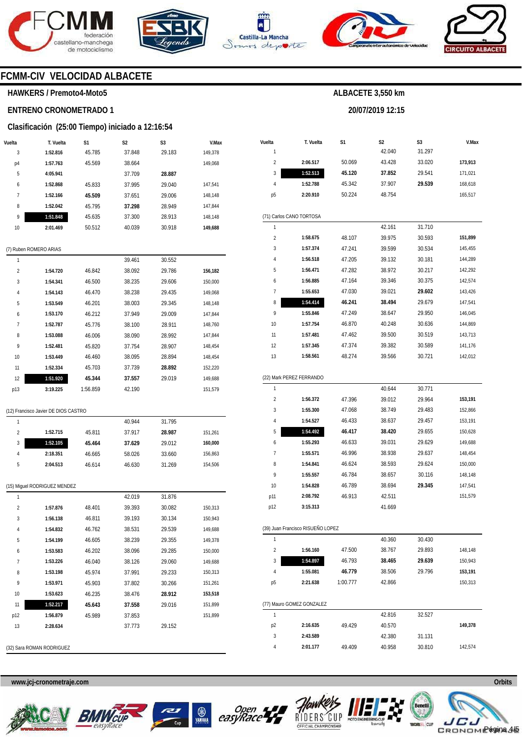





**Vuelta**  1 2 **T. Vuelta** 

**S1** 

50.069

**2:06.517** 



**S2**  42.040 43.428

**20/07/2019 12:15** 

**ALBACETE 3,550 km** 

**S3**  31.297 33.020



**V.Max** 

**173,913** 

### **FCMM-CIV VELOCIDAD ALBACETE**

#### **HAWKERS / Premoto4-Moto5**

# **ENTRENO CRONOMETRADO 1**

#### **Clasificación (25:00 Tiempo) iniciado a 12:16:54**

|                | <b>Crashfold (20.00 Tichipo) iniciado a T2.10.04</b> |        |                |                |         |
|----------------|------------------------------------------------------|--------|----------------|----------------|---------|
| Vuelta         | T. Vuelta                                            | S1     | S <sub>2</sub> | S <sub>3</sub> | V.Max   |
| 3              | 1:52.816                                             | 45.785 | 37.848         | 29.183         | 149,378 |
| p4             | 1:57.763                                             | 45.569 | 38.664         |                | 149,068 |
| 5              | 4:05.941                                             |        | 37.709         | 28.887         |         |
| 6              | 1:52.868                                             | 45.833 | 37.995         | 29.040         | 147,541 |
| $\overline{7}$ | 1:52.166                                             | 45.509 | 37.651         | 29.006         | 148,148 |
| 8              | 1:52.042                                             | 45.795 | 37.298         | 28.949         | 147,844 |
| 9              | 1:51.848                                             | 45.635 | 37.300         | 28.913         | 148,148 |
| 10             | 2:01.469                                             | 50.512 | 40.039         | 30.918         | 149,688 |
|                |                                                      |        |                |                |         |
|                | (7) Ruben ROMERO ARIAS                               |        |                |                |         |
| 1              |                                                      |        | 39.461         | 30.552         |         |
| $\overline{2}$ | 1:54.720                                             | 46.842 | 38.092         | 29.786         | 156,182 |
| 3              | 1:54.341                                             | 46.500 | 38.235         | 29.606         | 150,000 |
| 4              | 1:54.143                                             | 46.470 | 38.238         | 29.435         | 149,068 |
| 5              | 1:53.549                                             | 46.201 | 38.003         | 29.345         | 148,148 |
| 6              | 1:53.170                                             | 46.212 | 37.949         | 29.009         | 147,844 |

| C   | 1:53.549 | 40.ZUT   | 38.UU3 | 79.345 | 148.148 |
|-----|----------|----------|--------|--------|---------|
| 6   | 1:53.170 | 46.212   | 37.949 | 29.009 | 147,844 |
| 7   | 1:52.787 | 45.776   | 38.100 | 28.911 | 148.760 |
| 8   | 1:53.088 | 46.006   | 38.090 | 28.992 | 147,844 |
| 9   | 1:52.481 | 45.820   | 37.754 | 28.907 | 148.454 |
| 10  | 1:53.449 | 46.460   | 38.095 | 28.894 | 148,454 |
| 11  | 1:52.334 | 45.703   | 37.739 | 28.892 | 152.220 |
| 12  | 1:51.920 | 45.344   | 37.557 | 29.019 | 149,688 |
| p13 | 3:19.225 | 1:56.859 | 42.190 |        | 151.579 |

#### (12) Francisco Javier DE DIOS CASTRO

|   |          |        | 40.944 | 31.795 |         |
|---|----------|--------|--------|--------|---------|
| 2 | 1:52.715 | 45.811 | 37.917 | 28.987 | 151,261 |
| 3 | 1:52.105 | 45.464 | 37.629 | 29.012 | 160.000 |
| 4 | 2:18.351 | 46.665 | 58.026 | 33.660 | 156,863 |
| 5 | 2:04.513 | 46.614 | 46.630 | 31.269 | 154.506 |

|  | (15) Miguel RODRIGUEZ MENDEZ |  |
|--|------------------------------|--|
|  |                              |  |

| 1              |          |        | 42.019 | 31.876 |         |
|----------------|----------|--------|--------|--------|---------|
| $\overline{2}$ | 1:57.876 | 48.401 | 39.393 | 30.082 | 150,313 |
| 3              | 1:56.138 | 46.811 | 39.193 | 30.134 | 150,943 |
| 4              | 1:54.832 | 46.762 | 38.531 | 29.539 | 149,688 |
| 5              | 1:54.199 | 46.605 | 38.239 | 29.355 | 149,378 |
| 6              | 1:53.583 | 46.202 | 38.096 | 29.285 | 150,000 |
| 7              | 1:53.226 | 46.040 | 38.126 | 29.060 | 149,688 |
| 8              | 1:53.198 | 45.974 | 37.991 | 29.233 | 150,313 |
| 9              | 1:53.971 | 45.903 | 37.802 | 30.266 | 151,261 |
| 10             | 1:53.623 | 46.235 | 38.476 | 28.912 | 153,518 |
| 11             | 1:52.217 | 45.643 | 37.558 | 29.016 | 151,899 |
| p12            | 1:56.879 | 45.989 | 37.853 |        | 151,899 |
| 13             | 2:28.634 |        | 37.773 | 29.152 |         |
|                |          |        |        |        |         |
|                |          |        |        |        |         |

(32) Sara ROMAN RODRIGUEZ

#### 3 4 p5 (71) Carlos CANO TORTOSA 1  $\overline{2}$ 3 4 5 6 7 8 9 10 11 12 13 (22) Mark PEREZ FERRANDO 1  $\overline{2}$ 3 4 5 6 7 8 9 10 p11 p12 (39) Juan Francisco RISUEÑO LOPEZ 1 2 3 4 p5 (77) Mauro GOMEZ GONZALEZ 1 **1:52.513 1:52.788 2:20.910 1:58.675 1:57.374 1:56.518 1:56.471 1:56.885 1:55.653 1:54.414 1:55.846 1:57.754 1:57.481 1:57.345 1:58.561 1:56.372 1:55.300 1:54.527 1:54.492 1:55.293 1:55.571 1:54.841 1:55.557 1:54.828 2:08.792 3:15.313 1:56.160 1:54.897 1:55.081 2:21.638 45.120**  45.342 50.224 48.107 47.241 47.205 47.282 47.164 47.030 **46.241**  47.249 46.870 47.462 47.374 48.274 47.396 47.068 46.433 **46.417**  46.633 46.996 46.624 46.784 46.789 46.913 47.500 46.793 **46.779**  1:00.777 **37.852**  37.907 48.754 42.161 39.975 39.599 39.132 38.972 39.346 39.021 **38.494**  38.647 40.248 39.500 39.382 39.566 40.644 39.012 38.749 38.637 **38.420**  39.031 38.938 38.593 38.657 38.694 42.511 41.669 40.360 38.767 **38.465**  38.506 42.866 42.816 29.541 **29.539**  31.710 30.593 30.534 30.181 30.217 30.375 **29.602**  29.679 29.950 30.636 30.519 30.589 30.721 30.771 29.964 29.483 29.457 29.655 29.629 29.637 29.624 30.116 **29.345**  30.430 29.893 **29.639**  29.796 32.527 171,021 168,618 165,517 **151,899**  145,455 144,289 142,292 142,574 143,426 147,541 146,045 144,869 143,713 141,176 142,012 **153,191**  152,866 153,191 150,628 149,688 148,454 150,000 148,148 147,541 151,579 148,148 150,943 **153,191**  150,313

**www.jcj-cronometraje.com Orbits** 







p2 3 4



**2:16.635 2:43.589 2:01.177**  49.429

40.570 42.380 40.958

31.131 30.810

49.409



**149,378** 

142,574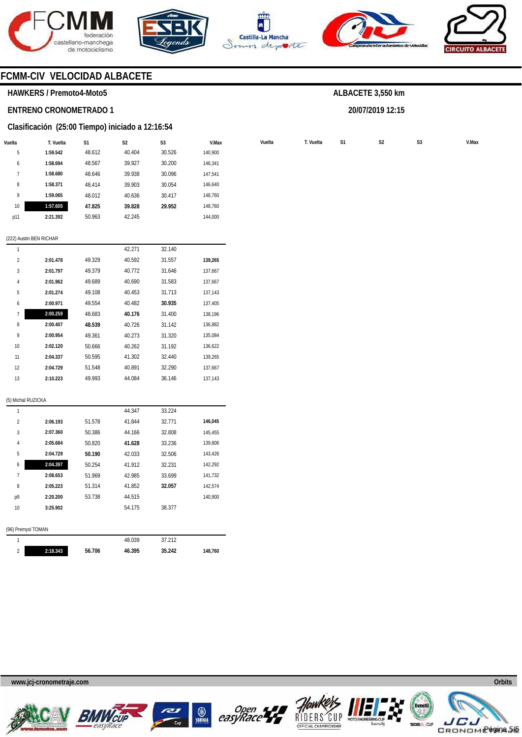







**20/07/2019 12:15** 



# **FCMM-CIV VELOCIDAD ALBACETE**

### **HAWKERS / Premoto4-Moto5**

# **ENTRENO CRONOMETRADO 1**

#### **Clasificación (25:00 Tiempo) iniciado a 12:16:54**

| Vuelta       | T. Vuelta | S1     | S <sub>2</sub> | S <sub>3</sub> | V.Max   | Vuelta | T. Vuelta | S1 | S <sub>2</sub> | S <sub>3</sub> | V.Max |
|--------------|-----------|--------|----------------|----------------|---------|--------|-----------|----|----------------|----------------|-------|
| C            | 1:59.542  | 48.612 | 40.404         | 30.526         | 140,900 |        |           |    |                |                |       |
| <sub>0</sub> | 1:58.694  | 48.567 | 39.927         | 30.200         | 146,341 |        |           |    |                |                |       |
|              | 1:58.680  | 48.646 | 39.938         | 30.096         | 147,541 |        |           |    |                |                |       |
| 8            | 1:58.371  | 48.414 | 39.903         | 30.054         | 146,640 |        |           |    |                |                |       |
| 9            | 1:59.065  | 48.012 | 40.636         | 30.417         | 148,760 |        |           |    |                |                |       |
| 10           | 1:57.605  | 47.825 | 39.828         | 29.952         | 148,760 |        |           |    |                |                |       |
| p11          | 2:21.392  | 50.963 | 42.245         |                | 144,000 |        |           |    |                |                |       |
|              |           |        |                |                |         |        |           |    |                |                |       |

#### (222) Austin BEN RICHAR

| 1              |          |        | 42.271 | 32.140 |         |
|----------------|----------|--------|--------|--------|---------|
| $\overline{2}$ | 2:01.478 | 49.329 | 40.592 | 31.557 | 139,265 |
| 3              | 2:01.797 | 49.379 | 40.772 | 31.646 | 137,667 |
| $\overline{4}$ | 2:01.962 | 49.689 | 40.690 | 31.583 | 137,667 |
| 5              | 2:01.274 | 49.108 | 40.453 | 31.713 | 137,143 |
| 6              | 2:00.971 | 49.554 | 40.482 | 30.935 | 137,405 |
| 7              | 2:00.259 | 48.683 | 40.176 | 31.400 | 138,196 |
| 8              | 2:00.407 | 48.539 | 40.726 | 31.142 | 136,882 |
| 9              | 2:00.954 | 49.361 | 40.273 | 31.320 | 135,084 |
| 10             | 2:02.120 | 50.666 | 40.262 | 31.192 | 136,622 |
| 11             | 2:04.337 | 50.595 | 41.302 | 32.440 | 139,265 |
| 12             | 2:04.729 | 51.548 | 40.891 | 32.290 | 137.667 |
| 13             | 2:10.223 | 49.993 | 44.084 | 36.146 | 137.143 |

#### (5) Michal RUZICKA

2

| 1                  |          |        | 44.347 | 33.224 |         |
|--------------------|----------|--------|--------|--------|---------|
| $\overline{2}$     | 2:06.193 | 51.578 | 41.844 | 32.771 | 146,045 |
| 3                  | 2:07.360 | 50.386 | 44.166 | 32.808 | 145,455 |
| 4                  | 2:05.684 | 50.820 | 41.628 | 33.236 | 139,806 |
| 5                  | 2:04.729 | 50.190 | 42.033 | 32.506 | 143,426 |
| 6                  | 2:04.397 | 50.254 | 41.912 | 32.231 | 142,292 |
| 7                  | 2:08.653 | 51.969 | 42.985 | 33.699 | 141,732 |
| 8                  | 2:05.223 | 51.314 | 41.852 | 32.057 | 142,574 |
| p9                 | 2:20.200 | 53.738 | 44.515 |        | 140,900 |
| 10                 | 3:25.902 |        | 54.175 | 38.377 |         |
|                    |          |        |        |        |         |
| (96) Premysl TOMAN |          |        |        |        |         |
| 1                  |          |        | 48.039 | 37.212 |         |

**46.395** 

**35.242** 

**148,760** 

**www.jcj-cronometraje.com Orbits** 

**2:18.343** 

**56.706** 











Página 5/5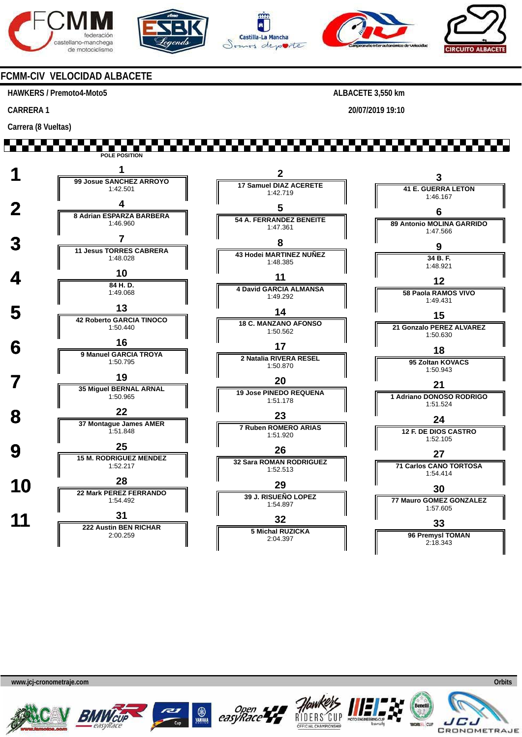







**20/07/2019 19:10** 



# **FCMM-CIV VELOCIDAD ALBACETE**

#### **HAWKERS / Premoto4-Moto5**

**CARRERA 1** 

**Carrera (8 Vueltas)** 

**. . . . . . . . . . . . POLE POSITION 1 <sup>1</sup> 99 Josue SANCHEZ ARROYO 2 3 17 Samuel DIAZ ACERETE 41 E. GUERRA LETON** 1:42.501 1:42.719 1:46.167  **2 <sup>4</sup> 8 Adrian ESPARZA BARBERA 5 6 54 A. FERRANDEZ BENEITE** 1:46.960 **89 Antonio MOLINA GARRIDO** 1:47.361 1:47.566 **3 1 11 Jesus TORRES CABRERA 8 9 43 Hodei MARTINEZ NUÑEZ** 1:48.028 **34 B. F.** 1:48.385 1:48.921  $\frac{10}{\frac{34 \text{ H}}{}}$ **11 12 84 H. D. 4 David GARCIA ALMANSA** 1:49.068 **58 Paola RAMOS VIVO** 1:49.292 1:49.431 **5 13**<br> **13 12 Roberto GARCIA TINOCO 14 15 18 C. MANZANO AFONSO** 1:50.440 **21 Gonzalo PEREZ ALVAREZ** 1:50.562 1:50.630  **6 <sup>16</sup> 9 Manuel GARCIA TROYA 17 18 2 Natalia RIVERA RESEL 95 Zoltan KOVACS** 1:50.795 1:50.870 1:50.943  **7 <sup>19</sup> 35 Miguel BERNAL ARNAL 20 21 19 Jose PINEDO REQUENA 1 Adriano DONOSO RODRIGO** 1:50.965 1:51.178 1:51.524  **8 <sup>22</sup> 37 Montague James AMER 23 24 7 Ruben ROMERO ARIAS 12 F. DE DIOS CASTRO** 1:51.848 1:51.920 1:52.105 **9 15 M. RODRIGUEZ MENDEZ 26 27 32 Sara ROMAN RODRIGUEZ 71 Carlos CANO TORTOSA** 1:52.217 1:52.513 1:54.414 **10 28 28 22 Mark PEREZ FERRANDO 29 30 39 J. RISUEÑO LOPEZ 77 Mauro GOMEZ GONZALEZ** 1:54.492 1:54.897 1:57.605 **11 1 222 Austin BEN RICHAR 32 33 5 Michal RUZICKA 96 Premysl TOMAN** 2:00.259 2:04.397 2:18.343











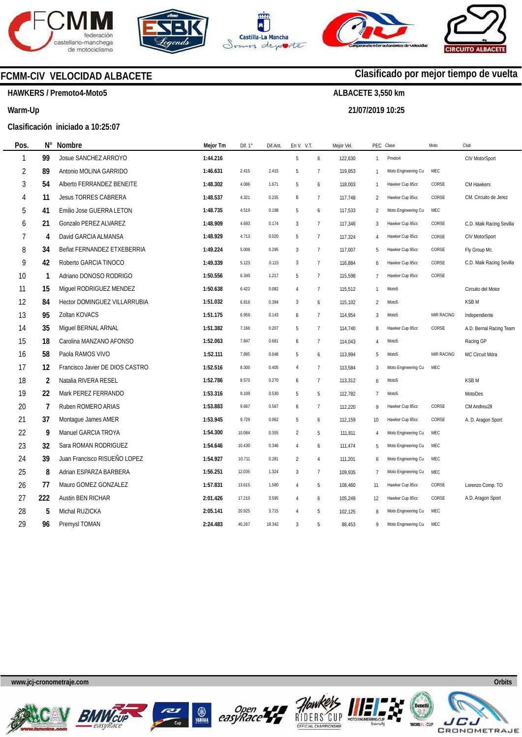







**21/07/2019 10:25** 



# **Clasificado por mejor tiempo de vuelta**

**HAWKERS / Premoto4-Moto5** 

**FCMM-CIV VELOCIDAD ALBACETE** 

#### **Warm-Up**

**Pos.** 

### **Clasificación iniciado a 10:25:07**

| Pos.           | N°             | <b>Nombre</b>                   | Mejor Tm | Dif. 1° | Dif.Ant. | En V. V.T.     |                 | Mejor Vel. |                | PEC Clase           | Moto              | Club                     |
|----------------|----------------|---------------------------------|----------|---------|----------|----------------|-----------------|------------|----------------|---------------------|-------------------|--------------------------|
| $\mathbf{1}$   | 99             | Josue SANCHEZ ARROYO            | 1:44.216 |         |          | 5              | 6               | 122,630    | $\mathbf{1}$   | Pmoto4              |                   | CIV MotorSport           |
| $\overline{2}$ | 89             | Antonio MOLINA GARRIDO          | 1:46.631 | 2.415   | 2.415    | 5              | $\overline{7}$  | 119,853    | $\mathbf{1}$   | Moto Engineering Cu | MEC               |                          |
| 3              | 54             | Alberto FERRANDEZ BENEITE       | 1:48.302 | 4.086   | 1.671    | 5              | 6               | 118,003    | 1              | Hawker Cup 85cc     | CORSE             | CM Hawkers               |
| 4              | 11             | <b>Jesus TORRES CABRERA</b>     | 1:48.537 | 4.321   | 0.235    | 6              | $\overline{1}$  | 117,748    | $\overline{2}$ | Hawker Cup 85cc     | CORSE             | CM. Circuito de Jerez    |
| 5              | 41             | Emilio Jose GUERRA LETON        | 1:48.735 | 4.519   | 0.198    | 5              | 6               | 117,533    | $\overline{2}$ | Moto Engineering Cu | MEC               |                          |
| 6              | 21             | Gonzalo PEREZ ALVAREZ           | 1:48.909 | 4.693   | 0.174    | $\sqrt{3}$     | $\overline{7}$  | 117,346    | 3              | Hawker Cup 85cc     | CORSE             | C.D. Maik Racing Sevilla |
| $\overline{7}$ | 4              | David GARCIA ALMANSA            | 1:48.929 | 4.713   | 0.020    | 5              | $\overline{7}$  | 117,324    | 4              | Hawker Cup 85cc     | CORSE             | CIV MotorSport           |
| 8              | 34             | Beñat FERNANDEZ ETXEBERRIA      | 1:49.224 | 5.008   | 0.295    | 3              | $\overline{1}$  | 117,007    | 5              | Hawker Cup 85cc     | CORSE             | Fly Group Mc.            |
| 9              | 42             | Roberto GARCIA TINOCO           | 1:49.339 | 5.123   | 0.115    | 3              | $7\phantom{.0}$ | 116,884    | 6              | Hawker Cup 85cc     | CORSE             | C.D. Maik Racing Sevilla |
| 10             | 1              | Adriano DONOSO RODRIGO          | 1:50.556 | 6.340   | 1.217    | 5              | $\overline{7}$  | 115,598    | $\overline{7}$ | Hawker Cup 85cc     | CORSE             |                          |
| 11             | 15             | Miguel RODRIGUEZ MENDEZ         | 1:50.638 | 6.422   | 0.082    | 4              | $\overline{1}$  | 115,512    | 1              | Moto <sub>5</sub>   |                   | Circuito del Motor       |
| 12             | 84             | Hector DOMINGUEZ VILLARRUBIA    | 1:51.032 | 6.816   | 0.394    | 3              | 6               | 115,102    | $\overline{c}$ | Moto <sub>5</sub>   |                   | <b>KSBM</b>              |
| 13             | 95             | Zoltan KOVACS                   | 1:51.175 | 6.959   | 0.143    | 6              | $\overline{7}$  | 114,954    | 3              | Moto <sub>5</sub>   | <b>MIR RACING</b> | Independiente            |
| 14             | 35             | Miquel BERNAL ARNAL             | 1:51.382 | 7.166   | 0.207    | 5              | $\overline{7}$  | 114,740    | 8              | Hawker Cup 85cc     | CORSE             | A.D. Bernal Racing Team  |
| 15             | 18             | Carolina MANZANO AFONSO         | 1:52.063 | 7.847   | 0.681    | 6              | $\overline{1}$  | 114,043    | 4              | Moto <sub>5</sub>   |                   | Racing GP                |
| 16             | 58             | Paola RAMOS VIVO                | 1:52.111 | 7.895   | 0.048    | 5              | 6               | 113,994    | 5              | Moto <sub>5</sub>   | MIR RACING        | MC Circuit Móra          |
| 17             | 12             | Francisco Javier DE DIOS CASTRO | 1:52.516 | 8.300   | 0.405    | $\overline{4}$ | $\overline{7}$  | 113,584    | 3              | Moto Engineering Cu | MEC               |                          |
| 18             | $\overline{2}$ | Natalia RIVERA RESEL            | 1:52.786 | 8.570   | 0.270    | 6              | $\overline{1}$  | 113,312    | 6              | Moto <sub>5</sub>   |                   | <b>KSBM</b>              |
| 19             | 22             | Mark PEREZ FERRANDO             | 1:53.316 | 9.100   | 0.530    | 5              | 5               | 112,782    | 7              | Moto <sub>5</sub>   |                   | MotoDes                  |
| 20             | $\overline{7}$ | Ruben ROMERO ARIAS              | 1:53.883 | 9.667   | 0.567    | 6              | $\overline{7}$  | 112,220    | 9              | Hawker Cup 85cc     | CORSE             | CM Andreu28              |
| 21             | 37             | Montague James AMER             | 1:53.945 | 9.729   | 0.062    | 5              | 6               | 112,159    | 10             | Hawker Cup 85cc     | CORSE             | A. D. Aragon Sport       |
| 22             | 9              | Manuel GARCIA TROYA             | 1:54.300 | 10.084  | 0.355    | $\overline{2}$ | 5               | 111,811    | 4              | Moto Engineering Cu | MEC               |                          |
| 23             | 32             | Sara ROMAN RODRIGUEZ            | 1:54.646 | 10.430  | 0.346    | $\overline{4}$ | 6               | 111,474    | 5              | Moto Engineering Cu | MEC               |                          |
| 24             | 39             | Juan Francisco RISUEÑO LOPEZ    | 1:54.927 | 10.711  | 0.281    | $\overline{2}$ | $\overline{4}$  | 111,201    | 6              | Moto Engineering Cu | MEC               |                          |
| 25             | 8              | Adrian ESPARZA BARBERA          | 1:56.251 | 12.035  | 1.324    | 3              | $\overline{1}$  | 109,935    | $\overline{7}$ | Moto Engineering Cu | MEC               |                          |
| 26             | 77             | Mauro GOMEZ GONZALEZ            | 1:57.831 | 13.615  | 1.580    | 4              | 5               | 108,460    | 11             | Hawker Cup 85cc     | CORSE             | Lorenzo Comp. TO         |
| 27             | 222            | Austin BEN RICHAR               | 2:01.426 | 17.210  | 3.595    | $\overline{4}$ | 6               | 105,249    | 12             | Hawker Cup 85cc     | CORSE             | A.D. Aragon Sport        |
| 28             | 5              | Michal RUZICKA                  | 2:05.141 | 20.925  | 3.715    | $\overline{4}$ | 5               | 102,125    | 8              | Moto Engineering Cu | MEC               |                          |
| 29             | 96             | Premysl TOMAN                   | 2:24.483 | 40.267  | 19.342   | 3              | 5               | 88,453     | 9              | Moto Engineering Cu | MEC               |                          |
|                |                |                                 |          |         |          |                |                 |            |                |                     |                   |                          |











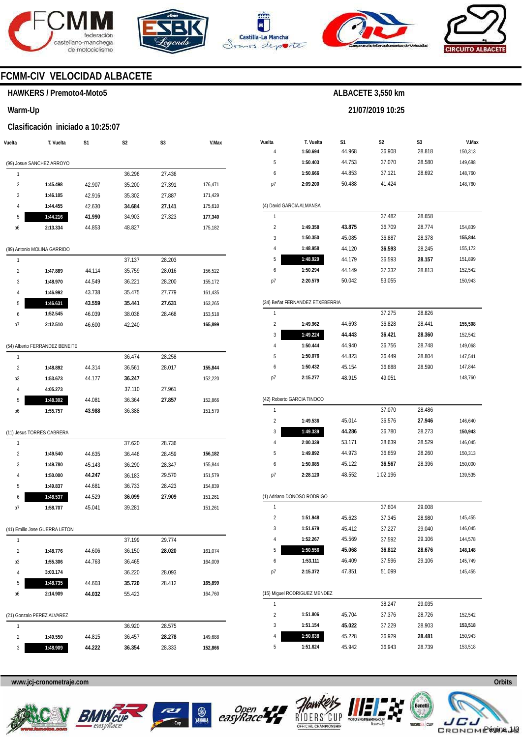







**21/07/2019 10:25** 



# **FCMM-CIV VELOCIDAD ALBACETE**

#### **HAWKERS / Premoto4-Moto5**

**Warm-Up** 

#### **Clasificación iniciado a 10:25:07**

| Vuelta                  | T. Vuelta                      | S1               | S2               | S3     | V.Max              |
|-------------------------|--------------------------------|------------------|------------------|--------|--------------------|
|                         |                                |                  |                  |        |                    |
|                         | (99) Josue SANCHEZ ARROYO      |                  |                  |        |                    |
| 1                       |                                |                  | 36.296           | 27.436 |                    |
| 2                       | 1:45.498                       | 42.907           | 35.200           | 27.391 | 176,471            |
| 3                       | 1:46.105                       | 42.916           | 35.302           | 27.887 | 171,429            |
| 4<br>5                  | 1:44.455                       | 42.630           | 34.684           | 27.141 | 175,610            |
| p6                      | 1:44.216<br>2:13.334           | 41.990<br>44.853 | 34.903<br>48.827 | 27.323 | 177,340<br>175,182 |
|                         |                                |                  |                  |        |                    |
|                         | (89) Antonio MOLINA GARRIDO    |                  |                  |        |                    |
| 1                       |                                |                  | 37.137           | 28.203 |                    |
| $\overline{2}$          | 1:47.889                       | 44.114           | 35.759           | 28.016 | 156,522            |
| 3                       | 1:48.970                       | 44.549           | 36.221           | 28.200 | 155,172            |
| 4                       | 1:46.992                       | 43.738           | 35.475           | 27.779 | 161,435            |
| 5                       | 1:46.631                       | 43.559           | 35.441           | 27.631 | 163,265            |
| 6                       | 1:52.545                       | 46.039           | 38.038           | 28.468 | 153,518            |
| p7                      | 2:12.510                       | 46.600           | 42.240           |        | 165,899            |
|                         |                                |                  |                  |        |                    |
|                         | (54) Alberto FERRANDEZ BENEITE |                  |                  |        |                    |
| 1                       |                                |                  | 36.474           | 28.258 |                    |
| 2                       | 1:48.892                       | 44.314           | 36.561           | 28.017 | 155,844            |
| p3                      | 1:53.673                       | 44.177           | 36.247           |        | 152,220            |
| 4                       | 4:05.273                       |                  | 37.110           | 27.961 |                    |
| 5                       | 1:48.302                       | 44.081           | 36.364           | 27.857 | 152,866            |
| p6                      | 1:55.757                       | 43.988           | 36.388           |        | 151,579            |
|                         |                                |                  |                  |        |                    |
| 1                       | (11) Jesus TORRES CABRERA      |                  | 37.620           | 28.736 |                    |
| 2                       | 1:49.540                       | 44.635           | 36.446           | 28.459 | 156,182            |
| 3                       | 1:49.780                       | 45.143           | 36.290           | 28.347 | 155,844            |
| 4                       | 1:50.000                       | 44.247           | 36.183           | 29.570 | 151,579            |
| 5                       | 1:49.837                       | 44.681           | 36.733           | 28.423 | 154,839            |
| 6                       | 1:48.537                       | 44.529           | 36.099           | 27.909 | 151,261            |
| p7                      | 1:58.707                       | 45.041           | 39.281           |        | 151,261            |
|                         |                                |                  |                  |        |                    |
|                         | (41) Emilio Jose GUERRA LETON  |                  |                  |        |                    |
| 1                       |                                |                  | 37.199           | 29.774 |                    |
| $\overline{\mathbf{c}}$ | 1:48.776                       | 44.606           | 36.150           | 28.020 | 161,074            |
| p3                      | 1:55.306                       | 44.763           | 36.465           |        | 164,009            |
| 4                       | 3:03.174                       |                  | 36.220           | 28.093 |                    |
| 5                       | 1:48.735                       | 44.603           | 35.720           | 28.412 | 165,899            |
| p6                      | 2:14.909                       | 44.032           | 55.423           |        | 164,760            |
|                         |                                |                  |                  |        |                    |
|                         | (21) Gonzalo PEREZ ALVAREZ     |                  |                  |        |                    |
| 1                       |                                |                  | 36.920           | 28.575 |                    |
| $\overline{\mathbf{c}}$ | 1:49.550                       | 44.815           | 36.457           | 28.278 | 149,688            |
| 3                       | 1:48.909                       | 44.222           | 36.354           | 28.333 | 152,866            |

| Vuelta         |                                 | S1     | S2       | S3     | V.Max   |
|----------------|---------------------------------|--------|----------|--------|---------|
| 4              | T. Vuelta<br>1:50.694           | 44.968 | 36.908   | 28.818 | 150,313 |
| 5              | 1:50.403                        | 44.753 | 37.070   | 28.580 | 149,688 |
| 6              | 1:50.666                        | 44.853 | 37.121   | 28.692 | 148,760 |
| p7             | 2:09.200                        | 50.488 | 41.424   |        | 148,760 |
|                |                                 |        |          |        |         |
|                | (4) David GARCIA ALMANSA        |        |          |        |         |
| 1              |                                 |        | 37.482   | 28.658 |         |
| $\overline{2}$ | 1:49.358                        | 43.875 | 36.709   | 28.774 | 154,839 |
| 3              | 1:50.350                        | 45.085 | 36.887   | 28.378 | 155.844 |
| 4              | 1:48.958                        | 44.120 | 36.593   | 28.245 | 155,172 |
| 5              | 1:48.929                        | 44.179 | 36.593   | 28.157 | 151,899 |
| 6              | 1:50.294                        | 44.149 | 37.332   | 28.813 | 152,542 |
| p7             | 2:20.579                        | 50.042 | 53.055   |        | 150,943 |
|                | (34) Beñat FERNANDEZ ETXEBERRIA |        |          |        |         |
| 1              |                                 |        | 37.275   | 28.826 |         |
| $\overline{2}$ | 1:49.962                        | 44.693 | 36.828   | 28.441 | 155,508 |
| 3              | 1:49.224                        | 44.443 | 36.421   | 28.360 | 152,542 |
| 4              | 1:50.444                        | 44.940 | 36.756   | 28.748 | 149,068 |
| 5              | 1:50.076                        | 44.823 | 36.449   | 28.804 | 147,541 |
| 6              | 1:50.432                        | 45.154 | 36.688   | 28.590 | 147,844 |
| p7             | 2:15.277                        | 48.915 | 49.051   |        | 148,760 |
|                |                                 |        |          |        |         |
|                | (42) Roberto GARCIA TINOCO      |        |          |        |         |
| 1              |                                 |        | 37.070   | 28.486 |         |
| $\overline{2}$ | 1:49.536                        | 45.014 | 36.576   | 27.946 | 146,640 |
| 3              | 1:49.339                        | 44.286 | 36.780   | 28.273 | 150,943 |
| 4              | 2:00.339                        | 53.171 | 38.639   | 28.529 | 146,045 |
| 5              | 1:49.892                        | 44.973 | 36.659   | 28.260 | 150,313 |
| 6              | 1:50.085                        | 45.122 | 36.567   | 28.396 | 150,000 |
| p7             | 2:28.120                        | 48.552 | 1:02.196 |        | 139,535 |
|                | (1) Adriano DONOSO RODRIGO      |        |          |        |         |
| 1              |                                 |        | 37.604   | 29.008 |         |
| $\overline{2}$ | 1:51.948                        | 45.623 | 37.345   | 28.980 | 145,455 |
| 3              | 1:51.679                        | 45.412 | 37.227   | 29.040 | 146,045 |
| 4              | 1:52.267                        | 45.569 | 37.592   | 29.106 | 144,578 |
| 5              | 1:50.556                        | 45.068 | 36.812   | 28.676 | 148,148 |
| 6              | 1:53.111                        | 46.409 | 37.596   | 29.106 | 145,749 |
| p7             | 2:15.372                        | 47.851 | 51.099   |        | 145,455 |
|                |                                 |        |          |        |         |
|                | (15) Miguel RODRIGUEZ MENDEZ    |        |          |        |         |
| 1              |                                 |        | 38.247   | 29.035 |         |
| 2              | 1:51.806                        | 45.704 | 37.376   | 28.726 | 152,542 |
| 3              | 1:51.154                        | 45.022 | 37.229   | 28.903 | 153,518 |
| 4              | 1:50.638                        | 45.228 | 36.929   | 28.481 | 150,943 |
| 5              | 1:51.624                        | 45.942 | 36.943   | 28.739 | 153,518 |









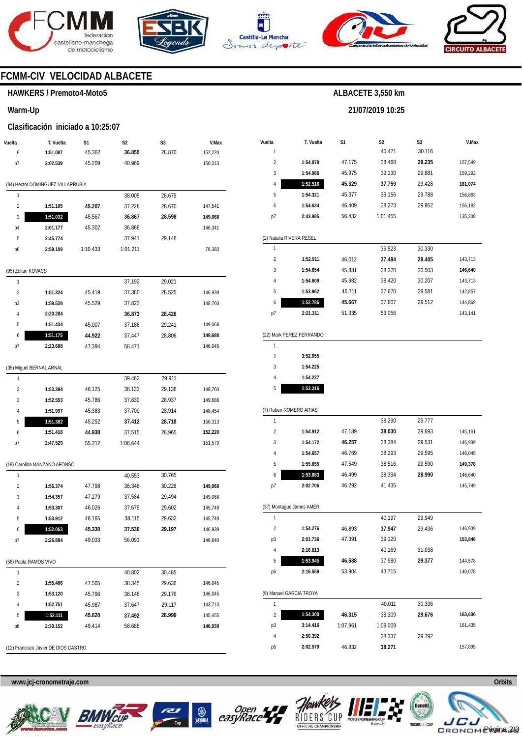





**Vuelta**  1 **T. Vuelta** 

**S1** 



**S2**  40.471

**ALBACETE 3,550 km** 

**21/07/2019 10:25** 

**S3**  30.116



**V.Max** 

# **FCMM-CIV VELOCIDAD ALBACETE**

### **HAWKERS / Premoto4-Moto5**

#### **Warm-Up**

#### **Clasificación iniciado a 10:25:07**

| Vuelta                  | T. Vuelta                         | S1       | S <sub>2</sub> | S3     | V.Max   |
|-------------------------|-----------------------------------|----------|----------------|--------|---------|
| 6                       | 1:51.087                          | 45.362   | 36.855         | 28.870 | 152,220 |
| p7                      | 2:02.539                          | 45.209   | 40.969         |        | 150,313 |
|                         |                                   |          |                |        |         |
|                         | (84) Hector DOMINGUEZ VILLARRUBIA |          |                |        |         |
| 1                       |                                   |          | 38.005         | 28.675 |         |
| 2                       | 1:51.105                          | 45.207   | 37.228         | 28.670 | 147,541 |
| 3                       | 1:51.032                          | 45.567   | 36.867         | 28.598 | 149,068 |
| p4                      | 2:01.177                          | 45.302   | 36.868         |        | 146,341 |
| 5                       | 2:45.774                          |          | 37.941         | 29.148 |         |
| p6                      | 2:59.109                          | 1:10.433 | 1:01.211       |        | 79,383  |
| (95) Zoltan KOVACS      |                                   |          |                |        |         |
| 1                       |                                   |          | 37.192         | 29.021 |         |
| 2                       | 1:51.324                          | 45.419   | 37.380         | 28.525 | 146,939 |
| p3                      | 1:59.528                          | 45.529   | 37.823         |        | 148,760 |
| 4                       | 2:20.284                          |          | 36.873         | 28.426 |         |
| 5                       | 1:51.434                          | 45.007   | 37.186         | 29.241 | 149,068 |
| 6                       | 1:51.175                          | 44.922   | 37.447         | 28.806 | 149,688 |
| p7                      | 2:23.688                          | 47.394   | 58.471         |        | 146,045 |
|                         |                                   |          |                |        |         |
|                         | (35) Miguel BERNAL ARNAL          |          |                |        |         |
| 1                       |                                   |          | 39.462         | 29.911 |         |
| $\overline{2}$          | 1:53.394                          | 46.125   | 38.133         | 29.136 | 148,760 |
| 3                       | 1:52.553                          | 45.786   | 37.830         | 28.937 | 149,688 |
| 4                       | 1:51.997                          | 45.383   | 37.700         | 28.914 | 148,454 |
| 5                       | 1:51.382                          | 45.252   | 37.412         | 28.718 | 150,313 |
| 6                       | 1:51.418                          | 44.938   | 37.515         | 28.965 | 152,220 |
| p7                      | 2:47.529                          | 55.212   | 1:06.644       |        | 151,579 |
|                         | (18) Carolina MANZANO AFONSO      |          |                |        |         |
| 1                       |                                   |          | 40.553         | 30.765 |         |
| $\overline{\mathbf{c}}$ | 1:56.374                          | 47.798   | 38.348         | 30.228 | 149,068 |
| 3                       | 1:54.357                          | 47.279   | 37.584         | 29.494 | 149,068 |
| 4                       | 1:53.307                          | 46.026   | 37.679         | 29.602 | 145,749 |
| 5                       | 1:53.912                          | 46.165   | 38.115         | 29.632 | 145,749 |
| O                       | 1:52.063                          | 45.330   | 37.536         | 29.197 | 146,939 |
| p7                      | 2:26.884                          | 49.033   | 56.093         |        | 146,640 |
|                         |                                   |          |                |        |         |
| (58) Paola RAMOS VIVO   |                                   |          |                |        |         |
| 1                       |                                   |          | 40.802         | 30.485 |         |
| 2                       | 1:55.486                          | 47.505   | 38.345         | 29.636 | 146,045 |
| 3                       | 1:53.120                          | 45.796   | 38.148         | 29.176 | 146,045 |
| 4                       | 1:52.751                          | 45.987   | 37.647         | 29.117 | 143,713 |
| 5                       | 1:52.111                          | 45.620   | 37.492         | 28.999 | 145,455 |
| р6                      | 2:30.152                          | 49.414   | 58.688         |        | 146,939 |
|                         |                                   |          |                |        |         |

| 2              | 1:54.878                 | 47.175 | 38.468   | 29.235 | 157,549 |
|----------------|--------------------------|--------|----------|--------|---------|
| 3              | 1:54.986                 | 45.975 | 39.130   | 29.881 | 159,292 |
| 4              | 1:52.516                 | 45.329 | 37.759   | 29.428 | 161,074 |
| 5              | 1:54.321                 | 45.377 | 39.156   | 29.788 | 156,863 |
| 6              | 1:54.634                 | 46.409 | 38.273   | 29.952 | 156,182 |
| p7             | 2:43.985                 | 56.432 | 1:01.455 |        | 135,338 |
|                |                          |        |          |        |         |
|                | (2) Natalia RIVERA RESEL |        |          |        |         |
| 1              |                          |        | 39.523   | 30.330 |         |
| $\overline{2}$ | 1:52.911                 | 46.012 | 37.494   | 29.405 | 143,713 |
| 3              | 1:54.654                 | 45.831 | 38.320   | 30.503 | 146,640 |
| 4              | 1:54.609                 | 45.982 | 38.420   | 30.207 | 143,713 |
| 5              | 1:53.962                 | 46.711 | 37.670   | 29.581 | 142,857 |
| 6              | 1:52.786                 | 45.667 | 37.607   | 29.512 | 144,869 |
| p7             | 2:21.311                 | 51.335 | 53.056   |        | 143,141 |
|                |                          |        |          |        |         |
|                | (22) Mark PEREZ FERRANDO |        |          |        |         |
| 1              |                          |        |          |        |         |
| $\overline{2}$ | 3:52.055                 |        |          |        |         |
| 3              | 1:54.225                 |        |          |        |         |
| 4              | 1:54.227                 |        |          |        |         |
| 5              | 1:53.316                 |        |          |        |         |
|                |                          |        |          |        |         |
|                | (7) Ruben ROMERO ARIAS   |        |          |        |         |
| 1              |                          |        | 38.290   | 29.777 |         |
| $\overline{2}$ | 1:54.912                 | 47.189 | 38.030   | 29.693 | 145,161 |
| 3              | 1:54.172                 | 46.257 | 38.384   | 29.531 | 146,939 |
| 4              | 1:54.657                 | 46.769 | 38.293   | 29.595 | 146,045 |
| 5              | 1:55.655                 | 47.549 | 38.516   | 29.590 | 149,378 |
| 6              | 1:53.883                 | 46.499 | 38.394   | 28.990 | 146,640 |
| p7             | 2:02.706                 | 46.292 | 41.435   |        | 145,749 |
|                |                          |        |          |        |         |
| 1              | (37) Montague James AMER |        | 40.197   | 29.949 |         |
| $\overline{a}$ | 1:54.276                 | 46.893 | 37.947   | 29.436 | 146,939 |
| p3             | 2:01.736                 | 47.391 | 39.120   |        | 153,846 |
| 4              | 2:16.813                 |        | 40.169   | 31.038 |         |
| 5              | 1:53.945                 | 46.588 | 37.980   | 29.377 | 144,578 |
| p6             | 2:16.559                 | 53.904 | 43.715   |        | 140,078 |
|                |                          |        |          |        |         |
|                |                          |        |          |        |         |

|    | (9) Manuel GARCIA TROYA |          |          |        |         |  |  |  |
|----|-------------------------|----------|----------|--------|---------|--|--|--|
|    |                         |          | 40.011   | 30.336 |         |  |  |  |
| 2  | 1:54.300                | 46.315   | 38.309   | 29.676 | 163.636 |  |  |  |
| p3 | 3:14.416                | 1:07.961 | 1:09.009 |        | 161.435 |  |  |  |
| 4  | 2:50.392                |          | 38.337   | 29.792 |         |  |  |  |
| p5 | 2:02.579                | 46.832   | 38.271   |        | 157.895 |  |  |  |

(12) Francisco Javier DE DIOS CASTRO









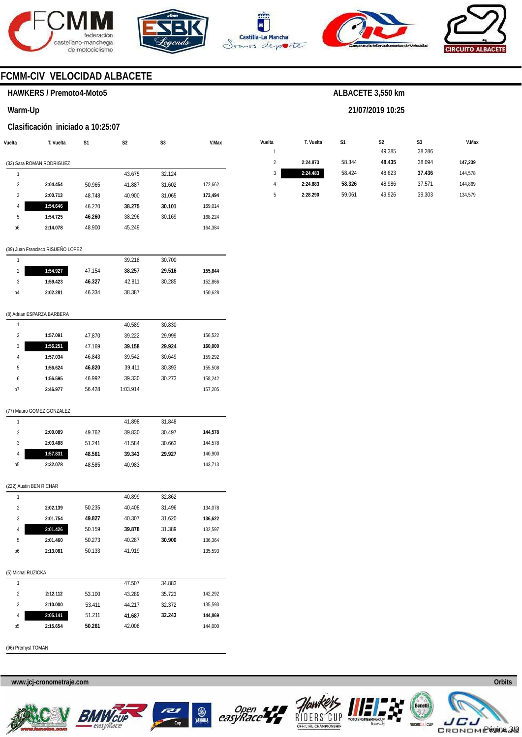





**Vuelta** 

**T. Vuelta** 

**S1** 





**V.Max** 

# **FCMM-CIV VELOCIDAD ALBACETE**

### **HAWKERS / Premoto4-Moto5**

**Warm-Up** 

#### **Clasificación iniciado a 10:25:07**

| Vuelta         | T. Vuelta                 | S1     | S <sub>2</sub> | S <sub>3</sub> | V.Max   |
|----------------|---------------------------|--------|----------------|----------------|---------|
|                |                           |        |                |                |         |
|                | (32) Sara ROMAN RODRIGUEZ |        |                |                |         |
| 1              |                           |        | 43.675         | 32.124         |         |
| $\mathfrak{p}$ | 2:04.454                  | 50.965 | 41.887         | 31.602         | 172,662 |
| 3              | 2:00.713                  | 48.748 | 40.900         | 31.065         | 173.494 |
| $\overline{4}$ | 1:54.646                  | 46.270 | 38.275         | 30.101         | 169.014 |
| 5              | 1:54.725                  | 46.260 | 38.296         | 30.169         | 168.224 |
| p6             | 2:14.078                  | 48.900 | 45.249         |                | 164.384 |
|                |                           |        |                |                |         |

|   |          |        | 49.385 | 38.286 |         |
|---|----------|--------|--------|--------|---------|
| 2 | 2:24.873 | 58.344 | 48.435 | 38.094 | 147,239 |
| 3 | 2:24.483 | 58.424 | 48.623 | 37.436 | 144.578 |
| 4 | 2:24.883 | 58.326 | 48.986 | 37.571 | 144.869 |
| 5 | 2:28.290 | 59.061 | 49.926 | 39.303 | 134,579 |
|   |          |        |        |        |         |

**ALBACETE 3,550 km** 

**21/07/2019 10:25** 

**S2** 

**S3** 

#### (39) Juan Francisco RISUEÑO LOPEZ

|    |          |        | 39.218 | 30.700 |         |
|----|----------|--------|--------|--------|---------|
| 2  | 1:54.927 | 47.154 | 38.257 | 29.516 | 155,844 |
| 3  | 1:59.423 | 46.327 | 42.811 | 30.285 | 152,866 |
| p4 | 2:02.281 | 46.334 | 38.387 |        | 150,628 |
|    |          |        |        |        |         |

#### (8) Adrian ESPARZA BARBERA

|    |          |        | 40.589   | 30.830 |         |
|----|----------|--------|----------|--------|---------|
| 2  | 1:57.091 | 47.870 | 39.222   | 29.999 | 156,522 |
| 3  | 1:56.251 | 47.169 | 39.158   | 29.924 | 160,000 |
| 4  | 1:57.034 | 46.843 | 39.542   | 30.649 | 159.292 |
| 5  | 1:56.624 | 46.820 | 39.411   | 30.393 | 155.508 |
| 6  | 1:56.595 | 46.992 | 39.330   | 30.273 | 158,242 |
| p7 | 2:46.977 | 56.428 | 1:03.914 |        | 157.205 |

#### (77) Mauro GOMEZ GONZALEZ

|                |          |        | 41.898 | 31.848 |         |
|----------------|----------|--------|--------|--------|---------|
| 2              | 2:00.089 | 49.762 | 39.830 | 30.497 | 144.578 |
| 3              | 2:03.488 | 51.241 | 41.584 | 30.663 | 144.578 |
| 4              | 1:57.831 | 48.561 | 39.343 | 29.927 | 140.900 |
| p <sub>5</sub> | 2:32.078 | 48.585 | 40.983 |        | 143.713 |

#### (222) Austin BEN RICHAR

| 1                  |          |        | 40.899 | 32.862 |         |
|--------------------|----------|--------|--------|--------|---------|
| $\overline{2}$     | 2:02.139 | 50.235 | 40.408 | 31.496 | 134,078 |
| 3                  | 2:01.754 | 49.827 | 40.307 | 31.620 | 136,622 |
| 4                  | 2:01.426 | 50.159 | 39.878 | 31.389 | 132,597 |
| 5                  | 2:01.460 | 50.273 | 40.287 | 30.900 | 136,364 |
| p6                 | 2:13.081 | 50.133 | 41.919 |        | 135,593 |
|                    |          |        |        |        |         |
| (5) Michal RUZICKA |          |        |        |        |         |
| 1                  |          |        | 47.507 | 34.883 |         |
| $\overline{2}$     | 2:12.112 | 53.100 | 43.289 | 35.723 | 142,292 |
| 3                  | 2:10.000 | 53.411 | 44.217 | 32.372 | 135,593 |
| 4                  | 2:05.141 | 51.211 | 41.687 | 32.243 | 144,869 |
| p <sub>5</sub>     | 2:15.654 | 50.261 | 42.008 |        | 144,000 |
|                    |          |        |        |        |         |

(96) Premysl TOMAN









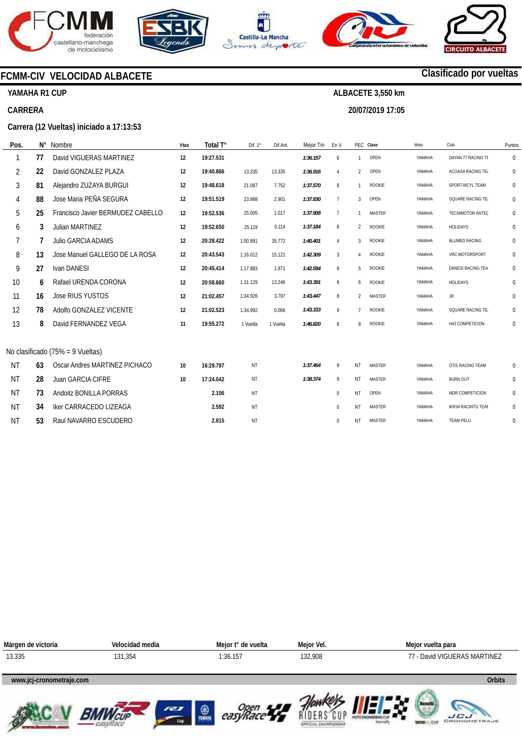







**20/07/2019 17:05** 



# **Clasificado por vueltas**

# **YAMAHA R1 CUP**

#### **CARRERA**

#### **Carrera (12 Vueltas) iniciado a 17:13:53**

**FCMM-CIV VELOCIDAD ALBACETE** 

| Pos.      | N° | Nombre                            | Vtas | Total T°  | Dif. 1º   | Dif.Ant. | Mejor Tm | En V.           |                | PEC Clase     | Moto   | Club                      | Puntos       |
|-----------|----|-----------------------------------|------|-----------|-----------|----------|----------|-----------------|----------------|---------------|--------|---------------------------|--------------|
| 1         | 77 | David VIGUERAS MARTINEZ           | 12   | 19:27.531 |           |          | 1:36.157 | 6               | 1              | OPEN          | YAMAHA | DAYAN 77 RACING TE        | $\mathbf 0$  |
| 2         | 22 | David GONZALEZ PLAZA              | 12   | 19:40.866 | 13.335    | 13.335   | 1:36.916 | $\overline{4}$  | $\mathfrak{p}$ | OPEN          | YAMAHA | ACOASA RACING TE/         | 0            |
| 3         | 81 | Alejandro ZUZAYA BURGUI           | 12   | 19:48.618 | 21.087    | 7.752    | 1:37.570 | 8               |                | <b>ROOKIE</b> | YAMAHA | SPORT-MCYL TEAM           | 0            |
| 4         | 88 | Jose Maria PEÑA SEGURA            | 12   | 19:51.519 | 23.988    | 2.901    | 1:37.830 | $7\overline{ }$ | 3              | OPEN          | YAMAHA | SQUARE RACING TE.         | 0            |
| 5         | 25 | Francisco Javier BERMUDEZ CABELLO | 12   | 19:52.536 | 25.005    | 1.017    | 1:37.908 | $\overline{7}$  | $\mathbf{1}$   | <b>MASTER</b> | YAMAHA | <b>TECNIMOTOR ANTEC</b>   | 0            |
| 6         | 3  | Julian MARTINEZ                   | 12   | 19:52.650 | 25.119    | 0.114    | 1:37.184 | 8               | $\overline{2}$ | ROOKIE        | YAMAHA | <b>HOLIDAYS</b>           | 0            |
| 7         | 7  | Julio GARCIA ADAMS                | 12   | 20:28.422 | 1:00.891  | 35.772   | 1:40.401 | 4               | 3              | <b>ROOKIE</b> | YAMAHA | <b>BLUMED RACING</b>      | 0            |
| 8         | 13 | Jose Manuel GALLEGO DE LA ROSA    | 12   | 20:43.543 | 1:16.012  | 15.121   | 1:42.309 | 3               | $\overline{4}$ | <b>ROOKIE</b> | YAMAHA | VRC MOTORSPORT            | 0            |
| 9         | 27 | Ivan DANESI                       | 12   | 20:45.414 | 1:17.883  | 1.871    | 1:42.594 | 9               | 5              | ROOKIE        | YAMAHA | DANESI RACING TEA         | 0            |
| 10        | 6  | Rafael URENDA CORONA              | 12   | 20:58.660 | 1:31.129  | 13.246   | 1:43.391 | 9               | 6              | ROOKIE        | YAMAHA | <b>HOLIDAYS</b>           | 0            |
| 11        | 16 | Jose RIUS YUSTOS                  | 12   | 21:02.457 | 1:34.926  | 3.797    | 1:43.447 | 8               | $\overline{2}$ | <b>MASTER</b> | YAMAHA | JR.                       | $\mathbf 0$  |
| 12        | 78 | Adolfo GONZALEZ VICENTE           | 12   | 21:02.523 | 1:34.992  | 0.066    | 1:43.333 | 9               | $\overline{7}$ | <b>ROOKIE</b> | YAMAHA | SQUARE RACING TE.         | $\mathbf{0}$ |
| 13        | 8  | David FERNANDEZ VEGA              | 11   | 19:55.272 | 1 Vuelta  | 1 Vuelta | 1:46.820 | 8               | 8              | <b>ROOKIE</b> | YAMAHA | H43 COMPETICION           | 0            |
|           |    |                                   |      |           |           |          |          |                 |                |               |        |                           |              |
|           |    | No clasificado (75% = 9 Vueltas)  |      |           |           |          |          |                 |                |               |        |                           |              |
| <b>NT</b> | 63 | Oscar Andres MARTINEZ PICHACO     | 10   | 16:29.797 | NT        |          | 1:37.464 | 9               | NT             | <b>MASTER</b> | YAMAHA | OTIS RACING TEAM          | 0            |
| <b>NT</b> | 28 | <b>Juan GARCIA CIFRE</b>          | 10   | 17:24.042 | NT        |          | 1:38.374 | 9               | <b>NT</b>      | <b>MASTER</b> | YAMAHA | <b>BURN OUT</b>           | 0            |
| <b>NT</b> | 73 | Andoitz BONILLA PORRAS            |      | 2.106     | NT        |          |          | $\mathbf 0$     | NT             | OPEN          | YAMAHA | MDR COMPETICION           | 0            |
| <b>NT</b> | 34 | <b>Iker CARRACEDO LIZEAGA</b>     |      | 2.592     | <b>NT</b> |          |          | $\mathbf 0$     | NT             | <b>MASTER</b> | YAMAHA | <b>IKR34 RACINTG TEAM</b> | 0            |
| <b>NT</b> | 53 | Raul NAVARRO ESCUDERO             |      | 2.815     | <b>NT</b> |          |          | $\mathbf{0}$    | NT             | <b>MASTER</b> | YAMAHA | <b>TEAM PELU</b>          | $\mathbf{0}$ |

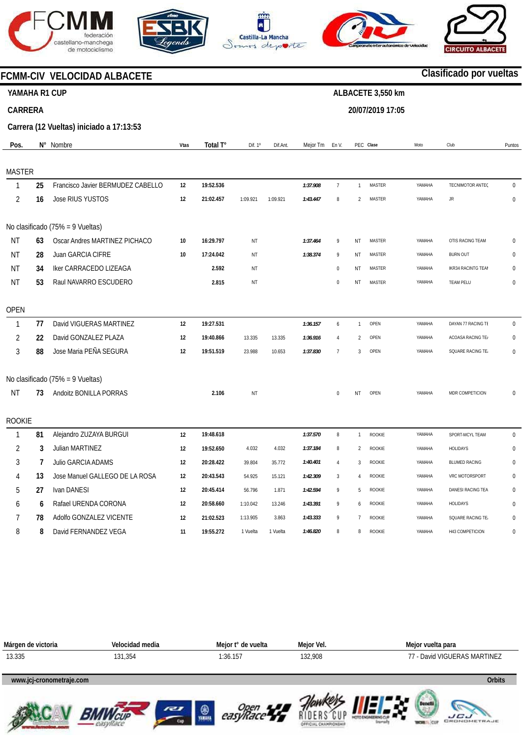









**www.mylaps.com LICU** 

# **FCMM-CIV VELOCIDAD ALBACETE**

# **YAMAHA R1 CUP**

# **CARRERA**

# **Clasificado por vueltas ALBACETE 3,550 km**

# **20/07/2019 17:05**

**Carrera (12 Vueltas) iniciado a 17:13:53** 

| Pos.           |    | N° Nombre                         | <b>Vtas</b> | Total T°  | Dif. 1°  | Dif.Ant. | Mejor Tm En V. |                  |                | PEC Clase     | Moto   | Club                      | Puntos       |
|----------------|----|-----------------------------------|-------------|-----------|----------|----------|----------------|------------------|----------------|---------------|--------|---------------------------|--------------|
| <b>MASTER</b>  |    |                                   |             |           |          |          |                |                  |                |               |        |                           |              |
| 1              | 25 | Francisco Javier BERMUDEZ CABELLO | 12          | 19:52.536 |          |          | 1:37.908       | $\overline{7}$   | $\mathbf{1}$   | <b>MASTER</b> | YAMAHA | TECNIMOTOR ANTEC          | $\mathbf 0$  |
| $\overline{2}$ | 16 | Jose RIUS YUSTOS                  | 12          | 21:02.457 | 1:09.921 | 1:09.921 | 1:43.447       | $\, 8$           | $\overline{2}$ | <b>MASTER</b> | YAMAHA | <b>JR</b>                 | $\pmb{0}$    |
|                |    | No clasificado (75% = 9 Vueltas)  |             |           |          |          |                |                  |                |               |        |                           |              |
| <b>NT</b>      | 63 | Oscar Andres MARTINEZ PICHACO     | 10          | 16:29.797 | NT       |          | 1:37.464       | 9                | ΝT             | <b>MASTER</b> | YAMAHA | OTIS RACING TEAM          | $\Omega$     |
| <b>NT</b>      | 28 | Juan GARCIA CIFRE                 | 10          | 17:24.042 | ΝT       |          | 1:38.374       | 9                | NT             | <b>MASTER</b> | YAMAHA | <b>BURN OUT</b>           | $\Omega$     |
| <b>NT</b>      | 34 | Iker CARRACEDO LIZEAGA            |             | 2.592     | ΝT       |          |                | $\boldsymbol{0}$ | NT             | <b>MASTER</b> | YAMAHA | <b>IKR34 RACINTG TEAM</b> | $\mathbf{0}$ |
| <b>NT</b>      | 53 | Raul NAVARRO ESCUDERO             |             | 2.815     | NT       |          |                | $\,0\,$          | NT             | <b>MASTER</b> | YAMAHA | <b>TEAM PELU</b>          | $\mathbf 0$  |
| <b>OPEN</b>    |    |                                   |             |           |          |          |                |                  |                |               |        |                           |              |
| $\mathbf{1}$   | 77 | David VIGUERAS MARTINEZ           | 12          | 19:27.531 |          |          | 1:36.157       | $\boldsymbol{6}$ | $\mathbf{1}$   | OPEN          | YAMAHA | DAYAN 77 RACING TE        | $\Omega$     |
| 2              | 22 | David GONZALEZ PLAZA              | 12          | 19:40.866 | 13.335   | 13.335   | 1:36.916       | $\overline{4}$   | $\mathfrak{p}$ | OPEN          | YAMAHA | ACOASA RACING TE/         | $\pmb{0}$    |
| 3              | 88 | Jose Maria PEÑA SEGURA            | 12          | 19:51.519 | 23.988   | 10.653   | 1:37.830       | $\overline{7}$   | 3              | OPEN          | YAMAHA | SQUARE RACING TE.         | 0            |
|                |    | No clasificado (75% = 9 Vueltas)  |             |           |          |          |                |                  |                |               |        |                           |              |
| <b>NT</b>      | 73 | Andoitz BONILLA PORRAS            |             | 2.106     | ΝT       |          |                | $\mathbf{0}$     | <b>NT</b>      | OPEN          | YAMAHA | MDR COMPETICION           | $\Omega$     |
| <b>ROOKIE</b>  |    |                                   |             |           |          |          |                |                  |                |               |        |                           |              |
| $\mathbf{1}$   | 81 | Alejandro ZUZAYA BURGUI           | 12          | 19:48.618 |          |          | 1:37.570       | 8                | $\mathbf{1}$   | ROOKIE        | YAMAHA | SPORT-MCYL TEAM           | 0            |
| $\overline{2}$ | 3  | Julian MARTINEZ                   | 12          | 19:52.650 | 4.032    | 4.032    | 1:37.184       | 8                | 2              | ROOKIE        | YAMAHA | <b>HOLIDAYS</b>           | $\mathbf{0}$ |
| 3              | 7  | Julio GARCIA ADAMS                | 12          | 20:28.422 | 39.804   | 35.772   | 1:40.401       | $\overline{4}$   | 3              | ROOKIE        | YAMAHA | <b>BLUMED RACING</b>      | $\Omega$     |
| 4              | 13 | Jose Manuel GALLEGO DE LA ROSA    | 12          | 20:43.543 | 54.925   | 15.121   | 1:42.309       | 3                | 4              | ROOKIE        | YAMAHA | VRC MOTORSPORT            | 0            |
| 5              | 27 | Ivan DANESI                       | 12          | 20:45.414 | 56.796   | 1.871    | 1:42.594       | 9                | 5              | ROOKIE        | YAMAHA | DANESI RACING TEA         | $\mathbf{0}$ |
| 6              | 6  | Rafael URENDA CORONA              | 12          | 20:58.660 | 1:10.042 | 13.246   | 1:43.391       | 9                | 6              | ROOKIE        | YAMAHA | <b>HOLIDAYS</b>           | $\mathbf{0}$ |
|                | 78 | Adolfo GONZALEZ VICENTE           | 12          | 21:02.523 | 1:13.905 | 3.863    | 1:43.333       | 9                | $\overline{7}$ | ROOKIE        | YAMAHA | SQUARE RACING TE.         | $\pmb{0}$    |
| 8              | 8  | David FERNANDEZ VEGA              | 11          | 19:55.272 | 1 Vuelta | 1 Vuelta | 1:46.820       | 8                | 8              | ROOKIE        | YAMAHA | H43 COMPETICION           | $\mathbf{0}$ |

| Márgen de victoria       | Velocidad media | Meior t° de vuelta | Meior Vel. | Mejor vuelta para            |
|--------------------------|-----------------|--------------------|------------|------------------------------|
| 13.335                   | 131,354         | 1:36.157           | 132,908    | 77 - David VIGUERAS MARTINEZ |
|                          |                 |                    |            |                              |
| www.jcj-cronometraje.com |                 |                    |            | <b>Orbits</b>                |







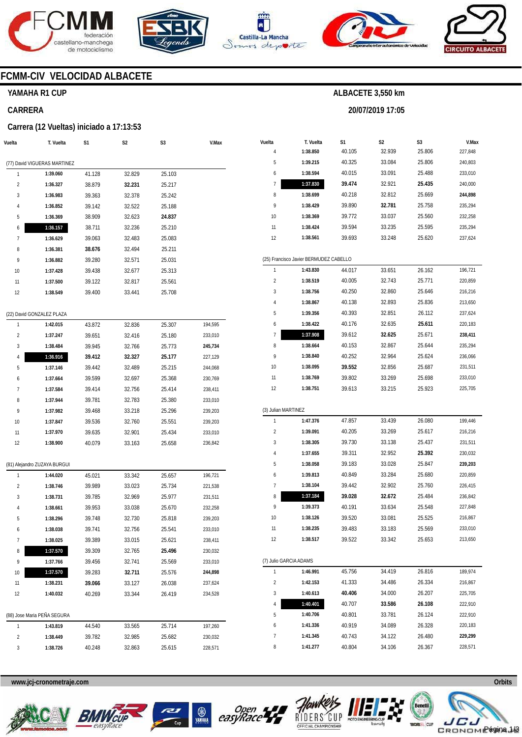







**20/07/2019 17:05** 



# **FCMM-CIV VELOCIDAD ALBACETE**

#### **YAMAHA R1 CUP**

#### **CARRERA**

#### **Carrera (12 Vueltas) iniciado a 17:13:53**

| Vuelta                  | T. Vuelta                    | S1     | S <sub>2</sub> | S3     | V.Max   |
|-------------------------|------------------------------|--------|----------------|--------|---------|
|                         | (77) David VIGUERAS MARTINEZ |        |                |        |         |
| 1                       | 1:39.060                     | 41.128 | 32.829         | 25.103 |         |
| $\overline{\mathbf{c}}$ | 1:36.327                     | 38.879 | 32.231         | 25.217 |         |
| 3                       | 1:36.983                     | 39.363 | 32.378         | 25.242 |         |
| 4                       | 1:36.852                     | 39.142 | 32.522         | 25.188 |         |
| 5                       | 1:36.369                     | 38.909 | 32.623         | 24.837 |         |
| 6                       | 1:36.157                     | 38.711 | 32.236         | 25.210 |         |
| 7                       | 1:36.629                     | 39.063 | 32.483         | 25.083 |         |
| 8                       | 1:36.381                     | 38.676 | 32.494         | 25.211 |         |
| 9                       | 1:36.882                     | 39.280 | 32.571         | 25.031 |         |
| 10                      | 1:37.428                     | 39.438 | 32.677         | 25.313 |         |
| 11                      | 1:37.500                     | 39.122 | 32.817         | 25.561 |         |
| 12                      | 1:38.549                     | 39.400 | 33.441         | 25.708 |         |
|                         | (22) David GONZALEZ PLAZA    |        |                |        |         |
| 1                       | 1:42.015                     | 43.872 | 32.836         | 25.307 | 194,595 |
| 2                       | 1:37.247                     | 39.651 | 32.416         | 25.180 | 233,010 |
| 3                       | 1:38.484                     | 39.945 | 32.766         | 25.773 | 245,734 |
| 4                       | 1:36.916                     | 39.412 | 32.327         | 25.177 | 227,129 |
| 5                       | 1:37.146                     | 39.442 | 32.489         | 25.215 | 244,068 |
| 6                       | 1:37.664                     | 39.599 | 32.697         | 25.368 | 230,769 |
| 7                       | 1:37.584                     | 39.414 | 32.756         | 25.414 | 238,411 |
| 8                       | 1:37.944                     | 39.781 | 32.783         | 25.380 | 233,010 |
| 9                       | 1:37.982                     | 39.468 | 33.218         | 25.296 | 239,203 |
| 10                      | 1:37.847                     | 39.536 | 32.760         | 25.551 | 239,203 |
| 11                      | 1:37.970                     | 39.635 | 32.901         | 25.434 | 233,010 |
| 12                      | 1:38.900                     | 40.079 | 33.163         | 25.658 | 236,842 |
|                         | (81) Alejandro ZUZAYA BURGUI |        |                |        |         |
| 1                       | 1:44.020                     | 45.021 | 33.342         | 25.657 | 196,721 |
| 2                       | 1:38.746                     | 39.989 | 33.023         | 25.734 | 221,538 |
| 3                       | 1:38.731                     | 39.785 | 32.969         | 25.977 | 231,511 |
| 4                       | 1:38.661                     | 39.953 | 33.038         | 25.670 | 232,258 |
| 5                       | 1:38.296                     | 39.748 | 32.730         | 25.818 | 239,203 |
| 6                       | 1:38.038                     | 39.741 | 32.756         | 25.541 | 233,010 |
| 7                       | 1:38.025                     | 39.389 | 33.015         | 25.621 | 238,411 |
| 8                       | 1:37.570                     | 39.309 | 32.765         | 25.496 | 230,032 |
| 9                       | 1:37.766                     | 39.456 | 32.741         | 25.569 | 233,010 |
| 10                      | 1:37.570                     | 39.283 | 32.711         | 25.576 | 244,898 |
| 11                      | 1:38.231                     | 39.066 | 33.127         | 26.038 | 237,624 |
| 12                      | 1:40.032                     | 40.269 | 33.344         | 26.419 | 234,528 |
|                         | (88) Jose Maria PEÑA SEGURA  |        |                |        |         |
| 1                       | 1:43.819                     | 44.540 | 33.565         | 25.714 | 197,260 |
| 2                       | 1:38.449                     | 39.782 | 32.985         | 25.682 | 230,032 |
| 3                       | 1:38.726                     | 40.248 | 32.863         | 25.615 | 228,571 |
|                         |                              |        |                |        |         |

| Vuelta                  | T. Vuelta                              | S1     | S2     | S3     | V.Max   |
|-------------------------|----------------------------------------|--------|--------|--------|---------|
| 4                       | 1:38.850                               | 40.105 | 32.939 | 25.806 | 227,848 |
| 5                       | 1:39.215                               | 40.325 | 33.084 | 25.806 | 240,803 |
| 6                       | 1:38.594                               | 40.015 | 33.091 | 25.488 | 233,010 |
| 7                       | 1:37.830                               | 39.474 | 32.921 | 25.435 | 240,000 |
| 8                       | 1:38.699                               | 40.218 | 32.812 | 25.669 | 244,898 |
| 9                       | 1:38.429                               | 39.890 | 32.781 | 25.758 | 235,294 |
| 10                      | 1:38.369                               | 39.772 | 33.037 | 25.560 | 232,258 |
| 11                      | 1:38.424                               | 39.594 | 33.235 | 25.595 | 235,294 |
| 12                      | 1:38.561                               | 39.693 | 33.248 | 25.620 | 237,624 |
|                         | (25) Francisco Javier BERMUDEZ CABELLO |        |        |        |         |
| 1                       | 1:43.830                               | 44.017 | 33.651 | 26.162 | 196,721 |
| 2                       | 1:38.519                               | 40.005 | 32.743 | 25.771 | 220,859 |
| 3                       | 1:38.756                               | 40.250 | 32.860 | 25.646 | 216,216 |
| 4                       | 1:38.867                               | 40.138 | 32.893 | 25.836 | 213,650 |
| 5                       | 1:39.356                               | 40.393 | 32.851 | 26.112 | 237,624 |
| 6                       | 1:38.422                               | 40.176 | 32.635 | 25.611 | 220,183 |
| 7                       | 1:37.908                               | 39.612 | 32.625 | 25.671 | 238,411 |
| 8                       | 1:38.664                               | 40.153 | 32.867 | 25.644 | 235,294 |
| 9                       | 1:38.840                               | 40.252 | 32.964 | 25.624 | 236,066 |
| 10                      | 1:38.095                               | 39.552 | 32.856 | 25.687 | 231,511 |
| 11                      | 1:38.769                               | 39.802 | 33.269 | 25.698 | 233,010 |
| 12                      | 1:38.751                               | 39.613 | 33.215 | 25.923 | 225,705 |
| (3) Julian MARTINEZ     |                                        |        |        |        |         |
| 1                       | 1:47.376                               | 47.857 | 33.439 | 26.080 | 199,446 |
| $\overline{2}$          | 1:39.091                               | 40.205 | 33.269 | 25.617 | 216,216 |
| 3                       | 1:38.305                               | 39.730 | 33.138 | 25.437 | 231,511 |
| 4                       | 1:37.655                               | 39.311 | 32.952 | 25.392 | 230,032 |
| 5                       | 1:38.058                               | 39.183 | 33.028 | 25.847 | 239,203 |
| 6                       | 1:39.813                               | 40.849 | 33.284 | 25.680 | 220,859 |
| 7                       | 1:38.104                               | 39.442 | 32.902 | 25.760 | 226,415 |
| 8                       | 1:37.184                               | 39.028 | 32.672 | 25.484 | 236,842 |
| 9                       | 1:39.373                               | 40.191 | 33.634 | 25.548 | 227,848 |
| 10                      | 1:38.126                               | 39.520 | 33.081 | 25.525 | 216,867 |
| 11                      | 1:38.235                               | 39.483 | 33.183 | 25.569 | 233,010 |
| 12                      | 1:38.517                               | 39.522 | 33.342 | 25.653 | 213,650 |
| (7) Julio GARCIA ADAMS  |                                        |        |        |        |         |
| 1                       | 1:46.991                               | 45.756 | 34.419 | 26.816 | 189,974 |
| $\overline{\mathbf{c}}$ | 1:42.153                               | 41.333 | 34.486 | 26.334 | 216,867 |
| 3                       | 1:40.613                               | 40.406 | 34.000 | 26.207 | 225,705 |
| 4                       | 1:40.401                               | 40.707 | 33.586 | 26.108 | 222,910 |
| 5                       | 1:40.706                               | 40.801 | 33.781 | 26.124 | 222,910 |
| 6                       | 1:41.336                               | 40.919 | 34.089 | 26.328 | 220,183 |
| 7                       | 1:41.345                               | 40.743 | 34.122 | 26.480 | 229,299 |
| 8                       | 1:41.277                               | 40.804 | 34.106 | 26.367 | 228,571 |









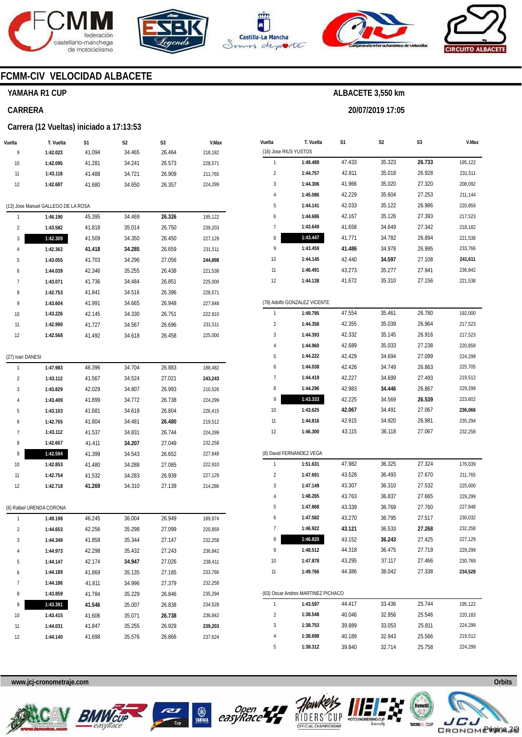







**20/07/2019 17:05** 



# **FCMM-CIV VELOCIDAD ALBACETE**

# **YAMAHA R1 CUP**

#### **CARRERA**

#### **Carrera (12 Vueltas) iniciado a 17:13:53**

| Vuelta           | T. Vuelta                           | S1     | S2     | S3     | V.Max   |
|------------------|-------------------------------------|--------|--------|--------|---------|
| 9                | 1:42.023                            | 41.094 | 34.465 | 26.464 | 218,182 |
| 10               | 1:42.095                            | 41.281 | 34.241 | 26.573 | 228,571 |
| 11               | 1:43.118                            | 41.488 | 34.721 | 26.909 | 211,765 |
| 12               | 1:42.687                            | 41.680 | 34.650 | 26.357 | 224,299 |
|                  |                                     |        |        |        |         |
|                  | (13) Jose Manuel GALLEGO DE LA ROSA |        |        |        |         |
| 1                | 1:46.190                            | 45.395 | 34.469 | 26.326 | 195,122 |
| 2                | 1:43.582                            | 41.818 | 35.014 | 26.750 | 239,203 |
| 3                | 1:42.309                            | 41.509 | 34.350 | 26.450 | 227,129 |
| 4                | 1:42.362                            | 41.418 | 34.285 | 26.659 | 231,511 |
| 5                | 1:43.055                            | 41.703 | 34.296 | 27.056 | 244,898 |
| 6                | 1:44.039                            | 42.346 | 35.255 | 26.438 | 221,538 |
| 7                | 1:43.071                            | 41.736 | 34.484 | 26.851 | 225,000 |
| 8                | 1:42.753                            | 41.841 | 34.516 | 26.396 | 228,571 |
| 9                | 1:43.604                            | 41.991 | 34.665 | 26.948 | 227,848 |
| 10               | 1:43.226                            | 42.145 | 34.330 | 26.751 | 222,910 |
| 11               | 1:42.990                            | 41.727 | 34.567 | 26.696 | 231,511 |
| 12               | 1:42.568                            | 41.492 | 34.618 | 26.458 | 225,000 |
|                  |                                     |        |        |        |         |
| (27) Ivan DANESI |                                     |        |        |        |         |
| 1                | 1:47.983                            | 46.396 | 34.704 | 26.883 | 188,482 |
| 2                | 1:43.112                            | 41.567 | 34.524 | 27.021 | 243,243 |
| 3                | 1:43.829                            | 42.029 | 34.807 | 26.993 | 210,526 |
| 4                | 1:43.409                            | 41.899 | 34.772 | 26.738 | 224,299 |
| 5                | 1:43.103                            | 41.681 | 34.618 | 26.804 | 226,415 |
| 6                | 1:42.765                            | 41.804 | 34.481 | 26.480 | 219,512 |
| 7                | 1:43.112                            | 41.537 | 34.831 | 26.744 | 224,299 |
| 8                | 1:42.667                            | 41.411 | 34.207 | 27.049 | 232,258 |
| 9                | 1:42.594                            | 41.399 | 34.543 | 26.652 | 227,848 |
| 10               | 1:42.853                            | 41.480 | 34.288 | 27.085 | 222,910 |
| 11               | 1:42.754                            | 41.532 | 34.283 | 26.939 | 227,129 |
| 12               | 1:42.718                            | 41.269 | 34.310 | 27.139 | 214,286 |
|                  | (6) Rafael URENDA CORONA            |        |        |        |         |
| 1                | 1:49.198                            | 46.245 | 36.004 | 26.949 | 189,974 |
| 2                | 1:44.653                            | 42.256 | 35.298 | 27.099 | 220,859 |
| 3                | 1:44.349                            | 41.858 | 35.344 | 27.147 | 232,258 |
| 4                | 1:44.973                            | 42.298 | 35.432 | 27.243 | 236,842 |
| 5                | 1:44.147                            | 42.174 | 34.947 | 27.026 | 238,411 |
| 6                | 1:44.189                            | 41.869 | 35.135 | 27.185 | 233,766 |
| 7                | 1:44.186                            | 41.811 | 34.996 | 27.379 | 232,258 |
| 8                | 1:43.859                            | 41.784 | 35.229 | 26.846 | 235,294 |
| 9                | 1:43.391                            | 41.546 | 35.007 | 26.838 | 234,528 |
| 10               | 1:43.415                            | 41.606 | 35.071 | 26.738 | 236,842 |
| 11               | 1:44.031                            | 41.847 | 35.255 | 26.929 | 239,203 |
| 12               | 1:44.140                            | 41.698 | 35.576 | 26.866 | 237,624 |

| Vuelta                | T. Vuelta                                | S1     | S2     | S3     | V.Max   |
|-----------------------|------------------------------------------|--------|--------|--------|---------|
| (16) Jose RIUS YUSTOS |                                          |        |        |        |         |
| 1                     | 1:49.489                                 | 47.433 | 35.323 | 26.733 | 195,122 |
| 2                     | 1:44.757                                 | 42.811 | 35.018 | 26.928 | 231,511 |
| 3                     | 1:44.306                                 | 41.966 | 35.020 | 27.320 | 208,092 |
| 4                     | 1:45.086                                 | 42.229 | 35.604 | 27.253 | 211,144 |
| 5                     | 1:44.141                                 | 42.033 | 35.122 | 26.986 | 220,859 |
| 6                     | 1:44.686                                 | 42.167 | 35.126 | 27.393 | 217,523 |
| 7                     | 1:43.649                                 | 41.658 | 34.649 | 27.342 | 218,182 |
| 8                     | 1:43.447                                 | 41.771 | 34.782 | 26.894 | 221,538 |
| 9                     | 1:43.459                                 | 41.486 | 34.978 | 26.995 | 233,766 |
| 10                    | 1:44.145                                 | 42.440 | 34.597 | 27.108 | 241,611 |
| 11                    | 1:46.491                                 | 43.273 | 35.277 | 27.941 | 236,842 |
| 12                    | 1:44.138                                 | 41.672 | 35.310 | 27.156 | 221,538 |
|                       |                                          |        |        |        |         |
| 1                     | (78) Adolfo GONZALEZ VICENTE<br>1:49.795 | 47.554 | 35.461 | 26.780 | 192,000 |
| 2                     | 1:44.358                                 | 42.355 | 35.039 | 26.964 | 217,523 |
| 3                     | 1:44.393                                 | 42.332 | 35.145 | 26.916 | 217,523 |
| 4                     | 1:44.960                                 | 42.689 | 35.033 | 27.238 | 220,859 |
| 5                     | 1:44.222                                 | 42.429 | 34.694 | 27.099 | 224,299 |
| 6                     | 1:44.038                                 | 42.426 | 34.749 | 26.863 | 225,705 |
| 7                     | 1:44.419                                 | 42.227 | 34.699 | 27.493 | 219,512 |
| 8                     | 1:44.296                                 | 42.983 | 34.446 | 26.867 | 229,299 |
| 9                     | 1:43.333                                 | 42.225 | 34.569 | 26.539 | 223,602 |
| 10                    | 1:43.625                                 | 42.067 | 34.491 | 27.067 | 236,066 |
| 11                    | 1:44.816                                 | 42.915 | 34.920 | 26.981 | 235,294 |
| 12                    | 1:46.300                                 | 43.115 | 36.118 | 27.067 | 232,258 |
|                       |                                          |        |        |        |         |
|                       | (8) David FERNANDEZ VEGA                 |        |        |        |         |
| 1                     | 1:51.631                                 | 47.982 | 36.325 | 27.324 | 176,039 |
| 2                     | 1:47.691                                 | 43.528 | 36.493 | 27.670 | 211,765 |
| 3                     | 1:47.149                                 | 43.307 | 36.310 | 27.532 | 225,000 |
| 4                     | 1:48.265                                 | 43.763 | 36.837 | 27.665 | 229,299 |
| 5                     | 1:47.868                                 | 43.339 | 36.769 | 27.760 | 227,848 |
| 6                     | 1:47.582                                 | 43.270 | 36.795 | 27.517 | 230,032 |
| 7                     | 1:46.922                                 | 43.121 | 36.533 | 27.268 | 232,258 |
| 8                     | 1:46.820                                 | 43.152 | 36.243 | 27.425 | 227,129 |
| 9                     | 1:48.512                                 | 44.318 | 36.475 | 27.719 | 229,299 |
| 10                    | 1:47.878                                 | 43.295 | 37.117 | 27.466 | 230,769 |
| 11                    | 1:49.766                                 | 44.386 | 38.042 | 27.338 | 234,528 |
|                       | (63) Oscar Andres MARTINEZ PICHACO       |        |        |        |         |
| 1                     | 1:43.597                                 | 44.417 | 33.436 | 25.744 | 195,122 |
| 2                     | 1:38.548                                 | 40.046 | 32.956 | 25.546 | 220,183 |
| 3                     | 1:38.753                                 | 39.889 | 33.053 | 25.811 | 224,299 |
| 4                     | 1:38.698                                 | 40.189 | 32.943 | 25.566 | 219,512 |
| 5                     | 1:38.312                                 | 39.840 | 32.714 | 25.758 | 224,299 |

**www.jcj-cronometraje.com Orbits** 











Página 2/3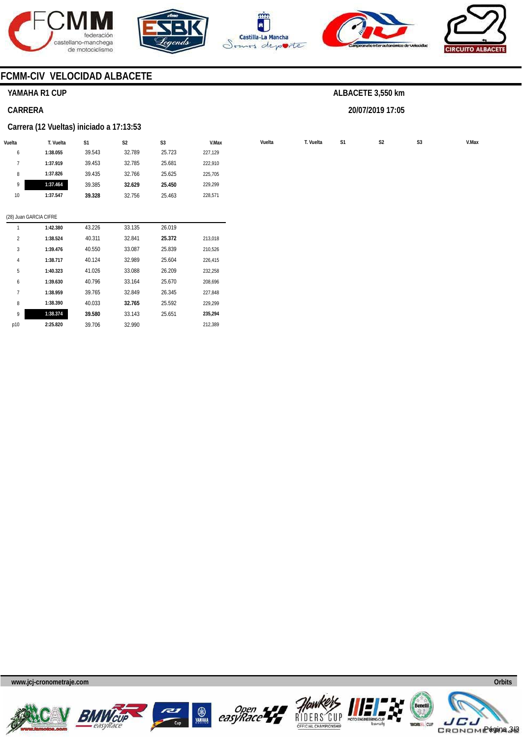









# **FCMM-CIV VELOCIDAD ALBACETE**

# **YAMAHA R1 CUP**

### **CARRERA**

#### **Carrera (12 Vueltas) iniciado a 17:13:53**

| Vuelta                 | T. Vuelta | S <sub>1</sub> | S <sub>2</sub> | S <sub>3</sub> | V.Max   | Vuelta | T. Vuelta | S <sub>1</sub> |
|------------------------|-----------|----------------|----------------|----------------|---------|--------|-----------|----------------|
| 6                      | 1:38.055  | 39.543         | 32.789         | 25.723         | 227,129 |        |           |                |
| $\overline{7}$         | 1:37.919  | 39.453         | 32.785         | 25.681         | 222,910 |        |           |                |
| 8                      | 1:37.826  | 39.435         | 32.766         | 25.625         | 225,705 |        |           |                |
| 9                      | 1:37.464  | 39.385         | 32.629         | 25.450         | 229,299 |        |           |                |
| 10                     | 1:37.547  | 39.328         | 32.756         | 25.463         | 228,571 |        |           |                |
|                        |           |                |                |                |         |        |           |                |
| (28) Juan GARCIA CIFRE |           |                |                |                |         |        |           |                |
|                        | 1:42.380  | 43.226         | 33.135         | 26.019         |         |        |           |                |
| $\overline{2}$         | 1:38.524  | 40.311         | 32.841         | 25.372         | 213,018 |        |           |                |
| 3                      | 1:39.476  | 40.550         | 33.087         | 25.839         | 210,526 |        |           |                |
| $\overline{4}$         | 1:38.717  | 40.124         | 32.989         | 25.604         | 226,415 |        |           |                |
| 5                      | 1:40.323  | 41.026         | 33.088         | 26.209         | 232,258 |        |           |                |
| 6                      | 1:39.630  | 40.796         | 33.164         | 25.670         | 208,696 |        |           |                |
| $7\phantom{.}$         | 1:38.959  | 39.765         | 32.849         | 26.345         | 227,848 |        |           |                |
| 8                      | 1:38.390  | 40.033         | 32.765         | 25.592         | 229,299 |        |           |                |
| 9                      | 1:38.374  | 39.580         | 33.143         | 25.651         | 235,294 |        |           |                |
| p10                    | 2:25.820  | 39.706         | 32.990         |                | 212,389 |        |           |                |
|                        |           |                |                |                |         |        |           |                |

# **ALBACETE 3,550 km**

**20/07/2019 17:05** 











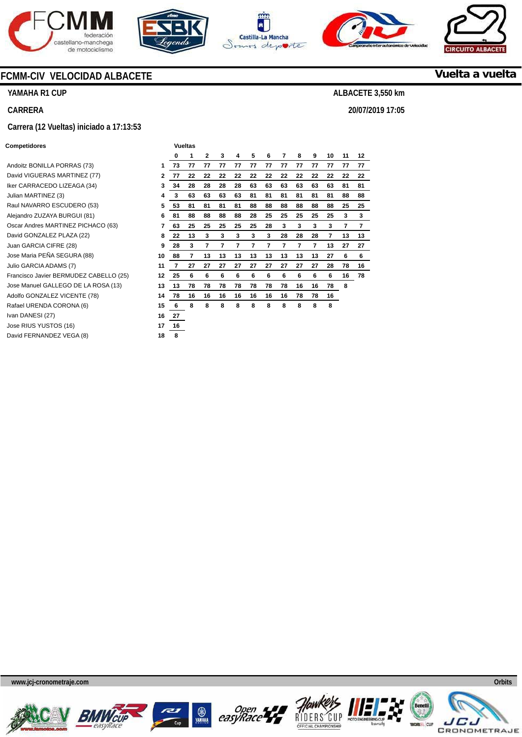







**20/07/2019 17:05** 



**Vuelta a vuelta**

# **FCMM-CIV VELOCIDAD ALBACETE**

**YAMAHA R1 CUP** 

#### **CARRERA**

#### **Carrera (12 Vueltas) iniciado a 17:13:53**

#### **Competidores Vueltas Vueltas**

| Andoitz BONILLA PORRAS (73)            | 1  |
|----------------------------------------|----|
| David VIGUERAS MARTINEZ (77)           | 2  |
| Iker CARRACEDO LIZEAGA (34)            | 3  |
| Julian MARTINEZ (3)                    | 4  |
| Raul NAVARRO ESCUDERO (53)             | 5  |
| Alejandro ZUZAYA BURGUI (81)           | 6  |
| Oscar Andres MARTINEZ PICHACO (63)     | 7  |
| David GONZALEZ PLAZA (22)              | 8  |
| Juan GARCIA CIFRE (28)                 | 9  |
| Jose Maria PEÑA SEGURA (88)            | 10 |
| Julio GARCIA ADAMS (7)                 | 11 |
| Francisco Javier BERMUDEZ CABELLO (25) | 12 |
| Jose Manuel GALLEGO DE LA ROSA (13)    | 13 |
| Adolfo GONZALEZ VICENTE (78)           | 14 |
| Rafael URENDA CORONA (6)               | 15 |
| Ivan DANESI (27)                       | 16 |
| Jose RIUS YUSTOS (16)                  | 17 |
| David FERNANDEZ VEGA (8)               | 18 |

|    | ີ  |    |    |    |    |    |    |    |    |    |    |    |
|----|----|----|----|----|----|----|----|----|----|----|----|----|
| 0  | 1  | 2  | 3  | 4  | 5  | 6  | 7  | 8  | 9  | 10 | 11 | 12 |
| 73 | 77 | 77 | 77 | 77 | 77 | 77 | 77 | 77 | 77 | 77 | 77 | 77 |
| 77 | 22 | 22 | 22 | 22 | 22 | 22 | 22 | 22 | 22 | 22 | 22 | 22 |
| 34 | 28 | 28 | 28 | 28 | 63 | 63 | 63 | 63 | 63 | 63 | 81 | 81 |
| 3  | 63 | 63 | 63 | 63 | 81 | 81 | 81 | 81 | 81 | 81 | 88 | 88 |
| 53 | 81 | 81 | 81 | 81 | 88 | 88 | 88 | 88 | 88 | 88 | 25 | 25 |
| 81 | 88 | 88 | 88 | 88 | 28 | 25 | 25 | 25 | 25 | 25 | 3  | 3  |
| 63 | 25 | 25 | 25 | 25 | 25 | 28 | 3  | 3  | 3  | 3  | 7  | 7  |
| 22 | 13 | 3  | 3  | 3  | 3  | 3  | 28 | 28 | 28 | 7  | 13 | 13 |
| 28 | 3  | 7  | 7  | 7  | 7  | 7  | 7  | 7  | 7  | 13 | 27 | 27 |
| 88 | 7  | 13 | 13 | 13 | 13 | 13 | 13 | 13 | 13 | 27 | 6  | 6  |
| 7  | 27 | 27 | 27 | 27 | 27 | 27 | 27 | 27 | 27 | 28 | 78 | 16 |
| 25 | 6  | 6  | 6  | 6  | 6  | 6  | 6  | 6  | 6  | 6  | 16 | 78 |
| 13 | 78 | 78 | 78 | 78 | 78 | 78 | 78 | 16 | 16 | 78 | 8  |    |
| 78 | 16 | 16 | 16 | 16 | 16 | 16 | 16 | 78 | 78 | 16 |    |    |
| 6  | 8  | 8  | 8  | 8  | 8  | 8  | 8  | 8  | 8  | 8  |    |    |
| 27 |    |    |    |    |    |    |    |    |    |    |    |    |
| 16 |    |    |    |    |    |    |    |    |    |    |    |    |
| 8  |    |    |    |    |    |    |    |    |    |    |    |    |











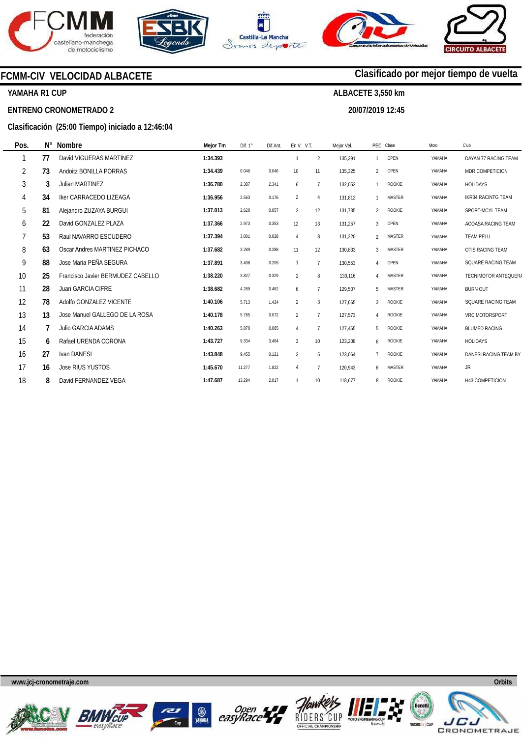







# **FCMM-CIV VELOCIDAD ALBACETE**

# **YAMAHA R1 CUP**

#### **ENTRENO CRONOMETRADO 2**

#### **Clasificación (25:00 Tiempo) iniciado a 12:46:04**

| Pos.           | Ν° | <b>Nombre</b>                     | Mejor Tm | Dif. $1^\circ$ | Dif.Ant. | En V. V.T.      |                | Meior Vel. |                           | PEC Clase     | Moto   | Club                      |
|----------------|----|-----------------------------------|----------|----------------|----------|-----------------|----------------|------------|---------------------------|---------------|--------|---------------------------|
|                | 77 | David VIGUERAS MARTINEZ           | 1:34.393 |                |          |                 | $\overline{2}$ | 135,391    |                           | OPEN          | YAMAHA | DAYAN 77 RACING TEAM      |
| $\overline{2}$ | 73 | Andoitz BONILLA PORRAS            | 1:34.439 | 0.046          | 0.046    | 10 <sup>°</sup> | 11             | 135,325    | $\overline{2}$            | OPEN          | YAMAHA | MDR COMPETICION           |
| 3              | 3  | Julian MARTINEZ                   | 1:36.780 | 2.387          | 2.341    | 6               | $\overline{7}$ | 132,052    |                           | ROOKIE        | YAMAHA | <b>HOLIDAYS</b>           |
| 4              | 34 | Iker CARRACEDO LIZEAGA            | 1:36.956 | 2.563          | 0.176    | $\overline{2}$  | $\overline{4}$ | 131,812    |                           | <b>MASTER</b> | YAMAHA | <b>IKR34 RACINTG TEAM</b> |
| 5              | 81 | Alejandro ZUZAYA BURGUI           | 1:37.013 | 2.620          | 0.057    | $\overline{2}$  | 12             | 131,735    | $\mathfrak{p}$            | ROOKIE        | YAMAHA | SPORT-MCYL TEAM           |
| 6              | 22 | David GONZALEZ PLAZA              | 1:37.366 | 2.973          | 0.353    | 12              | 13             | 131,257    | 3                         | OPEN          | YAMAHA | ACOASA RACING TEAM        |
| $\overline{7}$ | 53 | Raul NAVARRO ESCUDERO             | 1:37.394 | 3.001          | 0.028    | 4               | 8              | 131,220    | $\mathfrak{p}$            | <b>MASTER</b> | YAMAHA | <b>TEAM PELU</b>          |
| 8              | 63 | Oscar Andres MARTINEZ PICHACO     | 1:37.682 | 3.289          | 0.288    | 11              | 12             | 130,833    | $\mathbf{3}$              | <b>MASTER</b> | YAMAHA | OTIS RACING TEAM          |
| 9              | 88 | Jose Maria PEÑA SEGURA            | 1:37.891 | 3.498          | 0.209    |                 | $\overline{7}$ | 130.553    | $\overline{4}$            | OPEN          | YAMAHA | SQUARE RACING TEAM        |
| 10             | 25 | Francisco Javier BERMUDEZ CABELLO | 1:38.220 | 3.827          | 0.329    | $\overline{2}$  | 8              | 130.116    | $\overline{A}$            | <b>MASTER</b> | YAMAHA | TECNIMOTOR ANTEQUERA      |
| 11             | 28 | <b>Juan GARCIA CIFRE</b>          | 1:38.682 | 4.289          | 0.462    | 6               | $\overline{7}$ | 129,507    | 5                         | <b>MASTER</b> | YAMAHA | <b>BURN OUT</b>           |
| 12             | 78 | Adolfo GONZALEZ VICENTE           | 1:40.106 | 5.713          | 1.424    | $\overline{2}$  | 3              | 127,665    | $\mathbf{3}$              | ROOKIE        | YAMAHA | SQUARE RACING TEAM        |
| 13             | 13 | Jose Manuel GALLEGO DE LA ROSA    | 1:40.178 | 5.785          | 0.072    | $\overline{2}$  | $\overline{7}$ | 127,573    | $\boldsymbol{\varLambda}$ | <b>ROOKIE</b> | YAMAHA | VRC MOTORSPORT            |
| 14             |    | <b>Julio GARCIA ADAMS</b>         | 1:40.263 | 5.870          | 0.085    | Δ               | $\overline{7}$ | 127,465    | 5                         | <b>ROOKIE</b> | YAMAHA | <b>BLUMED RACING</b>      |
| 15             | 6  | Rafael URENDA CORONA              | 1:43.727 | 9.334          | 3.464    | 3               | 10             | 123,208    | 6                         | ROOKIE        | YAMAHA | <b>HOLIDAYS</b>           |
| 16             | 27 | Ivan DANESI                       | 1:43.848 | 9.455          | 0.121    | 3               | 5              | 123.064    |                           | ROOKIE        | YAMAHA | DANESI RACING TEAM BY     |
| 17             | 16 | <b>Jose RIUS YUSTOS</b>           | 1:45.670 | 11.277         | 1.822    | 4               | $\overline{7}$ | 120,943    | 6                         | <b>MASTER</b> | YAMAHA | <b>JR</b>                 |
| 18             | 8  | David FERNANDEZ VEGA              | 1:47.687 | 13.294         | 2.017    |                 | 10             | 118,677    | 8                         | ROOKIE        | YAMAHA | <b>H43 COMPETICION</b>    |

#### **www.jcj-cronometraje.com Orbits**













# **Clasificado por mejor tiempo de vuelta**

**ALBACETE 3,550 km** 

**20/07/2019 12:45**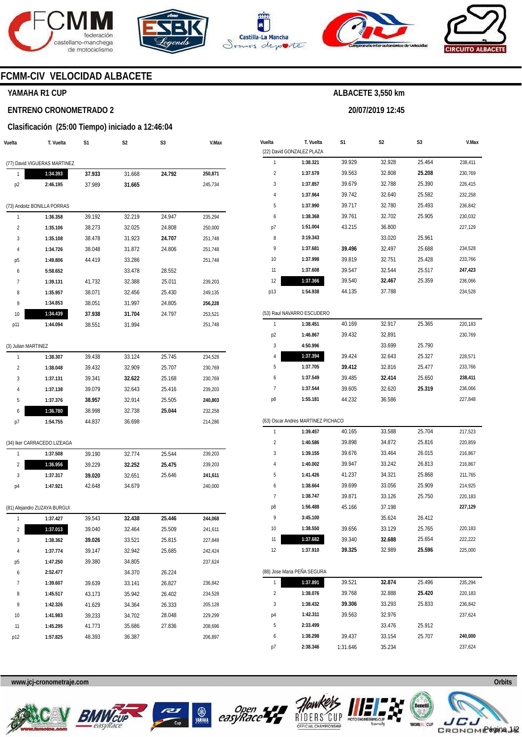







**20/07/2019 12:45** 



# **FCMM-CIV VELOCIDAD ALBACETE**

# **YAMAHA R1 CUP**

#### **ENTRENO CRONOMETRADO 2**

#### **Clasificación (25:00 Tiempo) iniciado a 12:46:04**

| Vuelta              | T. Vuelta                    | S1     | S2     | S3     | V.Max   |
|---------------------|------------------------------|--------|--------|--------|---------|
|                     | (77) David VIGUERAS MARTINEZ |        |        |        |         |
| 1                   | 1:34.393                     | 37.933 | 31.668 | 24.792 | 250,871 |
| p <sub>2</sub>      | 2:46.195                     | 37.989 | 31.665 |        | 245,734 |
|                     | (73) Andoitz BONILLA PORRAS  |        |        |        |         |
| 1                   | 1:36.358                     | 39.192 | 32.219 | 24.947 | 235,294 |
| 2                   | 1:35.106                     | 38.273 | 32.025 | 24.808 | 250,000 |
| 3                   | 1:35.108                     | 38.478 | 31.923 | 24.707 | 251,748 |
| 4                   | 1:34.726                     | 38.048 | 31.872 | 24.806 | 251,748 |
| p <sub>5</sub>      | 1:49.806                     | 44.419 | 33.286 |        | 251,748 |
| 6                   | 5:58.652                     |        | 33.478 | 28.552 |         |
| 7                   | 1:39.131                     | 41.732 | 32.388 | 25.011 | 239,203 |
| 8                   | 1:35.957                     | 38.071 | 32.456 | 25.430 | 249,135 |
| 9                   | 1:34.853                     | 38.051 | 31.997 | 24.805 | 256,228 |
| 10                  | 1:34.439                     | 37.938 | 31.704 | 24.797 | 253,521 |
| p11                 | 1:44.094                     | 38.551 | 31.994 |        | 251,748 |
| (3) Julian MARTINEZ |                              |        |        |        |         |
| 1                   | 1:38.307                     | 39.438 | 33.124 | 25.745 | 234,528 |
| 2                   | 1:38.048                     | 39.432 | 32.909 | 25.707 | 230,769 |
| 3                   | 1:37.131                     | 39.341 | 32.622 | 25.168 | 230,769 |
| 4                   | 1:37.138                     | 39.079 | 32.643 | 25.416 | 239,203 |
| 5                   | 1:37.376                     | 38.957 | 32.914 | 25.505 | 240,803 |
| 6                   | 1:36.780                     | 38.998 | 32.738 | 25.044 | 232,258 |
| p7                  | 1:54.755                     | 44.837 | 36.698 |        | 214,286 |
|                     | (34) Iker CARRACEDO LIZEAGA  |        |        |        |         |
| 1                   | 1:37.508                     | 39.190 | 32.774 | 25.544 | 239,203 |
| 2                   | 1:36.956                     | 39.229 | 32.252 | 25.475 | 239,203 |
| 3                   | 1:37.317                     | 39.020 | 32.651 | 25.646 | 241,611 |
| p4                  | 1:47.921                     | 42.648 | 34.679 |        | 240,000 |
|                     | (81) Alejandro ZUZAYA BURGUI |        |        |        |         |
| 1                   | 1:37.427                     | 39.543 | 32.438 | 25.446 | 244,068 |
| 2                   | 1:37.013                     | 39.040 | 32.464 | 25.509 | 241,611 |
| 3                   | 1:38.362                     | 39.026 | 33.521 | 25.815 | 227,848 |
| 4                   | 1:37.774                     | 39.147 | 32.942 | 25.685 | 242,424 |
| р5                  | 1:47.250                     | 39.380 | 34.805 |        | 237,624 |
| 6                   | 2:52.477                     |        | 34.370 | 26.224 |         |
| 7                   | 1:39.607                     | 39.639 | 33.141 | 26.827 | 236,842 |
| 8                   | 1:45.517                     | 43.173 | 35.942 | 26.402 | 234,528 |
| 9                   | 1:42.326                     | 41.629 | 34.364 | 26.333 | 205,128 |
| 10                  | 1:41.983                     | 39.233 | 34.702 | 28.048 | 229,299 |
| 11                  | 1:45.295                     | 41.773 | 35.686 | 27.836 | 208,696 |
| p12                 | 1:57.825                     | 48.393 | 36.387 |        | 206,897 |
|                     |                              |        |        |        |         |

| Vuelta                  | T. Vuelta                                      | S1     | S2     | S3     | V.Max   |
|-------------------------|------------------------------------------------|--------|--------|--------|---------|
|                         | (22) David GONZALEZ PLAZA                      |        |        |        |         |
| 1                       | 1:38.321                                       | 39.929 | 32.928 | 25.464 | 238,411 |
| 2                       | 1:37.579                                       | 39.563 | 32.808 | 25.208 | 230,769 |
| 3                       | 1:37.857                                       | 39.679 | 32.788 | 25.390 | 226,415 |
| 4                       | 1:37.964                                       | 39.742 | 32.640 | 25.582 | 232,258 |
| 5                       | 1:37.990                                       | 39.717 | 32.780 | 25.493 | 236,842 |
| 6                       | 1:38.368                                       | 39.761 | 32.702 | 25.905 | 230,032 |
| p7                      | 1:51.004                                       | 43.215 | 36.800 |        | 227,129 |
| 8                       | 3:19.343                                       |        | 33.020 | 25.961 |         |
| 9                       | 1:37.681                                       | 39.496 | 32.497 | 25.688 | 234,528 |
| 10                      | 1:37.998                                       | 39.819 | 32.751 | 25.428 | 233,766 |
| 11                      | 1:37.608                                       | 39.547 | 32.544 | 25.517 | 247,423 |
| 12                      | 1:37.366                                       | 39.540 | 32.467 | 25.359 | 236,066 |
| p13                     | 1:54.938                                       | 44.135 | 37.788 |        | 234,528 |
|                         | (53) Raul NAVARRO ESCUDERO                     |        |        |        |         |
| 1                       | 1:38.451                                       | 40.169 | 32.917 | 25.365 | 220,183 |
| p2                      | 1:46.867                                       | 39.432 | 32.891 |        | 230,769 |
| 3                       | 4:50.996                                       |        | 33.699 | 25.790 |         |
| 4                       | 1:37.394                                       | 39.424 | 32.643 | 25.327 | 228,571 |
| 5                       | 1:37.705                                       | 39.412 | 32.816 | 25.477 | 233,766 |
| 6                       | 1:37.549                                       | 39.485 | 32.414 | 25.650 | 238,411 |
| 7                       | 1:37.544                                       | 39.605 | 32.620 | 25.319 | 236,066 |
| p8                      | 1:55.181                                       | 44.232 | 36.586 |        | 227,848 |
|                         |                                                |        |        |        |         |
| 1                       | (63) Oscar Andres MARTINEZ PICHACO<br>1:39.457 | 40.165 | 33.588 | 25.704 | 217,523 |
| 2                       | 1:40.586                                       | 39.898 | 34.872 | 25.816 | 220,859 |
| 3                       | 1:39.155                                       | 39.676 | 33.464 | 26.015 | 216,867 |
| 4                       | 1:40.002                                       | 39.947 | 33.242 | 26.813 | 216,867 |
| 5                       | 1:41.426                                       | 41.237 | 34.321 | 25.868 | 211,765 |
| 6                       | 1:38.664                                       | 39.699 | 33.056 | 25.909 | 214,925 |
| 7                       | 1:38.747                                       | 39.871 | 33.126 | 25.750 | 220,183 |
| p8                      | 1:56.488                                       | 45.166 | 37.198 |        | 227,129 |
| 9                       | 3:45.100                                       |        | 35.624 | 26.412 |         |
| 10                      | 1:38.550                                       | 39.656 | 33.129 | 25.765 | 220,183 |
| 11                      | 1:37.682                                       | 39.340 | 32.688 | 25.654 | 222,222 |
| 12                      | 1:37.910                                       | 39.325 | 32.989 | 25.596 | 225,000 |
|                         |                                                |        |        |        |         |
|                         | (88) Jose Maria PEÑA SEGURA                    |        |        |        |         |
| 1                       | 1:37.891                                       | 39.521 | 32.874 | 25.496 | 235,294 |
| $\overline{\mathbf{c}}$ | 1:38.076                                       | 39.768 | 32.888 | 25.420 | 220,183 |
| 3                       | 1:38.432                                       | 39.306 | 33.293 | 25.833 | 236,842 |
| p4                      | 1:42.311                                       | 39.563 | 32.976 |        | 237,624 |
| 5                       | 2:33.499                                       |        | 33.476 | 25.912 |         |
| 6                       | 1:38.298                                       | 39.437 | 33.154 | 25.707 | 240,000 |

**www.jcj-cronometraje.com Orbits** 







p7



**2:38.346** 

1:31.646

35.234



237,624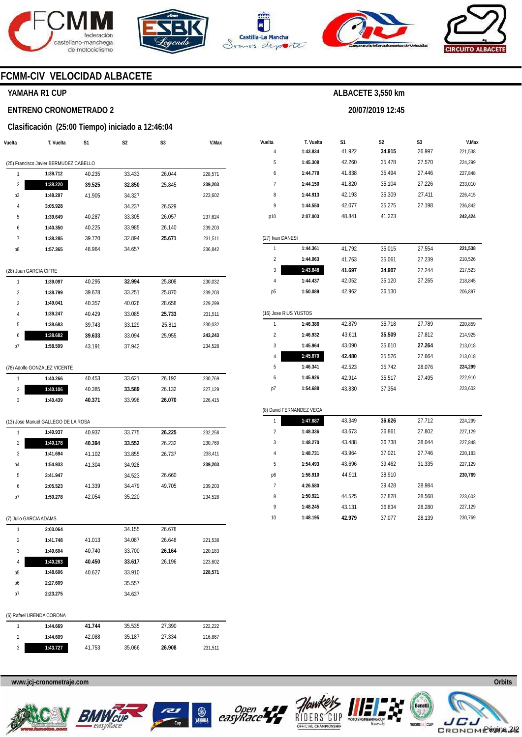







**20/07/2019 12:45** 



# **FCMM-CIV VELOCIDAD ALBACETE**

### **YAMAHA R1 CUP**

#### **ENTRENO CRONOMETRADO 2**

#### **Clasificación (25:00 Tiempo) iniciado a 12:46:04**

| Vuelta                 | T. Vuelta                                          | S1     | S2               | S3     | V.Max              |
|------------------------|----------------------------------------------------|--------|------------------|--------|--------------------|
|                        |                                                    |        |                  |        |                    |
| 1                      | (25) Francisco Javier BERMUDEZ CABELLO<br>1:39.712 | 40.235 | 33.433           | 26.044 | 228,571            |
| 2                      | 1:38.220                                           | 39.525 | 32.850           | 25.845 | 239,203            |
| p3                     | 1:48.297                                           | 41.905 | 34.327           |        | 223,602            |
| 4                      | 3:05.928                                           |        | 34.237           | 26.529 |                    |
| 5                      | 1:39.649                                           | 40.287 | 33.305           | 26.057 | 237,624            |
| 6                      | 1:40.350                                           | 40.225 | 33.985           | 26.140 | 239,203            |
| 7                      | 1:38.285                                           | 39.720 | 32.894           | 25.671 | 231,511            |
| p8                     | 1:57.365                                           | 48.964 | 34.657           |        | 236,842            |
|                        |                                                    |        |                  |        |                    |
| (28) Juan GARCIA CIFRE |                                                    |        |                  |        |                    |
| 1                      | 1:39.097                                           | 40.295 | 32.994           | 25.808 | 230,032            |
| $\overline{2}$         | 1:38.799                                           | 39.678 | 33.251           | 25.870 | 239,203            |
| 3                      | 1:49.041                                           | 40.357 | 40.026           | 28.658 | 229,299            |
| 4                      | 1:39.247                                           | 40.429 | 33.085           | 25.733 | 231,511            |
| 5                      | 1:38.683                                           | 39.743 | 33.129           | 25.811 | 230,032            |
| 6                      | 1:38.682                                           | 39.633 | 33.094           | 25.955 | 243,243            |
| p7                     | 1:58.599                                           | 43.191 | 37.942           |        | 234,528            |
|                        |                                                    |        |                  |        |                    |
|                        | (78) Adolfo GONZALEZ VICENTE                       |        |                  |        |                    |
| 1                      | 1:40.266                                           | 40.453 | 33.621           | 26.192 | 230,769            |
| 2                      | 1:40.106                                           | 40.385 | 33.589           | 26.132 | 227,129            |
| 3                      | 1:40.439                                           | 40.371 | 33.998           | 26.070 | 226,415            |
|                        |                                                    |        |                  |        |                    |
|                        | (13) Jose Manuel GALLEGO DE LA ROSA                |        |                  |        |                    |
| 1                      | 1:40.937                                           | 40.937 | 33.775           | 26.225 | 232,258            |
| 2<br>3                 | 1:40.178                                           | 40.394 | 33.552           | 26.232 | 230,769            |
|                        | 1:41.694                                           | 41.102 | 33.855           | 26.737 | 238,411            |
| p4<br>5                | 1:54.933                                           | 41.304 | 34.928           | 26.660 | 239,203            |
|                        | 3:41.947                                           | 41.339 | 34.523<br>34.479 | 49.705 |                    |
| 6                      | 2:05.523<br>1:50.278                               | 42.054 | 35.220           |        | 239,203<br>234,528 |
| p7                     |                                                    |        |                  |        |                    |
| (7) Julio GARCIA ADAMS |                                                    |        |                  |        |                    |
| 1                      | 2:03.064                                           |        | 34.155           | 26.678 |                    |
| 2                      | 1:41.748                                           | 41.013 | 34.087           | 26.648 | 221,538            |
| 3                      | 1:40.604                                           | 40.740 | 33.700           | 26.164 | 220,183            |
| 4                      | 1:40.263                                           | 40.450 | 33.617           | 26.196 | 223,602            |
| р5                     | 1:48.606                                           | 40.627 | 33.910           |        | 228,571            |
| p6                     | 2:27.609                                           |        | 35.557           |        |                    |
| p7                     | 2:23.275                                           |        | 34.637           |        |                    |
|                        |                                                    |        |                  |        |                    |
|                        | (6) Rafael URENDA CORONA                           |        |                  |        |                    |
| 1                      | 1:44.669                                           | 41.744 | 35.535           | 27.390 | 222,222            |
| 2                      | 1:44.609                                           | 42.088 | 35.187           | 27.334 | 216,867            |
| 3                      | 1:43.727                                           | 41.753 | 35.066           | 26.908 | 231,511            |

| Vuelta                  | T. Vuelta                | S1     | S2     | S3     | V.Max   |  |  |  |  |  |
|-------------------------|--------------------------|--------|--------|--------|---------|--|--|--|--|--|
| 4                       | 1:43.834                 | 41.922 | 34.915 | 26.997 | 221,538 |  |  |  |  |  |
| 5                       | 1:45.308                 | 42.260 | 35.478 | 27.570 | 224,299 |  |  |  |  |  |
| 6                       | 1:44.778                 | 41.838 | 35.494 | 27.446 | 227,848 |  |  |  |  |  |
| 7                       | 1:44.150                 | 41.820 | 35.104 | 27.226 | 233,010 |  |  |  |  |  |
| 8                       | 1:44.913                 | 42.193 | 35.309 | 27.411 | 226,415 |  |  |  |  |  |
| 9                       | 1:44.550                 | 42.077 | 35.275 | 27.198 | 236,842 |  |  |  |  |  |
| p10                     | 2:07.003                 | 48.841 | 41.223 |        | 242,424 |  |  |  |  |  |
|                         |                          |        |        |        |         |  |  |  |  |  |
| (27) Ivan DANESI        |                          |        |        |        |         |  |  |  |  |  |
| 1                       | 1:44.361                 | 41.792 | 35.015 | 27.554 | 221,538 |  |  |  |  |  |
| 2                       | 1:44.063                 | 41.763 | 35.061 | 27.239 | 210,526 |  |  |  |  |  |
| 3                       | 1:43.848                 | 41.697 | 34.907 | 27.244 | 217,523 |  |  |  |  |  |
| 4                       | 1:44.437                 | 42.052 | 35.120 | 27.265 | 218,845 |  |  |  |  |  |
| р5                      | 1:50.089                 | 42.962 | 36.130 |        | 206,897 |  |  |  |  |  |
|                         |                          |        |        |        |         |  |  |  |  |  |
| (16) Jose RIUS YUSTOS   |                          |        |        |        |         |  |  |  |  |  |
| 1                       | 1:46.386                 | 42.879 | 35.718 | 27.789 | 220,859 |  |  |  |  |  |
| $\overline{\mathbf{c}}$ | 1:46.932                 | 43.611 | 35.509 | 27.812 | 214,925 |  |  |  |  |  |
| 3                       | 1:45.964                 | 43.090 | 35.610 | 27.264 | 213,018 |  |  |  |  |  |
| 4                       | 1:45.670                 | 42.480 | 35.526 | 27.664 | 213,018 |  |  |  |  |  |
| 5                       | 1:46.341                 | 42.523 | 35.742 | 28.076 | 224,299 |  |  |  |  |  |
| 6                       | 1:45.926                 | 42.914 | 35.517 | 27.495 | 222,910 |  |  |  |  |  |
| p7                      | 1:54.688                 | 43.830 | 37.354 |        | 223,602 |  |  |  |  |  |
|                         |                          |        |        |        |         |  |  |  |  |  |
|                         | (8) David FERNANDEZ VEGA |        |        |        |         |  |  |  |  |  |
| 1                       | 1:47.687                 | 43.349 | 36.626 | 27.712 | 224,299 |  |  |  |  |  |
| $\overline{c}$          | 1:48.336                 | 43.673 | 36.861 | 27.802 | 227,129 |  |  |  |  |  |
| 3                       | 1:48.270                 | 43.488 | 36.738 | 28.044 | 227,848 |  |  |  |  |  |
| 4                       | 1:48.731                 | 43.964 | 37.021 | 27.746 | 220,183 |  |  |  |  |  |
| 5                       | 1:54.493                 | 43.696 | 39.462 | 31.335 | 227,129 |  |  |  |  |  |
| p6                      | 1:56.910                 | 44.911 | 38.910 |        | 230,769 |  |  |  |  |  |
| 7                       | 4:26.580                 |        | 39.428 | 28.984 |         |  |  |  |  |  |
| 8                       | 1:50.921                 | 44.525 | 37.828 | 28.568 | 223,602 |  |  |  |  |  |
| 9                       | 1:48.245                 | 43.131 | 36.834 | 28.280 | 227,129 |  |  |  |  |  |
| 10                      | 1:48.195                 | 42.979 | 37.077 | 28.139 | 230,769 |  |  |  |  |  |









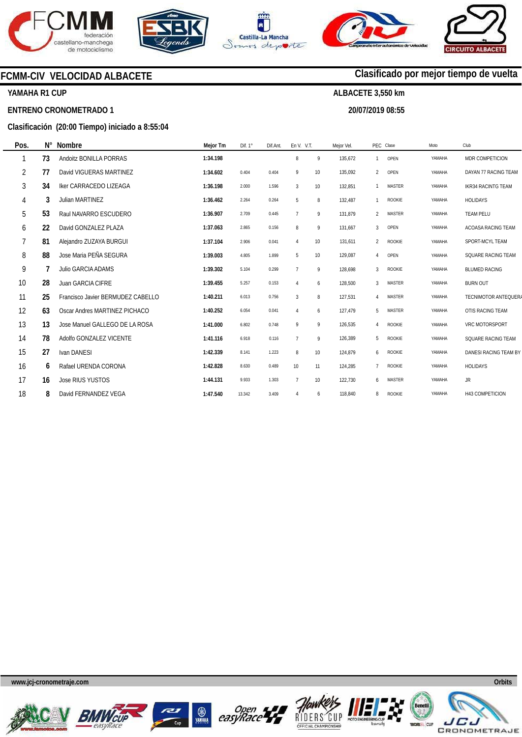







**20/07/2019 08:55** 

**Clasificado por mejor tiempo de vuelta**



### **YAMAHA R1 CUP**

#### **ENTRENO CRONOMETRADO 1**

#### **Clasificación (20:00 Tiempo) iniciado a 8:55:04**

| Pos. | $N^{\circ}$ | <b>Nombre</b>                     | Mejor Tm | Dif. $1^\circ$ | Dif.Ant. | En V. V.T.     |                 | Mejor Vel. |                           | PEC Clase     | Moto   | Club                      |
|------|-------------|-----------------------------------|----------|----------------|----------|----------------|-----------------|------------|---------------------------|---------------|--------|---------------------------|
|      | 73          | Andoitz BONILLA PORRAS            | 1:34.198 |                |          | 8              | 9               | 135,672    |                           | OPEN          | YAMAHA | MDR COMPETICION           |
| 2    | 77          | David VIGUERAS MARTINEZ           | 1:34.602 | 0.404          | 0.404    | 9              | 10 <sup>°</sup> | 135,092    | $\mathfrak{p}$            | OPEN          | YAMAHA | DAYAN 77 RACING TEAM      |
| 3    | 34          | <b>Iker CARRACEDO LIZEAGA</b>     | 1:36.198 | 2.000          | 1.596    | $\overline{3}$ | 10 <sup>°</sup> | 132,851    |                           | <b>MASTER</b> | YAMAHA | <b>IKR34 RACINTG TEAM</b> |
| 4    | 3           | Julian MARTINEZ                   | 1:36.462 | 2.264          | 0.264    | 5              | 8               | 132,487    |                           | <b>ROOKIE</b> | YAMAHA | <b>HOLIDAYS</b>           |
| 5    | 53          | Raul NAVARRO ESCUDERO             | 1:36.907 | 2.709          | 0.445    | $\overline{7}$ | 9               | 131,879    | $\mathfrak{p}$            | <b>MASTER</b> | YAMAHA | <b>TEAM PELU</b>          |
| 6    | 22          | David GONZALEZ PLAZA              | 1:37.063 | 2.865          | 0.156    | 8              | 9               | 131,667    | 3                         | OPEN          | YAMAHA | ACOASA RACING TEAM        |
| 7    | 81          | Alejandro ZUZAYA BURGUI           | 1:37.104 | 2.906          | 0.041    |                | 10 <sup>°</sup> | 131,611    | $\mathfrak{p}$            | <b>ROOKIE</b> | YAMAHA | SPORT-MCYL TEAM           |
| 8    | 88          | Jose Maria PEÑA SEGURA            | 1:39.003 | 4.805          | 1.899    | 5              | 10 <sup>°</sup> | 129,087    | 4                         | OPEN          | YAMAHA | SQUARE RACING TEAM        |
| 9    |             | <b>Julio GARCIA ADAMS</b>         | 1:39.302 | 5.104          | 0.299    | $\overline{7}$ | 9               | 128.698    | 3                         | <b>ROOKIE</b> | YAMAHA | <b>BLUMED RACING</b>      |
| 10   | 28          | Juan GARCIA CIFRE                 | 1:39.455 | 5.257          | 0.153    | $\overline{4}$ | 6               | 128.500    | 3                         | <b>MASTER</b> | YAMAHA | <b>BURN OUT</b>           |
| 11   | 25          | Francisco Javier BERMUDEZ CABELLO | 1:40.211 | 6.013          | 0.756    | 3              | 8               | 127,531    | $\boldsymbol{\varLambda}$ | <b>MASTER</b> | YAMAHA | TECNIMOTOR ANTEQUERA      |
| 12   | 63          | Oscar Andres MARTINEZ PICHACO     | 1:40.252 | 6.054          | 0.041    |                | 6               | 127,479    | 5                         | <b>MASTER</b> | YAMAHA | OTIS RACING TEAM          |
| 13   | 13          | Jose Manuel GALLEGO DE LA ROSA    | 1:41.000 | 6.802          | 0.748    | 9              | 9               | 126,535    | $\Delta$                  | <b>ROOKIE</b> | YAMAHA | VRC MOTORSPORT            |
| 14   | 78          | Adolfo GONZALEZ VICENTE           | 1:41.116 | 6.918          | 0.116    | $\overline{7}$ | 9               | 126,389    | 5                         | <b>ROOKIE</b> | YAMAHA | SQUARE RACING TEAM        |
| 15   | 27          | Ivan DANESI                       | 1:42.339 | 8.141          | 1.223    | 8              | 10 <sup>°</sup> | 124,879    | 6                         | <b>ROOKIE</b> | YAMAHA | DANESI RACING TEAM BY     |
| 16   | 6           | Rafael URENDA CORONA              | 1:42.828 | 8.630          | 0.489    | 10             | 11              | 124,285    |                           | ROOKIE        | YAMAHA | <b>HOLIDAYS</b>           |
| 17   | 16          | <b>Jose RIUS YUSTOS</b>           | 1:44.131 | 9.933          | 1.303    | $\overline{7}$ | 10              | 122,730    | 6                         | <b>MASTER</b> | YAMAHA | <b>JR</b>                 |
| 18   | 8           | David FERNANDEZ VEGA              | 1:47.540 | 13.342         | 3.409    | 4              | 6               | 118,840    | 8                         | ROOKIE        | YAMAHA | H43 COMPETICION           |











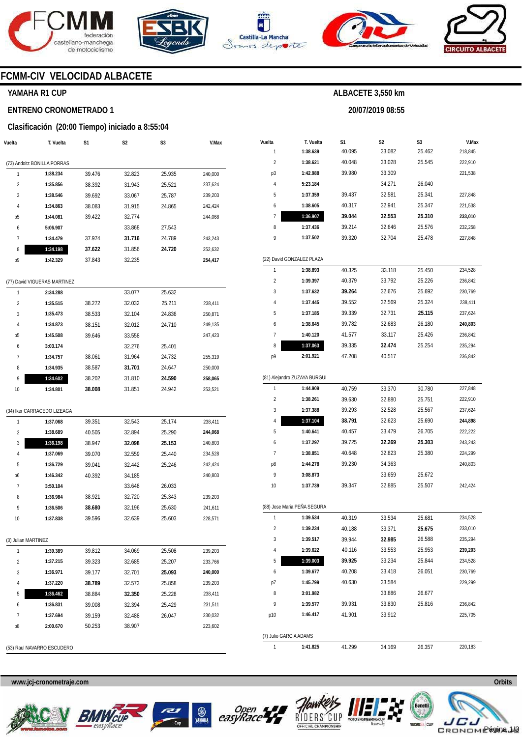







**20/07/2019 08:55** 



# **FCMM-CIV VELOCIDAD ALBACETE**

#### **YAMAHA R1 CUP**

#### **ENTRENO CRONOMETRADO 1**

#### **Clasificación (20:00 Tiempo) iniciado a 8:55:04**

| Vuelta              | T. Vuelta                    | S1     | S2     | S3     | V.Max   |
|---------------------|------------------------------|--------|--------|--------|---------|
|                     | (73) Andoitz BONILLA PORRAS  |        |        |        |         |
| 1                   | 1:38.234                     | 39.476 | 32.823 | 25.935 | 240,000 |
| $\overline{2}$      | 1:35.856                     | 38.392 | 31.943 | 25.521 | 237,624 |
| 3                   | 1:38.546                     | 39.692 | 33.067 | 25.787 | 239,203 |
| 4                   | 1:34.863                     | 38.083 | 31.915 | 24.865 | 242,424 |
|                     | 1:44.081                     | 39.422 | 32.774 |        | 244,068 |
| р5<br>6             | 5:06.907                     |        | 33.868 | 27.543 |         |
| 7                   | 1:34.479                     | 37.974 | 31.716 | 24.789 | 243,243 |
| 8                   |                              | 37.622 | 31.856 | 24.720 | 252,632 |
|                     | 1:34.198                     |        |        |        |         |
| p9                  | 1:42.329                     | 37.843 | 32.235 |        | 254,417 |
|                     | (77) David VIGUERAS MARTINEZ |        |        |        |         |
| 1                   | 2:34.288                     |        | 33.077 | 25.632 |         |
| $\overline{2}$      | 1:35.515                     | 38.272 | 32.032 | 25.211 | 238,411 |
| 3                   | 1:35.473                     | 38.533 | 32.104 | 24.836 | 250,871 |
| 4                   | 1:34.873                     | 38.151 | 32.012 | 24.710 | 249,135 |
| p <sub>5</sub>      | 1:45.508                     | 39.646 | 33.558 |        | 247,423 |
| 6                   | 3:03.174                     |        | 32.276 | 25.401 |         |
| 7                   | 1:34.757                     | 38.061 | 31.964 | 24.732 | 255,319 |
| 8                   | 1:34.935                     | 38.587 | 31.701 | 24.647 | 250,000 |
| 9                   | 1:34.602                     | 38.202 | 31.810 | 24.590 | 258,065 |
| 10                  | 1:34.801                     | 38.008 | 31.851 | 24.942 | 253,521 |
|                     |                              |        |        |        |         |
|                     | (34) Iker CARRACEDO LIZEAGA  |        |        |        |         |
| 1                   | 1:37.068                     | 39.351 | 32.543 | 25.174 | 238,411 |
| 2                   | 1:38.689                     | 40.505 | 32.894 | 25.290 | 244,068 |
| 3                   | 1:36.198                     | 38.947 | 32.098 | 25.153 | 240,803 |
| 4                   | 1:37.069                     | 39.070 | 32.559 | 25.440 | 234,528 |
| 5                   | 1:36.729                     | 39.041 | 32.442 | 25.246 | 242,424 |
| p6                  | 1:46.342                     | 40.392 | 34.185 |        | 240,803 |
| 7                   | 3:50.104                     |        | 33.648 | 26.033 |         |
| 8                   | 1:36.984                     | 38.921 | 32.720 | 25.343 | 239,203 |
| 9                   | 1:36.506                     | 38.680 | 32.196 | 25.630 | 241,611 |
| 10                  | 1:37.838                     | 39.596 | 32.639 | 25.603 | 228,571 |
| (3) Julian MARTINEZ |                              |        |        |        |         |
| 1                   | 1:39.389                     | 39.812 | 34.069 | 25.508 | 239,203 |
| 2                   | 1:37.215                     | 39.323 | 32.685 | 25.207 | 233,766 |
| 3                   | 1:36.971                     | 39.177 | 32.701 | 25.093 | 240,000 |
| 4                   | 1:37.220                     | 38.789 | 32.573 | 25.858 | 239,203 |
| 5                   | 1:36.462                     | 38.884 | 32.350 | 25.228 | 238,411 |
| 6                   | 1:36.831                     | 39.008 | 32.394 | 25.429 | 231,511 |
| 7                   | 1:37.694                     | 39.159 | 32.488 | 26.047 | 230,032 |
|                     |                              |        |        |        |         |

| Vuelta                 | T. Vuelta                    | S1     | S2     | S3     | V.Max   |
|------------------------|------------------------------|--------|--------|--------|---------|
| 1                      | 1:38.639                     | 40.095 | 33.082 | 25.462 | 218,845 |
| $\overline{2}$         | 1:38.621                     | 40.048 | 33.028 | 25.545 | 222,910 |
| p3                     | 1:42.988                     | 39.980 | 33.309 |        | 221,538 |
| 4                      | 5:23.184                     |        | 34.271 | 26.040 |         |
| 5                      | 1:37.359                     | 39.437 | 32.581 | 25.341 | 227,848 |
| 6                      | 1:38.605                     | 40.317 | 32.941 | 25.347 | 221,538 |
| 7                      | 1:36.907                     | 39.044 | 32.553 | 25.310 | 233,010 |
| 8                      | 1:37.436                     | 39.214 | 32.646 | 25.576 | 232,258 |
| 9                      | 1:37.502                     | 39.320 | 32.704 | 25.478 | 227,848 |
|                        | (22) David GONZALEZ PLAZA    |        |        |        |         |
| 1                      | 1:38.893                     | 40.325 | 33.118 | 25.450 | 234,528 |
| 2                      | 1:39.397                     | 40.379 | 33.792 | 25.226 | 236,842 |
| 3                      | 1:37.632                     | 39.264 | 32.676 | 25.692 | 230,769 |
| 4                      | 1:37.445                     | 39.552 | 32.569 | 25.324 | 238,411 |
| 5                      | 1:37.185                     | 39.339 | 32.731 | 25.115 | 237,624 |
| 6                      | 1:38.645                     | 39.782 | 32.683 | 26.180 | 240,803 |
| 7                      | 1:40.120                     | 41.577 | 33.117 | 25.426 | 236,842 |
| 8                      | 1:37.063                     | 39.335 | 32.474 | 25.254 | 235,294 |
| p9                     | 2:01.921                     | 47.208 | 40.517 |        | 236,842 |
|                        | (81) Alejandro ZUZAYA BURGUI |        |        |        |         |
| 1                      | 1:44.909                     | 40.759 | 33.370 | 30.780 | 227,848 |
| $\overline{2}$         | 1:38.261                     | 39.630 | 32.880 | 25.751 | 222,910 |
| 3                      | 1:37.388                     | 39.293 | 32.528 | 25.567 | 237,624 |
| 4                      | 1:37.104                     | 38.791 | 32.623 | 25.690 | 244,898 |
| 5                      | 1:40.641                     | 40.457 | 33.479 | 26.705 | 222,222 |
| 6                      | 1:37.297                     | 39.725 | 32.269 | 25.303 | 243,243 |
| 7                      | 1:38.851                     | 40.648 | 32.823 | 25.380 | 224,299 |
| p8                     | 1:44.278                     | 39.230 | 34.363 |        | 240,803 |
| 9                      | 3:08.873                     |        | 33.659 | 25.672 |         |
| 10                     | 1:37.739                     | 39.347 | 32.885 | 25.507 | 242,424 |
|                        | (88) Jose Maria PEÑA SEGURA  |        |        |        |         |
| 1                      | 1:39.534                     | 40.319 | 33.534 | 25.681 | 234,528 |
| 2                      | 1:39.234                     | 40.188 | 33.371 | 25.675 | 233,010 |
| 3                      | 1:39.517                     | 39.944 | 32.985 | 26.588 | 235,294 |
| 4                      | 1:39.622                     | 40.116 | 33.553 | 25.953 | 239,203 |
| 5                      | 1:39.003                     | 39.925 | 33.234 | 25.844 | 234,528 |
| 6                      | 1:39.677                     | 40.208 | 33.418 | 26.051 | 230,769 |
| p7                     | 1:45.799                     | 40.630 | 33.584 |        | 229,299 |
| 8                      | 3:01.982                     |        | 33.886 | 26.677 |         |
| 9                      | 1:39.577                     | 39.931 | 33.830 | 25.816 | 236,842 |
| p10                    | 1:46.417                     | 41.901 | 33.912 |        | 225,705 |
| (7) Julio GARCIA ADAMS |                              |        |        |        |         |
| 1                      | 1:41.825                     | 41.299 | 34.169 | 26.357 | 220,183 |

(53) Raul NAVARRO ESCUDERO

**www.jcj-cronometraje.com Orbits** 







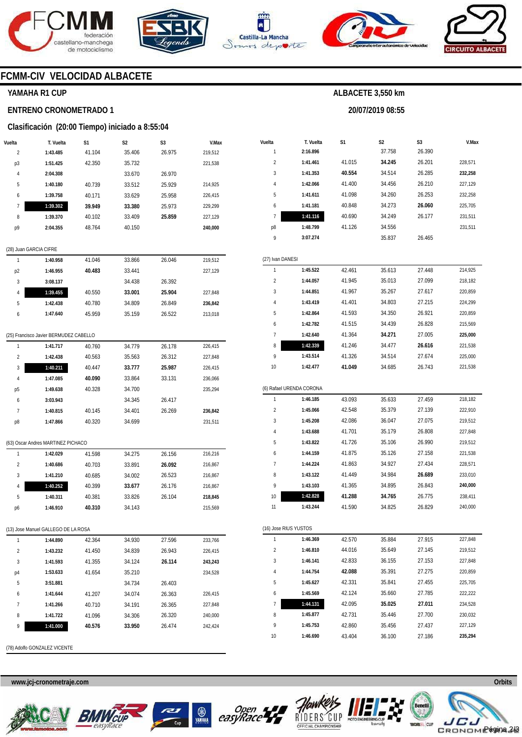





**1:44.131 1:45.877 1:45.753 1:46.690** 

RIDERS

42.095 42.731 42.860 43.404 **35.025**  35.446 35.456 36.100 **27.011**  27.700 27.437 27.186



**ALBACETE 3,550 km** 



### **FCMM-CIV VELOCIDAD ALBACETE**

#### **YAMAHA R1 CUP**

#### **ENTRENO CRONOMETRADO 1**

#### **Clasificación (20:00 Tiempo) iniciado a 8:55:04**

| Vuelta         | T. Vuelta              | S1     | S <sub>2</sub> | S <sub>3</sub> | V.Max   |
|----------------|------------------------|--------|----------------|----------------|---------|
| $\overline{2}$ | 1:43.485               | 41.104 | 35.406         | 26.975         | 219,512 |
| p3             | 1:51.425               | 42.350 | 35.732         |                | 221,538 |
| 4              | 2:04.308               |        | 33.670         | 26.970         |         |
| 5              | 1:40.180               | 40.739 | 33.512         | 25.929         | 214,925 |
| 6              | 1:39.758               | 40.171 | 33.629         | 25.958         | 226,415 |
| 7              | 1:39.302               | 39.949 | 33.380         | 25.973         | 229.299 |
| 8              | 1:39.370               | 40.102 | 33.409         | 25.859         | 227,129 |
| p9             | 2:04.355               | 48.764 | 40.150         |                | 240,000 |
|                |                        |        |                |                |         |
|                | (28) Juan GARCIA CIFRE |        |                |                |         |

|    | 1:40.958 | 41.046 | 33.866 | 26.046 | 219,512 |
|----|----------|--------|--------|--------|---------|
| p2 | 1:46.955 | 40.483 | 33.441 |        | 227,129 |
| 3  | 3:08.137 |        | 34.438 | 26.392 |         |
| 4  | 1:39.455 | 40.550 | 33.001 | 25.904 | 227,848 |
| 5  | 1:42.438 | 40.780 | 34.809 | 26.849 | 236.842 |
| 6  | 1:47.640 | 45.959 | 35.159 | 26.522 | 213,018 |

### (25) Francisco Javier BERMUDEZ CABELLO

| 1              | 1:41.717 | 40.760 | 34.779 | 26.178 | 226,415 |
|----------------|----------|--------|--------|--------|---------|
| $\mathfrak{p}$ | 1:42.438 | 40.563 | 35.563 | 26.312 | 227,848 |
| 3              | 1:40.211 | 40.447 | 33.777 | 25.987 | 226.415 |
| 4              | 1:47.085 | 40.090 | 33.864 | 33.131 | 236.066 |
| p <sub>5</sub> | 1:49.638 | 40.328 | 34.700 |        | 235.294 |
| 6              | 3:03.943 |        | 34.345 | 26.417 |         |
| 7              | 1:40.815 | 40.145 | 34.401 | 26.269 | 236,842 |
| p8             | 1:47.866 | 40.320 | 34.699 |        | 231,511 |
|                |          |        |        |        |         |

# (63) Oscar Andres MARTINEZ PICHACO

|               | 1:42.029 | 41.598 | 34.275 | 26.156 | 216.216 |
|---------------|----------|--------|--------|--------|---------|
| $\mathfrak z$ | 1:40.686 | 40.703 | 33.891 | 26.092 | 216.867 |
| 3             | 1:41.210 | 40.685 | 34.002 | 26.523 | 216.867 |
| 4             | 1:40.252 | 40.399 | 33.677 | 26.176 | 216.867 |
| 5             | 1:40.311 | 40.381 | 33.826 | 26.104 | 218.845 |
| p6            | 1:46.910 | 40.310 | 34.143 |        | 215.569 |

#### (13) Jose Manuel GALLEGO DE LA ROSA

| 1              | 1:44.890 | 42.364 | 34.930 | 27.596 | 233.766 |
|----------------|----------|--------|--------|--------|---------|
| $\overline{2}$ | 1:43.232 | 41.450 | 34.839 | 26.943 | 226.415 |
| 3              | 1:41.593 | 41.355 | 34.124 | 26.114 | 243.243 |
| p4             | 1:53.633 | 41.654 | 35.210 |        | 234.528 |
| 5              | 3:51.881 |        | 34.734 | 26.403 |         |
| 6              | 1:41.644 | 41.207 | 34.074 | 26.363 | 226.415 |
| 7              | 1:41.266 | 40.710 | 34.191 | 26.365 | 227.848 |
| 8              | 1:41.722 | 41.096 | 34.306 | 26.320 | 240.000 |
| 9              | 1:41.000 | 40.576 | 33.950 | 26.474 | 242.424 |
|                |          |        |        |        |         |

(78) Adolfo GONZALEZ VICENTE

**www.jcj-cronometraje.com Orbits** 







**www.mylaps.com** 

CRONOME<sup>agina 2/3</sup>

**Lice** JCJ

234,528 230,032 227,129 **235,294**